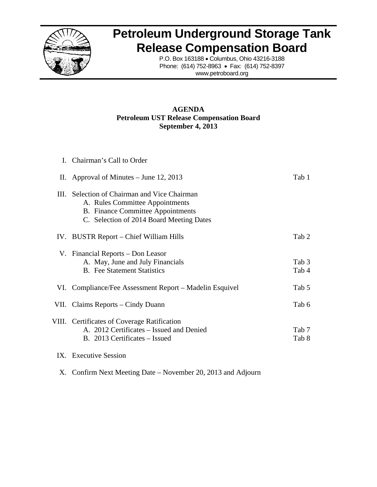

## **Petroleum Underground Storage Tank Release Compensation Board**

P.O. Box 163188 · Columbus, Ohio 43216-3188 Phone: (614) 752-8963 • Fax: (614) 752-8397 www.petroboard.org

## **Petroleum UST Release Compensation Board A AGENDA September 4, 2013**

| I. Chairman's Call to Order                                                                                                                                             |                           |
|-------------------------------------------------------------------------------------------------------------------------------------------------------------------------|---------------------------|
| II. Approval of Minutes $-$ June 12, 2013                                                                                                                               | Tab 1                     |
| III. Selection of Chairman and Vice Chairman<br>A. Rules Committee Appointments<br><b>B.</b> Finance Committee Appointments<br>C. Selection of 2014 Board Meeting Dates |                           |
| IV. BUSTR Report – Chief William Hills                                                                                                                                  | Tab 2                     |
| V. Financial Reports – Don Leasor<br>A. May, June and July Financials<br><b>B.</b> Fee Statement Statistics                                                             | Tab <sub>3</sub><br>Tab 4 |
| VI. Compliance/Fee Assessment Report – Madelin Esquivel                                                                                                                 | Tab 5                     |
| VII. Claims Reports – Cindy Duann                                                                                                                                       | Tab 6                     |
| VIII. Certificates of Coverage Ratification<br>A. 2012 Certificates – Issued and Denied<br>B. 2013 Certificates – Issued                                                | Tab 7<br>Tab 8            |
| IX. Executive Session                                                                                                                                                   |                           |

X. Confirm Next Meeting Date – November 20, 2013 and Adjourn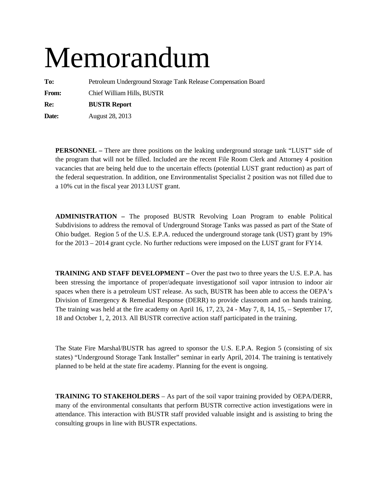# Memorandum

**To:** Petroleum Underground Storage Tank Release Compensation Board **From:** Chief William Hills, BUSTR **Re: BUSTR Report** 

**Date:** August 28, 2013

**PERSONNEL –** There are three positions on the leaking underground storage tank "LUST" side of the program that will not be filled. Included are the recent File Room Clerk and Attorney 4 position vacancies that are being held due to the uncertain effects (potential LUST grant reduction) as part of the federal sequestration. In addition, one Environmentalist Specialist 2 position was not filled due to a 10% cut in the fiscal year 2013 LUST grant.

**ADMINISTRATION –** The proposed BUSTR Revolving Loan Program to enable Political Subdivisions to address the removal of Underground Storage Tanks was passed as part of the State of Ohio budget. Region 5 of the U.S. E.P.A. reduced the underground storage tank (UST) grant by 19% for the 2013 – 2014 grant cycle. No further reductions were imposed on the LUST grant for FY14.

**TRAINING AND STAFF DEVELOPMENT –** Over the past two to three years the U.S. E.P.A. has been stressing the importance of proper/adequate investigationof soil vapor intrusion to indoor air spaces when there is a petroleum UST release. As such, BUSTR has been able to access the OEPA's Division of Emergency & Remedial Response (DERR) to provide classroom and on hands training. The training was held at the fire academy on April 16, 17, 23, 24 - May 7, 8, 14, 15, – September 17, 18 and October 1, 2, 2013. All BUSTR corrective action staff participated in the training.

The State Fire Marshal/BUSTR has agreed to sponsor the U.S. E.P.A. Region 5 (consisting of six states) "Underground Storage Tank Installer" seminar in early April, 2014. The training is tentatively planned to be held at the state fire academy. Planning for the event is ongoing.

**TRAINING TO STAKEHOLDERS** – As part of the soil vapor training provided by OEPA/DERR, many of the environmental consultants that perform BUSTR corrective action investigations were in attendance. This interaction with BUSTR staff provided valuable insight and is assisting to bring the consulting groups in line with BUSTR expectations.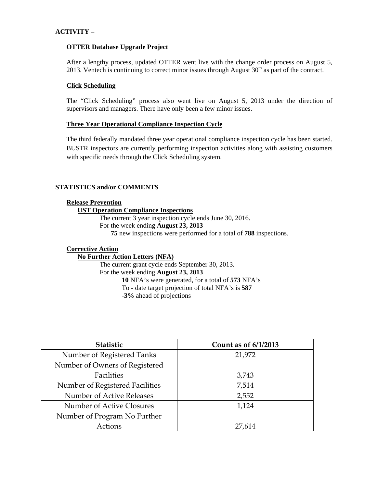## **ACTIVITY –**

#### **OTTER Database Upgrade Project**

After a lengthy process, updated OTTER went live with the change order process on August 5, 2013. Ventech is continuing to correct minor issues through August  $30<sup>th</sup>$  as part of the contract.

#### **Click Scheduling**

The "Click Scheduling" process also went live on August 5, 2013 under the direction of supervisors and managers. There have only been a few minor issues.

#### **Three Year Operational Compliance Inspection Cycle**

The third federally mandated three year operational compliance inspection cycle has been started. BUSTR inspectors are currently performing inspection activities along with assisting customers with specific needs through the Click Scheduling system.

### **STATISTICS and/or COMMENTS**

#### **Release Prevention**

## **UST Operation Compliance Inspections**

The current 3 year inspection cycle ends June 30, 2016. For the week ending **August 23, 2013 75** new inspections were performed for a total of **788** inspections.

#### **Corrective Action**

## **No Further Action Letters (NFA)**

The current grant cycle ends September 30, 2013. For the week ending **August 23, 2013 10** NFA's were generated, for a total of **573** NFA's To - date target projection of total NFA's is **587 -3%** ahead of projections

| <b>Statistic</b>                 | Count as of 6/1/2013 |
|----------------------------------|----------------------|
| Number of Registered Tanks       | 21,972               |
| Number of Owners of Registered   |                      |
| Facilities                       | 3,743                |
| Number of Registered Facilities  | 7,514                |
| Number of Active Releases        | 2,552                |
| <b>Number of Active Closures</b> | 1,124                |
| Number of Program No Further     |                      |
| Actions                          | 27,614               |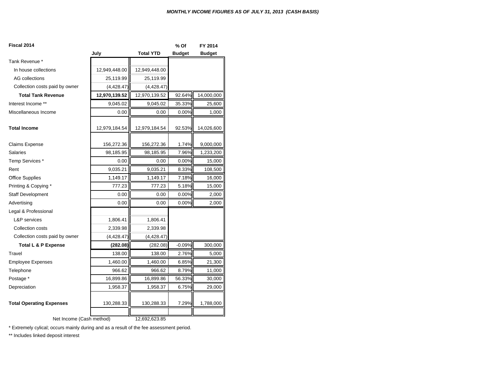| Fiscal 2014                     |               |                  | % Of          | FY 2014       |
|---------------------------------|---------------|------------------|---------------|---------------|
|                                 | July          | <b>Total YTD</b> | <b>Budget</b> | <b>Budget</b> |
| Tank Revenue *                  |               |                  |               |               |
| In house collections            | 12,949,448.00 | 12,949,448.00    |               |               |
| AG collections                  | 25,119.99     | 25,119.99        |               |               |
| Collection costs paid by owner  | (4, 428.47)   | (4, 428.47)      |               |               |
| <b>Total Tank Revenue</b>       | 12,970,139.52 | 12,970,139.52    | 92.64%        | 14,000,000    |
| Interest Income **              | 9,045.02      | 9,045.02         | 35.33%        | 25,600        |
| Miscellaneous Income            | 0.00          | 0.00             | 0.00%         | 1,000         |
| <b>Total Income</b>             | 12,979,184.54 | 12,979,184.54    | 92.53%        | 14,026,600    |
| <b>Claims Expense</b>           | 156,272.36    | 156,272.36       | 1.74%         | 9,000,000     |
| <b>Salaries</b>                 | 98,185.95     | 98,185.95        | 7.96%         | 1,233,200     |
| Temp Services *                 | 0.00          | 0.00             | 0.00%         | 15,000        |
| Rent                            | 9,035.21      | 9,035.21         | 8.33%         | 108,500       |
| <b>Office Supplies</b>          | 1,149.17      | 1,149.17         | 7.18%         | 16,000        |
| Printing & Copying *            | 777.23        | 777.23           | 5.18%         | 15,000        |
| <b>Staff Development</b>        | 0.00          | 0.00             | 0.00%         | 2,000         |
| Advertising                     | 0.00          | 0.00             | 0.00%         | 2,000         |
| Legal & Professional            |               |                  |               |               |
| <b>L&amp;P</b> services         | 1,806.41      | 1,806.41         |               |               |
| Collection costs                | 2,339.98      | 2,339.98         |               |               |
| Collection costs paid by owner  | (4, 428.47)   | (4, 428.47)      |               |               |
| <b>Total L &amp; P Expense</b>  | (282.08)      | (282.08)         | $-0.09%$      | 300,000       |
| Travel                          | 138.00        | 138.00           | 2.76%         | 5,000         |
| <b>Employee Expenses</b>        | 1,460.00      | 1,460.00         | 6.85%         | 21,300        |
| Telephone                       | 966.62        | 966.62           | 8.79%         | 11,000        |
| Postage *                       | 16,899.86     | 16,899.86        | 56.33%        | 30,000        |
| Depreciation                    | 1,958.37      | 1,958.37         | 6.75%         | 29,000        |
| <b>Total Operating Expenses</b> | 130,288.33    | 130,288.33       | 7.29%         | 1,788,000     |
| Net Income (Cash method)        |               | 12,692,623.85    |               |               |

\* Extremely cylical; occurs mainly during and as a result of the fee assessment period.

\*\* Includes linked deposit interest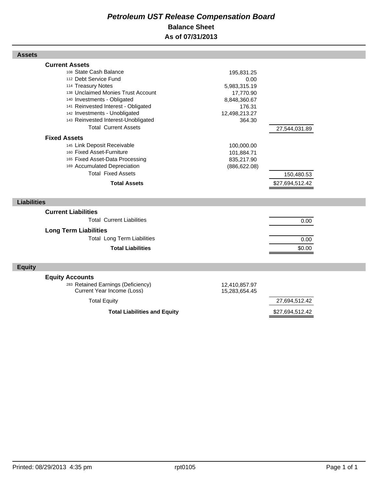## *Petroleum UST Release Compensation Board*  **Balance Sheet As of 07/31/2013**

| <b>Assets</b>                                                                                                                                                                                                                                                                                                                                                                                                                                                                                                               |                                                                                                                                                                 |                                                |  |
|-----------------------------------------------------------------------------------------------------------------------------------------------------------------------------------------------------------------------------------------------------------------------------------------------------------------------------------------------------------------------------------------------------------------------------------------------------------------------------------------------------------------------------|-----------------------------------------------------------------------------------------------------------------------------------------------------------------|------------------------------------------------|--|
| <b>Current Assets</b><br>108 State Cash Balance<br>112 Debt Service Fund<br>114 Treasury Notes<br>138 Unclaimed Monies Trust Account<br>140 Investments - Obligated<br>141 Reinvested Interest - Obligated<br>142 Investments - Unobligated<br>143 Reinvested Interest-Unobligated<br><b>Total Current Assets</b><br><b>Fixed Assets</b><br>145 Link Deposit Receivable<br>160 Fixed Asset-Furniture<br>165 Fixed Asset-Data Processing<br>169 Accumulated Depreciation<br><b>Total Fixed Assets</b><br><b>Total Assets</b> | 195,831.25<br>0.00<br>5,983,315.19<br>17,770.90<br>8,848,360.67<br>176.31<br>12,498,213.27<br>364.30<br>100,000.00<br>101,884.71<br>835,217.90<br>(886, 622.08) | 27,544,031.89<br>150,480.53<br>\$27,694,512.42 |  |
| <b>Liabilities</b>                                                                                                                                                                                                                                                                                                                                                                                                                                                                                                          |                                                                                                                                                                 |                                                |  |
| <b>Current Liabilities</b><br><b>Total Current Liabilities</b><br><b>Long Term Liabilities</b><br><b>Total Long Term Liabilities</b><br><b>Total Liabilities</b>                                                                                                                                                                                                                                                                                                                                                            |                                                                                                                                                                 | 0.00<br>0.00<br>\$0.00                         |  |
| <b>Equity</b>                                                                                                                                                                                                                                                                                                                                                                                                                                                                                                               |                                                                                                                                                                 |                                                |  |
| <b>Equity Accounts</b><br>283 Retained Earnings (Deficiency)<br>Current Year Income (Loss)<br><b>Total Equity</b>                                                                                                                                                                                                                                                                                                                                                                                                           | 12,410,857.97<br>15,283,654.45                                                                                                                                  | 27,694,512.42                                  |  |
| <b>Total Liabilities and Equity</b>                                                                                                                                                                                                                                                                                                                                                                                                                                                                                         |                                                                                                                                                                 | \$27,694,512.42                                |  |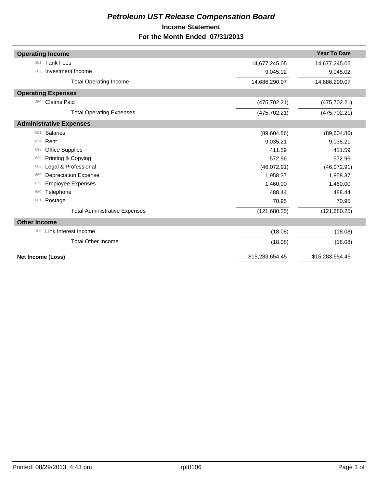## *Petroleum UST Release Compensation Board*  **Income Statement For the Month Ended 07/31/2013**

| <b>Operating Income</b>              |                 | <b>Year To Date</b> |
|--------------------------------------|-----------------|---------------------|
|                                      |                 |                     |
| <b>Tank Fees</b><br>301              | 14,677,245.05   | 14,677,245.05       |
| Investment Income<br>303             | 9,045.02        | 9,045.02            |
| <b>Total Operating Income</b>        | 14,686,290.07   | 14,686,290.07       |
| <b>Operating Expenses</b>            |                 |                     |
| <b>Claims Paid</b><br>350            | (475, 702.21)   | (475, 702.21)       |
| <b>Total Operating Expenses</b>      | (475, 702.21)   | (475, 702.21)       |
| <b>Administrative Expenses</b>       |                 |                     |
| <b>Salaries</b><br>621               | (89,604.86)     | (89,604.86)         |
| Rent<br>634                          | 9,035.21        | 9,035.21            |
| <b>Office Supplies</b><br>638        | 411.59          | 411.59              |
| Printing & Copying<br>639            | 572.96          | 572.96              |
| Legal & Professional<br>668          | (46,072.91)     | (46,072.91)         |
| <b>Depreciation Expense</b><br>669   | 1,958.37        | 1,958.37            |
| <b>Employee Expenses</b><br>675      | 1,460.00        | 1,460.00            |
| Telephone<br>680                     | 488.44          | 488.44              |
| Postage<br>681                       | 70.95           | 70.95               |
| <b>Total Administrative Expenses</b> | (121, 680.25)   | (121, 680.25)       |
| <b>Other Income</b>                  |                 |                     |
| Link Interest Income<br>705          | (18.08)         | (18.08)             |
| <b>Total Other Income</b>            | (18.08)         | (18.08)             |
| Net Income (Loss)                    | \$15,283,654.45 | \$15,283,654.45     |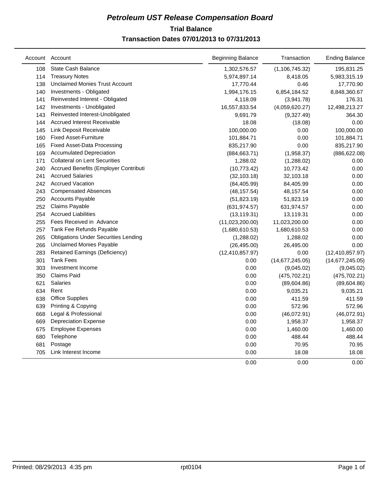## **Trial Balance** *Petroleum UST Release Compensation Board*  **Transaction Dates 07/01/2013 to 07/31/2013**

|     | Account Account                             | <b>Beginning Balance</b> | Transaction      | <b>Ending Balance</b> |
|-----|---------------------------------------------|--------------------------|------------------|-----------------------|
| 108 | State Cash Balance                          | 1,302,576.57             | (1, 106, 745.32) | 195,831.25            |
| 114 | <b>Treasury Notes</b>                       | 5,974,897.14             | 8,418.05         | 5,983,315.19          |
| 138 | <b>Unclaimed Monies Trust Account</b>       | 17,770.44                | 0.46             | 17,770.90             |
| 140 | Investments - Obligated                     | 1,994,176.15             | 6,854,184.52     | 8,848,360.67          |
| 141 | Reinvested Interest - Obligated             | 4,118.09                 | (3,941.78)       | 176.31                |
| 142 | Investments - Unobligated                   | 16,557,833.54            | (4,059,620.27)   | 12,498,213.27         |
| 143 | Reinvested Interest-Unobligated             | 9,691.79                 | (9,327.49)       | 364.30                |
| 144 | <b>Accrued Interest Receivable</b>          | 18.08                    | (18.08)          | 0.00                  |
| 145 | Link Deposit Receivable                     | 100,000.00               | 0.00             | 100,000.00            |
| 160 | <b>Fixed Asset-Furniture</b>                | 101,884.71               | 0.00             | 101,884.71            |
| 165 | <b>Fixed Asset-Data Processing</b>          | 835,217.90               | 0.00             | 835,217.90            |
| 169 | <b>Accumulated Depreciation</b>             | (884, 663.71)            | (1,958.37)       | (886, 622.08)         |
| 171 | <b>Collateral on Lent Securities</b>        | 1,288.02                 | (1,288.02)       | 0.00                  |
| 240 | Accrued Benefits (Employer Contributi       | (10, 773.42)             | 10,773.42        | 0.00                  |
| 241 | <b>Accrued Salaries</b>                     | (32, 103.18)             | 32,103.18        | 0.00                  |
| 242 | <b>Accrued Vacation</b>                     | (84, 405.99)             | 84,405.99        | 0.00                  |
| 243 | <b>Compensated Absences</b>                 | (48, 157.54)             | 48,157.54        | 0.00                  |
| 250 | <b>Accounts Payable</b>                     | (51, 823.19)             | 51,823.19        | 0.00                  |
| 252 | Claims Payable                              | (631, 974.57)            | 631,974.57       | 0.00                  |
| 254 | <b>Accrued Liabilities</b>                  | (13, 119.31)             | 13,119.31        | 0.00                  |
| 255 | Fees Received in Advance                    | (11,023,200.00)          | 11,023,200.00    | 0.00                  |
| 257 | Tank Fee Refunds Payable                    | (1,680,610.53)           | 1,680,610.53     | 0.00                  |
| 265 | <b>Obligations Under Securities Lending</b> | (1,288.02)               | 1,288.02         | 0.00                  |
| 266 | <b>Unclaimed Monies Payable</b>             | (26, 495.00)             | 26,495.00        | 0.00                  |
| 283 | Retained Earnings (Deficiency)              | (12, 410, 857.97)        | 0.00             | (12, 410, 857.97)     |
| 301 | <b>Tank Fees</b>                            | 0.00                     | (14,677,245.05)  | (14,677,245.05)       |
| 303 | Investment Income                           | 0.00                     | (9,045.02)       | (9,045.02)            |
| 350 | <b>Claims Paid</b>                          | 0.00                     | (475, 702.21)    | (475, 702.21)         |
| 621 | <b>Salaries</b>                             | 0.00                     | (89,604.86)      | (89,604.86)           |
| 634 | Rent                                        | 0.00                     | 9,035.21         | 9,035.21              |
| 638 | <b>Office Supplies</b>                      | 0.00                     | 411.59           | 411.59                |
| 639 | Printing & Copying                          | 0.00                     | 572.96           | 572.96                |
| 668 | Legal & Professional                        | 0.00                     | (46,072.91)      | (46,072.91)           |
| 669 | <b>Depreciation Expense</b>                 | 0.00                     | 1,958.37         | 1,958.37              |
| 675 | <b>Employee Expenses</b>                    | 0.00                     | 1,460.00         | 1,460.00              |
| 680 | Telephone                                   | 0.00                     | 488.44           | 488.44                |
| 681 | Postage                                     | 0.00                     | 70.95            | 70.95                 |
| 705 | Link Interest Income                        | 0.00                     | 18.08            | 18.08                 |
|     |                                             | 0.00                     | 0.00             | 0.00                  |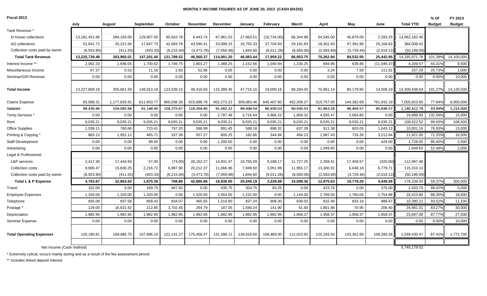#### *MONTHLY INCOME FIGURES AS OF JUNE 30, 2013 (CASH BASIS)*

**Fiscal 2013**

| Fiscal 2013                     |               |              |            |            |                 |                 |            |              |            |            |            |              |                  | % Of          | FY 2013       |
|---------------------------------|---------------|--------------|------------|------------|-----------------|-----------------|------------|--------------|------------|------------|------------|--------------|------------------|---------------|---------------|
|                                 | July          | August       | September  | October    | <b>November</b> | <b>December</b> | January    | February     | March      | April      | May        | June         | <b>Total YTD</b> | <b>Budget</b> | <b>Budget</b> |
| Tank Revenue *                  |               |              |            |            |                 |                 |            |              |            |            |            |              |                  |               |               |
| In house collections            | 13,181,451.66 | 284,155.00   | 129,957.00 | 85,910.78  | 6,443.74        | 87,961.53       | 27,963.51  | (10, 734.00) | 66,344.98  | 54,545.00  | 45,870.00  | 2,293.25     | 13,962,162.45    |               |               |
| AG collections                  | 52,841.72     | 20,221.56    | 17,647.73  | 42,093.78  | 43,590.41       | 33,099.15       | 16,755.33  | 37,704.50    | 29,191.83  | 18,301.63  | 47,391.96  | 25,168.82    | 384,008.42       |               |               |
| Collection costs paid by owner  | (8,553.90)    | (411.55)     | (403.33)   | (6,215.04) | (3,473.78)      | (7,059.48)      | 1,844.60   | (9,011.28)   | (8,583.06) | (2,583.69) | (3,729.46) | (2,019.12)   | (50, 199.09)     |               |               |
| <b>Total Tank Revenue</b>       | 13,225,739.48 | 303,965.01   | 147,201.40 | 121,789.52 | 46,560.37       | 114,001.20      | 46,563.44  | 17,959.22    | 86,953.75  | 70,262.94  | 89,532.50  | 25,442.95    | 14,295,971.78    | 101.39%       | 14,100,000    |
| Interest Income **              | 2,062.33      | 1,696.05     | 1,700.62   | 1,746.75   | 1,803.27        | 1,388.25        | 1,152.66   | 1,040.94     | 1,330.25   | 694.96     | 639.86     | (11, 046.37) | 4,209.57         | 44.31%        | 9,500         |
| Miscellaneous Income            | 67.37         | 0.53         | 11.16      | 2.83       | 52.96           | 0.00            | 0.00       | 0.00         | 0.00       | 3.24       | 7.59       | 111.61       | 257.29           | 25.73%        | 1,000         |
| Seminar/GIN Revenue             | 0.00          | 0.00         | 0.00       | 0.00       | 0.00            | 0.00            | 0.00       | 0.00         | 0.00       | 0.00       | 0.00       | 0.00         | 0.00             | 0.00%         | 10,000        |
| <b>Total Income</b>             | 13,227,869.18 | 305,661.59   | 148,913.18 | 123,539.10 | 48,416.60       | 115,389.45      | 47,716.10  | 19,000.16    | 88,284.00  | 70,961.14  | 90,179.95  | 14,508.19    | 14,300,438.64    | 101.27%       | 14,120,500    |
| <b>Claims Expense</b>           | 65,588.31     | 1,177,826.81 | 611,653.77 | 900,038.30 | 815,688.78      | 602,273.22      | 309,083.46 | 645,407.80   | 452,208.27 | 519,757.05 | 144,382.69 | 761,915.19   | 7,005,823.65     | 77.84%        | 9,000,000     |
| <b>Salaries</b>                 | 99,430.46     | 104.092.68   | 91,148.40  | 104.275.67 | 118.354.85      | 91,462.22       | 99.608.54  | 86.939.03    | 80,936.53  | 81,863.26  | 96,464.57  | 85,836.57    | 1,140,412.78     | 93.94%        | 1,214,000     |
| Temp Services <sup>*</sup>      | 0.00          | 0.00         | 0.00       | 0.00       | 0.00            | 2,787.48        | 3,716.64   | 4,906.22     | 1,858.32   | 4,555.47   | 2,064.80   | 0.00         | 19,888.93        | 132.59%       | 15,000        |
| Rent                            | 9,035.21      | 9,035.21     | 9,035.21   | 9,035.21   | 9,035.21        | 9,035.21        | 9,035.21   | 9,035.21     | 9,035.21   | 9.035.21   | 9,035.21   | 9,035.21     | 108,422.52       | 99.93%        | 108,500       |
| Office Supplies                 | 1,559.11      | 760.66       | 723.41     | 797.20     | 586.99          | 891.45          | 589.18     | 898.32       | 637.28     | 911.38     | 603.05     | 1,043.13     | 10,001.16        | 76.93%        | 13,000        |
| Printing & Copying              | 883.13        | 1,952.12     | 465.71     | 337.36     | 557.27          | 800.25          | 182.66     | 344.94       | 464.23     | 1,987.43   | 733.26     | 3.212.64     | 11,921.00        | 72.25%        | 16,500        |
| <b>Staff Development</b>        | 0.00          | 0.00         | 99.00      | 0.00       | 0.00            | 1,200.00        | 0.00       | 0.00         | 0.00       | 0.00       | 0.00       | 429.00       | 1,728.00         | 86.40%        | 2,000         |
| Advertising                     | 0.00          | 0.00         | 0.00       | 0.00       | 0.00            | 0.00            | 0.00       | 0.00         | 0.00       | 1,049.65   | 0.00       | 0.00         | 1,049.65         | 52.48%        | 2,000         |
| Legal & Professional            |               |              |            |            |                 |                 |            |              |            |            |            |              |                  |               |               |
| <b>L&amp;P</b> services         | 3,417.30      | 17.444.93    | 57.00      | (74.00)    | 26,152.27       | 14.931.47       | 10.755.09  | 9,188.17     | 11.727.25  | 2,258.41   | 17.459.57  | (320.00)     | 112,997.46       |               |               |
| <b>Collection costs</b>         | 9,900.47      | 15,830.25    | 2,216.72   | 6,997.90   | 20,212.37       | 11,066.96       | 7,949.50   | 3,051.99     | 11,955.17  | 13,300.91  | 6,048.18   | 6,779.71     | 115,310.13       |               |               |
| Collection costs paid by owner  | (8,553.90)    | (411.55)     | (403.33)   | (6,215.04) | (3,473.78)      | (7,059.48)      | 1,844.60   | (9,011.28)   | (8,583.06) | (2,583.69) | (3,729.46) | (2,019.12)   | (50, 199.09)     |               |               |
| Total L & P Expense             | 4,763.87      | 32,863.63    | 1,870.39   | 708.86     | 42,890.86       | 18,938.95       | 20,549.19  | 3,228.88     | 15,099.36  | 12,975.63  | 19,778.29  | 4,440.59     | 178,108.50       | 59.37%        | 300,000       |
| Travel                          | 152.00        | 9.00         | 169.75     | 467.50     | 0.00            | 435.75          | 304.75     | 83.25        | 0.00       | 423.75     | 0.00       | 375.00       | 2,420.75         | 48.42%        | 5,000         |
| <b>Employee Expenses</b>        | 1,320.00      | 1,320.00     | 1,320.00   | 0.00       | 1,320.00        | 2,464.00        | 1,232.00   | 0.00         | 1,144.00   | 2,789.00   | 1,760.00   | 1,754.88     | 16,423.88        | 88.30%        | 18,600        |
| Telephone                       | 935.08        | 837.58       | 858.43     | 834.07     | 465.55          | 1,210.80        | 837.24     | 908.30       | 839.02     | 832.49     | 833.18     | 988.47       | 10,380.21        | 93.52%        | 11,100        |
| Postage *                       | 129.00        | 16,631.92    | 212.85     | 3,702.45   | 264.79          | 187.05          | 1,580.24   | 141.90       | 51.60      | 1,801.86   | 70.95      | 206.40       | 24,981.01        | 83.27%        | 30,000        |
| Depreciation                    | 1,982.95      | 1,982.95     | 1,982.95   | 1,982.95   | 1,982.95        | 1,982.95        | 1,982.95   | 1,982.95     | 1,958.37   | 1,958.37   | 1,958.37   | 1,958.37     | 23,697.08        | 87.77%        | 27,000        |
| <b>Seminar Expense</b>          | 0.00          | 0.00         | 0.00       | 0.00       | 0.00            | 0.00            | 0.00       | 0.00         | 0.00       | 0.00       | 0.00       | 0.00         | 0.00             | 0.00%         | 10,000        |
| <b>Total Operating Expenses</b> | 120,190.81    | 169,485.75   | 107,886.10 | 122,141.27 | 175,458.47      | 131,396.11      | 139,618.60 | 108,469.00   | 112,023.92 | 120,183.50 | 133,301.68 | 109,280.26   | 1,549,435.47     | 87.41%        | 1,772,700     |
| Net Income (Cash method)        |               |              |            |            |                 |                 |            |              |            |            |            |              | 5.745.179.52     |               |               |
|                                 |               |              |            |            |                 |                 |            |              |            |            |            |              |                  |               |               |

\* Extremely cylical; occurs mainly during and as a result of the fee assessment period.

\*\* Includes linked deposit interest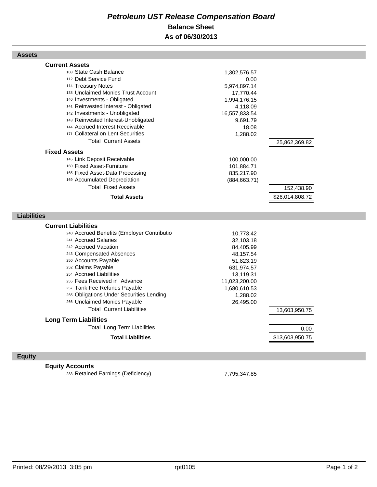## *Petroleum UST Release Compensation Board*  **Balance Sheet As of 06/30/2013**

| <b>Current Assets</b><br>108 State Cash Balance<br>1,302,576.57<br>112 Debt Service Fund<br>0.00<br>114 Treasury Notes<br>5,974,897.14<br>138 Unclaimed Monies Trust Account<br>17,770.44<br>140 Investments - Obligated<br>1,994,176.15<br>141 Reinvested Interest - Obligated<br>4,118.09<br>142 Investments - Unobligated<br>16,557,833.54<br>143 Reinvested Interest-Unobligated<br>9,691.79<br>144 Accrued Interest Receivable<br>18.08<br>171 Collateral on Lent Securities<br>1,288.02<br><b>Total Current Assets</b><br>25,862,369.82<br><b>Fixed Assets</b><br>145 Link Deposit Receivable<br>100,000.00<br>160 Fixed Asset-Furniture<br>101,884.71<br>165 Fixed Asset-Data Processing<br>835,217.90<br>169 Accumulated Depreciation<br>(884, 663.71)<br><b>Total Fixed Assets</b><br>152,438.90<br><b>Total Assets</b><br>\$26,014,808.72<br><b>Liabilities</b><br><b>Current Liabilities</b><br>240 Accrued Benefits (Employer Contributio<br>10,773.42<br>241 Accrued Salaries<br>32,103.18 |
|---------------------------------------------------------------------------------------------------------------------------------------------------------------------------------------------------------------------------------------------------------------------------------------------------------------------------------------------------------------------------------------------------------------------------------------------------------------------------------------------------------------------------------------------------------------------------------------------------------------------------------------------------------------------------------------------------------------------------------------------------------------------------------------------------------------------------------------------------------------------------------------------------------------------------------------------------------------------------------------------------------|
|                                                                                                                                                                                                                                                                                                                                                                                                                                                                                                                                                                                                                                                                                                                                                                                                                                                                                                                                                                                                         |
|                                                                                                                                                                                                                                                                                                                                                                                                                                                                                                                                                                                                                                                                                                                                                                                                                                                                                                                                                                                                         |
|                                                                                                                                                                                                                                                                                                                                                                                                                                                                                                                                                                                                                                                                                                                                                                                                                                                                                                                                                                                                         |
|                                                                                                                                                                                                                                                                                                                                                                                                                                                                                                                                                                                                                                                                                                                                                                                                                                                                                                                                                                                                         |
|                                                                                                                                                                                                                                                                                                                                                                                                                                                                                                                                                                                                                                                                                                                                                                                                                                                                                                                                                                                                         |
|                                                                                                                                                                                                                                                                                                                                                                                                                                                                                                                                                                                                                                                                                                                                                                                                                                                                                                                                                                                                         |
|                                                                                                                                                                                                                                                                                                                                                                                                                                                                                                                                                                                                                                                                                                                                                                                                                                                                                                                                                                                                         |
|                                                                                                                                                                                                                                                                                                                                                                                                                                                                                                                                                                                                                                                                                                                                                                                                                                                                                                                                                                                                         |
|                                                                                                                                                                                                                                                                                                                                                                                                                                                                                                                                                                                                                                                                                                                                                                                                                                                                                                                                                                                                         |
|                                                                                                                                                                                                                                                                                                                                                                                                                                                                                                                                                                                                                                                                                                                                                                                                                                                                                                                                                                                                         |
|                                                                                                                                                                                                                                                                                                                                                                                                                                                                                                                                                                                                                                                                                                                                                                                                                                                                                                                                                                                                         |
|                                                                                                                                                                                                                                                                                                                                                                                                                                                                                                                                                                                                                                                                                                                                                                                                                                                                                                                                                                                                         |
|                                                                                                                                                                                                                                                                                                                                                                                                                                                                                                                                                                                                                                                                                                                                                                                                                                                                                                                                                                                                         |
|                                                                                                                                                                                                                                                                                                                                                                                                                                                                                                                                                                                                                                                                                                                                                                                                                                                                                                                                                                                                         |
|                                                                                                                                                                                                                                                                                                                                                                                                                                                                                                                                                                                                                                                                                                                                                                                                                                                                                                                                                                                                         |
|                                                                                                                                                                                                                                                                                                                                                                                                                                                                                                                                                                                                                                                                                                                                                                                                                                                                                                                                                                                                         |
|                                                                                                                                                                                                                                                                                                                                                                                                                                                                                                                                                                                                                                                                                                                                                                                                                                                                                                                                                                                                         |
|                                                                                                                                                                                                                                                                                                                                                                                                                                                                                                                                                                                                                                                                                                                                                                                                                                                                                                                                                                                                         |
|                                                                                                                                                                                                                                                                                                                                                                                                                                                                                                                                                                                                                                                                                                                                                                                                                                                                                                                                                                                                         |
|                                                                                                                                                                                                                                                                                                                                                                                                                                                                                                                                                                                                                                                                                                                                                                                                                                                                                                                                                                                                         |
|                                                                                                                                                                                                                                                                                                                                                                                                                                                                                                                                                                                                                                                                                                                                                                                                                                                                                                                                                                                                         |
|                                                                                                                                                                                                                                                                                                                                                                                                                                                                                                                                                                                                                                                                                                                                                                                                                                                                                                                                                                                                         |
|                                                                                                                                                                                                                                                                                                                                                                                                                                                                                                                                                                                                                                                                                                                                                                                                                                                                                                                                                                                                         |
|                                                                                                                                                                                                                                                                                                                                                                                                                                                                                                                                                                                                                                                                                                                                                                                                                                                                                                                                                                                                         |
|                                                                                                                                                                                                                                                                                                                                                                                                                                                                                                                                                                                                                                                                                                                                                                                                                                                                                                                                                                                                         |
| 242 Accrued Vacation<br>84,405.99                                                                                                                                                                                                                                                                                                                                                                                                                                                                                                                                                                                                                                                                                                                                                                                                                                                                                                                                                                       |
| 243 Compensated Absences<br>48,157.54                                                                                                                                                                                                                                                                                                                                                                                                                                                                                                                                                                                                                                                                                                                                                                                                                                                                                                                                                                   |
| 250 Accounts Payable<br>51,823.19                                                                                                                                                                                                                                                                                                                                                                                                                                                                                                                                                                                                                                                                                                                                                                                                                                                                                                                                                                       |
| 252 Claims Payable<br>631,974.57                                                                                                                                                                                                                                                                                                                                                                                                                                                                                                                                                                                                                                                                                                                                                                                                                                                                                                                                                                        |
| 254 Accrued Liabilities<br>13,119.31                                                                                                                                                                                                                                                                                                                                                                                                                                                                                                                                                                                                                                                                                                                                                                                                                                                                                                                                                                    |
| 255 Fees Received in Advance<br>11,023,200.00                                                                                                                                                                                                                                                                                                                                                                                                                                                                                                                                                                                                                                                                                                                                                                                                                                                                                                                                                           |
| 257 Tank Fee Refunds Payable<br>1,680,610.53                                                                                                                                                                                                                                                                                                                                                                                                                                                                                                                                                                                                                                                                                                                                                                                                                                                                                                                                                            |
| 265 Obligations Under Securities Lending<br>1,288.02                                                                                                                                                                                                                                                                                                                                                                                                                                                                                                                                                                                                                                                                                                                                                                                                                                                                                                                                                    |
| 266 Unclaimed Monies Payable<br>26,495.00                                                                                                                                                                                                                                                                                                                                                                                                                                                                                                                                                                                                                                                                                                                                                                                                                                                                                                                                                               |
| <b>Total Current Liabilities</b><br>13,603,950.75                                                                                                                                                                                                                                                                                                                                                                                                                                                                                                                                                                                                                                                                                                                                                                                                                                                                                                                                                       |
| <b>Long Term Liabilities</b>                                                                                                                                                                                                                                                                                                                                                                                                                                                                                                                                                                                                                                                                                                                                                                                                                                                                                                                                                                            |
| <b>Total Long Term Liabilities</b><br>0.00                                                                                                                                                                                                                                                                                                                                                                                                                                                                                                                                                                                                                                                                                                                                                                                                                                                                                                                                                              |
|                                                                                                                                                                                                                                                                                                                                                                                                                                                                                                                                                                                                                                                                                                                                                                                                                                                                                                                                                                                                         |

## **Equity**

**Equity Accounts**

<sup>283</sup> Retained Earnings (Deficiency) 7,795,347.85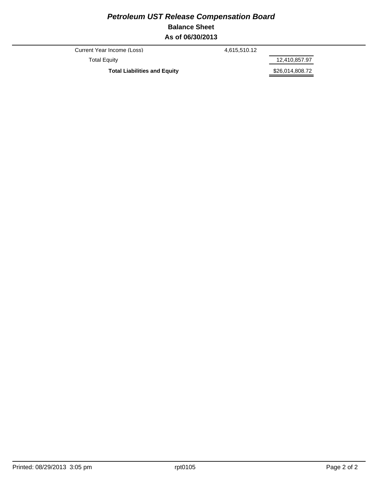## *Petroleum UST Release Compensation Board*  **Balance Sheet As of 06/30/2013**

Current Year Income (Loss) 4,615,510.12

Total Equity 12,410,857.97

Total Liabilities and Equity **1996 1997 \$26,014,808.72**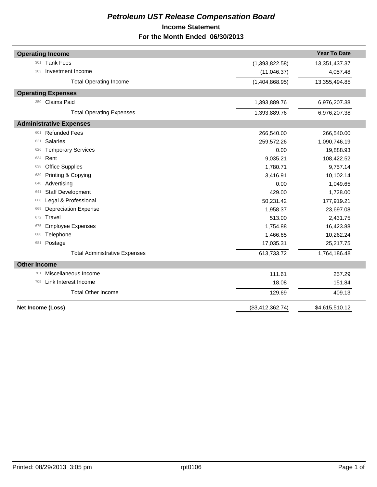## *Petroleum UST Release Compensation Board*  **Income Statement For the Month Ended 06/30/2013**

| <b>Operating Income</b>              |                  | <b>Year To Date</b> |
|--------------------------------------|------------------|---------------------|
| <b>Tank Fees</b><br>301              | (1,393,822.58)   | 13,351,437.37       |
| Investment Income<br>303             | (11,046.37)      | 4,057.48            |
| <b>Total Operating Income</b>        | (1,404,868.95)   | 13,355,494.85       |
| <b>Operating Expenses</b>            |                  |                     |
| <b>Claims Paid</b><br>350            | 1,393,889.76     | 6,976,207.38        |
| <b>Total Operating Expenses</b>      | 1,393,889.76     | 6,976,207.38        |
| <b>Administrative Expenses</b>       |                  |                     |
| <b>Refunded Fees</b><br>601          | 266,540.00       | 266,540.00          |
| <b>Salaries</b><br>621               | 259,572.26       | 1,090,746.19        |
| <b>Temporary Services</b><br>626     | 0.00             | 19,888.93           |
| Rent<br>634                          | 9,035.21         | 108,422.52          |
| <b>Office Supplies</b><br>638        | 1,780.71         | 9,757.14            |
| Printing & Copying<br>639            | 3,416.91         | 10,102.14           |
| Advertising<br>640                   | 0.00             | 1,049.65            |
| <b>Staff Development</b><br>641      | 429.00           | 1,728.00            |
| Legal & Professional<br>668          | 50,231.42        | 177,919.21          |
| <b>Depreciation Expense</b><br>669   | 1,958.37         | 23,697.08           |
| Travel<br>672                        | 513.00           | 2,431.75            |
| <b>Employee Expenses</b><br>675      | 1,754.88         | 16,423.88           |
| Telephone<br>680                     | 1,466.65         | 10,262.24           |
| Postage<br>681                       | 17,035.31        | 25,217.75           |
| <b>Total Administrative Expenses</b> | 613,733.72       | 1,764,186.48        |
| <b>Other Income</b>                  |                  |                     |
| Miscellaneous Income<br>701          | 111.61           | 257.29              |
| Link Interest Income<br>705          | 18.08            | 151.84              |
| <b>Total Other Income</b>            | 129.69           | 409.13              |
| Net Income (Loss)                    | (\$3,412,362.74) | \$4,615,510.12      |
|                                      |                  |                     |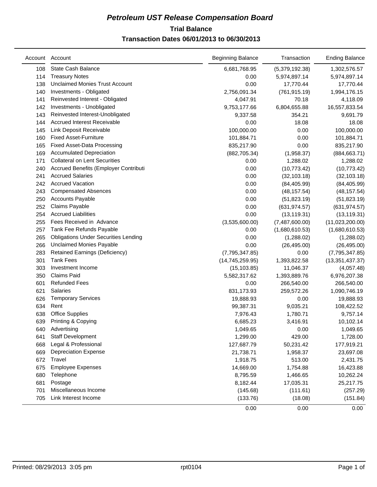## **Trial Balance** *Petroleum UST Release Compensation Board*  **Transaction Dates 06/01/2013 to 06/30/2013**

|     | Account Account                             | <b>Beginning Balance</b> | Transaction    | <b>Ending Balance</b> |
|-----|---------------------------------------------|--------------------------|----------------|-----------------------|
| 108 | State Cash Balance                          | 6,681,768.95             | (5,379,192.38) | 1,302,576.57          |
| 114 | <b>Treasury Notes</b>                       | 0.00                     | 5,974,897.14   | 5,974,897.14          |
| 138 | <b>Unclaimed Monies Trust Account</b>       | 0.00                     | 17,770.44      | 17,770.44             |
| 140 | Investments - Obligated                     | 2,756,091.34             | (761, 915.19)  | 1,994,176.15          |
| 141 | Reinvested Interest - Obligated             | 4,047.91                 | 70.18          | 4,118.09              |
| 142 | Investments - Unobligated                   | 9,753,177.66             | 6,804,655.88   | 16,557,833.54         |
| 143 | Reinvested Interest-Unobligated             | 9,337.58                 | 354.21         | 9,691.79              |
| 144 | <b>Accrued Interest Receivable</b>          | 0.00                     | 18.08          | 18.08                 |
| 145 | Link Deposit Receivable                     | 100,000.00               | 0.00           | 100,000.00            |
| 160 | <b>Fixed Asset-Furniture</b>                | 101,884.71               | 0.00           | 101,884.71            |
| 165 | <b>Fixed Asset-Data Processing</b>          | 835,217.90               | 0.00           | 835,217.90            |
| 169 | <b>Accumulated Depreciation</b>             | (882, 705.34)            | (1,958.37)     | (884, 663.71)         |
| 171 | <b>Collateral on Lent Securities</b>        | 0.00                     | 1,288.02       | 1,288.02              |
| 240 | Accrued Benefits (Employer Contributi       | 0.00                     | (10, 773.42)   | (10, 773.42)          |
| 241 | <b>Accrued Salaries</b>                     | 0.00                     | (32, 103.18)   | (32, 103.18)          |
| 242 | <b>Accrued Vacation</b>                     | 0.00                     | (84, 405.99)   | (84, 405.99)          |
| 243 | <b>Compensated Absences</b>                 | 0.00                     | (48, 157.54)   | (48, 157.54)          |
| 250 | <b>Accounts Payable</b>                     | 0.00                     | (51, 823.19)   | (51,823.19)           |
| 252 | Claims Payable                              | 0.00                     | (631, 974.57)  | (631, 974.57)         |
| 254 | <b>Accrued Liabilities</b>                  | 0.00                     | (13, 119.31)   | (13, 119.31)          |
| 255 | Fees Received in Advance                    | (3,535,600.00)           | (7,487,600.00) | (11,023,200.00)       |
| 257 | Tank Fee Refunds Payable                    | 0.00                     | (1,680,610.53) | (1,680,610.53)        |
| 265 | <b>Obligations Under Securities Lending</b> | 0.00                     | (1,288.02)     | (1,288.02)            |
| 266 | Unclaimed Monies Payable                    | 0.00                     | (26, 495.00)   | (26, 495.00)          |
| 283 | Retained Earnings (Deficiency)              | (7,795,347.85)           | 0.00           | (7,795,347.85)        |
| 301 | <b>Tank Fees</b>                            | (14, 745, 259.95)        | 1,393,822.58   | (13, 351, 437.37)     |
| 303 | Investment Income                           | (15, 103.85)             | 11,046.37      | (4,057.48)            |
| 350 | <b>Claims Paid</b>                          | 5,582,317.62             | 1,393,889.76   | 6,976,207.38          |
| 601 | <b>Refunded Fees</b>                        | 0.00                     | 266,540.00     | 266,540.00            |
| 621 | <b>Salaries</b>                             | 831,173.93               | 259,572.26     | 1,090,746.19          |
| 626 | <b>Temporary Services</b>                   | 19,888.93                | 0.00           | 19,888.93             |
| 634 | Rent                                        | 99,387.31                | 9,035.21       | 108,422.52            |
| 638 | <b>Office Supplies</b>                      | 7,976.43                 | 1,780.71       | 9,757.14              |
| 639 | Printing & Copying                          | 6,685.23                 | 3,416.91       | 10,102.14             |
| 640 | Advertising                                 | 1,049.65                 | 0.00           | 1,049.65              |
| 641 | Staff Development                           | 1,299.00                 | 429.00         | 1,728.00              |
| 668 | Legal & Professional                        | 127,687.79               | 50,231.42      | 177,919.21            |
| 669 | <b>Depreciation Expense</b>                 | 21,738.71                | 1,958.37       | 23,697.08             |
| 672 | Travel                                      | 1,918.75                 | 513.00         | 2,431.75              |
| 675 | <b>Employee Expenses</b>                    | 14,669.00                | 1,754.88       | 16,423.88             |
| 680 | Telephone                                   | 8,795.59                 | 1,466.65       | 10,262.24             |
| 681 | Postage                                     | 8,182.44                 | 17,035.31      | 25,217.75             |
| 701 | Miscellaneous Income                        | (145.68)                 | (111.61)       | (257.29)              |
| 705 | Link Interest Income                        | (133.76)                 | (18.08)        | (151.84)              |
|     |                                             | 0.00                     | 0.00           | 0.00                  |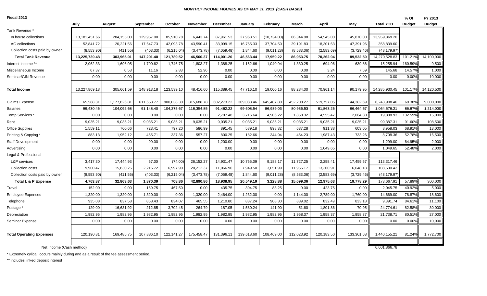#### *MONTHLY INCOME FIGURES AS OF MAY 31, 2013 (CASH BASIS)*

| Fiscal 2013 |  |
|-------------|--|
|-------------|--|

| Fiscal 2013                     |               |              |            |            |                 |            |            |             |            |            |            |                  | % Of          | FY 2013       |
|---------------------------------|---------------|--------------|------------|------------|-----------------|------------|------------|-------------|------------|------------|------------|------------------|---------------|---------------|
|                                 | July          | August       | September  | October    | <b>November</b> | December   | January    | February    | March      | April      | May        | <b>Total YTD</b> | <b>Budget</b> | <b>Budget</b> |
| Tank Revenue *                  |               |              |            |            |                 |            |            |             |            |            |            |                  |               |               |
| In house collections            | 13,181,451.66 | 284,155.00   | 129,957.00 | 85,910.78  | 6,443.74        | 87,961.53  | 27,963.51  | (10,734.00) | 66,344.98  | 54,545.00  | 45,870.00  | 13,959,869.20    |               |               |
| AG collections                  | 52,841.72     | 20,221.56    | 17,647.73  | 42,093.78  | 43,590.41       | 33,099.15  | 16,755.33  | 37,704.50   | 29,191.83  | 18,301.63  | 47,391.96  | 358,839.60       |               |               |
| Collection costs paid by owner  | (8,553.90)    | (411.55)     | (403.33)   | (6,215.04) | (3,473.78)      | (7,059.48) | 1,844.60   | (9,011.28)  | (8,583.06) | (2,583.69) | (3,729.46) | (48, 179.97)     |               |               |
| <b>Total Tank Revenue</b>       | 13,225,739.48 | 303,965.01   | 147,201.40 | 121,789.52 | 46,560.37       | 114,001.20 | 46,563.44  | 17,959.22   | 86,953.75  | 70,262.94  | 89,532.50  | 14,270,528.83    | 101.21%       | 14,100,000    |
| Interest Income **              | 2,062.33      | 1,696.05     | 1,700.62   | 1,746.75   | 1,803.27        | 1,388.25   | 1,152.66   | 1,040.94    | 1,330.25   | 694.96     | 639.86     | 15,255.94        | 160.59%       | 9,500         |
| Miscellaneous Income            | 67.37         | 0.53         | 11.16      | 2.83       | 52.96           | 0.00       | 0.00       | 0.00        | 0.00       | 3.24       | 7.59       | 145.68           | 14.57%        | 1,000         |
| Seminar/GIN Revenue             | 0.00          | 0.00         | 0.00       | 0.00       | 0.00            | 0.00       | 0.00       | 0.00        | 0.00       | 0.00       | 0.00       | 0.00             | 0.00%         | 10,000        |
|                                 |               |              |            |            |                 |            |            |             |            |            |            |                  |               |               |
| <b>Total Income</b>             | 13.227.869.18 | 305,661.59   | 148,913.18 | 123.539.10 | 48,416.60       | 115,389.45 | 47,716.10  | 19.000.16   | 88.284.00  | 70,961.14  | 90.179.95  | 14,285,930.45    | 101.17%       | 14,120,500    |
| <b>Claims Expense</b>           | 65.588.31     | 1,177,826.81 | 611,653.77 | 900,038.30 | 815,688.78      | 602,273.22 | 309,083.46 | 645,407.80  | 452,208.27 | 519,757.05 | 144,382.69 | 6,243,908.46     | 69.38%        | 9,000,000     |
| Salaries                        | 99,430.46     | 104,092.68   | 91,148.40  | 104,275.67 | 118,354.85      | 91,462.22  | 99,608.54  | 86,939.03   | 80,936.53  | 81,863.26  | 96,464.57  | 1,054,576.21     | 86.87%        | 1,214,000     |
| Temp Services *                 | 0.00          | 0.00         | 0.00       | 0.00       | 0.00            | 2,787.48   | 3,716.64   | 4,906.22    | 1,858.32   | 4,555.47   | 2,064.80   | 19,888.93        | 132.59%       | 15,000        |
| Rent                            | 9,035.21      | 9,035.21     | 9,035.21   | 9,035.21   | 9,035.21        | 9,035.21   | 9,035.21   | 9,035.21    | 9,035.21   | 9,035.21   | 9,035.21   | 99,387.31        | 91.60%        | 108,500       |
| <b>Office Supplies</b>          | 1,559.11      | 760.66       | 723.41     | 797.20     | 586.99          | 891.45     | 589.18     | 898.32      | 637.28     | 911.38     | 603.05     | 8,958.03         | 68.91%        | 13,000        |
| Printing & Copying *            | 883.13        | 1,952.12     | 465.71     | 337.36     | 557.27          | 800.25     | 182.66     | 344.94      | 464.23     | 1,987.43   | 733.26     | 8,708.36         | 52.78%        | 16,500        |
| <b>Staff Development</b>        | 0.00          | 0.00         | 99.00      | 0.00       | 0.00            | 1,200.00   | 0.00       | 0.00        | 0.00       | 0.00       | 0.00       | 1,299.00         | 64.95%        | 2,000         |
| Advertising                     | 0.00          | 0.00         | 0.00       | 0.00       | 0.00            | 0.00       | 0.00       | 0.00        | 0.00       | 1,049.65   | 0.00       | 1,049.65         | 52.48%        | 2,000         |
| Legal & Professional            |               |              |            |            |                 |            |            |             |            |            |            |                  |               |               |
| L&P services                    | 3,417.30      | 17,444.93    | 57.00      | (74.00)    | 26,152.27       | 14,931.47  | 10,755.09  | 9,188.17    | 11,727.25  | 2,258.41   | 17,459.57  | 113,317.46       |               |               |
| Collection costs                | 9,900.47      | 15,830.25    | 2,216.72   | 6,997.90   | 20,212.37       | 11,066.96  | 7,949.50   | 3,051.99    | 11,955.17  | 13,300.91  | 6,048.18   | 108,530.42       |               |               |
| Collection costs paid by owner  | (8,553.90)    | (411.55)     | (403.33)   | (6,215.04) | (3,473.78)      | (7,059.48) | 1,844.60   | (9,011.28)  | (8,583.06) | (2,583.69) | (3,729.46) | (48, 179.97)     |               |               |
| Total L & P Expense             | 4,763.87      | 32,863.63    | 1,870.39   | 708.86     | 42,890.86       | 18,938.95  | 20,549.19  | 3,228.88    | 15,099.36  | 12,975.63  | 19,778.29  | 173,667.91       | 57.89%        | 300,000       |
| Travel                          | 152.00        | 9.00         | 169.75     | 467.50     | 0.00            | 435.75     | 304.75     | 83.25       | 0.00       | 423.75     | 0.00       | 2,045.75         | 40.92%        | 5,000         |
| <b>Employee Expenses</b>        | 1,320.00      | 1,320.00     | 1,320.00   | 0.00       | 1,320.00        | 2,464.00   | 1,232.00   | 0.00        | 1,144.00   | 2,789.00   | 1,760.00   | 14,669.00        | 78.87%        | 18,600        |
| Telephone                       | 935.08        | 837.58       | 858.43     | 834.07     | 465.55          | 1,210.80   | 837.24     | 908.30      | 839.02     | 832.49     | 833.18     | 9,391.74         | 84.61%        | 11,100        |
| Postage *                       | 129.00        | 16,631.92    | 212.85     | 3,702.45   | 264.79          | 187.05     | 1,580.24   | 141.90      | 51.60      | 1,801.86   | 70.95      | 24,774.61        | 82.58%        | 30,000        |
| Depreciation                    | 1.982.95      | 1,982.95     | 1.982.95   | 1,982.95   | 1.982.95        | 1.982.95   | 1.982.95   | 1.982.95    | 1,958.37   | 1,958.37   | 1,958.37   | 21,738.71        | 80.51%        | 27,000        |
| Seminar Expense                 | 0.00          | 0.00         | 0.00       | 0.00       | 0.00            | 0.00       | 0.00       | 0.00        | 0.00       | 0.00       | 0.00       | 0.00             | 0.00%         | 10,000        |
|                                 |               |              |            |            |                 |            |            |             |            |            |            |                  |               |               |
| <b>Total Operating Expenses</b> | 120,190.81    | 169,485.75   | 107,886.10 | 122,141.27 | 175,458.47      | 131,396.11 | 139,618.60 | 108,469.00  | 112,023.92 | 120,183.50 | 133,301.68 | 1,440,155.21     | 81.24%        | 1,772,700     |
|                                 |               |              |            |            |                 |            |            |             |            |            |            |                  |               |               |
| Net Income (Cash method)        |               |              |            |            |                 |            |            |             |            |            |            | 6.601.866.78     |               |               |

\* Extremely cylical; occurs mainly during and as a result of the fee assessment period.

\*\* includes linked deposit interest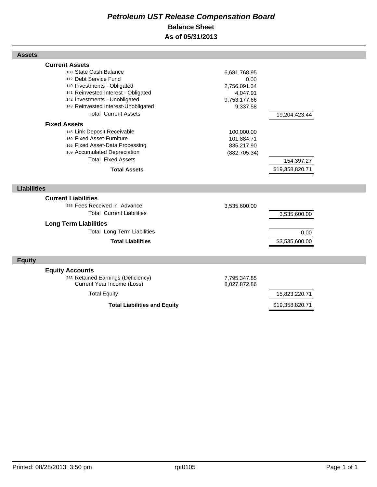## *Petroleum UST Release Compensation Board*  **Balance Sheet As of 05/31/2013**

| <b>Assets</b>                                                    |               |                 |  |
|------------------------------------------------------------------|---------------|-----------------|--|
| <b>Current Assets</b>                                            |               |                 |  |
| 108 State Cash Balance                                           | 6,681,768.95  |                 |  |
| 112 Debt Service Fund                                            | 0.00          |                 |  |
| 140 Investments - Obligated                                      | 2,756,091.34  |                 |  |
| 141 Reinvested Interest - Obligated                              | 4,047.91      |                 |  |
| 142 Investments - Unobligated                                    | 9,753,177.66  |                 |  |
| 143 Reinvested Interest-Unobligated                              | 9,337.58      |                 |  |
| <b>Total Current Assets</b>                                      |               | 19,204,423.44   |  |
| <b>Fixed Assets</b>                                              |               |                 |  |
| 145 Link Deposit Receivable                                      | 100,000.00    |                 |  |
| 160 Fixed Asset-Furniture                                        | 101,884.71    |                 |  |
| 165 Fixed Asset-Data Processing                                  | 835,217.90    |                 |  |
| 169 Accumulated Depreciation                                     | (882, 705.34) |                 |  |
| <b>Total Fixed Assets</b>                                        |               | 154,397.27      |  |
| <b>Total Assets</b>                                              |               | \$19,358,820.71 |  |
|                                                                  |               |                 |  |
| <b>Liabilities</b>                                               |               |                 |  |
| <b>Current Liabilities</b>                                       |               |                 |  |
| 255 Fees Received in Advance                                     | 3,535,600.00  |                 |  |
| <b>Total Current Liabilities</b>                                 |               | 3,535,600.00    |  |
| <b>Long Term Liabilities</b>                                     |               |                 |  |
| <b>Total Long Term Liabilities</b>                               |               | 0.00            |  |
| <b>Total Liabilities</b>                                         |               | \$3,535,600.00  |  |
|                                                                  |               |                 |  |
| <b>Equity</b>                                                    |               |                 |  |
|                                                                  |               |                 |  |
| <b>Equity Accounts</b>                                           |               |                 |  |
| 283 Retained Earnings (Deficiency)<br>Current Year Income (Loss) | 7,795,347.85  |                 |  |
|                                                                  | 8,027,872.86  |                 |  |
| <b>Total Equity</b>                                              |               | 15,823,220.71   |  |
| <b>Total Liabilities and Equity</b>                              |               | \$19,358,820.71 |  |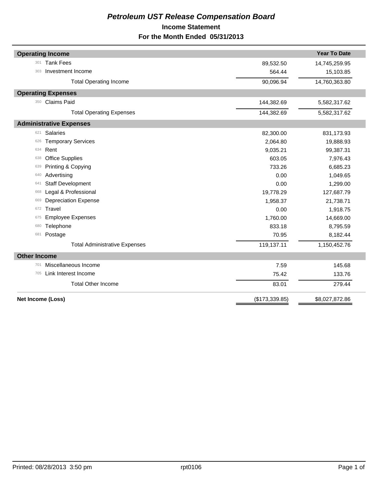## *Petroleum UST Release Compensation Board*  **Income Statement For the Month Ended 05/31/2013**

| <b>Operating Income</b>              |                | <b>Year To Date</b> |
|--------------------------------------|----------------|---------------------|
| <b>Tank Fees</b><br>301              | 89,532.50      | 14,745,259.95       |
| Investment Income<br>303             | 564.44         | 15,103.85           |
|                                      |                |                     |
| <b>Total Operating Income</b>        | 90,096.94      | 14,760,363.80       |
| <b>Operating Expenses</b>            |                |                     |
| <b>Claims Paid</b><br>350            | 144,382.69     | 5,582,317.62        |
| <b>Total Operating Expenses</b>      | 144,382.69     | 5,582,317.62        |
| <b>Administrative Expenses</b>       |                |                     |
| <b>Salaries</b><br>621               | 82,300.00      | 831,173.93          |
| <b>Temporary Services</b><br>626     | 2,064.80       | 19,888.93           |
| Rent<br>634                          | 9,035.21       | 99,387.31           |
| <b>Office Supplies</b><br>638        | 603.05         | 7,976.43            |
| Printing & Copying<br>639            | 733.26         | 6,685.23            |
| Advertising<br>640                   | 0.00           | 1,049.65            |
| <b>Staff Development</b><br>641      | 0.00           | 1,299.00            |
| Legal & Professional<br>668          | 19,778.29      | 127,687.79          |
| <b>Depreciation Expense</b><br>669   | 1,958.37       | 21,738.71           |
| Travel<br>672                        | 0.00           | 1,918.75            |
| <b>Employee Expenses</b><br>675      | 1,760.00       | 14,669.00           |
| Telephone<br>680                     | 833.18         | 8,795.59            |
| Postage<br>681                       | 70.95          | 8,182.44            |
| <b>Total Administrative Expenses</b> | 119,137.11     | 1,150,452.76        |
| <b>Other Income</b>                  |                |                     |
| Miscellaneous Income<br>701          | 7.59           | 145.68              |
| Link Interest Income<br>705          | 75.42          | 133.76              |
| <b>Total Other Income</b>            | 83.01          | 279.44              |
| Net Income (Loss)                    | (\$173,339.85) | \$8,027,872.86      |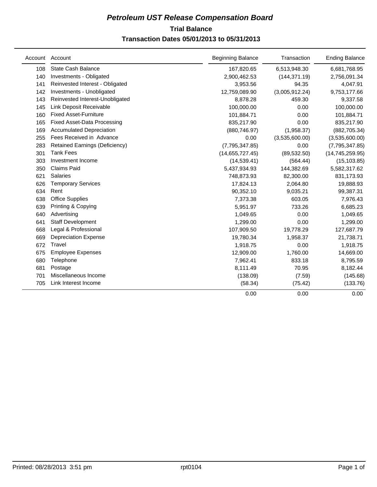## **Trial Balance** *Petroleum UST Release Compensation Board*  **Transaction Dates 05/01/2013 to 05/31/2013**

| Account | Account                            | <b>Beginning Balance</b> | Transaction    | <b>Ending Balance</b> |
|---------|------------------------------------|--------------------------|----------------|-----------------------|
| 108     | <b>State Cash Balance</b>          | 167,820.65               | 6,513,948.30   | 6,681,768.95          |
| 140     | Investments - Obligated            | 2,900,462.53             | (144, 371.19)  | 2,756,091.34          |
| 141     | Reinvested Interest - Obligated    | 3,953.56                 | 94.35          | 4,047.91              |
| 142     | Investments - Unobligated          | 12,759,089.90            | (3,005,912.24) | 9,753,177.66          |
| 143     | Reinvested Interest-Unobligated    | 8,878.28                 | 459.30         | 9,337.58              |
| 145     | Link Deposit Receivable            | 100,000.00               | 0.00           | 100,000.00            |
| 160     | <b>Fixed Asset-Furniture</b>       | 101,884.71               | 0.00           | 101,884.71            |
| 165     | <b>Fixed Asset-Data Processing</b> | 835,217.90               | 0.00           | 835,217.90            |
| 169     | <b>Accumulated Depreciation</b>    | (880, 746.97)            | (1,958.37)     | (882, 705.34)         |
| 255     | Fees Received in Advance           | 0.00                     | (3,535,600.00) | (3,535,600.00)        |
| 283     | Retained Earnings (Deficiency)     | (7,795,347.85)           | 0.00           | (7,795,347.85)        |
| 301     | <b>Tank Fees</b>                   | (14,655,727.45)          | (89, 532.50)   | (14, 745, 259.95)     |
| 303     | Investment Income                  | (14, 539.41)             | (564.44)       | (15, 103.85)          |
| 350     | <b>Claims Paid</b>                 | 5,437,934.93             | 144,382.69     | 5,582,317.62          |
| 621     | <b>Salaries</b>                    | 748,873.93               | 82,300.00      | 831,173.93            |
| 626     | <b>Temporary Services</b>          | 17,824.13                | 2,064.80       | 19,888.93             |
| 634     | Rent                               | 90,352.10                | 9,035.21       | 99,387.31             |
| 638     | <b>Office Supplies</b>             | 7,373.38                 | 603.05         | 7,976.43              |
| 639     | Printing & Copying                 | 5,951.97                 | 733.26         | 6,685.23              |
| 640     | Advertising                        | 1,049.65                 | 0.00           | 1,049.65              |
| 641     | <b>Staff Development</b>           | 1,299.00                 | 0.00           | 1,299.00              |
| 668     | Legal & Professional               | 107,909.50               | 19,778.29      | 127,687.79            |
| 669     | <b>Depreciation Expense</b>        | 19,780.34                | 1,958.37       | 21,738.71             |
| 672     | Travel                             | 1,918.75                 | 0.00           | 1,918.75              |
| 675     | <b>Employee Expenses</b>           | 12,909.00                | 1,760.00       | 14,669.00             |
| 680     | Telephone                          | 7,962.41                 | 833.18         | 8,795.59              |
| 681     | Postage                            | 8,111.49                 | 70.95          | 8,182.44              |
| 701     | Miscellaneous Income               | (138.09)                 | (7.59)         | (145.68)              |
| 705     | Link Interest Income               | (58.34)                  | (75.42)        | (133.76)              |
|         |                                    | 0.00                     | 0.00           | 0.00                  |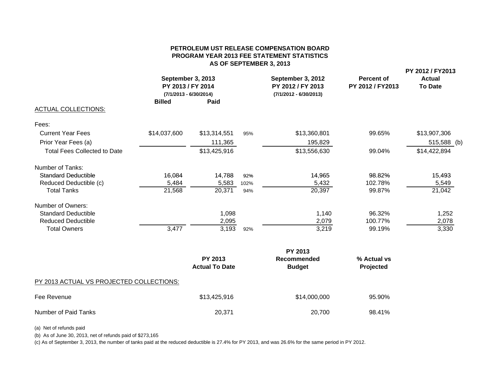#### **PETROLEUM UST RELEASE COMPENSATION BOARDPROGRAM YEAR 2013 FEE STATEMENT STATISTICS AS OF SEPTEMBER 3, 2013**

| September 3, 2013<br>PY 2013 / FY 2014<br>$(7/1/2013 - 6/30/2014)$<br><b>Billed</b><br>Paid |              |                | September 3, 2012<br>PY 2012 / FY 2013<br>$(7/1/2012 - 6/30/2013)$ | Percent of<br>PY 2012 / FY2013 | PY 2012 / FY2013<br><b>Actual</b><br><b>To Date</b> |  |
|---------------------------------------------------------------------------------------------|--------------|----------------|--------------------------------------------------------------------|--------------------------------|-----------------------------------------------------|--|
|                                                                                             |              |                |                                                                    |                                |                                                     |  |
|                                                                                             |              |                |                                                                    |                                |                                                     |  |
| \$14,037,600                                                                                | \$13,314,551 | 95%            | \$13,360,801                                                       | 99.65%                         | \$13,907,306                                        |  |
|                                                                                             | 111,365      |                | 195,829                                                            |                                | 515,588 (b)                                         |  |
|                                                                                             | \$13,425,916 |                | \$13,556,630                                                       | 99.04%                         | \$14,422,894                                        |  |
|                                                                                             |              |                |                                                                    |                                |                                                     |  |
| 16,084                                                                                      | 14,788       | 92%            | 14,965                                                             | 98.82%                         | 15,493                                              |  |
| 5,484                                                                                       | 5,583        | 102%           | 5,432                                                              | 102.78%                        | 5,549                                               |  |
| 21,568                                                                                      | 20,371       | 94%            | 20,397                                                             | 99.87%                         | 21,042                                              |  |
|                                                                                             |              |                |                                                                    |                                |                                                     |  |
|                                                                                             |              |                |                                                                    |                                | 1,252                                               |  |
|                                                                                             | 2,095        |                | 2,079                                                              | 100.77%                        | 2,078                                               |  |
|                                                                                             |              | 92%            | 3,219                                                              | 99.19%                         | 3,330                                               |  |
|                                                                                             | 3,477        | 1,098<br>3,193 |                                                                    | 1,140                          | 96.32%                                              |  |

|                                          | <b>PY 2013</b>                          |                              |                          |  |
|------------------------------------------|-----------------------------------------|------------------------------|--------------------------|--|
|                                          | <b>PY 2013</b><br><b>Actual To Date</b> | Recommended<br><b>Budget</b> | % Actual vs<br>Projected |  |
| PY 2013 ACTUAL VS PROJECTED COLLECTIONS: |                                         |                              |                          |  |
| Fee Revenue                              | \$13,425,916                            | \$14,000,000                 | 95.90%                   |  |
| Number of Paid Tanks                     | 20,371                                  | 20,700                       | 98.41%                   |  |

(a) Net of refunds paid

(b) As of June 30, 2013, net of refunds paid of \$273,165

(c) As of September 3, 2013, the number of tanks paid at the reduced deductible is 27.4% for PY 2013, and was 26.6% for the same period in PY 2012.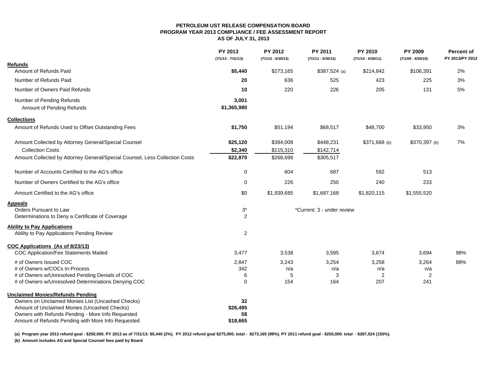#### **PETROLEUM UST RELEASE COMPENSATION BOARDPROGRAM YEAR 2013 COMPLIANCE / FEE ASSESSMENT REPORT**

**AS OF JULY 31, 2013**

|                                                                                                   | PY 2013<br>$(7/1/13 - 7/31/13)$ | <b>PY 2012</b><br>$(7/1/12 - 6/30/13)$ | PY 2011<br>$(7/1/11 - 6/30/12)$ | PY 2010<br>$(7/1/10 - 6/30/11)$ | <b>PY 2009</b><br>$(7/1/09 - 6/30/10)$ | <b>Percent of</b><br>PY 2013/PY 2012 |
|---------------------------------------------------------------------------------------------------|---------------------------------|----------------------------------------|---------------------------------|---------------------------------|----------------------------------------|--------------------------------------|
| <b>Refunds</b>                                                                                    |                                 |                                        |                                 |                                 |                                        |                                      |
| Amount of Refunds Paid                                                                            | \$5,440                         | \$273,165                              | $$387,524$ (a)                  | \$214,842                       | \$106,391                              | 2%                                   |
| Number of Refunds Paid                                                                            | 20                              | 636                                    | 525                             | 423                             | 225                                    | 3%                                   |
| Number of Owners Paid Refunds                                                                     | 10                              | 220                                    | 226                             | 205                             | 131                                    | 5%                                   |
| Number of Pending Refunds                                                                         | 3,001                           |                                        |                                 |                                 |                                        |                                      |
| Amount of Pending Refunds                                                                         | \$1,365,980                     |                                        |                                 |                                 |                                        |                                      |
| <b>Collections</b>                                                                                |                                 |                                        |                                 |                                 |                                        |                                      |
| Amount of Refunds Used to Offset Outstanding Fees                                                 | \$1,750                         | \$51,194                               | \$68,517                        | \$48,700                        | \$33,950                               | $3%$                                 |
| Amount Collected by Attorney General/Special Counsel                                              | \$25,120                        | \$384,008                              | \$448,231                       | $$371,668$ (b)                  | \$370,397 (b)                          | 7%                                   |
| <b>Collection Costs</b>                                                                           | \$2,340                         | \$115,310                              | \$142,714                       |                                 |                                        |                                      |
| Amount Collected by Attorney General/Special Counsel, Less Collection Costs                       | \$22,870                        | \$268,698                              | \$305,517                       |                                 |                                        |                                      |
| Number of Accounts Certified to the AG's office                                                   | 0                               | 604                                    | 687                             | 592                             | 513                                    |                                      |
| Number of Owners Certified to the AG's office                                                     | 0                               | 226                                    | 250                             | 240                             | 233                                    |                                      |
| Amount Certified to the AG's office                                                               | \$0                             | \$1,939,685                            | \$1,687,168                     | \$1,820,115                     | \$1,555,520                            |                                      |
| <b>Appeals</b>                                                                                    |                                 |                                        |                                 |                                 |                                        |                                      |
| Orders Pursuant to Law                                                                            | $3^\star$                       |                                        | *Current: 3 - under review      |                                 |                                        |                                      |
| Determinations to Deny a Certificate of Coverage                                                  | 2                               |                                        |                                 |                                 |                                        |                                      |
| <b>Ability to Pay Applications</b>                                                                |                                 |                                        |                                 |                                 |                                        |                                      |
| Ability to Pay Applications Pending Review                                                        | 2                               |                                        |                                 |                                 |                                        |                                      |
| COC Applications (As of 8/23/13)                                                                  |                                 |                                        |                                 |                                 |                                        |                                      |
| COC Application/Fee Statements Mailed                                                             | 3,477                           | 3,538                                  | 3,595                           | 3,674                           | 3,694                                  | 98%                                  |
| # of Owners Issued COC                                                                            | 2,847                           | 3,243                                  | 3,254                           | 3,258                           | 3,264                                  | 88%                                  |
| # of Owners w/COCs In-Process                                                                     | 342                             | n/a                                    | n/a                             | n/a                             | n/a                                    |                                      |
| # of Owners w/Unresolved Pending Denials of COC                                                   | 6                               | 5                                      | 3                               | $\overline{2}$                  | $\overline{2}$                         |                                      |
| # of Owners w/Unresolved Determinations Denying COC                                               | 0                               | 154                                    | 164                             | 207                             | 241                                    |                                      |
| <b>Unclaimed Monies/Refunds Pending</b>                                                           |                                 |                                        |                                 |                                 |                                        |                                      |
| Owners on Unclaimed Monies List (Uncashed Checks)                                                 | 32                              |                                        |                                 |                                 |                                        |                                      |
| Amount of Unclaimed Monies (Uncashed Checks)<br>Owners with Refunds Pending - More Info Requested | \$26,495<br>58                  |                                        |                                 |                                 |                                        |                                      |
| Amount of Refunds Pending with More Info Requested                                                | \$18,665                        |                                        |                                 |                                 |                                        |                                      |
|                                                                                                   |                                 |                                        |                                 |                                 |                                        |                                      |

(a) Program year 2013 refund goal - \$250,000. PY 2013 as of 7/31/13: \$5,440 (2%). PY 2012 refund goal \$275,000. total - \$273,165 (99%). PY 2011 refund goal - \$250,000. total - \$387,524 (155%).

**(b) Amount includes AG and Special Counsel fees paid by Board**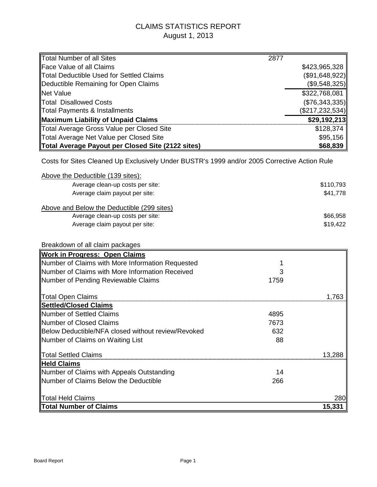## CLAIMS STATISTICS REPORT August 1, 2013

| Total Number of all Sites                                                                    | 2877 |                   |
|----------------------------------------------------------------------------------------------|------|-------------------|
| <b>Face Value of all Claims</b>                                                              |      | \$423,965,328     |
| <b>Total Deductible Used for Settled Claims</b>                                              |      | (\$91,648,922)    |
| Deductible Remaining for Open Claims                                                         |      | (\$9,548,325)     |
| <b>Net Value</b>                                                                             |      | \$322,768,081     |
| <b>Total Disallowed Costs</b>                                                                |      | (\$76,343,335)    |
| <b>Total Payments &amp; Installments</b>                                                     |      | (\$217, 232, 534) |
| <b>Maximum Liability of Unpaid Claims</b>                                                    |      | \$29,192,213      |
| <b>Total Average Gross Value per Closed Site</b>                                             |      | \$128,374         |
| Total Average Net Value per Closed Site                                                      |      | \$95,156          |
| Total Average Payout per Closed Site (2122 sites)                                            |      | \$68,839          |
| Costs for Sites Cleaned Up Exclusively Under BUSTR's 1999 and/or 2005 Corrective Action Rule |      |                   |
| Above the Deductible (139 sites):                                                            |      |                   |
| Average clean-up costs per site:                                                             |      | \$110,793         |
| Average claim payout per site:                                                               |      | \$41,778          |
| Above and Below the Deductible (299 sites)                                                   |      |                   |
| Average clean-up costs per site:                                                             |      | \$66,958          |
| Average claim payout per site:                                                               |      | \$19,422          |
|                                                                                              |      |                   |
| Breakdown of all claim packages                                                              |      |                   |
| <b>Work in Progress: Open Claims</b>                                                         |      |                   |
| Number of Claims with More Information Requested                                             |      |                   |
| Number of Claims with More Information Received                                              |      |                   |
| Number of Pending Reviewable Claims                                                          | 1759 |                   |
|                                                                                              |      |                   |
| <b>Total Open Claims</b>                                                                     |      | 1,763             |
| <b>Settled/Closed Claims</b>                                                                 |      |                   |
| <b>Number of Settled Claims</b>                                                              | 4895 |                   |
| Number of Closed Claims                                                                      | 7673 |                   |
| Below Deductible/NFA closed without review/Revoked                                           | 632  |                   |
| Number of Claims on Waiting List                                                             | 88   |                   |
| Total Settled Claims                                                                         |      | 13,288            |
| <b>Held Claims</b>                                                                           |      |                   |
| Number of Claims with Appeals Outstanding                                                    | 14   |                   |
| Number of Claims Below the Deductible                                                        | 266  |                   |
|                                                                                              |      |                   |
| Total Held Claims                                                                            |      | 280               |
| <b>Total Number of Claims</b>                                                                |      | 15,331            |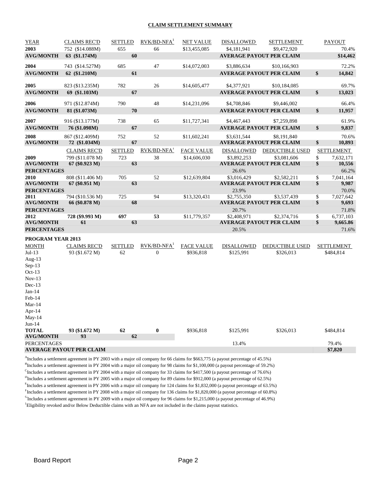#### **CLAIM SETTLEMENT SUMMARY**

| <b>YEAR</b>                            | <b>CLAIMS REC'D</b>             | <b>SETTLED</b> | $RVK/BD-NFA$ <sup>1</sup> | <b>NET VALUE</b>  | <b>DISALLOWED</b> | <b>SETTLEMENT</b>               |              | PAYOUT            |
|----------------------------------------|---------------------------------|----------------|---------------------------|-------------------|-------------------|---------------------------------|--------------|-------------------|
| 2003                                   | 752 (\$14.088M)                 | 655            | 66                        | \$13,455,085      | \$4,181,941       | \$9,472,920                     |              | 70.4%             |
| <b>AVG/MONTH</b>                       | 63 (\$1.174M)                   | 60             |                           |                   |                   | <b>AVERAGE PAYOUT PER CLAIM</b> |              | \$14,462          |
| 2004                                   | 743 (\$14.527M)                 | 685            | 47                        | \$14,072,003      | \$3,886,634       | \$10,166,903                    |              | 72.2%             |
| <b>AVG/MONTH</b>                       | 62 (\$1.210M)                   | 61             |                           |                   |                   | <b>AVERAGE PAYOUT PER CLAIM</b> | \$           | 14,842            |
|                                        |                                 |                |                           |                   |                   |                                 |              |                   |
| 2005                                   | 823 (\$13.235M)                 | 782            | 26                        | \$14,605,477      | \$4,377,921       | \$10,184,085                    |              | 69.7%             |
| <b>AVG/MONTH</b>                       | 69 (\$1.103M)                   | 67             |                           |                   |                   | <b>AVERAGE PAYOUT PER CLAIM</b> | $\mathbf{s}$ | 13,023            |
| 2006                                   | 971 (\$12.874M)                 | 790            | 48                        | \$14,231,096      | \$4,708,846       | \$9,446,002                     |              | 66.4%             |
| <b>AVG/MONTH</b>                       | 81 (\$1.073M)                   | 70             |                           |                   |                   | <b>AVERAGE PAYOUT PER CLAIM</b> | \$           | 11,957            |
|                                        |                                 |                |                           |                   |                   |                                 |              |                   |
| 2007                                   | 916 (\$13.177M)                 | 738            | 65                        | \$11,727,341      | \$4,467,443       | \$7,259,898                     |              | 61.9%             |
| <b>AVG/MONTH</b>                       | 76 (\$1.098M)                   | 67             |                           |                   |                   | <b>AVERAGE PAYOUT PER CLAIM</b> | \$           | 9,837             |
| 2008                                   | 867 (\$12.409M)                 | 752            | 52                        | \$11,602,241      | \$3,631,544       | \$8,191,840                     |              | 70.6%             |
| <b>AVG/MONTH</b>                       | 72 (\$1.034M)                   | 67             |                           |                   |                   | <b>AVERAGE PAYOUT PER CLAIM</b> | \$           | 10,893            |
|                                        | <b>CLAIMS REC'D</b>             | <b>SETTLED</b> | RVK/BD-NFA <sup>1</sup>   | <b>FACE VALUE</b> | <b>DISALLOWED</b> | DEDUCTIBLE USED                 |              | <b>SETTLEMENT</b> |
| 2009                                   | 799 (\$11.078 M)                | 723            | 38                        | \$14,606,030      | \$3,892,253       | \$3,081,606                     | \$           | 7,632,171         |
| <b>AVG/MONTH</b><br><b>PERCENTAGES</b> | 67 (\$0.923 M)                  | 63             |                           |                   | 26.6%             | <b>AVERAGE PAYOUT PER CLAIM</b> | \$           | 10,556<br>66.2%   |
| 2010                                   | 808 (\$11.406 M)                | 705            | 52                        | \$12,639,804      | \$3,016,429       | \$2,582,211                     | \$           | 7,041,164         |
| <b>AVG/MONTH</b>                       | 67 (\$0.951 M)                  | 63             |                           |                   |                   | <b>AVERAGE PAYOUT PER CLAIM</b> | \$           | 9,987             |
| <b>PERCENTAGES</b>                     |                                 |                |                           |                   | 23.9%             |                                 |              | 70.0%             |
| 2011                                   | 794 (\$10.536 M)                | 725            | 94                        | \$13,320,431      | \$2,755,350       | \$3,537,439                     | \$           | 7,027,642         |
| <b>AVG/MONTH</b>                       | 66 (\$0.878 M)                  | 68             |                           |                   |                   | <b>AVERAGE PAYOUT PER CLAIM</b> | \$           | 9,693             |
| <b>PERCENTAGES</b>                     |                                 |                |                           |                   | 20.7%             |                                 |              | 71.8%             |
| 2012                                   | 728 (\$9.993 M)                 | 697            | 53                        | \$11,779,357      | \$2,408,971       | \$2,374,716                     | \$           | 6,737,103         |
| <b>AVG/MONTH</b>                       | 61                              | 63             |                           |                   |                   | <b>AVERAGE PAYOUT PER CLAIM</b> | \$           | 9,665.86          |
| <b>PERCENTAGES</b>                     |                                 |                |                           |                   | 20.5%             |                                 |              | 71.6%             |
| PROGRAM YEAR 2013                      |                                 |                |                           |                   |                   |                                 |              |                   |
| <b>MONTH</b>                           | <b>CLAIMS REC'D</b>             | <b>SETTLED</b> | $RVK/BD-NFA1$             | <b>FACE VALUE</b> | <b>DISALLOWED</b> | DEDUCTIBLE USED                 |              | <b>SETTLEMENT</b> |
| $Jul-13$                               | 93 (\$1.672 M)                  | 62             | $\theta$                  | \$936,818         | \$125,991         | \$326,013                       |              | \$484,814         |
| Aug- $13$                              |                                 |                |                           |                   |                   |                                 |              |                   |
| $Sep-13$<br>$Oct-13$                   |                                 |                |                           |                   |                   |                                 |              |                   |
| $Nov-13$                               |                                 |                |                           |                   |                   |                                 |              |                   |
| $Dec-13$                               |                                 |                |                           |                   |                   |                                 |              |                   |
| $Jan-14$                               |                                 |                |                           |                   |                   |                                 |              |                   |
| Feb-14                                 |                                 |                |                           |                   |                   |                                 |              |                   |
| $Mar-14$                               |                                 |                |                           |                   |                   |                                 |              |                   |
| Apr- $14$                              |                                 |                |                           |                   |                   |                                 |              |                   |
| May-14                                 |                                 |                |                           |                   |                   |                                 |              |                   |
| $Jun-14$                               |                                 |                |                           |                   |                   |                                 |              |                   |
| <b>TOTAL</b>                           | 93 (\$1.672 M)                  | 62             | $\boldsymbol{0}$          | \$936,818         | \$125,991         | \$326,013                       |              | \$484,814         |
| <b>AVG/MONTH</b>                       | 93                              | 62             |                           |                   |                   |                                 |              |                   |
| <b>PERCENTAGES</b>                     | <b>AVERAGE PAYOUT PER CLAIM</b> |                |                           |                   | 13.4%             |                                 |              | 79.4%<br>\$7,820  |
|                                        |                                 |                |                           |                   |                   |                                 |              |                   |

<sup>A</sup>Includes a settlement agreement in PY 2003 with a major oil company for 66 claims for \$663,775 (a payout percentage of 45.5%) <sup>B</sup>Includes a settlement agreement in PY 2004 with a major oil company for 98 claims for \$1,100,000 (a payout percentage of 59.2%)

CIncludes a settlement agreement in PY 2004 with a major oil company for 33 claims for \$417,500 (a payout percentage of 76.6%)

<sup>D</sup>Includes a settlement agreement in PY 2005 with a major oil company for 89 claims for \$912,000 (a payout percentage of 62.5%)

<sup>E</sup>Includes a settlement agreement in PY 2006 with a major oil company for 124 claims for \$1,832,000 (a payout percentage of 63.5%)

Fincludes a settlement agreement in PY 2008 with a major oil company for 136 claims for \$1,820,000 (a payout percentage of 60.8%)

GIncludes a settlement agreement in PY 2009 with a major oil company for 96 claims for \$1,215,000 (a payout percentage of 46.9%)

<sup>1</sup>Eligibility revoked and/or Below Deductible claims with an NFA are not included in the claims payout statistics.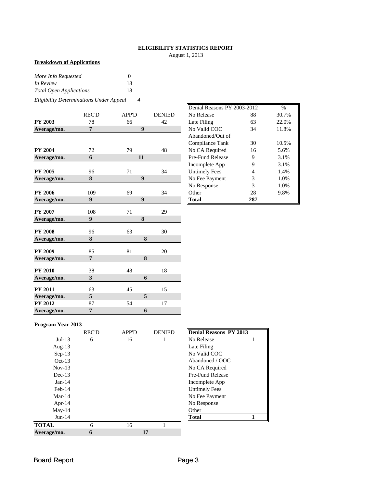## **ELIGIBILITY STATISTICS REPORT**

August 1, 2013

#### **Breakdown of Applications**

| More Info Requested            | $\theta$ |
|--------------------------------|----------|
| In Review                      | 18       |
| <b>Total Open Applications</b> | 18       |

*Eligibility Determinations Under Appeal 4*

|                | <b>REC'D</b>     | <b>APP'D</b>     | <b>DENIED</b>   | No Release           | 88             | 30.7% |
|----------------|------------------|------------------|-----------------|----------------------|----------------|-------|
| <b>PY 2003</b> | 78               | 66               | 42              | Late Filing          | 63             | 22.0% |
| Average/mo.    | $\overline{7}$   | $\boldsymbol{9}$ |                 | No Valid COC         | 34             | 11.8% |
|                |                  |                  |                 | Abandoned/Out of     |                |       |
|                |                  |                  |                 | Compliance Tank      | 30             | 10.5% |
| <b>PY 2004</b> | 72               | 79               | 48              | No CA Required       | 16             | 5.6%  |
| Average/mo.    | 6                | 11               |                 | Pre-Fund Release     | 9              | 3.1%  |
|                |                  |                  |                 | Incomplete App       | 9              | 3.1%  |
| <b>PY 2005</b> | 96               | 71               | 34              | <b>Untimely Fees</b> | $\overline{4}$ | 1.4%  |
| Average/mo.    | 8                | $\boldsymbol{9}$ |                 | No Fee Payment       | 3              | 1.0%  |
|                |                  |                  |                 | No Response          | 3              | 1.0%  |
| <b>PY 2006</b> | 109              | 69               | 34              | Other                | 28             | 9.8%  |
| Average/mo.    | 9                | $\boldsymbol{9}$ |                 | Total                | 287            |       |
|                |                  |                  |                 |                      |                |       |
| <b>PY 2007</b> | 108              | 71               | 29              |                      |                |       |
| Average/mo.    | $\boldsymbol{9}$ | 8                |                 |                      |                |       |
| <b>PY 2008</b> | 96               | 63               | 30              |                      |                |       |
| Average/mo.    | 8                | 8                |                 |                      |                |       |
| <b>PY 2009</b> | 85               | 81               | 20              |                      |                |       |
| Average/mo.    | $\overline{7}$   | 8                |                 |                      |                |       |
| <b>PY 2010</b> | 38               | 48               | 18              |                      |                |       |
| Average/mo.    | 3                | 6                |                 |                      |                |       |
| <b>PY 2011</b> | 63               | 45               | 15              |                      |                |       |
| Average/mo.    | $\sqrt{5}$       | 5                |                 |                      |                |       |
| <b>PY 2012</b> | 87               | 54               | $\overline{17}$ |                      |                |       |
| Average/mo.    | 7                | 6                |                 |                      |                |       |

|       |              |               | Denial Reasons PY 2003-2012 |     | $\frac{0}{0}$ |
|-------|--------------|---------------|-----------------------------|-----|---------------|
| REC'D | <b>APP'D</b> | <b>DENIED</b> | No Release                  | 88  | 30.7%         |
| 78    | 66           | 42            | Late Filing                 | 63  | 22.0%         |
| 7     | 9            |               | No Valid COC                | 34  | 11.8%         |
|       |              |               | Abandoned/Out of            |     |               |
|       |              |               | Compliance Tank             | 30  | 10.5%         |
| 72    | 79           | 48            | No CA Required              | 16  | 5.6%          |
| 6     | 11           |               | <b>Pre-Fund Release</b>     | 9   | 3.1%          |
|       |              |               | Incomplete App              | 9   | 3.1%          |
| 96    | 71           | 34            | <b>Untimely Fees</b>        | 4   | 1.4%          |
| 8     | 9            |               | No Fee Payment              | 3   | 1.0%          |
|       |              |               | No Response                 | 3   | 1.0%          |
| 109   | 69           | 34            | Other                       | 28  | 9.8%          |
| 9     | 9            |               | <b>Total</b>                | 287 |               |

#### **Program Year 2013**

|              | <b>REC'D</b> | <b>APP'D</b> | <b>DENIED</b> | <b>Denial Reasons PY 2013</b> |  |
|--------------|--------------|--------------|---------------|-------------------------------|--|
| $Jul-13$     | 6            | 16           | 1             | No Release                    |  |
| Aug- $13$    |              |              |               | Late Filing                   |  |
| $Sep-13$     |              |              |               | No Valid COC                  |  |
| $Oct-13$     |              |              |               | Abandoned / OOC               |  |
| $Nov-13$     |              |              |               | No CA Required                |  |
| $Dec-13$     |              |              |               | <b>Pre-Fund Release</b>       |  |
| $Jan-14$     |              |              |               | Incomplete App                |  |
| $Feb-14$     |              |              |               | <b>Untimely Fees</b>          |  |
| $Mar-14$     |              |              |               | No Fee Payment                |  |
| Apr- $14$    |              |              |               | No Response                   |  |
| $May-14$     |              |              |               | Other                         |  |
| $Jun-14$     |              |              |               | <b>Total</b>                  |  |
| <b>TOTAL</b> | 6            | 16           |               |                               |  |
| Average/mo.  | 6            | 17           |               |                               |  |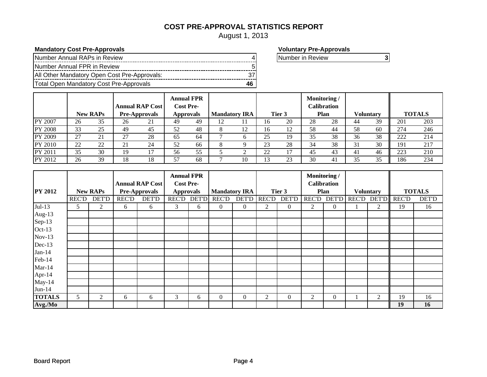## **COST PRE-APPROVAL STATISTICS REPORT**

August 1, 2013

## **Mandatory Cost Pre-Approvals Voluntary Pre-Approvals**

| Number Annual RAPs in Review                 |  |
|----------------------------------------------|--|
| Number Annual FPR in Review                  |  |
| All Other Mandatory Open Cost Pre-Approvals: |  |
| Total Open Mandatory Cost Pre-Approvals      |  |

Number in Review **3**

|                |    |                 |                    | <b>Annual RAP Cost</b> |    | <b>Annual FPR</b><br><b>Cost Pre-</b> |    |                      |     |                      | Monitoring/ | <b>Calibration</b> |    |                  |     |               |
|----------------|----|-----------------|--------------------|------------------------|----|---------------------------------------|----|----------------------|-----|----------------------|-------------|--------------------|----|------------------|-----|---------------|
|                |    | <b>New RAPs</b> |                    | <b>Pre-Approvals</b>   |    | <b>Approvals</b>                      |    | <b>Mandatory IRA</b> |     | Tier 3               |             | Plan               |    | <b>Voluntary</b> |     | <b>TOTALS</b> |
| PY 2007        | 26 | 35              | 26                 | 21                     | 49 | 49                                    | 12 | 11                   | I b | 20                   | 28          | 28                 | 44 | 39               | 201 | 203           |
| <b>PY 2008</b> | 33 | 25              | 49                 | 45                     | 52 | 48                                    |    | 12                   | 16  | 12<br>$\overline{1}$ | 58          | 44                 | 58 | 60               | 274 | 246           |
| PY 2009        | 27 | 21              | $\mathcal{L}$      | 28                     | 65 | 64                                    |    |                      | 25  | 19                   | 35          | 38                 | 36 | 38               | 222 | 214           |
| PY 2010        | 22 | 22              | $^{\circ}$ 1<br>∠⊥ | 24                     | 52 | 66                                    |    |                      | 23  | 28                   | 34          | 38                 | 31 | 30               | 191 | 217           |
| PY 2011        | 35 | 30              | 19                 |                        | 56 | 55                                    |    |                      | 22  | 1 <sub>7</sub>       | 45          | 43                 | 41 | 46               | 223 | 210           |
| PY 2012        | 26 | 39              | 18                 | 18                     | 57 | 68                                    |    | 10                   |     | 23                   | 30          | 4                  | 35 | 35               | 186 | 234           |

|                 |              |                 |              |                        | <b>Annual FPR</b> |   |                      |                |              |              | <b>Monitoring /</b> |                    |                  |              |               |
|-----------------|--------------|-----------------|--------------|------------------------|-------------------|---|----------------------|----------------|--------------|--------------|---------------------|--------------------|------------------|--------------|---------------|
|                 |              |                 |              | <b>Annual RAP Cost</b> | <b>Cost Pre-</b>  |   |                      |                |              |              |                     | <b>Calibration</b> |                  |              |               |
| <b>PY 2012</b>  |              | <b>New RAPs</b> |              | Pre-Approvals          | <b>Approvals</b>  |   | <b>Mandatory IRA</b> |                |              | Tier 3       |                     | Plan               | <b>Voluntary</b> |              | <b>TOTALS</b> |
|                 | <b>REC'D</b> | <b>DET'D</b>    | <b>REC'D</b> | <b>DET'D</b>           | REC'D DET'D       |   | <b>REC'D</b>         | <b>DET'D</b>   | <b>REC'D</b> | <b>DET'D</b> |                     | REC'D DET'D        | REC'D DET'D      | <b>REC'D</b> | <b>DET'D</b>  |
| $Jul-13$        | 5.           | 2               | 6            | 6                      | 3                 | 6 | $\overline{0}$       | $\overline{0}$ | 2            | $\theta$     | 2                   | $\theta$           | 2                | 19           | 16            |
| Aug-13          |              |                 |              |                        |                   |   |                      |                |              |              |                     |                    |                  |              |               |
| Sep-13          |              |                 |              |                        |                   |   |                      |                |              |              |                     |                    |                  |              |               |
| Oct-13          |              |                 |              |                        |                   |   |                      |                |              |              |                     |                    |                  |              |               |
| $Nov-13$        |              |                 |              |                        |                   |   |                      |                |              |              |                     |                    |                  |              |               |
| Dec-13          |              |                 |              |                        |                   |   |                      |                |              |              |                     |                    |                  |              |               |
| $Jan-14$        |              |                 |              |                        |                   |   |                      |                |              |              |                     |                    |                  |              |               |
| Feb-14          |              |                 |              |                        |                   |   |                      |                |              |              |                     |                    |                  |              |               |
| $Mar-14$        |              |                 |              |                        |                   |   |                      |                |              |              |                     |                    |                  |              |               |
| Apr-14          |              |                 |              |                        |                   |   |                      |                |              |              |                     |                    |                  |              |               |
| $May-14$        |              |                 |              |                        |                   |   |                      |                |              |              |                     |                    |                  |              |               |
| $Jun-14$        |              |                 |              |                        |                   |   |                      |                |              |              |                     |                    |                  |              |               |
| <b>TOTALS</b>   | 5            | 2               | 6            | 6                      | 3                 | 6 | $\overline{0}$       | $\Omega$       | 2            | $\theta$     | 2                   | $\theta$           | $\mathfrak{D}$   | 19           | 16            |
| $\vert$ Avg./Mo |              |                 |              |                        |                   |   |                      |                |              |              |                     |                    |                  | 19           | 16            |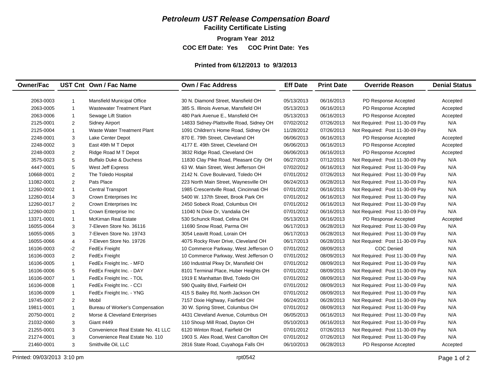## *Petroleum UST Release Compensation Board*

**Facility Certificate Listing**

**Program Year 2012**

**COC Eff Date: Yes COC Print Date: Yes** 

#### **Printed from 6/12/2013 to 9/3/2013**

| <b>Owner/Fac</b> |                | UST Cnt Own / Fac Name             | <b>Own / Fac Address</b>                 | <b>Eff Date</b> | <b>Print Date</b> | <b>Override Reason</b>          | <b>Denial Status</b> |
|------------------|----------------|------------------------------------|------------------------------------------|-----------------|-------------------|---------------------------------|----------------------|
|                  |                |                                    |                                          |                 |                   |                                 |                      |
| 2063-0003        | 1              | <b>Mansfield Municipal Office</b>  | 30 N. Diamond Street, Mansfield OH       | 05/13/2013      | 06/16/2013        | PD Response Accepted            | Accepted             |
| 2063-0005        | $\mathbf{1}$   | <b>Wastewater Treatment Plant</b>  | 385 S. Illinois Avenue, Mansfield OH     | 05/13/2013      | 06/16/2013        | PD Response Accepted            | Accepted             |
| 2063-0006        | $\mathbf{1}$   | Sewage Lift Station                | 480 Park Avenue E., Mansfield OH         | 05/13/2013      | 06/16/2013        | PD Response Accepted            | Accepted             |
| 2125-0001        | 2              | <b>Sidney Airport</b>              | 14833 Sidney-Plattsville Road, Sidney OH | 07/02/2012      | 07/26/2013        | Not Required: Post 11-30-09 Pay | N/A                  |
| 2125-0004        | $\mathbf{1}$   | <b>Waste Water Treatment Plant</b> | 1091 Children's Home Road, Sidney OH     | 11/28/2012      | 07/26/2013        | Not Required: Post 11-30-09 Pay | N/A                  |
| 2248-0001        | 3              | Lake Center Depot                  | 870 E. 79th Street, Cleveland OH         | 06/06/2013      | 06/16/2013        | PD Response Accepted            | Accepted             |
| 2248-0002        | 3              | East 49th M T Depot                | 4177 E. 49th Street, Cleveland OH        | 06/06/2013      | 06/16/2013        | PD Response Accepted            | Accepted             |
| 2248-0003        | $\overline{c}$ | Ridge Road M T Depot               | 3832 Ridge Road, Cleveland OH            | 06/06/2013      | 06/16/2013        | PD Response Accepted            | Accepted             |
| 3575-0023        | 5              | <b>Buffalo Duke &amp; Duchess</b>  | 11830 Clay Pike Road, Pleasant City OH   | 06/27/2013      | 07/12/2013        | Not Required: Post 11-30-09 Pay | N/A                  |
| 4447-0001        | 5              | West Jeff Express                  | 63 W. Main Street, West Jefferson OH     | 07/02/2012      | 06/16/2013        | Not Required: Post 11-30-09 Pay | N/A                  |
| 10668-0001       | $\overline{c}$ | The Toledo Hospital                | 2142 N. Cove Boulevard, Toledo OH        | 07/01/2012      | 07/26/2013        | Not Required: Post 11-30-09 Pay | N/A                  |
| 11082-0001       | $\overline{2}$ | Pats Place                         | 223 North Main Street, Waynesville OH    | 06/24/2013      | 06/28/2013        | Not Required: Post 11-30-09 Pay | N/A                  |
| 12260-0002       | $\mathbf{1}$   | <b>Central Transport</b>           | 1985 Crescentville Road, Cincinnati OH   | 07/01/2012      | 06/16/2013        | Not Required: Post 11-30-09 Pay | N/A                  |
| 12260-0014       | 3              | Crown Enterprises Inc              | 5400 W. 137th Street. Brook Park OH      | 07/01/2012      | 06/16/2013        | Not Required: Post 11-30-09 Pay | N/A                  |
| 12260-0017       | 2              | Crown Enterprises Inc              | 2450 Sobeck Road, Columbus OH            | 07/01/2012      | 06/16/2013        | Not Required: Post 11-30-09 Pay | N/A                  |
| 12260-0020       | $\mathbf{1}$   | Crown Enterprise Inc               | 11040 N Dixie Dr, Vandalia OH            | 07/01/2012      | 06/16/2013        | Not Required: Post 11-30-09 Pay | N/A                  |
| 13371-0001       | $\mathbf{1}$   | <b>McKirnan Real Estate</b>        | 530 Schunck Road, Celina OH              | 05/13/2013      | 06/16/2013        | PD Response Accepted            | Accepted             |
| 16055-0064       | 3              | 7-Eleven Store No. 36116           | 11690 Snow Road, Parma OH                | 06/17/2013      | 06/28/2013        | Not Required: Post 11-30-09 Pay | N/A                  |
| 16055-0065       | 3              | 7-Eleven Store No. 19743           | 3054 Leavitt Road, Lorain OH             | 06/17/2013      | 06/28/2013        | Not Required: Post 11-30-09 Pay | N/A                  |
| 16055-0066       | $\overline{4}$ | 7-Eleven Store No. 19726           | 4075 Rocky River Drive, Cleveland OH     | 06/17/2013      | 06/28/2013        | Not Required: Post 11-30-09 Pay | N/A                  |
| 16106-0003       | $-2$           | FedEx Freight                      | 10 Commerce Parkway, West Jefferson O    | 07/01/2012      | 08/09/2013        | <b>COC Denied</b>               | N/A                  |
| 16106-0003       | 2              | <b>FedEx Freight</b>               | 10 Commerce Parkway, West Jefferson O    | 07/01/2012      | 08/09/2013        | Not Required: Post 11-30-09 Pay | N/A                  |
| 16106-0005       | $\mathbf{1}$   | FedEx Freight Inc. - MFD           | 160 Industrial Pkwy Dr, Mansfield OH     | 07/01/2012      | 08/09/2013        | Not Required: Post 11-30-09 Pay | N/A                  |
| 16106-0006       | 5              | FedEx Freight Inc. - DAY           | 8101 Terminal Place, Huber Heights OH    | 07/01/2012      | 08/09/2013        | Not Required: Post 11-30-09 Pay | N/A                  |
| 16106-0007       | $\mathbf{1}$   | FedEx Freight Inc. - TOL           | 1919 E Manhattan Blvd, Toledo OH         | 07/01/2012      | 08/09/2013        | Not Required: Post 11-30-09 Pay | N/A                  |
| 16106-0008       | $\mathbf{1}$   | FedEx Freight Inc. - CCI           | 590 Quality Blvd, Fairfield OH           | 07/01/2012      | 08/09/2013        | Not Required: Post 11-30-09 Pay | N/A                  |
| 16106-0009       | $\mathbf{1}$   | FedEx Freight Inc. - YNG           | 415 S Bailey Rd, North Jackson OH        | 07/01/2012      | 08/09/2013        | Not Required: Post 11-30-09 Pay | N/A                  |
| 19745-0007       | 2              | Mobil                              | 7157 Dixie Highway, Fairfield OH         | 06/24/2013      | 06/28/2013        | Not Required: Post 11-30-09 Pay | N/A                  |
| 19811-0001       | 1              | Bureau of Worker's Compensation    | 30 W. Spring Street, Columbus OH         | 07/01/2012      | 08/09/2013        | Not Required: Post 11-30-09 Pay | N/A                  |
| 20750-0001       | $\overline{2}$ | Morse & Cleveland Enterprises      | 4431 Cleveland Avenue, Columbus OH       | 06/05/2013      | 06/16/2013        | Not Required: Post 11-30-09 Pay | N/A                  |
| 21032-0060       | 3              | <b>Giant #449</b>                  | 110 Shoup Mill Road, Dayton OH           | 05/10/2013      | 06/16/2013        | Not Required: Post 11-30-09 Pay | N/A                  |
| 21255-0001       | 3              | Convenience Real Estate No. 41 LLC | 6120 Winton Road, Fairfield OH           | 07/01/2012      | 07/26/2013        | Not Required: Post 11-30-09 Pay | N/A                  |
| 21274-0001       | 3              | Convenience Real Estate No. 110    | 1903 S. Alex Road, West Carrollton OH    | 07/01/2012      | 07/26/2013        | Not Required: Post 11-30-09 Pay | N/A                  |
| 21460-0001       | 3              | Smithville Oil, LLC                | 2816 State Road, Cuyahoga Falls OH       | 06/10/2013      | 06/28/2013        | PD Response Accepted            | Accepted             |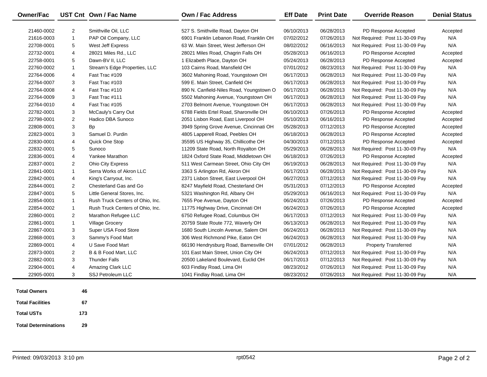| <b>Owner/Fac</b>            |                           | UST Cnt Own / Fac Name           | <b>Own / Fac Address</b>                 | <b>Eff Date</b> | <b>Print Date</b> | <b>Override Reason</b>          | <b>Denial Status</b> |
|-----------------------------|---------------------------|----------------------------------|------------------------------------------|-----------------|-------------------|---------------------------------|----------------------|
| 21460-0002                  | $\overline{2}$            | Smithville Oil, LLC              | 527 S. Smithville Road, Dayton OH        | 06/10/2013      | 06/28/2013        | PD Response Accepted            | Accepted             |
| 21616-0003                  | $\mathbf{1}$              | PAP Oil Company, LLC             | 6901 Franklin Lebanon Road, Franklin OH  | 07/02/2012      | 07/26/2013        | Not Required: Post 11-30-09 Pay | N/A                  |
| 22708-0001                  | $\mathbf 5$               | West Jeff Express                | 63 W. Main Street, West Jefferson OH     | 08/02/2012      | 06/16/2013        | Not Required: Post 11-30-09 Pay | N/A                  |
| 22732-0001                  | $\overline{4}$            | 28021 Miles Rd., LLC             | 28021 Miles Road, Chagrin Falls OH       | 05/28/2013      | 06/16/2013        | PD Response Accepted            | Accepted             |
| 22758-0001                  | $\mathbf 5$               | Dawn-BV II, LLC                  | 1 Elizabeth Place, Dayton OH             | 05/24/2013      | 06/28/2013        | PD Response Accepted            | Accepted             |
| 22760-0002                  | $\mathbf{1}$              | Stream's Edge Properties, LLC    | 103 Cairns Road, Mansfield OH            | 07/01/2012      | 08/23/2013        | Not Required: Post 11-30-09 Pay | N/A                  |
| 22764-0006                  | $\overline{4}$            | Fast Trac #109                   | 3602 Mahoning Road, Youngstown OH        | 06/17/2013      | 06/28/2013        | Not Required: Post 11-30-09 Pay | N/A                  |
| 22764-0007                  | 3                         | Fast Trac #103                   | 599 E. Main Street, Canfield OH          | 06/17/2013      | 06/28/2013        | Not Required: Post 11-30-09 Pay | N/A                  |
| 22764-0008                  | $\overline{4}$            | Fast Trac #110                   | 890 N. Canfield-Niles Road, Youngstown O | 06/17/2013      | 06/28/2013        | Not Required: Post 11-30-09 Pay | N/A                  |
| 22764-0009                  | 3                         | Fast Trac #111                   | 5502 Mahoning Avenue, Youngstown OH      | 06/17/2013      | 06/28/2013        | Not Required: Post 11-30-09 Pay | N/A                  |
| 22764-0010                  | $\overline{\mathbf{4}}$   | Fast Trac #105                   | 2703 Belmont Avenue, Youngstown OH       | 06/17/2013      | 06/28/2013        | Not Required: Post 11-30-09 Pay | N/A                  |
| 22782-0001                  | 3                         | McCauly's Carry Out              | 6788 Fields Ertel Road, Sharonville OH   | 06/10/2013      | 07/26/2013        | PD Response Accepted            | Accepted             |
| 22798-0001                  | $\overline{c}$            | Hadico DBA Sunoco                | 2051 Lisbon Road, East Liverpool OH      | 05/10/2013      | 06/16/2013        | PD Response Accepted            | Accepted             |
| 22808-0001                  | 3                         | Bp                               | 3949 Spring Grove Avenue, Cincinnati OH  | 05/28/2013      | 07/12/2013        | PD Response Accepted            | Accepted             |
| 22823-0001                  | 3                         | Samuel D. Purdin                 | 4805 Lapperell Road, Peebles OH          | 06/18/2013      | 06/28/2013        | PD Response Accepted            | Accepted             |
| 22830-0001                  | $\overline{4}$            | Quick One Stop                   | 35595 US Highway 35, Chillicothe OH      | 04/30/2013      | 07/12/2013        | PD Response Accepted            | Accepted             |
| 22832-0001                  | 5                         | Sunoco                           | 11209 State Road, North Royalton OH      | 05/29/2013      | 06/28/2013        | Not Required: Post 11-30-09 Pay | N/A                  |
| 22836-0001                  | $\overline{\mathbf{4}}$   | Yankee Marathon                  | 1824 Oxford State Road, Middletown OH    | 06/18/2013      | 07/26/2013        | PD Response Accepted            | Accepted             |
| 22837-0001                  | 2                         | <b>Ohio City Express</b>         | 511 West Carmean Street, Ohio City OH    | 06/19/2013      | 06/28/2013        | Not Required: Post 11-30-09 Pay | N/A                  |
| 22841-0001                  | $\mathbf{1}$              | Serra Works of Akron LLC         | 3363 S Arlington Rd, Akron OH            | 06/17/2013      | 06/28/2013        | Not Required: Post 11-30-09 Pay | N/A                  |
| 22842-0001                  | $\overline{4}$            | King's Carryout, Inc.            | 2371 Lisbon Street, East Liverpool OH    | 06/27/2013      | 07/12/2013        | Not Required: Post 11-30-09 Pay | N/A                  |
| 22844-0001                  | $\overline{c}$            | Chesterland Gas and Go           | 8247 Mayfield Road, Chesterland OH       | 05/31/2013      | 07/12/2013        | PD Response Accepted            | Accepted             |
| 22847-0001                  | $\mathbf 5$               | Little General Stores, Inc.      | 5321 Washington Rd, Albany OH            | 05/29/2013      | 06/16/2013        | Not Required: Post 11-30-09 Pay | N/A                  |
| 22854-0001                  | $\mathbf{1}$              | Rush Truck Centers of Ohio, Inc. | 7655 Poe Avenue, Dayton OH               | 06/24/2013      | 07/26/2013        | PD Response Accepted            | Accepted             |
| 22854-0002                  | $\mathbf{1}$              | Rush Truck Centers of Ohio, Inc. | 11775 Highway Drive, Cincinnati OH       | 06/24/2013      | 07/26/2013        | PD Response Accepted            | Accepted             |
| 22860-0001                  | $\overline{2}$            | Marathon Refugee LLC             | 6750 Refugee Road, Columbus OH           | 06/17/2013      | 07/12/2013        | Not Required: Post 11-30-09 Pay | N/A                  |
| 22861-0001                  | $\mathbf{1}$              | <b>Village Grocery</b>           | 20759 State Route 772, Waverly OH        | 06/13/2013      | 06/28/2013        | Not Required: Post 11-30-09 Pay | N/A                  |
| 22867-0001                  | 3                         | Super USA Food Store             | 1680 South Lincoln Avenue, Salem OH      | 06/24/2013      | 06/28/2013        | Not Required: Post 11-30-09 Pay | N/A                  |
| 22868-0001                  | 3                         | Sammy's Food Mart                | 306 West Richmond Pike, Eaton OH         | 06/24/2013      | 06/28/2013        | Not Required: Post 11-30-09 Pay | N/A                  |
| 22869-0001                  | 4                         | U Save Food Mart                 | 66190 Hendrysburg Road, Barnesville OH   | 07/01/2012      | 06/28/2013        | <b>Property Transferred</b>     | N/A                  |
| 22873-0001                  | $\overline{c}$            | B & B Food Mart, LLC             | 101 East Main Street, Union City OH      | 06/24/2013      | 07/12/2013        | Not Required: Post 11-30-09 Pay | N/A                  |
| 22882-0001                  | $\ensuremath{\mathsf{3}}$ | <b>Thunder Falls</b>             | 20500 Lakeland Boulevard, Euclid OH      | 06/17/2013      | 07/12/2013        | Not Required: Post 11-30-09 Pay | N/A                  |
| 22904-0001                  | $\overline{\mathbf{4}}$   | Amazing Clark LLC                | 603 Findlay Road, Lima OH                | 08/23/2012      | 07/26/2013        | Not Required: Post 11-30-09 Pay | N/A                  |
| 22905-0001                  | 3                         | SSJ Petroleum LLC                | 1041 Findlay Road, Lima OH               | 08/23/2012      | 07/26/2013        | Not Required: Post 11-30-09 Pay | N/A                  |
|                             |                           |                                  |                                          |                 |                   |                                 |                      |
| <b>Total Owners</b>         | 46                        |                                  |                                          |                 |                   |                                 |                      |
| <b>Total Facilities</b>     | 67                        |                                  |                                          |                 |                   |                                 |                      |
| <b>Total USTs</b>           | 173                       |                                  |                                          |                 |                   |                                 |                      |
| <b>Total Determinations</b> | 29                        |                                  |                                          |                 |                   |                                 |                      |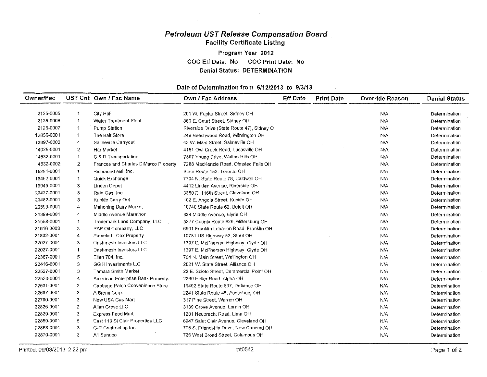## Petroleum UST Release Compensation Board Facility Certificate Listing Program Year 2012

COC Eft Date: No COC Print Date: No Denial Status: DETERMINATION

#### Date of Determination from 6/12/2013 to 9/3113

| Owner/Fac  |                | UST Cnt Own / Fac Name               | Own / Fac Address                          | <b>Eff Date</b> | <b>Print Date</b> | <b>Override Reason</b> | <b>Denial Status</b> |
|------------|----------------|--------------------------------------|--------------------------------------------|-----------------|-------------------|------------------------|----------------------|
|            |                |                                      |                                            |                 |                   |                        |                      |
| 2125-0005  | -1             | City Hall                            | 201 W. Poplar Street, Sidney OH            |                 |                   | N/A                    | Determination        |
| 2125-0006  | -1             | <b>Water Treatment Plant</b>         | 880 E. Court Street, Sidney OH             |                 |                   | N/A                    | Determination        |
| 2125-0007  | $\mathbf 1$    | Pump Station                         | Riverside Drive (State Route 47), Sidney O |                 |                   | N/A                    | Determination        |
| 12856-0001 | -1             | The Bait Store                       | 249 Beechwood Road, Wilmington OH          |                 |                   | N/A                    | Determination        |
| 13897-0002 | 4              | Salineville Carryout                 | 43 W. Main Street, Salineville OH          |                 |                   | N/A                    | Determination        |
| 14025-0001 | $\overline{z}$ | Har Market                           | 4151 Owl Creek Road, Lucasville OH         |                 |                   | N/A                    | Determination        |
| 14532-0001 | -1             | C & D Transportation                 | 7307 Young Drive, Walton Hills OH          |                 |                   | N/A                    | Determination        |
| 14532-0002 | 2              | Frances and Charles DiMarco Property | 7288 MacKenzie Road, Olmsted Falls OH      |                 |                   | N/A                    | Determination        |
| 15291-0001 | 1              | Richmond Mill, Inc.                  | State Route 152, Toronto OH                |                 |                   | N/A                    | Determination        |
| 18462-0001 | -1             | Quick Exchange                       | 7704 N. State Route 78, Caldwell OH        |                 |                   | N/A                    | Determination        |
| 19945-0001 | 3              | Linden Depot                         | 4412 Linden Avenue, Riverside OH           |                 |                   | N/A                    | Determination        |
| 20427-0001 | 3              | Rain Gas, Inc.                       | 3350 E. 116th Street, Cleveland OH         |                 |                   | N/A                    | Determination        |
| 20482-0001 | 3              | Kunkle Carry Out                     | 102 E. Angola Street, Kunkle OH            |                 |                   | <b>N/A</b>             | Determination        |
| 20599-0001 | 4              | Mahoning Dairy Market                | 18740 State Route 62, Beloit OH            |                 |                   | <b>N/A</b>             | Determination        |
| 21399-0001 | 4              | Middle Avenue Marathon               | 824 Middle Avenue, Elyria OH               |                 |                   | N/A                    | Determination        |
| 21558-0001 | -1             | Trademark Land Company, LLC          | 5377 County Route 626, Millersburg OH      |                 |                   | N/A                    | Determination        |
| 21616-0003 | 3              | PAP Oil Company, LLC                 | 6901 Franklin Lebanon Road, Franklin OH    |                 |                   | N/A                    | Determination        |
| 21832-0001 | 4              | Pamela L. Cox Property               | 10781 US Highway 52, Stout OH              |                 |                   | <b>N/A</b>             | Determination        |
| 22027-0001 | 3              | Dashmesh Investors LLC               | 1397 E. McPherson Highway, Clyde OH        |                 |                   | N/A                    | Determination        |
| 22027-0001 | -1             | Dashmesh Investors LLC               | 1397 E. McPherson Highway, Clyde OH        |                 |                   | <b>N/A</b>             | Determination        |
| 22367-0001 | 5              | Elian 704, Inc.                      | 704 N. Main Street, Wellington OH          |                 |                   | N/A                    | Determination        |
| 22416-0001 | 3              | GG II Investments L.C.               | 2021 W. State Street, Alliance OH          |                 |                   | N/A                    | Determination        |
| 22527-0001 | 3              | <b>Tamara Smith Market</b>           | 22 E. Scioto Street. Commercial Point OH   |                 |                   | N/A                    | Determination        |
| 22530-0001 | 4              | American Enterprise Bank Property    | 2260 Heller Road, Alpha OH                 |                 |                   | <b>N/A</b>             | Determination        |
| 22531-0001 | $\overline{2}$ | Cabbage Patch Convenience Store      | 19492 State Route 637, Defiance OH         |                 |                   | N/A                    | Determination        |
| 22687-0001 | 3              | A Bremi Corp.                        | 2241 State Route 45, Austinburg OH         |                 |                   | <b>N/A</b>             | Determination        |
| 22790-0001 | 3              | New USA Gas Mart                     | 317 Pine Street, Warren OH                 |                 |                   | <b>N/A</b>             | Determination        |
| 22826-0001 | $\overline{z}$ | Allan Grove LLC                      | 3139 Grove Avenue, Lorain OH               |                 |                   | <b>N/A</b>             | Determination        |
| 22829-0001 | 3              | <b>Express Food Mart</b>             | 1201 Neubrecht Road, Lima OH               |                 |                   | N/A                    | Determination        |
| 22859-0001 | 5              | East 110 St Clair Properties LLC     | 6947 Saint Clair Avenue, Cleveland OH      |                 |                   | N/A                    | Determination        |
| 22863-0001 | 3              | G-R Contracting Inc.                 | 706 S. Friendship Drive, New Concord OH    |                 |                   | <b>N/A</b>             | Determination        |
| 22870-0001 | 3              | A1 Sunoco                            | 726 West Broad Street, Columbus OH         |                 |                   | N/A                    | Determination        |

 $\mathcal{F}^{\text{max}}_{\text{max}}$  and  $\mathcal{F}^{\text{max}}_{\text{max}}$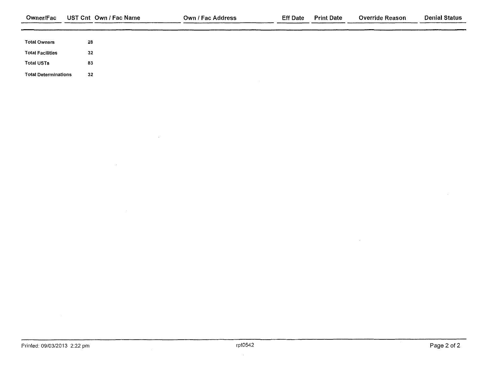| Owner/Fac                   | UST Cnt Own / Fac Name | <b>Own / Fac Address</b> | Eff Date | <b>Print Date</b> | <b>Override Reason</b> | <b>Denial Status</b> |
|-----------------------------|------------------------|--------------------------|----------|-------------------|------------------------|----------------------|
|                             |                        |                          |          |                   |                        |                      |
| <b>Total Owners</b>         | 28                     |                          |          |                   |                        |                      |
| <b>Total Facilities</b>     | 32                     |                          |          |                   |                        |                      |
| <b>Total USTs</b>           | -83                    |                          |          |                   |                        |                      |
| <b>Total Determinations</b> | 32                     |                          |          |                   |                        |                      |

 $\sim 10$ 

 $\sim 10^{-1}$ 

 $\mathcal{A}^{\pm}$ 

 $\sim 10^7$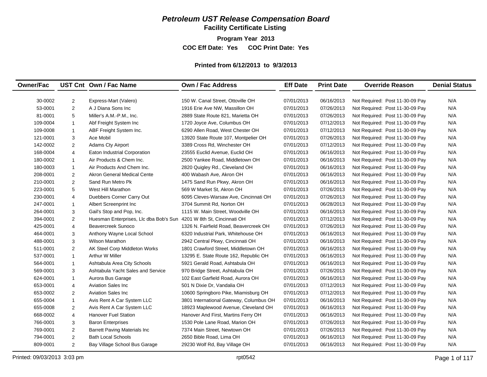## *Petroleum UST Release Compensation Board*

**Facility Certificate Listing**

**Program Year 2013**

**COC Eff Date: Yes COC Print Date: Yes** 

#### **Printed from 6/12/2013 to 9/3/2013**

| <b>Owner/Fac</b> |                | UST Cnt Own / Fac Name                                              | <b>Own / Fac Address</b>                | <b>Eff Date</b> | <b>Print Date</b> | <b>Override Reason</b>          | <b>Denial Status</b> |
|------------------|----------------|---------------------------------------------------------------------|-----------------------------------------|-----------------|-------------------|---------------------------------|----------------------|
|                  |                |                                                                     |                                         |                 |                   |                                 |                      |
| 30-0002          | $\overline{2}$ | Express-Mart (Valero)                                               | 150 W. Canal Street, Ottoville OH       | 07/01/2013      | 06/16/2013        | Not Required: Post 11-30-09 Pay | N/A                  |
| 53-0001          | $\overline{2}$ | A J Diana Sons Inc                                                  | 1916 Erie Ave NW, Massillon OH          | 07/01/2013      | 07/26/2013        | Not Required: Post 11-30-09 Pay | N/A                  |
| 81-0001          | 5              | Miller's A.M.-P.M., Inc.                                            | 2889 State Route 821, Marietta OH       | 07/01/2013      | 07/26/2013        | Not Required: Post 11-30-09 Pay | N/A                  |
| 109-0004         | $\mathbf{1}$   | Abf Freight System Inc                                              | 1720 Joyce Ave, Columbus OH             | 07/01/2013      | 07/12/2013        | Not Required: Post 11-30-09 Pay | N/A                  |
| 109-0008         | $\mathbf{1}$   | ABF Freight System Inc.                                             | 6290 Allen Road, West Chester OH        | 07/01/2013      | 07/12/2013        | Not Required: Post 11-30-09 Pay | N/A                  |
| 121-0001         | 3              | Ace Mobil                                                           | 13920 State Route 107, Montpelier OH    | 07/01/2013      | 07/26/2013        | Not Required: Post 11-30-09 Pay | N/A                  |
| 142-0002         | $\overline{2}$ | <b>Adams Cty Airport</b>                                            | 3389 Cross Rd, Winchester OH            | 07/01/2013      | 07/12/2013        | Not Required: Post 11-30-09 Pay | N/A                  |
| 168-0004         | $\overline{4}$ | Eaton Industrial Corporation                                        | 23555 Euclid Avenue, Euclid OH          | 07/01/2013      | 06/16/2013        | Not Required: Post 11-30-09 Pay | N/A                  |
| 180-0002         | $\mathbf{1}$   | Air Products & Chem Inc.                                            | 2500 Yankee Road, Middletown OH         | 07/01/2013      | 06/16/2013        | Not Required: Post 11-30-09 Pay | N/A                  |
| 180-0003         | $\mathbf{1}$   | Air Products And Chem Inc.                                          | 2820 Quigley Rd., Cleveland OH          | 07/01/2013      | 06/16/2013        | Not Required: Post 11-30-09 Pay | N/A                  |
| 208-0001         | $\overline{2}$ | Akron General Medical Cente                                         | 400 Wabash Ave, Akron OH                | 07/01/2013      | 06/16/2013        | Not Required: Post 11-30-09 Pay | N/A                  |
| 210-0001         | $\overline{2}$ | Sand Run Metro Pk                                                   | 1475 Sand Run Pkwy, Akron OH            | 07/01/2013      | 06/16/2013        | Not Required: Post 11-30-09 Pay | N/A                  |
| 223-0001         | 5              | West Hill Marathon                                                  | 569 W Market St, Akron OH               | 07/01/2013      | 07/26/2013        | Not Required: Post 11-30-09 Pay | N/A                  |
| 230-0001         | $\overline{4}$ | Duebbers Corner Carry Out                                           | 6095 Cleves-Warsaw Ave, Cincinnati OH   | 07/01/2013      | 07/26/2013        | Not Required: Post 11-30-09 Pay | N/A                  |
| 247-0001         | $\mathbf{1}$   | Albert Screenprint Inc                                              | 3704 Summit Rd, Norton OH               | 07/01/2013      | 06/28/2013        | Not Required: Post 11-30-09 Pay | N/A                  |
| 264-0001         | 3              | Gail's Stop and Pop, Inc.                                           | 1115 W. Main Street, Woodville OH       | 07/01/2013      | 06/16/2013        | Not Required: Post 11-30-09 Pay | N/A                  |
| 394-0001         | $\overline{2}$ | Huesman Enterprises, Llc dba Bob's Sun 4201 W 8th St, Cincinnati OH |                                         | 07/01/2013      | 07/12/2013        | Not Required: Post 11-30-09 Pay | N/A                  |
| 425-0001         | $\overline{4}$ | Beavercreek Sunoco                                                  | 1326 N. Fairfield Road. Beavercreek OH  | 07/01/2013      | 07/26/2013        | Not Required: Post 11-30-09 Pay | N/A                  |
| 464-0001         | 3              | Anthony Wayne Local School                                          | 6320 Industrial Park, Whitehouse OH     | 07/01/2013      | 06/16/2013        | Not Required: Post 11-30-09 Pay | N/A                  |
| 488-0001         | 3              | <b>Wilson Marathon</b>                                              | 2942 Central Pkwy, Cincinnati OH        | 07/01/2013      | 06/16/2013        | Not Required: Post 11-30-09 Pay | N/A                  |
| 511-0001         | $\overline{2}$ | AK Steel Corp Middleton Works                                       | 1801 Crawford Street, Middletown OH     | 07/01/2013      | 06/16/2013        | Not Required: Post 11-30-09 Pay | N/A                  |
| 537-0001         | $\mathbf{1}$   | Arthur W Miller                                                     | 13295 E. State Route 162, Republic OH   | 07/01/2013      | 06/16/2013        | Not Required: Post 11-30-09 Pay | N/A                  |
| 564-0001         | $\mathbf{1}$   | Ashtabula Area City Schools                                         | 5921 Gerald Road, Ashtabula OH          | 07/01/2013      | 06/16/2013        | Not Required: Post 11-30-09 Pay | N/A                  |
| 569-0001         | 3              | Ashtabula Yacht Sales and Service                                   | 970 Bridge Street, Ashtabula OH         | 07/01/2013      | 07/26/2013        | Not Required: Post 11-30-09 Pay | N/A                  |
| 624-0001         | $\mathbf{1}$   | Aurora Bus Garage                                                   | 102 East Garfield Road, Aurora OH       | 07/01/2013      | 06/16/2013        | Not Required: Post 11-30-09 Pay | N/A                  |
| 653-0001         | 4              | <b>Aviation Sales Inc</b>                                           | 501 N Dixie Dr, Vandalia OH             | 07/01/2013      | 07/12/2013        | Not Required: Post 11-30-09 Pay | N/A                  |
| 653-0002         | $\overline{2}$ | <b>Aviation Sales Inc.</b>                                          | 10600 Springboro Pike, Miamisburg OH    | 07/01/2013      | 07/12/2013        | Not Required: Post 11-30-09 Pay | N/A                  |
| 655-0004         | $\mathbf{1}$   | Avis Rent A Car System LLC                                          | 3801 International Gateway, Columbus OH | 07/01/2013      | 06/16/2013        | Not Required: Post 11-30-09 Pay | N/A                  |
| 655-0008         | $\overline{2}$ | Avis Rent A Car System LLC                                          | 18923 Maplewood Avenue, Cleveland OH    | 07/01/2013      | 06/16/2013        | Not Required: Post 11-30-09 Pay | N/A                  |
| 668-0002         | $\overline{4}$ | <b>Hanover Fuel Station</b>                                         | Hanover And First, Martins Ferry OH     | 07/01/2013      | 06/16/2013        | Not Required: Post 11-30-09 Pay | N/A                  |
| 766-0001         | 3              | <b>Baron Enterprises</b>                                            | 1530 Pole Lane Road, Marion OH          | 07/01/2013      | 07/26/2013        | Not Required: Post 11-30-09 Pay | N/A                  |
| 769-0001         | $\overline{2}$ | <b>Barrett Paving Materials Inc</b>                                 | 7374 Main Street, Newtown OH            | 07/01/2013      | 07/26/2013        | Not Required: Post 11-30-09 Pay | N/A                  |
| 794-0001         | $\overline{2}$ | <b>Bath Local Schools</b>                                           | 2650 Bible Road, Lima OH                | 07/01/2013      | 06/16/2013        | Not Required: Post 11-30-09 Pay | N/A                  |
| 809-0001         | $\overline{2}$ | Bay Village School Bus Garage                                       | 29230 Wolf Rd, Bay Village OH           | 07/01/2013      | 06/16/2013        | Not Required: Post 11-30-09 Pay | N/A                  |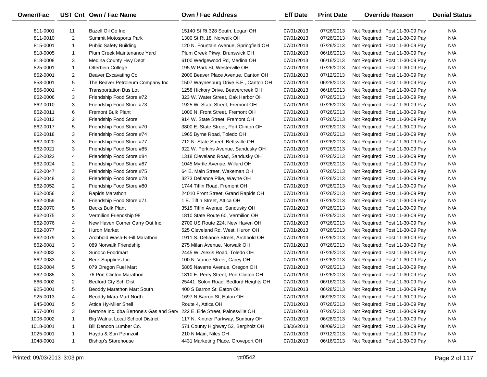| <b>Owner/Fac</b> |                | UST Cnt Own / Fac Name                                                     | Own / Fac Address                      | <b>Eff Date</b> | <b>Print Date</b> | <b>Override Reason</b>          | <b>Denial Status</b> |
|------------------|----------------|----------------------------------------------------------------------------|----------------------------------------|-----------------|-------------------|---------------------------------|----------------------|
| 811-0001         | 11             | Bazell Oil Co Inc                                                          | 15140 St Rt 328 South, Logan OH        | 07/01/2013      | 07/26/2013        | Not Required: Post 11-30-09 Pay | N/A                  |
| 811-0010         | $\overline{2}$ | Summit Motosports Park                                                     | 1300 St Rt 18, Norwalk OH              | 07/01/2013      | 07/26/2013        | Not Required: Post 11-30-09 Pay | N/A                  |
| 815-0001         | $\mathbf{1}$   | <b>Public Safety Building</b>                                              | 120 N. Fountain Avenue, Springfield OH | 07/01/2013      | 07/26/2013        | Not Required: Post 11-30-09 Pay | N/A                  |
| 818-0005         | $\mathbf{1}$   | Plum Creek Maintenance Yard                                                | Plum Creek Pkwy, Brunswick OH          | 07/01/2013      | 06/16/2013        | Not Required: Post 11-30-09 Pay | N/A                  |
| 818-0008         | 3              | Medina County Hwy Dept                                                     | 6100 Wedgewood Rd, Medina OH           | 07/01/2013      | 06/16/2013        | Not Required: Post 11-30-09 Pay | N/A                  |
| 825-0001         | $\mathbf{1}$   | Otterbein College                                                          | 195 W Park St, Westerville OH          | 07/01/2013      | 07/26/2013        | Not Required: Post 11-30-09 Pay | N/A                  |
| 852-0001         | $\overline{2}$ | <b>Beaver Excavating Co</b>                                                | 2000 Beaver Place Avenue, Canton OH    | 07/01/2013      | 07/12/2013        | Not Required: Post 11-30-09 Pay | N/A                  |
| 853-0001         | 5              | The Beaver Petroleum Company Inc.                                          | 1507 Waynesburg Drive S.E., Canton OH  | 07/01/2013      | 06/28/2013        | Not Required: Post 11-30-09 Pay | N/A                  |
| 856-0001         | 4              | <b>Transportation Bus Lot</b>                                              | 1258 Hickory Drive, Beavercreek OH     | 07/01/2013      | 06/16/2013        | Not Required: Post 11-30-09 Pay | N/A                  |
| 862-0006         | 3              | Friendship Food Store #72                                                  | 323 W. Water Street, Oak Harbor OH     | 07/01/2013      | 07/26/2013        | Not Required: Post 11-30-09 Pay | N/A                  |
| 862-0010         | 3              | Friendship Food Store #73                                                  | 1925 W. State Street, Fremont OH       | 07/01/2013      | 07/26/2013        | Not Required: Post 11-30-09 Pay | N/A                  |
| 862-0011         | 6              | <b>Fremont Bulk Plant</b>                                                  | 1000 N. Front Street, Fremont OH       | 07/01/2013      | 07/26/2013        | Not Required: Post 11-30-09 Pay | N/A                  |
| 862-0012         | $\overline{2}$ | Friendship Food Store                                                      | 914 W. State Street, Fremont OH        | 07/01/2013      | 07/26/2013        | Not Required: Post 11-30-09 Pay | N/A                  |
| 862-0017         | 5              | Friendship Food Store #70                                                  | 3800 E. State Street, Port Clinton OH  | 07/01/2013      | 07/26/2013        | Not Required: Post 11-30-09 Pay | N/A                  |
| 862-0018         | 3              | Friendship Food Store #74                                                  | 1965 Byrne Road, Toledo OH             | 07/01/2013      | 07/26/2013        | Not Required: Post 11-30-09 Pay | N/A                  |
| 862-0020         | 3              | Friendship Food Store #77                                                  | 712 N. State Street, Bettsville OH     | 07/01/2013      | 07/26/2013        | Not Required: Post 11-30-09 Pay | N/A                  |
| 862-0021         | 3              | Friendship Food Store #85                                                  | 922 W. Perkins Avenue, Sandusky OH     | 07/01/2013      | 07/26/2013        | Not Required: Post 11-30-09 Pay | N/A                  |
| 862-0022         | $\overline{4}$ | Friendship Food Store #84                                                  | 1318 Cleveland Road, Sandusky OH       | 07/01/2013      | 07/26/2013        | Not Required: Post 11-30-09 Pay | N/A                  |
| 862-0024         | $\overline{2}$ | Friendship Food Store #87                                                  | 1045 Myrtle Avenue, Willard OH         | 07/01/2013      | 07/26/2013        | Not Required: Post 11-30-09 Pay | N/A                  |
| 862-0047         | 3              | Freindship Food Store #75                                                  | 64 E. Main Street, Wakeman OH          | 07/01/2013      | 07/26/2013        | Not Required: Post 11-30-09 Pay | N/A                  |
| 862-0048         | 3              | Friendship Food Store #78                                                  | 3273 Defiance Pike, Wayne OH           | 07/01/2013      | 07/26/2013        | Not Required: Post 11-30-09 Pay | N/A                  |
| 862-0052         | $\overline{2}$ | Friendship Food Store #80                                                  | 1744 Tiffin Road, Fremont OH           | 07/01/2013      | 07/26/2013        | Not Required: Post 11-30-09 Pay | N/A                  |
| 862-0056         | 3              | Rapids Marathon                                                            | 24010 Front Street, Grand Rapids OH    | 07/01/2013      | 07/26/2013        | Not Required: Post 11-30-09 Pay | N/A                  |
| 862-0059         | 6              | Friendship Food Store #71                                                  | 1 E. Tiffin Street, Attica OH          | 07/01/2013      | 07/26/2013        | Not Required: Post 11-30-09 Pay | N/A                  |
| 862-0070         | 5              | <b>Becks Bulk Plant</b>                                                    | 3515 Tiffin Avenue, Sandusky OH        | 07/01/2013      | 07/26/2013        | Not Required: Post 11-30-09 Pay | N/A                  |
| 862-0075         | 3              | Vermilion Friendship 98                                                    | 1810 State Route 60, Vermilion OH      | 07/01/2013      | 07/26/2013        | Not Required: Post 11-30-09 Pay | N/A                  |
| 862-0076         | 4              | New Haven Corner Carry Out Inc.                                            | 2700 US Route 224, New Haven OH        | 07/01/2013      | 07/26/2013        | Not Required: Post 11-30-09 Pay | N/A                  |
| 862-0077         | $\overline{2}$ | Huron Market                                                               | 525 Cleveland Rd. West, Huron OH       | 07/01/2013      | 07/26/2013        | Not Required: Post 11-30-09 Pay | N/A                  |
| 862-0079         | 3              | Archbold Wash-N-Fill Marathon                                              | 1911 S. Defiance Street, Archbold OH   | 07/01/2013      | 07/26/2013        | Not Required: Post 11-30-09 Pay | N/A                  |
| 862-0081         | 3              | 089 Norwalk Friendship                                                     | 275 Milan Avenue, Norwalk OH           | 07/01/2013      | 07/26/2013        | Not Required: Post 11-30-09 Pay | N/A                  |
| 862-0082         | 3              | Sunoco Foodmart                                                            | 2445 W. Alexis Road, Toledo OH         | 07/01/2013      | 07/26/2013        | Not Required: Post 11-30-09 Pay | N/A                  |
| 862-0083         | $\overline{4}$ | Beck Suppliers Inc.                                                        | 100 N. Vance Street, Carey OH          | 07/01/2013      | 07/26/2013        | Not Required: Post 11-30-09 Pay | N/A                  |
| 862-0084         | 5              | 079 Oregon Fuel Mart                                                       | 5805 Navarre Avenue, Oregon OH         | 07/01/2013      | 07/26/2013        | Not Required: Post 11-30-09 Pay | N/A                  |
| 862-0085         | 3              | 76 Port Clinton Marathon                                                   | 1810 E. Perry Street, Port Clinton OH  | 07/01/2013      | 07/26/2013        | Not Required: Post 11-30-09 Pay | N/A                  |
| 866-0002         | $\overline{2}$ | Bedford Cty Sch Dist                                                       | 25441 Solon Road, Bedford Heights OH   | 07/01/2013      | 06/16/2013        | Not Required: Post 11-30-09 Pay | N/A                  |
| 925-0001         | 5              | Beoddy Marathon Mart South                                                 | 400 S Barron St, Eaton OH              | 07/01/2013      | 06/28/2013        | Not Required: Post 11-30-09 Pay | N/A                  |
| 925-0013         | 4              | Beoddy Mara Mart North                                                     | 1697 N Barron St, Eaton OH             | 07/01/2013      | 06/28/2013        | Not Required: Post 11-30-09 Pay | N/A                  |
| 945-0001         | 5              | Attica Hy-Miler Shell                                                      | Route 4, Attica OH                     | 07/01/2013      | 07/26/2013        | Not Required: Post 11-30-09 Pay | N/A                  |
| 957-0001         | 3              | Bertone Inc. dba Bertone's Gas and Serv 222 E. Erie Street, Painesville OH |                                        | 07/01/2013      | 07/26/2013        | Not Required: Post 11-30-09 Pay | N/A                  |
| 1006-0002        | 1              | <b>Big Walnut Local School District</b>                                    | 117 N. Kintner Parkway, Sunbury OH     | 07/01/2013      | 06/28/2013        | Not Required: Post 11-30-09 Pay | N/A                  |
| 1018-0001        | -1             | Bill Denoon Lumber Co.                                                     | 571 County Highway 52, Bergholz OH     | 08/06/2013      | 08/09/2013        | Not Required: Post 11-30-09 Pay | N/A                  |
| 1025-0001        | $\mathbf{1}$   | Haydu & Son Pennzoil                                                       | 210 N Main, Niles OH                   | 07/01/2013      | 07/12/2013        | Not Required: Post 11-30-09 Pay | N/A                  |
| 1048-0001        | $\mathbf{1}$   | <b>Bishop's Storehouse</b>                                                 | 4431 Marketing Place, Groveport OH     | 07/01/2013      | 06/16/2013        | Not Required: Post 11-30-09 Pay | N/A                  |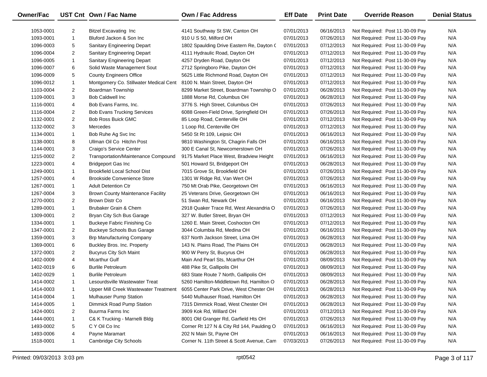| Owner/Fac |                | UST Cnt Own / Fac Name                   | Own / Fac Address                         | <b>Eff Date</b> | <b>Print Date</b> | <b>Override Reason</b>          | <b>Denial Status</b> |
|-----------|----------------|------------------------------------------|-------------------------------------------|-----------------|-------------------|---------------------------------|----------------------|
| 1053-0001 | $\overline{2}$ | <b>Bitzel Excavating Inc</b>             | 4141 Southway St SW, Canton OH            | 07/01/2013      | 06/16/2013        | Not Required: Post 11-30-09 Pay | N/A                  |
| 1093-0001 | $\mathbf{1}$   | Bluford Jackon & Son Inc                 | 910 U S 50, Milford OH                    | 07/01/2013      | 07/26/2013        | Not Required: Post 11-30-09 Pay | N/A                  |
| 1096-0003 | 5              | <b>Sanitary Engineering Depart</b>       | 1802 Spaulding Drive Eastern Re, Dayton ( | 07/01/2013      | 07/12/2013        | Not Required: Post 11-30-09 Pay | N/A                  |
| 1096-0004 | $\overline{2}$ | Sanitary Engineering Depart              | 4111 Hydraulic Road, Dayton OH            | 07/01/2013      | 07/12/2013        | Not Required: Post 11-30-09 Pay | N/A                  |
| 1096-0005 | $\mathbf{1}$   | Sanitary Engineering Depart              | 4257 Dryden Road, Dayton OH               | 07/01/2013      | 07/12/2013        | Not Required: Post 11-30-09 Pay | N/A                  |
| 1096-0007 | 6              | Solid Waste Management Sout              | 2712 Springboro Pike, Dayton OH           | 07/01/2013      | 07/12/2013        | Not Required: Post 11-30-09 Pay | N/A                  |
| 1096-0009 | 5              | <b>County Engineers Office</b>           | 5625 Little Richmond Road, Dayton OH      | 07/01/2013      | 07/12/2013        | Not Required: Post 11-30-09 Pay | N/A                  |
| 1096-0012 | $\mathbf{1}$   | Montgomery Co. Stillwater Medical Cent   | 8100 N. Main Street, Dayton OH            | 07/01/2013      | 07/12/2013        | Not Required: Post 11-30-09 Pay | N/A                  |
| 1103-0004 | $\overline{2}$ | Boardman Township                        | 8299 Market Street, Boardman Township O   | 07/01/2013      | 06/28/2013        | Not Required: Post 11-30-09 Pay | N/A                  |
| 1109-0001 | 3              | <b>Bob Caldwell Inc.</b>                 | 1888 Morse Rd, Columbus OH                | 07/01/2013      | 06/28/2013        | Not Required: Post 11-30-09 Pay | N/A                  |
| 1116-0001 | 4              | Bob Evans Farms, Inc.                    | 3776 S. High Street, Columbus OH          | 07/01/2013      | 07/26/2013        | Not Required: Post 11-30-09 Pay | N/A                  |
| 1116-0004 | $\overline{2}$ | <b>Bob Evans Trucking Services</b>       | 6088 Green-Field Drive, Springfield OH    | 07/01/2013      | 07/26/2013        | Not Required: Post 11-30-09 Pay | N/A                  |
| 1132-0001 | $\overline{2}$ | Bob Ross Buick GMC                       | 85 Loop Road, Centerville OH              | 07/01/2013      | 07/12/2013        | Not Required: Post 11-30-09 Pay | N/A                  |
| 1132-0002 | 3              | Mercedes                                 | 1 Loop Rd, Centerville OH                 | 07/01/2013      | 07/12/2013        | Not Required: Post 11-30-09 Pay | N/A                  |
| 1134-0001 | $\mathbf{1}$   | Bob Ruhe Ag Svc Inc                      | 5450 St Rt 109, Leipsic OH                | 07/01/2013      | 06/16/2013        | Not Required: Post 11-30-09 Pay | N/A                  |
| 1138-0001 | 8              | Ullman Oil Co Hitchn Post                | 9810 Washington St, Chagrin Falls OH      | 07/01/2013      | 06/16/2013        | Not Required: Post 11-30-09 Pay | N/A                  |
| 1144-0001 | 3              | Craigo's Service Center                  | 300 E Canal St, Newcomerstown OH          | 07/01/2013      | 07/26/2013        | Not Required: Post 11-30-09 Pay | N/A                  |
| 1215-0002 | $\overline{2}$ | Transportation/Maintenance Compound      | 9175 Market Place West, Bradview Height   | 07/01/2013      | 06/16/2013        | Not Required: Post 11-30-09 Pay | N/A                  |
| 1223-0001 | 4              | <b>Bridgeport Gas Inc</b>                | 501 Howard St, Bridgeport OH              | 07/01/2013      | 06/28/2013        | Not Required: Post 11-30-09 Pay | N/A                  |
| 1249-0001 | $\mathbf{1}$   | <b>Brookfield Local School Dist</b>      | 7015 Grove St, Brookfield OH              | 07/01/2013      | 07/26/2013        | Not Required: Post 11-30-09 Pay | N/A                  |
| 1257-0001 | 4              | <b>Brookside Convenience Store</b>       | 1301 W Ridge Rd, Van Wert OH              | 07/01/2013      | 07/26/2013        | Not Required: Post 11-30-09 Pay | N/A                  |
| 1267-0001 | $\mathbf{1}$   | <b>Adult Detention Ctr</b>               | 750 Mt Orab Pike, Georgetown OH           | 07/01/2013      | 06/16/2013        | Not Required: Post 11-30-09 Pay | N/A                  |
| 1267-0004 | 3              | <b>Brown County Maintenance Facility</b> | 25 Veterans Drive, Georgetown OH          | 07/01/2013      | 06/16/2013        | Not Required: Post 11-30-09 Pay | N/A                  |
| 1270-0001 | $\overline{2}$ | Brown Distr Co                           | 51 Swan Rd, Newark OH                     | 07/01/2013      | 06/16/2013        | Not Required: Post 11-30-09 Pay | N/A                  |
| 1289-0001 | $\mathbf{1}$   | Brubaker Grain & Chem                    | 2918 Quaker Trace Rd, West Alexandria O   | 07/01/2013      | 07/26/2013        | Not Required: Post 11-30-09 Pay | N/A                  |
| 1309-0001 | $\overline{2}$ | Bryan City Sch Bus Garage                | 327 W. Butler Street, Bryan OH            | 07/01/2013      | 07/12/2013        | Not Required: Post 11-30-09 Pay | N/A                  |
| 1334-0001 | $\mathbf{1}$   | <b>Buckeye Fabric Finishing Co</b>       | 1260 E. Main Street, Coshocton OH         | 07/01/2013      | 07/12/2013        | Not Required: Post 11-30-09 Pay | N/A                  |
| 1347-0001 | $\overline{2}$ | <b>Buckeye Schools Bus Garage</b>        | 3044 Columbia Rd, Medina OH               | 07/01/2013      | 06/16/2013        | Not Required: Post 11-30-09 Pay | N/A                  |
| 1359-0001 | 3              | <b>Brp Manufacturing Company</b>         | 637 North Jackson Street, Lima OH         | 07/01/2013      | 06/28/2013        | Not Required: Post 11-30-09 Pay | N/A                  |
| 1369-0001 | 6              | Buckley Bros. Inc. Property              | 143 N. Plains Road, The Plains OH         | 07/01/2013      | 06/28/2013        | Not Required: Post 11-30-09 Pay | N/A                  |
| 1372-0001 | $\overline{2}$ | <b>Bucyrus City Sch Maint</b>            | 900 W Perry St, Bucyrus OH                | 07/01/2013      | 06/28/2013        | Not Required: Post 11-30-09 Pay | N/A                  |
| 1402-0009 | 4              | <b>Mcarthur Gulf</b>                     | Main And Pearl Sts, Mcarthur OH           | 07/01/2013      | 08/09/2013        | Not Required: Post 11-30-09 Pay | N/A                  |
| 1402-0019 | 6              | <b>Burlile Petroleum</b>                 | 488 Pike St, Gallipolis OH                | 07/01/2013      | 08/09/2013        | Not Required: Post 11-30-09 Pay | N/A                  |
| 1402-0029 | $\mathbf{1}$   | <b>Burlile Petroleum</b>                 | 683 State Route 7 North, Gallipolis OH    | 07/01/2013      | 08/09/2013        | Not Required: Post 11-30-09 Pay | N/A                  |
| 1414-0002 | $\mathbf{1}$   | Lesourdsville Wastewater Treat           | 5260 Hamilton-Middletown Rd, Hamilton O   | 07/01/2013      | 06/28/2013        | Not Required: Post 11-30-09 Pay | N/A                  |
| 1414-0003 |                | Upper Mill Creek Wastewater Treatment    | 6055 Center Park Drive, West Chester OH   | 07/01/2013      | 06/28/2013        | Not Required: Post 11-30-09 Pay | N/A                  |
| 1414-0004 | -1             | Mulhauser Pump Station                   | 5440 Mulhauser Road, Hamilton OH          | 07/01/2013      | 06/28/2013        | Not Required: Post 11-30-09 Pay | N/A                  |
| 1414-0005 | 1              | Dimmick Road Pump Station                | 7315 Dimmick Road, West Chester OH        | 07/01/2013      | 06/28/2013        | Not Required: Post 11-30-09 Pay | N/A                  |
| 1424-0001 | 2              | Buurma Farms Inc                         | 3909 Kok Rd, Willard OH                   | 07/01/2013      | 07/12/2013        | Not Required: Post 11-30-09 Pay | N/A                  |
| 1444-0001 | 1              | C& K Trucking - Marnelli Bldg            | 8001 Old Granger Rd, Garfield Hts OH      | 07/01/2013      | 07/26/2013        | Not Required: Post 11-30-09 Pay | N/A                  |
| 1493-0002 | 5              | C Y Oil Co Inc                           | Corner Rt 127 N & City Rd 144, Paulding O | 07/01/2013      | 06/16/2013        | Not Required: Post 11-30-09 Pay | N/A                  |
| 1493-0006 | 4              | Payne Maramart                           | 202 N Main St, Payne OH                   | 07/01/2013      | 06/16/2013        | Not Required: Post 11-30-09 Pay | N/A                  |
| 1518-0001 | $\mathbf{1}$   | Cambridge City Schools                   | Corner N. 11th Street & Scott Avenue, Cam | 07/03/2013      | 07/26/2013        | Not Required: Post 11-30-09 Pay | N/A                  |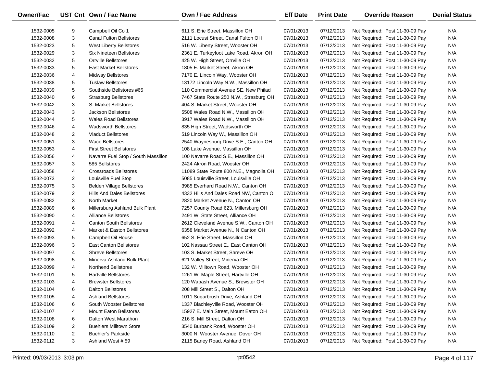| Owner/Fac |                | UST Cnt Own / Fac Name              | <b>Own / Fac Address</b>                | <b>Eff Date</b> | <b>Print Date</b> | <b>Override Reason</b>          | <b>Denial Status</b> |
|-----------|----------------|-------------------------------------|-----------------------------------------|-----------------|-------------------|---------------------------------|----------------------|
| 1532-0005 | 9              | Campbell Oil Co 1                   | 611 S. Erie Street, Massillon OH        | 07/01/2013      | 07/12/2013        | Not Required: Post 11-30-09 Pay | N/A                  |
| 1532-0008 | 3              | <b>Canal Fulton Bellstores</b>      | 2111 Locust Street, Canal Fulton OH     | 07/01/2013      | 07/12/2013        | Not Required: Post 11-30-09 Pay | N/A                  |
| 1532-0023 | 5              | <b>West Liberty Bellstores</b>      | 516 W. Liberty Street, Wooster OH       | 07/01/2013      | 07/12/2013        | Not Required: Post 11-30-09 Pay | N/A                  |
| 1532-0029 | 3              | Six Nineteen Bellstores             | 2361 E. Turkeyfoot Lake Road, Akron OH  | 07/01/2013      | 07/12/2013        | Not Required: Post 11-30-09 Pay | N/A                  |
| 1532-0032 | 5              | <b>Orrville Bellstores</b>          | 425 W. High Street, Orrville OH         | 07/01/2013      | 07/12/2013        | Not Required: Post 11-30-09 Pay | N/A                  |
| 1532-0033 | 5              | East Market Bellstores              | 1805 E. Market Street, Akron OH         | 07/01/2013      | 07/12/2013        | Not Required: Post 11-30-09 Pay | N/A                  |
| 1532-0036 | 4              | <b>Midway Bellstores</b>            | 7170 E. Lincoln Way, Wooster OH         | 07/01/2013      | 07/12/2013        | Not Required: Post 11-30-09 Pay | N/A                  |
| 1532-0038 | 5              | <b>Tuslaw Bellstores</b>            | 13172 Lincoln Way N.W., Massillon OH    | 07/01/2013      | 07/12/2013        | Not Required: Post 11-30-09 Pay | N/A                  |
| 1532-0039 | 5              | Southside Bellstores #65            | 110 Commercial Avenue SE, New Philad    | 07/01/2013      | 07/12/2013        | Not Required: Post 11-30-09 Pay | N/A                  |
| 1532-0040 | 6              | <b>Strasburg Bellstores</b>         | 7467 State Route 250 N.W., Strasburg OH | 07/01/2013      | 07/12/2013        | Not Required: Post 11-30-09 Pay | N/A                  |
| 1532-0042 | 3              | S. Market Bellstores                | 404 S. Market Street, Wooster OH        | 07/01/2013      | 07/12/2013        | Not Required: Post 11-30-09 Pay | N/A                  |
| 1532-0043 | 3              | <b>Jackson Bellstores</b>           | 5508 Wales Road N.W., Massillon OH      | 07/01/2013      | 07/12/2013        | Not Required: Post 11-30-09 Pay | N/A                  |
| 1532-0044 | 5              | <b>Wales Road Bellstores</b>        | 3917 Wales Road N.W., Massillon OH      | 07/01/2013      | 07/12/2013        | Not Required: Post 11-30-09 Pay | N/A                  |
| 1532-0046 | 4              | <b>Wadsworth Bellstores</b>         | 835 High Street, Wadsworth OH           | 07/01/2013      | 07/12/2013        | Not Required: Post 11-30-09 Pay | N/A                  |
| 1532-0048 | 2              | <b>Viaduct Bellstores</b>           | 519 Lincoln Way W., Massillon OH        | 07/01/2013      | 07/12/2013        | Not Required: Post 11-30-09 Pay | N/A                  |
| 1532-0051 | 3              | <b>Waco Bellstores</b>              | 2540 Waynesburg Drive S.E., Canton OH   | 07/01/2013      | 07/12/2013        | Not Required: Post 11-30-09 Pay | N/A                  |
| 1532-0053 | 4              | <b>First Street Bellstores</b>      | 108 Lake Avenue, Massillon OH           | 07/01/2013      | 07/12/2013        | Not Required: Post 11-30-09 Pay | N/A                  |
| 1532-0056 | 4              | Navarre Fuel Stop / South Massillon | 100 Navarre Road S.E., Massillon OH     | 07/01/2013      | 07/12/2013        | Not Required: Post 11-30-09 Pay | N/A                  |
| 1532-0057 | 3              | 585 Bellstores                      | 2424 Akron Road, Wooster OH             | 07/01/2013      | 07/12/2013        | Not Required: Post 11-30-09 Pay | N/A                  |
| 1532-0058 | 4              | Crossroads Bellstores               | 11089 State Route 800 N.E., Magnolia OH | 07/01/2013      | 07/12/2013        | Not Required: Post 11-30-09 Pay | N/A                  |
| 1532-0073 | $\overline{2}$ | Louisville Fuel Stop                | 5085 Louisville Street, Louisville OH   | 07/01/2013      | 07/12/2013        | Not Required: Post 11-30-09 Pay | N/A                  |
| 1532-0075 | 3              | <b>Belden Village Bellstores</b>    | 3985 Everhard Road N.W., Canton OH      | 07/01/2013      | 07/12/2013        | Not Required: Post 11-30-09 Pay | N/A                  |
| 1532-0079 | $\overline{2}$ | Hills And Dales Bellstores          | 4332 Hills And Dales Road NW, Canton O  | 07/01/2013      | 07/12/2013        | Not Required: Post 11-30-09 Pay | N/A                  |
| 1532-0082 | 3              | North Market                        | 2820 Market Avenue N., Canton OH        | 07/01/2013      | 07/12/2013        | Not Required: Post 11-30-09 Pay | N/A                  |
| 1532-0089 | 6              | Millersburg Ashland Bulk Plant      | 7257 County Road 623, Millersburg OH    | 07/01/2013      | 07/12/2013        | Not Required: Post 11-30-09 Pay | N/A                  |
| 1532-0090 | 4              | <b>Alliance Bellstores</b>          | 2491 W. State Street, Alliance OH       | 07/01/2013      | 07/12/2013        | Not Required: Post 11-30-09 Pay | N/A                  |
| 1532-0091 | 4              | <b>Canton South Bellstores</b>      | 2612 Cleveland Avenue S.W., Canton OH   | 07/01/2013      | 07/12/2013        | Not Required: Post 11-30-09 Pay | N/A                  |
| 1532-0092 | 4              | Market & Easton Bellstores          | 6358 Market Avenue N., N Canton OH      | 07/01/2013      | 07/12/2013        | Not Required: Post 11-30-09 Pay | N/A                  |
| 1532-0093 | 5              | Campbell Oil House                  | 652 S. Erie Street, Massillon OH        | 07/01/2013      | 07/12/2013        | Not Required: Post 11-30-09 Pay | N/A                  |
| 1532-0096 | 3              | <b>East Canton Bellstores</b>       | 102 Nassau Street E., East Canton OH    | 07/01/2013      | 07/12/2013        | Not Required: Post 11-30-09 Pay | N/A                  |
| 1532-0097 | 4              | <b>Shreve Bellstores</b>            | 103 S. Market Street, Shreve OH         | 07/01/2013      | 07/12/2013        | Not Required: Post 11-30-09 Pay | N/A                  |
| 1532-0098 | 5              | Minerva Ashland Bulk Plant          | 621 Valley Street, Minerva OH           | 07/01/2013      | 07/12/2013        | Not Required: Post 11-30-09 Pay | N/A                  |
| 1532-0099 | 4              | <b>Northend Bellstores</b>          | 132 W. Milltown Road, Wooster OH        | 07/01/2013      | 07/12/2013        | Not Required: Post 11-30-09 Pay | N/A                  |
| 1532-0101 | 5              | <b>Hartville Bellstores</b>         | 1261 W. Maple Street, Hartville OH      | 07/01/2013      | 07/12/2013        | Not Required: Post 11-30-09 Pay | N/A                  |
| 1532-0103 | 4              | <b>Brewster Bellstores</b>          | 120 Wabash Avenue S., Brewster OH       | 07/01/2013      | 07/12/2013        | Not Required: Post 11-30-09 Pay | N/A                  |
| 1532-0104 | 6              | Dalton Bellstores                   | 208 Mill Street S., Dalton OH           | 07/01/2013      | 07/12/2013        | Not Required: Post 11-30-09 Pay | N/A                  |
| 1532-0105 | 4              | <b>Ashland Bellstores</b>           | 1011 Sugarbrush Drive, Ashland OH       | 07/01/2013      | 07/12/2013        | Not Required: Post 11-30-09 Pay | N/A                  |
| 1532-0106 | 6              | South Wooster Bellstores            | 1337 Blachleyville Road, Wooster OH     | 07/01/2013      | 07/12/2013        | Not Required: Post 11-30-09 Pay | N/A                  |
| 1532-0107 | 4              | <b>Mount Eaton Bellstores</b>       | 15927 E. Main Street, Mount Eaton OH    | 07/01/2013      | 07/12/2013        | Not Required: Post 11-30-09 Pay | N/A                  |
| 1532-0108 | 6              | Dalton West Marathon                | 216 S. Mill Street, Dalton OH           | 07/01/2013      | 07/12/2013        | Not Required: Post 11-30-09 Pay | N/A                  |
| 1532-0109 | 2              | <b>Buehlers Milltown Store</b>      | 3540 Burbank Road, Wooster OH           | 07/01/2013      | 07/12/2013        | Not Required: Post 11-30-09 Pay | N/A                  |
| 1532-0110 | 2              | <b>Buehler's Parkside</b>           | 3000 N. Wooster Avenue, Dover OH        | 07/01/2013      | 07/12/2013        | Not Required: Post 11-30-09 Pay | N/A                  |
| 1532-0112 | 3              | Ashland West #59                    | 2115 Baney Road, Ashland OH             | 07/01/2013      | 07/12/2013        | Not Required: Post 11-30-09 Pay | N/A                  |
|           |                |                                     |                                         |                 |                   |                                 |                      |

 $\overline{\phantom{0}}$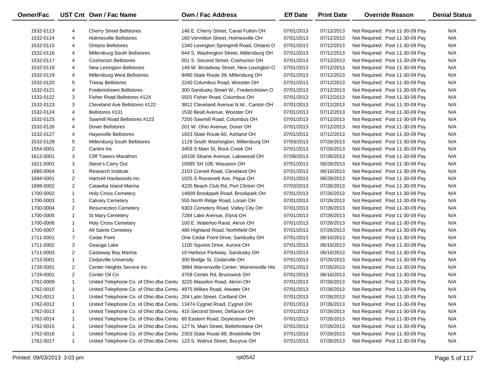| 1532-0113<br>N/A<br>4<br><b>Cherry Street Bellstores</b><br>146 E. Cherry Street, Canal Fulton OH<br>07/01/2013<br>07/12/2013<br>Not Required: Post 11-30-09 Pay<br>N/A<br>1532-0114<br>4<br><b>Holmesville Bellstores</b><br>160 Vermilion Street, Holmesville OH<br>07/01/2013<br>07/12/2013<br>Not Required: Post 11-30-09 Pay<br>1532-0115<br>4<br><b>Ontario Bellstores</b><br>1340 Lexington Springmill Road, Ontario O<br>07/01/2013<br>07/12/2013<br>N/A<br>Not Required: Post 11-30-09 Pay<br>1532-0116<br>4<br>Millersburg South Bellstores<br>644 S. Washington Street, Millersburg OH<br>07/01/2013<br>07/12/2013<br>N/A<br>Not Required: Post 11-30-09 Pay<br>1532-0117<br>4<br><b>Coshocton Bellstores</b><br>501 S. Second Street, Coshocton OH<br>07/01/2013<br>07/12/2013<br>N/A<br>Not Required: Post 11-30-09 Pay<br>1532-0118<br>4<br>New Lexington Bellstores<br>149 W. Broadway Street, New Lexington O<br>07/01/2013<br>07/12/2013<br>N/A<br>Not Required: Post 11-30-09 Pay<br>1532-0119<br>4<br>Millersburg West Bellstores<br>8490 State Route 39, Millersburg OH<br>07/01/2013<br>07/12/2013<br>N/A<br>Not Required: Post 11-30-09 Pay<br>1532-0120<br>5<br><b>Triway Bellstores</b><br>2240 Columbus Road, Wooster OH<br>07/01/2013<br>07/12/2013<br>N/A<br>Not Required: Post 11-30-09 Pay<br>1532-0121<br>4<br>Fredericktown Bellstores<br>300 Sandusky Street W., Fredericktown O<br>07/01/2013<br>07/12/2013<br>N/A<br>Not Required: Post 11-30-09 Pay<br>1532-0122<br>3<br>Fisher Road Bellstores #124<br>5501 Fisher Road, Columbus OH<br>07/01/2013<br>07/12/2013<br>N/A<br>Not Required: Post 11-30-09 Pay<br>1532-0123<br>3<br>Cleveland Ave Bellstores #122<br>3812 Cleveland Avenue N.W., Canton OH<br>07/01/2013<br>07/12/2013<br>N/A<br>Not Required: Post 11-30-09 Pay<br>1532-0124<br>4<br>Bellstores #131<br>1530 Beall Avenue, Wooster OH<br>07/01/2013<br>07/12/2013<br>N/A<br>Not Required: Post 11-30-09 Pay<br>1532-0125<br>4<br>Sawmill Road Bellstores #123<br>7200 Sawmill Road, Columbus OH<br>07/01/2013<br>07/12/2013<br>N/A<br>Not Required: Post 11-30-09 Pay<br>1532-0126<br>4<br>Dover Bellstores<br>201 W. Ohio Avenue, Dover OH<br>07/01/2013<br>07/12/2013<br>N/A<br>Not Required: Post 11-30-09 Pay<br>1532-0127<br>4<br><b>Hayesville Bellstores</b><br>1923 State Route 60, Ashland OH<br>07/01/2013<br>07/12/2013<br>N/A<br>Not Required: Post 11-30-09 Pay<br>1532-0128<br>5<br>Millersburg South Bellstores<br>1129 South Washington, Millersburg OH<br>07/03/2013<br>07/26/2013<br>N/A<br>Not Required: Post 11-30-09 Pay<br>1554-0001<br>$\overline{2}$<br>Cantini Inc<br>3459 S Main St, Rock Creek OH<br>07/01/2013<br>07/26/2013<br>N/A<br>Not Required: Post 11-30-09 Pay<br>1612-0001<br>3<br><b>Cliff Towers Marathon</b><br>18100 Sloane Avenue, Lakewood OH<br>07/08/2013<br>07/26/2013<br>N/A<br>Not Required: Post 11-30-09 Pay<br>3<br>Steve's Carry Out<br>10085 SH 108, Wauseon OH<br>07/01/2013<br>06/28/2013<br>N/A<br>1621-0001<br>Not Required: Post 11-30-09 Pay<br>1685-0004<br>Research Institute<br>2103 Cornell Road, Cleveland OH<br>07/01/2013<br>06/16/2013<br>N/A<br>$\mathbf{1}$<br>Not Required: Post 11-30-09 Pay<br>1694-0001<br>$\overline{2}$<br>Hartzell Hardwoods Inc<br>1025 S Roosevelt Ave, Piqua OH<br>07/01/2013<br>06/28/2013<br>N/A<br>Not Required: Post 11-30-09 Pay<br>1698-0002<br>$\overline{2}$<br>Catawba Island Marina<br>4235 Beach Club Rd, Port Clinton OH<br>07/03/2013<br>07/26/2013<br>N/A<br>Not Required: Post 11-30-09 Pay<br><b>Holy Cross Cemetery</b><br>14609 Brookpark Road, Brookpark OH<br>07/01/2013<br>07/26/2013<br>N/A<br>1700-0002<br>$\mathbf{1}$<br>Not Required: Post 11-30-09 Pay<br>1700-0003<br><b>Calvary Cemetery</b><br>555 North Ridge Road, Lorain OH<br>07/01/2013<br>07/26/2013<br>N/A<br>$\mathbf{1}$<br>Not Required: Post 11-30-09 Pay<br>1700-0004<br>$\overline{2}$<br><b>Resurrection Cemetery</b><br>6303 Cemetery Road, Valley City OH<br>07/01/2013<br>07/26/2013<br>N/A<br>Not Required: Post 11-30-09 Pay<br>St Mary Cemetery<br>7284 Lake Avenue, Elyria OH<br>07/01/2013<br>07/26/2013<br>N/A<br>1700-0005<br>$\mathbf{1}$<br>Not Required: Post 11-30-09 Pay<br>1700-0006<br><b>Holy Cross Cemetary</b><br>100 E. Waterloo Raod, Akron OH<br>07/01/2013<br>07/26/2013<br>N/A<br>$\mathbf{1}$<br>Not Required: Post 11-30-09 Pay<br>1700-0007<br>All Saints Cemetery<br>480 Highland Road, Northfield OH<br>07/01/2013<br>07/26/2013<br>N/A<br>$\mathbf{1}$<br>Not Required: Post 11-30-09 Pay<br>1711-0001<br>7<br>Cedar Point<br>One Cedar Point Drive, Sandusky OH<br>07/01/2013<br>06/16/2013<br>N/A<br>Not Required: Post 11-30-09 Pay<br>1711-0002<br>3<br>Geauga Lake<br>1100 Squires Drive, Aurora OH<br>07/01/2013<br>06/16/2013<br>N/A<br>Not Required: Post 11-30-09 Pay<br>1711-0003<br>$\overline{2}$<br>Castaway Bay Marina<br>10 Harbour Parkway, Sandusky OH<br>07/01/2013<br>06/16/2013<br>N/A<br>Not Required: Post 11-30-09 Pay<br>1713-0001<br>$\mathbf{1}$<br><b>Cedarville University</b><br>300 Bridge St, Cedarville OH<br>07/01/2013<br>07/26/2013<br>N/A<br>Not Required: Post 11-30-09 Pay<br>1728-0001<br>$\overline{2}$<br>Center Heights Service Inc<br>3884 Warrensville Center, Warrensville Hts<br>07/01/2013<br>07/26/2013<br>N/A<br>Not Required: Post 11-30-09 Pay<br>$\overline{2}$<br>1729-0001<br>Center Oil Co<br>3769 Center Rd, Brunswick OH<br>07/01/2013<br>06/16/2013<br>Not Required: Post 11-30-09 Pay<br>N/A<br>1762-0009<br>$\mathbf{1}$<br>United Telephone Co. of Ohio dba Centu 3225 Massilon Road, Akron OH<br>07/01/2013<br>07/26/2013<br>Not Required: Post 11-30-09 Pay<br>N/A<br>1762-0010<br>United Telephone Co. of Ohio dba Centu 4975 Wilkes Road, Atwater OH<br>07/01/2013<br>07/26/2013<br>Not Required: Post 11-30-09 Pay<br>N/A<br>1<br>1762-0011<br>United Telephone Co. of Ohio dba Centu 204 Latin Street, Cortland OH<br>07/26/2013<br>Not Required: Post 11-30-09 Pay<br>N/A<br>07/01/2013<br>1<br>1762-0012<br>United Telephone Co. of Ohio dba Centu 13474 Cygnet Road, Cygnet OH<br>07/26/2013<br>Not Required: Post 11-30-09 Pay<br>N/A<br>07/01/2013<br>1<br>1762-0013<br>United Telephone Co. of Ohio dba Centu 415 Second Street, Defiance OH<br>07/01/2013<br>07/26/2013<br>Not Required: Post 11-30-09 Pay<br>N/A<br>1<br>1762-0014<br>United Telephone Co. of Ohio dba Centu 60 Eastern Road, Doylestown OH<br>07/01/2013<br>07/26/2013<br>Not Required: Post 11-30-09 Pay<br>N/A<br>1<br>1762-0015<br>United Telephone Co. of Ohio dba Centu 127 N. Main Street, Bellefontaine OH<br>07/26/2013<br>Not Required: Post 11-30-09 Pay<br>N/A<br>07/01/2013<br>1<br>United Telephone Co. of Ohio dba Centu 2303 State Route 88, Bristolville OH<br>1762-0016<br>07/01/2013<br>07/26/2013<br>Not Required: Post 11-30-09 Pay<br>N/A<br>1<br>United Telephone Co. of Ohio dba Centu 123 S. Walnut Street, Bucyrus OH<br>1762-0017<br>07/01/2013<br>07/26/2013<br>Not Required: Post 11-30-09 Pay<br>N/A<br>$\mathbf{1}$ | <b>Owner/Fac</b> | UST Cnt Own / Fac Name | Own / Fac Address | <b>Eff Date</b> | <b>Print Date</b> | <b>Override Reason</b> | <b>Denial Status</b> |
|--------------------------------------------------------------------------------------------------------------------------------------------------------------------------------------------------------------------------------------------------------------------------------------------------------------------------------------------------------------------------------------------------------------------------------------------------------------------------------------------------------------------------------------------------------------------------------------------------------------------------------------------------------------------------------------------------------------------------------------------------------------------------------------------------------------------------------------------------------------------------------------------------------------------------------------------------------------------------------------------------------------------------------------------------------------------------------------------------------------------------------------------------------------------------------------------------------------------------------------------------------------------------------------------------------------------------------------------------------------------------------------------------------------------------------------------------------------------------------------------------------------------------------------------------------------------------------------------------------------------------------------------------------------------------------------------------------------------------------------------------------------------------------------------------------------------------------------------------------------------------------------------------------------------------------------------------------------------------------------------------------------------------------------------------------------------------------------------------------------------------------------------------------------------------------------------------------------------------------------------------------------------------------------------------------------------------------------------------------------------------------------------------------------------------------------------------------------------------------------------------------------------------------------------------------------------------------------------------------------------------------------------------------------------------------------------------------------------------------------------------------------------------------------------------------------------------------------------------------------------------------------------------------------------------------------------------------------------------------------------------------------------------------------------------------------------------------------------------------------------------------------------------------------------------------------------------------------------------------------------------------------------------------------------------------------------------------------------------------------------------------------------------------------------------------------------------------------------------------------------------------------------------------------------------------------------------------------------------------------------------------------------------------------------------------------------------------------------------------------------------------------------------------------------------------------------------------------------------------------------------------------------------------------------------------------------------------------------------------------------------------------------------------------------------------------------------------------------------------------------------------------------------------------------------------------------------------------------------------------------------------------------------------------------------------------------------------------------------------------------------------------------------------------------------------------------------------------------------------------------------------------------------------------------------------------------------------------------------------------------------------------------------------------------------------------------------------------------------------------------------------------------------------------------------------------------------------------------------------------------------------------------------------------------------------------------------------------------------------------------------------------------------------------------------------------------------------------------------------------------------------------------------------------------------------------------------------------------------------------------------------------------------------------------------------------------------------------------------------------------------------------------------------------------------------------------------------------------------------------------------------------------------------------------------------------------------------------------------------------------------------------------------------------------------------------------------------------------------------------------------------------------------------------------------------------------------------------------------------------------------------------------------------------------------------------------------------------------------------------------------------------------------------------------------------------------------------------------------------------------------------------------------------------------------------------------------------------------------------------------------------------------------------------------------------------------------------------------------------------------------------------------------------------------------------------------------------------------------------------------------------------------------------------------------------------------------------------------------------------------------------------------------------------------------------------------------------------------------------------------------------------------------------------------------------------------------------------------------------------------------------------------------------------------------------------------------------------------------------------------------------------------------------------------------------------------------|------------------|------------------------|-------------------|-----------------|-------------------|------------------------|----------------------|
|                                                                                                                                                                                                                                                                                                                                                                                                                                                                                                                                                                                                                                                                                                                                                                                                                                                                                                                                                                                                                                                                                                                                                                                                                                                                                                                                                                                                                                                                                                                                                                                                                                                                                                                                                                                                                                                                                                                                                                                                                                                                                                                                                                                                                                                                                                                                                                                                                                                                                                                                                                                                                                                                                                                                                                                                                                                                                                                                                                                                                                                                                                                                                                                                                                                                                                                                                                                                                                                                                                                                                                                                                                                                                                                                                                                                                                                                                                                                                                                                                                                                                                                                                                                                                                                                                                                                                                                                                                                                                                                                                                                                                                                                                                                                                                                                                                                                                                                                                                                                                                                                                                                                                                                                                                                                                                                                                                                                                                                                                                                                                                                                                                                                                                                                                                                                                                                                                                                                                                                                                                                                                                                                                                                                                                                                                                                                                                                                                                                                                                                                                                                                                                                                                                                                                                                                                                                                                                                                                                                                                                                                          |                  |                        |                   |                 |                   |                        |                      |
|                                                                                                                                                                                                                                                                                                                                                                                                                                                                                                                                                                                                                                                                                                                                                                                                                                                                                                                                                                                                                                                                                                                                                                                                                                                                                                                                                                                                                                                                                                                                                                                                                                                                                                                                                                                                                                                                                                                                                                                                                                                                                                                                                                                                                                                                                                                                                                                                                                                                                                                                                                                                                                                                                                                                                                                                                                                                                                                                                                                                                                                                                                                                                                                                                                                                                                                                                                                                                                                                                                                                                                                                                                                                                                                                                                                                                                                                                                                                                                                                                                                                                                                                                                                                                                                                                                                                                                                                                                                                                                                                                                                                                                                                                                                                                                                                                                                                                                                                                                                                                                                                                                                                                                                                                                                                                                                                                                                                                                                                                                                                                                                                                                                                                                                                                                                                                                                                                                                                                                                                                                                                                                                                                                                                                                                                                                                                                                                                                                                                                                                                                                                                                                                                                                                                                                                                                                                                                                                                                                                                                                                                          |                  |                        |                   |                 |                   |                        |                      |
|                                                                                                                                                                                                                                                                                                                                                                                                                                                                                                                                                                                                                                                                                                                                                                                                                                                                                                                                                                                                                                                                                                                                                                                                                                                                                                                                                                                                                                                                                                                                                                                                                                                                                                                                                                                                                                                                                                                                                                                                                                                                                                                                                                                                                                                                                                                                                                                                                                                                                                                                                                                                                                                                                                                                                                                                                                                                                                                                                                                                                                                                                                                                                                                                                                                                                                                                                                                                                                                                                                                                                                                                                                                                                                                                                                                                                                                                                                                                                                                                                                                                                                                                                                                                                                                                                                                                                                                                                                                                                                                                                                                                                                                                                                                                                                                                                                                                                                                                                                                                                                                                                                                                                                                                                                                                                                                                                                                                                                                                                                                                                                                                                                                                                                                                                                                                                                                                                                                                                                                                                                                                                                                                                                                                                                                                                                                                                                                                                                                                                                                                                                                                                                                                                                                                                                                                                                                                                                                                                                                                                                                                          |                  |                        |                   |                 |                   |                        |                      |
|                                                                                                                                                                                                                                                                                                                                                                                                                                                                                                                                                                                                                                                                                                                                                                                                                                                                                                                                                                                                                                                                                                                                                                                                                                                                                                                                                                                                                                                                                                                                                                                                                                                                                                                                                                                                                                                                                                                                                                                                                                                                                                                                                                                                                                                                                                                                                                                                                                                                                                                                                                                                                                                                                                                                                                                                                                                                                                                                                                                                                                                                                                                                                                                                                                                                                                                                                                                                                                                                                                                                                                                                                                                                                                                                                                                                                                                                                                                                                                                                                                                                                                                                                                                                                                                                                                                                                                                                                                                                                                                                                                                                                                                                                                                                                                                                                                                                                                                                                                                                                                                                                                                                                                                                                                                                                                                                                                                                                                                                                                                                                                                                                                                                                                                                                                                                                                                                                                                                                                                                                                                                                                                                                                                                                                                                                                                                                                                                                                                                                                                                                                                                                                                                                                                                                                                                                                                                                                                                                                                                                                                                          |                  |                        |                   |                 |                   |                        |                      |
|                                                                                                                                                                                                                                                                                                                                                                                                                                                                                                                                                                                                                                                                                                                                                                                                                                                                                                                                                                                                                                                                                                                                                                                                                                                                                                                                                                                                                                                                                                                                                                                                                                                                                                                                                                                                                                                                                                                                                                                                                                                                                                                                                                                                                                                                                                                                                                                                                                                                                                                                                                                                                                                                                                                                                                                                                                                                                                                                                                                                                                                                                                                                                                                                                                                                                                                                                                                                                                                                                                                                                                                                                                                                                                                                                                                                                                                                                                                                                                                                                                                                                                                                                                                                                                                                                                                                                                                                                                                                                                                                                                                                                                                                                                                                                                                                                                                                                                                                                                                                                                                                                                                                                                                                                                                                                                                                                                                                                                                                                                                                                                                                                                                                                                                                                                                                                                                                                                                                                                                                                                                                                                                                                                                                                                                                                                                                                                                                                                                                                                                                                                                                                                                                                                                                                                                                                                                                                                                                                                                                                                                                          |                  |                        |                   |                 |                   |                        |                      |
|                                                                                                                                                                                                                                                                                                                                                                                                                                                                                                                                                                                                                                                                                                                                                                                                                                                                                                                                                                                                                                                                                                                                                                                                                                                                                                                                                                                                                                                                                                                                                                                                                                                                                                                                                                                                                                                                                                                                                                                                                                                                                                                                                                                                                                                                                                                                                                                                                                                                                                                                                                                                                                                                                                                                                                                                                                                                                                                                                                                                                                                                                                                                                                                                                                                                                                                                                                                                                                                                                                                                                                                                                                                                                                                                                                                                                                                                                                                                                                                                                                                                                                                                                                                                                                                                                                                                                                                                                                                                                                                                                                                                                                                                                                                                                                                                                                                                                                                                                                                                                                                                                                                                                                                                                                                                                                                                                                                                                                                                                                                                                                                                                                                                                                                                                                                                                                                                                                                                                                                                                                                                                                                                                                                                                                                                                                                                                                                                                                                                                                                                                                                                                                                                                                                                                                                                                                                                                                                                                                                                                                                                          |                  |                        |                   |                 |                   |                        |                      |
|                                                                                                                                                                                                                                                                                                                                                                                                                                                                                                                                                                                                                                                                                                                                                                                                                                                                                                                                                                                                                                                                                                                                                                                                                                                                                                                                                                                                                                                                                                                                                                                                                                                                                                                                                                                                                                                                                                                                                                                                                                                                                                                                                                                                                                                                                                                                                                                                                                                                                                                                                                                                                                                                                                                                                                                                                                                                                                                                                                                                                                                                                                                                                                                                                                                                                                                                                                                                                                                                                                                                                                                                                                                                                                                                                                                                                                                                                                                                                                                                                                                                                                                                                                                                                                                                                                                                                                                                                                                                                                                                                                                                                                                                                                                                                                                                                                                                                                                                                                                                                                                                                                                                                                                                                                                                                                                                                                                                                                                                                                                                                                                                                                                                                                                                                                                                                                                                                                                                                                                                                                                                                                                                                                                                                                                                                                                                                                                                                                                                                                                                                                                                                                                                                                                                                                                                                                                                                                                                                                                                                                                                          |                  |                        |                   |                 |                   |                        |                      |
|                                                                                                                                                                                                                                                                                                                                                                                                                                                                                                                                                                                                                                                                                                                                                                                                                                                                                                                                                                                                                                                                                                                                                                                                                                                                                                                                                                                                                                                                                                                                                                                                                                                                                                                                                                                                                                                                                                                                                                                                                                                                                                                                                                                                                                                                                                                                                                                                                                                                                                                                                                                                                                                                                                                                                                                                                                                                                                                                                                                                                                                                                                                                                                                                                                                                                                                                                                                                                                                                                                                                                                                                                                                                                                                                                                                                                                                                                                                                                                                                                                                                                                                                                                                                                                                                                                                                                                                                                                                                                                                                                                                                                                                                                                                                                                                                                                                                                                                                                                                                                                                                                                                                                                                                                                                                                                                                                                                                                                                                                                                                                                                                                                                                                                                                                                                                                                                                                                                                                                                                                                                                                                                                                                                                                                                                                                                                                                                                                                                                                                                                                                                                                                                                                                                                                                                                                                                                                                                                                                                                                                                                          |                  |                        |                   |                 |                   |                        |                      |
|                                                                                                                                                                                                                                                                                                                                                                                                                                                                                                                                                                                                                                                                                                                                                                                                                                                                                                                                                                                                                                                                                                                                                                                                                                                                                                                                                                                                                                                                                                                                                                                                                                                                                                                                                                                                                                                                                                                                                                                                                                                                                                                                                                                                                                                                                                                                                                                                                                                                                                                                                                                                                                                                                                                                                                                                                                                                                                                                                                                                                                                                                                                                                                                                                                                                                                                                                                                                                                                                                                                                                                                                                                                                                                                                                                                                                                                                                                                                                                                                                                                                                                                                                                                                                                                                                                                                                                                                                                                                                                                                                                                                                                                                                                                                                                                                                                                                                                                                                                                                                                                                                                                                                                                                                                                                                                                                                                                                                                                                                                                                                                                                                                                                                                                                                                                                                                                                                                                                                                                                                                                                                                                                                                                                                                                                                                                                                                                                                                                                                                                                                                                                                                                                                                                                                                                                                                                                                                                                                                                                                                                                          |                  |                        |                   |                 |                   |                        |                      |
|                                                                                                                                                                                                                                                                                                                                                                                                                                                                                                                                                                                                                                                                                                                                                                                                                                                                                                                                                                                                                                                                                                                                                                                                                                                                                                                                                                                                                                                                                                                                                                                                                                                                                                                                                                                                                                                                                                                                                                                                                                                                                                                                                                                                                                                                                                                                                                                                                                                                                                                                                                                                                                                                                                                                                                                                                                                                                                                                                                                                                                                                                                                                                                                                                                                                                                                                                                                                                                                                                                                                                                                                                                                                                                                                                                                                                                                                                                                                                                                                                                                                                                                                                                                                                                                                                                                                                                                                                                                                                                                                                                                                                                                                                                                                                                                                                                                                                                                                                                                                                                                                                                                                                                                                                                                                                                                                                                                                                                                                                                                                                                                                                                                                                                                                                                                                                                                                                                                                                                                                                                                                                                                                                                                                                                                                                                                                                                                                                                                                                                                                                                                                                                                                                                                                                                                                                                                                                                                                                                                                                                                                          |                  |                        |                   |                 |                   |                        |                      |
|                                                                                                                                                                                                                                                                                                                                                                                                                                                                                                                                                                                                                                                                                                                                                                                                                                                                                                                                                                                                                                                                                                                                                                                                                                                                                                                                                                                                                                                                                                                                                                                                                                                                                                                                                                                                                                                                                                                                                                                                                                                                                                                                                                                                                                                                                                                                                                                                                                                                                                                                                                                                                                                                                                                                                                                                                                                                                                                                                                                                                                                                                                                                                                                                                                                                                                                                                                                                                                                                                                                                                                                                                                                                                                                                                                                                                                                                                                                                                                                                                                                                                                                                                                                                                                                                                                                                                                                                                                                                                                                                                                                                                                                                                                                                                                                                                                                                                                                                                                                                                                                                                                                                                                                                                                                                                                                                                                                                                                                                                                                                                                                                                                                                                                                                                                                                                                                                                                                                                                                                                                                                                                                                                                                                                                                                                                                                                                                                                                                                                                                                                                                                                                                                                                                                                                                                                                                                                                                                                                                                                                                                          |                  |                        |                   |                 |                   |                        |                      |
|                                                                                                                                                                                                                                                                                                                                                                                                                                                                                                                                                                                                                                                                                                                                                                                                                                                                                                                                                                                                                                                                                                                                                                                                                                                                                                                                                                                                                                                                                                                                                                                                                                                                                                                                                                                                                                                                                                                                                                                                                                                                                                                                                                                                                                                                                                                                                                                                                                                                                                                                                                                                                                                                                                                                                                                                                                                                                                                                                                                                                                                                                                                                                                                                                                                                                                                                                                                                                                                                                                                                                                                                                                                                                                                                                                                                                                                                                                                                                                                                                                                                                                                                                                                                                                                                                                                                                                                                                                                                                                                                                                                                                                                                                                                                                                                                                                                                                                                                                                                                                                                                                                                                                                                                                                                                                                                                                                                                                                                                                                                                                                                                                                                                                                                                                                                                                                                                                                                                                                                                                                                                                                                                                                                                                                                                                                                                                                                                                                                                                                                                                                                                                                                                                                                                                                                                                                                                                                                                                                                                                                                                          |                  |                        |                   |                 |                   |                        |                      |
|                                                                                                                                                                                                                                                                                                                                                                                                                                                                                                                                                                                                                                                                                                                                                                                                                                                                                                                                                                                                                                                                                                                                                                                                                                                                                                                                                                                                                                                                                                                                                                                                                                                                                                                                                                                                                                                                                                                                                                                                                                                                                                                                                                                                                                                                                                                                                                                                                                                                                                                                                                                                                                                                                                                                                                                                                                                                                                                                                                                                                                                                                                                                                                                                                                                                                                                                                                                                                                                                                                                                                                                                                                                                                                                                                                                                                                                                                                                                                                                                                                                                                                                                                                                                                                                                                                                                                                                                                                                                                                                                                                                                                                                                                                                                                                                                                                                                                                                                                                                                                                                                                                                                                                                                                                                                                                                                                                                                                                                                                                                                                                                                                                                                                                                                                                                                                                                                                                                                                                                                                                                                                                                                                                                                                                                                                                                                                                                                                                                                                                                                                                                                                                                                                                                                                                                                                                                                                                                                                                                                                                                                          |                  |                        |                   |                 |                   |                        |                      |
|                                                                                                                                                                                                                                                                                                                                                                                                                                                                                                                                                                                                                                                                                                                                                                                                                                                                                                                                                                                                                                                                                                                                                                                                                                                                                                                                                                                                                                                                                                                                                                                                                                                                                                                                                                                                                                                                                                                                                                                                                                                                                                                                                                                                                                                                                                                                                                                                                                                                                                                                                                                                                                                                                                                                                                                                                                                                                                                                                                                                                                                                                                                                                                                                                                                                                                                                                                                                                                                                                                                                                                                                                                                                                                                                                                                                                                                                                                                                                                                                                                                                                                                                                                                                                                                                                                                                                                                                                                                                                                                                                                                                                                                                                                                                                                                                                                                                                                                                                                                                                                                                                                                                                                                                                                                                                                                                                                                                                                                                                                                                                                                                                                                                                                                                                                                                                                                                                                                                                                                                                                                                                                                                                                                                                                                                                                                                                                                                                                                                                                                                                                                                                                                                                                                                                                                                                                                                                                                                                                                                                                                                          |                  |                        |                   |                 |                   |                        |                      |
|                                                                                                                                                                                                                                                                                                                                                                                                                                                                                                                                                                                                                                                                                                                                                                                                                                                                                                                                                                                                                                                                                                                                                                                                                                                                                                                                                                                                                                                                                                                                                                                                                                                                                                                                                                                                                                                                                                                                                                                                                                                                                                                                                                                                                                                                                                                                                                                                                                                                                                                                                                                                                                                                                                                                                                                                                                                                                                                                                                                                                                                                                                                                                                                                                                                                                                                                                                                                                                                                                                                                                                                                                                                                                                                                                                                                                                                                                                                                                                                                                                                                                                                                                                                                                                                                                                                                                                                                                                                                                                                                                                                                                                                                                                                                                                                                                                                                                                                                                                                                                                                                                                                                                                                                                                                                                                                                                                                                                                                                                                                                                                                                                                                                                                                                                                                                                                                                                                                                                                                                                                                                                                                                                                                                                                                                                                                                                                                                                                                                                                                                                                                                                                                                                                                                                                                                                                                                                                                                                                                                                                                                          |                  |                        |                   |                 |                   |                        |                      |
|                                                                                                                                                                                                                                                                                                                                                                                                                                                                                                                                                                                                                                                                                                                                                                                                                                                                                                                                                                                                                                                                                                                                                                                                                                                                                                                                                                                                                                                                                                                                                                                                                                                                                                                                                                                                                                                                                                                                                                                                                                                                                                                                                                                                                                                                                                                                                                                                                                                                                                                                                                                                                                                                                                                                                                                                                                                                                                                                                                                                                                                                                                                                                                                                                                                                                                                                                                                                                                                                                                                                                                                                                                                                                                                                                                                                                                                                                                                                                                                                                                                                                                                                                                                                                                                                                                                                                                                                                                                                                                                                                                                                                                                                                                                                                                                                                                                                                                                                                                                                                                                                                                                                                                                                                                                                                                                                                                                                                                                                                                                                                                                                                                                                                                                                                                                                                                                                                                                                                                                                                                                                                                                                                                                                                                                                                                                                                                                                                                                                                                                                                                                                                                                                                                                                                                                                                                                                                                                                                                                                                                                                          |                  |                        |                   |                 |                   |                        |                      |
|                                                                                                                                                                                                                                                                                                                                                                                                                                                                                                                                                                                                                                                                                                                                                                                                                                                                                                                                                                                                                                                                                                                                                                                                                                                                                                                                                                                                                                                                                                                                                                                                                                                                                                                                                                                                                                                                                                                                                                                                                                                                                                                                                                                                                                                                                                                                                                                                                                                                                                                                                                                                                                                                                                                                                                                                                                                                                                                                                                                                                                                                                                                                                                                                                                                                                                                                                                                                                                                                                                                                                                                                                                                                                                                                                                                                                                                                                                                                                                                                                                                                                                                                                                                                                                                                                                                                                                                                                                                                                                                                                                                                                                                                                                                                                                                                                                                                                                                                                                                                                                                                                                                                                                                                                                                                                                                                                                                                                                                                                                                                                                                                                                                                                                                                                                                                                                                                                                                                                                                                                                                                                                                                                                                                                                                                                                                                                                                                                                                                                                                                                                                                                                                                                                                                                                                                                                                                                                                                                                                                                                                                          |                  |                        |                   |                 |                   |                        |                      |
|                                                                                                                                                                                                                                                                                                                                                                                                                                                                                                                                                                                                                                                                                                                                                                                                                                                                                                                                                                                                                                                                                                                                                                                                                                                                                                                                                                                                                                                                                                                                                                                                                                                                                                                                                                                                                                                                                                                                                                                                                                                                                                                                                                                                                                                                                                                                                                                                                                                                                                                                                                                                                                                                                                                                                                                                                                                                                                                                                                                                                                                                                                                                                                                                                                                                                                                                                                                                                                                                                                                                                                                                                                                                                                                                                                                                                                                                                                                                                                                                                                                                                                                                                                                                                                                                                                                                                                                                                                                                                                                                                                                                                                                                                                                                                                                                                                                                                                                                                                                                                                                                                                                                                                                                                                                                                                                                                                                                                                                                                                                                                                                                                                                                                                                                                                                                                                                                                                                                                                                                                                                                                                                                                                                                                                                                                                                                                                                                                                                                                                                                                                                                                                                                                                                                                                                                                                                                                                                                                                                                                                                                          |                  |                        |                   |                 |                   |                        |                      |
|                                                                                                                                                                                                                                                                                                                                                                                                                                                                                                                                                                                                                                                                                                                                                                                                                                                                                                                                                                                                                                                                                                                                                                                                                                                                                                                                                                                                                                                                                                                                                                                                                                                                                                                                                                                                                                                                                                                                                                                                                                                                                                                                                                                                                                                                                                                                                                                                                                                                                                                                                                                                                                                                                                                                                                                                                                                                                                                                                                                                                                                                                                                                                                                                                                                                                                                                                                                                                                                                                                                                                                                                                                                                                                                                                                                                                                                                                                                                                                                                                                                                                                                                                                                                                                                                                                                                                                                                                                                                                                                                                                                                                                                                                                                                                                                                                                                                                                                                                                                                                                                                                                                                                                                                                                                                                                                                                                                                                                                                                                                                                                                                                                                                                                                                                                                                                                                                                                                                                                                                                                                                                                                                                                                                                                                                                                                                                                                                                                                                                                                                                                                                                                                                                                                                                                                                                                                                                                                                                                                                                                                                          |                  |                        |                   |                 |                   |                        |                      |
|                                                                                                                                                                                                                                                                                                                                                                                                                                                                                                                                                                                                                                                                                                                                                                                                                                                                                                                                                                                                                                                                                                                                                                                                                                                                                                                                                                                                                                                                                                                                                                                                                                                                                                                                                                                                                                                                                                                                                                                                                                                                                                                                                                                                                                                                                                                                                                                                                                                                                                                                                                                                                                                                                                                                                                                                                                                                                                                                                                                                                                                                                                                                                                                                                                                                                                                                                                                                                                                                                                                                                                                                                                                                                                                                                                                                                                                                                                                                                                                                                                                                                                                                                                                                                                                                                                                                                                                                                                                                                                                                                                                                                                                                                                                                                                                                                                                                                                                                                                                                                                                                                                                                                                                                                                                                                                                                                                                                                                                                                                                                                                                                                                                                                                                                                                                                                                                                                                                                                                                                                                                                                                                                                                                                                                                                                                                                                                                                                                                                                                                                                                                                                                                                                                                                                                                                                                                                                                                                                                                                                                                                          |                  |                        |                   |                 |                   |                        |                      |
|                                                                                                                                                                                                                                                                                                                                                                                                                                                                                                                                                                                                                                                                                                                                                                                                                                                                                                                                                                                                                                                                                                                                                                                                                                                                                                                                                                                                                                                                                                                                                                                                                                                                                                                                                                                                                                                                                                                                                                                                                                                                                                                                                                                                                                                                                                                                                                                                                                                                                                                                                                                                                                                                                                                                                                                                                                                                                                                                                                                                                                                                                                                                                                                                                                                                                                                                                                                                                                                                                                                                                                                                                                                                                                                                                                                                                                                                                                                                                                                                                                                                                                                                                                                                                                                                                                                                                                                                                                                                                                                                                                                                                                                                                                                                                                                                                                                                                                                                                                                                                                                                                                                                                                                                                                                                                                                                                                                                                                                                                                                                                                                                                                                                                                                                                                                                                                                                                                                                                                                                                                                                                                                                                                                                                                                                                                                                                                                                                                                                                                                                                                                                                                                                                                                                                                                                                                                                                                                                                                                                                                                                          |                  |                        |                   |                 |                   |                        |                      |
|                                                                                                                                                                                                                                                                                                                                                                                                                                                                                                                                                                                                                                                                                                                                                                                                                                                                                                                                                                                                                                                                                                                                                                                                                                                                                                                                                                                                                                                                                                                                                                                                                                                                                                                                                                                                                                                                                                                                                                                                                                                                                                                                                                                                                                                                                                                                                                                                                                                                                                                                                                                                                                                                                                                                                                                                                                                                                                                                                                                                                                                                                                                                                                                                                                                                                                                                                                                                                                                                                                                                                                                                                                                                                                                                                                                                                                                                                                                                                                                                                                                                                                                                                                                                                                                                                                                                                                                                                                                                                                                                                                                                                                                                                                                                                                                                                                                                                                                                                                                                                                                                                                                                                                                                                                                                                                                                                                                                                                                                                                                                                                                                                                                                                                                                                                                                                                                                                                                                                                                                                                                                                                                                                                                                                                                                                                                                                                                                                                                                                                                                                                                                                                                                                                                                                                                                                                                                                                                                                                                                                                                                          |                  |                        |                   |                 |                   |                        |                      |
|                                                                                                                                                                                                                                                                                                                                                                                                                                                                                                                                                                                                                                                                                                                                                                                                                                                                                                                                                                                                                                                                                                                                                                                                                                                                                                                                                                                                                                                                                                                                                                                                                                                                                                                                                                                                                                                                                                                                                                                                                                                                                                                                                                                                                                                                                                                                                                                                                                                                                                                                                                                                                                                                                                                                                                                                                                                                                                                                                                                                                                                                                                                                                                                                                                                                                                                                                                                                                                                                                                                                                                                                                                                                                                                                                                                                                                                                                                                                                                                                                                                                                                                                                                                                                                                                                                                                                                                                                                                                                                                                                                                                                                                                                                                                                                                                                                                                                                                                                                                                                                                                                                                                                                                                                                                                                                                                                                                                                                                                                                                                                                                                                                                                                                                                                                                                                                                                                                                                                                                                                                                                                                                                                                                                                                                                                                                                                                                                                                                                                                                                                                                                                                                                                                                                                                                                                                                                                                                                                                                                                                                                          |                  |                        |                   |                 |                   |                        |                      |
|                                                                                                                                                                                                                                                                                                                                                                                                                                                                                                                                                                                                                                                                                                                                                                                                                                                                                                                                                                                                                                                                                                                                                                                                                                                                                                                                                                                                                                                                                                                                                                                                                                                                                                                                                                                                                                                                                                                                                                                                                                                                                                                                                                                                                                                                                                                                                                                                                                                                                                                                                                                                                                                                                                                                                                                                                                                                                                                                                                                                                                                                                                                                                                                                                                                                                                                                                                                                                                                                                                                                                                                                                                                                                                                                                                                                                                                                                                                                                                                                                                                                                                                                                                                                                                                                                                                                                                                                                                                                                                                                                                                                                                                                                                                                                                                                                                                                                                                                                                                                                                                                                                                                                                                                                                                                                                                                                                                                                                                                                                                                                                                                                                                                                                                                                                                                                                                                                                                                                                                                                                                                                                                                                                                                                                                                                                                                                                                                                                                                                                                                                                                                                                                                                                                                                                                                                                                                                                                                                                                                                                                                          |                  |                        |                   |                 |                   |                        |                      |
|                                                                                                                                                                                                                                                                                                                                                                                                                                                                                                                                                                                                                                                                                                                                                                                                                                                                                                                                                                                                                                                                                                                                                                                                                                                                                                                                                                                                                                                                                                                                                                                                                                                                                                                                                                                                                                                                                                                                                                                                                                                                                                                                                                                                                                                                                                                                                                                                                                                                                                                                                                                                                                                                                                                                                                                                                                                                                                                                                                                                                                                                                                                                                                                                                                                                                                                                                                                                                                                                                                                                                                                                                                                                                                                                                                                                                                                                                                                                                                                                                                                                                                                                                                                                                                                                                                                                                                                                                                                                                                                                                                                                                                                                                                                                                                                                                                                                                                                                                                                                                                                                                                                                                                                                                                                                                                                                                                                                                                                                                                                                                                                                                                                                                                                                                                                                                                                                                                                                                                                                                                                                                                                                                                                                                                                                                                                                                                                                                                                                                                                                                                                                                                                                                                                                                                                                                                                                                                                                                                                                                                                                          |                  |                        |                   |                 |                   |                        |                      |
|                                                                                                                                                                                                                                                                                                                                                                                                                                                                                                                                                                                                                                                                                                                                                                                                                                                                                                                                                                                                                                                                                                                                                                                                                                                                                                                                                                                                                                                                                                                                                                                                                                                                                                                                                                                                                                                                                                                                                                                                                                                                                                                                                                                                                                                                                                                                                                                                                                                                                                                                                                                                                                                                                                                                                                                                                                                                                                                                                                                                                                                                                                                                                                                                                                                                                                                                                                                                                                                                                                                                                                                                                                                                                                                                                                                                                                                                                                                                                                                                                                                                                                                                                                                                                                                                                                                                                                                                                                                                                                                                                                                                                                                                                                                                                                                                                                                                                                                                                                                                                                                                                                                                                                                                                                                                                                                                                                                                                                                                                                                                                                                                                                                                                                                                                                                                                                                                                                                                                                                                                                                                                                                                                                                                                                                                                                                                                                                                                                                                                                                                                                                                                                                                                                                                                                                                                                                                                                                                                                                                                                                                          |                  |                        |                   |                 |                   |                        |                      |
|                                                                                                                                                                                                                                                                                                                                                                                                                                                                                                                                                                                                                                                                                                                                                                                                                                                                                                                                                                                                                                                                                                                                                                                                                                                                                                                                                                                                                                                                                                                                                                                                                                                                                                                                                                                                                                                                                                                                                                                                                                                                                                                                                                                                                                                                                                                                                                                                                                                                                                                                                                                                                                                                                                                                                                                                                                                                                                                                                                                                                                                                                                                                                                                                                                                                                                                                                                                                                                                                                                                                                                                                                                                                                                                                                                                                                                                                                                                                                                                                                                                                                                                                                                                                                                                                                                                                                                                                                                                                                                                                                                                                                                                                                                                                                                                                                                                                                                                                                                                                                                                                                                                                                                                                                                                                                                                                                                                                                                                                                                                                                                                                                                                                                                                                                                                                                                                                                                                                                                                                                                                                                                                                                                                                                                                                                                                                                                                                                                                                                                                                                                                                                                                                                                                                                                                                                                                                                                                                                                                                                                                                          |                  |                        |                   |                 |                   |                        |                      |
|                                                                                                                                                                                                                                                                                                                                                                                                                                                                                                                                                                                                                                                                                                                                                                                                                                                                                                                                                                                                                                                                                                                                                                                                                                                                                                                                                                                                                                                                                                                                                                                                                                                                                                                                                                                                                                                                                                                                                                                                                                                                                                                                                                                                                                                                                                                                                                                                                                                                                                                                                                                                                                                                                                                                                                                                                                                                                                                                                                                                                                                                                                                                                                                                                                                                                                                                                                                                                                                                                                                                                                                                                                                                                                                                                                                                                                                                                                                                                                                                                                                                                                                                                                                                                                                                                                                                                                                                                                                                                                                                                                                                                                                                                                                                                                                                                                                                                                                                                                                                                                                                                                                                                                                                                                                                                                                                                                                                                                                                                                                                                                                                                                                                                                                                                                                                                                                                                                                                                                                                                                                                                                                                                                                                                                                                                                                                                                                                                                                                                                                                                                                                                                                                                                                                                                                                                                                                                                                                                                                                                                                                          |                  |                        |                   |                 |                   |                        |                      |
|                                                                                                                                                                                                                                                                                                                                                                                                                                                                                                                                                                                                                                                                                                                                                                                                                                                                                                                                                                                                                                                                                                                                                                                                                                                                                                                                                                                                                                                                                                                                                                                                                                                                                                                                                                                                                                                                                                                                                                                                                                                                                                                                                                                                                                                                                                                                                                                                                                                                                                                                                                                                                                                                                                                                                                                                                                                                                                                                                                                                                                                                                                                                                                                                                                                                                                                                                                                                                                                                                                                                                                                                                                                                                                                                                                                                                                                                                                                                                                                                                                                                                                                                                                                                                                                                                                                                                                                                                                                                                                                                                                                                                                                                                                                                                                                                                                                                                                                                                                                                                                                                                                                                                                                                                                                                                                                                                                                                                                                                                                                                                                                                                                                                                                                                                                                                                                                                                                                                                                                                                                                                                                                                                                                                                                                                                                                                                                                                                                                                                                                                                                                                                                                                                                                                                                                                                                                                                                                                                                                                                                                                          |                  |                        |                   |                 |                   |                        |                      |
|                                                                                                                                                                                                                                                                                                                                                                                                                                                                                                                                                                                                                                                                                                                                                                                                                                                                                                                                                                                                                                                                                                                                                                                                                                                                                                                                                                                                                                                                                                                                                                                                                                                                                                                                                                                                                                                                                                                                                                                                                                                                                                                                                                                                                                                                                                                                                                                                                                                                                                                                                                                                                                                                                                                                                                                                                                                                                                                                                                                                                                                                                                                                                                                                                                                                                                                                                                                                                                                                                                                                                                                                                                                                                                                                                                                                                                                                                                                                                                                                                                                                                                                                                                                                                                                                                                                                                                                                                                                                                                                                                                                                                                                                                                                                                                                                                                                                                                                                                                                                                                                                                                                                                                                                                                                                                                                                                                                                                                                                                                                                                                                                                                                                                                                                                                                                                                                                                                                                                                                                                                                                                                                                                                                                                                                                                                                                                                                                                                                                                                                                                                                                                                                                                                                                                                                                                                                                                                                                                                                                                                                                          |                  |                        |                   |                 |                   |                        |                      |
|                                                                                                                                                                                                                                                                                                                                                                                                                                                                                                                                                                                                                                                                                                                                                                                                                                                                                                                                                                                                                                                                                                                                                                                                                                                                                                                                                                                                                                                                                                                                                                                                                                                                                                                                                                                                                                                                                                                                                                                                                                                                                                                                                                                                                                                                                                                                                                                                                                                                                                                                                                                                                                                                                                                                                                                                                                                                                                                                                                                                                                                                                                                                                                                                                                                                                                                                                                                                                                                                                                                                                                                                                                                                                                                                                                                                                                                                                                                                                                                                                                                                                                                                                                                                                                                                                                                                                                                                                                                                                                                                                                                                                                                                                                                                                                                                                                                                                                                                                                                                                                                                                                                                                                                                                                                                                                                                                                                                                                                                                                                                                                                                                                                                                                                                                                                                                                                                                                                                                                                                                                                                                                                                                                                                                                                                                                                                                                                                                                                                                                                                                                                                                                                                                                                                                                                                                                                                                                                                                                                                                                                                          |                  |                        |                   |                 |                   |                        |                      |
|                                                                                                                                                                                                                                                                                                                                                                                                                                                                                                                                                                                                                                                                                                                                                                                                                                                                                                                                                                                                                                                                                                                                                                                                                                                                                                                                                                                                                                                                                                                                                                                                                                                                                                                                                                                                                                                                                                                                                                                                                                                                                                                                                                                                                                                                                                                                                                                                                                                                                                                                                                                                                                                                                                                                                                                                                                                                                                                                                                                                                                                                                                                                                                                                                                                                                                                                                                                                                                                                                                                                                                                                                                                                                                                                                                                                                                                                                                                                                                                                                                                                                                                                                                                                                                                                                                                                                                                                                                                                                                                                                                                                                                                                                                                                                                                                                                                                                                                                                                                                                                                                                                                                                                                                                                                                                                                                                                                                                                                                                                                                                                                                                                                                                                                                                                                                                                                                                                                                                                                                                                                                                                                                                                                                                                                                                                                                                                                                                                                                                                                                                                                                                                                                                                                                                                                                                                                                                                                                                                                                                                                                          |                  |                        |                   |                 |                   |                        |                      |
|                                                                                                                                                                                                                                                                                                                                                                                                                                                                                                                                                                                                                                                                                                                                                                                                                                                                                                                                                                                                                                                                                                                                                                                                                                                                                                                                                                                                                                                                                                                                                                                                                                                                                                                                                                                                                                                                                                                                                                                                                                                                                                                                                                                                                                                                                                                                                                                                                                                                                                                                                                                                                                                                                                                                                                                                                                                                                                                                                                                                                                                                                                                                                                                                                                                                                                                                                                                                                                                                                                                                                                                                                                                                                                                                                                                                                                                                                                                                                                                                                                                                                                                                                                                                                                                                                                                                                                                                                                                                                                                                                                                                                                                                                                                                                                                                                                                                                                                                                                                                                                                                                                                                                                                                                                                                                                                                                                                                                                                                                                                                                                                                                                                                                                                                                                                                                                                                                                                                                                                                                                                                                                                                                                                                                                                                                                                                                                                                                                                                                                                                                                                                                                                                                                                                                                                                                                                                                                                                                                                                                                                                          |                  |                        |                   |                 |                   |                        |                      |
|                                                                                                                                                                                                                                                                                                                                                                                                                                                                                                                                                                                                                                                                                                                                                                                                                                                                                                                                                                                                                                                                                                                                                                                                                                                                                                                                                                                                                                                                                                                                                                                                                                                                                                                                                                                                                                                                                                                                                                                                                                                                                                                                                                                                                                                                                                                                                                                                                                                                                                                                                                                                                                                                                                                                                                                                                                                                                                                                                                                                                                                                                                                                                                                                                                                                                                                                                                                                                                                                                                                                                                                                                                                                                                                                                                                                                                                                                                                                                                                                                                                                                                                                                                                                                                                                                                                                                                                                                                                                                                                                                                                                                                                                                                                                                                                                                                                                                                                                                                                                                                                                                                                                                                                                                                                                                                                                                                                                                                                                                                                                                                                                                                                                                                                                                                                                                                                                                                                                                                                                                                                                                                                                                                                                                                                                                                                                                                                                                                                                                                                                                                                                                                                                                                                                                                                                                                                                                                                                                                                                                                                                          |                  |                        |                   |                 |                   |                        |                      |
|                                                                                                                                                                                                                                                                                                                                                                                                                                                                                                                                                                                                                                                                                                                                                                                                                                                                                                                                                                                                                                                                                                                                                                                                                                                                                                                                                                                                                                                                                                                                                                                                                                                                                                                                                                                                                                                                                                                                                                                                                                                                                                                                                                                                                                                                                                                                                                                                                                                                                                                                                                                                                                                                                                                                                                                                                                                                                                                                                                                                                                                                                                                                                                                                                                                                                                                                                                                                                                                                                                                                                                                                                                                                                                                                                                                                                                                                                                                                                                                                                                                                                                                                                                                                                                                                                                                                                                                                                                                                                                                                                                                                                                                                                                                                                                                                                                                                                                                                                                                                                                                                                                                                                                                                                                                                                                                                                                                                                                                                                                                                                                                                                                                                                                                                                                                                                                                                                                                                                                                                                                                                                                                                                                                                                                                                                                                                                                                                                                                                                                                                                                                                                                                                                                                                                                                                                                                                                                                                                                                                                                                                          |                  |                        |                   |                 |                   |                        |                      |
|                                                                                                                                                                                                                                                                                                                                                                                                                                                                                                                                                                                                                                                                                                                                                                                                                                                                                                                                                                                                                                                                                                                                                                                                                                                                                                                                                                                                                                                                                                                                                                                                                                                                                                                                                                                                                                                                                                                                                                                                                                                                                                                                                                                                                                                                                                                                                                                                                                                                                                                                                                                                                                                                                                                                                                                                                                                                                                                                                                                                                                                                                                                                                                                                                                                                                                                                                                                                                                                                                                                                                                                                                                                                                                                                                                                                                                                                                                                                                                                                                                                                                                                                                                                                                                                                                                                                                                                                                                                                                                                                                                                                                                                                                                                                                                                                                                                                                                                                                                                                                                                                                                                                                                                                                                                                                                                                                                                                                                                                                                                                                                                                                                                                                                                                                                                                                                                                                                                                                                                                                                                                                                                                                                                                                                                                                                                                                                                                                                                                                                                                                                                                                                                                                                                                                                                                                                                                                                                                                                                                                                                                          |                  |                        |                   |                 |                   |                        |                      |
|                                                                                                                                                                                                                                                                                                                                                                                                                                                                                                                                                                                                                                                                                                                                                                                                                                                                                                                                                                                                                                                                                                                                                                                                                                                                                                                                                                                                                                                                                                                                                                                                                                                                                                                                                                                                                                                                                                                                                                                                                                                                                                                                                                                                                                                                                                                                                                                                                                                                                                                                                                                                                                                                                                                                                                                                                                                                                                                                                                                                                                                                                                                                                                                                                                                                                                                                                                                                                                                                                                                                                                                                                                                                                                                                                                                                                                                                                                                                                                                                                                                                                                                                                                                                                                                                                                                                                                                                                                                                                                                                                                                                                                                                                                                                                                                                                                                                                                                                                                                                                                                                                                                                                                                                                                                                                                                                                                                                                                                                                                                                                                                                                                                                                                                                                                                                                                                                                                                                                                                                                                                                                                                                                                                                                                                                                                                                                                                                                                                                                                                                                                                                                                                                                                                                                                                                                                                                                                                                                                                                                                                                          |                  |                        |                   |                 |                   |                        |                      |
|                                                                                                                                                                                                                                                                                                                                                                                                                                                                                                                                                                                                                                                                                                                                                                                                                                                                                                                                                                                                                                                                                                                                                                                                                                                                                                                                                                                                                                                                                                                                                                                                                                                                                                                                                                                                                                                                                                                                                                                                                                                                                                                                                                                                                                                                                                                                                                                                                                                                                                                                                                                                                                                                                                                                                                                                                                                                                                                                                                                                                                                                                                                                                                                                                                                                                                                                                                                                                                                                                                                                                                                                                                                                                                                                                                                                                                                                                                                                                                                                                                                                                                                                                                                                                                                                                                                                                                                                                                                                                                                                                                                                                                                                                                                                                                                                                                                                                                                                                                                                                                                                                                                                                                                                                                                                                                                                                                                                                                                                                                                                                                                                                                                                                                                                                                                                                                                                                                                                                                                                                                                                                                                                                                                                                                                                                                                                                                                                                                                                                                                                                                                                                                                                                                                                                                                                                                                                                                                                                                                                                                                                          |                  |                        |                   |                 |                   |                        |                      |
|                                                                                                                                                                                                                                                                                                                                                                                                                                                                                                                                                                                                                                                                                                                                                                                                                                                                                                                                                                                                                                                                                                                                                                                                                                                                                                                                                                                                                                                                                                                                                                                                                                                                                                                                                                                                                                                                                                                                                                                                                                                                                                                                                                                                                                                                                                                                                                                                                                                                                                                                                                                                                                                                                                                                                                                                                                                                                                                                                                                                                                                                                                                                                                                                                                                                                                                                                                                                                                                                                                                                                                                                                                                                                                                                                                                                                                                                                                                                                                                                                                                                                                                                                                                                                                                                                                                                                                                                                                                                                                                                                                                                                                                                                                                                                                                                                                                                                                                                                                                                                                                                                                                                                                                                                                                                                                                                                                                                                                                                                                                                                                                                                                                                                                                                                                                                                                                                                                                                                                                                                                                                                                                                                                                                                                                                                                                                                                                                                                                                                                                                                                                                                                                                                                                                                                                                                                                                                                                                                                                                                                                                          |                  |                        |                   |                 |                   |                        |                      |
|                                                                                                                                                                                                                                                                                                                                                                                                                                                                                                                                                                                                                                                                                                                                                                                                                                                                                                                                                                                                                                                                                                                                                                                                                                                                                                                                                                                                                                                                                                                                                                                                                                                                                                                                                                                                                                                                                                                                                                                                                                                                                                                                                                                                                                                                                                                                                                                                                                                                                                                                                                                                                                                                                                                                                                                                                                                                                                                                                                                                                                                                                                                                                                                                                                                                                                                                                                                                                                                                                                                                                                                                                                                                                                                                                                                                                                                                                                                                                                                                                                                                                                                                                                                                                                                                                                                                                                                                                                                                                                                                                                                                                                                                                                                                                                                                                                                                                                                                                                                                                                                                                                                                                                                                                                                                                                                                                                                                                                                                                                                                                                                                                                                                                                                                                                                                                                                                                                                                                                                                                                                                                                                                                                                                                                                                                                                                                                                                                                                                                                                                                                                                                                                                                                                                                                                                                                                                                                                                                                                                                                                                          |                  |                        |                   |                 |                   |                        |                      |
|                                                                                                                                                                                                                                                                                                                                                                                                                                                                                                                                                                                                                                                                                                                                                                                                                                                                                                                                                                                                                                                                                                                                                                                                                                                                                                                                                                                                                                                                                                                                                                                                                                                                                                                                                                                                                                                                                                                                                                                                                                                                                                                                                                                                                                                                                                                                                                                                                                                                                                                                                                                                                                                                                                                                                                                                                                                                                                                                                                                                                                                                                                                                                                                                                                                                                                                                                                                                                                                                                                                                                                                                                                                                                                                                                                                                                                                                                                                                                                                                                                                                                                                                                                                                                                                                                                                                                                                                                                                                                                                                                                                                                                                                                                                                                                                                                                                                                                                                                                                                                                                                                                                                                                                                                                                                                                                                                                                                                                                                                                                                                                                                                                                                                                                                                                                                                                                                                                                                                                                                                                                                                                                                                                                                                                                                                                                                                                                                                                                                                                                                                                                                                                                                                                                                                                                                                                                                                                                                                                                                                                                                          |                  |                        |                   |                 |                   |                        |                      |
|                                                                                                                                                                                                                                                                                                                                                                                                                                                                                                                                                                                                                                                                                                                                                                                                                                                                                                                                                                                                                                                                                                                                                                                                                                                                                                                                                                                                                                                                                                                                                                                                                                                                                                                                                                                                                                                                                                                                                                                                                                                                                                                                                                                                                                                                                                                                                                                                                                                                                                                                                                                                                                                                                                                                                                                                                                                                                                                                                                                                                                                                                                                                                                                                                                                                                                                                                                                                                                                                                                                                                                                                                                                                                                                                                                                                                                                                                                                                                                                                                                                                                                                                                                                                                                                                                                                                                                                                                                                                                                                                                                                                                                                                                                                                                                                                                                                                                                                                                                                                                                                                                                                                                                                                                                                                                                                                                                                                                                                                                                                                                                                                                                                                                                                                                                                                                                                                                                                                                                                                                                                                                                                                                                                                                                                                                                                                                                                                                                                                                                                                                                                                                                                                                                                                                                                                                                                                                                                                                                                                                                                                          |                  |                        |                   |                 |                   |                        |                      |
|                                                                                                                                                                                                                                                                                                                                                                                                                                                                                                                                                                                                                                                                                                                                                                                                                                                                                                                                                                                                                                                                                                                                                                                                                                                                                                                                                                                                                                                                                                                                                                                                                                                                                                                                                                                                                                                                                                                                                                                                                                                                                                                                                                                                                                                                                                                                                                                                                                                                                                                                                                                                                                                                                                                                                                                                                                                                                                                                                                                                                                                                                                                                                                                                                                                                                                                                                                                                                                                                                                                                                                                                                                                                                                                                                                                                                                                                                                                                                                                                                                                                                                                                                                                                                                                                                                                                                                                                                                                                                                                                                                                                                                                                                                                                                                                                                                                                                                                                                                                                                                                                                                                                                                                                                                                                                                                                                                                                                                                                                                                                                                                                                                                                                                                                                                                                                                                                                                                                                                                                                                                                                                                                                                                                                                                                                                                                                                                                                                                                                                                                                                                                                                                                                                                                                                                                                                                                                                                                                                                                                                                                          |                  |                        |                   |                 |                   |                        |                      |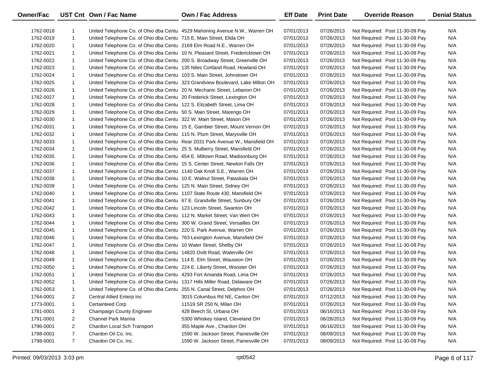| Owner/Fac |                | UST Cnt Own / Fac Name                                                       | <b>Own / Fac Address</b>                                                       | <b>Eff Date</b> | <b>Print Date</b> | <b>Override Reason</b>          | <b>Denial Status</b> |
|-----------|----------------|------------------------------------------------------------------------------|--------------------------------------------------------------------------------|-----------------|-------------------|---------------------------------|----------------------|
| 1762-0018 | 1              |                                                                              | United Telephone Co. of Ohio dba Centu 4529 Mahoning Avenue N.W., Warren OH    | 07/01/2013      | 07/26/2013        | Not Required: Post 11-30-09 Pay | N/A                  |
| 1762-0019 | $\mathbf{1}$   | United Telephone Co. of Ohio dba Centu 715 E. Main Street, Elida OH          |                                                                                | 07/01/2013      | 07/26/2013        | Not Required: Post 11-30-09 Pay | N/A                  |
| 1762-0020 | $\mathbf{1}$   | United Telephone Co. of Ohio dba Centu 2169 Elm Road N.E., Warren OH         |                                                                                | 07/01/2013      | 07/26/2013        | Not Required: Post 11-30-09 Pay | N/A                  |
| 1762-0021 | $\mathbf{1}$   |                                                                              | United Telephone Co. of Ohio dba Centu 10 N. Pleasant Street, Fredericktown OH | 07/01/2013      | 07/26/2013        | Not Required: Post 11-30-09 Pay | N/A                  |
| 1762-0022 | $\mathbf{1}$   | United Telephone Co. of Ohio dba Centu 200 S. Broadway Street, Greenville OH |                                                                                | 07/01/2013      | 07/26/2013        | Not Required: Post 11-30-09 Pay | N/A                  |
| 1762-0023 | $\mathbf{1}$   | United Telephone Co. of Ohio dba Centu 135 Niles Cortland Road, Howland OH   |                                                                                | 07/01/2013      | 07/26/2013        | Not Required: Post 11-30-09 Pay | N/A                  |
| 1762-0024 | $\mathbf{1}$   | United Telephone Co. of Ohio dba Centu 103 S. Main Street, Johnstown OH      |                                                                                | 07/01/2013      | 07/26/2013        | Not Required: Post 11-30-09 Pay | N/A                  |
| 1762-0025 | $\mathbf{1}$   |                                                                              | United Telephone Co. of Ohio dba Centu 323 Grandview Boulevard, Lake Milton OH | 07/01/2013      | 07/26/2013        | Not Required: Post 11-30-09 Pay | N/A                  |
| 1762-0026 | $\mathbf{1}$   | United Telephone Co. of Ohio dba Centu 20 N. Mechanic Street, Lebanon OH     |                                                                                | 07/01/2013      | 07/26/2013        | Not Required: Post 11-30-09 Pay | N/A                  |
| 1762-0027 | $\mathbf{1}$   | United Telephone Co. of Ohio dba Centu 20 Frederick Street, Lexington OH     |                                                                                | 07/01/2013      | 07/26/2013        | Not Required: Post 11-30-09 Pay | N/A                  |
| 1762-0028 | $\mathbf{1}$   | United Telephone Co. of Ohio dba Centu 122 S. Elizabeth Street, Lima OH      |                                                                                | 07/01/2013      | 07/26/2013        | Not Required: Post 11-30-09 Pay | N/A                  |
| 1762-0029 | $\mathbf{1}$   | United Telephone Co. of Ohio dba Centu 50 S. Main Street, Marengo OH         |                                                                                | 07/01/2013      | 07/26/2013        | Not Required: Post 11-30-09 Pay | N/A                  |
| 1762-0030 | $\mathbf{1}$   | United Telephone Co. of Ohio dba Centu 322 W. Main Street, Mason OH          |                                                                                | 07/01/2013      | 07/26/2013        | Not Required: Post 11-30-09 Pay | N/A                  |
| 1762-0031 | $\mathbf{1}$   |                                                                              | United Telephone Co. of Ohio dba Centu 15 E. Gambier Street, Mount Vernon OH   | 07/01/2013      | 07/26/2013        | Not Required: Post 11-30-09 Pay | N/A                  |
| 1762-0032 | $\mathbf{1}$   | United Telephone Co. of Ohio dba Centu 115 N. Plum Street, Marysville OH     |                                                                                | 07/01/2013      | 07/26/2013        | Not Required: Post 11-30-09 Pay | N/A                  |
| 1762-0033 | $\mathbf{1}$   |                                                                              | United Telephone Co. of Ohio dba Centu Rear 2031 Park Avenue W., Mansfield OH  | 07/01/2013      | 07/26/2013        | Not Required: Post 11-30-09 Pay | N/A                  |
| 1762-0034 | $\mathbf{1}$   | United Telephone Co. of Ohio dba Centu 25 S. Mulberry Street, Mansfield OH   |                                                                                | 07/01/2013      | 07/26/2013        | Not Required: Post 11-30-09 Pay | N/A                  |
| 1762-0035 | $\mathbf{1}$   | United Telephone Co. of Ohio dba Centu 654 E. Miltown Road, Madisonburg OH   |                                                                                | 07/01/2013      | 07/26/2013        | Not Required: Post 11-30-09 Pay | N/A                  |
| 1762-0036 | $\mathbf{1}$   | United Telephone Co. of Ohio dba Centu 15 S. Center Street, Newton Falls OH  |                                                                                | 07/01/2013      | 07/26/2013        | Not Required: Post 11-30-09 Pay | N/A                  |
| 1762-0037 | $\mathbf{1}$   | United Telephone Co. of Ohio dba Centu 1140 Oak Knoll S.E., Warren OH        |                                                                                | 07/01/2013      | 07/26/2013        | Not Required: Post 11-30-09 Pay | N/A                  |
| 1762-0038 | $\mathbf{1}$   | United Telephone Co. of Ohio dba Centu 10 E. Walnut Street, Pataskala OH     |                                                                                | 07/01/2013      | 07/26/2013        | Not Required: Post 11-30-09 Pay | N/A                  |
| 1762-0039 | $\mathbf{1}$   | United Telephone Co. of Ohio dba Centu 125 N. Main Street, Sidney OH         |                                                                                | 07/01/2013      | 07/26/2013        | Not Required: Post 11-30-09 Pay | N/A                  |
| 1762-0040 | $\mathbf{1}$   | United Telephone Co. of Ohio dba Centu 1107 State Route 430, Mansfield OH    |                                                                                | 07/01/2013      | 07/26/2013        | Not Required: Post 11-30-09 Pay | N/A                  |
| 1762-0041 | $\mathbf{1}$   | United Telephone Co. of Ohio dba Centu 67 E. Grandville Street, Sunbury OH   |                                                                                | 07/01/2013      | 07/26/2013        | Not Required: Post 11-30-09 Pay | N/A                  |
| 1762-0042 | $\mathbf{1}$   | United Telephone Co. of Ohio dba Centu 123 Lincoln Street, Swanton OH        |                                                                                | 07/01/2013      | 07/26/2013        | Not Required: Post 11-30-09 Pay | N/A                  |
| 1762-0043 | $\mathbf{1}$   | United Telephone Co. of Ohio dba Centu 112 N. Market Street, Van Wert OH     |                                                                                | 07/01/2013      | 07/26/2013        | Not Required: Post 11-30-09 Pay | N/A                  |
| 1762-0044 | $\mathbf{1}$   | United Telephone Co. of Ohio dba Centu 300 W. Grand Street, Versailles OH    |                                                                                | 07/01/2013      | 07/26/2013        | Not Required: Post 11-30-09 Pay | N/A                  |
| 1762-0045 | $\mathbf{1}$   | United Telephone Co. of Ohio dba Centu 220 S. Park Avenue, Warren OH         |                                                                                | 07/01/2013      | 07/26/2013        | Not Required: Post 11-30-09 Pay | N/A                  |
| 1762-0046 | $\mathbf{1}$   | United Telephone Co. of Ohio dba Centu 763 Lexington Avenue, Mansfield OH    |                                                                                | 07/01/2013      | 07/26/2013        | Not Required: Post 11-30-09 Pay | N/A                  |
| 1762-0047 | $\mathbf{1}$   | United Telephone Co. of Ohio dba Centu 10 Water Street, Shelby OH            |                                                                                | 07/01/2013      | 07/26/2013        | Not Required: Post 11-30-09 Pay | N/A                  |
| 1762-0048 | $\mathbf{1}$   | United Telephone Co. of Ohio dba Centu 14820 Ovitt Road, Waterville OH       |                                                                                | 07/01/2013      | 07/26/2013        | Not Required: Post 11-30-09 Pay | N/A                  |
| 1762-0049 | $\mathbf{1}$   | United Telephone Co. of Ohio dba Centu 114 E. Elm Street, Wauseon OH         |                                                                                | 07/01/2013      | 07/26/2013        | Not Required: Post 11-30-09 Pay | N/A                  |
| 1762-0050 | $\mathbf{1}$   | United Telephone Co. of Ohio dba Centu 224 E. Liberty Street, Wooster OH     |                                                                                | 07/01/2013      | 07/26/2013        | Not Required: Post 11-30-09 Pay | N/A                  |
| 1762-0051 | $\mathbf{1}$   | United Telephone Co. of Ohio dba Centu 4293 Fort Amanda Road, Lima OH        |                                                                                | 07/01/2013      | 07/26/2013        | Not Required: Post 11-30-09 Pay | N/A                  |
| 1762-0052 | $\mathbf{1}$   | United Telephone Co. of Ohio dba Centu 1317 Hills Miller Road, Delaware OH   |                                                                                | 07/01/2013      | 07/26/2013        | Not Required: Post 11-30-09 Pay | N/A                  |
| 1762-0053 | $\mathbf{1}$   | United Telephone Co. of Ohio dba Centu 255 N. Canal Street, Delphos OH       |                                                                                | 07/01/2013      | 07/26/2013        | Not Required: Post 11-30-09 Pay | N/A                  |
| 1764-0001 | 2              | Central Allied Enterp Inc                                                    | 3015 Columbus Rd NE, Canton OH                                                 | 07/01/2013      | 07/12/2013        | Not Required: Post 11-30-09 Pay | N/A                  |
| 1773-0001 | 1              | Certainteed Corp                                                             | 11519 SR 250 N, Milan OH                                                       | 07/01/2013      | 07/26/2013        | Not Required: Post 11-30-09 Pay | N/A                  |
| 1781-0001 | $\overline{2}$ | Champaign County Engineer                                                    | 428 Beech St, Urbana OH                                                        | 07/01/2013      | 06/16/2013        | Not Required: Post 11-30-09 Pay | N/A                  |
| 1791-0001 | $\overline{2}$ | Channel Park Marina                                                          | 5300 Whiskey Island, Cleveland OH                                              | 07/01/2013      | 06/28/2013        | Not Required: Post 11-30-09 Pay | N/A                  |
| 1796-0001 | $\overline{2}$ | Chardon Local Sch Transport                                                  | 355 Maple Ave., Chardon OH                                                     | 07/01/2013      | 06/16/2013        | Not Required: Post 11-30-09 Pay | N/A                  |
| 1798-0001 | $\overline{7}$ | Chardon Oil Co. Inc.                                                         | 1590 W. Jackson Street, Painesville OH                                         | 07/01/2013      | 08/09/2013        | Not Required: Post 11-30-09 Pay | N/A                  |
| 1798-0001 | $\overline{7}$ | Chardon Oil Co. Inc.                                                         | 1590 W. Jackson Street, Painesville OH                                         | 07/01/2013      | 08/09/2013        | Not Required: Post 11-30-09 Pay | N/A                  |

 $\overline{\phantom{0}}$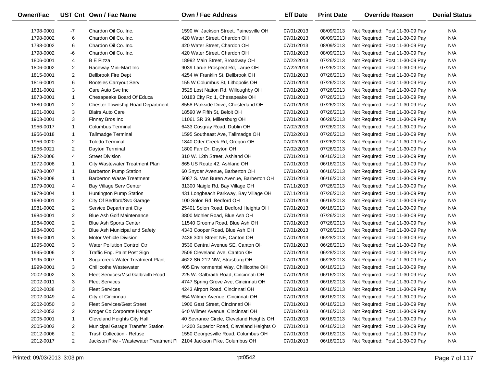| Owner/Fac |                                  | UST Cnt Own / Fac Name                                                | <b>Own / Fac Address</b>                                             | <b>Eff Date</b>          | <b>Print Date</b>        | <b>Override Reason</b>                                             | <b>Denial Status</b> |
|-----------|----------------------------------|-----------------------------------------------------------------------|----------------------------------------------------------------------|--------------------------|--------------------------|--------------------------------------------------------------------|----------------------|
| 1798-0001 | -7                               | Chardon Oil Co. Inc.                                                  | 1590 W. Jackson Street, Painesville OH                               | 07/01/2013               | 08/09/2013               |                                                                    | N/A                  |
| 1798-0002 | 6                                | Chardon Oil Co. Inc.                                                  | 420 Water Street, Chardon OH                                         | 07/01/2013               | 08/09/2013               | Not Required: Post 11-30-09 Pay<br>Not Required: Post 11-30-09 Pay | N/A                  |
| 1798-0002 | 6                                | Chardon Oil Co. Inc.                                                  | 420 Water Street, Chardon OH                                         | 07/01/2013               | 08/09/2013               | Not Required: Post 11-30-09 Pay                                    | N/A                  |
| 1798-0002 | -6                               |                                                                       | 420 Water Street, Chardon OH                                         |                          |                          |                                                                    | N/A                  |
|           |                                  | Chardon Oil Co. Inc.<br><b>B</b> E Pizza                              |                                                                      | 07/01/2013               | 08/09/2013               | Not Required: Post 11-30-09 Pay                                    | N/A                  |
| 1806-0001 | 4                                |                                                                       | 18992 Main Street, Broadway OH                                       | 07/22/2013<br>07/22/2013 | 07/26/2013<br>07/26/2013 | Not Required: Post 11-30-09 Pay                                    | N/A                  |
| 1806-0002 | $\overline{2}$<br>$\overline{2}$ | Raceway Mini-Mart Inc                                                 | 9039 Larue Prospect Rd, Larue OH<br>4254 W Franklin St, Bellbrook OH | 07/01/2013               | 07/26/2013               | Not Required: Post 11-30-09 Pay                                    | N/A                  |
| 1815-0001 | 6                                | <b>Bellbrook Fire Dept</b>                                            |                                                                      |                          |                          | Not Required: Post 11-30-09 Pay<br>Not Required: Post 11-30-09 Pay | N/A                  |
| 1816-0001 | 3                                | <b>Bootsies Carryout Serv</b><br>Care Auto Svc Inc                    | 155 W Columbus St, Lithopolis OH                                     | 07/01/2013<br>07/01/2013 | 07/26/2013<br>07/26/2013 | Not Required: Post 11-30-09 Pay                                    | N/A                  |
| 1831-0001 |                                  | Chesapeake Board Of Educa                                             | 3525 Lost Nation Rd, Willoughby OH                                   |                          |                          |                                                                    |                      |
| 1873-0001 | $\mathbf{1}$                     |                                                                       | 10183 City Rd 1, Chesapeake OH                                       | 07/01/2013               | 07/26/2013               | Not Required: Post 11-30-09 Pay                                    | N/A                  |
| 1880-0001 | $\overline{2}$                   | <b>Chester Township Road Department</b>                               | 8558 Parkside Drive, Chesterland OH                                  | 07/01/2013               | 07/26/2013               | Not Required: Post 11-30-09 Pay                                    | N/A                  |
| 1901-0001 | 3                                | <b>Blairs Auto Care</b>                                               | 18590 W Fifth St, Beloit OH                                          | 07/01/2013               | 07/26/2013               | Not Required: Post 11-30-09 Pay                                    | N/A                  |
| 1903-0001 | 3                                | Finney Bros Inc                                                       | 11061 SR 39, Millersburg OH                                          | 07/01/2013               | 06/28/2013               | Not Required: Post 11-30-09 Pay                                    | N/A                  |
| 1956-0017 | $\mathbf{1}$                     | <b>Columbus Terminal</b>                                              | 6433 Cosgray Road, Dublin OH                                         | 07/02/2013               | 07/26/2013               | Not Required: Post 11-30-09 Pay                                    | N/A                  |
| 1956-0018 | $\mathbf{1}$                     | Tallmadge Terminal                                                    | 1595 Southeast Ave, Tallmadge OH                                     | 07/02/2013               | 07/26/2013               | Not Required: Post 11-30-09 Pay                                    | N/A                  |
| 1956-0020 | $\overline{2}$                   | <b>Toledo Terminal</b>                                                | 1840 Otter Creek Rd, Oregon OH                                       | 07/02/2013               | 07/26/2013               | Not Required: Post 11-30-09 Pay                                    | N/A                  |
| 1956-0021 | $\overline{2}$                   | Dayton Terminal                                                       | 1800 Farr Dr, Dayton OH                                              | 07/02/2013               | 07/26/2013               | Not Required: Post 11-30-09 Pay                                    | N/A                  |
| 1972-0006 | 4                                | <b>Street Division</b>                                                | 310 W. 12th Street, Ashland OH                                       | 07/01/2013               | 06/16/2013               | Not Required: Post 11-30-09 Pay                                    | N/A                  |
| 1972-0008 | $\mathbf{1}$                     | City Wastewater Treatment Plan                                        | 865 US Route 42, Ashland OH                                          | 07/01/2013               | 06/16/2013               | Not Required: Post 11-30-09 Pay                                    | N/A                  |
| 1978-0007 | $\mathbf{1}$                     | <b>Barberton Pump Station</b>                                         | 60 Snyder Avenue, Barberton OH                                       | 07/01/2013               | 06/16/2013               | Not Required: Post 11-30-09 Pay                                    | N/A                  |
| 1978-0008 | $\mathbf{1}$                     | <b>Barberton Waste Treatment</b>                                      | 5087 S. Van Buren Avenue, Barberton OH                               | 07/01/2013               | 06/16/2013               | Not Required: Post 11-30-09 Pay                                    | N/A                  |
| 1979-0001 | 4                                | <b>Bay Village Serv Center</b>                                        | 31300 Naigle Rd, Bay Village OH                                      | 07/11/2013               | 07/26/2013               | Not Required: Post 11-30-09 Pay                                    | N/A                  |
| 1979-0004 | $\mathbf{1}$                     | Huntington Pump Station                                               | 431 Longbeach Parkway, Bay Village OH                                | 07/11/2013               | 07/26/2013               | Not Required: Post 11-30-09 Pay                                    | N/A                  |
| 1980-0001 | $\overline{2}$                   | City Of Bedford/Svc Garage                                            | 100 Solon Rd, Bedford OH                                             | 07/01/2013               | 06/16/2013               | Not Required: Post 11-30-09 Pay                                    | N/A                  |
| 1981-0002 | $\overline{2}$                   | Service Department City                                               | 25401 Solon Road, Bedford Heights OH                                 | 07/01/2013               | 06/16/2013               | Not Required: Post 11-30-09 Pay                                    | N/A                  |
| 1984-0001 | $\overline{2}$                   | <b>Blue Ash Golf Maintenance</b>                                      | 3800 Mohler Road, Blue Ash OH                                        | 07/01/2013               | 07/26/2013               | Not Required: Post 11-30-09 Pay                                    | N/A                  |
| 1984-0002 | $\overline{2}$                   | <b>Blue Ash Sports Center</b>                                         | 11540 Grooms Road, Blue Ash OH                                       | 07/01/2013               | 07/26/2013               | Not Required: Post 11-30-09 Pay                                    | N/A                  |
| 1984-0003 | 3                                | Blue Ash Municipal and Safety                                         | 4343 Cooper Road, Blue Ash OH                                        | 07/01/2013               | 07/26/2013               | Not Required: Post 11-30-09 Pay                                    | N/A                  |
| 1995-0001 | 3                                | Motor Vehicle Division                                                | 2436 30th Street NE, Canton OH                                       | 07/01/2013               | 06/28/2013               | Not Required: Post 11-30-09 Pay                                    | N/A                  |
| 1995-0002 | 3                                | <b>Water Pollution Control Ctr</b>                                    | 3530 Central Avenue SE, Canton OH                                    | 07/01/2013               | 06/28/2013               | Not Required: Post 11-30-09 Pay                                    | N/A                  |
| 1995-0006 | $\overline{2}$                   | Traffic Eng. Paint Post Sign                                          | 2506 Cleveland Ave, Canton OH                                        | 07/01/2013               | 06/28/2013               | Not Required: Post 11-30-09 Pay                                    | N/A                  |
| 1995-0007 | $\mathbf{1}$                     | Sugarcreek Water Treatment Plant                                      | 4622 SR 212 NW, Strasburg OH                                         | 07/01/2013               | 06/28/2013               | Not Required: Post 11-30-09 Pay                                    | N/A                  |
| 1999-0001 | 3                                | Chillicothe Wastewater                                                | 405 Environmental Way, Chillicothe OH                                | 07/01/2013               | 06/16/2013               | Not Required: Post 11-30-09 Pay                                    | N/A                  |
| 2002-0002 | 3                                | Fleet Services/Msd Galbraith Road                                     | 225 W. Galbraith Road, Cincinnati OH                                 | 07/01/2013               | 06/16/2013               | Not Required: Post 11-30-09 Pay                                    | N/A                  |
| 2002-0011 | 3                                | <b>Fleet Services</b>                                                 | 4747 Spring Grove Ave, Cincinnati OH                                 | 07/01/2013               | 06/16/2013               | Not Required: Post 11-30-09 Pay                                    | N/A                  |
| 2002-0038 | 3                                | <b>Fleet Services</b>                                                 | 4243 Airport Road, Cincinnati OH                                     | 07/01/2013               | 06/16/2013               | Not Required: Post 11-30-09 Pay                                    | N/A                  |
| 2002-0049 | 4                                | City of Cincinnati                                                    | 654 Wilmer Avenue, Cincinnati OH                                     | 07/01/2013               | 06/16/2013               | Not Required: Post 11-30-09 Pay                                    | N/A                  |
| 2002-0050 | 3                                | <b>Fleet Services/Gest Street</b>                                     | 1900 Gest Street, Cincinnati OH                                      | 07/01/2013               | 06/16/2013               | Not Required: Post 11-30-09 Pay                                    | N/A                  |
| 2002-0053 | $\overline{2}$                   | Kroger Co Corporate Hangar                                            | 640 Wilmer Avenue, Cincinnati OH                                     | 07/01/2013               | 06/16/2013               | Not Required: Post 11-30-09 Pay                                    | N/A                  |
| 2005-0001 | 1                                | Cleveland Heights City Hall                                           | 40 Sevrance Circle, Cleveland Heights OH                             | 07/01/2013               | 06/16/2013               | Not Required: Post 11-30-09 Pay                                    | N/A                  |
| 2005-0003 | 2                                | Municipal Garage Transfer Station                                     | 14200 Superior Road, Cleveland Heights O                             | 07/01/2013               | 06/16/2013               | Not Required: Post 11-30-09 Pay                                    | N/A                  |
| 2012-0006 | $\overline{2}$                   | <b>Trash Collection - Refuse</b>                                      | 1550 Georgesville Road, Columbus OH                                  | 07/01/2013               | 06/16/2013               | Not Required: Post 11-30-09 Pay                                    | N/A                  |
| 2012-0017 | $\overline{a}$                   | Jackson Pike - Wastewater Treatment PI 2104 Jackson Pike, Columbus OH |                                                                      | 07/01/2013               | 06/16/2013               | Not Required: Post 11-30-09 Pay                                    | N/A                  |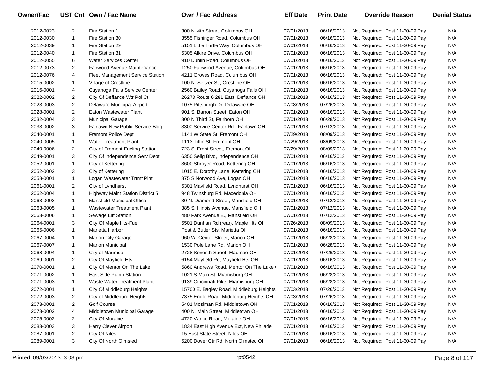| Owner/Fac |                | UST Cnt Own / Fac Name                  | <b>Own / Fac Address</b>                 | <b>Eff Date</b> | <b>Print Date</b> | <b>Override Reason</b>          | <b>Denial Status</b> |
|-----------|----------------|-----------------------------------------|------------------------------------------|-----------------|-------------------|---------------------------------|----------------------|
| 2012-0023 | 2              | Fire Station 1                          | 300 N. 4th Street, Columbus OH           | 07/01/2013      | 06/16/2013        | Not Required: Post 11-30-09 Pay | N/A                  |
| 2012-0030 | $\mathbf{1}$   | Fire Station 30                         | 3555 Fishinger Road, Columbus OH         | 07/01/2013      | 06/16/2013        | Not Required: Post 11-30-09 Pay | N/A                  |
| 2012-0039 | $\mathbf{1}$   | Fire Station 29                         | 5151 Little Turtle Way, Columbus OH      | 07/01/2013      | 06/16/2013        | Not Required: Post 11-30-09 Pay | N/A                  |
| 2012-0040 | $\mathbf{1}$   | Fire Station 31                         | 5305 Alkire Drive, Columbus OH           | 07/01/2013      | 06/16/2013        | Not Required: Post 11-30-09 Pay | N/A                  |
| 2012-0055 | 6              | <b>Water Services Center</b>            | 910 Dublin Road, Columbus OH             | 07/01/2013      | 06/16/2013        | Not Required: Post 11-30-09 Pay | N/A                  |
| 2012-0073 | 2              | Fairwood Avenue Maintenance             | 1250 Fairwood Avenue, Columbus OH        | 07/01/2013      | 06/16/2013        | Not Required: Post 11-30-09 Pay | N/A                  |
| 2012-0076 | 4              | <b>Fleet Management Service Station</b> | 4211 Groves Road, Columbus OH            | 07/01/2013      | 06/16/2013        | Not Required: Post 11-30-09 Pay | N/A                  |
| 2015-0002 | $\mathbf{1}$   | Village of Crestline                    | 100 N. Seltzer St., Crestline OH         | 07/01/2013      | 06/16/2013        | Not Required: Post 11-30-09 Pay | N/A                  |
| 2016-0001 | 4              | Cuyahoga Falls Service Center           | 2560 Bailey Road, Cuyahoga Falls OH      | 07/01/2013      | 06/16/2013        | Not Required: Post 11-30-09 Pay | N/A                  |
| 2022-0002 | $\overline{2}$ | City Of Defiance Wtr Pol Ct             | 26273 Route 6 281 East, Defiance OH      | 07/01/2013      | 06/16/2013        | Not Required: Post 11-30-09 Pay | N/A                  |
| 2023-0003 | $\overline{2}$ | Delaware Municipal Airport              | 1075 Pittsburgh Dr, Delaware OH          | 07/08/2013      | 07/26/2013        | Not Required: Post 11-30-09 Pay | N/A                  |
| 2028-0001 | 2              | Eaton Wastewater Plant                  | 901 S. Barron Street, Eaton OH           | 07/01/2013      | 06/16/2013        | Not Required: Post 11-30-09 Pay | N/A                  |
| 2032-0004 | 3              | <b>Municipal Garage</b>                 | 300 N Third St, Fairborn OH              | 07/01/2013      | 06/28/2013        | Not Required: Post 11-30-09 Pay | N/A                  |
| 2033-0002 | 3              | Fairlawn New Public Service Bldg        | 3300 Service Center Rd., Fairlawn OH     | 07/01/2013      | 07/12/2013        | Not Required: Post 11-30-09 Pay | N/A                  |
| 2040-0001 | $\mathbf{1}$   | <b>Fremont Police Dept</b>              | 1141 W State St, Fremont OH              | 07/29/2013      | 08/09/2013        | Not Required: Post 11-30-09 Pay | N/A                  |
| 2040-0005 | $\mathbf{1}$   | <b>Water Treatment Plant</b>            | 1113 Tiffin St, Fremont OH               | 07/29/2013      | 08/09/2013        | Not Required: Post 11-30-09 Pay | N/A                  |
| 2040-0006 | $\overline{2}$ | City of Fremont Fueling Station         | 723 S. Front Street, Fremont OH          | 07/29/2013      | 08/09/2013        | Not Required: Post 11-30-09 Pay | N/A                  |
| 2049-0001 | 3              | City Of Independence Serv Dept          | 6350 Selig Blvd, Independence OH         | 07/01/2013      | 06/16/2013        | Not Required: Post 11-30-09 Pay | N/A                  |
| 2052-0001 | $\mathbf{1}$   | City of Kettering                       | 3600 Shroyer Road, Kettering OH          | 07/01/2013      | 06/16/2013        | Not Required: Post 11-30-09 Pay | N/A                  |
| 2052-0002 | 3              | City of Kettering                       | 1015 E. Dorothy Lane, Kettering OH       | 07/01/2013      | 06/16/2013        | Not Required: Post 11-30-09 Pay | N/A                  |
| 2058-0001 | $\mathbf{1}$   | Logan Wastewater Trtmt PInt             | 875 S Norwood Ave, Logan OH              | 07/01/2013      | 06/16/2013        | Not Required: Post 11-30-09 Pay | N/A                  |
| 2061-0001 | $\overline{2}$ | City of Lyndhurst                       | 5301 Mayfield Road, Lyndhurst OH         | 07/01/2013      | 06/16/2013        | Not Required: Post 11-30-09 Pay | N/A                  |
| 2062-0004 | $\mathbf{1}$   | <b>Highway Maint Station District 5</b> | 948 Twinsburg Rd, Macedonia OH           | 07/01/2013      | 06/16/2013        | Not Required: Post 11-30-09 Pay | N/A                  |
| 2063-0003 | $\mathbf{1}$   | Mansfield Municipal Office              | 30 N. Diamond Street, Mansfield OH       | 07/01/2013      | 07/12/2013        | Not Required: Post 11-30-09 Pay | N/A                  |
| 2063-0005 | $\mathbf{1}$   | <b>Wastewater Treatment Plant</b>       | 385 S. Illinois Avenue, Mansfield OH     | 07/01/2013      | 07/12/2013        | Not Required: Post 11-30-09 Pay | N/A                  |
| 2063-0006 | $\mathbf{1}$   | Sewage Lift Station                     | 480 Park Avenue E., Mansfield OH         | 07/01/2013      | 07/12/2013        | Not Required: Post 11-30-09 Pay | N/A                  |
| 2064-0001 | 3              | City Of Maple Hts-Fuel                  | 5501 Dunhan Rd (rear), Maple Hts OH      | 07/26/2013      | 08/09/2013        | Not Required: Post 11-30-09 Pay | N/A                  |
| 2065-0006 | $\mathbf{1}$   | Marietta Harbor                         | Post & Butler Sts, Marietta OH           | 07/01/2013      | 06/16/2013        | Not Required: Post 11-30-09 Pay | N/A                  |
| 2067-0004 | $\mathbf{1}$   | <b>Marion City Garage</b>               | 960 W. Center Street, Marion OH          | 07/01/2013      | 06/28/2013        | Not Required: Post 11-30-09 Pay | N/A                  |
| 2067-0007 | $\mathbf{1}$   | <b>Marion Municipal</b>                 | 1530 Pole Lane Rd, Marion OH             | 07/01/2013      | 06/28/2013        | Not Required: Post 11-30-09 Pay | N/A                  |
| 2068-0004 | $\mathbf{1}$   | City of Maumee                          | 2728 Seventh Street, Maumee OH           | 07/01/2013      | 07/26/2013        | Not Required: Post 11-30-09 Pay | N/A                  |
| 2069-0001 | $\overline{2}$ | City Of Mayfield Hts                    | 6154 Mayfield Rd, Mayfield Hts OH        | 07/01/2013      | 06/16/2013        | Not Required: Post 11-30-09 Pay | N/A                  |
| 2070-0001 | $\mathbf{1}$   | City Of Mentor On The Lake              | 5860 Andrews Road, Mentor On The Lake (  | 07/01/2013      | 06/16/2013        | Not Required: Post 11-30-09 Pay | N/A                  |
| 2071-0002 | 1              | East Side Pump Station                  | 1021 S Main St, Miamisburg OH            | 07/01/2013      | 06/28/2013        | Not Required: Post 11-30-09 Pay | N/A                  |
| 2071-0003 | $\mathbf{1}$   | Waste Water Treatment Plant             | 9139 Cincinnati Pike, Miamisburg OH      | 07/01/2013      | 06/28/2013        | Not Required: Post 11-30-09 Pay | N/A                  |
| 2072-0001 | 1              | City Of Middleburg Heights              | 15700 E. Bagley Road, Middleburg Heights | 07/03/2013      | 07/26/2013        | Not Required: Post 11-30-09 Pay | N/A                  |
| 2072-0003 | 2              | City of Middleburg Heights              | 7375 Engle Road, Middleburg Heights OH   | 07/03/2013      | 07/26/2013        | Not Required: Post 11-30-09 Pay | N/A                  |
| 2073-0001 | 2              | Golf Course                             | 5401 Mosiman Rd, Middletown OH           | 07/01/2013      | 06/16/2013        | Not Required: Post 11-30-09 Pay | N/A                  |
| 2073-0002 | 4              | Middletown Municipal Garage             | 400 N. Main Street, Middletown OH        | 07/01/2013      | 06/16/2013        | Not Required: Post 11-30-09 Pay | N/A                  |
| 2075-0002 | 2              | City Of Moraine                         | 4720 Vance Road, Moraine OH              | 07/01/2013      | 06/16/2013        | Not Required: Post 11-30-09 Pay | N/A                  |
| 2083-0003 | 3              | <b>Harry Clever Airport</b>             | 1834 East High Avenue Ext, New Philade   | 07/01/2013      | 06/16/2013        | Not Required: Post 11-30-09 Pay | N/A                  |
| 2087-0001 | 2              | City Of Niles                           | 15 East State Street, Niles OH           | 07/01/2013      | 06/16/2013        | Not Required: Post 11-30-09 Pay | N/A                  |
| 2089-0001 | 3              | City Of North Olmsted                   | 5200 Dover Ctr Rd, North Olmsted OH      | 07/01/2013      | 06/16/2013        | Not Required: Post 11-30-09 Pay | N/A                  |

 $\overline{\phantom{0}}$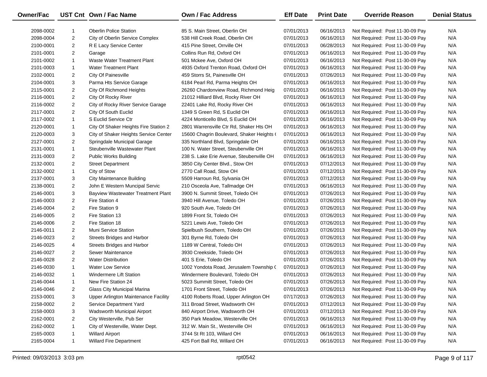| Owner/Fac |                | UST Cnt Own / Fac Name                    | Own / Fac Address                         | <b>Eff Date</b> | <b>Print Date</b> | <b>Override Reason</b>          | <b>Denial Status</b> |
|-----------|----------------|-------------------------------------------|-------------------------------------------|-----------------|-------------------|---------------------------------|----------------------|
| 2098-0002 |                | <b>Oberlin Police Station</b>             | 85 S. Main Street, Oberlin OH             | 07/01/2013      | 06/16/2013        | Not Required: Post 11-30-09 Pay | N/A                  |
| 2098-0004 | $\overline{2}$ | City of Oberlin Service Complex           | 538 Hill Creek Road, Oberlin OH           | 07/01/2013      | 06/16/2013        | Not Required: Post 11-30-09 Pay | N/A                  |
| 2100-0001 | $\overline{2}$ | R E Lacy Service Center                   | 415 Pine Street, Orrville OH              | 07/01/2013      | 06/28/2013        | Not Required: Post 11-30-09 Pay | N/A                  |
| 2101-0001 | $\overline{2}$ | Garage                                    | Collins Run Rd, Oxford OH                 | 07/01/2013      | 06/16/2013        | Not Required: Post 11-30-09 Pay | N/A                  |
| 2101-0002 | $\mathbf{1}$   | Waste Water Treatment Plant               | 501 Mckee Ave, Oxford OH                  | 07/01/2013      | 06/16/2013        | Not Required: Post 11-30-09 Pay | N/A                  |
| 2101-0003 | $\mathbf{1}$   | <b>Water Treatment Plant</b>              | 4935 Oxford Trenton Road, Oxford OH       | 07/01/2013      | 06/16/2013        | Not Required: Post 11-30-09 Pay | N/A                  |
| 2102-0001 | $\overline{2}$ | <b>City Of Painesville</b>                | 459 Storrs St, Painesville OH             | 07/01/2013      | 07/26/2013        | Not Required: Post 11-30-09 Pay | N/A                  |
| 2104-0001 | 3              | Parma Hts Service Garage                  | 6184 Pearl Rd, Parma Heights OH           | 07/01/2013      | 06/16/2013        | Not Required: Post 11-30-09 Pay | N/A                  |
| 2115-0001 | $\overline{2}$ | City Of Richmond Heights                  | 26260 Chardonview Road, Richmond Heig     | 07/01/2013      | 06/16/2013        | Not Required: Post 11-30-09 Pay | N/A                  |
| 2116-0001 | $\overline{2}$ | City Of Rocky River                       | 21012 Hilliard Blvd, Rocky River OH       | 07/01/2013      | 06/16/2013        | Not Required: Post 11-30-09 Pay | N/A                  |
| 2116-0002 | $\overline{2}$ | City of Rocky River Service Garage        | 22401 Lake Rd, Rocky River OH             | 07/01/2013      | 06/16/2013        | Not Required: Post 11-30-09 Pay | N/A                  |
| 2117-0001 | $\overline{2}$ | City Of South Euclid                      | 1349 S Green Rd, S Euclid OH              | 07/01/2013      | 06/16/2013        | Not Required: Post 11-30-09 Pay | N/A                  |
| 2117-0002 | $\mathbf{1}$   | S Euclid Service Ctr                      | 4224 Monticello Blvd, S Euclid OH         | 07/01/2013      | 06/16/2013        | Not Required: Post 11-30-09 Pay | N/A                  |
| 2120-0001 | $\mathbf{1}$   | City Of Shaker Heights Fire Station 2     | 2801 Warrensville Ctr Rd, Shaker Hts OH   | 07/01/2013      | 06/16/2013        | Not Required: Post 11-30-09 Pay | N/A                  |
| 2120-0003 | 3              | City of Shaker Heights Service Center     | 15600 Chagrin Boulevard, Shaker Heights ( | 07/01/2013      | 06/16/2013        | Not Required: Post 11-30-09 Pay | N/A                  |
| 2127-0001 | $\overline{2}$ | Springdale Municipal Garage               | 335 Northland Blvd, Springdale OH         | 07/01/2013      | 06/16/2013        | Not Required: Post 11-30-09 Pay | N/A                  |
| 2131-0001 | $\mathbf{1}$   | Steubenville Wastewater Plant             | 100 N. Water Street, Steubenville OH      | 07/01/2013      | 06/16/2013        | Not Required: Post 11-30-09 Pay | N/A                  |
| 2131-0003 | $\overline{2}$ | Public Works Building                     | 238 S. Lake Erie Avenue, Steubenville OH  | 07/01/2013      | 06/16/2013        | Not Required: Post 11-30-09 Pay | N/A                  |
| 2132-0001 | $\overline{2}$ | <b>Street Department</b>                  | 3850 City Center Blvd., Stow OH           | 07/01/2013      | 07/12/2013        | Not Required: Post 11-30-09 Pay | N/A                  |
| 2132-0002 | $\mathbf{1}$   | City of Stow                              | 2770 Call Road, Stow OH                   | 07/01/2013      | 07/12/2013        | Not Required: Post 11-30-09 Pay | N/A                  |
| 2137-0001 | 3              | <b>City Maintenance Building</b>          | 5509 Harroun Rd, Sylvania OH              | 07/01/2013      | 07/12/2013        | Not Required: Post 11-30-09 Pay | N/A                  |
| 2138-0001 | $\overline{2}$ | John E Western Muncipal Servic            | 210 Osceola Ave, Tallmadge OH             | 07/01/2013      | 06/16/2013        | Not Required: Post 11-30-09 Pay | N/A                  |
| 2146-0001 | 3              | <b>Bayview Wastewater Treatment Plant</b> | 3900 N. Summit Street, Toledo OH          | 07/01/2013      | 07/26/2013        | Not Required: Post 11-30-09 Pay | N/A                  |
| 2146-0003 | $\overline{2}$ | Fire Station 4                            | 3940 Hill Avenue, Toledo OH               | 07/01/2013      | 07/26/2013        | Not Required: Post 11-30-09 Pay | N/A                  |
| 2146-0004 | $\overline{2}$ | Fire Station 9                            | 920 South Ave, Toledo OH                  | 07/01/2013      | 07/26/2013        | Not Required: Post 11-30-09 Pay | N/A                  |
| 2146-0005 | $\overline{2}$ | Fire Station 13                           | 1899 Front St, Toledo OH                  | 07/01/2013      | 07/26/2013        | Not Required: Post 11-30-09 Pay | N/A                  |
| 2146-0006 | $\overline{2}$ | Fire Station 18                           | 5221 Lewis Ave, Toledo OH                 | 07/01/2013      | 07/26/2013        | Not Required: Post 11-30-09 Pay | N/A                  |
| 2146-0011 | $\overline{2}$ | Muni Service Station                      | Spielbush Southern, Toledo OH             | 07/01/2013      | 07/26/2013        | Not Required: Post 11-30-09 Pay | N/A                  |
| 2146-0023 | $\overline{2}$ | Streets Bridges and Harbor                | 301 Byrne Rd, Toledo OH                   | 07/01/2013      | 07/26/2013        | Not Required: Post 11-30-09 Pay | N/A                  |
| 2146-0025 | 4              | Streets Bridges and Harbor                | 1189 W Central, Toledo OH                 | 07/01/2013      | 07/26/2013        | Not Required: Post 11-30-09 Pay | N/A                  |
| 2146-0027 | $\overline{2}$ | Sewer Maintenance                         | 3930 Creekside, Toledo OH                 | 07/01/2013      | 07/26/2013        | Not Required: Post 11-30-09 Pay | N/A                  |
| 2146-0028 | $\overline{2}$ | <b>Water Distribution</b>                 | 401 S Erie, Toledo OH                     | 07/01/2013      | 07/26/2013        | Not Required: Post 11-30-09 Pay | N/A                  |
| 2146-0030 | $\mathbf{1}$   | <b>Water Low Service</b>                  | 1002 Yondota Road, Jerusalem Township (   | 07/01/2013      | 07/26/2013        | Not Required: Post 11-30-09 Pay | N/A                  |
| 2146-0032 | $\mathbf{1}$   | <b>Windermere Lift Station</b>            | Windermere Boulevard, Toledo OH           | 07/01/2013      | 07/26/2013        | Not Required: Post 11-30-09 Pay | N/A                  |
| 2146-0044 | $\mathbf{1}$   | New Fire Station 24                       | 5023 Summitt Street, Toledo OH            | 07/01/2013      | 07/26/2013        | Not Required: Post 11-30-09 Pay | N/A                  |
| 2146-0046 | $\overline{2}$ | Glass City Municipal Marina               | 1701 Front Street, Toledo OH              | 07/01/2013      | 07/26/2013        | Not Required: Post 11-30-09 Pay | N/A                  |
| 2153-0001 | 3              | Upper Arlington Maintenance Facility      | 4100 Roberts Road, Upper Arlington OH     | 07/17/2013      | 07/26/2013        | Not Required: Post 11-30-09 Pay | N/A                  |
| 2158-0002 | 2              | Service Department Yard                   | 311 Broad Street, Wadsworth OH            | 07/01/2013      | 07/12/2013        | Not Required: Post 11-30-09 Pay | N/A                  |
| 2158-0003 | 3              | Wadsworth Municipal Airport               | 840 Airport Drive, Wadsworth OH           | 07/01/2013      | 07/12/2013        | Not Required: Post 11-30-09 Pay | N/A                  |
| 2162-0001 | $\overline{2}$ | City Westerville, Pub Ser                 | 350 Park Meadow, Westerville OH           | 07/01/2013      | 06/16/2013        | Not Required: Post 11-30-09 Pay | N/A                  |
| 2162-0002 | 1              | City of Westerville, Water Dept.          | 312 W. Main St., Westerville OH           | 07/01/2013      | 06/16/2013        | Not Required: Post 11-30-09 Pay | N/A                  |
| 2165-0003 | 1              | <b>Willard Airport</b>                    | 3744 St Rt 103, Willard OH                | 07/01/2013      | 06/16/2013        | Not Required: Post 11-30-09 Pay | N/A                  |
| 2165-0004 | $\mathbf{1}$   | <b>Willard Fire Department</b>            | 425 Fort Ball Rd, Willard OH              | 07/01/2013      | 06/16/2013        | Not Required: Post 11-30-09 Pay | N/A                  |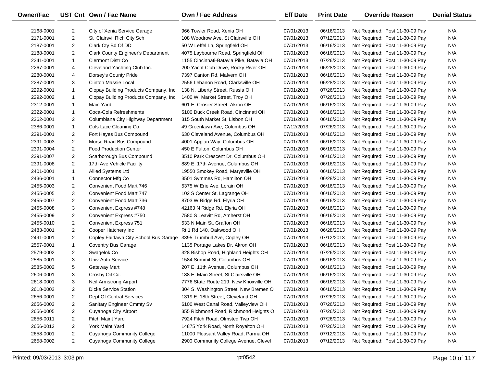| <b>Owner/Fac</b> |                | UST Cnt Own / Fac Name                    | Own / Fac Address                        | <b>Eff Date</b> | <b>Print Date</b> | <b>Override Reason</b>          | <b>Denial Status</b> |
|------------------|----------------|-------------------------------------------|------------------------------------------|-----------------|-------------------|---------------------------------|----------------------|
| 2168-0001        | $\overline{2}$ | City of Xenia Service Garage              | 966 Towler Road, Xenia OH                | 07/01/2013      | 06/16/2013        | Not Required: Post 11-30-09 Pay | N/A                  |
| 2171-0001        | $\overline{2}$ | St Clairsvil Rich City Sch                | 108 Woodrow Ave, St Clairsville OH       | 07/01/2013      | 07/12/2013        | Not Required: Post 11-30-09 Pay | N/A                  |
| 2187-0001        | $\overline{2}$ | Clark Cty Bd Of DD                        | 50 W Leffel Ln, Springfield OH           | 07/01/2013      | 06/16/2013        | Not Required: Post 11-30-09 Pay | N/A                  |
| 2188-0001        | $\overline{2}$ | <b>Clark County Engineer's Department</b> | 4075 Laybourne Road, Springfield OH      | 07/01/2013      | 06/16/2013        | Not Required: Post 11-30-09 Pay | N/A                  |
| 2241-0001        | $\mathbf{1}$   | <b>Clermont Distr Co</b>                  | 1155 Cincinnati-Batavia Pike, Batavia OH | 07/01/2013      | 07/26/2013        | Not Required: Post 11-30-09 Pay | N/A                  |
| 2267-0001        | 4              | Cleveland Yachting Club Inc.              | 200 Yacht Club Drive, Rocky River OH     | 07/01/2013      | 06/28/2013        | Not Required: Post 11-30-09 Pay | N/A                  |
| 2280-0001        | 4              | Dorsey's County Pride                     | 7397 Canton Rd, Malvern OH               | 07/01/2013      | 06/16/2013        | Not Required: Post 11-30-09 Pay | N/A                  |
| 2287-0001        | 3              | <b>Clinton Massie Local</b>               | 2556 Lebanon Road, Clarksville OH        | 07/01/2013      | 06/28/2013        | Not Required: Post 11-30-09 Pay | N/A                  |
| 2292-0001        | $\mathbf{1}$   | Clopay Building Products Company, Inc.    | 138 N. Liberty Street, Russia OH         | 07/01/2013      | 07/26/2013        | Not Required: Post 11-30-09 Pay | N/A                  |
| 2292-0002        | $\mathbf{1}$   | Clopay Building Products Company, Inc.    | 1400 W. Market Street, Troy OH           | 07/01/2013      | 07/26/2013        | Not Required: Post 11-30-09 Pay | N/A                  |
| 2312-0001        | $\mathbf{1}$   | Main Yard                                 | 601 E. Crosier Street, Akron OH          | 07/01/2013      | 06/16/2013        | Not Required: Post 11-30-09 Pay | N/A                  |
| 2322-0001        | $\mathbf{1}$   | Coca-Cola Refreshments                    | 5100 Duck Creek Road, Cincinnati OH      | 07/01/2013      | 06/16/2013        | Not Required: Post 11-30-09 Pay | N/A                  |
| 2362-0001        | $\overline{2}$ | Columbiana City Highway Department        | 315 South Market St, Lisbon OH           | 07/01/2013      | 06/16/2013        | Not Required: Post 11-30-09 Pay | N/A                  |
| 2386-0001        | $\mathbf{1}$   | Cols Lace Cleaning Co                     | 49 Greenlawn Ave, Columbus OH            | 07/12/2013      | 07/26/2013        | Not Required: Post 11-30-09 Pay | N/A                  |
| 2391-0001        | $\overline{2}$ | Fort Hayes Bus Compound                   | 630 Cleveland Avenue, Columbus OH        | 07/01/2013      | 06/16/2013        | Not Required: Post 11-30-09 Pay | N/A                  |
| 2391-0003        | $\overline{2}$ | Morse Road Bus Compound                   | 4001 Appian Way, Columbus OH             | 07/01/2013      | 06/16/2013        | Not Required: Post 11-30-09 Pay | N/A                  |
| 2391-0004        | $\overline{2}$ | <b>Food Production Center</b>             | 450 E Fulton, Columbus OH                | 07/01/2013      | 06/16/2013        | Not Required: Post 11-30-09 Pay | N/A                  |
| 2391-0007        | $\overline{2}$ | Scarborough Bus Compound                  | 3510 Park Crescent Dr, Columbus OH       | 07/01/2013      | 06/16/2013        | Not Required: Post 11-30-09 Pay | N/A                  |
| 2391-0008        | $\overline{2}$ | 17th Ave Vehicle Facility                 | 889 E. 17th Avenue, Columbus OH          | 07/01/2013      | 06/16/2013        | Not Required: Post 11-30-09 Pay | N/A                  |
| 2401-0001        | $\mathbf{1}$   | Allied Systems Ltd                        | 19550 Smokey Road, Marysville OH         | 07/01/2013      | 06/16/2013        | Not Required: Post 11-30-09 Pay | N/A                  |
| 2436-0001        | $\mathbf{1}$   | Connector Mfg Co                          | 3501 Symmes Rd, Hamilton OH              | 07/01/2013      | 06/28/2013        | Not Required: Post 11-30-09 Pay | N/A                  |
| 2455-0003        | $\overline{2}$ | Convenient Food Mart 746                  | 5375 W Erie Ave, Lorain OH               | 07/01/2013      | 06/16/2013        | Not Required: Post 11-30-09 Pay | N/A                  |
| 2455-0005        | 3              | Convenient Food Mart 747                  | 102 S Center St, Lagrange OH             | 07/01/2013      | 06/16/2013        | Not Required: Post 11-30-09 Pay | N/A                  |
| 2455-0007        | $\overline{2}$ | Convenient Food Mart 736                  | 8703 W Ridge Rd, Elyria OH               | 07/01/2013      | 06/16/2013        | Not Required: Post 11-30-09 Pay | N/A                  |
| 2455-0008        | 3              | Convenient Express #748                   | 42163 N Ridge Rd, Elyria OH              | 07/01/2013      | 06/16/2013        | Not Required: Post 11-30-09 Pay | N/A                  |
| 2455-0009        | $\overline{2}$ | Convenient Express #750                   | 7580 S Leavitt Rd, Amherst OH            | 07/01/2013      | 06/16/2013        | Not Required: Post 11-30-09 Pay | N/A                  |
| 2455-0010        | $\overline{2}$ | Convenient Express 751                    | 533 N Main St, Grafton OH                | 07/01/2013      | 06/16/2013        | Not Required: Post 11-30-09 Pay | N/A                  |
| 2483-0001        | $\overline{2}$ | Cooper Hatchery Inc                       | Rt 1 Rd 140, Oakwood OH                  | 07/01/2013      | 06/28/2013        | Not Required: Post 11-30-09 Pay | N/A                  |
| 2491-0001        | $\overline{2}$ | Copley Fairlawn City School Bus Garage    | 3395 Trumbull Ave, Copley OH             | 07/01/2013      | 07/12/2013        | Not Required: Post 11-30-09 Pay | N/A                  |
| 2557-0001        | $\mathbf{1}$   | <b>Coventry Bus Garage</b>                | 1135 Portage Lakes Dr, Akron OH          | 07/01/2013      | 06/16/2013        | Not Required: Post 11-30-09 Pay | N/A                  |
| 2579-0002        | $\overline{2}$ | Swagelok Co                               | 328 Bishop Road, Highland Heights OH     | 07/01/2013      | 07/26/2013        | Not Required: Post 11-30-09 Pay | N/A                  |
| 2585-0001        | 3              | Univ Auto Service                         | 1584 Summit St, Columbus OH              | 07/01/2013      | 06/16/2013        | Not Required: Post 11-30-09 Pay | N/A                  |
| 2585-0002        | 5              | <b>Gateway Mart</b>                       | 207 E. 11th Avenue, Columbus OH          | 07/01/2013      | 06/16/2013        | Not Required: Post 11-30-09 Pay | N/A                  |
| 2606-0001        | 3              | Crosby Oil Co.                            | 188 E. Main Street, St Clairsville OH    | 07/01/2013      | 06/16/2013        | Not Required: Post 11-30-09 Pay | N/A                  |
| 2618-0001        | 3              | Neil Armstrong Airport                    | 7776 State Route 219, New Knoxville OH   | 07/01/2013      | 06/16/2013        | Not Required: Post 11-30-09 Pay | N/A                  |
| 2618-0003        | $\overline{c}$ | <b>Dicke Service Station</b>              | 304 S. Washington Street, New Bremen O   | 07/01/2013      | 06/16/2013        | Not Required: Post 11-30-09 Pay | N/A                  |
| 2656-0001        | $\overline{2}$ | <b>Dept Of Central Services</b>           | 1319 E. 18th Street, Cleveland OH        | 07/01/2013      | 07/26/2013        | Not Required: Post 11-30-09 Pay | N/A                  |
| 2656-0003        | $\overline{a}$ | Sanitary Engineer Cmmty Sv                | 6100 West Canal Road, Valleyview OH      | 07/01/2013      | 07/26/2013        | Not Required: Post 11-30-09 Pay | N/A                  |
| 2656-0005        | $\overline{a}$ | Cuyahoga City Airport                     | 355 Richmond Road, Richmond Heights O    | 07/01/2013      | 07/26/2013        | Not Required: Post 11-30-09 Pay | N/A                  |
| 2656-0011        | $\overline{2}$ | Fitch Maint Yard                          | 7924 Fitch Road, Olmsted Twp OH          | 07/01/2013      | 07/26/2013        | Not Required: Post 11-30-09 Pay | N/A                  |
| 2656-0012        | $\overline{2}$ | York Maint Yard                           | 14875 York Road, North Royalton OH       | 07/01/2013      | 07/26/2013        | Not Required: Post 11-30-09 Pay | N/A                  |
| 2658-0001        | $\overline{2}$ | Cuyahoga Community College                | 11000 Pleasant Valley Road, Parma OH     | 07/01/2013      | 07/12/2013        | Not Required: Post 11-30-09 Pay | N/A                  |
| 2658-0002        | $\overline{2}$ | Cuyahoga Community College                | 2900 Community College Avenue, Clevel    | 07/01/2013      | 07/12/2013        | Not Required: Post 11-30-09 Pay | N/A                  |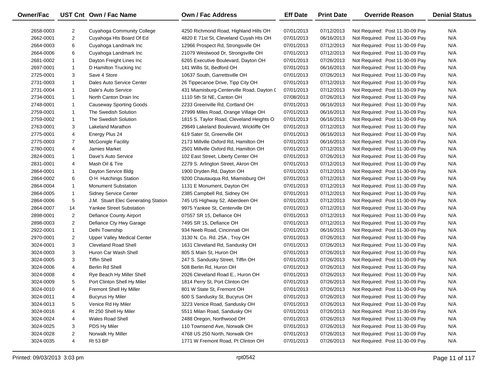| Owner/Fac |                | UST Cnt Own / Fac Name              | <b>Own / Fac Address</b>                  | <b>Eff Date</b> | <b>Print Date</b> | <b>Override Reason</b>          | <b>Denial Status</b> |
|-----------|----------------|-------------------------------------|-------------------------------------------|-----------------|-------------------|---------------------------------|----------------------|
| 2658-0003 | 2              | Cuyahoga Community College          | 4250 Richmond Road, Highland Hills OH     | 07/01/2013      | 07/12/2013        | Not Required: Post 11-30-09 Pay | N/A                  |
| 2662-0001 | $\overline{2}$ | Cuyahoga Hts Board Of Ed            | 4820 E 71st St, Cleveland Cuyah Hts OH    | 07/01/2013      | 06/16/2013        | Not Required: Post 11-30-09 Pay | N/A                  |
| 2664-0003 | 6              | Cuyahoga Landmark Inc               | 12966 Prospect Rd, Strongsville OH        | 07/01/2013      | 07/12/2013        | Not Required: Post 11-30-09 Pay | N/A                  |
| 2664-0006 | 6              | Cuyahoga Landmark Inc               | 21079 Westwood Dr, Strongsville OH        | 07/01/2013      | 07/12/2013        | Not Required: Post 11-30-09 Pay | N/A                  |
| 2681-0002 | $\mathbf{1}$   | Dayton Freight Lines Inc            | 6265 Executive Boulevard, Dayton OH       | 07/01/2013      | 07/26/2013        | Not Required: Post 11-30-09 Pay | N/A                  |
| 2697-0001 | $\mathbf{1}$   | D Hamilton Trucking Inc             | 141 Willis St, Bedford OH                 | 07/01/2013      | 06/16/2013        | Not Required: Post 11-30-09 Pay | N/A                  |
| 2725-0001 | 3              | Save 4 Store                        | 10637 South, Garrettsville OH             | 07/01/2013      | 07/26/2013        | Not Required: Post 11-30-09 Pay | N/A                  |
| 2731-0003 | $\mathbf{1}$   | Dales Auto Service Center           | 26 Tippecanoe Drive, Tipp City OH         | 07/01/2013      | 07/12/2013        | Not Required: Post 11-30-09 Pay | N/A                  |
| 2731-0004 | $\mathbf{1}$   | Dale's Auto Service                 | 431 Miamisburg-Centerville Road, Dayton ( | 07/01/2013      | 07/12/2013        | Not Required: Post 11-30-09 Pay | N/A                  |
| 2734-0001 | $\mathbf{1}$   | North Canton Drain Inc              | 1110 5th St NE, Canton OH                 | 07/08/2013      | 07/26/2013        | Not Required: Post 11-30-09 Pay | N/A                  |
| 2748-0001 | $\mathbf{1}$   | <b>Causeway Sporting Goods</b>      | 2233 Greenville Rd, Cortland OH           | 07/01/2013      | 06/16/2013        | Not Required: Post 11-30-09 Pay | N/A                  |
| 2759-0001 | $\mathbf{1}$   | The Swedish Solution                | 27999 Miles Road, Orange Village OH       | 07/01/2013      | 06/16/2013        | Not Required: Post 11-30-09 Pay | N/A                  |
| 2759-0002 | $\mathbf{1}$   | The Swedish Solution                | 1815 S. Taylor Road, Cleveland Heights O  | 07/01/2013      | 06/16/2013        | Not Required: Post 11-30-09 Pay | N/A                  |
| 2763-0001 | 3              | <b>Lakeland Marathon</b>            | 29849 Lakeland Boulevard, Wickliffe OH    | 07/01/2013      | 07/12/2013        | Not Required: Post 11-30-09 Pay | N/A                  |
| 2775-0001 | 4              | Energy Plus 24                      | 619 Sater St, Greenville OH               | 07/01/2013      | 06/16/2013        | Not Required: Post 11-30-09 Pay | N/A                  |
| 2775-0003 | $\overline{7}$ | <b>McGonigle Facility</b>           | 2173 Millville Oxford Rd, Hamilton OH     | 07/01/2013      | 06/16/2013        | Not Required: Post 11-30-09 Pay | N/A                  |
| 2780-0001 | 4              | Jamies Market                       | 2501 Millville Oxford Rd, Hamilton OH     | 07/01/2013      | 07/12/2013        | Not Required: Post 11-30-09 Pay | N/A                  |
| 2824-0001 | $\mathbf{1}$   | Dave's Auto Service                 | 102 East Street, Liberty Center OH        | 07/01/2013      | 07/26/2013        | Not Required: Post 11-30-09 Pay | N/A                  |
| 2831-0001 | 4              | Mash Oil & Tire                     | 2279 S. Arlington Street, Akron OH        | 07/01/2013      | 07/12/2013        | Not Required: Post 11-30-09 Pay | N/A                  |
| 2864-0001 | $\mathbf{1}$   | Dayton Service Bldg                 | 1900 Dryden Rd, Dayton OH                 | 07/01/2013      | 07/12/2013        | Not Required: Post 11-30-09 Pay | N/A                  |
| 2864-0002 | 6              | O H Hutchings Station               | 9200 Chautauqua Rd, Miamisburg OH         | 07/01/2013      | 07/12/2013        | Not Required: Post 11-30-09 Pay | N/A                  |
| 2864-0004 | $\mathbf{1}$   | <b>Monument Substation</b>          | 1131 E Monument, Dayton OH                | 07/01/2013      | 07/12/2013        | Not Required: Post 11-30-09 Pay | N/A                  |
| 2864-0005 | $\mathbf{1}$   | <b>Sidney Service Center</b>        | 2385 Campbell Rd, Sidney OH               | 07/01/2013      | 07/12/2013        | Not Required: Post 11-30-09 Pay | N/A                  |
| 2864-0006 | 5              | J.M. Stuart Elec Generating Station | 745 US Highway 52, Aberdeen OH            | 07/01/2013      | 07/12/2013        | Not Required: Post 11-30-09 Pay | N/A                  |
| 2864-0007 | 14             | <b>Yankee Street Substation</b>     | 9975 Yankee St, Centerville OH            | 07/01/2013      | 07/12/2013        | Not Required: Post 11-30-09 Pay | N/A                  |
| 2898-0001 | $\overline{2}$ | Defiance County Airport             | 07557 SR 15, Defiance OH                  | 07/01/2013      | 07/12/2013        | Not Required: Post 11-30-09 Pay | N/A                  |
| 2898-0003 | $\overline{2}$ | Defiance Cty Hwy Garage             | 7495 SR 15, Defiance OH                   | 07/01/2013      | 07/12/2013        | Not Required: Post 11-30-09 Pay | N/A                  |
| 2922-0001 | $\mathbf{1}$   | Delhi Township                      | 934 Neeb Road, Cincinnati OH              | 07/01/2013      | 06/16/2013        | Not Required: Post 11-30-09 Pay | N/A                  |
| 2970-0001 | $\overline{2}$ | Upper Valley Medical Center         | 3130 N. Co. Rd. 25A, Troy OH              | 07/01/2013      | 07/26/2013        | Not Required: Post 11-30-09 Pay | N/A                  |
| 3024-0001 | 3              | <b>Cleveland Road Shell</b>         | 1631 Cleveland Rd, Sandusky OH            | 07/01/2013      | 07/26/2013        | Not Required: Post 11-30-09 Pay | N/A                  |
| 3024-0003 | 3              | Huron Car Wash Shell                | 805 S Main St, Huron OH                   | 07/01/2013      | 07/26/2013        | Not Required: Post 11-30-09 Pay | N/A                  |
| 3024-0005 | 3              | <b>Tiffin Shell</b>                 | 247 S. Sandusky Street, Tiffin OH         | 07/01/2013      | 07/26/2013        | Not Required: Post 11-30-09 Pay | N/A                  |
| 3024-0006 | 4              | Berlin Rd Shell                     | 508 Berlin Rd, Huron OH                   | 07/01/2013      | 07/26/2013        | Not Required: Post 11-30-09 Pay | N/A                  |
| 3024-0008 | 4              | Rye Beach Hy Miller Shell           | 2026 Cleveland Road E., Huron OH          | 07/01/2013      | 07/26/2013        | Not Required: Post 11-30-09 Pay | N/A                  |
| 3024-0009 | 5              | Port Clinton Shell Hy Miler         | 1814 Perry St, Port Clinton OH            | 07/01/2013      | 07/26/2013        | Not Required: Post 11-30-09 Pay | N/A                  |
| 3024-0010 | 4              | Fremont Shell Hy Miller             | 801 W State St, Fremont OH                | 07/01/2013      | 07/26/2013        | Not Required: Post 11-30-09 Pay | N/A                  |
| 3024-0011 | 4              | <b>Bucyrus Hy Miler</b>             | 600 S Sandusky St, Bucyrus OH             | 07/01/2013      | 07/26/2013        | Not Required: Post 11-30-09 Pay | N/A                  |
| 3024-0013 | 5              | Venice Rd Hy Miler                  | 3223 Venice Road, Sandusky OH             | 07/01/2013      | 07/26/2013        | Not Required: Post 11-30-09 Pay | N/A                  |
| 3024-0016 | 4              | Rt 250 Shell Hy Miler               | 5511 Milan Road, Sandusky OH              | 07/01/2013      | 07/26/2013        | Not Required: Post 11-30-09 Pay | N/A                  |
| 3024-0024 | 4              | <b>Wales Road Shell</b>             | 2488 Oregon, Northwood OH                 | 07/01/2013      | 07/26/2013        | Not Required: Post 11-30-09 Pay | N/A                  |
| 3024-0025 | 3              | PDS Hy Miler                        | 110 Townsend Ave, Norwalk OH              | 07/01/2013      | 07/26/2013        | Not Required: Post 11-30-09 Pay | N/A                  |
| 3024-0028 | $\overline{2}$ | Norwalk Hy Miller                   | 4768 US 250 North, Norwalk OH             | 07/01/2013      | 07/26/2013        | Not Required: Post 11-30-09 Pay | N/A                  |
| 3024-0035 | 4              | <b>Rt 53 BP</b>                     | 1771 W Fremont Road, Pt Clinton OH        | 07/01/2013      | 07/26/2013        | Not Required: Post 11-30-09 Pay | N/A                  |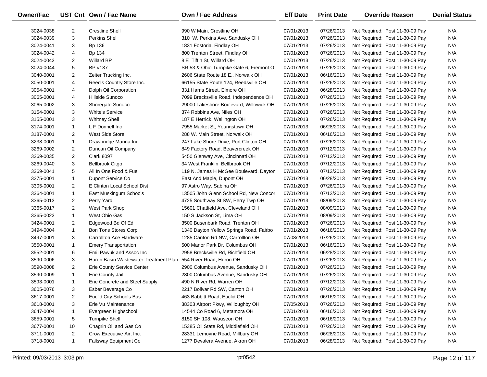| Owner/Fac |                | UST Cnt Own / Fac Name                                         | <b>Own / Fac Address</b>                | <b>Eff Date</b> | <b>Print Date</b> | <b>Override Reason</b>          | <b>Denial Status</b> |
|-----------|----------------|----------------------------------------------------------------|-----------------------------------------|-----------------|-------------------|---------------------------------|----------------------|
| 3024-0038 | 2              | <b>Crestline Shell</b>                                         | 990 W Main, Crestline OH                | 07/01/2013      | 07/26/2013        | Not Required: Post 11-30-09 Pay | N/A                  |
| 3024-0039 | 3              | <b>Perkins Shell</b>                                           | 310 W. Perkins Ave, Sandusky OH         | 07/01/2013      | 07/26/2013        | Not Required: Post 11-30-09 Pay | N/A                  |
| 3024-0041 | 3              | Bp 136                                                         | 1831 Fostoria, Findlay OH               | 07/01/2013      | 07/26/2013        | Not Required: Post 11-30-09 Pay | N/A                  |
| 3024-0042 | 4              | Bp 134                                                         | 800 Trenton Street, Findlay OH          | 07/01/2013      | 07/26/2013        | Not Required: Post 11-30-09 Pay | N/A                  |
| 3024-0043 | 2              | <b>Willard BP</b>                                              | 8 E Tiffin St, Willard OH               | 07/01/2013      | 07/26/2013        | Not Required: Post 11-30-09 Pay | N/A                  |
| 3024-0044 | 5              | BP #137                                                        | SR 53 & Ohio Turnpike Gate 6, Fremont O | 07/01/2013      | 07/26/2013        | Not Required: Post 11-30-09 Pay | N/A                  |
| 3040-0001 | $\overline{2}$ | Zeiter Trucking Inc.                                           | 2606 State Route 18 E., Norwalk OH      | 07/01/2013      | 06/16/2013        | Not Required: Post 11-30-09 Pay | N/A                  |
| 3050-0001 | 4              | Reed's Country Store Inc.                                      | 66155 State Route 124, Reedsville OH    | 07/01/2013      | 07/26/2013        | Not Required: Post 11-30-09 Pay | N/A                  |
| 3054-0001 | 4              | Dolph Oil Corporation                                          | 331 Harris Street, Elmore OH            | 07/01/2013      | 06/28/2013        | Not Required: Post 11-30-09 Pay | N/A                  |
| 3065-0001 | 4              | Hillside Sunoco                                                | 7099 Brecksville Road, Independence OH  | 07/01/2013      | 07/26/2013        | Not Required: Post 11-30-09 Pay | N/A                  |
| 3065-0002 | 3              | Shoregate Sunoco                                               | 29000 Lakeshore Boulevard, Willowick OH | 07/01/2013      | 07/26/2013        | Not Required: Post 11-30-09 Pay | N/A                  |
| 3154-0001 | 3              | <b>White's Service</b>                                         | 374 Robbins Ave, Niles OH               | 07/01/2013      | 07/26/2013        | Not Required: Post 11-30-09 Pay | N/A                  |
| 3155-0001 | 3              | <b>Whitney Shell</b>                                           | 187 E Herrick, Wellington OH            | 07/01/2013      | 07/26/2013        | Not Required: Post 11-30-09 Pay | N/A                  |
| 3174-0001 | $\mathbf{1}$   | L F Donnell Inc                                                | 7955 Market St, Youngstown OH           | 07/01/2013      | 06/28/2013        | Not Required: Post 11-30-09 Pay | N/A                  |
| 3187-0001 | $\overline{2}$ | West Side Store                                                | 288 W. Main Street, Norwalk OH          | 07/01/2013      | 06/16/2013        | Not Required: Post 11-30-09 Pay | N/A                  |
| 3238-0001 | $\mathbf{1}$   | Drawbridge Marina Inc                                          | 247 Lake Shore Drive, Port Clinton OH   | 07/01/2013      | 07/26/2013        | Not Required: Post 11-30-09 Pay | N/A                  |
| 3269-0002 | $\overline{2}$ | Duncan Oil Company                                             | 849 Factory Road, Beavercreek OH        | 07/01/2013      | 07/12/2013        | Not Required: Post 11-30-09 Pay | N/A                  |
| 3269-0035 | $\overline{2}$ | <b>Clark 8097</b>                                              | 5450 Glenway Ave, Cincinnati OH         | 07/01/2013      | 07/12/2013        | Not Required: Post 11-30-09 Pay | N/A                  |
| 3269-0040 | 3              | <b>Bellbrook Citgo</b>                                         | 34 West Franklin, Bellbrook OH          | 07/01/2013      | 07/12/2013        | Not Required: Post 11-30-09 Pay | N/A                  |
| 3269-0041 | 5              | All In One Food & Fuel                                         | 119 N. James H McGee Boulevard, Dayton  | 07/01/2013      | 07/12/2013        | Not Required: Post 11-30-09 Pay | N/A                  |
| 3275-0001 | $\mathbf{1}$   | Dupont Service Co                                              | East And Maple, Dupont OH               | 07/01/2013      | 06/28/2013        | Not Required: Post 11-30-09 Pay | N/A                  |
| 3305-0001 | $\overline{2}$ | E Clinton Local School Dist                                    | 97 Astro Way, Sabina OH                 | 07/01/2013      | 07/26/2013        | Not Required: Post 11-30-09 Pay | N/A                  |
| 3364-0001 | $\mathbf{1}$   | East Muskingum Schools                                         | 13505 John Glenn School Rd, New Concor  | 07/01/2013      | 07/12/2013        | Not Required: Post 11-30-09 Pay | N/A                  |
| 3365-0013 | $\overline{2}$ | Perry Yard                                                     | 4725 Southway St SW, Perry Twp OH       | 07/01/2013      | 08/09/2013        | Not Required: Post 11-30-09 Pay | N/A                  |
| 3365-0017 | $\overline{2}$ | West Park Shop                                                 | 15601 Chatfield Ave, Cleveland OH       | 07/01/2013      | 08/09/2013        | Not Required: Post 11-30-09 Pay | N/A                  |
| 3365-0023 | $\mathbf{1}$   | West Ohio Gas                                                  | 150 S Jackson St, Lima OH               | 07/01/2013      | 08/09/2013        | Not Required: Post 11-30-09 Pay | N/A                  |
| 3424-0001 | $\overline{2}$ | Edgewood Bd Of Ed                                              | 3500 Busenbark Road, Trenton OH         | 07/01/2013      | 07/26/2013        | Not Required: Post 11-30-09 Pay | N/A                  |
| 3494-0004 | $\mathbf{1}$   | <b>Bon Tons Stores Corp</b>                                    | 1340 Dayton Yellow Springs Road, Fairbo | 07/01/2013      | 06/16/2013        | Not Required: Post 11-30-09 Pay | N/A                  |
| 3497-0001 | 3              | Carrollton Ace Hardware                                        | 1285 Canton Rd NW, Carrollton OH        | 07/08/2013      | 07/26/2013        | Not Required: Post 11-30-09 Pay | N/A                  |
| 3550-0001 | $\mathbf{1}$   | <b>Emery Transportation</b>                                    | 500 Manor Park Dr, Columbus OH          | 07/01/2013      | 06/16/2013        | Not Required: Post 11-30-09 Pay | N/A                  |
| 3552-0001 | 6              | Emil Pawuk and Assoc Inc                                       | 2958 Brecksville Rd, Richfield OH       | 07/01/2013      | 06/28/2013        | Not Required: Post 11-30-09 Pay | N/A                  |
| 3590-0006 | 3              | Huron Basin Wastewater Treatment Plan 554 River Road, Huron OH |                                         | 07/01/2013      | 07/26/2013        | Not Required: Post 11-30-09 Pay | N/A                  |
| 3590-0008 | 2              | Erie County Service Center                                     | 2900 Columbus Avenue, Sandusky OH       | 07/01/2013      | 07/26/2013        | Not Required: Post 11-30-09 Pay | N/A                  |
| 3590-0009 | $\mathbf{1}$   | Erie County Jail                                               | 2800 Columbus Avenue, Sandusky OH       | 07/01/2013      | 07/26/2013        | Not Required: Post 11-30-09 Pay | N/A                  |
| 3593-0001 | $\mathbf{1}$   | Erie Concrete and Steel Supply                                 | 490 N River Rd, Warren OH               | 07/01/2013      | 07/12/2013        | Not Required: Post 11-30-09 Pay | N/A                  |
| 3605-0076 | 3              | Esber Beverage Co                                              | 2217 Bolivar Rd SW, Canton OH           | 07/01/2013      | 07/26/2013        | Not Required: Post 11-30-09 Pay | N/A                  |
| 3617-0001 | 2              | Euclid City Schools Bus                                        | 463 Babbitt Road, Euclid OH             | 07/01/2013      | 06/16/2013        | Not Required: Post 11-30-09 Pay | N/A                  |
| 3618-0001 | 3              | Erie Vu Maintenance                                            | 38303 Airport Pkwy, Willoughby OH       | 07/05/2013      | 07/26/2013        | Not Required: Post 11-30-09 Pay | N/A                  |
| 3647-0004 | $\mathbf{1}$   | Evergreen Highschool                                           | 14544 Co Road 6, Metamora OH            | 07/01/2013      | 06/16/2013        | Not Required: Post 11-30-09 Pay | N/A                  |
| 3659-0001 | 5              | <b>Turnpike Shell</b>                                          | 8150 SH 108, Wauseon OH                 | 07/01/2013      | 06/16/2013        | Not Required: Post 11-30-09 Pay | N/A                  |
| 3677-0001 | 10             | Chagrin Oil and Gas Co                                         | 15385 Oil State Rd, Middlefield OH      | 07/01/2013      | 07/26/2013        | Not Required: Post 11-30-09 Pay | N/A                  |
| 3711-0001 | $\overline{2}$ | Crow Executive Air, Inc.                                       | 28331 Lemoyne Road, Millbury OH         | 07/01/2013      | 06/28/2013        | Not Required: Post 11-30-09 Pay | N/A                  |
| 3718-0001 | $\mathbf{1}$   | Fallsway Equipment Co                                          | 1277 Devalera Avenue, Akron OH          | 07/01/2013      | 06/28/2013        | Not Required: Post 11-30-09 Pay | N/A                  |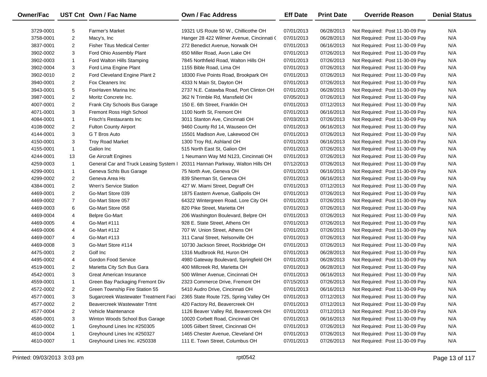| <b>Owner/Fac</b> |                | UST Cnt Own / Fac Name                 | Own / Fac Address                         | <b>Eff Date</b> | <b>Print Date</b> | <b>Override Reason</b>          | <b>Denial Status</b> |
|------------------|----------------|----------------------------------------|-------------------------------------------|-----------------|-------------------|---------------------------------|----------------------|
| 3729-0001        | 5              | <b>Farmer's Market</b>                 | 19321 US Route 50 W., Chillicothe OH      | 07/01/2013      | 06/28/2013        | Not Required: Post 11-30-09 Pay | N/A                  |
| 3758-0001        | $\overline{c}$ | Macy's, Inc                            | Hanger 28 422 Wilmer Avenue, Cincinnati ( | 07/01/2013      | 06/28/2013        | Not Required: Post 11-30-09 Pay | N/A                  |
| 3837-0001        | $\overline{2}$ | <b>Fisher Titus Medical Center</b>     | 272 Benedict Avenue, Norwalk OH           | 07/01/2013      | 06/16/2013        | Not Required: Post 11-30-09 Pay | N/A                  |
| 3902-0002        | 3              | Ford Ohio Assembly Plant               | 650 Miller Road, Avon Lake OH             | 07/01/2013      | 07/26/2013        | Not Required: Post 11-30-09 Pay | N/A                  |
| 3902-0003        | $\mathbf{1}$   | Ford Walton Hills Stamping             | 7845 Northfield Road, Walton Hills OH     | 07/01/2013      | 07/26/2013        | Not Required: Post 11-30-09 Pay | N/A                  |
| 3902-0004        | 3              | Ford Lima Engine Plant                 | 1155 Bible Road, Lima OH                  | 07/01/2013      | 07/26/2013        | Not Required: Post 11-30-09 Pay | N/A                  |
| 3902-0010        | $\overline{2}$ | Ford Cleveland Engine Plant 2          | 18300 Five Points Road, Brookpark OH      | 07/01/2013      | 07/26/2013        | Not Required: Post 11-30-09 Pay | N/A                  |
| 3940-0001        | $\overline{2}$ | Fox Cleaners Inc                       | 4333 N Main St, Dayton OH                 | 07/01/2013      | 07/26/2013        | Not Required: Post 11-30-09 Pay | N/A                  |
| 3943-0001        | 5              | FoxHaven Marina Inc                    | 2737 N.E. Catawba Road, Port Clinton OH   | 07/01/2013      | 06/28/2013        | Not Required: Post 11-30-09 Pay | N/A                  |
| 3987-0001        | $\overline{2}$ | Moritz Concrete Inc.                   | 362 N Trimble Rd, Mansfield OH            | 07/05/2013      | 07/26/2013        | Not Required: Post 11-30-09 Pay | N/A                  |
| 4007-0001        | $\overline{2}$ | Frank City Schools Bus Garage          | 150 E. 6th Street, Franklin OH            | 07/01/2013      | 07/12/2013        | Not Required: Post 11-30-09 Pay | N/A                  |
| 4071-0001        | 3              | Fremont Ross High School               | 1100 North St, Fremont OH                 | 07/01/2013      | 06/16/2013        | Not Required: Post 11-30-09 Pay | N/A                  |
| 4084-0001        | $\mathbf{1}$   | Frisch's Restaurants Inc               | 3011 Stanton Ave, Cincinnati OH           | 07/03/2013      | 07/26/2013        | Not Required: Post 11-30-09 Pay | N/A                  |
| 4108-0002        | $\overline{2}$ | Fulton County Airport                  | 9460 County Rd 14, Wauseon OH             | 07/01/2013      | 06/16/2013        | Not Required: Post 11-30-09 Pay | N/A                  |
| 4144-0001        | 3              | G T Bros Auto                          | 15501 Madison Ave, Lakewood OH            | 07/01/2013      | 07/26/2013        | Not Required: Post 11-30-09 Pay | N/A                  |
| 4150-0001        | 3              | <b>Troy Road Market</b>                | 1300 Troy Rd, Ashland OH                  | 07/01/2013      | 06/16/2013        | Not Required: Post 11-30-09 Pay | N/A                  |
| 4155-0001        | $\mathbf{1}$   | Galion Inc                             | 515 North East St, Galion OH              | 07/01/2013      | 07/26/2013        | Not Required: Post 11-30-09 Pay | N/A                  |
| 4244-0001        | 13             | <b>Ge Aircraft Engines</b>             | 1 Neumann Way Md N123, Cincinnati OH      | 07/01/2013      | 07/26/2013        | Not Required: Post 11-30-09 Pay | N/A                  |
| 4259-0003        | $\mathbf{1}$   | General Car and Truck Leasing System I | 20311 Hannan Parkway, Walton Hills OH     | 07/12/2013      | 07/26/2013        | Not Required: Post 11-30-09 Pay | N/A                  |
| 4299-0001        | $\mathbf{1}$   | Geneva Schls Bus Garage                | 75 North Ave, Geneva OH                   | 07/01/2013      | 06/16/2013        | Not Required: Post 11-30-09 Pay | N/A                  |
| 4299-0002        | $\overline{2}$ | Geneva Area Hs                         | 839 Sherman St, Geneva OH                 | 07/01/2013      | 06/16/2013        | Not Required: Post 11-30-09 Pay | N/A                  |
| 4384-0001        | $\overline{c}$ | <b>Wren's Service Station</b>          | 427 W. Miami Street, Degraff OH           | 07/01/2013      | 07/12/2013        | Not Required: Post 11-30-09 Pay | N/A                  |
| 4469-0001        | $\overline{2}$ | Go-Mart Store 039                      | 1875 Eastern Avenue, Gallipolis OH        | 07/01/2013      | 07/26/2013        | Not Required: Post 11-30-09 Pay | N/A                  |
| 4469-0002        | $\overline{7}$ | Go-Mart Store 057                      | 64322 Wintergreen Road, Lore City OH      | 07/01/2013      | 07/26/2013        | Not Required: Post 11-30-09 Pay | N/A                  |
| 4469-0003        | 6              | Go-Mart Store 058                      | 820 Pike Street, Marietta OH              | 07/01/2013      | 07/26/2013        | Not Required: Post 11-30-09 Pay | N/A                  |
| 4469-0004        | 4              | <b>Belpre Go-Mart</b>                  | 206 Washington Boulevard, Belpre OH       | 07/01/2013      | 07/26/2013        | Not Required: Post 11-30-09 Pay | N/A                  |
| 4469-0005        | 4              | Go-Mart #111                           | 928 E. State Street, Athens OH            | 07/01/2013      | 07/26/2013        | Not Required: Post 11-30-09 Pay | N/A                  |
| 4469-0006        | 4              | Go-Mart #112                           | 707 W. Union Street, Athens OH            | 07/01/2013      | 07/26/2013        | Not Required: Post 11-30-09 Pay | N/A                  |
| 4469-0007        | 4              | Go-Mart #113                           | 311 Canal Street, Nelsonville OH          | 07/01/2013      | 07/26/2013        | Not Required: Post 11-30-09 Pay | N/A                  |
| 4469-0008        | 3              | Go-Mart Store #114                     | 10730 Jackson Street, Rockbridge OH       | 07/01/2013      | 07/26/2013        | Not Required: Post 11-30-09 Pay | N/A                  |
| 4475-0001        | $\overline{2}$ | Golf Inc                               | 1316 Mudbrook Rd, Huron OH                | 07/01/2013      | 06/28/2013        | Not Required: Post 11-30-09 Pay | N/A                  |
| 4495-0002        | 4              | Gordon Food Service                    | 4980 Gateway Boulevard, Springfield OH    | 07/01/2013      | 06/28/2013        | Not Required: Post 11-30-09 Pay | N/A                  |
| 4519-0001        | $\overline{2}$ | Marietta City Sch Bus Gara             | 400 Millcreek Rd, Marietta OH             | 07/01/2013      | 06/28/2013        | Not Required: Post 11-30-09 Pay | N/A                  |
| 4542-0001        | 3              | Great American Insurance               | 500 Wilmer Avenue, Cincinnati OH          | 07/01/2013      | 06/16/2013        | Not Required: Post 11-30-09 Pay | N/A                  |
| 4559-0001        | $\mathbf{1}$   | Green Bay Packaging Fremont Div        | 2323 Commerce Drive, Fremont OH           | 07/15/2013      | 07/26/2013        | Not Required: Post 11-30-09 Pay | N/A                  |
| 4572-0002        | $\overline{c}$ | Green Township Fire Station 55         | 5410 Audro Drive, Cincinnati OH           | 07/01/2013      | 06/16/2013        | Not Required: Post 11-30-09 Pay | N/A                  |
| 4577-0001        | 3              | Sugarcreek Wastewater Treatment Faci   | 2365 State Route 725, Spring Valley OH    | 07/01/2013      | 07/12/2013        | Not Required: Post 11-30-09 Pay | N/A                  |
| 4577-0002        | 2              | <b>Beavercreek Wastewater Trtmt</b>    | 420 Factory Rd, Beavercreek OH            | 07/01/2013      | 07/12/2013        | Not Required: Post 11-30-09 Pay | N/A                  |
| 4577-0004        | 2              | Vehicle Maintenance                    | 1126 Beaver Valley Rd, Beavercreek OH     | 07/01/2013      | 07/12/2013        | Not Required: Post 11-30-09 Pay | N/A                  |
| 4586-0001        | 3              | Winton Woods School Bus Garage         | 10020 Corbett Road, Cincinnati OH         | 07/01/2013      | 06/16/2013        | Not Required: Post 11-30-09 Pay | N/A                  |
| 4610-0002        | -1             | Greyhound Lines Inc #250305            | 1005 Gilbert Street, Cincinnati OH        | 07/01/2013      | 07/26/2013        | Not Required: Post 11-30-09 Pay | N/A                  |
| 4610-0004        | -1             | Greyhound Lines Inc #250327            | 1465 Chester Avenue, Cleveland OH         | 07/01/2013      | 07/26/2013        | Not Required: Post 11-30-09 Pay | N/A                  |
| 4610-0007        | 1              | Greyhound Lines Inc. #250338           | 111 E. Town Street, Columbus OH           | 07/01/2013      | 07/26/2013        | Not Required: Post 11-30-09 Pay | N/A                  |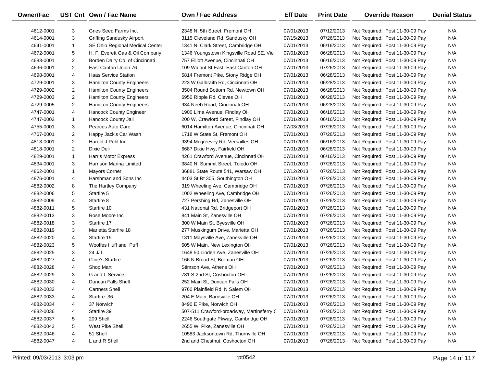| Owner/Fac |                | UST Cnt Own / Fac Name           | Own / Fac Address                         | <b>Eff Date</b> | <b>Print Date</b> | <b>Override Reason</b>          | <b>Denial Status</b> |
|-----------|----------------|----------------------------------|-------------------------------------------|-----------------|-------------------|---------------------------------|----------------------|
| 4612-0001 | 3              | Gries Seed Farms Inc.            | 2348 N. 5th Street, Fremont OH            | 07/01/2013      | 07/12/2013        | Not Required: Post 11-30-09 Pay | N/A                  |
| 4614-0001 | 3              | <b>Griffing Sandusky Airport</b> | 3115 Cleveland Rd, Sandusky OH            | 07/15/2013      | 07/26/2013        | Not Required: Post 11-30-09 Pay | N/A                  |
| 4641-0001 | $\mathbf{1}$   | SE Ohio Regional Medical Center  | 1341 N. Clark Street, Cambridge OH        | 07/01/2013      | 06/16/2013        | Not Required: Post 11-30-09 Pay | N/A                  |
| 4672-0001 | 5              | H. F. Everett Gas & Oil Company  | 1346 Youngstown Kingsville Road SE, Vie   | 07/01/2013      | 06/28/2013        | Not Required: Post 11-30-09 Pay | N/A                  |
| 4683-0001 | $\overline{a}$ | Borden Dairy Co. of Cincinnati   | 757 Elliott Avenue, Cincinnati OH         | 07/01/2013      | 06/16/2013        | Not Required: Post 11-30-09 Pay | N/A                  |
| 4696-0001 | $\overline{2}$ | East Canton Union 76             | 109 Walnut St East, East Canton OH        | 07/01/2013      | 07/26/2013        | Not Required: Post 11-30-09 Pay | N/A                  |
| 4698-0001 | 4              | <b>Haas Service Station</b>      | 5814 Fremont Pike, Stony Ridge OH         | 07/01/2013      | 06/28/2013        | Not Required: Post 11-30-09 Pay | N/A                  |
| 4729-0001 | 3              | <b>Hamilton County Engineers</b> | 223 W Galbraith Rd, Cincinnati OH         | 07/01/2013      | 06/28/2013        | Not Required: Post 11-30-09 Pay | N/A                  |
| 4729-0002 | $\overline{a}$ | Hamilton County Engineers        | 3504 Round Bottom Rd, Newtown OH          | 07/01/2013      | 06/28/2013        | Not Required: Post 11-30-09 Pay | N/A                  |
| 4729-0003 | $\overline{2}$ | Hamilton County Engineers        | 6950 Ripple Rd, Cleves OH                 | 07/01/2013      | 06/28/2013        | Not Required: Post 11-30-09 Pay | N/A                  |
| 4729-0005 | $\overline{a}$ | Hamilton County Engineers        | 934 Neeb Road, Cincinnati OH              | 07/01/2013      | 06/28/2013        | Not Required: Post 11-30-09 Pay | N/A                  |
| 4747-0001 | 4              | Hancock County Engineer          | 1900 Lima Avenue, Findlay OH              | 07/01/2013      | 06/16/2013        | Not Required: Post 11-30-09 Pay | N/A                  |
| 4747-0002 | $\mathbf{1}$   | Hancock County Jail              | 200 W. Crawford Street, Findlay OH        | 07/01/2013      | 06/16/2013        | Not Required: Post 11-30-09 Pay | N/A                  |
| 4755-0001 | 3              | Pearces Auto Care                | 6014 Hamilton Avenue, Cincinnati OH       | 07/03/2013      | 07/26/2013        | Not Required: Post 11-30-09 Pay | N/A                  |
| 4767-0001 | $\overline{2}$ | Happy Jack's Car Wash            | 1718 W State St, Fremont OH               | 07/01/2013      | 07/26/2013        | Not Required: Post 11-30-09 Pay | N/A                  |
| 4813-0001 | $\overline{2}$ | Harold J Pohl Inc                | 9394 Mcgreevey Rd, Versailles OH          | 07/01/2013      | 06/16/2013        | Not Required: Post 11-30-09 Pay | N/A                  |
| 4818-0001 | $\overline{2}$ | Dixie Deli                       | 6687 Dixie Hwy, Fairfield OH              | 07/01/2013      | 06/28/2013        | Not Required: Post 11-30-09 Pay | N/A                  |
| 4829-0001 | $\mathbf{1}$   | <b>Harris Motor Express</b>      | 4261 Crawford Avenue, Cincinnati OH       | 07/01/2013      | 06/16/2013        | Not Required: Post 11-30-09 Pay | N/A                  |
| 4834-0001 | 3              | Harrison Marina Limited          | 3840 N. Summit Street, Toledo OH          | 07/01/2013      | 07/26/2013        | Not Required: Post 11-30-09 Pay | N/A                  |
| 4862-0001 | $\mathbf{1}$   | <b>Mayors Corner</b>             | 36881 State Route 541, Warsaw OH          | 07/12/2013      | 07/26/2013        | Not Required: Post 11-30-09 Pay | N/A                  |
| 4876-0001 | 4              | Harshman and Sons Inc            | 4403 St Rt 305, Southington OH            | 07/01/2013      | 07/26/2013        | Not Required: Post 11-30-09 Pay | N/A                  |
| 4882-0002 | 8              | The Hartley Company              | 319 Wheeling Ave, Cambridge OH            | 07/01/2013      | 07/26/2013        | Not Required: Post 11-30-09 Pay | N/A                  |
| 4882-0006 | 5              | Starfire 5                       | 1002 Wheeling Ave, Cambridge OH           | 07/01/2013      | 07/26/2013        | Not Required: Post 11-30-09 Pay | N/A                  |
| 4882-0009 | 4              | Starfire 8                       | 727 Pershing Rd, Zanesville OH            | 07/01/2013      | 07/26/2013        | Not Required: Post 11-30-09 Pay | N/A                  |
| 4882-0011 | 5              | Starfire 10                      | 431 National Rd, Bridgeport OH            | 07/01/2013      | 07/26/2013        | Not Required: Post 11-30-09 Pay | N/A                  |
| 4882-0013 | 3              | Rose Moore Inc                   | 841 Main St, Zanesville OH                | 07/01/2013      | 07/26/2013        | Not Required: Post 11-30-09 Pay | N/A                  |
| 4882-0018 | 3              | Starfire 17                      | 300 W Main St, Byesville OH               | 07/01/2013      | 07/26/2013        | Not Required: Post 11-30-09 Pay | N/A                  |
| 4882-0019 | 3              | Marietta Starfire 18             | 277 Muskingum Drive, Marietta OH          | 07/01/2013      | 07/26/2013        | Not Required: Post 11-30-09 Pay | N/A                  |
| 4882-0020 | 4              | Starfire 19                      | 1311 Maysville Ave, Zanesville OH         | 07/01/2013      | 07/26/2013        | Not Required: Post 11-30-09 Pay | N/A                  |
| 4882-0023 | 5              | Woolfes Huff and Puff            | 605 W Main, New Lexington OH              | 07/01/2013      | 07/26/2013        | Not Required: Post 11-30-09 Pay | N/A                  |
| 4882-0025 | 3              | 24 JJI                           | 1648 50 Linden Ave, Zanesville OH         | 07/01/2013      | 07/26/2013        | Not Required: Post 11-30-09 Pay | N/A                  |
| 4882-0027 | 4              | Cline's Starfire                 | 166 N Broad St, Breman OH                 | 07/01/2013      | 07/26/2013        | Not Required: Post 11-30-09 Pay | N/A                  |
| 4882-0028 | 4              | Shop Mart                        | Stimson Ave, Athens OH                    | 07/01/2013      | 07/26/2013        | Not Required: Post 11-30-09 Pay | N/A                  |
| 4882-0029 | 3              | G and L Service                  | 781 S 2nd St, Coshocton OH                | 07/01/2013      | 07/26/2013        | Not Required: Post 11-30-09 Pay | N/A                  |
| 4882-0030 | 4              | Duncan Falls Shell               | 252 Main St, Duncan Falls OH              | 07/01/2013      | 07/26/2013        | Not Required: Post 11-30-09 Pay | N/A                  |
| 4882-0032 | 4              | <b>Cartners Shell</b>            | 9760 Plainfield Rd, N Salem OH            | 07/01/2013      | 07/26/2013        | Not Required: Post 11-30-09 Pay | N/A                  |
| 4882-0033 | 4              | Starfire 36                      | 204 E Main, Barnsville OH                 | 07/01/2013      | 07/26/2013        | Not Required: Post 11-30-09 Pay | N/A                  |
| 4882-0034 | 4              | 37 Norwich                       | 8490 E Pike, Norwich OH                   | 07/01/2013      | 07/26/2013        | Not Required: Post 11-30-09 Pay | N/A                  |
| 4882-0036 | 4              | Starfire 39                      | 507-511 Crawford-broadway, Martinsferry C | 07/01/2013      | 07/26/2013        | Not Required: Post 11-30-09 Pay | N/A                  |
| 4882-0037 | 5              | 209 Shell                        | 2246 Southgate Pkway, Cambridge OH        | 07/01/2013      | 07/26/2013        | Not Required: Post 11-30-09 Pay | N/A                  |
| 4882-0043 | 5              | West Pike Shell                  | 2655 W. Pike, Zanesville OH               | 07/01/2013      | 07/26/2013        | Not Required: Post 11-30-09 Pay | N/A                  |
| 4882-0046 | 4              | 51 Shell                         | 10583 Jacksontown Rd, Thornville OH       | 07/01/2013      | 07/26/2013        | Not Required: Post 11-30-09 Pay | N/A                  |
| 4882-0047 | 4              | L and R Shell                    | 2nd and Chestnut, Coshocton OH            | 07/01/2013      | 07/26/2013        | Not Required: Post 11-30-09 Pay | N/A                  |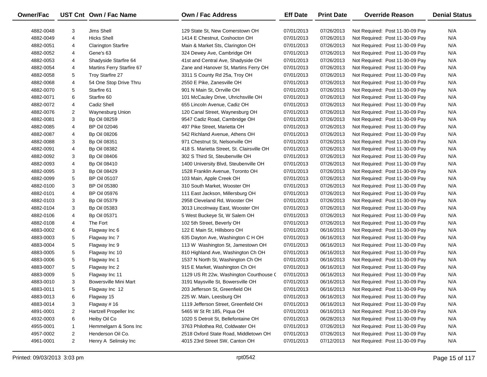| Owner/Fac |                | UST Cnt Own / Fac Name     | <b>Own / Fac Address</b>                   | <b>Eff Date</b> | <b>Print Date</b> | <b>Override Reason</b>          | <b>Denial Status</b> |
|-----------|----------------|----------------------------|--------------------------------------------|-----------------|-------------------|---------------------------------|----------------------|
| 4882-0048 | 3              | Jims Shell                 | 129 State St, New Comerstown OH            | 07/01/2013      | 07/26/2013        | Not Required: Post 11-30-09 Pay | N/A                  |
| 4882-0049 | 4              | <b>Hicks Shell</b>         | 1414 E Chestnut, Coshocton OH              | 07/01/2013      | 07/26/2013        | Not Required: Post 11-30-09 Pay | N/A                  |
| 4882-0051 | 4              | <b>Clarington Starfire</b> | Main & Market Sts, Clarington OH           | 07/01/2013      | 07/26/2013        | Not Required: Post 11-30-09 Pay | N/A                  |
| 4882-0052 | 4              | Gene's 63                  | 324 Dewey Ave, Cambridge OH                | 07/01/2013      | 07/26/2013        | Not Required: Post 11-30-09 Pay | N/A                  |
| 4882-0053 | 4              | Shadyside Starfire 64      | 41st and Central Ave, Shadyside OH         | 07/01/2013      | 07/26/2013        | Not Required: Post 11-30-09 Pay | N/A                  |
| 4882-0054 | 4              | Martins Ferry Starfire 67  | Zane and Hanover St, Martins Ferry OH      | 07/01/2013      | 07/26/2013        | Not Required: Post 11-30-09 Pay | N/A                  |
| 4882-0058 | 5              | Troy Starfire 27           | 3311 S County Rd 25a, Troy OH              | 07/01/2013      | 07/26/2013        | Not Required: Post 11-30-09 Pay | N/A                  |
| 4882-0068 | 4              | 54 One Stop Drive Thru     | 2550 E Pike, Zanesville OH                 | 07/01/2013      | 07/26/2013        | Not Required: Post 11-30-09 Pay | N/A                  |
| 4882-0070 | 5              | Starfire 61                | 901 N Main St, Orrville OH                 | 07/01/2013      | 07/26/2013        | Not Required: Post 11-30-09 Pay | N/A                  |
| 4882-0071 | 6              | Starfire 60                | 101 McCauley Drive, Uhrichsville OH        | 07/01/2013      | 07/26/2013        | Not Required: Post 11-30-09 Pay | N/A                  |
| 4882-0072 | 4              | Cadiz Shell                | 655 Lincoln Avenue, Cadiz OH               | 07/01/2013      | 07/26/2013        | Not Required: Post 11-30-09 Pay | N/A                  |
| 4882-0076 | 2              | Waynesburg Union           | 120 Canal Street, Waynesburg OH            | 07/01/2013      | 07/26/2013        | Not Required: Post 11-30-09 Pay | N/A                  |
| 4882-0081 | 3              | <b>Bp Oil 08259</b>        | 9547 Cadiz Road, Cambridge OH              | 07/01/2013      | 07/26/2013        | Not Required: Post 11-30-09 Pay | N/A                  |
| 4882-0085 | 4              | <b>BP Oil 02046</b>        | 497 Pike Street, Marietta OH               | 07/01/2013      | 07/26/2013        | Not Required: Post 11-30-09 Pay | N/A                  |
| 4882-0087 | 4              | <b>Bp Oil 08206</b>        | 542 Richland Avenue, Athens OH             | 07/01/2013      | 07/26/2013        | Not Required: Post 11-30-09 Pay | N/A                  |
| 4882-0088 | 3              | <b>Bp Oil 08351</b>        | 971 Chestnut St, Nelsonville OH            | 07/01/2013      | 07/26/2013        | Not Required: Post 11-30-09 Pay | N/A                  |
| 4882-0091 | 4              | <b>Bp Oil 08382</b>        | 418 S. Marietta Street, St. Clairsville OH | 07/01/2013      | 07/26/2013        | Not Required: Post 11-30-09 Pay | N/A                  |
| 4882-0092 | 3              | <b>Bp Oil 08406</b>        | 302 S Third St, Steubenville OH            | 07/01/2013      | 07/26/2013        | Not Required: Post 11-30-09 Pay | N/A                  |
| 4882-0093 | 4              | <b>Bp Oil 08410</b>        | 1400 University Blvd, Steubenville OH      | 07/01/2013      | 07/26/2013        | Not Required: Post 11-30-09 Pay | N/A                  |
| 4882-0095 | 3              | <b>Bp Oil 08429</b>        | 1528 Franklin Avenue, Toronto OH           | 07/01/2013      | 07/26/2013        | Not Required: Post 11-30-09 Pay | N/A                  |
| 4882-0099 | 5              | <b>BP Oil 05107</b>        | 103 Main, Apple Creek OH                   | 07/01/2013      | 07/26/2013        | Not Required: Post 11-30-09 Pay | N/A                  |
| 4882-0100 | 3              | <b>BP Oil 05380</b>        | 310 South Market, Wooster OH               | 07/01/2013      | 07/26/2013        | Not Required: Post 11-30-09 Pay | N/A                  |
| 4882-0101 | 4              | <b>BP Oil 05976</b>        | 111 East Jackson, Millersburg OH           | 07/01/2013      | 07/26/2013        | Not Required: Post 11-30-09 Pay | N/A                  |
| 4882-0103 | 3              | Bp Oil 05379               | 2958 Cleveland Rd, Wooster OH              | 07/01/2013      | 07/26/2013        | Not Required: Post 11-30-09 Pay | N/A                  |
| 4882-0104 | 3              | Bp Oil 05383               | 3013 Lincolnway East, Wooster OH           | 07/01/2013      | 07/26/2013        | Not Required: Post 11-30-09 Pay | N/A                  |
| 4882-0106 | 4              | <b>Bp Oil 05371</b>        | 5 West Buckeye St, W Salem OH              | 07/01/2013      | 07/26/2013        | Not Required: Post 11-30-09 Pay | N/A                  |
| 4882-0108 | 4              | The Fort                   | 102 5th Street, Beverly OH                 | 07/01/2013      | 07/26/2013        | Not Required: Post 11-30-09 Pay | N/A                  |
| 4883-0002 | 6              | Flagway Inc 6              | 122 E Main St, Hillsboro OH                | 07/01/2013      | 06/16/2013        | Not Required: Post 11-30-09 Pay | N/A                  |
| 4883-0003 | 5              | Flagway Inc 7              | 635 Dayton Ave, Washington C H OH          | 07/01/2013      | 06/16/2013        | Not Required: Post 11-30-09 Pay | N/A                  |
| 4883-0004 | 5              | Flagway Inc 9              | 113 W Washington St, Jamestown OH          | 07/01/2013      | 06/16/2013        | Not Required: Post 11-30-09 Pay | N/A                  |
| 4883-0005 | 5              | Flagway Inc 10             | 810 Highland Ave, Washington Ch OH         | 07/01/2013      | 06/16/2013        | Not Required: Post 11-30-09 Pay | N/A                  |
| 4883-0006 | 5              | Flagway Inc 1              | 1537 N North St, Washington Ch OH          | 07/01/2013      | 06/16/2013        | Not Required: Post 11-30-09 Pay | N/A                  |
| 4883-0007 | 5              | Flagway Inc 2              | 915 E Market, Washington Ch OH             | 07/01/2013      | 06/16/2013        | Not Required: Post 11-30-09 Pay | N/A                  |
| 4883-0009 | 5              | Flagway Inc 11             | 1129 US Rt 22w, Washington Courthouse (    | 07/01/2013      | 06/16/2013        | Not Required: Post 11-30-09 Pay | N/A                  |
| 4883-0010 | 3              | Bowersville Mini Mart      | 3191 Maysville St, Bowersville OH          | 07/01/2013      | 06/16/2013        | Not Required: Post 11-30-09 Pay | N/A                  |
| 4883-0011 | 5              | Flagway Inc 12             | 203 Jefferson St, Greenfield OH            | 07/01/2013      | 06/16/2013        | Not Required: Post 11-30-09 Pay | N/A                  |
| 4883-0013 | 6              | Flagway 15                 | 225 W. Main, Leesburg OH                   | 07/01/2013      | 06/16/2013        | Not Required: Post 11-30-09 Pay | N/A                  |
| 4883-0014 | 3              | Flagway #16                | 1119 Jefferson Street, Greenfield OH       | 07/01/2013      | 06/16/2013        | Not Required: Post 11-30-09 Pay | N/A                  |
| 4891-0001 | 2              | Hartzell Propeller Inc     | 5465 W St Rt 185, Piqua OH                 | 07/01/2013      | 06/16/2013        | Not Required: Post 11-30-09 Pay | N/A                  |
| 4932-0003 | 6              | Heiby Oil Co               | 1020 S Detroit St, Bellefontaine OH        | 07/01/2013      | 06/28/2013        | Not Required: Post 11-30-09 Pay | N/A                  |
| 4955-0001 | 1              | Hemmelgarn & Sons Inc      | 3763 Philothea Rd, Coldwater OH            | 07/01/2013      | 07/26/2013        | Not Required: Post 11-30-09 Pay | N/A                  |
| 4957-0002 | 2              | Henderson Oil Co.          | 2518 Oxford State Road, Middletown OH      | 07/01/2013      | 07/26/2013        | Not Required: Post 11-30-09 Pay | N/A                  |
| 4961-0001 | $\overline{2}$ | Henry A Selinsky Inc       | 4015 23rd Street SW, Canton OH             | 07/01/2013      | 07/12/2013        | Not Required: Post 11-30-09 Pay | N/A                  |
|           |                |                            |                                            |                 |                   |                                 |                      |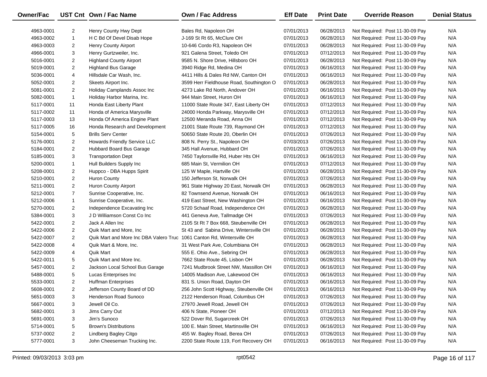| <b>Owner/Fac</b> |                | UST Cnt Own / Fac Name                                                 | Own / Fac Address                        | <b>Eff Date</b> | <b>Print Date</b> | <b>Override Reason</b>          | <b>Denial Status</b> |
|------------------|----------------|------------------------------------------------------------------------|------------------------------------------|-----------------|-------------------|---------------------------------|----------------------|
| 4963-0001        | $\overline{2}$ | Henry County Hwy Dept                                                  | Bales Rd, Napoleon OH                    | 07/01/2013      | 06/28/2013        | Not Required: Post 11-30-09 Pay | N/A                  |
| 4963-0002        | $\mathbf{1}$   | H C Bd Of Devel Disab Hope                                             | J-169 St Rt 65, McClure OH               | 07/01/2013      | 06/28/2013        | Not Required: Post 11-30-09 Pay | N/A                  |
| 4963-0003        | $\overline{2}$ | Henry County Airport                                                   | 10-646 Cordo R3, Napoleon OH             | 07/01/2013      | 06/28/2013        | Not Required: Post 11-30-09 Pay | N/A                  |
| 4966-0001        | 3              | Henry Gurtzweiler, Inc.                                                | 921 Galena Street, Toledo OH             | 07/01/2013      | 07/12/2013        | Not Required: Post 11-30-09 Pay | N/A                  |
| 5016-0001        | $\overline{2}$ | <b>Highland County Airport</b>                                         | 9585 N. Shore Drive, Hillsboro OH        | 07/01/2013      | 06/28/2013        | Not Required: Post 11-30-09 Pay | N/A                  |
| 5019-0001        | $\overline{2}$ | <b>Highland Bus Garage</b>                                             | 3940 Ridge Rd, Medina OH                 | 07/01/2013      | 06/16/2013        | Not Required: Post 11-30-09 Pay | N/A                  |
| 5036-0001        | 4              | Hillsdale Car Wash, Inc.                                               | 4411 Hills & Dales Rd NW, Canton OH      | 07/01/2013      | 06/16/2013        | Not Required: Post 11-30-09 Pay | N/A                  |
| 5052-0001        | $\overline{2}$ | Skeets Airport Inc.                                                    | 3599 Herr Fieldhouse Road, Southington O | 07/01/2013      | 06/28/2013        | Not Required: Post 11-30-09 Pay | N/A                  |
| 5081-0001        | $\overline{2}$ | Holiday Camplands Assoc Inc                                            | 4273 Lake Rd North, Andover OH           | 07/01/2013      | 06/16/2013        | Not Required: Post 11-30-09 Pay | N/A                  |
| 5082-0001        | $\mathbf{1}$   | Holiday Harbor Marina, Inc.                                            | 944 Main Street, Huron OH                | 07/01/2013      | 06/16/2013        | Not Required: Post 11-30-09 Pay | N/A                  |
| 5117-0001        | 11             | Honda East Liberty Plant                                               | 11000 State Route 347, East Liberty OH   | 07/01/2013      | 07/12/2013        | Not Required: Post 11-30-09 Pay | N/A                  |
| 5117-0002        | 11             | Honda of America Marysville                                            | 24000 Honda Parkway, Marysville OH       | 07/01/2013      | 07/12/2013        | Not Required: Post 11-30-09 Pay | N/A                  |
| 5117-0003        | 13             | Honda Of America Engine Plant                                          | 12500 Meranda Road, Anna OH              | 07/01/2013      | 07/12/2013        | Not Required: Post 11-30-09 Pay | N/A                  |
| 5117-0005        | 16             | Honda Research and Development                                         | 21001 State Route 739, Raymond OH        | 07/01/2013      | 07/12/2013        | Not Required: Post 11-30-09 Pay | N/A                  |
| 5154-0001        | 5              | <b>Brills Serv Center</b>                                              | 50650 State Route 20, Oberlin OH         | 07/01/2013      | 07/26/2013        | Not Required: Post 11-30-09 Pay | N/A                  |
| 5176-0001        | $\overline{2}$ | Howards Friendly Service LLC                                           | 808 N. Perry St., Napoleon OH            | 07/03/2013      | 07/26/2013        | Not Required: Post 11-30-09 Pay | N/A                  |
| 5184-0001        | $\overline{2}$ | Hubbard Board Bus Garage                                               | 345 Hall Avenue, Hubbard OH              | 07/01/2013      | 07/26/2013        | Not Required: Post 11-30-09 Pay | N/A                  |
| 5185-0001        | 3              | <b>Transportation Dept</b>                                             | 7450 Taylorsville Rd, Huber Hts OH       | 07/01/2013      | 06/16/2013        | Not Required: Post 11-30-09 Pay | N/A                  |
| 5200-0001        | $\mathbf{1}$   | Hull Builders Supply Inc                                               | 685 Main St, Vermilion OH                | 07/01/2013      | 07/12/2013        | Not Required: Post 11-30-09 Pay | N/A                  |
| 5208-0001        | $\overline{2}$ | Huppco - DBA Hupps Spirit                                              | 125 W Maple, Hartville OH                | 07/01/2013      | 06/28/2013        | Not Required: Post 11-30-09 Pay | N/A                  |
| 5210-0001        | $\overline{2}$ | <b>Huron County</b>                                                    | 150 Jefferson St, Norwalk OH             | 07/01/2013      | 07/26/2013        | Not Required: Post 11-30-09 Pay | N/A                  |
| 5211-0001        | $\overline{2}$ | Huron County Airport                                                   | 961 State Highway 20 East, Norwalk OH    | 07/01/2013      | 06/28/2013        | Not Required: Post 11-30-09 Pay | N/A                  |
| 5212-0001        | $\overline{7}$ | Sunrise Cooperative, Inc.                                              | 82 Townsend Avenue, Norwalk OH           | 07/01/2013      | 06/16/2013        | Not Required: Post 11-30-09 Pay | N/A                  |
| 5212-0006        | $\mathbf{1}$   | Sunrise Cooperative, Inc.                                              | 419 East Street, New Washington OH       | 07/01/2013      | 06/16/2013        | Not Required: Post 11-30-09 Pay | N/A                  |
| 5270-0001        | $\overline{2}$ | Independence Excavating Inc                                            | 5720 Schaaf Road, Independence OH        | 07/01/2013      | 06/28/2013        | Not Required: Post 11-30-09 Pay | N/A                  |
| 5384-0001        | 3              | J D Williamson Const Co Inc                                            | 441 Geneva Ave, Tallmadge OH             | 07/01/2013      | 07/26/2013        | Not Required: Post 11-30-09 Pay | N/A                  |
| 5422-0001        | $\overline{2}$ | Jack A Allen Inc                                                       | 2105 St Rt 7 Box 668, Steubenville OH    | 07/01/2013      | 06/28/2013        | Not Required: Post 11-30-09 Pay | N/A                  |
| 5422-0006        | $\overline{2}$ | Quik Mart and More, Inc.                                               | St 43 and Sabina Drive, Wintersville OH  | 07/01/2013      | 06/28/2013        | Not Required: Post 11-30-09 Pay | N/A                  |
| 5422-0007        | $\overline{2}$ | Quik Mart and More Inc DBA Valero Truc 1061 Canton Rd, Wintersville OH |                                          | 07/01/2013      | 06/28/2013        | Not Required: Post 11-30-09 Pay | N/A                  |
| 5422-0008        | 4              | Quik Mart & More, Inc.                                                 | 31 West Park Ave, Columbiana OH          | 07/01/2013      | 06/28/2013        | Not Required: Post 11-30-09 Pay | N/A                  |
| 5422-0009        | 4              | <b>Quik Mart</b>                                                       | 555 E. Ohio Ave., Sebring OH             | 07/01/2013      | 06/28/2013        | Not Required: Post 11-30-09 Pay | N/A                  |
| 5422-0011        | 5              | Quik Mart and More Inc.                                                | 7662 State Route 45, Lisbon OH           | 07/01/2013      | 06/28/2013        | Not Required: Post 11-30-09 Pay | N/A                  |
| 5457-0001        | $\overline{2}$ | Jackson Local School Bus Garage                                        | 7241 Mudbrook Street NW, Massillon OH    | 07/01/2013      | 06/16/2013        | Not Required: Post 11-30-09 Pay | N/A                  |
| 5488-0001        | 5              | Lucas Enterprises Inc                                                  | 14005 Madison Ave, Lakewood OH           | 07/01/2013      | 06/16/2013        | Not Required: Post 11-30-09 Pay | N/A                  |
| 5533-0001        | $\overline{2}$ | <b>Huffman Enterprises</b>                                             | 831 S. Union Road, Dayton OH             | 07/01/2013      | 06/16/2013        | Not Required: Post 11-30-09 Pay | N/A                  |
| 5608-0001        | $\overline{2}$ | Jefferson County Board of DD                                           | 256 John Scott Highway, Steubenville OH  | 07/01/2013      | 06/16/2013        | Not Required: Post 11-30-09 Pay | N/A                  |
| 5651-0003        | 3              | Henderson Road Sunoco                                                  | 2122 Henderson Road, Columbus OH         | 07/01/2013      | 07/26/2013        | Not Required: Post 11-30-09 Pay | N/A                  |
| 5667-0001        | 3              | Jewell Oil Co.                                                         | 27970 Jewell Road, Jewell OH             | 07/01/2013      | 07/26/2013        | Not Required: Post 11-30-09 Pay | N/A                  |
| 5682-0001        | 3              | Jims Carry Out                                                         | 406 N State, Pioneer OH                  | 07/01/2013      | 07/12/2013        | Not Required: Post 11-30-09 Pay | N/A                  |
| 5691-0001        | 3              | Jim's Sunoco                                                           | 522 Dover Rd, Sugarcreek OH              | 07/01/2013      | 07/26/2013        | Not Required: Post 11-30-09 Pay | N/A                  |
| 5714-0001        | 5              | <b>Brown's Distributions</b>                                           | 100 E. Main Street, Martinsville OH      | 07/01/2013      | 06/16/2013        | Not Required: Post 11-30-09 Pay | N/A                  |
| 5737-0002        | 2              | Lindberg Bagley Citgo                                                  | 455 W. Bagley Road, Berea OH             | 07/01/2013      | 07/26/2013        | Not Required: Post 11-30-09 Pay | N/A                  |
| 5777-0001        | 3              | John Cheeseman Trucking Inc.                                           | 2200 State Route 119, Fort Recovery OH   | 07/01/2013      | 06/16/2013        | Not Required: Post 11-30-09 Pay | N/A                  |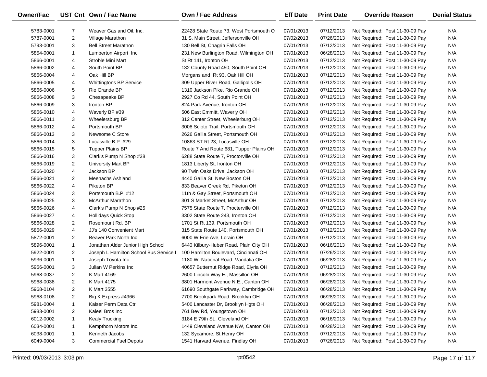| <b>Owner/Fac</b> |                | UST Cnt Own / Fac Name                 | Own / Fac Address                       | <b>Eff Date</b> | <b>Print Date</b> | <b>Override Reason</b>          | <b>Denial Status</b> |
|------------------|----------------|----------------------------------------|-----------------------------------------|-----------------|-------------------|---------------------------------|----------------------|
| 5783-0001        | $\overline{7}$ | Weaver Gas and Oil, Inc.               | 22428 State Route 73, West Portsmouth O | 07/01/2013      | 07/12/2013        | Not Required: Post 11-30-09 Pay | N/A                  |
| 5787-0001        | $\overline{2}$ | Village Marathon                       | 31 S. Main Street, Jeffersonville OH    | 07/02/2013      | 07/26/2013        | Not Required: Post 11-30-09 Pay | N/A                  |
| 5793-0001        | 3              | <b>Bell Street Marathon</b>            | 130 Bell St, Chagrin Falls OH           | 07/01/2013      | 07/12/2013        | Not Required: Post 11-30-09 Pay | N/A                  |
| 5854-0001        | $\mathbf{1}$   | Lumberton Airport Inc                  | 231 New Burlington Road, Wilmington OH  | 07/01/2013      | 06/28/2013        | Not Required: Post 11-30-09 Pay | N/A                  |
| 5866-0001        | 4              | Stroble Mini Mart                      | St Rt 141, Ironton OH                   | 07/01/2013      | 07/12/2013        | Not Required: Post 11-30-09 Pay | N/A                  |
| 5866-0002        | 4              | South Point BP                         | 132 County Road 450, South Point OH     | 07/01/2013      | 07/12/2013        | Not Required: Post 11-30-09 Pay | N/A                  |
| 5866-0004        | 4              | Oak Hill BP                            | Morgans and Rt 93, Oak Hill OH          | 07/01/2013      | 07/12/2013        | Not Required: Post 11-30-09 Pay | N/A                  |
| 5866-0005        | 4              | <b>Whittingtons BP Service</b>         | 309 Upper River Road, Gallipolis OH     | 07/01/2013      | 07/12/2013        | Not Required: Post 11-30-09 Pay | N/A                  |
| 5866-0006        | 5              | Rio Grande BP                          | 1310 Jackson Pike, Rio Grande OH        | 07/01/2013      | 07/12/2013        | Not Required: Post 11-30-09 Pay | N/A                  |
| 5866-0008        | 3              | Chesapeake BP                          | 2927 Co Rd 44, South Point OH           | 07/01/2013      | 07/12/2013        | Not Required: Post 11-30-09 Pay | N/A                  |
| 5866-0009        | 3              | Ironton BP                             | 824 Park Avenue, Ironton OH             | 07/01/2013      | 07/12/2013        | Not Required: Post 11-30-09 Pay | N/A                  |
| 5866-0010        | 4              | Waverly BP #39                         | 506 East Emmitt, Waverly OH             | 07/01/2013      | 07/12/2013        | Not Required: Post 11-30-09 Pay | N/A                  |
| 5866-0011        | 3              | Wheelersburg BP                        | 312 Center Street, Wheelerburg OH       | 07/01/2013      | 07/12/2013        | Not Required: Post 11-30-09 Pay | N/A                  |
| 5866-0012        | 4              | Portsmouth BP                          | 3008 Scioto Trail, Portsmouth OH        | 07/01/2013      | 07/12/2013        | Not Required: Post 11-30-09 Pay | N/A                  |
| 5866-0013        | 3              | Newsome C Store                        | 2626 Gallia Street, Portsmouth OH       | 07/01/2013      | 07/12/2013        | Not Required: Post 11-30-09 Pay | N/A                  |
| 5866-0014        | 3              | Lucasville B.P. #29                    | 10863 ST Rt 23, Lucasville OH           | 07/01/2013      | 07/12/2013        | Not Required: Post 11-30-09 Pay | N/A                  |
| 5866-0015        | 5              | <b>Tupper Plains BP</b>                | Route 7 And Route 681, Tupper Plains OH | 07/01/2013      | 07/12/2013        | Not Required: Post 11-30-09 Pay | N/A                  |
| 5866-0016        | 3              | Clark's Pump N Shop #38                | 6288 State Route 7, Proctorville OH     | 07/01/2013      | 07/12/2013        | Not Required: Post 11-30-09 Pay | N/A                  |
| 5866-0019        | $\overline{2}$ | <b>University Mart BP</b>              | 1813 Liberty St, Ironton OH             | 07/01/2013      | 07/12/2013        | Not Required: Post 11-30-09 Pay | N/A                  |
| 5866-0020        | 4              | Jackson BP                             | 90 Twin Oaks Drive, Jackson OH          | 07/01/2013      | 07/12/2013        | Not Required: Post 11-30-09 Pay | N/A                  |
| 5866-0021        | $\overline{2}$ | Meenachs Ashland                       | 4440 Gallia St, New Boston OH           | 07/01/2013      | 07/12/2013        | Not Required: Post 11-30-09 Pay | N/A                  |
| 5866-0022        | 4              | Piketon BP                             | 833 Beaver Creek Rd, Piketon OH         | 07/01/2013      | 07/12/2013        | Not Required: Post 11-30-09 Pay | N/A                  |
| 5866-0024        | 3              | Portsmouth B.P. #12                    | 11th & Gay Street, Portsmouth OH        | 07/01/2013      | 07/12/2013        | Not Required: Post 11-30-09 Pay | N/A                  |
| 5866-0025        | 3              | McArthur Marathon                      | 301 S Market Street, McArthur OH        | 07/01/2013      | 07/12/2013        | Not Required: Post 11-30-09 Pay | N/A                  |
| 5866-0026        | 4              | Clark's Pump N Shop #25                | 7575 State Route 7, Procterville OH     | 07/01/2013      | 07/12/2013        | Not Required: Post 11-30-09 Pay | N/A                  |
| 5866-0027        | 4              | <b>Hollidays Quick Stop</b>            | 3302 State Route 243, Ironton OH        | 07/01/2013      | 07/12/2013        | Not Required: Post 11-30-09 Pay | N/A                  |
| 5866-0028        | $\overline{2}$ | Rosemount Rd. BP                       | 1701 St Rt 139, Portsmouth OH           | 07/01/2013      | 07/12/2013        | Not Required: Post 11-30-09 Pay | N/A                  |
| 5866-0029        | 4              | JJ's 140 Convenient Mart               | 315 State Route 140, Portsmouth OH      | 07/01/2013      | 07/12/2013        | Not Required: Post 11-30-09 Pay | N/A                  |
| 5872-0001        | $\overline{2}$ | Beaver Park North Inc                  | 6000 W Erie Ave, Lorain OH              | 07/01/2013      | 07/12/2013        | Not Required: Post 11-30-09 Pay | N/A                  |
| 5896-0001        | $\mathbf{1}$   | Jonathan Alder Junior High School      | 6440 Kilbury-Huber Road, Plain City OH  | 07/01/2013      | 06/16/2013        | Not Required: Post 11-30-09 Pay | N/A                  |
| 5922-0001        | $\overline{2}$ | Joseph L Hamilton School Bus Service I | 100 Hamilton Boulevard, Cincinnati OH   | 07/01/2013      | 07/26/2013        | Not Required: Post 11-30-09 Pay | N/A                  |
| 5936-0001        | $\mathbf{1}$   | Joseph Toyota Inc.                     | 1180 W. National Road, Vandalia OH      | 07/01/2013      | 06/28/2013        | Not Required: Post 11-30-09 Pay | N/A                  |
| 5956-0001        | 3              | Julian W Perkins Inc                   | 40657 Butternut Ridge Road, Elyria OH   | 07/01/2013      | 07/12/2013        | Not Required: Post 11-30-09 Pay | N/A                  |
| 5968-0037        | $\overline{2}$ | K Mart 4169                            | 2600 Lincoln Way E., Massillon OH       | 07/01/2013      | 06/28/2013        | Not Required: Post 11-30-09 Pay | N/A                  |
| 5968-0038        | $\overline{2}$ | K Mart 4175                            | 3801 Harmont Avenue N.E., Canton OH     | 07/01/2013      | 06/28/2013        | Not Required: Post 11-30-09 Pay | N/A                  |
| 5968-0104        | $\overline{2}$ | K Mart 3555                            | 61690 Southgate Parkway, Cambridge OH   | 07/01/2013      | 06/28/2013        | Not Required: Post 11-30-09 Pay | N/A                  |
| 5968-0108        | $\overline{2}$ | Big K Express #4966                    | 7700 Brookpark Road, Brooklyn OH        | 07/01/2013      | 06/28/2013        | Not Required: Post 11-30-09 Pay | N/A                  |
| 5981-0004        | 1              | Kaiser Perm Data Ctr                   | 5400 Lancaster Dr, Brooklyn Hgts OH     | 07/01/2013      | 06/28/2013        | Not Required: Post 11-30-09 Pay | N/A                  |
| 5983-0001        | $\overline{2}$ | Kaleel Bros Inc                        | 761 Bev Rd, Youngstown OH               | 07/01/2013      | 07/12/2013        | Not Required: Post 11-30-09 Pay | N/A                  |
| 6012-0002        | $\mathbf{1}$   | Kealy Trucking                         | 3184 E 79th St., Cleveland OH           | 07/01/2013      | 06/16/2013        | Not Required: Post 11-30-09 Pay | N/A                  |
| 6034-0001        |                | Kempthorn Motors Inc.                  | 1449 Cleveland Avenue NW, Canton OH     | 07/01/2013      | 06/28/2013        | Not Required: Post 11-30-09 Pay | N/A                  |
| 6038-0001        | 1              | Kenneth Jacobs                         | 132 Sycamore, St Henry OH               | 07/01/2013      | 07/12/2013        | Not Required: Post 11-30-09 Pay | N/A                  |
| 6049-0004        | 3              | <b>Commercial Fuel Depots</b>          | 1541 Harvard Avenue, Findlay OH         | 07/01/2013      | 07/26/2013        | Not Required: Post 11-30-09 Pay | N/A                  |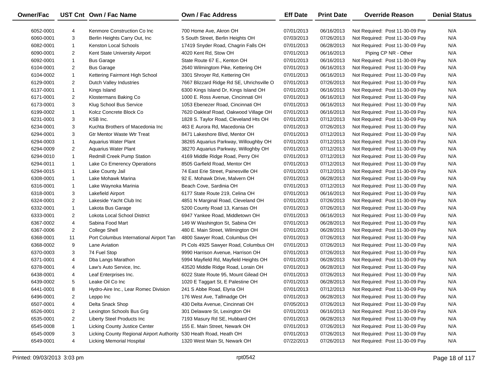| <b>Owner/Fac</b> |                | UST Cnt Own / Fac Name                    | <b>Own / Fac Address</b>                  | <b>Eff Date</b> | <b>Print Date</b> | <b>Override Reason</b>          | <b>Denial Status</b> |
|------------------|----------------|-------------------------------------------|-------------------------------------------|-----------------|-------------------|---------------------------------|----------------------|
| 6052-0001        | 4              | Kenmore Construction Co Inc               | 700 Home Ave, Akron OH                    | 07/01/2013      | 06/16/2013        | Not Required: Post 11-30-09 Pay | N/A                  |
| 6060-0001        | 3              | Berlin Heights Carry Out, Inc             | 5 South Street, Berlin Heights OH         | 07/03/2013      | 07/26/2013        | Not Required: Post 11-30-09 Pay | N/A                  |
| 6082-0001        | $\mathbf{1}$   | <b>Kenston Local Schools</b>              | 17419 Snyder Road, Chagrin Falls OH       | 07/01/2013      | 06/28/2013        | Not Required: Post 11-30-09 Pay | N/A                  |
| 6090-0001        | 2              | Kent State University Airport             | 4020 Kent Rd, Stow OH                     | 07/01/2013      | 06/16/2013        | Piping CP NR - Other            | N/A                  |
| 6092-0001        | $\mathbf{1}$   | <b>Bus Garage</b>                         | State Route 67 E., Kenton OH              | 07/01/2013      | 06/16/2013        | Not Required: Post 11-30-09 Pay | N/A                  |
| 6104-0001        | $\overline{2}$ | <b>Bus Garage</b>                         | 2640 Wilmingtom Pike, Kettering OH        | 07/01/2013      | 06/16/2013        | Not Required: Post 11-30-09 Pay | N/A                  |
| 6104-0002        | $\mathbf{1}$   | Kettering Fairmont High School            | 3301 Shroyer Rd, Kettering OH             | 07/01/2013      | 06/16/2013        | Not Required: Post 11-30-09 Pay | N/A                  |
| 6129-0001        | 2              | Dutch Valley Industries                   | 7667 Blizzard Ridge Rd SE, Uhrichsville O | 07/01/2013      | 07/26/2013        | Not Required: Post 11-30-09 Pay | N/A                  |
| 6137-0001        | $\mathbf{1}$   | Kings Island                              | 6300 Kings Island Dr, Kings Island OH     | 07/01/2013      | 06/16/2013        | Not Required: Post 11-30-09 Pay | N/A                  |
| 6171-0001        | $\overline{2}$ | Klostermans Baking Co                     | 1000 E. Ross Avenue, Cincinnati OH        | 07/01/2013      | 06/16/2013        | Not Required: Post 11-30-09 Pay | N/A                  |
| 6173-0001        | 3              | Klug School Bus Service                   | 1053 Ebenezer Road, Cincinnati OH         | 07/01/2013      | 06/16/2013        | Not Required: Post 11-30-09 Pay | N/A                  |
| 6199-0002        | $\mathbf{1}$   | Kolcz Concrete Block Co                   | 7620 Oakleaf Road, Oakwood Village OH     | 07/01/2013      | 06/16/2013        | Not Required: Post 11-30-09 Pay | N/A                  |
| 6231-0001        | 3              | KSB Inc.                                  | 1828 S. Taylor Road, Cleveland Hts OH     | 07/01/2013      | 07/12/2013        | Not Required: Post 11-30-09 Pay | N/A                  |
| 6234-0001        | 3              | Kuchta Brothers of Macedonia Inc          | 463 E Aurora Rd, Macedonia OH             | 07/01/2013      | 07/26/2013        | Not Required: Post 11-30-09 Pay | N/A                  |
| 6294-0001        | 3              | <b>Gtr Mentor Waste Wtr Treat</b>         | 8471 Lakeshore Blvd, Mentor OH            | 07/01/2013      | 07/12/2013        | Not Required: Post 11-30-09 Pay | N/A                  |
| 6294-0003        | $\mathbf{1}$   | <b>Aquarius Water Plant</b>               | 38265 Aquarius Parkway, Willoughby OH     | 07/01/2013      | 07/12/2013        | Not Required: Post 11-30-09 Pay | N/A                  |
| 6294-0009        | $\overline{2}$ | <b>Aquarius Water Plant</b>               | 38270 Aquarius Parkway, Willoghby OH      | 07/01/2013      | 07/12/2013        | Not Required: Post 11-30-09 Pay | N/A                  |
| 6294-0010        | $\mathbf{1}$   | Redmill Creek Pump Station                | 4169 Middle Ridge Road, Perry OH          | 07/01/2013      | 07/12/2013        | Not Required: Post 11-30-09 Pay | N/A                  |
| 6294-0011        | $\mathbf{1}$   | Lake Co Emerency Operations               | 8505 Garfield Road, Mentor OH             | 07/01/2013      | 07/12/2013        | Not Required: Post 11-30-09 Pay | N/A                  |
| 6294-0015        | $\mathbf{1}$   | Lake County Jail                          | 74 East Erie Street, Painesville OH       | 07/01/2013      | 07/12/2013        | Not Required: Post 11-30-09 Pay | N/A                  |
| 6308-0001        | $\mathbf{1}$   | Lake Mohawk Marina                        | 92 E. Mohawk Drive, Malvern OH            | 07/01/2013      | 06/28/2013        | Not Required: Post 11-30-09 Pay | N/A                  |
| 6316-0001        | $\mathbf{1}$   | Lake Waynoka Marinia                      | Beach Cove, Sardinia OH                   | 07/01/2013      | 07/12/2013        | Not Required: Post 11-30-09 Pay | N/A                  |
| 6318-0001        | 3              | Lakefield Airport                         | 6177 State Route 219, Celina OH           | 07/01/2013      | 06/16/2013        | Not Required: Post 11-30-09 Pay | N/A                  |
| 6324-0001        | 2              | Lakeside Yacht Club Inc                   | 4851 N Marginal Road, Cleveland OH        | 07/01/2013      | 07/26/2013        | Not Required: Post 11-30-09 Pay | N/A                  |
| 6332-0001        | $\mathbf{1}$   | Lakota Bus Garage                         | 5200 County Road 13, Kansas OH            | 07/01/2013      | 07/26/2013        | Not Required: Post 11-30-09 Pay | N/A                  |
| 6333-0001        | 2              | Lokota Local School District              | 6947 Yankee Road, Middletown OH           | 07/01/2013      | 06/16/2013        | Not Required: Post 11-30-09 Pay | N/A                  |
| 6367-0002        | 4              | Sabina Food Mart                          | 149 W Washington St, Sabina OH            | 07/01/2013      | 06/28/2013        | Not Required: Post 11-30-09 Pay | N/A                  |
| 6367-0006        | $\overline{2}$ | College Shell                             | 480 E. Main Street, Wilmington OH         | 07/01/2013      | 06/28/2013        | Not Required: Post 11-30-09 Pay | N/A                  |
| 6368-0001        | 11             | Port Columbus International Airport Tan   | 4800 Sawyer Road, Columbus OH             | 07/01/2013      | 07/26/2013        | Not Required: Post 11-30-09 Pay | N/A                  |
| 6368-0002        | 9              | Lane Aviation                             | Pt Cols 4925 Sawyer Road, Columbus OH     | 07/01/2013      | 07/26/2013        | Not Required: Post 11-30-09 Pay | N/A                  |
| 6370-0003        | 3              | 74 Fuel Stop                              | 9990 Harrison Avenue, Harrison OH         | 07/01/2013      | 07/26/2013        | Not Required: Post 11-30-09 Pay | N/A                  |
| 6371-0001        | 4              | Dba Langs Marathon                        | 5994 Mayfield Rd, Mayfield Heights OH     | 07/01/2013      | 06/28/2013        | Not Required: Post 11-30-09 Pay | N/A                  |
| 6378-0001        | 4              | Law's Auto Service, Inc.                  | 43520 Middle Ridge Road, Lorain OH        | 07/01/2013      | 06/28/2013        | Not Required: Post 11-30-09 Pay | N/A                  |
| 6438-0001        | 4              | Leaf Enterprises Inc.                     | 6022 State Route 95, Mount Gilead OH      | 07/01/2013      | 07/26/2013        | Not Required: Post 11-30-09 Pay | N/A                  |
| 6439-0002        | 5              | Leake Oil Co Inc                          | 1020 E Taggart St, E Palestine OH         | 07/01/2013      | 06/28/2013        | Not Required: Post 11-30-09 Pay | N/A                  |
| 6441-0001        | 8              | Hydro-Aire Inc., Lear Romec Division      | 241 S Abbe Road, Elyria OH                | 07/01/2013      | 07/12/2013        | Not Required: Post 11-30-09 Pay | N/A                  |
| 6496-0001        | 2              | Leppo Inc                                 | 176 West Ave, Tallmadge OH                | 07/01/2013      | 06/28/2013        | Not Required: Post 11-30-09 Pay | N/A                  |
| 6507-0001        | 4              | Delta Snack Shop                          | 430 Delta Avenue, Cincinnati OH           | 07/05/2013      | 07/26/2013        | Not Required: Post 11-30-09 Pay | N/A                  |
| 6526-0001        | 2              | Lexington Schools Bus Grg                 | 301 Delaware St, Lexington OH             | 07/01/2013      | 06/16/2013        | Not Required: Post 11-30-09 Pay | N/A                  |
| 6535-0001        | $\overline{2}$ | Liberty Steel Products Inc                | 7193 Masury Rd SE, Hubbard OH             | 07/01/2013      | 06/28/2013        | Not Required: Post 11-30-09 Pay | N/A                  |
| 6545-0008        | $\mathbf{1}$   | Licking County Justice Center             | 155 E. Main Street, Newark OH             | 07/01/2013      | 07/26/2013        | Not Required: Post 11-30-09 Pay | N/A                  |
| 6545-0009        | 3              | Licking County Regional Airport Authority | 530 Heath Road, Heath OH                  | 07/01/2013      | 07/26/2013        | Not Required: Post 11-30-09 Pay | N/A                  |
| 6549-0001        | 4              | Licking Memorial Hospital                 | 1320 West Main St, Newark OH              | 07/22/2013      | 07/26/2013        | Not Required: Post 11-30-09 Pay | N/A                  |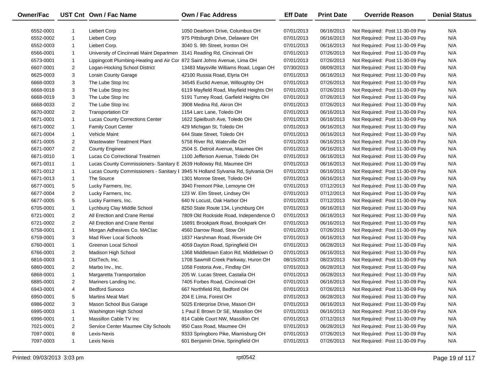| <b>Owner/Fac</b> |                | UST Cnt Own / Fac Name                                                   | <b>Own / Fac Address</b>                                                        | <b>Eff Date</b> | <b>Print Date</b> | <b>Override Reason</b>          | <b>Denial Status</b> |
|------------------|----------------|--------------------------------------------------------------------------|---------------------------------------------------------------------------------|-----------------|-------------------|---------------------------------|----------------------|
| 6552-0001        | 1              | Liebert Corp                                                             | 1050 Dearborn Drive, Columbus OH                                                | 07/01/2013      | 06/16/2013        | Not Required: Post 11-30-09 Pay | N/A                  |
| 6552-0002        | $\mathbf{1}$   | Liebert Corp                                                             | 975 Pittsburgh Drive, Delaware OH                                               | 07/01/2013      | 06/16/2013        | Not Required: Post 11-30-09 Pay | N/A                  |
| 6552-0003        | $\mathbf{1}$   | Liebert Corp.                                                            | 3040 S. 9th Street, Ironton OH                                                  | 07/01/2013      | 06/16/2013        | Not Required: Post 11-30-09 Pay | N/A                  |
| 6566-0001        | $\mathbf{1}$   | University of Cincinnati Maint Departmen 3141 Reading Rd, Cincinnati OH  |                                                                                 | 07/01/2013      | 07/26/2013        | Not Required: Post 11-30-09 Pay | N/A                  |
| 6573-0001        | $\mathbf{1}$   | Lippingcott Plumbing-Heating and Air Cor 872 Saint Johns Avenue, Lima OH |                                                                                 | 07/01/2013      | 07/26/2013        | Not Required: Post 11-30-09 Pay | N/A                  |
| 6607-0001        | $\overline{2}$ | Logan-Hocking School District                                            | 13483 Maysville Williams Road, Logan OH                                         | 07/30/2013      | 08/09/2013        | Not Required: Post 11-30-09 Pay | N/A                  |
| 6625-0003        | 3              | <b>Lorain County Garage</b>                                              | 42100 Russia Road, Elyria OH                                                    | 07/01/2013      | 06/16/2013        | Not Required: Post 11-30-09 Pay | N/A                  |
| 6668-0003        | 3              | The Lube Stop Inc                                                        | 34545 Euclid Avenue, Willoughby OH                                              | 07/01/2013      | 07/26/2013        | Not Required: Post 11-30-09 Pay | N/A                  |
| 6668-0018        | 3              | The Lube Stop Inc                                                        | 6119 Mayfield Road, Mayfield Heights OH                                         | 07/01/2013      | 07/26/2013        | Not Required: Post 11-30-09 Pay | N/A                  |
| 6668-0019        | 3              | The Lube Stop Inc                                                        | 5191 Turney Road, Garfield Heights OH                                           | 07/01/2013      | 07/26/2013        | Not Required: Post 11-30-09 Pay | N/A                  |
| 6668-0033        | $\overline{2}$ | The Lube Stop Inc                                                        | 3908 Medina Rd, Akron OH                                                        | 07/01/2013      | 07/26/2013        | Not Required: Post 11-30-09 Pay | N/A                  |
| 6670-0002        | $\overline{2}$ | <b>Transportation Ctr</b>                                                | 1154 Larc Lane, Toledo OH                                                       | 07/01/2013      | 06/16/2013        | Not Required: Post 11-30-09 Pay | N/A                  |
| 6671-0001        | $\mathbf{1}$   | <b>Lucas County Corrections Center</b>                                   | 1622 Spielbush Ave, Toledo OH                                                   | 07/01/2013      | 06/16/2013        | Not Required: Post 11-30-09 Pay | N/A                  |
| 6671-0002        | $\mathbf{1}$   | <b>Family Court Center</b>                                               | 429 Michigan St, Toledo OH                                                      | 07/01/2013      | 06/16/2013        | Not Required: Post 11-30-09 Pay | N/A                  |
| 6671-0004        | $\mathbf{1}$   | Vehicle Maint                                                            | 644 State Street, Toledo OH                                                     | 07/01/2013      | 06/16/2013        | Not Required: Post 11-30-09 Pay | N/A                  |
| 6671-0005        | $\overline{2}$ | <b>Wastewater Treatment Plant</b>                                        | 5758 River Rd, Waterville OH                                                    | 07/01/2013      | 06/16/2013        | Not Required: Post 11-30-09 Pay | N/A                  |
| 6671-0007        | $\overline{2}$ | <b>County Engineer</b>                                                   | 2504 S. Detroit Avenue, Maumee OH                                               | 07/01/2013      | 06/16/2013        | Not Required: Post 11-30-09 Pay | N/A                  |
| 6671-0010        | $\mathbf{1}$   | Lucas Co Correctional Treatmen                                           | 1100 Jefferson Avenue, Toledo OH                                                | 07/01/2013      | 06/16/2013        | Not Required: Post 11-30-09 Pay | N/A                  |
| 6671-0011        | $\mathbf{1}$   | Lucas County Commissioners- Sanitary E 2639 Holloway Rd, Maumee OH       |                                                                                 | 07/01/2013      | 06/16/2013        | Not Required: Post 11-30-09 Pay | N/A                  |
| 6671-0012        | $\mathbf{1}$   |                                                                          | Lucas County Commissioners - Sanitary I 3945 N Holland Sylvania Rd, Sylvania OH | 07/01/2013      | 06/16/2013        | Not Required: Post 11-30-09 Pay | N/A                  |
| 6671-0013        | $\mathbf{1}$   | The Source                                                               | 1301 Monroe Street, Toledo OH                                                   | 07/01/2013      | 06/16/2013        | Not Required: Post 11-30-09 Pay | N/A                  |
| 6677-0001        | 5              | Lucky Farmers, Inc.                                                      | 3940 Fremont Pike, Lemoyne OH                                                   | 07/01/2013      | 07/12/2013        | Not Required: Post 11-30-09 Pay | N/A                  |
| 6677-0004        | $\overline{2}$ | Lucky Farmers, Inc.                                                      | 123 W. Elm Street, Lindsey OH                                                   | 07/01/2013      | 07/12/2013        | Not Required: Post 11-30-09 Pay | N/A                  |
| 6677-0005        | 5              | Lucky Farmers, Inc.                                                      | 640 N Locust, Oak Harbor OH                                                     | 07/01/2013      | 07/12/2013        | Not Required: Post 11-30-09 Pay | N/A                  |
| 6705-0001        | $\mathbf{1}$   | Lychburg Clay Middle School                                              | 8250 State Route 134, Lynchburg OH                                              | 07/01/2013      | 06/16/2013        | Not Required: Post 11-30-09 Pay | N/A                  |
| 6721-0001        | $\overline{2}$ | All Erection and Crane Rental                                            | 7809 Old Rockside Road, Independence O                                          | 07/01/2013      | 06/16/2013        | Not Required: Post 11-30-09 Pay | N/A                  |
| 6721-0002        | $\overline{2}$ | All Erection and Crane Rental                                            | 16891 Brookpark Road, Brookpark OH                                              | 07/01/2013      | 06/16/2013        | Not Required: Post 11-30-09 Pay | N/A                  |
| 6758-0001        | $\mathbf{1}$   | Morgan Adhesives Co. MACtac                                              | 4560 Darrow Road, Stow OH                                                       | 07/01/2013      | 07/26/2013        | Not Required: Post 11-30-09 Pay | N/A                  |
| 6759-0001        | 3              | Mad River Local Schools                                                  | 1837 Harshman Road, Riverside OH                                                | 07/01/2013      | 06/16/2013        | Not Required: Post 11-30-09 Pay | N/A                  |
| 6760-0001        | $\mathbf{1}$   | <b>Greenon Local School</b>                                              | 4059 Dayton Road, Springfield OH                                                | 07/01/2013      | 06/28/2013        | Not Required: Post 11-30-09 Pay | N/A                  |
| 6766-0001        | $\overline{2}$ | Madison High School                                                      | 1368 Middletown Eaton Rd, Middletown O                                          | 07/01/2013      | 06/16/2013        | Not Required: Post 11-30-09 Pay | N/A                  |
| 6816-0003        | $\mathbf{1}$   | DistTech, Inc.                                                           | 1708 Sawmill Creek Parkway, Huron OH                                            | 08/15/2013      | 08/23/2013        | Not Required: Post 11-30-09 Pay | N/A                  |
| 6860-0001        | $\overline{2}$ | Marbo Inv., Inc.                                                         | 1058 Fostoria Ave., Findlay OH                                                  | 07/01/2013      | 06/28/2013        | Not Required: Post 11-30-09 Pay | N/A                  |
| 6868-0001        | $\mathbf{1}$   | Margaretta Transportation                                                | 205 W. Lucas Street, Castalia OH                                                | 07/01/2013      | 06/28/2013        | Not Required: Post 11-30-09 Pay | N/A                  |
| 6885-0001        | $\overline{2}$ | Mariners Landing Inc.                                                    | 7405 Forbes Road, Cincinnati OH                                                 | 07/01/2013      | 06/16/2013        | Not Required: Post 11-30-09 Pay | N/A                  |
| 6943-0001        | 4              | <b>Bedford Sunoco</b>                                                    | 667 Northfield Rd, Bedford OH                                                   | 07/01/2013      | 07/26/2013        | Not Required: Post 11-30-09 Pay | N/A                  |
| 6950-0001        | 5              | <b>Martins Meat Mart</b>                                                 | 204 E Lima, Forest OH                                                           | 07/01/2013      | 06/28/2013        | Not Required: Post 11-30-09 Pay | N/A                  |
| 6986-0002        | 3              | Mason School Bus Garage                                                  | 5025 Enterprise Drive, Mason OH                                                 | 07/01/2013      | 06/16/2013        | Not Required: Post 11-30-09 Pay | N/A                  |
| 6995-0003        | -1             | Washington High School                                                   | 1 Paul E Brown Dr SE, Massilion OH                                              | 07/01/2013      | 06/16/2013        | Not Required: Post 11-30-09 Pay | N/A                  |
| 6996-0001        | 1              | Massillon Cable TV Inc                                                   | 814 Cable Court NW, Massillon OH                                                | 07/01/2013      | 07/12/2013        | Not Required: Post 11-30-09 Pay | N/A                  |
| 7021-0001        | $\overline{2}$ | Service Center Maumee City Schools                                       | 950 Cass Road, Maumee OH                                                        | 07/01/2013      | 06/28/2013        | Not Required: Post 11-30-09 Pay | N/A                  |
| 7097-0001        | 8              | Lexis-Nexis                                                              | 9333 Springboro Pike, Miamisburg OH                                             | 07/01/2013      | 07/26/2013        | Not Required: Post 11-30-09 Pay | N/A                  |
| 7097-0003        | $\mathbf{1}$   | Lexis Nexis                                                              | 601 Benjamin Drive, Springfield OH                                              | 07/01/2013      | 07/26/2013        | Not Required: Post 11-30-09 Pay | N/A                  |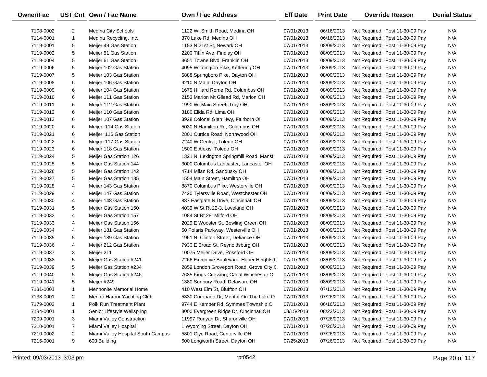| Owner/Fac |                | UST Cnt Own / Fac Name             | <b>Own / Fac Address</b>                  | <b>Eff Date</b> | <b>Print Date</b> | <b>Override Reason</b>          | <b>Denial Status</b> |
|-----------|----------------|------------------------------------|-------------------------------------------|-----------------|-------------------|---------------------------------|----------------------|
|           |                |                                    |                                           |                 |                   |                                 |                      |
| 7108-0002 | $\overline{2}$ | Medina City Schools                | 1122 W. Smith Road, Medina OH             | 07/01/2013      | 06/16/2013        | Not Required: Post 11-30-09 Pay | N/A                  |
| 7114-0001 | $\mathbf{1}$   | Medina Recycling, Inc.             | 370 Lake Rd, Medina OH                    | 07/01/2013      | 06/16/2013        | Not Required: Post 11-30-09 Pay | N/A                  |
| 7119-0001 | 5              | Meijer 49 Gas Station              | 1153 N 21st St, Newark OH                 | 07/01/2013      | 08/09/2013        | Not Required: Post 11-30-09 Pay | N/A                  |
| 7119-0002 | 5              | Meijer 51 Gas Station              | 2200 Tiffin Ave, Findlay OH               | 07/01/2013      | 08/09/2013        | Not Required: Post 11-30-09 Pay | N/A                  |
| 7119-0004 | 5              | Meijer 61 Gas Station              | 3651 Towne Blvd, Franklin OH              | 07/01/2013      | 08/09/2013        | Not Required: Post 11-30-09 Pay | N/A                  |
| 7119-0006 | 5              | Meijer 102 Gas Station             | 4095 Wilmington Pike, Kettering OH        | 07/01/2013      | 08/09/2013        | Not Required: Post 11-30-09 Pay | N/A                  |
| 7119-0007 | 5              | Meijer 103 Gas Station             | 5888 Springboro Pike, Dayton OH           | 07/01/2013      | 08/09/2013        | Not Required: Post 11-30-09 Pay | N/A                  |
| 7119-0008 | 6              | Meijer 106 Gas Station             | 9210 N Main, Dayton OH                    | 07/01/2013      | 08/09/2013        | Not Required: Post 11-30-09 Pay | N/A                  |
| 7119-0009 | 6              | Meijer 104 Gas Station             | 1675 Hilliard Rome Rd, Columbus OH        | 07/01/2013      | 08/09/2013        | Not Required: Post 11-30-09 Pay | N/A                  |
| 7119-0010 | 6              | Meijer 111 Gas Station             | 2153 Marion Mt Gilead Rd, Marion OH       | 07/01/2013      | 08/09/2013        | Not Required: Post 11-30-09 Pay | N/A                  |
| 7119-0011 | 6              | Meijer 112 Gas Station             | 1990 W. Main Street, Troy OH              | 07/01/2013      | 08/09/2013        | Not Required: Post 11-30-09 Pay | N/A                  |
| 7119-0012 | 6              | Meijer 110 Gas Station             | 3180 Elida Rd, Lima OH                    | 07/01/2013      | 08/09/2013        | Not Required: Post 11-30-09 Pay | N/A                  |
| 7119-0013 | 6              | Meijer 107 Gas Station             | 3928 Colonel Glen Hwy, Fairborn OH        | 07/01/2013      | 08/09/2013        | Not Required: Post 11-30-09 Pay | N/A                  |
| 7119-0020 | 6              | Meijer 114 Gas Station             | 5030 N Hamilton Rd, Columbus OH           | 07/01/2013      | 08/09/2013        | Not Required: Post 11-30-09 Pay | N/A                  |
| 7119-0021 | 6              | Meijer 116 Gas Station             | 2801 Curtice Road, Northwood OH           | 07/01/2013      | 08/09/2013        | Not Required: Post 11-30-09 Pay | N/A                  |
| 7119-0022 | 6              | Meijer 117 Gas Station             | 7240 W Central, Toledo OH                 | 07/01/2013      | 08/09/2013        | Not Required: Post 11-30-09 Pay | N/A                  |
| 7119-0023 | 6              | Meijer 118 Gas Station             | 1500 E Alexis, Toledo OH                  | 07/01/2013      | 08/09/2013        | Not Required: Post 11-30-09 Pay | N/A                  |
| 7119-0024 | 5              | Meijer Gas Station 126             | 1321 N. Lexington Springmill Road, Mansf  | 07/01/2013      | 08/09/2013        | Not Required: Post 11-30-09 Pay | N/A                  |
| 7119-0025 | 5              | Meijer Gas Station 144             | 3000 Columbus Lancaster, Lancaster OH     | 07/01/2013      | 08/09/2013        | Not Required: Post 11-30-09 Pay | N/A                  |
| 7119-0026 | 5              | Meijer Gas Station 142             | 4714 Milan Rd, Sandusky OH                | 07/01/2013      | 08/09/2013        | Not Required: Post 11-30-09 Pay | N/A                  |
| 7119-0027 | 5              | Meijer Gas Station 135             | 1554 Main Street, Hamilton OH             | 07/01/2013      | 08/09/2013        | Not Required: Post 11-30-09 Pay | N/A                  |
| 7119-0028 | 4              | Meijer 143 Gas Station             | 8870 Columbus Pike, Westerville OH        | 07/01/2013      | 08/09/2013        | Not Required: Post 11-30-09 Pay | N/A                  |
| 7119-0029 | 4              | Meijer 147 Gas Station             | 7420 Tylersville Road, Westchester OH     | 07/01/2013      | 08/09/2013        | Not Required: Post 11-30-09 Pay | N/A                  |
| 7119-0030 | 4              | Meijer 148 Gas Station             | 887 Eastgate N Drive, Cincinnati OH       | 07/01/2013      | 08/09/2013        | Not Required: Post 11-30-09 Pay | N/A                  |
| 7119-0031 | 5              | Meijer Gas Station 150             | 4039 W St Rt 22-3, Loveland OH            | 07/01/2013      | 08/09/2013        | Not Required: Post 11-30-09 Pay | N/A                  |
| 7119-0032 | 4              | Meijer Gas Station 157             | 1084 St Rt 28, Milford OH                 | 07/01/2013      | 08/09/2013        | Not Required: Post 11-30-09 Pay | N/A                  |
| 7119-0033 | 4              | Meijer Gas Station 156             | 2029 E Wooster St, Bowling Green OH       | 07/01/2013      | 08/09/2013        | Not Required: Post 11-30-09 Pay | N/A                  |
| 7119-0034 | 4              | Meijer 181 Gas Station             | 50 Polaris Parkway, Westerville OH        | 07/01/2013      | 08/09/2013        | Not Required: Post 11-30-09 Pay | N/A                  |
| 7119-0035 | 5              | Meijer 189 Gas Station             | 1961 N. Clinton Street, Defiance OH       | 07/01/2013      | 08/09/2013        | Not Required: Post 11-30-09 Pay | N/A                  |
| 7119-0036 | 4              | Meijer 212 Gas Station             | 7930 E Broad St, Reynoldsburg OH          | 07/01/2013      | 08/09/2013        | Not Required: Post 11-30-09 Pay | N/A                  |
| 7119-0037 | 3              | Meijer 211                         | 10075 Meijer Drive, Rossford OH           | 07/01/2013      | 08/09/2013        | Not Required: Post 11-30-09 Pay | N/A                  |
| 7119-0038 | 5              | Meijer Gas Station #241            | 7266 Executive Boulevard, Huber Heights ( | 07/01/2013      | 08/09/2013        | Not Required: Post 11-30-09 Pay | N/A                  |
| 7119-0039 | 5              | Meijer Gas Station #234            | 2859 London Groveport Road, Grove City C  | 07/01/2013      | 08/09/2013        | Not Required: Post 11-30-09 Pay | N/A                  |
| 7119-0040 | 5              | Meijer Gas Station #246            | 7685 Kings Crossing, Canal Winchester O   | 07/01/2013      | 08/09/2013        | Not Required: Post 11-30-09 Pay | N/A                  |
| 7119-0041 | 5              | Meijer #249                        | 1380 Sunbury Road, Delaware OH            | 07/01/2013      | 08/09/2013        | Not Required: Post 11-30-09 Pay | N/A                  |
| 7131-0001 | $\mathbf{1}$   | Mennonite Memorial Home            | 410 West Elm St, Bluffton OH              | 07/01/2013      | 07/12/2013        | Not Required: Post 11-30-09 Pay | N/A                  |
| 7133-0001 | $\overline{2}$ | Mentor Harbor Yachting Club        | 5330 Coronado Dr, Mentor On The Lake O    | 07/01/2013      | 07/26/2013        | Not Required: Post 11-30-09 Pay | N/A                  |
| 7179-0003 | $\mathbf{1}$   | Polk Run Treatment Plant           | 9744 E Kemper Rd, Symmes Township O       | 07/01/2013      | 06/16/2013        | Not Required: Post 11-30-09 Pay | N/A                  |
| 7184-0001 | $\mathbf{1}$   | Senior Lifestyle Wellspring        | 8000 Evergreen Ridge Dr, Cincinnati OH    | 08/15/2013      | 08/23/2013        | Not Required: Post 11-30-09 Pay | N/A                  |
| 7209-0001 | 3              | Miami Valley Construction          | 11997 Runyan Dr, Sharonville OH           | 07/01/2013      | 07/26/2013        | Not Required: Post 11-30-09 Pay | N/A                  |
| 7210-0001 | 7              | Miami Valley Hospital              | 1 Wyoming Street, Dayton OH               | 07/01/2013      | 07/26/2013        | Not Required: Post 11-30-09 Pay | N/A                  |
| 7210-0002 | $\overline{2}$ | Miami Valley Hospital South Campus | 5801 Clyo Road, Centerville OH            | 07/01/2013      | 07/26/2013        | Not Required: Post 11-30-09 Pay | N/A                  |
| 7216-0001 | 9              | 600 Building                       | 600 Longworth Street, Dayton OH           | 07/25/2013      | 07/26/2013        | Not Required: Post 11-30-09 Pay | N/A                  |
|           |                |                                    |                                           |                 |                   |                                 |                      |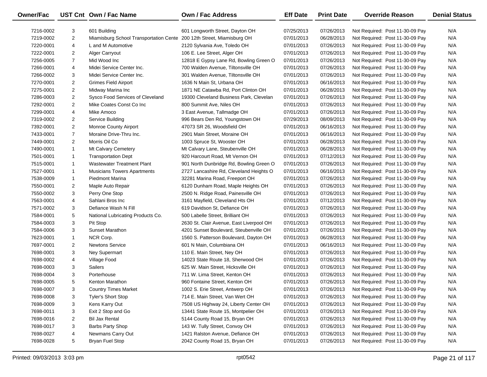| Owner/Fac |                | UST Cnt Own / Fac Name                                                | <b>Own / Fac Address</b>                 | <b>Eff Date</b> | <b>Print Date</b> | <b>Override Reason</b>          | <b>Denial Status</b> |
|-----------|----------------|-----------------------------------------------------------------------|------------------------------------------|-----------------|-------------------|---------------------------------|----------------------|
| 7216-0002 | 3              | 601 Building                                                          | 601 Longworth Street, Dayton OH          | 07/25/2013      | 07/26/2013        | Not Required: Post 11-30-09 Pay | N/A                  |
| 7219-0002 | $\overline{2}$ | Miamisburg School Transportation Cente 200 12th Street, Miamisburg OH |                                          | 07/01/2013      | 06/28/2013        | Not Required: Post 11-30-09 Pay | N/A                  |
| 7220-0001 | 4              | L and M Automotive                                                    | 2120 Sylvania Ave, Toledo OH             | 07/01/2013      | 07/26/2013        | Not Required: Post 11-30-09 Pay | N/A                  |
| 7222-0001 | $\overline{2}$ | Alger Carryout                                                        | 106 E. Lee Street, Alger OH              | 07/01/2013      | 07/26/2013        | Not Required: Post 11-30-09 Pay | N/A                  |
| 7256-0005 | $\overline{7}$ | Mid Wood Inc                                                          | 12818 E Gypsy Lane Rd, Bowling Green O   | 07/01/2013      | 07/26/2013        | Not Required: Post 11-30-09 Pay | N/A                  |
| 7266-0001 | 4              | Midei Service Center Inc.                                             | 700 Walden Avenue, Tiltonsville OH       | 07/01/2013      | 07/26/2013        | Not Required: Post 11-30-09 Pay | N/A                  |
| 7266-0002 | 3              | Midei Service Center Inc.                                             | 301 Walden Avenue, Tiltonsville OH       | 07/01/2013      | 07/26/2013        | Not Required: Post 11-30-09 Pay | N/A                  |
| 7270-0001 | $\overline{2}$ | <b>Grimes Field Airport</b>                                           | 1636 N Main St, Urbana OH                | 07/01/2013      | 06/16/2013        | Not Required: Post 11-30-09 Pay | N/A                  |
| 7275-0001 | $\overline{2}$ | Midway Marina Inc                                                     | 1871 NE Catawba Rd, Port Clinton OH      | 07/01/2013      | 06/28/2013        | Not Required: Post 11-30-09 Pay | N/A                  |
| 7286-0003 | $\overline{2}$ | Sysco Food Services of Cleveland                                      | 19300 Cleveland Business Park, Clevelan  | 07/01/2013      | 07/26/2013        | Not Required: Post 11-30-09 Pay | N/A                  |
| 7292-0001 | $\overline{2}$ | Mike Coates Const Co Inc                                              | 800 Summit Ave, Niles OH                 | 07/01/2013      | 07/26/2013        | Not Required: Post 11-30-09 Pay | N/A                  |
| 7299-0001 | 4              | Mike Amoco                                                            | 3 East Avenue, Tallmadge OH              | 07/01/2013      | 07/26/2013        | Not Required: Post 11-30-09 Pay | N/A                  |
| 7319-0002 | $\overline{2}$ | Service Building                                                      | 996 Bears Den Rd, Youngstown OH          | 07/29/2013      | 08/09/2013        | Not Required: Post 11-30-09 Pay | N/A                  |
| 7392-0001 | 2              | Monroe County Airport                                                 | 47073 SR 26, Woodsfield OH               | 07/01/2013      | 06/16/2013        | Not Required: Post 11-30-09 Pay | N/A                  |
| 7433-0001 | $\overline{7}$ | Moraine Drive-Thru Inc.                                               | 2901 Main Street, Moraine OH             | 07/01/2013      | 06/16/2013        | Not Required: Post 11-30-09 Pay | N/A                  |
| 7449-0001 | $\overline{2}$ | Morris Oil Co                                                         | 1003 Spruce St, Wooster OH               | 07/01/2013      | 06/28/2013        | Not Required: Post 11-30-09 Pay | N/A                  |
| 7490-0001 | $\mathbf{1}$   | Mt Calvary Cemetery                                                   | Mt Calvary Lane, Steubenville OH         | 07/01/2013      | 06/28/2013        | Not Required: Post 11-30-09 Pay | N/A                  |
| 7501-0001 | $\mathbf{1}$   | <b>Transportation Dept</b>                                            | 920 Harcourt Road, Mt Vernon OH          | 07/01/2013      | 07/12/2013        | Not Required: Post 11-30-09 Pay | N/A                  |
| 7515-0001 | $\mathbf{1}$   | <b>Wastewater Treatment Plant</b>                                     | 901 North Dunbridge Rd, Bowling Green O  | 07/01/2013      | 07/26/2013        | Not Required: Post 11-30-09 Pay | N/A                  |
| 7527-0001 | $\mathbf{1}$   | <b>Musicians Towers Apartments</b>                                    | 2727 Lancashire Rd, Cleveland Heights O  | 07/01/2013      | 06/16/2013        | Not Required: Post 11-30-09 Pay | N/A                  |
| 7538-0009 | $\mathbf{1}$   | <b>Piedmont Marina</b>                                                | 32281 Marina Road, Freeport OH           | 07/01/2013      | 07/26/2013        | Not Required: Post 11-30-09 Pay | N/A                  |
| 7550-0001 | $\overline{2}$ | Maple Auto Repair                                                     | 6120 Dunham Road, Maple Heights OH       | 07/01/2013      | 07/26/2013        | Not Required: Post 11-30-09 Pay | N/A                  |
| 7550-0002 | 3              | Perry One Stop                                                        | 2500 N. Ridge Road, Painesville OH       | 07/01/2013      | 07/26/2013        | Not Required: Post 11-30-09 Pay | N/A                  |
| 7563-0001 | 4              | Sahlani Bros Inc                                                      | 3161 Mayfield, Cleveland Hts OH          | 07/01/2013      | 07/12/2013        | Not Required: Post 11-30-09 Pay | N/A                  |
| 7571-0002 | 3              | Defiance Wash N Fill                                                  | 619 Davidson St, Defiance OH             | 07/01/2013      | 07/26/2013        | Not Required: Post 11-30-09 Pay | N/A                  |
| 7584-0001 | 5              | National Lubricating Products Co.                                     | 500 Labelle Street, Brilliant OH         | 07/01/2013      | 07/26/2013        | Not Required: Post 11-30-09 Pay | N/A                  |
| 7584-0003 | 3              | <b>Pit Stop</b>                                                       | 2630 St. Clair Avenue, East Liverpool OH | 07/01/2013      | 07/26/2013        | Not Required: Post 11-30-09 Pay | N/A                  |
| 7584-0006 | 3              | <b>Sunset Marathon</b>                                                | 4201 Sunset Boulevard, Steubenville OH   | 07/01/2013      | 07/26/2013        | Not Required: Post 11-30-09 Pay | N/A                  |
| 7623-0001 | $\mathbf{1}$   | NCR Corp.                                                             | 1560 S. Patterson Boulevard, Dayton OH   | 07/01/2013      | 06/28/2013        | Not Required: Post 11-30-09 Pay | N/A                  |
| 7697-0001 | $\overline{2}$ | <b>Newtons Service</b>                                                | 601 N Main, Columbiana OH                | 07/01/2013      | 06/16/2013        | Not Required: Post 11-30-09 Pay | N/A                  |
| 7698-0001 | 3              | Ney Supermart                                                         | 110 E. Main Street, Ney OH               | 07/01/2013      | 07/26/2013        | Not Required: Post 11-30-09 Pay | N/A                  |
| 7698-0002 | 4              | Village Food                                                          | 14023 State Route 18, Sherwood OH        | 07/01/2013      | 07/26/2013        | Not Required: Post 11-30-09 Pay | N/A                  |
| 7698-0003 | 3              | Sailers                                                               | 625 W. Main Street, Hicksville OH        | 07/01/2013      | 07/26/2013        | Not Required: Post 11-30-09 Pay | N/A                  |
| 7698-0004 | 3              | Porterhouse                                                           | 711 W. Lima Street, Kenton OH            | 07/01/2013      | 07/26/2013        | Not Required: Post 11-30-09 Pay | N/A                  |
| 7698-0005 | 5              | Kenton Marathon                                                       | 960 Fontaine Street, Kenton OH           | 07/01/2013      | 07/26/2013        | Not Required: Post 11-30-09 Pay | N/A                  |
| 7698-0007 | 3              | <b>Country Times Market</b>                                           | 1002 S. Erie Street, Antwerp OH          | 07/01/2013      | 07/26/2013        | Not Required: Post 11-30-09 Pay | N/A                  |
| 7698-0008 | 3              | <b>Tyler's Short Stop</b>                                             | 714 E. Main Street, Van Wert OH          | 07/01/2013      | 07/26/2013        | Not Required: Post 11-30-09 Pay | N/A                  |
| 7698-0009 | 3              | Kens Karry Out                                                        | 7508 US Highway 24, Liberty Center OH    | 07/01/2013      | 07/26/2013        | Not Required: Post 11-30-09 Pay | N/A                  |
| 7698-0011 | 3              | Exit 2 Stop and Go                                                    | 13441 State Route 15, Montpelier OH      | 07/01/2013      | 07/26/2013        | Not Required: Post 11-30-09 Pay | N/A                  |
| 7698-0016 | 2              | <b>Bil Jax Rental</b>                                                 | 5144 County Road 15, Bryan OH            | 07/01/2013      | 07/26/2013        | Not Required: Post 11-30-09 Pay | N/A                  |
| 7698-0017 | 3              | <b>Barbs Party Shop</b>                                               | 143 W. Tully Street, Convoy OH           | 07/01/2013      | 07/26/2013        | Not Required: Post 11-30-09 Pay | N/A                  |
| 7698-0027 | 4              | Newmans Carry Out                                                     | 1421 Ralston Avenue, Defiance OH         | 07/01/2013      | 07/26/2013        | Not Required: Post 11-30-09 Pay | N/A                  |
| 7698-0028 | 5              | <b>Bryan Fuel Stop</b>                                                | 2042 County Road 15, Bryan OH            | 07/01/2013      | 07/26/2013        | Not Required: Post 11-30-09 Pay | N/A                  |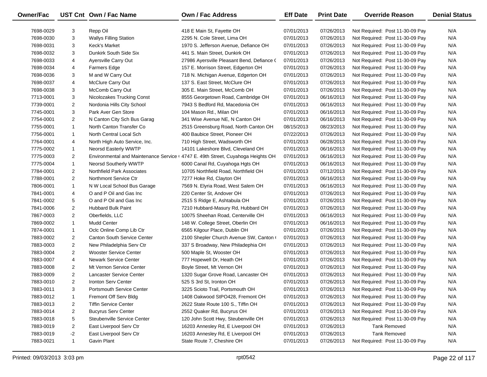| Owner/Fac |                | UST Cnt Own / Fac Name             | Own / Fac Address                                                                | <b>Eff Date</b> | <b>Print Date</b> | <b>Override Reason</b>          | <b>Denial Status</b> |
|-----------|----------------|------------------------------------|----------------------------------------------------------------------------------|-----------------|-------------------|---------------------------------|----------------------|
| 7698-0029 | 3              | Repp Oil                           | 418 E Main St, Fayette OH                                                        | 07/01/2013      | 07/26/2013        | Not Required: Post 11-30-09 Pay | N/A                  |
| 7698-0030 | 3              | <b>Wallys Filling Station</b>      | 2295 N. Cole Street, Lima OH                                                     | 07/01/2013      | 07/26/2013        | Not Required: Post 11-30-09 Pay | N/A                  |
| 7698-0031 | 3              | Keck's Market                      | 1970 S. Jefferson Avenue, Defiance OH                                            | 07/01/2013      | 07/26/2013        | Not Required: Post 11-30-09 Pay | N/A                  |
| 7698-0032 | 3              | Dunkirk South Side Six             | 441 S. Main Street, Dunkirk OH                                                   | 07/01/2013      | 07/26/2013        | Not Required: Post 11-30-09 Pay | N/A                  |
| 7698-0033 | 4              | <b>Ayersville Carry Out</b>        | 27986 Ayersville Pleasant Bend, Defiance (                                       | 07/01/2013      | 07/26/2013        | Not Required: Post 11-30-09 Pay | N/A                  |
| 7698-0034 | 4              | <b>Farmers Edge</b>                | 157 E. Morrison Street, Edgerton OH                                              | 07/01/2013      | 07/26/2013        | Not Required: Post 11-30-09 Pay | N/A                  |
| 7698-0036 | 3              | M and W Carry Out                  | 718 N. Michigan Avenue, Edgerton OH                                              | 07/01/2013      | 07/26/2013        | Not Required: Post 11-30-09 Pay | N/A                  |
| 7698-0037 | 4              | McClure Carry Out                  | 137 S. East Street, McClure OH                                                   | 07/01/2013      | 07/26/2013        | Not Required: Post 11-30-09 Pay | N/A                  |
| 7698-0038 | 3              | McComb Carry Out                   | 305 E. Main Street, McComb OH                                                    | 07/01/2013      | 07/26/2013        | Not Required: Post 11-30-09 Pay | N/A                  |
| 7713-0001 | 3              | <b>Nicolozakes Trucking Const</b>  | 8555 Georgetown Road, Cambridge OH                                               | 07/01/2013      | 06/16/2013        | Not Required: Post 11-30-09 Pay | N/A                  |
| 7739-0001 | $\overline{2}$ | Nordonia Hills City School         | 7943 S Bedford Rd, Macedonia OH                                                  | 07/01/2013      | 06/16/2013        | Not Required: Post 11-30-09 Pay | N/A                  |
| 7745-0001 | 3              | Park Aver Gen Store                | 104 Mason Rd., Milan OH                                                          | 07/01/2013      | 06/16/2013        | Not Required: Post 11-30-09 Pay | N/A                  |
| 7754-0001 | $\overline{2}$ | N Canton City Sch Bus Garag        | 341 Wise Avenue NE, N Canton OH                                                  | 07/01/2013      | 06/16/2013        | Not Required: Post 11-30-09 Pay | N/A                  |
| 7755-0001 | $\mathbf{1}$   | North Canton Transfer Co           | 2515 Greensburg Road, North Canton OH                                            | 08/15/2013      | 08/23/2013        | Not Required: Post 11-30-09 Pay | N/A                  |
| 7756-0001 | $\mathbf{1}$   | North Central Local Sch            | 400 Baubice Street, Pioneer OH                                                   | 07/22/2013      | 07/26/2013        | Not Required: Post 11-30-09 Pay | N/A                  |
| 7764-0001 | 4              | North High Auto Service, Inc.      | 710 High Street, Wadsworth OH                                                    | 07/01/2013      | 06/28/2013        | Not Required: Post 11-30-09 Pay | N/A                  |
| 7775-0002 | $\mathbf{1}$   | Neorsd Easterly WWTP               | 14101 Lakeshore Blvd, Cleveland OH                                               | 07/01/2013      | 06/16/2013        | Not Required: Post 11-30-09 Pay | N/A                  |
| 7775-0003 | $\overline{2}$ |                                    | Environmental and Maintenance Service   4747 E. 49th Street, Cuyahoga Heights OH | 07/01/2013      | 06/16/2013        | Not Required: Post 11-30-09 Pay | N/A                  |
| 7775-0004 | $\mathbf{1}$   | Neorsd Southerly WWTP              | 6000 Canal Rd, Cuyahoga Hgts OH                                                  | 07/01/2013      | 06/16/2013        | Not Required: Post 11-30-09 Pay | N/A                  |
| 7784-0001 | $\overline{2}$ | Northfield Park Associates         | 10705 Northfield Road, Northfield OH                                             | 07/01/2013      | 07/12/2013        | Not Required: Post 11-30-09 Pay | N/A                  |
| 7788-0001 | $\overline{2}$ | Northmont Service Ctr              | 7277 Hoke Rd, Clayton OH                                                         | 07/01/2013      | 06/16/2013        | Not Required: Post 11-30-09 Pay | N/A                  |
| 7806-0001 | $\mathbf{1}$   | N W Local School Bus Garage        | 7569 N. Elyria Road, West Salem OH                                               | 07/01/2013      | 06/16/2013        | Not Required: Post 11-30-09 Pay | N/A                  |
| 7841-0001 | 4              | O and P Oil and Gas Inc            | 220 Center St, Andover OH                                                        | 07/01/2013      | 07/26/2013        | Not Required: Post 11-30-09 Pay | N/A                  |
| 7841-0002 | 5              | O and P Oil and Gas Inc            | 2515 S Ridge E, Ashtabula OH                                                     | 07/01/2013      | 07/26/2013        | Not Required: Post 11-30-09 Pay | N/A                  |
| 7841-0006 | $\overline{2}$ | <b>Hubbard Bulk Paint</b>          | 7210 Hubbard-Masury Rd, Hubbard OH                                               | 07/01/2013      | 07/26/2013        | Not Required: Post 11-30-09 Pay | N/A                  |
| 7867-0003 | $\overline{2}$ | Oberfields, LLC                    | 10075 Sheehan Road, Centerville OH                                               | 07/01/2013      | 06/16/2013        | Not Required: Post 11-30-09 Pay | N/A                  |
| 7869-0002 | $\mathbf{1}$   | <b>Mudd Center</b>                 | 148 W. College Street, Oberlin OH                                                | 07/01/2013      | 06/16/2013        | Not Required: Post 11-30-09 Pay | N/A                  |
| 7874-0001 | $\mathbf{1}$   | Oclc Online Comp Lib Ctr           | 6565 Kilgour Place, Dublin OH                                                    | 07/01/2013      | 07/26/2013        | Not Required: Post 11-30-09 Pay | N/A                  |
| 7883-0002 | $\overline{2}$ | <b>Canton South Service Center</b> | 2100 Shepler Church Avenue SW, Canton (                                          | 07/01/2013      | 07/26/2013        | Not Required: Post 11-30-09 Pay | N/A                  |
| 7883-0003 | $\overline{2}$ | New Philadelphia Serv Ctr          | 337 S Broadway, New Philadephia OH                                               | 07/01/2013      | 07/26/2013        | Not Required: Post 11-30-09 Pay | N/A                  |
| 7883-0004 | $\overline{2}$ | <b>Wooster Service Center</b>      | 500 Maple St, Wooster OH                                                         | 07/01/2013      | 07/26/2013        | Not Required: Post 11-30-09 Pay | N/A                  |
| 7883-0007 | 4              | <b>Newark Service Center</b>       | 777 Hopewell Dr, Heath OH                                                        | 07/01/2013      | 07/26/2013        | Not Required: Post 11-30-09 Pay | N/A                  |
| 7883-0008 | $\overline{2}$ | Mt Vernon Service Center           | Boyle Street, Mt Vernon OH                                                       | 07/01/2013      | 07/26/2013        | Not Required: Post 11-30-09 Pay | N/A                  |
| 7883-0009 | $\overline{2}$ | Lancaster Service Center           | 1320 Sugar Grove Road, Lancaster OH                                              | 07/01/2013      | 07/26/2013        | Not Required: Post 11-30-09 Pay | N/A                  |
| 7883-0010 | $\overline{2}$ | <b>Ironton Serv Center</b>         | 525 S 3rd St, Ironton OH                                                         | 07/01/2013      | 07/26/2013        | Not Required: Post 11-30-09 Pay | N/A                  |
| 7883-0011 | 3              | <b>Portsmouth Service Center</b>   | 3225 Scioto Trail, Portsmouth OH                                                 | 07/01/2013      | 07/26/2013        | Not Required: Post 11-30-09 Pay | N/A                  |
| 7883-0012 | 1              | Fremont Off Serv Bldg              | 1408 Oakwood StPO428, Fremont OH                                                 | 07/01/2013      | 07/26/2013        | Not Required: Post 11-30-09 Pay | N/A                  |
| 7883-0013 | 2              | <b>Tiffin Service Center</b>       | 2622 State Route 100 S., Tiffin OH                                               | 07/01/2013      | 07/26/2013        | Not Required: Post 11-30-09 Pay | N/A                  |
| 7883-0014 | 2              | <b>Bucyrus Serv Center</b>         | 2552 Quaker Rd, Bucyrus OH                                                       | 07/01/2013      | 07/26/2013        | Not Required: Post 11-30-09 Pay | N/A                  |
| 7883-0018 | 5              | Steubenville Service Center        | 120 John Scott Hwy, Steubenville OH                                              | 07/01/2013      | 07/26/2013        | Not Required: Post 11-30-09 Pay | N/A                  |
| 7883-0019 | 2              | East Liverpool Serv Ctr            | 16203 Annesley Rd, E Liverpool OH                                                | 07/01/2013      | 07/26/2013        | <b>Tank Removed</b>             | N/A                  |
| 7883-0019 | $-2$           | East Liverpool Serv Ctr            | 16203 Annesley Rd, E Liverpool OH                                                | 07/01/2013      | 07/26/2013        | <b>Tank Removed</b>             | N/A                  |
| 7883-0021 | $\mathbf{1}$   | Gavin Plant                        | State Route 7, Cheshire OH                                                       | 07/01/2013      | 07/26/2013        | Not Required: Post 11-30-09 Pay | N/A                  |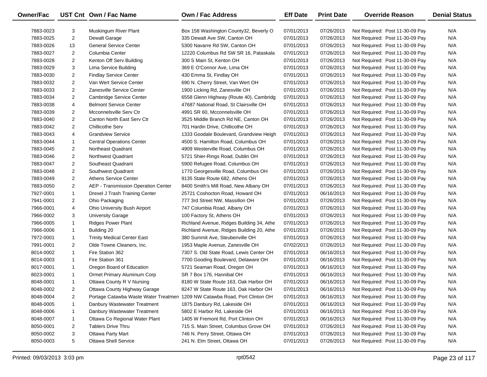| <b>Owner/Fac</b> |                | UST Cnt Own / Fac Name              | Own / Fac Address                                                          | <b>Eff Date</b> | <b>Print Date</b> | <b>Override Reason</b>          | <b>Denial Status</b> |
|------------------|----------------|-------------------------------------|----------------------------------------------------------------------------|-----------------|-------------------|---------------------------------|----------------------|
| 7883-0023        | 3              | Muskingum River Plant               | Box 158 Washington County32, Beverly O                                     | 07/01/2013      | 07/26/2013        | Not Required: Post 11-30-09 Pay | N/A                  |
| 7883-0025        | $\overline{2}$ | Dewalt Garage                       | 335 Dewalt Ave SW, Canton OH                                               | 07/01/2013      | 07/26/2013        | Not Required: Post 11-30-09 Pay | N/A                  |
| 7883-0026        | 13             | <b>General Service Center</b>       | 5300 Navarre Rd SW, Canton OH                                              | 07/01/2013      | 07/26/2013        | Not Required: Post 11-30-09 Pay | N/A                  |
| 7883-0027        | $\overline{2}$ | Columbia Center                     | 12220 Columbus Rd SW SR 16, Pataskala                                      | 07/01/2013      | 07/26/2013        | Not Required: Post 11-30-09 Pay | N/A                  |
| 7883-0028        | $\overline{2}$ | Kenton Off Serv Building            | 300 S Main St, Kenton OH                                                   | 07/01/2013      | 07/26/2013        | Not Required: Post 11-30-09 Pay | N/A                  |
| 7883-0029        | 3              | Lima Service Building               | 369 E O'Connor Ave, Lima OH                                                | 07/01/2013      | 07/26/2013        | Not Required: Post 11-30-09 Pay | N/A                  |
| 7883-0030        | 2              | <b>Findlay Service Center</b>       | 430 Emma St, Findlay OH                                                    | 07/01/2013      | 07/26/2013        | Not Required: Post 11-30-09 Pay | N/A                  |
| 7883-0032        | $\overline{2}$ | Van Wert Service Center             | 690 N. Cherry Street, Van Wert OH                                          | 07/01/2013      | 07/26/2013        | Not Required: Post 11-30-09 Pay | N/A                  |
| 7883-0033        | $\overline{2}$ | Zanesville Service Center           | 1900 Licking Rd, Zanesville OH                                             | 07/01/2013      | 07/26/2013        | Not Required: Post 11-30-09 Pay | N/A                  |
| 7883-0034        | $\overline{2}$ | Cambridge Service Center            | 6558 Glenn Highway (Route 40), Cambridg                                    | 07/01/2013      | 07/26/2013        | Not Required: Post 11-30-09 Pay | N/A                  |
| 7883-0038        | 4              | <b>Belmont Service Center</b>       | 47687 National Road, St Clairsville OH                                     | 07/01/2013      | 07/26/2013        | Not Required: Post 11-30-09 Pay | N/A                  |
| 7883-0039        | $\overline{2}$ | Mcconnelsville Serv Ctr             | 4991 SR 60, Mcconnelsville OH                                              | 07/01/2013      | 07/26/2013        | Not Required: Post 11-30-09 Pay | N/A                  |
| 7883-0040        | $\overline{2}$ | Canton North East Serv Ctr          | 3525 Middle Branch Rd NE, Canton OH                                        | 07/01/2013      | 07/26/2013        | Not Required: Post 11-30-09 Pay | N/A                  |
| 7883-0042        | $\overline{2}$ | <b>Chillicothe Serv</b>             | 701 Hardin Drive, Chillicothe OH                                           | 07/01/2013      | 07/26/2013        | Not Required: Post 11-30-09 Pay | N/A                  |
| 7883-0043        | 4              | <b>Grandview Service</b>            | 1333 Goodale Boulevard, Grandview Heigh                                    | 07/01/2013      | 07/26/2013        | Not Required: Post 11-30-09 Pay | N/A                  |
| 7883-0044        | $\mathbf{1}$   | <b>Central Operations Center</b>    | 4500 S. Hamilton Road, Columbus OH                                         | 07/01/2013      | 07/26/2013        | Not Required: Post 11-30-09 Pay | N/A                  |
| 7883-0045        | $\overline{2}$ | Northeast Quadrant                  | 4909 Westerville Road, Columbus OH                                         | 07/01/2013      | 07/26/2013        | Not Required: Post 11-30-09 Pay | N/A                  |
| 7883-0046        | $\overline{2}$ | Northwest Quadrant                  | 5721 Shier-Rings Road, Dublin OH                                           | 07/01/2013      | 07/26/2013        | Not Required: Post 11-30-09 Pay | N/A                  |
| 7883-0047        | $\overline{2}$ | Southeast Quadrant                  | 5900 Refugee Road, Columbus OH                                             | 07/01/2013      | 07/26/2013        | Not Required: Post 11-30-09 Pay | N/A                  |
| 7883-0048        | $\overline{2}$ | Southwest Quadrant                  | 1770 Georgesville Road, Columbus OH                                        | 07/01/2013      | 07/26/2013        | Not Required: Post 11-30-09 Pay | N/A                  |
| 7883-0049        | $\overline{2}$ | <b>Athens Service Center</b>        | 9135 State Route 682, Athens OH                                            | 07/01/2013      | 07/26/2013        | Not Required: Post 11-30-09 Pay | N/A                  |
| 7883-0050        | $\overline{2}$ | AEP - Transmission Operation Center | 8400 Smith's Mill Road, New Albany OH                                      | 07/01/2013      | 07/26/2013        | Not Required: Post 11-30-09 Pay | N/A                  |
| 7927-0001        | $\mathbf{1}$   | Drexel J Trash Training Center      | 25721 Coshocton Road, Howard OH                                            | 07/01/2013      | 06/16/2013        | Not Required: Post 11-30-09 Pay | N/A                  |
| 7941-0001        | $\overline{2}$ | Ohio Packaging                      | 777 3rd Street NW, Massillon OH                                            | 07/01/2013      | 07/26/2013        | Not Required: Post 11-30-09 Pay | N/A                  |
| 7966-0001        | 4              | Ohio University Bush Airport        | 747 Columbia Road, Albany OH                                               | 07/01/2013      | 07/26/2013        | Not Required: Post 11-30-09 Pay | N/A                  |
| 7966-0002        | 3              | <b>University Garage</b>            | 100 Factory St, Athens OH                                                  | 07/01/2013      | 07/26/2013        | Not Required: Post 11-30-09 Pay | N/A                  |
| 7966-0005        | $\mathbf{1}$   | <b>Ridges Power Plant</b>           | Richland Avenue, Ridges Building 34, Athe                                  | 07/01/2013      | 07/26/2013        | Not Required: Post 11-30-09 Pay | N/A                  |
| 7966-0006        | $\mathbf{1}$   | Building 20                         | Richland Avenue, Ridges Building 20, Athe                                  | 07/01/2013      | 07/26/2013        | Not Required: Post 11-30-09 Pay | N/A                  |
| 7972-0001        | $\mathbf{1}$   | <b>Trinity Medical Center East</b>  | 380 Summit Ave, Steubenville OH                                            | 07/01/2013      | 07/26/2013        | Not Required: Post 11-30-09 Pay | N/A                  |
| 7991-0001        | $\overline{2}$ | Olde Towne Cleaners, Inc.           | 1953 Maple Avenue, Zanesville OH                                           | 07/02/2013      | 07/26/2013        | Not Required: Post 11-30-09 Pay | N/A                  |
| 8014-0002        | $\mathbf{1}$   | Fire Station 362                    | 7307 S. Old State Road, Lewis Center OH                                    | 07/01/2013      | 06/16/2013        | Not Required: Post 11-30-09 Pay | N/A                  |
| 8014-0003        | $\mathbf{1}$   | Fire Station 361                    | 7700 Gooding Boulevard, Delaware OH                                        | 07/01/2013      | 06/16/2013        | Not Required: Post 11-30-09 Pay | N/A                  |
| 8017-0001        | $\mathbf{1}$   | Oregon Board of Education           | 5721 Seaman Road, Oregon OH                                                | 07/01/2013      | 06/16/2013        | Not Required: Post 11-30-09 Pay | N/A                  |
| 8023-0001        | $\mathbf{1}$   | Ormet Primary Aluminum Corp         | SR 7 Box 176, Hannibal OH                                                  | 07/01/2013      | 06/16/2013        | Not Required: Post 11-30-09 Pay | N/A                  |
| 8048-0001        | $\mathbf{1}$   | Ottawa County R V Nursing           | 8180 W State Route 163, Oak Harbor OH                                      | 07/01/2013      | 06/16/2013        | Not Required: Post 11-30-09 Pay | N/A                  |
| 8048-0002        | 2              | Ottawa County Highway Garage        | 8247 W State Route 163, Oak Harbor OH                                      | 07/01/2013      | 06/16/2013        | Not Required: Post 11-30-09 Pay | N/A                  |
| 8048-0004        | 2              |                                     | Portage Catawba Waste Water Treatmen 1209 NW Catawba Road, Port Clinton OH | 07/01/2013      | 06/16/2013        | Not Required: Post 11-30-09 Pay | N/A                  |
| 8048-0005        | 1              | Danbury Wastewater Treatment        | 1875 Danbury Rd, Lakeside OH                                               | 07/01/2013      | 06/16/2013        | Not Required: Post 11-30-09 Pay | N/A                  |
| 8048-0006        | 1              | Danbury Wastewater Treatment        | 5802 E Harbor Rd, Lakeside OH                                              | 07/01/2013      | 06/16/2013        | Not Required: Post 11-30-09 Pay | N/A                  |
| 8048-0007        | $\mathbf{1}$   | Ottawa Co Regional Water Plant      | 1405 W Fremont Rd, Port Clinton OH                                         | 07/01/2013      | 06/16/2013        | Not Required: Post 11-30-09 Pay | N/A                  |
| 8050-0001        | 2              | <b>Tablers Drive Thru</b>           | 715 S. Main Street, Columbus Grove OH                                      | 07/01/2013      | 07/26/2013        | Not Required: Post 11-30-09 Pay | N/A                  |
| 8050-0002        | 3              | <b>Ottawa Party Mart</b>            | 746 N. Perry Street, Ottawa OH                                             | 07/01/2013      | 07/26/2013        | Not Required: Post 11-30-09 Pay | N/A                  |
| 8050-0003        | 5              | <b>Ottawa Shell Service</b>         | 241 N. Elm Street, Ottawa OH                                               | 07/01/2013      | 07/26/2013        | Not Required: Post 11-30-09 Pay | N/A                  |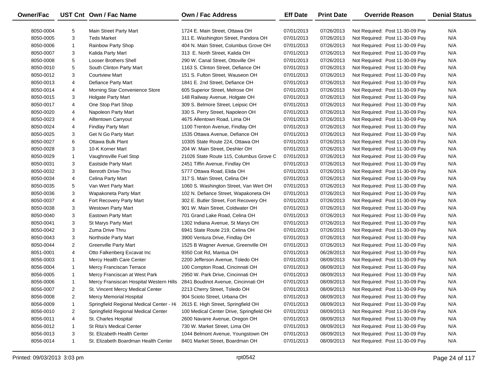| Owner/Fac |                | UST Cnt Own / Fac Name                                                      | Own / Fac Address                        | <b>Eff Date</b> | <b>Print Date</b> | <b>Override Reason</b>          | <b>Denial Status</b> |
|-----------|----------------|-----------------------------------------------------------------------------|------------------------------------------|-----------------|-------------------|---------------------------------|----------------------|
| 8050-0004 | 5              | <b>Main Street Party Mart</b>                                               | 1724 E. Main Street, Ottawa OH           | 07/01/2013      | 07/26/2013        | Not Required: Post 11-30-09 Pay | N/A                  |
| 8050-0005 | 3              | <b>Teds Market</b>                                                          | 311 E. Washington Street, Pandora OH     | 07/01/2013      | 07/26/2013        | Not Required: Post 11-30-09 Pay | N/A                  |
| 8050-0006 | $\mathbf{1}$   | <b>Rainbow Party Shop</b>                                                   | 404 N. Main Street, Columbus Grove OH    | 07/01/2013      | 07/26/2013        | Not Required: Post 11-30-09 Pay | N/A                  |
| 8050-0007 | 3              | Kalida Party Mart                                                           | 313 E. North Street, Kalida OH           | 07/01/2013      | 07/26/2013        | Not Required: Post 11-30-09 Pay | N/A                  |
| 8050-0008 | 5              | <b>Looser Brothers Shell</b>                                                | 290 W. Canal Street, Ottoville OH        | 07/01/2013      | 07/26/2013        | Not Required: Post 11-30-09 Pay | N/A                  |
| 8050-0010 | 5              | South Clinton Party Mart                                                    | 1163 S. Clinton Street, Defiance OH      | 07/01/2013      | 07/26/2013        | Not Required: Post 11-30-09 Pay | N/A                  |
| 8050-0012 | 3              | <b>Courtview Mart</b>                                                       | 151 S. Fulton Street, Wauseon OH         | 07/01/2013      | 07/26/2013        | Not Required: Post 11-30-09 Pay | N/A                  |
| 8050-0013 | 4              | Defiance Party Mart                                                         | 1841 E. 2nd Street, Defiance OH          | 07/01/2013      | 07/26/2013        | Not Required: Post 11-30-09 Pay | N/A                  |
| 8050-0014 | 4              | Morning Star Convenience Store                                              | 605 Superior Street, Melrose OH          | 07/01/2013      | 07/26/2013        | Not Required: Post 11-30-09 Pay | N/A                  |
| 8050-0015 | 3              | <b>Holgate Party Mart</b>                                                   | 148 Railway Avenue, Holgate OH           | 07/01/2013      | 07/26/2013        | Not Required: Post 11-30-09 Pay | N/A                  |
| 8050-0017 | 4              | One Stop Part Shop                                                          | 309 S. Belmore Street, Leipsic OH        | 07/01/2013      | 07/26/2013        | Not Required: Post 11-30-09 Pay | N/A                  |
| 8050-0020 | 4              | Napoleon Party Mart                                                         | 330 S. Perry Street, Napoleon OH         | 07/01/2013      | 07/26/2013        | Not Required: Post 11-30-09 Pay | N/A                  |
| 8050-0023 | 4              | <b>Alltentown Carryout</b>                                                  | 4675 Allentown Road, Lima OH             | 07/01/2013      | 07/26/2013        | Not Required: Post 11-30-09 Pay | N/A                  |
| 8050-0024 | 4              | <b>Findlay Party Mart</b>                                                   | 1100 Trenton Avenue, Findlay OH          | 07/01/2013      | 07/26/2013        | Not Required: Post 11-30-09 Pay | N/A                  |
| 8050-0025 | 3              | Get N Go Party Mart                                                         | 1535 Ottawa Avenue, Defiance OH          | 07/01/2013      | 07/26/2013        | Not Required: Post 11-30-09 Pay | N/A                  |
| 8050-0027 | 6              | Ottawa Bulk Plant                                                           | 10305 State Route 224, Ottawa OH         | 07/01/2013      | 07/26/2013        | Not Required: Post 11-30-09 Pay | N/A                  |
| 8050-0028 | 3              | 10-K Korner Mart                                                            | 204 W. Main Street, Deshler OH           | 07/01/2013      | 07/26/2013        | Not Required: Post 11-30-09 Pay | N/A                  |
| 8050-0029 | $\mathbf{1}$   | Vaughnsville Fuel Stop                                                      | 21026 State Route 115, Columbus Grove C  | 07/01/2013      | 07/26/2013        | Not Required: Post 11-30-09 Pay | N/A                  |
| 8050-0031 | 3              | <b>Eastside Party Mart</b>                                                  | 2451 Tiffin Avenue, Findlay OH           | 07/01/2013      | 07/26/2013        | Not Required: Post 11-30-09 Pay | N/A                  |
| 8050-0032 | 3              | Benroth Drive-Thru                                                          | 5777 Ottawa Road, Elida OH               | 07/01/2013      | 07/26/2013        | Not Required: Post 11-30-09 Pay | N/A                  |
| 8050-0034 | 4              | Celina Party Mart                                                           | 317 S. Main Street, Celina OH            | 07/01/2013      | 07/26/2013        | Not Required: Post 11-30-09 Pay | N/A                  |
| 8050-0035 | 5              | Van Wert Party Mart                                                         | 1060 S. Washington Street, Van Wert OH   | 07/01/2013      | 07/26/2013        | Not Required: Post 11-30-09 Pay | N/A                  |
| 8050-0036 | 3              | Wapakoneta Party Mart                                                       | 102 N. Defiance Street, Wapakoneta OH    | 07/01/2013      | 07/26/2013        | Not Required: Post 11-30-09 Pay | N/A                  |
| 8050-0037 | 4              | Fort Recovery Party Mart                                                    | 302 E. Butler Street, Fort Recovery OH   | 07/01/2013      | 07/26/2013        | Not Required: Post 11-30-09 Pay | N/A                  |
| 8050-0038 | 3              | <b>Westown Party Mart</b>                                                   | 901 W. Main Street, Coldwater OH         | 07/01/2013      | 07/26/2013        | Not Required: Post 11-30-09 Pay | N/A                  |
| 8050-0040 | 3              | <b>Eastown Party Mart</b>                                                   | 701 Grand Lake Road, Celina OH           | 07/01/2013      | 07/26/2013        | Not Required: Post 11-30-09 Pay | N/A                  |
| 8050-0041 | 3              | St Marys Party Mart                                                         | 1302 Indiana Avenue, St Marys OH         | 07/01/2013      | 07/26/2013        | Not Required: Post 11-30-09 Pay | N/A                  |
| 8050-0042 | 3              | Zuma Drive Thru                                                             | 6941 State Route 219, Celina OH          | 07/01/2013      | 07/26/2013        | Not Required: Post 11-30-09 Pay | N/A                  |
| 8050-0043 | 3              | Northside Party Mart                                                        | 3900 Ventura Drive, Findlay OH           | 07/01/2013      | 07/26/2013        | Not Required: Post 11-30-09 Pay | N/A                  |
| 8050-0044 | $\overline{2}$ | <b>Greenville Party Mart</b>                                                | 1525 B Wagner Avenue, Greenville OH      | 07/01/2013      | 07/26/2013        | Not Required: Post 11-30-09 Pay | N/A                  |
| 8051-0001 | 4              | Otto Falkenberg Excavat Inc                                                 | 9350 Coit Rd, Mantua OH                  | 07/01/2013      | 06/28/2013        | Not Required: Post 11-30-09 Pay | N/A                  |
| 8056-0003 | $\mathbf{1}$   | Mercy Health Care Center                                                    | 2200 Jefferson Avenue, Toledo OH         | 07/01/2013      | 08/09/2013        | Not Required: Post 11-30-09 Pay | N/A                  |
| 8056-0004 | $\mathbf{1}$   | Mercy Franciscan Terrace                                                    | 100 Compton Road, Cincinnati OH          | 07/01/2013      | 08/09/2013        | Not Required: Post 11-30-09 Pay | N/A                  |
| 8056-0005 | $\mathbf{1}$   | Mercy Franciscan at West Park                                               | 2950 W. Park Drive, Cincinnati OH        | 07/01/2013      | 08/09/2013        | Not Required: Post 11-30-09 Pay | N/A                  |
| 8056-0006 | $\mathbf{1}$   | Mercy Fransiscan Hospital Western Hills 2841 Boudinot Avenue, Cincinnati OH |                                          | 07/01/2013      | 08/09/2013        | Not Required: Post 11-30-09 Pay | N/A                  |
| 8056-0007 | 2              | St. Vincent Mercy Medical Center                                            | 2213 Cherry Street, Toledo OH            | 07/01/2013      | 08/09/2013        | Not Required: Post 11-30-09 Pay | N/A                  |
| 8056-0008 | 2              | <b>Mercy Memorial Hospital</b>                                              | 904 Scioto Street, Urbana OH             | 07/01/2013      | 08/09/2013        | Not Required: Post 11-30-09 Pay | N/A                  |
| 8056-0009 | 1              | Springfield Regional Medical Center - Hi                                    | 2615 E. High Street, Springfield OH      | 07/01/2013      | 08/09/2013        | Not Required: Post 11-30-09 Pay | N/A                  |
| 8056-0010 | 2              | Springfield Regional Medical Center                                         | 100 Medical Center Drive, Springfield OH | 07/01/2013      | 08/09/2013        | Not Required: Post 11-30-09 Pay | N/A                  |
| 8056-0011 | 4              | St. Charles Hospital                                                        | 2600 Navarre Avenue, Oregon OH           | 07/01/2013      | 08/09/2013        | Not Required: Post 11-30-09 Pay | N/A                  |
| 8056-0012 | 1              | St Rita's Medical Center                                                    | 730 W. Market Street, Lima OH            | 07/01/2013      | 08/09/2013        | Not Required: Post 11-30-09 Pay | N/A                  |
| 8056-0013 | 3              | St. Elizabeth Health Center                                                 | 1044 Belmont Avenue, Youngstown OH       | 07/01/2013      | 08/09/2013        | Not Required: Post 11-30-09 Pay | N/A                  |
| 8056-0014 | $\mathbf{1}$   | St. Elizabeth Boardman Health Center                                        | 8401 Market Street, Boardman OH          | 07/01/2013      | 08/09/2013        | Not Required: Post 11-30-09 Pay | N/A                  |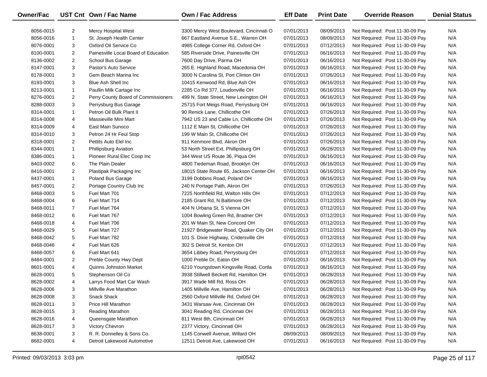| Owner/Fac |                | UST Cnt Own / Fac Name               | Own / Fac Address                       | <b>Eff Date</b> | <b>Print Date</b> | <b>Override Reason</b>          | <b>Denial Status</b> |
|-----------|----------------|--------------------------------------|-----------------------------------------|-----------------|-------------------|---------------------------------|----------------------|
| 8056-0015 | $\overline{2}$ | <b>Mercy Hospital West</b>           | 3300 Mercy West Boulevard, Cincinnati O | 07/01/2013      | 08/09/2013        | Not Required: Post 11-30-09 Pay | N/A                  |
| 8056-0016 | $\mathbf{1}$   | St. Joseph Health Center             | 667 Eastland Avenue S.E., Warren OH     | 07/01/2013      | 08/09/2013        | Not Required: Post 11-30-09 Pay | N/A                  |
| 8076-0001 | 3              | Oxford Oil Service Co                | 4985 College Corner Rd, Oxford OH       | 07/01/2013      | 07/12/2013        | Not Required: Post 11-30-09 Pay | N/A                  |
| 8100-0001 | $\overline{2}$ | Painesville Local Board of Education | 585 Riverside Drive, Painesville OH     | 07/01/2013      | 06/16/2013        | Not Required: Post 11-30-09 Pay | N/A                  |
| 8136-0002 | $\overline{2}$ | School Bus Garage                    | 7600 Day Drive, Parma OH                | 07/01/2013      | 06/16/2013        | Not Required: Post 11-30-09 Pay | N/A                  |
| 8147-0001 | 3              | Pastor's Auto Service                | 265 E. Highland Road, Macedonia OH      | 07/01/2013      | 06/16/2013        | Not Required: Post 11-30-09 Pay | N/A                  |
| 8178-0001 | 3              | Gem Beach Marina Inc                 | 3000 N Carolina St, Port Clinton OH     | 07/01/2013      | 07/26/2013        | Not Required: Post 11-30-09 Pay | N/A                  |
| 8193-0001 | 3              | Blue Ash Shell Inc                   | 10415 Kenwood Rd, Blue Ash OH           | 07/01/2013      | 06/16/2013        | Not Required: Post 11-30-09 Pay | N/A                  |
| 8213-0001 | $\mathbf{1}$   | Paullin Milk Cartage Inc             | 2285 Co Rd 377, Loudonville OH          | 07/01/2013      | 06/16/2013        | Not Required: Post 11-30-09 Pay | N/A                  |
| 8276-0001 | $\overline{2}$ | Perry County Board of Commissioners  | 499 N. State Street, New Lexington OH   | 07/01/2013      | 06/16/2013        | Not Required: Post 11-30-09 Pay | N/A                  |
| 8288-0003 | 3              | Perrysburg Bus Garage                | 25715 Fort Meigs Road, Perrysburg OH    | 07/01/2013      | 06/16/2013        | Not Required: Post 11-30-09 Pay | N/A                  |
| 8314-0001 | $\mathbf{1}$   | Petron Oil Bulk Plant II             | 90 Renick Lane, Chillicothe OH          | 07/01/2013      | 07/26/2013        | Not Required: Post 11-30-09 Pay | N/A                  |
| 8314-0008 | 4              | Massieville Mini Mart                | 7942 US 23 and Cable Ln, Chillicothe OH | 07/01/2013      | 07/26/2013        | Not Required: Post 11-30-09 Pay | N/A                  |
| 8314-0009 | 4              | East Main Sunoco                     | 1112 E Main St, Chillicothe OH          | 07/01/2013      | 07/26/2013        | Not Required: Post 11-30-09 Pay | N/A                  |
| 8314-0010 | 3              | Petron 24 Hr Feul Stop               | 199 W Main St, Chillicothe OH           | 07/01/2013      | 07/26/2013        | Not Required: Post 11-30-09 Pay | N/A                  |
| 8318-0001 | $\overline{2}$ | Pettits Auto Elel Inc.               | 911 Kenmore Blvd, Akron OH              | 07/01/2013      | 07/26/2013        | Not Required: Post 11-30-09 Pay | N/A                  |
| 8344-0001 | $\mathbf{1}$   | Phillipsburg Aviation                | 53 North Street Ext, Phillipsburg OH    | 07/01/2013      | 06/28/2013        | Not Required: Post 11-30-09 Pay | N/A                  |
| 8386-0001 | $\mathbf{1}$   | Pioneer Rural Elec Coop Inc          | 344 West US Route 36, Piqua OH          | 07/01/2013      | 06/16/2013        | Not Required: Post 11-30-09 Pay | N/A                  |
| 8403-0002 | 6              | The Plain Dealer                     | 4800 Tiedeman Road, Brooklyn OH         | 07/01/2013      | 06/16/2013        | Not Required: Post 11-30-09 Pay | N/A                  |
| 8416-0001 | $\overline{2}$ | Plastipak Packaging Inc              | 18015 State Route 65, Jackson Center OH | 07/01/2013      | 06/16/2013        | Not Required: Post 11-30-09 Pay | N/A                  |
| 8437-0001 | $\mathbf{1}$   | Poland Bus Garage                    | 3199 Dobbins Road, Poland OH            | 07/01/2013      | 06/16/2013        | Not Required: Post 11-30-09 Pay | N/A                  |
| 8457-0001 | $\overline{2}$ | Portage Country Club Inc             | 240 N Portage Path, Akron OH            | 07/01/2013      | 07/26/2013        | Not Required: Post 11-30-09 Pay | N/A                  |
| 8468-0003 | 5              | Fuel Mart 701                        | 7225 Northfield Rd, Walton Hills OH     | 07/01/2013      | 07/12/2013        | Not Required: Post 11-30-09 Pay | N/A                  |
| 8468-0004 | 6              | Fuel Mart 714                        | 2185 Grant Rd, N Baltimore OH           | 07/01/2013      | 07/12/2013        | Not Required: Post 11-30-09 Pay | N/A                  |
| 8468-0011 | $\overline{7}$ | Fuel Mart 764                        | 404 N Urbana St, S Vienna OH            | 07/01/2013      | 07/12/2013        | Not Required: Post 11-30-09 Pay | N/A                  |
| 8468-0012 | 6              | Fuel Mart 767                        | 1004 Bowling Green Rd, Bradner OH       | 07/01/2013      | 07/12/2013        | Not Required: Post 11-30-09 Pay | N/A                  |
| 8468-0018 | 4              | Fuel Mart 706                        | 201 W Main St, New Concord OH           | 07/01/2013      | 07/12/2013        | Not Required: Post 11-30-09 Pay | N/A                  |
| 8468-0029 | 5              | Fuel Mart 727                        | 21927 Bridgewater Road, Quaker City OH  | 07/01/2013      | 07/12/2013        | Not Required: Post 11-30-09 Pay | N/A                  |
| 8468-0042 | 5              | Fuel Mart 782                        | 101 S. Dixie Highway, Cridersville OH   | 07/01/2013      | 07/12/2013        | Not Required: Post 11-30-09 Pay | N/A                  |
| 8468-0046 | 4              | Fuel Mart 626                        | 302 S Detroit St, Kenton OH             | 07/01/2013      | 07/12/2013        | Not Required: Post 11-30-09 Pay | N/A                  |
| 8468-0057 | 6              | Fuel Mart 641                        | 3654 Libbey Road, Perrysburg OH         | 07/01/2013      | 07/12/2013        | Not Required: Post 11-30-09 Pay | N/A                  |
| 8484-0001 | $\overline{2}$ | Preble County Hwy Dept               | 1000 Preble Dr, Eaton OH                | 07/01/2013      | 06/16/2013        | Not Required: Post 11-30-09 Pay | N/A                  |
| 8601-0001 | 4              | <b>Quinns Johnston Market</b>        | 6210 Youngstown Kingsville Road, Cortla | 07/01/2013      | 06/16/2013        | Not Required: Post 11-30-09 Pay | N/A                  |
| 8628-0001 | 5              | Stephenson Oil Co                    | 3938 Stillwell Beckett Rd, Hamilton OH  | 07/01/2013      | 06/28/2013        | Not Required: Post 11-30-09 Pay | N/A                  |
| 8628-0002 | $\overline{4}$ | Larrys Food Mart Car Wash            | 3917 Wade Mill Rd, Ross OH              | 07/01/2013      | 06/28/2013        | Not Required: Post 11-30-09 Pay | N/A                  |
| 8628-0006 | 3              | Millville Ave Marathon               | 1405 Millville Ave, Hamilton OH         | 07/01/2013      | 06/28/2013        | Not Required: Post 11-30-09 Pay | N/A                  |
| 8628-0008 | 3              | <b>Snack Shack</b>                   | 2560 Oxford Millville Rd, Oxford OH     | 07/01/2013      | 06/28/2013        | Not Required: Post 11-30-09 Pay | N/A                  |
| 8628-0011 | 3              | Price Hill Marathon                  | 3431 Warsaw Ave, Cincinnati OH          | 07/01/2013      | 06/28/2013        | Not Required: Post 11-30-09 Pay | N/A                  |
| 8628-0015 | 3              | Reading Marathon                     | 3041 Reading Rd, Cincinnati OH          | 07/01/2013      | 06/28/2013        | Not Required: Post 11-30-09 Pay | N/A                  |
| 8628-0016 | 4              | Queensgate Marathon                  | 811 West 8th, Cincinnati OH             | 07/01/2013      | 06/28/2013        | Not Required: Post 11-30-09 Pay | N/A                  |
| 8628-0017 | 3              | Victory Chevron                      | 2377 Victory, Cincinnati OH             | 07/01/2013      | 06/28/2013        | Not Required: Post 11-30-09 Pay | N/A                  |
| 8638-0001 | 3              | R. R. Donnelley & Sons Co.           | 1145 Conwell Avenue, Willard OH         | 08/09/2013      | 08/09/2013        | Not Required: Post 11-30-09 Pay | N/A                  |
| 8682-0001 | 4              | Detroit Lakewood Automotive          | 12511 Detroit Ave, Lakewood OH          | 07/01/2013      | 06/16/2013        | Not Required: Post 11-30-09 Pay | N/A                  |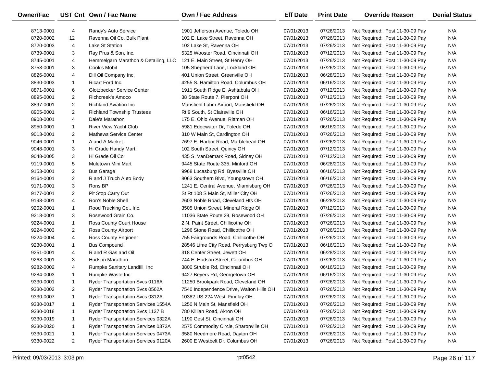| <b>Owner/Fac</b> |                | UST Cnt Own / Fac Name                     | Own / Fac Address                        | <b>Eff Date</b> | <b>Print Date</b> | <b>Override Reason</b>          | <b>Denial Status</b> |
|------------------|----------------|--------------------------------------------|------------------------------------------|-----------------|-------------------|---------------------------------|----------------------|
| 8713-0001        | 4              | Randy's Auto Service                       | 1901 Jefferson Avenue, Toledo OH         | 07/01/2013      | 07/26/2013        | Not Required: Post 11-30-09 Pay | N/A                  |
| 8720-0002        | 12             | Ravenna Oil Co. Bulk Plant                 | 102 E. Lake Street, Ravenna OH           | 07/01/2013      | 07/26/2013        | Not Required: Post 11-30-09 Pay | N/A                  |
| 8720-0003        | 4              | Lake St Station                            | 102 Lake St, Ravenna OH                  | 07/01/2013      | 07/26/2013        | Not Required: Post 11-30-09 Pay | N/A                  |
| 8739-0001        | 3              | Ray Prus & Son, Inc.                       | 5325 Wooster Road, Cincinnati OH         | 07/01/2013      | 07/12/2013        | Not Required: Post 11-30-09 Pay | N/A                  |
| 8745-0001        | 4              | Hemmelgarn Marathon & Detailing, LLC       | 121 E. Main Street, St Henry OH          | 07/01/2013      | 07/26/2013        | Not Required: Post 11-30-09 Pay | N/A                  |
| 8753-0001        | 3              | Cook's Mobil                               | 105 Shepherd Lane, Lockland OH           | 07/01/2013      | 07/26/2013        | Not Required: Post 11-30-09 Pay | N/A                  |
| 8826-0001        | 4              | Dill Oil Company Inc.                      | 401 Union Street, Greenville OH          | 07/01/2013      | 06/28/2013        | Not Required: Post 11-30-09 Pay | N/A                  |
| 8830-0003        | $\mathbf{1}$   | Ricart Ford Inc.                           | 4255 S. Hamilton Road, Columbus OH       | 07/01/2013      | 06/16/2013        | Not Required: Post 11-30-09 Pay | N/A                  |
| 8871-0001        | 6              | Glotzbecker Service Center                 | 1911 South Ridge E, Ashtabula OH         | 07/01/2013      | 07/12/2013        | Not Required: Post 11-30-09 Pay | N/A                  |
| 8895-0001        | $\overline{2}$ | Richcreek's Amoco                          | 38 State Route 7, Pierpont OH            | 07/01/2013      | 07/12/2013        | Not Required: Post 11-30-09 Pay | N/A                  |
| 8897-0001        | $\overline{2}$ | <b>Richland Aviation Inc.</b>              | Mansfield Lahm Airport, Mansfield OH     | 07/01/2013      | 07/26/2013        | Not Required: Post 11-30-09 Pay | N/A                  |
| 8905-0001        | $\overline{2}$ | <b>Richland Township Trustees</b>          | Rt 9 South, St Clairsville OH            | 07/01/2013      | 06/16/2013        | Not Required: Post 11-30-09 Pay | N/A                  |
| 8908-0001        | 4              | Dale's Marathon                            | 175 E. Ohio Avenue, Rittman OH           | 07/01/2013      | 07/26/2013        | Not Required: Post 11-30-09 Pay | N/A                  |
| 8950-0001        | $\mathbf{1}$   | <b>River View Yacht Club</b>               | 5981 Edgewater Dr, Toledo OH             | 07/01/2013      | 06/16/2013        | Not Required: Post 11-30-09 Pay | N/A                  |
| 9013-0001        | $\overline{2}$ | <b>Mathews Service Center</b>              | 310 W Main St, Cardington OH             | 07/01/2013      | 07/26/2013        | Not Required: Post 11-30-09 Pay | N/A                  |
| 9046-0001        | $\mathbf{1}$   | A and A Market                             | 7697 E. Harbor Road, Marblehead OH       | 07/01/2013      | 07/26/2013        | Not Required: Post 11-30-09 Pay | N/A                  |
| 9048-0001        | 3              | Hi Grade Handy Mart                        | 102 South Street, Quincy OH              | 07/01/2013      | 07/12/2013        | Not Required: Post 11-30-09 Pay | N/A                  |
| 9048-0005        | 3              | Hi Grade Oil Co                            | 435 S. VanDemark Road, Sidney OH         | 07/01/2013      | 07/12/2013        | Not Required: Post 11-30-09 Pay | N/A                  |
| 9119-0001        | 5              | Muletown Mini Mart                         | 9445 State Route 335, Minford OH         | 07/01/2013      | 06/28/2013        | Not Required: Post 11-30-09 Pay | N/A                  |
| 9153-0001        | $\overline{a}$ | <b>Bus Garage</b>                          | 9968 Lucasburg Rd, Byesville OH          | 07/01/2013      | 06/16/2013        | Not Required: Post 11-30-09 Pay | N/A                  |
| 9164-0001        | $\overline{2}$ | R and J Truch Auto Body                    | 8063 Southern Blvd, Youngstown OH        | 07/01/2013      | 06/16/2013        | Not Required: Post 11-30-09 Pay | N/A                  |
| 9171-0001        | 3              | Rons BP                                    | 1241 E. Central Avenue, Miamisburg OH    | 07/01/2013      | 07/26/2013        | Not Required: Post 11-30-09 Pay | N/A                  |
| 9177-0001        | $\overline{2}$ | Pit Stop Carry Out                         | St Rt 108 S Main St, Miller City OH      | 07/01/2013      | 07/26/2013        | Not Required: Post 11-30-09 Pay | N/A                  |
| 9198-0001        | 4              | Ron's Noble Shell                          | 2603 Noble Road, Cleveland Hts OH        | 07/01/2013      | 06/28/2013        | Not Required: Post 11-30-09 Pay | N/A                  |
| 9202-0001        | $\mathbf{1}$   | Rood Trucking Co., Inc.                    | 3505 Union Street, Mineral Ridge OH      | 07/01/2013      | 07/12/2013        | Not Required: Post 11-30-09 Pay | N/A                  |
| 9218-0001        | 3              | Rosewood Grain Co.                         | 11036 State Route 29, Rosewood OH        | 07/01/2013      | 07/26/2013        | Not Required: Post 11-30-09 Pay | N/A                  |
| 9224-0001        | $\mathbf{1}$   | Ross County Court House                    | 2 N. Paint Street, Chillicothe OH        | 07/01/2013      | 07/26/2013        | Not Required: Post 11-30-09 Pay | N/A                  |
| 9224-0003        | $\overline{2}$ | Ross County Airport                        | 1296 Stone Road, Chillicothe OH          | 07/01/2013      | 07/26/2013        | Not Required: Post 11-30-09 Pay | N/A                  |
| 9224-0004        | 4              | Ross County Engineer                       | 755 Fairgrounds Road, Chillicothe OH     | 07/01/2013      | 07/26/2013        | Not Required: Post 11-30-09 Pay | N/A                  |
| 9230-0001        | $\mathbf{1}$   | <b>Bus Compound</b>                        | 28546 Lime City Road, Perrysburg Twp O   | 07/01/2013      | 06/16/2013        | Not Required: Post 11-30-09 Pay | N/A                  |
| 9251-0001        | 4              | R and R Gas and Oil                        | 318 Center Street, Jewett OH             | 07/01/2013      | 06/28/2013        | Not Required: Post 11-30-09 Pay | N/A                  |
| 9263-0001        | 3              | Hudson Marathon                            | 744 E. Hudson Street, Columbus OH        | 07/01/2013      | 07/26/2013        | Not Required: Post 11-30-09 Pay | N/A                  |
| 9282-0002        | 4              | Rumpke Sanitary Landfill Inc               | 3800 Struble Rd, Cincinnati OH           | 07/01/2013      | 06/16/2013        | Not Required: Post 11-30-09 Pay | N/A                  |
| 9284-0003        | $\mathbf{1}$   | Rumpke Waste Inc                           | 9427 Beyers Rd, Georgetown OH            | 07/01/2013      | 06/16/2013        | Not Required: Post 11-30-09 Pay | N/A                  |
| 9330-0001        | $\mathbf{1}$   | <b>Ryder Transportation Svcs 0116A</b>     | 11250 Brookpark Road, Cleveland OH       | 07/01/2013      | 07/26/2013        | Not Required: Post 11-30-09 Pay | N/A                  |
| 9330-0002        | 2              | Ryder Transportation Svcs 0562A            | 7540 Independence Drive, Walton Hills OH | 07/01/2013      | 07/26/2013        | Not Required: Post 11-30-09 Pay | N/A                  |
| 9330-0007        | -1             | Ryder Transportation Svcs 0312A            | 10382 US 224 West, Findlay OH            | 07/01/2013      | 07/26/2013        | Not Required: Post 11-30-09 Pay | N/A                  |
| 9330-0017        | 1              | <b>Ryder Transportation Services 1554A</b> | 1250 N Main St, Mansfield OH             | 07/01/2013      | 07/26/2013        | Not Required: Post 11-30-09 Pay | N/A                  |
| 9330-0018        | -1             | Ryder Transportation Svcs 1137 B           | 780 Killian Road, Akron OH               | 07/01/2013      | 07/26/2013        | Not Required: Post 11-30-09 Pay | N/A                  |
| 9330-0019        | -1             | Ryder Transportation Services 0322A        | 1190 Gest St, Cincinnati OH              | 07/01/2013      | 07/26/2013        | Not Required: Post 11-30-09 Pay | N/A                  |
| 9330-0020        | -1             | Ryder Transportation Services 0372A        | 2575 Commodity Circle, Sharonville OH    | 07/01/2013      | 07/26/2013        | Not Required: Post 11-30-09 Pay | N/A                  |
| 9330-0021        | 1              | Ryder Transportation Services 0473A        | 3580 Needmore Road, Dayton OH            | 07/01/2013      | 07/26/2013        | Not Required: Post 11-30-09 Pay | N/A                  |
| 9330-0022        | $\overline{2}$ | Ryder Transportation Services 0120A        | 2600 E Westbelt Dr, Columbus OH          | 07/01/2013      | 07/26/2013        | Not Required: Post 11-30-09 Pay | N/A                  |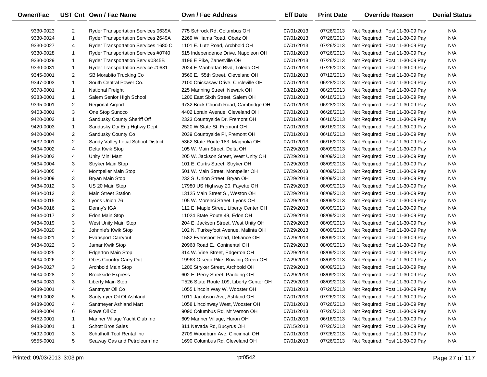| Owner/Fac |                | UST Cnt Own / Fac Name                     | <b>Own / Fac Address</b>                | <b>Eff Date</b> | <b>Print Date</b> | <b>Override Reason</b>          | <b>Denial Status</b> |
|-----------|----------------|--------------------------------------------|-----------------------------------------|-----------------|-------------------|---------------------------------|----------------------|
| 9330-0023 | $\overline{2}$ | <b>Ryder Transportation Services 0639A</b> | 775 Schrock Rd, Columbus OH             | 07/01/2013      | 07/26/2013        | Not Required: Post 11-30-09 Pay | N/A                  |
| 9330-0024 | $\mathbf{1}$   | Ryder Transportation Services 2649A        | 2269 Williams Road, Obetz OH            | 07/01/2013      | 07/26/2013        | Not Required: Post 11-30-09 Pay | N/A                  |
| 9330-0027 | 4              | Ryder Transportation Services 1680 C       | 1101 E. Lutz Road, Archbold OH          | 07/01/2013      | 07/26/2013        | Not Required: Post 11-30-09 Pay | N/A                  |
| 9330-0028 | $\mathbf{1}$   | Ryder Transportation Services #0740        | 515 Independence Drive, Napoleon OH     | 07/01/2013      | 07/26/2013        | Not Required: Post 11-30-09 Pay | N/A                  |
| 9330-0029 | $\mathbf{1}$   | Ryder Transportation Serv #0345B           | 4196 E Pike, Zanesville OH              | 07/01/2013      | 07/26/2013        | Not Required: Post 11-30-09 Pay | N/A                  |
| 9330-0031 | $\mathbf{1}$   | Ryder Transportation Service #0631         | 2024 E Manhattan Blvd, Toledo OH        | 07/01/2013      | 07/26/2013        | Not Required: Post 11-30-09 Pay | N/A                  |
| 9345-0001 | $\overline{2}$ | SB Morabito Trucking Co                    | 3560 E. 55th Street, Cleveland OH       | 07/01/2013      | 07/12/2013        | Not Required: Post 11-30-09 Pay | N/A                  |
| 9347-0003 | $\mathbf{1}$   | South Central Power Co.                    | 2100 Chickasaw Drive, Circleville OH    | 07/01/2013      | 06/28/2013        | Not Required: Post 11-30-09 Pay | N/A                  |
| 9378-0001 | $\mathbf{1}$   | <b>National Freight</b>                    | 225 Manning Street, Newark OH           | 08/21/2013      | 08/23/2013        | Not Required: Post 11-30-09 Pay | N/A                  |
| 9383-0001 | $\mathbf{1}$   | Salem Senior High School                   | 1200 East Sixth Street, Salem OH        | 07/01/2013      | 06/16/2013        | Not Required: Post 11-30-09 Pay | N/A                  |
| 9395-0001 | $\overline{2}$ | <b>Regional Airport</b>                    | 9732 Brick Church Road, Cambridge OH    | 07/01/2013      | 06/28/2013        | Not Required: Post 11-30-09 Pay | N/A                  |
| 9403-0001 | 3              | One Stop Sunoco                            | 4402 Lorain Avenue, Cleveland OH        | 07/01/2013      | 06/28/2013        | Not Required: Post 11-30-09 Pay | N/A                  |
| 9420-0002 | 1              | Sandusky County Sheriff Off                | 2323 Countryside Dr, Fremont OH         | 07/01/2013      | 06/16/2013        | Not Required: Post 11-30-09 Pay | N/A                  |
| 9420-0003 | 1              | Sandusky Cty Eng Hghwy Dept                | 2520 W State St, Fremont OH             | 07/01/2013      | 06/16/2013        | Not Required: Post 11-30-09 Pay | N/A                  |
| 9420-0004 | $\overline{2}$ | Sandusky County Co                         | 2039 Countryside PI, Fremont OH         | 07/01/2013      | 06/16/2013        | Not Required: Post 11-30-09 Pay | N/A                  |
| 9432-0001 | $\overline{2}$ | Sandy Valley Local School District         | 5362 State Route 183, Magnolia OH       | 07/01/2013      | 06/16/2013        | Not Required: Post 11-30-09 Pay | N/A                  |
| 9434-0002 | 4              | Delta Kwik Stop                            | 105 W. Main Street, Delta OH            | 07/29/2013      | 08/09/2013        | Not Required: Post 11-30-09 Pay | N/A                  |
| 9434-0003 | 4              | Unity Mini Mart                            | 205 W. Jackson Street, West Unity OH    | 07/29/2013      | 08/09/2013        | Not Required: Post 11-30-09 Pay | N/A                  |
| 9434-0004 | 3              | Stryker Main Stop                          | 101 E. Curtis Street, Stryker OH        | 07/29/2013      | 08/09/2013        | Not Required: Post 11-30-09 Pay | N/A                  |
| 9434-0005 | 4              | Montpelier Main Stop                       | 501 W. Main Street, Montpelier OH       | 07/29/2013      | 08/09/2013        | Not Required: Post 11-30-09 Pay | N/A                  |
| 9434-0009 | 3              | Bryan Main Stop                            | 232 S. Union Street, Bryan OH           | 07/29/2013      | 08/09/2013        | Not Required: Post 11-30-09 Pay | N/A                  |
| 9434-0012 | 3              | US 20 Main Stop                            | 17980 US Highway 20, Fayette OH         | 07/29/2013      | 08/09/2013        | Not Required: Post 11-30-09 Pay | N/A                  |
| 9434-0013 | 3              | <b>Main Street Station</b>                 | 13125 Main Street S., Weston OH         | 07/29/2013      | 08/09/2013        | Not Required: Post 11-30-09 Pay | N/A                  |
| 9434-0015 | 3              | Lyons Union 76                             | 105 W. Morenci Street, Lyons OH         | 07/29/2013      | 08/09/2013        | Not Required: Post 11-30-09 Pay | N/A                  |
| 9434-0016 | $\overline{2}$ | Denny's IGA                                | 112 E. Maple Street, Liberty Center OH  | 07/29/2013      | 08/09/2013        | Not Required: Post 11-30-09 Pay | N/A                  |
| 9434-0017 | $\overline{2}$ | Edon Main Stop                             | 11024 State Route 49, Edon OH           | 07/29/2013      | 08/09/2013        | Not Required: Post 11-30-09 Pay | N/A                  |
| 9434-0019 | 3              | West Unity Main Stop                       | 204 E. Jackson Street, West Unity OH    | 07/29/2013      | 08/09/2013        | Not Required: Post 11-30-09 Pay | N/A                  |
| 9434-0020 | $\overline{2}$ | Johnnie's Kwik Stop                        | 102 N. Turkeyfoot Avenue, Malinta OH    | 07/29/2013      | 08/09/2013        | Not Required: Post 11-30-09 Pay | N/A                  |
| 9434-0021 | $\overline{2}$ | <b>Evansport Carryout</b>                  | 1582 Evensport Road, Defiance OH        | 07/29/2013      | 08/09/2013        | Not Required: Post 11-30-09 Pay | N/A                  |
| 9434-0022 | 3              | Jamar Kwik Stop                            | 20968 Road E., Coninental OH            | 07/29/2013      | 08/09/2013        | Not Required: Post 11-30-09 Pay | N/A                  |
| 9434-0025 | $\overline{2}$ | <b>Edgerton Main Stop</b>                  | 314 W. Vine Street, Edgerton OH         | 07/29/2013      | 08/09/2013        | Not Required: Post 11-30-09 Pay | N/A                  |
| 9434-0026 | $\overline{2}$ | Obes Country Carry Out                     | 19963 Otsego Pike, Bowling Green OH     | 07/29/2013      | 08/09/2013        | Not Required: Post 11-30-09 Pay | N/A                  |
| 9434-0027 | 3              | Archbold Main Stop                         | 1200 Stryker Street, Archbold OH        | 07/29/2013      | 08/09/2013        | Not Required: Post 11-30-09 Pay | N/A                  |
| 9434-0028 | $\overline{2}$ | <b>Brookside Express</b>                   | 602 E. Perry Street, Paulding OH        | 07/29/2013      | 08/09/2013        | Not Required: Post 11-30-09 Pay | N/A                  |
| 9434-0031 | 3              | Liberty Main Stop                          | T526 State Route 109, Liberty Center OH | 07/29/2013      | 08/09/2013        | Not Required: Post 11-30-09 Pay | N/A                  |
| 9439-0001 | 4              | Santmyer Oil Co                            | 1055 Lincoln Way W, Wooster OH          | 07/01/2013      | 07/26/2013        | Not Required: Post 11-30-09 Pay | N/A                  |
| 9439-0002 | 5              | Santymyer Oil Of Ashland                   | 1011 Jacobson Ave, Ashland OH           | 07/01/2013      | 07/26/2013        | Not Required: Post 11-30-09 Pay | N/A                  |
| 9439-0003 | 4              | Santmeyer Ashland Mart                     | 1058 Lincolnway West, Wooster OH        | 07/01/2013      | 07/26/2013        | Not Required: Post 11-30-09 Pay | N/A                  |
| 9439-0004 | 6              | Rowe Oil Co                                | 9090 Columbus Rd, Mt Vernon OH          | 07/01/2013      | 07/26/2013        | Not Required: Post 11-30-09 Pay | N/A                  |
| 9452-0001 | 1              | Mariner Village Yacht Club Inc             | 609 Mariner Village, Huron OH           | 07/01/2013      | 06/16/2013        | Not Required: Post 11-30-09 Pay | N/A                  |
| 9483-0001 | 1              | <b>Schott Bros Sales</b>                   | 811 Nevada Rd, Bucyrus OH               | 07/15/2013      | 07/26/2013        | Not Required: Post 11-30-09 Pay | N/A                  |
| 9492-0001 | 3              | Schulhoff Tool Rental Inc                  | 2709 Woodburn Ave, Cincinnati OH        | 07/01/2013      | 07/26/2013        | Not Required: Post 11-30-09 Pay | N/A                  |
| 9555-0001 | 5              | Seaway Gas and Petroleum Inc               | 1690 Columbus Rd, Cleveland OH          | 07/01/2013      | 07/26/2013        | Not Required: Post 11-30-09 Pay | N/A                  |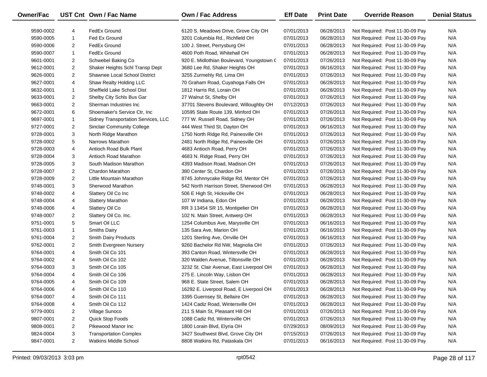| <b>Owner/Fac</b> |                | UST Cnt Own / Fac Name              | Own / Fac Address                         | <b>Eff Date</b> | <b>Print Date</b> | <b>Override Reason</b>          | <b>Denial Status</b> |
|------------------|----------------|-------------------------------------|-------------------------------------------|-----------------|-------------------|---------------------------------|----------------------|
| 9590-0002        | 4              | FedEx Ground                        | 6120 S. Meadows Drive, Grove City OH      | 07/01/2013      | 06/28/2013        | Not Required: Post 11-30-09 Pay | N/A                  |
| 9590-0005        | $\mathbf{1}$   | Fed Ex Ground                       | 3201 Columbia Rd., Richfield OH           | 07/01/2013      | 06/28/2013        | Not Required: Post 11-30-09 Pay | N/A                  |
| 9590-0006        | $\overline{2}$ | FedEx Ground                        | 100 J. Street, Perrysburg OH              | 07/01/2013      | 06/28/2013        | Not Required: Post 11-30-09 Pay | N/A                  |
| 9590-0007        | $\mathbf{1}$   | FedEx Ground                        | 4600 Poth Road, Whitehall OH              | 07/01/2013      | 06/28/2013        | Not Required: Post 11-30-09 Pay | N/A                  |
| 9601-0001        | $\overline{2}$ | Schwebel Baking Co                  | 920 E. Midlothian Boulevard, Youngstown ( | 07/01/2013      | 07/26/2013        | Not Required: Post 11-30-09 Pay | N/A                  |
| 9612-0001        | $\overline{2}$ | Shaker Heights Schl Transp Dept     | 3680 Lee Rd, Shaker Heights OH            | 07/01/2013      | 06/16/2013        | Not Required: Post 11-30-09 Pay | N/A                  |
| 9626-0001        | $\overline{2}$ | Shawnee Local School District       | 3255 Zurmehly Rd, Lima OH                 | 07/01/2013      | 07/26/2013        | Not Required: Post 11-30-09 Pay | N/A                  |
| 9627-0001        | 4              | Shaw Realty Holding LLC             | 70 Graham Road, Cuyahoga Falls OH         | 07/01/2013      | 06/28/2013        | Not Required: Post 11-30-09 Pay | N/A                  |
| 9632-0001        | $\mathbf{1}$   | Sheffield Lake School Dist          | 1812 Harris Rd, Lorain OH                 | 07/01/2013      | 06/28/2013        | Not Required: Post 11-30-09 Pay | N/A                  |
| 9633-0001        | $\overline{2}$ | Shelby City Schls Bus Gar           | 27 Walnut St, Shelby OH                   | 07/01/2013      | 07/26/2013        | Not Required: Post 11-30-09 Pay | N/A                  |
| 9663-0001        | $\overline{2}$ | Sherman Industries Inc.             | 37701 Stevens Boulevard, Willoughby OH    | 07/12/2013      | 07/26/2013        | Not Required: Post 11-30-09 Pay | N/A                  |
| 9672-0001        | 6              | Shoemaker's Service Ctr, Inc.       | 10595 State Route 139, Minford OH         | 07/01/2013      | 07/26/2013        | Not Required: Post 11-30-09 Pay | N/A                  |
| 9697-0001        | $\mathbf{1}$   | Sidney Transportation Services, LLC | 777 W. Russell Road, Sidney OH            | 07/01/2013      | 07/26/2013        | Not Required: Post 11-30-09 Pay | N/A                  |
| 9727-0001        | $\overline{2}$ | <b>Sinclair Community College</b>   | 444 West Third St, Dayton OH              | 07/01/2013      | 06/16/2013        | Not Required: Post 11-30-09 Pay | N/A                  |
| 9728-0001        | 3              | North Ridge Marathon                | 1750 North Ridge Rd, Painesville OH       | 07/01/2013      | 07/26/2013        | Not Required: Post 11-30-09 Pay | N/A                  |
| 9728-0002        | 5              | Narrows Marathon                    | 2481 North Ridge Rd, Painesville OH       | 07/01/2013      | 07/26/2013        | Not Required: Post 11-30-09 Pay | N/A                  |
| 9728-0003        | 4              | Antioch Road Bulk Plant             | 4683 Antioch Road, Perry OH               | 07/01/2013      | 07/26/2013        | Not Required: Post 11-30-09 Pay | N/A                  |
| 9728-0004        | 3              | Antioch Road Marathon               | 4683 N. Ridge Road, Perry OH              | 07/01/2013      | 07/26/2013        | Not Required: Post 11-30-09 Pay | N/A                  |
| 9728-0005        | 3              | South Madison Marathon              | 4393 Madison Road, Madison OH             | 07/01/2013      | 07/26/2013        | Not Required: Post 11-30-09 Pay | N/A                  |
| 9728-0007        | $\overline{2}$ | <b>Chardon Marathon</b>             | 380 Center St, Chardon OH                 | 07/01/2013      | 07/26/2013        | Not Required: Post 11-30-09 Pay | N/A                  |
| 9728-0009        | $\overline{2}$ | Little Mountain Marathon            | 8745 Johnnycake Ridge Rd, Mentor OH       | 07/01/2013      | 07/26/2013        | Not Required: Post 11-30-09 Pay | N/A                  |
| 9748-0001        | 3              | Sherwood Marathon                   | 542 North Harrison Street, Sherwood OH    | 07/01/2013      | 06/28/2013        | Not Required: Post 11-30-09 Pay | N/A                  |
| 9748-0002        | 4              | Slattery Oil Co Inc                 | 506 E High St, Hicksville OH              | 07/01/2013      | 06/28/2013        | Not Required: Post 11-30-09 Pay | N/A                  |
| 9748-0004        | 4              | <b>Slattery Marathon</b>            | 107 W Indiana, Edon OH                    | 07/01/2013      | 06/28/2013        | Not Required: Post 11-30-09 Pay | N/A                  |
| 9748-0006        | 4              | Slattery Oil Co                     | RR 3 13454 SR 15, Montipelier OH          | 07/01/2013      | 06/28/2013        | Not Required: Post 11-30-09 Pay | N/A                  |
| 9748-0007        | $\overline{2}$ | Slattery Oil Co. Inc.               | 102 N. Main Street, Antwerp OH            | 07/01/2013      | 06/28/2013        | Not Required: Post 11-30-09 Pay | N/A                  |
| 9751-0001        | 5              | Smart Oil LLC                       | 1254 Columbus Ave, Marysville OH          | 07/01/2013      | 06/16/2013        | Not Required: Post 11-30-09 Pay | N/A                  |
| 9761-0003        | $\mathbf{1}$   | Smiths Dairy                        | 135 Sara Ave, Marion OH                   | 07/01/2013      | 06/16/2013        | Not Required: Post 11-30-09 Pay | N/A                  |
| 9761-0004        | $\overline{2}$ | <b>Smith Dairy Products</b>         | 1201 Sterling Ave, Orrville OH            | 07/01/2013      | 06/16/2013        | Not Required: Post 11-30-09 Pay | N/A                  |
| 9762-0001        | $\overline{2}$ | Smith Evergreen Nursery             | 9260 Bachelor Rd NW, Magnolia OH          | 07/01/2013      | 07/26/2013        | Not Required: Post 11-30-09 Pay | N/A                  |
| 9764-0001        | 4              | Smith Oil Co 101                    | 393 Canton Road, Wintersville OH          | 07/01/2013      | 06/28/2013        | Not Required: Post 11-30-09 Pay | N/A                  |
| 9764-0002        | 4              | Smith Oil Co 102                    | 320 Walden Avenue, Tiltonsville OH        | 07/01/2013      | 06/28/2013        | Not Required: Post 11-30-09 Pay | N/A                  |
| 9764-0003        | 3              | Smith Oil Co 105                    | 3232 St. Clair Avenue, East Liverpool OH  | 07/01/2013      | 06/28/2013        | Not Required: Post 11-30-09 Pay | N/A                  |
| 9764-0004        | 4              | Smith Oil Co 106                    | 275 E. Lincoln Way, Lisbon OH             | 07/01/2013      | 06/28/2013        | Not Required: Post 11-30-09 Pay | N/A                  |
| 9764-0005        | 4              | Smith Oil Co 109                    | 968 E. State Street, Salem OH             | 07/01/2013      | 06/28/2013        | Not Required: Post 11-30-09 Pay | N/A                  |
| 9764-0006        | 4              | Smith Oil Co 110                    | 16292 E. Liverpool Road, E Liverpool OH   | 07/01/2013      | 06/28/2013        | Not Required: Post 11-30-09 Pay | N/A                  |
| 9764-0007        | 4              | Smith Oil Co 111                    | 3395 Guernsey St, Bellaire OH             | 07/01/2013      | 06/28/2013        | Not Required: Post 11-30-09 Pay | N/A                  |
| 9764-0008        | 4              | Smith Oil Co 112                    | 1424 Cadiz Road, Wintersville OH          | 07/01/2013      | 06/28/2013        | Not Required: Post 11-30-09 Pay | N/A                  |
| 9779-0001        | 2              | Village Sunoco                      | 211 S Main St, Pleasant Hill OH           | 07/01/2013      | 07/26/2013        | Not Required: Post 11-30-09 Pay | N/A                  |
| 9807-0001        | 2              | Quick Stop Foods                    | 1088 Cadiz Rd, Wintersville OH            | 07/01/2013      | 07/26/2013        | Not Required: Post 11-30-09 Pay | N/A                  |
| 9808-0001        | $\overline{2}$ | Pikewood Manor Inc                  | 1800 Lorain Blvd, Elyria OH               | 07/29/2013      | 08/09/2013        | Not Required: Post 11-30-09 Pay | N/A                  |
| 9824-0004        | 3              | <b>Transportation Complex</b>       | 3427 Southwest Blvd, Grove City OH        | 07/15/2013      | 07/26/2013        | Not Required: Post 11-30-09 Pay | N/A                  |
| 9847-0001        | $\overline{2}$ | <b>Watkins Middle School</b>        | 8808 Watkins Rd, Pataskala OH             | 07/01/2013      | 06/16/2013        | Not Required: Post 11-30-09 Pay | N/A                  |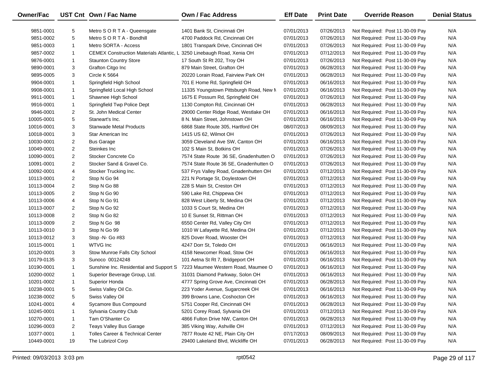| <b>Owner/Fac</b> |                | UST Cnt Own / Fac Name                          | Own / Fac Address                                                          | <b>Eff Date</b> | <b>Print Date</b> | <b>Override Reason</b>          | <b>Denial Status</b> |
|------------------|----------------|-------------------------------------------------|----------------------------------------------------------------------------|-----------------|-------------------|---------------------------------|----------------------|
| 9851-0001        | 5              | Metro S O R T A - Queensgate                    | 1401 Bank St, Cincinnati OH                                                | 07/01/2013      | 07/26/2013        | Not Required: Post 11-30-09 Pay | N/A                  |
| 9851-0002        | 5              | Metro S O R T A - Bondhill                      | 4700 Paddock Rd, Cincinnati OH                                             | 07/01/2013      | 07/26/2013        | Not Required: Post 11-30-09 Pay | N/A                  |
| 9851-0003        | $\mathbf{1}$   | Metro SORTA - Access                            | 1801 Transpark Drive, Cincinnati OH                                        | 07/01/2013      | 07/26/2013        | Not Required: Post 11-30-09 Pay | N/A                  |
| 9857-0002        | $\mathbf{1}$   | <b>CEMEX Construction Materials Atlantic, L</b> | 3250 Linebaugh Road, Xenia OH                                              | 07/01/2013      | 07/12/2013        | Not Required: Post 11-30-09 Pay | N/A                  |
| 9876-0001        | $\mathbf{1}$   | <b>Staunton Country Store</b>                   | 17 South St Rt 202, Troy OH                                                | 07/01/2013      | 07/26/2013        | Not Required: Post 11-30-09 Pay | N/A                  |
| 9890-0001        | 3              | Grafton Citgo Inc                               | 879 Main Street, Grafton OH                                                | 07/01/2013      | 06/28/2013        | Not Required: Post 11-30-09 Pay | N/A                  |
| 9895-0005        | 3              | Circle K 5664                                   | 20220 Lorain Road, Fairview Park OH                                        | 07/01/2013      | 06/28/2013        | Not Required: Post 11-30-09 Pay | N/A                  |
| 9904-0001        | $\mathbf{1}$   | Springfield High School                         | 701 E Home Rd, Springfield OH                                              | 07/01/2013      | 06/16/2013        | Not Required: Post 11-30-09 Pay | N/A                  |
| 9908-0001        | $\mathbf{1}$   | Springfield Local High School                   | 11335 Youngstown Pittsburgh Road, New M                                    | 07/01/2013      | 06/16/2013        | Not Required: Post 11-30-09 Pay | N/A                  |
| 9911-0001        | $\mathbf{1}$   | Shawnee High School                             | 1675 E Possum Rd, Springfield OH                                           | 07/01/2013      | 07/26/2013        | Not Required: Post 11-30-09 Pay | N/A                  |
| 9916-0001        | $\mathbf{1}$   | Springfield Twp Police Dept                     | 1130 Compton Rd, Cincinnati OH                                             | 07/01/2013      | 06/28/2013        | Not Required: Post 11-30-09 Pay | N/A                  |
| 9946-0001        | $\overline{2}$ | St. John Medical Center                         | 29000 Center Ridge Road, Westlake OH                                       | 07/01/2013      | 06/16/2013        | Not Required: Post 11-30-09 Pay | N/A                  |
| 10005-0001       | 5              | Staneart's Inc.                                 | 8 N. Main Street, Johnstown OH                                             | 07/01/2013      | 06/16/2013        | Not Required: Post 11-30-09 Pay | N/A                  |
| 10016-0001       | 3              | <b>Stanwade Metal Products</b>                  | 6868 State Route 305, Hartford OH                                          | 08/07/2013      | 08/09/2013        | Not Required: Post 11-30-09 Pay | N/A                  |
| 10018-0001       | 3              | Star American Inc                               | 1415 US 62, Wilmot OH                                                      | 07/01/2013      | 07/26/2013        | Not Required: Post 11-30-09 Pay | N/A                  |
| 10030-0001       | $\overline{2}$ | <b>Bus Garage</b>                               | 3059 Cleveland Ave SW, Canton OH                                           | 07/01/2013      | 06/16/2013        | Not Required: Post 11-30-09 Pay | N/A                  |
| 10049-0001       | $\overline{2}$ | Steinkes Inc                                    | 102 S Main St, Botkins OH                                                  | 07/01/2013      | 07/26/2013        | Not Required: Post 11-30-09 Pay | N/A                  |
| 10090-0001       | $\overline{2}$ | Stocker Concrete Co                             | 7574 State Route 36 SE, Gnadenhutten O                                     | 07/01/2013      | 07/26/2013        | Not Required: Post 11-30-09 Pay | N/A                  |
| 10091-0001       | $\overline{2}$ | Stocker Sand & Gravel Co.                       | 7574 State Route 36 SE, Gnadenhutten O                                     | 07/01/2013      | 07/26/2013        | Not Required: Post 11-30-09 Pay | N/A                  |
| 10092-0001       | 4              | Stocker Trucking Inc.                           | 537 Frys Valley Road, Gnadenhutten OH                                      | 07/01/2013      | 07/12/2013        | Not Required: Post 11-30-09 Pay | N/A                  |
| 10113-0001       | $\overline{2}$ | Stop N Go 94                                    | 221 N Portage St, Doylestown OH                                            | 07/01/2013      | 07/12/2013        | Not Required: Post 11-30-09 Pay | N/A                  |
| 10113-0004       | $\overline{2}$ | Stop N Go 88                                    | 228 S Main St, Creston OH                                                  | 07/01/2013      | 07/12/2013        | Not Required: Post 11-30-09 Pay | N/A                  |
| 10113-0005       | $\overline{2}$ | Stop N Go 90                                    | 590 Lake Rd, Chippewa OH                                                   | 07/01/2013      | 07/12/2013        | Not Required: Post 11-30-09 Pay | N/A                  |
| 10113-0006       | 4              | Stop N Go 91                                    | 828 West Liberty St, Medina OH                                             | 07/01/2013      | 07/12/2013        | Not Required: Post 11-30-09 Pay | N/A                  |
| 10113-0007       | $\overline{2}$ | Stop N Go 92                                    | 1033 S Court St, Medina OH                                                 | 07/01/2013      | 07/12/2013        | Not Required: Post 11-30-09 Pay | N/A                  |
| 10113-0008       | $\overline{2}$ | Stop N Go 82                                    | 10 E Sunset St, Rittman OH                                                 | 07/01/2013      | 07/12/2013        | Not Required: Post 11-30-09 Pay | N/A                  |
| 10113-0009       | $\overline{2}$ | Stop N Go 98                                    | 6550 Center Rd, Valley City OH                                             | 07/01/2013      | 07/12/2013        | Not Required: Post 11-30-09 Pay | N/A                  |
| 10113-0010       | 3              | Stop N Go 99                                    | 1010 W Lafayette Rd, Medina OH                                             | 07/01/2013      | 07/12/2013        | Not Required: Post 11-30-09 Pay | N/A                  |
| 10113-0012       | 3              | Stop -N- Go #83                                 | 825 Dover Road, Wooster OH                                                 | 07/01/2013      | 07/12/2013        | Not Required: Post 11-30-09 Pay | N/A                  |
| 10115-0001       | $\mathbf{1}$   | WTVG Inc                                        | 4247 Dorr St, Toledo OH                                                    | 07/01/2013      | 06/16/2013        | Not Required: Post 11-30-09 Pay | N/A                  |
| 10120-0001       | 3              | Stow Munroe Falls City School                   | 4158 Newcomer Road, Stow OH                                                | 07/01/2013      | 06/16/2013        | Not Required: Post 11-30-09 Pay | N/A                  |
| 10179-0135       | 3              | Sunoco 00124248                                 | 101 Aetna St Rt 7, Bridgeport OH                                           | 07/01/2013      | 06/16/2013        | Not Required: Post 11-30-09 Pay | N/A                  |
| 10190-0001       | $\mathbf{1}$   |                                                 | Sunshine Inc. Residential and Support S 7223 Maumee Western Road, Maumee O | 07/01/2013      | 06/16/2013        | Not Required: Post 11-30-09 Pay | N/A                  |
| 10200-0002       | $\mathbf{1}$   | Superior Beverage Group, Ltd.                   | 31031 Diamond Parkway, Solon OH                                            | 07/01/2013      | 06/16/2013        | Not Required: Post 11-30-09 Pay | N/A                  |
| 10201-0002       | $\mathbf{1}$   | Superior Honda                                  | 4777 Spring Grove Ave, Cincinnati OH                                       | 07/01/2013      | 06/28/2013        | Not Required: Post 11-30-09 Pay | N/A                  |
| 10238-0001       | 5              | Swiss Valley Oil Co.                            | 223 Yoder Avenue, Sugarcreek OH                                            | 07/01/2013      | 06/16/2013        | Not Required: Post 11-30-09 Pay | N/A                  |
| 10238-0002       | 5              | Swiss Valley Oil                                | 399 Browns Lane, Coshocton OH                                              | 07/01/2013      | 06/16/2013        | Not Required: Post 11-30-09 Pay | N/A                  |
| 10241-0001       | 4              | Sycamore Bus Compound                           | 5751 Cooper Rd, Cincinnati OH                                              | 07/01/2013      | 06/28/2013        | Not Required: Post 11-30-09 Pay | N/A                  |
| 10245-0001       | -1             | Sylvania Country Club                           | 5201 Corey Road, Sylvania OH                                               | 07/01/2013      | 07/12/2013        | Not Required: Post 11-30-09 Pay | N/A                  |
| 10270-0001       | 1              | Tam O'Shanter Co                                | 4866 Fulton Drive NW, Canton OH                                            | 07/01/2013      | 06/28/2013        | Not Required: Post 11-30-09 Pay | N/A                  |
| 10296-0003       | $\overline{2}$ | Teays Valley Bus Garage                         | 385 Viking Way, Ashville OH                                                | 07/01/2013      | 07/12/2013        | Not Required: Post 11-30-09 Pay | N/A                  |
| 10377-0001       | 1              | Tolles Career & Technical Center                | 7877 Route 42 NE, Plain City OH                                            | 07/17/2013      | 08/09/2013        | Not Required: Post 11-30-09 Pay | N/A                  |
| 10449-0001       | 19             | The Lubrizol Corp                               | 29400 Lakeland Blvd, Wickliffe OH                                          | 07/01/2013      | 06/28/2013        | Not Required: Post 11-30-09 Pay | N/A                  |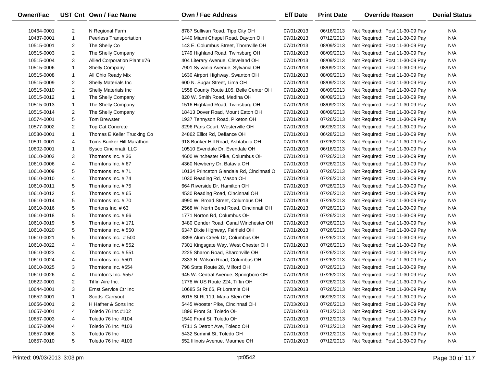| Owner/Fac  |                | UST Cnt Own / Fac Name         | <b>Own / Fac Address</b>                  | <b>Eff Date</b> | <b>Print Date</b> | <b>Override Reason</b>          | <b>Denial Status</b> |
|------------|----------------|--------------------------------|-------------------------------------------|-----------------|-------------------|---------------------------------|----------------------|
| 10464-0001 | 2              | N Regional Farm                | 8787 Sullivan Road, Tipp City OH          | 07/01/2013      | 06/16/2013        | Not Required: Post 11-30-09 Pay | N/A                  |
| 10487-0001 | $\mathbf{1}$   | <b>Peerless Transportation</b> | 1440 Miami Chapel Road, Dayton OH         | 07/01/2013      | 07/12/2013        | Not Required: Post 11-30-09 Pay | N/A                  |
| 10515-0001 | 2              | The Shelly Co                  | 143 E. Columbus Street, Thornville OH     | 07/01/2013      | 08/09/2013        | Not Required: Post 11-30-09 Pay | N/A                  |
| 10515-0003 | $\overline{2}$ | The Shelly Company             | 1749 Highland Road, Twinsburg OH          | 07/01/2013      | 08/09/2013        | Not Required: Post 11-30-09 Pay | N/A                  |
| 10515-0004 | 3              | Allied Corporation Plant #76   | 404 Literary Avenue, Cleveland OH         | 07/01/2013      | 08/09/2013        | Not Required: Post 11-30-09 Pay | N/A                  |
| 10515-0006 | $\mathbf{1}$   | <b>Shelly Company</b>          | 7901 Sylvania Avenue, Sylvania OH         | 07/01/2013      | 08/09/2013        | Not Required: Post 11-30-09 Pay | N/A                  |
| 10515-0008 | $\mathbf{1}$   | All Ohio Ready Mix             | 1630 Airport Highway, Swanton OH          | 07/01/2013      | 08/09/2013        | Not Required: Post 11-30-09 Pay | N/A                  |
| 10515-0009 | $\overline{2}$ | Shelly Materials Inc           | 600 N. Sugar Street, Lima OH              | 07/01/2013      | 08/09/2013        | Not Required: Post 11-30-09 Pay | N/A                  |
| 10515-0010 | 2              | Shelly Materials Inc           | 1558 County Route 105, Belle Center OH    | 07/01/2013      | 08/09/2013        | Not Required: Post 11-30-09 Pay | N/A                  |
| 10515-0012 | $\mathbf{1}$   | The Shelly Company             | 820 W. Smith Road, Medina OH              | 07/01/2013      | 08/09/2013        | Not Required: Post 11-30-09 Pay | N/A                  |
| 10515-0013 | $\mathbf{1}$   | The Shelly Company             | 1516 Highland Road, Twinsburg OH          | 07/01/2013      | 08/09/2013        | Not Required: Post 11-30-09 Pay | N/A                  |
| 10515-0014 | 2              | The Shelly Company             | 18413 Dover Road, Mount Eaton OH          | 07/01/2013      | 08/09/2013        | Not Required: Post 11-30-09 Pay | N/A                  |
| 10574-0001 | 5              | <b>Tom Brewster</b>            | 1937 Tennyson Road, Piketon OH            | 07/01/2013      | 07/26/2013        | Not Required: Post 11-30-09 Pay | N/A                  |
| 10577-0002 | 2              | <b>Top Cat Concrete</b>        | 3296 Paris Court, Westerville OH          | 07/01/2013      | 06/28/2013        | Not Required: Post 11-30-09 Pay | N/A                  |
| 10580-0001 | $\mathbf{1}$   | Thomas E Keller Trucking Co    | 24862 Elliot Rd, Defiance OH              | 07/01/2013      | 06/28/2013        | Not Required: Post 11-30-09 Pay | N/A                  |
| 10591-0001 | 4              | Toms Bunker Hill Marathon      | 918 Bunker Hill Road, Ashtabula OH        | 07/01/2013      | 07/26/2013        | Not Required: Post 11-30-09 Pay | N/A                  |
| 10602-0001 | $\mathbf{1}$   | Sysco Cincinnati, LLC          | 10510 Evendale Dr, Evendale OH            | 07/01/2013      | 06/16/2013        | Not Required: Post 11-30-09 Pay | N/A                  |
| 10610-0003 | 3              | Thorntons Inc. #36             | 4600 Winchester Pike, Columbus OH         | 07/01/2013      | 07/26/2013        | Not Required: Post 11-30-09 Pay | N/A                  |
| 10610-0006 | 4              | Thorntons Inc. #67             | 4360 Newberry Dr, Batavia OH              | 07/01/2013      | 07/26/2013        | Not Required: Post 11-30-09 Pay | N/A                  |
| 10610-0009 | 5              | Thorntons Inc. #71             | 10134 Princeton Glendale Rd, Cincinnati O | 07/01/2013      | 07/26/2013        | Not Required: Post 11-30-09 Pay | N/A                  |
| 10610-0010 | 4              | Thorntons Inc. #74             | 1030 Reading Rd, Mason OH                 | 07/01/2013      | 07/26/2013        | Not Required: Post 11-30-09 Pay | N/A                  |
| 10610-0011 | 5              | Thorntons Inc. #75             | 664 Riverside Dr, Hamilton OH             | 07/01/2013      | 07/26/2013        | Not Required: Post 11-30-09 Pay | N/A                  |
| 10610-0012 | 5              | Thorntons Inc. #65             | 4530 Reading Road, Cincinnati OH          | 07/01/2013      | 07/26/2013        | Not Required: Post 11-30-09 Pay | N/A                  |
| 10610-0014 | 5              | Thorntons Inc. #70             | 4990 W. Broad Street, Columbus OH         | 07/01/2013      | 07/26/2013        | Not Required: Post 11-30-09 Pay | N/A                  |
| 10610-0016 | 5              | Thortons Inc. #63              | 2568 W. North Bend Road, Cincinnati OH    | 07/01/2013      | 07/26/2013        | Not Required: Post 11-30-09 Pay | N/A                  |
| 10610-0018 | 5              | Thorntons Inc. #66             | 1771 Norton Rd, Columbus OH               | 07/01/2013      | 07/26/2013        | Not Required: Post 11-30-09 Pay | N/A                  |
| 10610-0019 | 5              | Thorntons Inc. #171            | 3480 Gender Road, Canal Winchester OH     | 07/01/2013      | 07/26/2013        | Not Required: Post 11-30-09 Pay | N/A                  |
| 10610-0020 | 5              | Thorntons Inc. #550            | 6347 Dixie Highway, Fairfield OH          | 07/01/2013      | 07/26/2013        | Not Required: Post 11-30-09 Pay | N/A                  |
| 10610-0021 | 5              | Thorntons Inc. #500            | 3898 Alum Creek Dr, Columbus OH           | 07/01/2013      | 07/26/2013        | Not Required: Post 11-30-09 Pay | N/A                  |
| 10610-0022 | 4              | Thorntons Inc. #552            | 7301 Kingsgate Way, West Chester OH       | 07/01/2013      | 07/26/2013        | Not Required: Post 11-30-09 Pay | N/A                  |
| 10610-0023 | 4              | Thorntons Inc. #551            | 2225 Sharon Road, Sharonville OH          | 07/01/2013      | 07/26/2013        | Not Required: Post 11-30-09 Pay | N/A                  |
| 10610-0024 | 4              | Thorntons Inc. #501            | 2333 N. Wilson Road, Columbus OH          | 07/01/2013      | 07/26/2013        | Not Required: Post 11-30-09 Pay | N/A                  |
| 10610-0025 | 3              | Thorntons Inc. #554            | 798 State Route 28, Milford OH            | 07/01/2013      | 07/26/2013        | Not Required: Post 11-30-09 Pay | N/A                  |
| 10610-0026 | 4              | Thornton's Inc. #557           | 945 W. Central Avenue, Springboro OH      | 07/01/2013      | 07/26/2013        | Not Required: Post 11-30-09 Pay | N/A                  |
| 10622-0001 | 2              | Tiffin Aire Inc.               | 1778 W US Route 224, Tiffin OH            | 07/01/2013      | 07/26/2013        | Not Required: Post 11-30-09 Pay | N/A                  |
| 10644-0001 | 3              | Ernst Service Ctr Inc          | 10685 St Rt 66, Ft Loramie OH             | 07/03/2013      | 07/26/2013        | Not Required: Post 11-30-09 Pay | N/A                  |
| 10652-0001 | 1              | Scotts Carryout                | 8015 St Rt 119, Maria Stein OH            | 07/01/2013      | 06/28/2013        | Not Required: Post 11-30-09 Pay | N/A                  |
| 10656-0001 | 2              | H Hafner & Sons Inc            | 5445 Wooster Pike, Cincinnati OH          | 07/03/2013      | 07/26/2013        | Not Required: Post 11-30-09 Pay | N/A                  |
| 10657-0001 | 4              | Toledo 76 Inc #102             | 1896 Front St, Toledo OH                  | 07/01/2013      | 07/12/2013        | Not Required: Post 11-30-09 Pay | N/A                  |
| 10657-0003 | 4              | Toledo 76 Inc #104             | 1540 Front St, Toledo OH                  | 07/01/2013      | 07/12/2013        | Not Required: Post 11-30-09 Pay | N/A                  |
| 10657-0004 | 4              | Toledo 76 Inc #103             | 4711 S Detroit Ave, Toledo OH             | 07/01/2013      | 07/12/2013        | Not Required: Post 11-30-09 Pay | N/A                  |
| 10657-0006 | 3              | Toledo 76 Inc                  | 5432 Summit St, Toledo OH                 | 07/01/2013      | 07/12/2013        | Not Required: Post 11-30-09 Pay | N/A                  |
| 10657-0010 | 5              | Toledo 76 Inc #109             | 552 Illinois Avenue, Maumee OH            | 07/01/2013      | 07/12/2013        | Not Required: Post 11-30-09 Pay | N/A                  |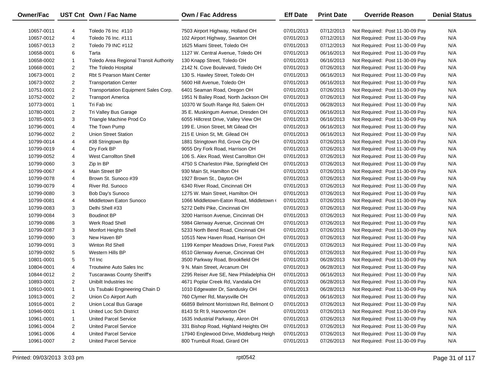| Owner/Fac  |                | UST Cnt Own / Fac Name                 | <b>Own / Fac Address</b>                 | <b>Eff Date</b> | <b>Print Date</b> | <b>Override Reason</b>          | <b>Denial Status</b> |
|------------|----------------|----------------------------------------|------------------------------------------|-----------------|-------------------|---------------------------------|----------------------|
| 10657-0011 | 4              | Toledo 76 Inc #110                     | 7503 Airport Highway, Holland OH         | 07/01/2013      | 07/12/2013        | Not Required: Post 11-30-09 Pay | N/A                  |
| 10657-0012 | 4              | Toledo 76 Inc. #111                    | 102 Airport Highway, Swanton OH          | 07/01/2013      | 07/12/2013        | Not Required: Post 11-30-09 Pay | N/A                  |
| 10657-0013 | 2              | Toledo 79 INC #112                     | 1625 Miami Street, Toledo OH             | 07/01/2013      | 07/12/2013        | Not Required: Post 11-30-09 Pay | N/A                  |
| 10658-0001 | 6              | Tarta                                  | 1127 W. Central Avenue, Toledo OH        | 07/01/2013      | 06/16/2013        | Not Required: Post 11-30-09 Pay | N/A                  |
| 10658-0002 | $\mathbf{1}$   | Toledo Area Regional Transit Authority | 130 Knapp Street, Toledo OH              | 07/01/2013      | 06/16/2013        | Not Required: Post 11-30-09 Pay | N/A                  |
| 10668-0001 | $\overline{2}$ | The Toledo Hospital                    | 2142 N. Cove Boulevard, Toledo OH        | 07/01/2013      | 07/26/2013        | Not Required: Post 11-30-09 Pay | N/A                  |
| 10673-0001 | $\overline{2}$ | <b>Rbt S Pearson Maint Center</b>      | 130 S. Hawley Street, Toledo OH          | 07/01/2013      | 06/16/2013        | Not Required: Post 11-30-09 Pay | N/A                  |
| 10673-0002 | 2              | <b>Transportation Center</b>           | 5600 Hill Avenue, Toledo OH              | 07/01/2013      | 06/16/2013        | Not Required: Post 11-30-09 Pay | N/A                  |
| 10751-0001 | $\overline{2}$ | Transportation Equipment Sales Corp.   | 6401 Seaman Road, Oregon OH              | 07/01/2013      | 07/26/2013        | Not Required: Post 11-30-09 Pay | N/A                  |
| 10752-0002 | $\overline{2}$ | <b>Transport America</b>               | 1951 N Bailey Road, North Jackson OH     | 07/01/2013      | 07/26/2013        | Not Required: Post 11-30-09 Pay | N/A                  |
| 10773-0001 | $\mathbf{1}$   | Tri Fab Inc                            | 10370 W South Range Rd, Salem OH         | 07/01/2013      | 06/28/2013        | Not Required: Post 11-30-09 Pay | N/A                  |
| 10780-0001 | $\overline{2}$ | Tri Valley Bus Garage                  | 35 E. Muskingum Avenue, Dresden OH       | 07/01/2013      | 06/16/2013        | Not Required: Post 11-30-09 Pay | N/A                  |
| 10785-0001 | 3              | Triangle Machine Prod Co               | 6055 Hillcrest Drive, Valley View OH     | 07/01/2013      | 06/16/2013        | Not Required: Post 11-30-09 Pay | N/A                  |
| 10796-0001 | 4              | The Town Pump                          | 199 E. Union Street, Mt Gilead OH        | 07/01/2013      | 06/16/2013        | Not Required: Post 11-30-09 Pay | N/A                  |
| 10796-0002 | $\overline{2}$ | Union Street Station                   | 215 E Union St, Mt. Gilead OH            | 07/01/2013      | 06/16/2013        | Not Required: Post 11-30-09 Pay | N/A                  |
| 10799-0014 | 4              | #38 Stringtown Bp                      | 1881 Stringtown Rd, Grove City OH        | 07/01/2013      | 07/26/2013        | Not Required: Post 11-30-09 Pay | N/A                  |
| 10799-0019 | 4              | Dry Fork BP                            | 9055 Dry Fork Road, Harrison OH          | 07/01/2013      | 07/26/2013        | Not Required: Post 11-30-09 Pay | N/A                  |
| 10799-0052 | 4              | <b>West Carrollton Shell</b>           | 106 S. Alex Road, West Carrollton OH     | 07/01/2013      | 07/26/2013        | Not Required: Post 11-30-09 Pay | N/A                  |
| 10799-0060 | 3              | Zip In BP                              | 4750 S Charleston Pike, Springfield OH   | 07/01/2013      | 07/26/2013        | Not Required: Post 11-30-09 Pay | N/A                  |
| 10799-0067 | 4              | Main Street BP                         | 930 Main St, Hamilton OH                 | 07/01/2013      | 07/26/2013        | Not Required: Post 11-30-09 Pay | N/A                  |
| 10799-0078 | 4              | Brown St. Sunoco #39                   | 1927 Brown St., Dayton OH                | 07/01/2013      | 07/26/2013        | Not Required: Post 11-30-09 Pay | N/A                  |
| 10799-0079 | 4              | River Rd. Sunoco                       | 6340 River Road, Cincinnati OH           | 07/01/2013      | 07/26/2013        | Not Required: Post 11-30-09 Pay | N/A                  |
| 10799-0080 | 3              | Bob Day's Sunoco                       | 1275 W. Main Street, Hamilton OH         | 07/01/2013      | 07/26/2013        | Not Required: Post 11-30-09 Pay | N/A                  |
| 10799-0081 | 4              | Middletown Eaton Sunoco                | 1066 Middletown-Eaton Road, Middletown ( | 07/01/2013      | 07/26/2013        | Not Required: Post 11-30-09 Pay | N/A                  |
| 10799-0083 | 3              | Delhi Shell #33                        | 5272 Delhi Pike, Cincinnati OH           | 07/01/2013      | 07/26/2013        | Not Required: Post 11-30-09 Pay | N/A                  |
| 10799-0084 | 3              | <b>Boudinot BP</b>                     | 3200 Harrison Avenue, Cincinnati OH      | 07/01/2013      | 07/26/2013        | Not Required: Post 11-30-09 Pay | N/A                  |
| 10799-0086 | 3              | Werk Road Shell                        | 5984 Glenway Avenue, Cincinnati OH       | 07/01/2013      | 07/26/2013        | Not Required: Post 11-30-09 Pay | N/A                  |
| 10799-0087 | 3              | Monfort Heights Shell                  | 5233 North Bend Road, Cincinnati OH      | 07/01/2013      | 07/26/2013        | Not Required: Post 11-30-09 Pay | N/A                  |
| 10799-0090 | 3              | New Haven BP                           | 10515 New Haven Road, Harrison OH        | 07/01/2013      | 07/26/2013        | Not Required: Post 11-30-09 Pay | N/A                  |
| 10799-0091 | 3              | Winton Rd Shell                        | 1199 Kemper Meadows Drive, Forest Park   | 07/01/2013      | 07/26/2013        | Not Required: Post 11-30-09 Pay | N/A                  |
| 10799-0092 | 5              | Western Hills BP                       | 6510 Glenway Avenue, Cincinnati OH       | 07/01/2013      | 07/26/2013        | Not Required: Post 11-30-09 Pay | N/A                  |
| 10801-0001 | 5              | Trl Inc                                | 3500 Parkway Road, Brookfield OH         | 07/01/2013      | 06/28/2013        | Not Required: Post 11-30-09 Pay | N/A                  |
| 10804-0001 | 4              | Troutwine Auto Sales Inc               | 9 N. Main Street, Arcanum OH             | 07/01/2013      | 06/28/2013        | Not Required: Post 11-30-09 Pay | N/A                  |
| 10844-0012 | $\overline{2}$ | <b>Tuscarawas County Sheriff's</b>     | 2295 Reiser Ave SE, New Philadelphia OH  | 07/01/2013      | 06/16/2013        | Not Required: Post 11-30-09 Pay | N/A                  |
| 10893-0001 | $\overline{2}$ | Unibilt Industries Inc.                | 4671 Poplar Creek Rd, Vandalia OH        | 07/01/2013      | 06/28/2013        | Not Required: Post 11-30-09 Pay | N/A                  |
| 10910-0001 | 1              | Us Tsubaki Engineering Chain D         | 1010 Edgewater Dr, Sandusky OH           | 07/01/2013      | 06/28/2013        | Not Required: Post 11-30-09 Pay | N/A                  |
| 10913-0001 | 2              | Union Co Airport Auth                  | 760 Clymer Rd, Marysville OH             | 07/01/2013      | 06/16/2013        | Not Required: Post 11-30-09 Pay | N/A                  |
| 10916-0001 | 2              | Union Local Bus Garage                 | 66859 Belmont Morristown Rd, Belmont O   | 07/01/2013      | 07/26/2013        | Not Required: Post 11-30-09 Pay | N/A                  |
| 10946-0001 | $\mathbf{1}$   | United Loc Sch District                | 8143 St Rt 9, Hanoverton OH              | 07/01/2013      | 07/26/2013        | Not Required: Post 11-30-09 Pay | N/A                  |
| 10961-0001 | $\mathbf{1}$   | <b>United Parcel Service</b>           | 1635 Industrial Parkway, Akron OH        | 07/01/2013      | 07/26/2013        | Not Required: Post 11-30-09 Pay | N/A                  |
| 10961-0004 | 2              | <b>United Parcel Service</b>           | 331 Bishop Road, Highland Heights OH     | 07/01/2013      | 07/26/2013        | Not Required: Post 11-30-09 Pay | N/A                  |
| 10961-0006 | 4              | <b>United Parcel Service</b>           | 17940 Englewood Drive, Middleburg Heigh  | 07/01/2013      | 07/26/2013        | Not Required: Post 11-30-09 Pay | N/A                  |
| 10961-0007 | 2              | <b>United Parcel Service</b>           | 800 Trumbull Road, Girard OH             | 07/01/2013      | 07/26/2013        | Not Required: Post 11-30-09 Pay | N/A                  |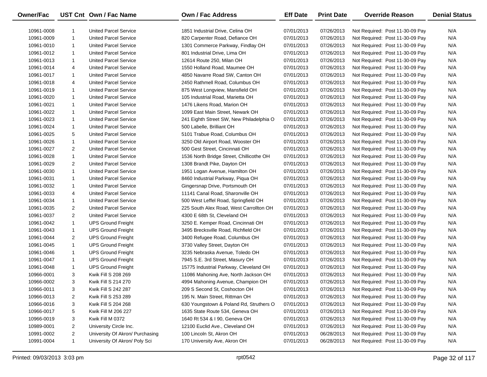| Owner/Fac  |                | UST Cnt Own / Fac Name          | <b>Own / Fac Address</b>                 | <b>Eff Date</b> | <b>Print Date</b> | <b>Override Reason</b>          | <b>Denial Status</b> |
|------------|----------------|---------------------------------|------------------------------------------|-----------------|-------------------|---------------------------------|----------------------|
| 10961-0008 | 1              | <b>United Parcel Service</b>    | 1851 Industrial Drive, Celina OH         | 07/01/2013      | 07/26/2013        | Not Required: Post 11-30-09 Pay | N/A                  |
| 10961-0009 | $\mathbf{1}$   | <b>United Parcel Service</b>    | 820 Carpenter Road, Defiance OH          | 07/01/2013      | 07/26/2013        | Not Required: Post 11-30-09 Pay | N/A                  |
| 10961-0010 | $\mathbf{1}$   | <b>United Parcel Service</b>    | 1301 Commerce Parkway, Findlay OH        | 07/01/2013      | 07/26/2013        | Not Required: Post 11-30-09 Pay | N/A                  |
| 10961-0012 | $\mathbf{1}$   | <b>United Parcel Service</b>    | 801 Industrial Drive, Lima OH            | 07/01/2013      | 07/26/2013        | Not Required: Post 11-30-09 Pay | N/A                  |
| 10961-0013 | $\mathbf{1}$   | <b>United Parcel Service</b>    | 12614 Route 250, Milan OH                | 07/01/2013      | 07/26/2013        | Not Required: Post 11-30-09 Pay | N/A                  |
| 10961-0014 | 4              | <b>United Parcel Service</b>    | 1550 Holland Road, Maumee OH             | 07/01/2013      | 07/26/2013        | Not Required: Post 11-30-09 Pay | N/A                  |
| 10961-0017 | $\mathbf{1}$   | <b>United Parcel Service</b>    | 4850 Navarre Road SW, Canton OH          | 07/01/2013      | 07/26/2013        | Not Required: Post 11-30-09 Pay | N/A                  |
| 10961-0018 | 4              | <b>United Parcel Service</b>    | 2450 Rathmell Road, Columbus OH          | 07/01/2013      | 07/26/2013        | Not Required: Post 11-30-09 Pay | N/A                  |
| 10961-0019 | $\mathbf{1}$   | <b>United Parcel Service</b>    | 875 West Longview, Mansfield OH          | 07/01/2013      | 07/26/2013        | Not Required: Post 11-30-09 Pay | N/A                  |
| 10961-0020 | $\mathbf{1}$   | <b>United Parcel Service</b>    | 105 Industrial Road, Marietta OH         | 07/01/2013      | 07/26/2013        | Not Required: Post 11-30-09 Pay | N/A                  |
| 10961-0021 | $\mathbf{1}$   | <b>United Parcel Service</b>    | 1476 Likens Road, Marion OH              | 07/01/2013      | 07/26/2013        | Not Required: Post 11-30-09 Pay | N/A                  |
| 10961-0022 | $\mathbf{1}$   | <b>United Parcel Service</b>    | 1099 East Main Street, Newark OH         | 07/01/2013      | 07/26/2013        | Not Required: Post 11-30-09 Pay | N/A                  |
| 10961-0023 | $\mathbf{1}$   | <b>United Parcel Service</b>    | 241 Eighth Street SW, New Philadelphia O | 07/01/2013      | 07/26/2013        | Not Required: Post 11-30-09 Pay | N/A                  |
| 10961-0024 | $\mathbf{1}$   | <b>United Parcel Service</b>    | 500 Labelle, Brilliant OH                | 07/01/2013      | 07/26/2013        | Not Required: Post 11-30-09 Pay | N/A                  |
| 10961-0025 | 5              | <b>United Parcel Service</b>    | 5101 Trabue Road, Columbus OH            | 07/01/2013      | 07/26/2013        | Not Required: Post 11-30-09 Pay | N/A                  |
| 10961-0026 | $\mathbf{1}$   | <b>United Parcel Service</b>    | 3250 Old Airport Road, Wooster OH        | 07/01/2013      | 07/26/2013        | Not Required: Post 11-30-09 Pay | N/A                  |
| 10961-0027 | 2              | <b>United Parcel Service</b>    | 500 Gest Street, Cincinnati OH           | 07/01/2013      | 07/26/2013        | Not Required: Post 11-30-09 Pay | N/A                  |
| 10961-0028 | $\mathbf{1}$   | <b>United Parcel Service</b>    | 1536 North Bridge Street, Chillicothe OH | 07/01/2013      | 07/26/2013        | Not Required: Post 11-30-09 Pay | N/A                  |
| 10961-0029 | 2              | <b>United Parcel Service</b>    | 1308 Brandt Pike, Dayton OH              | 07/01/2013      | 07/26/2013        | Not Required: Post 11-30-09 Pay | N/A                  |
| 10961-0030 | $\mathbf{1}$   | <b>United Parcel Service</b>    | 1951 Logan Avenue, Hamilton OH           | 07/01/2013      | 07/26/2013        | Not Required: Post 11-30-09 Pay | N/A                  |
| 10961-0031 | $\mathbf{1}$   | <b>United Parcel Service</b>    | 8460 Industrial Parkway, Piqua OH        | 07/01/2013      | 07/26/2013        | Not Required: Post 11-30-09 Pay | N/A                  |
| 10961-0032 | 1              | <b>United Parcel Service</b>    | Gingersnap Drive, Portsmouth OH          | 07/01/2013      | 07/26/2013        | Not Required: Post 11-30-09 Pay | N/A                  |
| 10961-0033 | 4              | <b>United Parcel Service</b>    | 11141 Canal Road, Sharonville OH         | 07/01/2013      | 07/26/2013        | Not Required: Post 11-30-09 Pay | N/A                  |
| 10961-0034 | 1              | <b>United Parcel Service</b>    | 500 West Leffel Road, Springfield OH     | 07/01/2013      | 07/26/2013        | Not Required: Post 11-30-09 Pay | N/A                  |
| 10961-0035 | 2              | <b>United Parcel Service</b>    | 225 South Alex Road, West Carrollton OH  | 07/01/2013      | 07/26/2013        | Not Required: Post 11-30-09 Pay | N/A                  |
| 10961-0037 | 2              | <b>United Parcel Service</b>    | 4300 E 68th St, Cleveland OH             | 07/01/2013      | 07/26/2013        | Not Required: Post 11-30-09 Pay | N/A                  |
| 10961-0042 | $\mathbf{1}$   | <b>UPS Ground Freight</b>       | 3250 E. Kemper Road, Cincinnati OH       | 07/01/2013      | 07/26/2013        | Not Required: Post 11-30-09 Pay | N/A                  |
| 10961-0043 | 1              | <b>UPS Ground Freight</b>       | 3495 Brecksville Road, Richfield OH      | 07/01/2013      | 07/26/2013        | Not Required: Post 11-30-09 Pay | N/A                  |
| 10961-0044 | 2              | <b>UPS Ground Freight</b>       | 3400 Refugee Road, Columbus OH           | 07/01/2013      | 07/26/2013        | Not Required: Post 11-30-09 Pay | N/A                  |
| 10961-0045 | $\mathbf{1}$   | <b>UPS Ground Freight</b>       | 3730 Valley Street, Dayton OH            | 07/01/2013      | 07/26/2013        | Not Required: Post 11-30-09 Pay | N/A                  |
| 10961-0046 | 1              | <b>UPS Ground Freight</b>       | 3235 Nebraska Avenue, Toledo OH          | 07/01/2013      | 07/26/2013        | Not Required: Post 11-30-09 Pay | N/A                  |
| 10961-0047 | 1              | <b>UPS Ground Freight</b>       | 7945 S.E. 3rd Street, Masury OH          | 07/01/2013      | 07/26/2013        | Not Required: Post 11-30-09 Pay | N/A                  |
| 10961-0048 | 1              | <b>UPS Ground Freight</b>       | 15775 Industrial Parkway, Cleveland OH   | 07/01/2013      | 07/26/2013        | Not Required: Post 11-30-09 Pay | N/A                  |
| 10966-0001 | 3              | Kwik Fill S 208 269             | 11086 Mahoning Ave, North Jackson OH     | 07/01/2013      | 07/26/2013        | Not Required: Post 11-30-09 Pay | N/A                  |
| 10966-0002 | 3              | Kwik Fill S 214 270             | 4994 Mahoning Avenue, Champion OH        | 07/01/2013      | 07/26/2013        | Not Required: Post 11-30-09 Pay | N/A                  |
| 10966-0011 | 3              | Kwik Fill S 242 287             | 209 S Second St, Coshocton OH            | 07/01/2013      | 07/26/2013        | Not Required: Post 11-30-09 Pay | N/A                  |
| 10966-0013 | 2              | Kwik Fill S 253 289             | 195 N. Main Street, Rittman OH           | 07/01/2013      | 07/26/2013        | Not Required: Post 11-30-09 Pay | N/A                  |
| 10966-0016 | 3              | Kwik Fill S 204 268             | 630 Youngstown & Poland Rd, Struthers O  | 07/01/2013      | 07/26/2013        | Not Required: Post 11-30-09 Pay | N/A                  |
| 10966-0017 | 5              | Kwik Fill M 206 227             | 1635 State Route 534, Geneva OH          | 07/01/2013      | 07/26/2013        | Not Required: Post 11-30-09 Pay | N/A                  |
| 10966-0019 | 3              | Kwik Fill M 0372                | 1640 Rt 534 & I 90, Geneva OH            | 07/01/2013      | 07/26/2013        | Not Required: Post 11-30-09 Pay | N/A                  |
| 10989-0001 | 2              | University Circle Inc.          | 12100 Euclid Ave., Cleveland OH          | 07/01/2013      | 07/26/2013        | Not Required: Post 11-30-09 Pay | N/A                  |
| 10991-0002 | $\overline{2}$ | University Of Akron/ Purchasing | 100 Lincoln St, Akron OH                 | 07/01/2013      | 06/28/2013        | Not Required: Post 11-30-09 Pay | N/A                  |
| 10991-0004 | $\mathbf{1}$   | University Of Akron/ Poly Sci   | 170 University Ave, Akron OH             | 07/01/2013      | 06/28/2013        | Not Required: Post 11-30-09 Pay | N/A                  |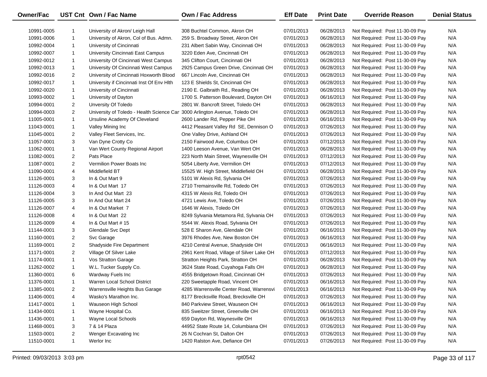| Owner/Fac  |                | UST Cnt Own / Fac Name                                                     | Own / Fac Address                         | <b>Eff Date</b> | <b>Print Date</b> | <b>Override Reason</b>          | <b>Denial Status</b> |
|------------|----------------|----------------------------------------------------------------------------|-------------------------------------------|-----------------|-------------------|---------------------------------|----------------------|
| 10991-0005 | 1              | University of Akron/ Leigh Hall                                            | 308 Buchtel Common, Akron OH              | 07/01/2013      | 06/28/2013        | Not Required: Post 11-30-09 Pay | N/A                  |
| 10991-0006 | $\mathbf{1}$   | University of Akron, Col of Bus. Admn.                                     | 259 S. Broadway Street, Akron OH          | 07/01/2013      | 06/28/2013        | Not Required: Post 11-30-09 Pay | N/A                  |
| 10992-0004 | 1              | University of Cincinnati                                                   | 231 Albert Sabin Way, Cincinnati OH       | 07/01/2013      | 06/28/2013        | Not Required: Post 11-30-09 Pay | N/A                  |
| 10992-0007 | $\mathbf{1}$   | University Cincinnati East Campus                                          | 3220 Eden Ave, Cincinnati OH              | 07/01/2013      | 06/28/2013        | Not Required: Post 11-30-09 Pay | N/A                  |
| 10992-0012 | $\mathbf{1}$   | University Of Cincinnati West Campus                                       | 345 Clifton Court, Cincinnati OH          | 07/01/2013      | 06/28/2013        | Not Required: Post 11-30-09 Pay | N/A                  |
| 10992-0013 | $\mathbf{1}$   | University Of Cincinnati West Campus                                       | 2925 Campus Green Drive, Cincinnati OH    | 07/01/2013      | 06/28/2013        | Not Required: Post 11-30-09 Pay | N/A                  |
| 10992-0016 | $\overline{2}$ | University of Cincinnati Hoxworth Blood                                    | 667 Lincoln Ave, Cincinnati OH            | 07/01/2013      | 06/28/2013        | Not Required: Post 11-30-09 Pay | N/A                  |
| 10992-0017 | $\mathbf{1}$   | University if Cincinnati Inst Of Env Hith                                  | 123 E Shields St, Cincinnati OH           | 07/01/2013      | 06/28/2013        | Not Required: Post 11-30-09 Pay | N/A                  |
| 10992-0020 | $\mathbf{1}$   | University of Cincinnati                                                   | 2190 E. Galbraith Rd., Reading OH         | 07/01/2013      | 06/28/2013        | Not Required: Post 11-30-09 Pay | N/A                  |
| 10993-0002 | $\mathbf{1}$   | University of Dayton                                                       | 1700 S. Patterson Boulevard, Dayton OH    | 07/01/2013      | 06/16/2013        | Not Required: Post 11-30-09 Pay | N/A                  |
| 10994-0001 | $\overline{2}$ | Unversity Of Toledo                                                        | 2801 W. Bancroft Street, Toledo OH        | 07/01/2013      | 06/28/2013        | Not Required: Post 11-30-09 Pay | N/A                  |
| 10994-0003 | $\overline{2}$ | University of Toledo - Health Science Car 3000 Arlington Avenue, Toledo OH |                                           | 07/01/2013      | 06/28/2013        | Not Required: Post 11-30-09 Pay | N/A                  |
| 11005-0001 | $\mathbf{1}$   | Ursuline Academy Of Cleveland                                              | 2600 Lander Rd, Pepper Pike OH            | 07/01/2013      | 06/16/2013        | Not Required: Post 11-30-09 Pay | N/A                  |
| 11043-0001 | $\mathbf{1}$   | Valley Mining Inc                                                          | 4412 Pleasant Valley Rd SE, Dennison O    | 07/01/2013      | 07/26/2013        | Not Required: Post 11-30-09 Pay | N/A                  |
| 11045-0001 | 2              | Valley Fleet Services, Inc.                                                | One Valley Drive, Ashland OH              | 07/01/2013      | 07/26/2013        | Not Required: Post 11-30-09 Pay | N/A                  |
| 11057-0001 | 3              | Van Dyne Crotty Co                                                         | 2150 Fairwood Ave, Columbus OH            | 07/01/2013      | 07/12/2013        | Not Required: Post 11-30-09 Pay | N/A                  |
| 11062-0001 | $\mathbf{1}$   | Van Wert County Regional Airport                                           | 1400 Leeson Avenue, Van Wert OH           | 07/01/2013      | 06/28/2013        | Not Required: Post 11-30-09 Pay | N/A                  |
| 11082-0001 | $\overline{2}$ | Pats Place                                                                 | 223 North Main Street, Waynesville OH     | 07/01/2013      | 07/12/2013        | Not Required: Post 11-30-09 Pay | N/A                  |
| 11087-0001 | $\overline{2}$ | Vermilion Power Boats Inc                                                  | 5054 Liberty Ave, Vermilion OH            | 07/01/2013      | 07/12/2013        | Not Required: Post 11-30-09 Pay | N/A                  |
| 11090-0001 | 4              | Middlefield BT                                                             | 15525 W. High Street, Middlefield OH      | 07/01/2013      | 06/28/2013        | Not Required: Post 11-30-09 Pay | N/A                  |
| 11126-0001 | 3              | In & Out Mart 9                                                            | 5101 W Alexis Rd, Sylvania OH             | 07/01/2013      | 07/26/2013        | Not Required: Post 11-30-09 Pay | N/A                  |
| 11126-0003 | 4              | In & Out Mart 17                                                           | 2710 Tremainsville Rd, Todedo OH          | 07/01/2013      | 07/26/2013        | Not Required: Post 11-30-09 Pay | N/A                  |
| 11126-0004 | 3              | In And Out Mart 23                                                         | 4315 W Alexis Rd, Toledo OH               | 07/01/2013      | 07/26/2013        | Not Required: Post 11-30-09 Pay | N/A                  |
| 11126-0005 | 3              | In And Out Mart 24                                                         | 4721 Lewis Ave, Toledo OH                 | 07/01/2013      | 07/26/2013        | Not Required: Post 11-30-09 Pay | N/A                  |
| 11126-0007 | 4              | In & Out Market 7                                                          | 1646 W Alexis, Toledo OH                  | 07/01/2013      | 07/26/2013        | Not Required: Post 11-30-09 Pay | N/A                  |
| 11126-0008 | 4              | In & Out Mart 22                                                           | 8249 Sylvania Metamora Rd, Sylvania OH    | 07/01/2013      | 07/26/2013        | Not Required: Post 11-30-09 Pay | N/A                  |
| 11126-0009 | 4              | In & Out Mart $# 15$                                                       | 5544 W. Alexis Road, Sylvania OH          | 07/01/2013      | 07/26/2013        | Not Required: Post 11-30-09 Pay | N/A                  |
| 11144-0001 | 3              | Glendale Svc Dept                                                          | 528 E Sharon Ave, Glendale OH             | 07/01/2013      | 06/16/2013        | Not Required: Post 11-30-09 Pay | N/A                  |
| 11160-0001 | $\overline{2}$ | Svc Garage                                                                 | 3976 Rhodes Ave, New Boston OH            | 07/01/2013      | 06/16/2013        | Not Required: Post 11-30-09 Pay | N/A                  |
| 11169-0001 | $\overline{2}$ | Shadyside Fire Department                                                  | 4210 Central Avenue, Shadyside OH         | 07/01/2013      | 06/16/2013        | Not Required: Post 11-30-09 Pay | N/A                  |
| 11171-0001 | $\overline{2}$ | Village Of Silver Lake                                                     | 2961 Kent Road, Village of Silver Lake OH | 07/01/2013      | 07/12/2013        | Not Required: Post 11-30-09 Pay | N/A                  |
| 11174-0001 | $\mathbf{1}$   | Vos Stratton Garage                                                        | Stratton Heights Park, Stratton OH        | 07/01/2013      | 06/28/2013        | Not Required: Post 11-30-09 Pay | N/A                  |
| 11262-0002 | $\mathbf{1}$   | W.L. Tucker Supply Co.                                                     | 3624 State Road, Cuyahoga Falls OH        | 07/01/2013      | 06/28/2013        | Not Required: Post 11-30-09 Pay | N/A                  |
| 11360-0001 | 6              | Wardway Fuels Inc                                                          | 4555 Bridgetown Road, Cincinnati OH       | 07/01/2013      | 07/26/2013        | Not Required: Post 11-30-09 Pay | N/A                  |
| 11376-0001 | $\mathbf{1}$   | Warren Local School District                                               | 220 Sweetapple Road, Vincent OH           | 07/01/2013      | 06/16/2013        | Not Required: Post 11-30-09 Pay | N/A                  |
| 11385-0001 | 2              | Warrensville Heights Bus Garage                                            | 4285 Warrensville Center Road, Warrensvi  | 07/01/2013      | 06/16/2013        | Not Required: Post 11-30-09 Pay | N/A                  |
| 11406-0001 | 4              | Wasko's Marathon Inc.                                                      | 8177 Brecksville Road, Brecksville OH     | 07/01/2013      | 07/26/2013        | Not Required: Post 11-30-09 Pay | N/A                  |
| 11417-0001 | 1              | Wauseon High School                                                        | 840 Parkview Street, Wauseon OH           | 07/01/2013      | 06/16/2013        | Not Required: Post 11-30-09 Pay | N/A                  |
| 11434-0001 | 1              | Wayne Hospital Co.                                                         | 835 Sweitzer Street, Greenville OH        | 07/01/2013      | 06/16/2013        | Not Required: Post 11-30-09 Pay | N/A                  |
| 11436-0001 | 1              | Wayne Local Schools                                                        | 659 Dayton Rd, Waynesville OH             | 07/01/2013      | 06/16/2013        | Not Required: Post 11-30-09 Pay | N/A                  |
| 11468-0001 | 3              | 7 & 14 Plaza                                                               | 44952 State Route 14, Columbiana OH       | 07/01/2013      | 07/26/2013        | Not Required: Post 11-30-09 Pay | N/A                  |
| 11503-0001 | $\overline{2}$ | Wenger Excavating Inc                                                      | 26 N Cochran St, Dalton OH                | 07/01/2013      | 07/26/2013        | Not Required: Post 11-30-09 Pay | N/A                  |
| 11510-0001 | $\mathbf{1}$   | Werlor Inc                                                                 | 1420 Ralston Ave, Defiance OH             | 07/01/2013      | 07/26/2013        | Not Required: Post 11-30-09 Pay | N/A                  |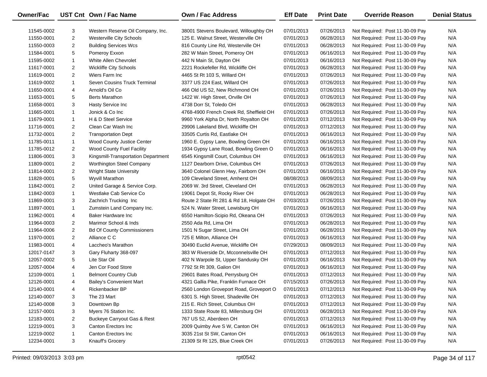| <b>Owner/Fac</b> |                | UST Cnt Own / Fac Name              | Own / Fac Address                        | <b>Eff Date</b> | <b>Print Date</b> | <b>Override Reason</b>          | <b>Denial Status</b> |
|------------------|----------------|-------------------------------------|------------------------------------------|-----------------|-------------------|---------------------------------|----------------------|
| 11545-0002       | 3              | Western Reserve Oil Company, Inc.   | 38001 Stevens Boulevard, Willoughby OH   | 07/01/2013      | 07/26/2013        | Not Required: Post 11-30-09 Pay | N/A                  |
| 11550-0001       | $\overline{c}$ | Westerville City Schools            | 125 E. Walnut Street, Westerville OH     | 07/01/2013      | 06/28/2013        | Not Required: Post 11-30-09 Pay | N/A                  |
| 11550-0003       | $\overline{2}$ | <b>Building Services Wcs</b>        | 816 County Line Rd, Westerville OH       | 07/01/2013      | 06/28/2013        | Not Required: Post 11-30-09 Pay | N/A                  |
| 11584-0001       | 5              | Pomeroy Exxon                       | 282 W Main Street, Pomeroy OH            | 07/01/2013      | 06/16/2013        | Not Required: Post 11-30-09 Pay | N/A                  |
| 11595-0002       | $\mathbf{1}$   | White Allen Chevrolet               | 442 N Main St, Dayton OH                 | 07/01/2013      | 06/16/2013        | Not Required: Post 11-30-09 Pay | N/A                  |
| 11617-0001       | $\overline{2}$ | Wickliffe City Schools              | 2221 Rockefeller Rd, Wickliffe OH        | 07/01/2013      | 06/28/2013        | Not Required: Post 11-30-09 Pay | N/A                  |
| 11619-0001       | $\overline{2}$ | Wiers Farm Inc                      | 4465 St Rt 103 S, Willard OH             | 07/01/2013      | 07/26/2013        | Not Required: Post 11-30-09 Pay | N/A                  |
| 11619-0002       | $\mathbf{1}$   | Seven Cousins Truck Terminal        | 3377 US 224 East, Willard OH             | 07/01/2013      | 07/26/2013        | Not Required: Post 11-30-09 Pay | N/A                  |
| 11650-0001       | 4              | Arnold's Oil Co                     | 466 Old US 52, New Richmond OH           | 07/01/2013      | 07/26/2013        | Not Required: Post 11-30-09 Pay | N/A                  |
| 11653-0001       | 5              | <b>Berts Marathon</b>               | 1422 W. High Street, Orville OH          | 07/01/2013      | 07/26/2013        | Not Required: Post 11-30-09 Pay | N/A                  |
| 11658-0001       | 3              | Hasty Service Inc                   | 4738 Dorr St, Toledo OH                  | 07/01/2013      | 06/28/2013        | Not Required: Post 11-30-09 Pay | N/A                  |
| 11665-0001       | $\mathbf{1}$   | Jonick & Co Inc                     | 4768-4900 French Creek Rd, Sheffield OH  | 07/01/2013      | 07/26/2013        | Not Required: Post 11-30-09 Pay | N/A                  |
| 11679-0001       | $\mathbf{1}$   | H & D Steel Service                 | 9960 York Alpha Dr, North Royalton OH    | 07/01/2013      | 07/12/2013        | Not Required: Post 11-30-09 Pay | N/A                  |
| 11716-0001       | $\overline{2}$ | Clean Car Wash Inc                  | 29906 Lakeland Blvd, Wickliffe OH        | 07/01/2013      | 07/12/2013        | Not Required: Post 11-30-09 Pay | N/A                  |
| 11732-0001       | $\overline{2}$ | <b>Transportation Dept</b>          | 33505 Curtis Rd, Eastlake OH             | 07/01/2013      | 06/16/2013        | Not Required: Post 11-30-09 Pay | N/A                  |
| 11785-0011       | $\mathbf{1}$   | Wood County Justice Center          | 1960 E. Gypsy Lane, Bowling Green OH     | 07/01/2013      | 06/16/2013        | Not Required: Post 11-30-09 Pay | N/A                  |
| 11785-0012       | $\overline{2}$ | Wood County Fuel Facility           | 1934 Gypsy Lane Road, Bowling Green O    | 07/01/2013      | 06/16/2013        | Not Required: Post 11-30-09 Pay | N/A                  |
| 11806-0001       | 3              | Kingsmill-Transportation Department | 6545 Kingsmill Court, Columbus OH        | 07/01/2013      | 06/16/2013        | Not Required: Post 11-30-09 Pay | N/A                  |
| 11809-0001       | $\overline{2}$ | Worthington Steel Company           | 1127 Dearborn Drive, Columbus OH         | 07/01/2013      | 07/26/2013        | Not Required: Post 11-30-09 Pay | N/A                  |
| 11814-0001       | $\overline{2}$ | <b>Wright State University</b>      | 3640 Colonel Glenn Hwy, Fairborn OH      | 07/01/2013      | 06/16/2013        | Not Required: Post 11-30-09 Pay | N/A                  |
| 11828-0001       | 5              | Wyvill Marathon                     | 109 Cleveland Street, Amherst OH         | 08/08/2013      | 08/09/2013        | Not Required: Post 11-30-09 Pay | N/A                  |
| 11842-0001       | $\overline{2}$ | United Garage & Service Corp.       | 2069 W. 3rd Street, Cleveland OH         | 07/01/2013      | 06/28/2013        | Not Required: Post 11-30-09 Pay | N/A                  |
| 11842-0003       | $\mathbf{1}$   | Westlake Cab Service Co             | 19061 Depot St, Rocky River OH           | 07/01/2013      | 06/28/2013        | Not Required: Post 11-30-09 Pay | N/A                  |
| 11869-0001       | 3              | Zachrich Trucking Inc               | Route 2 State Rt 281 & Rd 18, Holgate OH | 07/03/2013      | 07/26/2013        | Not Required: Post 11-30-09 Pay | N/A                  |
| 11897-0001       | $\mathbf{1}$   | Zumstein Land Company Inc.          | 524 N. Water Street, Lewisburg OH        | 07/01/2013      | 06/16/2013        | Not Required: Post 11-30-09 Pay | N/A                  |
| 11962-0001       | 4              | Baker Hardware Inc                  | 6550 Hamilton-Scipio Rd, Okeana OH       | 07/01/2013      | 07/26/2013        | Not Required: Post 11-30-09 Pay | N/A                  |
| 11964-0003       | $\overline{2}$ | Marimor School & Inds               | 2550 Ada Rd, Lima OH                     | 07/01/2013      | 06/28/2013        | Not Required: Post 11-30-09 Pay | N/A                  |
| 11964-0006       | $\overline{2}$ | <b>Bd Of County Commissioners</b>   | 1501 N Sugar Street, Lima OH             | 07/01/2013      | 06/28/2013        | Not Required: Post 11-30-09 Pay | N/A                  |
| 11970-0001       | $\overline{2}$ | Alliance C C                        | 725 E Milton, Alliance OH                | 07/01/2013      | 06/16/2013        | Not Required: Post 11-30-09 Pay | N/A                  |
| 11983-0001       | 4              | Laccheo's Marathon                  | 30490 Euclid Avenue, Wickliffe OH        | 07/29/2013      | 08/09/2013        | Not Required: Post 11-30-09 Pay | N/A                  |
| 12017-0147       | 3              | Gary Fluharty 368-097               | 383 W Riverside Dr, Mcconnelsville OH    | 07/01/2013      | 07/12/2013        | Not Required: Post 11-30-09 Pay | N/A                  |
| 12057-0002       | 5              | Lite Star Oil                       | 402 N Warpole St, Upper Sandusky OH      | 07/01/2013      | 06/16/2013        | Not Required: Post 11-30-09 Pay | N/A                  |
| 12057-0004       | 4              | Jen Cor Food Store                  | 7792 St Rt 309, Galion OH                | 07/01/2013      | 06/16/2013        | Not Required: Post 11-30-09 Pay | N/A                  |
| 12109-0001       | $\mathbf{1}$   | <b>Belmont Country Club</b>         | 29601 Bates Road, Perrysburg OH          | 07/01/2013      | 07/12/2013        | Not Required: Post 11-30-09 Pay | N/A                  |
| 12126-0001       | 4              | <b>Bailey's Convenient Mart</b>     | 4321 Gallia Pike, Franklin Furnace OH    | 07/15/2013      | 07/26/2013        | Not Required: Post 11-30-09 Pay | N/A                  |
| 12140-0001       | 4              | Rickenbacker BP                     | 2560 London Groveport Road, Groveport O  | 07/01/2013      | 07/12/2013        | Not Required: Post 11-30-09 Pay | N/A                  |
| 12140-0007       | 3              | The 23 Mart                         | 6301 S. High Street, Shadeville OH       | 07/01/2013      | 07/12/2013        | Not Required: Post 11-30-09 Pay | N/A                  |
| 12140-0008       | 3              | Downtown Bp                         | 215 E. Rich Street, Columbus OH          | 07/01/2013      | 07/12/2013        | Not Required: Post 11-30-09 Pay | N/A                  |
| 12157-0001       | 3              | Myers 76 Station Inc.               | 1333 State Route 83, Millersburg OH      | 07/01/2013      | 06/28/2013        | Not Required: Post 11-30-09 Pay | N/A                  |
| 12183-0001       | $\overline{2}$ | Buckeye Carryout Gas & Rest         | 767 US 52, Aberdeen OH                   | 07/01/2013      | 07/12/2013        | Not Required: Post 11-30-09 Pay | N/A                  |
| 12219-0001       | 3              | Canton Erectors Inc                 | 2009 Quimby Ave S W, Canton OH           | 07/01/2013      | 06/16/2013        | Not Required: Post 11-30-09 Pay | N/A                  |
| 12219-0002       | 1              | Canton Erectors Inc                 | 3035 21st St SW, Canton OH               | 07/01/2013      | 06/16/2013        | Not Required: Post 11-30-09 Pay | N/A                  |
| 12234-0001       | 3              | Knauff's Grocery                    | 21309 St Rt 125, Blue Creek OH           | 07/01/2013      | 07/26/2013        | Not Required: Post 11-30-09 Pay | N/A                  |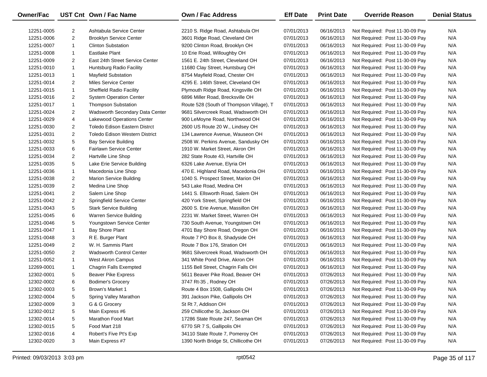| Owner/Fac  |                | UST Cnt Own / Fac Name               | <b>Own / Fac Address</b>                 | <b>Eff Date</b> | <b>Print Date</b> | <b>Override Reason</b>          | <b>Denial Status</b> |
|------------|----------------|--------------------------------------|------------------------------------------|-----------------|-------------------|---------------------------------|----------------------|
| 12251-0005 | 2              | Ashtabula Service Center             | 2210 S. Ridge Road, Ashtabula OH         | 07/01/2013      | 06/16/2013        | Not Required: Post 11-30-09 Pay | N/A                  |
| 12251-0006 | $\overline{2}$ | <b>Brooklyn Service Center</b>       | 3601 Ridge Road, Cleveland OH            | 07/01/2013      | 06/16/2013        | Not Required: Post 11-30-09 Pay | N/A                  |
| 12251-0007 | $\mathbf{1}$   | <b>Clinton Substation</b>            | 9200 Clinton Road, Brooklyn OH           | 07/01/2013      | 06/16/2013        | Not Required: Post 11-30-09 Pay | N/A                  |
| 12251-0008 | $\mathbf{1}$   | Eastlake Plant                       | 10 Erie Road, Willoughby OH              | 07/01/2013      | 06/16/2013        | Not Required: Post 11-30-09 Pay | N/A                  |
| 12251-0009 | 2              | East 24th Street Service Center      | 1561 E. 24th Street, Cleveland OH        | 07/01/2013      | 06/16/2013        | Not Required: Post 11-30-09 Pay | N/A                  |
| 12251-0010 | $\mathbf{1}$   | Huntsburg Radio Facility             | 11680 Clay Street, Huntsburg OH          | 07/01/2013      | 06/16/2013        | Not Required: Post 11-30-09 Pay | N/A                  |
| 12251-0013 | $\mathbf{1}$   | <b>Mayfield Substation</b>           | 8754 Mayfield Road, Chester OH           | 07/01/2013      | 06/16/2013        | Not Required: Post 11-30-09 Pay | N/A                  |
| 12251-0014 | $\overline{2}$ | Miles Service Center                 | 4295 E. 146th Street, Cleveland OH       | 07/01/2013      | 06/16/2013        | Not Required: Post 11-30-09 Pay | N/A                  |
| 12251-0015 | $\mathbf{1}$   | <b>Sheffield Radio Facility</b>      | Plymouth Ridge Road, Kingsville OH       | 07/01/2013      | 06/16/2013        | Not Required: Post 11-30-09 Pay | N/A                  |
| 12251-0016 | $\overline{2}$ | <b>System Operation Center</b>       | 6896 Miller Road, Brecksville OH         | 07/01/2013      | 06/16/2013        | Not Required: Post 11-30-09 Pay | N/A                  |
| 12251-0017 | $\mathbf{1}$   | <b>Thompson Substation</b>           | Route 528 (South of Thompson Village), T | 07/01/2013      | 06/16/2013        | Not Required: Post 11-30-09 Pay | N/A                  |
| 12251-0024 | $\overline{c}$ | Wadsworth Secondary Data Center      | 9681 Silvercreek Road, Wadsworth OH      | 07/01/2013      | 06/16/2013        | Not Required: Post 11-30-09 Pay | N/A                  |
| 12251-0029 | 4              | <b>Lakewood Operations Center</b>    | 900 LeMoyne Road, Northwood OH           | 07/01/2013      | 06/16/2013        | Not Required: Post 11-30-09 Pay | N/A                  |
| 12251-0030 | $\overline{2}$ | <b>Toledo Edison Eastern Distrct</b> | 2600 US Route 20 W., Lindsey OH          | 07/01/2013      | 06/16/2013        | Not Required: Post 11-30-09 Pay | N/A                  |
| 12251-0031 | $\overline{2}$ | Toledo Edison Western District       | 134 Lawrence Avenue, Wauseon OH          | 07/01/2013      | 06/16/2013        | Not Required: Post 11-30-09 Pay | N/A                  |
| 12251-0032 | 5              | <b>Bay Service Building</b>          | 2508 W. Perkins Avenue, Sandusky OH      | 07/01/2013      | 06/16/2013        | Not Required: Post 11-30-09 Pay | N/A                  |
| 12251-0033 | 6              | <b>Fairlawn Service Center</b>       | 1910 W. Market Street, Akron OH          | 07/01/2013      | 06/16/2013        | Not Required: Post 11-30-09 Pay | N/A                  |
| 12251-0034 | $\overline{c}$ | Hartville Line Shop                  | 282 State Route 43, Hartville OH         | 07/01/2013      | 06/16/2013        | Not Required: Post 11-30-09 Pay | N/A                  |
| 12251-0035 | 5              | Lake Erie Service Building           | 6326 Lake Avenue, Elyria OH              | 07/01/2013      | 06/16/2013        | Not Required: Post 11-30-09 Pay | N/A                  |
| 12251-0036 | $\mathbf{1}$   | Macedonia Line Shop                  | 470 E. Highland Road, Macedonia OH       | 07/01/2013      | 06/16/2013        | Not Required: Post 11-30-09 Pay | N/A                  |
| 12251-0038 | $\overline{2}$ | <b>Marion Service Building</b>       | 1040 S. Prospect Street, Marion OH       | 07/01/2013      | 06/16/2013        | Not Required: Post 11-30-09 Pay | N/A                  |
| 12251-0039 | $\overline{c}$ | Medina Line Shop                     | 543 Lake Road, Medina OH                 | 07/01/2013      | 06/16/2013        | Not Required: Post 11-30-09 Pay | N/A                  |
| 12251-0041 | $\overline{2}$ | Salem Line Shop                      | 1441 S. Ellsworth Road, Salem OH         | 07/01/2013      | 06/16/2013        | Not Required: Post 11-30-09 Pay | N/A                  |
| 12251-0042 | $\overline{2}$ | Springfield Service Center           | 420 York Street, Springfield OH          | 07/01/2013      | 06/16/2013        | Not Required: Post 11-30-09 Pay | N/A                  |
| 12251-0043 | 5              | <b>Stark Service Building</b>        | 2600 S. Erie Avenue, Massillon OH        | 07/01/2013      | 06/16/2013        | Not Required: Post 11-30-09 Pay | N/A                  |
| 12251-0045 | 6              | Warren Service Building              | 2231 W. Market Street, Warren OH         | 07/01/2013      | 06/16/2013        | Not Required: Post 11-30-09 Pay | N/A                  |
| 12251-0046 | 5              | Youngstown Service Center            | 730 South Avenue, Youngstown OH          | 07/01/2013      | 06/16/2013        | Not Required: Post 11-30-09 Pay | N/A                  |
| 12251-0047 | $\mathbf{1}$   | Bay Shore Plant                      | 4701 Bay Shore Road, Oregon OH           | 07/01/2013      | 06/16/2013        | Not Required: Post 11-30-09 Pay | N/A                  |
| 12251-0048 | 3              | R E. Burger Plant                    | Route 7 PO Box 8, Shadyside OH           | 07/01/2013      | 06/16/2013        | Not Required: Post 11-30-09 Pay | N/A                  |
| 12251-0049 | $\overline{2}$ | W. H. Sammis Plant                   | Route 7 Box 176, Stration OH             | 07/01/2013      | 06/16/2013        | Not Required: Post 11-30-09 Pay | N/A                  |
| 12251-0050 | $\overline{2}$ | <b>Wadsworth Control Center</b>      | 9681 Silvercreek Road, Wadsworth OH      | 07/01/2013      | 06/16/2013        | Not Required: Post 11-30-09 Pay | N/A                  |
| 12251-0052 | $\mathbf{1}$   | West Akron Campus                    | 341 White Pond Drive, Akron OH           | 07/01/2013      | 06/16/2013        | Not Required: Post 11-30-09 Pay | N/A                  |
| 12269-0001 | $\mathbf{1}$   | Chagrin Falls Exempted               | 1155 Bell Street, Chagrin Falls OH       | 07/01/2013      | 06/16/2013        | Not Required: Post 11-30-09 Pay | N/A                  |
| 12302-0001 | 5              | <b>Beaver Pike Express</b>           | 5611 Beaver Pike Road, Beaver OH         | 07/01/2013      | 07/26/2013        | Not Required: Post 11-30-09 Pay | N/A                  |
| 12302-0002 | 6              | <b>Bodimer's Grocery</b>             | 3747 Rt-35, Rodney OH                    | 07/01/2013      | 07/26/2013        | Not Required: Post 11-30-09 Pay | N/A                  |
| 12302-0003 | 5              | Brown's Market 1                     | Route 4 Box 1508, Gallipolis OH          | 07/01/2013      | 07/26/2013        | Not Required: Post 11-30-09 Pay | N/A                  |
| 12302-0004 | 5              | Spring Valley Marathon               | 391 Jackson Pike, Gallipolis OH          | 07/01/2013      | 07/26/2013        | Not Required: Post 11-30-09 Pay | N/A                  |
| 12302-0009 | 3              | G & G Grocery                        | St Rt 7, Addison OH                      | 07/01/2013      | 07/26/2013        | Not Required: Post 11-30-09 Pay | N/A                  |
| 12302-0012 | 5              | Main Express #6                      | 259 Chillicothe St, Jackson OH           | 07/01/2013      | 07/26/2013        | Not Required: Post 11-30-09 Pay | N/A                  |
| 12302-0014 | 5              | Marathon Food Mart                   | 17286 State Route 247, Seaman OH         | 07/01/2013      | 07/26/2013        | Not Required: Post 11-30-09 Pay | N/A                  |
| 12302-0015 | 5              | Food Mart 218                        | 6770 SR 7 S, Gallipolis OH               | 07/01/2013      | 07/26/2013        | Not Required: Post 11-30-09 Pay | N/A                  |
| 12302-0016 | 4              | Robert's Five Pt's Exp               | 34110 State Route 7, Pomeroy OH          | 07/01/2013      | 07/26/2013        | Not Required: Post 11-30-09 Pay | N/A                  |
| 12302-0020 | 3              | Main Express #7                      | 1390 North Bridge St, Chillicothe OH     | 07/01/2013      | 07/26/2013        | Not Required: Post 11-30-09 Pay | N/A                  |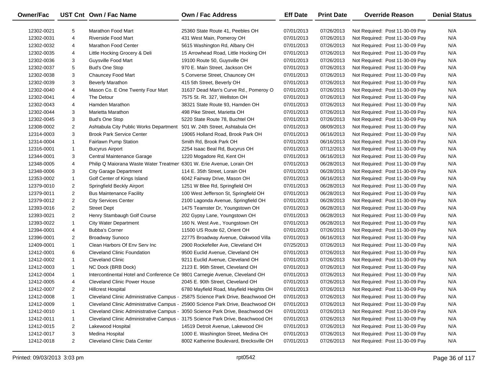| <b>Owner/Fac</b> |                | UST Cnt Own / Fac Name                                                      | Own / Fac Address                        | <b>Eff Date</b> | <b>Print Date</b> | <b>Override Reason</b>          | <b>Denial Status</b> |
|------------------|----------------|-----------------------------------------------------------------------------|------------------------------------------|-----------------|-------------------|---------------------------------|----------------------|
| 12302-0021       | 5              | Marathon Food Mart                                                          | 25360 State Route 41, Peebles OH         | 07/01/2013      | 07/26/2013        | Not Required: Post 11-30-09 Pay | N/A                  |
| 12302-0031       | 4              | <b>Riverside Food Mart</b>                                                  | 431 West Main, Pomeroy OH                | 07/01/2013      | 07/26/2013        | Not Required: Post 11-30-09 Pay | N/A                  |
| 12302-0032       | 4              | <b>Marathon Food Center</b>                                                 | 5615 Washington Rd, Albany OH            | 07/01/2013      | 07/26/2013        | Not Required: Post 11-30-09 Pay | N/A                  |
| 12302-0035       | 4              | Little Hocking Grocery & Deli                                               | 15 Arrowhead Road, Little Hocking OH     | 07/01/2013      | 07/26/2013        | Not Required: Post 11-30-09 Pay | N/A                  |
| 12302-0036       | 3              | Guysville Food Mart                                                         | 19100 Route 50, Guysville OH             | 07/01/2013      | 07/26/2013        | Not Required: Post 11-30-09 Pay | N/A                  |
| 12302-0037       | 5              | <b>Bud's One Stop</b>                                                       | 970 E. Main Street, Jackson OH           | 07/01/2013      | 07/26/2013        | Not Required: Post 11-30-09 Pay | N/A                  |
| 12302-0038       | 3              | Chauncey Food Mart                                                          | 5 Converse Street, Chauncey OH           | 07/01/2013      | 07/26/2013        | Not Required: Post 11-30-09 Pay | N/A                  |
| 12302-0039       | 3              | <b>Beverly Marathon</b>                                                     | 415 5th Street, Beverly OH               | 07/01/2013      | 07/26/2013        | Not Required: Post 11-30-09 Pay | N/A                  |
| 12302-0040       | 4              | Mason Co. E One Twenty Four Mart                                            | 31637 Dead Man's Curve Rd., Pomeroy O    | 07/01/2013      | 07/26/2013        | Not Required: Post 11-30-09 Pay | N/A                  |
| 12302-0041       | 4              | The Detour                                                                  | 7575 St. Rt. 327, Wellston OH            | 07/01/2013      | 07/26/2013        | Not Required: Post 11-30-09 Pay | N/A                  |
| 12302-0043       | 4              | Hamden Marathon                                                             | 38321 State Route 93, Hamden OH          | 07/01/2013      | 07/26/2013        | Not Required: Post 11-30-09 Pay | N/A                  |
| 12302-0044       | 3              | Marietta Marathon                                                           | 498 Pike Street, Marietta OH             | 07/01/2013      | 07/26/2013        | Not Required: Post 11-30-09 Pay | N/A                  |
| 12302-0045       | 3              | <b>Bud's One Stop</b>                                                       | 5220 State Route 78, Buchtel OH          | 07/01/2013      | 07/26/2013        | Not Required: Post 11-30-09 Pay | N/A                  |
| 12308-0002       | $\overline{2}$ | Ashtabula City Public Works Department                                      | 501 W. 24th Street, Ashtabula OH         | 07/01/2013      | 08/09/2013        | Not Required: Post 11-30-09 Pay | N/A                  |
| 12314-0003       | 3              | <b>Brook Park Service Center</b>                                            | 19065 Holland Road, Brook Park OH        | 07/01/2013      | 06/16/2013        | Not Required: Post 11-30-09 Pay | N/A                  |
| 12314-0004       | $\mathbf{1}$   | Fairlawn Pump Station                                                       | Smith Rd, Brook Park OH                  | 07/01/2013      | 06/16/2013        | Not Required: Post 11-30-09 Pay | N/A                  |
| 12316-0001       | $\mathbf{1}$   | <b>Bucyrus Airport</b>                                                      | 2254 Isaac Beal Rd, Bucyrus OH           | 07/01/2013      | 07/12/2013        | Not Required: Post 11-30-09 Pay | N/A                  |
| 12344-0001       | 3              | Central Maintenance Garage                                                  | 1220 Mogadore Rd, Kent OH                | 07/01/2013      | 06/16/2013        | Not Required: Post 11-30-09 Pay | N/A                  |
| 12348-0005       | 4              | Philip Q Maiorana Waste Water Treatmer 6301 W. Erie Avenue, Lorain OH       |                                          | 07/01/2013      | 06/28/2013        | Not Required: Post 11-30-09 Pay | N/A                  |
| 12348-0006       | 3              | <b>City Garage Department</b>                                               | 114 E. 35th Street, Lorain OH            | 07/01/2013      | 06/28/2013        | Not Required: Post 11-30-09 Pay | N/A                  |
| 12353-0002       | $\mathbf{1}$   | Golf Center of Kings Island                                                 | 6042 Fairway Drive, Mason OH             | 07/01/2013      | 06/16/2013        | Not Required: Post 11-30-09 Pay | N/A                  |
| 12379-0010       | $\overline{2}$ | Springfield Beckly Airport                                                  | 1251 W Blee Rd, Springfield OH           | 07/01/2013      | 06/28/2013        | Not Required: Post 11-30-09 Pay | N/A                  |
| 12379-0011       | $\overline{2}$ | <b>Bus Maintenance Facility</b>                                             | 100 West Jefferson St, Springfield OH    | 07/01/2013      | 06/28/2013        | Not Required: Post 11-30-09 Pay | N/A                  |
| 12379-0012       | $\overline{2}$ | <b>City Services Center</b>                                                 | 2100 Lagonda Avenue, Springfield OH      | 07/01/2013      | 06/28/2013        | Not Required: Post 11-30-09 Pay | N/A                  |
| 12393-0016       | $\overline{2}$ | <b>Street Dept</b>                                                          | 1475 Teamster Dr, Youngstown OH          | 07/01/2013      | 06/28/2013        | Not Required: Post 11-30-09 Pay | N/A                  |
| 12393-0021       | $\overline{2}$ | Henry Stambaugh Golf Course                                                 | 202 Gypsy Lane, Youngstown OH            | 07/01/2013      | 06/28/2013        | Not Required: Post 11-30-09 Pay | N/A                  |
| 12393-0022       | $\mathbf{1}$   | <b>City Water Department</b>                                                | 160 N. West Ave., Youngstown OH          | 07/01/2013      | 06/28/2013        | Not Required: Post 11-30-09 Pay | N/A                  |
| 12394-0001       | 4              | <b>Bubba's Corner</b>                                                       | 11500 US Route 62, Orient OH             | 07/01/2013      | 07/26/2013        | Not Required: Post 11-30-09 Pay | N/A                  |
| 12396-0001       | $\overline{2}$ | <b>Broadway Sunoco</b>                                                      | 22775 Broadway Avenue, Oakwood Villa     | 07/01/2013      | 06/16/2013        | Not Required: Post 11-30-09 Pay | N/A                  |
| 12409-0001       | $\mathbf{1}$   | Clean Harbors Of Env Serv Inc                                               | 2900 Rockefeller Ave, Cleveland OH       | 07/25/2013      | 07/26/2013        | Not Required: Post 11-30-09 Pay | N/A                  |
| 12412-0001       | 6              | <b>Cleveland Clinic Foundation</b>                                          | 9500 Euclid Avenue, Cleveland OH         | 07/01/2013      | 07/26/2013        | Not Required: Post 11-30-09 Pay | N/A                  |
| 12412-0002       | $\mathbf{1}$   | <b>Cleveland Clinic</b>                                                     | 9211 Euclid Avenue, Cleveland OH         | 07/01/2013      | 07/26/2013        | Not Required: Post 11-30-09 Pay | N/A                  |
| 12412-0003       | $\mathbf{1}$   | NC Dock (BRB Dock)                                                          | 2123 E. 96th Street, Cleveland OH        | 07/01/2013      | 07/26/2013        | Not Required: Post 11-30-09 Pay | N/A                  |
| 12412-0004       | $\mathbf{1}$   | Intercontinental Hotel and Conference Ce 9801 Carnegie Avenue, Cleveland OH |                                          | 07/01/2013      | 07/26/2013        | Not Required: Post 11-30-09 Pay | N/A                  |
| 12412-0005       | 4              | <b>Cleveland Clinic Power House</b>                                         | 2045 E. 90th Street, Cleveland OH        | 07/01/2013      | 07/26/2013        | Not Required: Post 11-30-09 Pay | N/A                  |
| 12412-0007       | $\overline{2}$ | <b>Hillcrest Hospital</b>                                                   | 6780 Mayfield Road, Mayfield Heights OH  | 07/01/2013      | 07/26/2013        | Not Required: Post 11-30-09 Pay | N/A                  |
| 12412-0008       | -1             | Cleveland Clinic Administrative Campus -                                    | 25875 Science Park Drive, Beachwood OH   | 07/01/2013      | 07/26/2013        | Not Required: Post 11-30-09 Pay | N/A                  |
| 12412-0009       | -1             | Cleveland Clinic Administrative Campus -                                    | 25900 Science Park Drive, Beachwood OH   | 07/01/2013      | 07/26/2013        | Not Required: Post 11-30-09 Pay | N/A                  |
| 12412-0010       | 1              | Cleveland Clinic Administrative Campus -                                    | 3050 Science Park Drive, Beachwood OH    | 07/01/2013      | 07/26/2013        | Not Required: Post 11-30-09 Pay | N/A                  |
| 12412-0011       | 1              | Cleveland Clinic Administrative Campus -                                    | 3175 Science Park Drive, Beachwood OH    | 07/01/2013      | 07/26/2013        | Not Required: Post 11-30-09 Pay | N/A                  |
| 12412-0015       | 2              | Lakewood Hospital                                                           | 14519 Detroit Avenue, Lakewood OH        | 07/01/2013      | 07/26/2013        | Not Required: Post 11-30-09 Pay | N/A                  |
| 12412-0017       | 3              | Medina Hospital                                                             | 1000 E. Washington Street, Medina OH     | 07/01/2013      | 07/26/2013        | Not Required: Post 11-30-09 Pay | N/A                  |
| 12412-0018       | $\overline{2}$ | Cleveland Clinic Data Center                                                | 8002 Katherine Boulevard, Brecksville OH | 07/01/2013      | 07/26/2013        | Not Required: Post 11-30-09 Pay | N/A                  |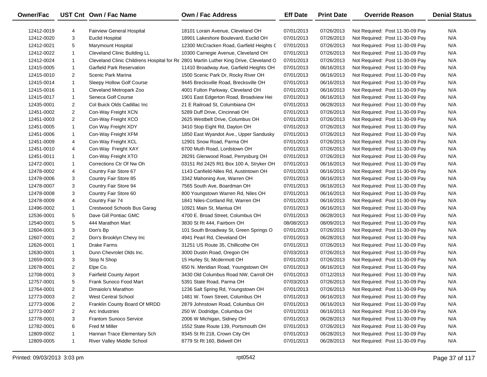| Owner/Fac  |                | UST Cnt Own / Fac Name              | <b>Own / Fac Address</b>                                                              | <b>Eff Date</b> | <b>Print Date</b> | <b>Override Reason</b>          | <b>Denial Status</b> |
|------------|----------------|-------------------------------------|---------------------------------------------------------------------------------------|-----------------|-------------------|---------------------------------|----------------------|
| 12412-0019 | 4              | <b>Fairview General Hospital</b>    | 18101 Lorain Avenue, Cleveland OH                                                     | 07/01/2013      | 07/26/2013        | Not Required: Post 11-30-09 Pay | N/A                  |
| 12412-0020 | 3              | <b>Euclid Hospital</b>              | 18901 Lakeshore Boulevard, Euclid OH                                                  | 07/01/2013      | 07/26/2013        | Not Required: Post 11-30-09 Pay | N/A                  |
| 12412-0021 | 5              | <b>Marymount Hospital</b>           | 12300 McCracken Road, Garfield Heights C                                              | 07/01/2013      | 07/26/2013        | Not Required: Post 11-30-09 Pay | N/A                  |
| 12412-0022 | $\mathbf{1}$   | <b>Cleveland Clinic Building LL</b> | 10300 Carnegie Avenue, Cleveland OH                                                   | 07/01/2013      | 07/26/2013        | Not Required: Post 11-30-09 Pay | N/A                  |
| 12412-0024 | 1              |                                     | Cleveland Clinic Childrens Hospital for Re 2801 Martin Luther King Drive, Cleveland O | 07/01/2013      | 07/26/2013        | Not Required: Post 11-30-09 Pay | N/A                  |
| 12415-0005 | $\mathbf{1}$   | <b>Garfield Park Reservation</b>    | 11410 Broadway Ave, Garfield Heights OH                                               | 07/01/2013      | 06/16/2013        | Not Required: Post 11-30-09 Pay | N/A                  |
| 12415-0010 | $\overline{2}$ | Scenic Park Marina                  | 1500 Scenic Park Dr, Rocky River OH                                                   | 07/01/2013      | 06/16/2013        | Not Required: Post 11-30-09 Pay | N/A                  |
| 12415-0014 | $\mathbf{1}$   | Sleepy Hollow Golf Course           | 9445 Brecksville Road, Brecksville OH                                                 | 07/01/2013      | 06/16/2013        | Not Required: Post 11-30-09 Pay | N/A                  |
| 12415-0016 | $\mathbf{1}$   | Cleveland Metropark Zoo             | 4001 Fulton Parkway, Cleveland OH                                                     | 07/01/2013      | 06/16/2013        | Not Required: Post 11-30-09 Pay | N/A                  |
| 12415-0017 | $\mathbf{1}$   | Seneca Golf Course                  | 1901 East Edgerton Road, Broadview Hei                                                | 07/01/2013      | 06/16/2013        | Not Required: Post 11-30-09 Pay | N/A                  |
| 12435-0001 | $\overline{2}$ | Col Buick Olds Cadillac Inc         | 21 E Railroad St, Columbiana OH                                                       | 07/01/2013      | 06/28/2013        | Not Required: Post 11-30-09 Pay | N/A                  |
| 12451-0002 | $\overline{2}$ | Con-Way Freight XCN                 | 5289 Duff Drive, Cincinnati OH                                                        | 07/01/2013      | 07/26/2013        | Not Required: Post 11-30-09 Pay | N/A                  |
| 12451-0003 | $\overline{2}$ | Con-Way Freight XCO                 | 2625 Westbelt Drive, Columbus OH                                                      | 07/01/2013      | 07/26/2013        | Not Required: Post 11-30-09 Pay | N/A                  |
| 12451-0005 | $\mathbf{1}$   | Con Way Freight XDY                 | 3410 Stop Eight Rd, Dayton OH                                                         | 07/01/2013      | 07/26/2013        | Not Required: Post 11-30-09 Pay | N/A                  |
| 12451-0006 | 1              | Con-Way Freight XFM                 | 1850 East Wyandot Ave., Upper Sandusky                                                | 07/01/2013      | 07/26/2013        | Not Required: Post 11-30-09 Pay | N/A                  |
| 12451-0009 | 4              | Con-Way Freight XCL                 | 12901 Snow Road, Parma OH                                                             | 07/01/2013      | 07/26/2013        | Not Required: Post 11-30-09 Pay | N/A                  |
| 12451-0010 | 4              | Con-Way Freight XAY                 | 6700 Muth Road, Lordstown OH                                                          | 07/01/2013      | 07/26/2013        | Not Required: Post 11-30-09 Pay | N/A                  |
| 12451-0011 | 1              | Con-Way Freight XTO                 | 28291 Glenwood Road, Perrysburg OH                                                    | 07/01/2013      | 07/26/2013        | Not Required: Post 11-30-09 Pay | N/A                  |
| 12472-0001 | 1              | Corrections Ctr Of Nw Oh            | 03151 Rd 2425 Rt1 Box 100 A, Stryker OH                                               | 07/01/2013      | 06/16/2013        | Not Required: Post 11-30-09 Pay | N/A                  |
| 12478-0002 | 4              | Country Fair Store 67               | 1143 Canfield-Niles Rd, Austintown OH                                                 | 07/01/2013      | 06/16/2013        | Not Required: Post 11-30-09 Pay | N/A                  |
| 12478-0006 | 3              | Country Fair Store 85               | 3342 Mahoning Ave, Warren OH                                                          | 07/01/2013      | 06/16/2013        | Not Required: Post 11-30-09 Pay | N/A                  |
| 12478-0007 | 3              | Country Fair Store 94               | 7565 South Ave, Boardman OH                                                           | 07/01/2013      | 06/16/2013        | Not Required: Post 11-30-09 Pay | N/A                  |
| 12478-0008 | 3              | Country Fair Store 60               | 800 Youngstown Warren Rd, Niles OH                                                    | 07/01/2013      | 06/16/2013        | Not Required: Post 11-30-09 Pay | N/A                  |
| 12478-0009 | 4              | Country Fair 74                     | 1841 Niles-Cortland Rd, Warren OH                                                     | 07/01/2013      | 06/16/2013        | Not Required: Post 11-30-09 Pay | N/A                  |
| 12496-0002 | $\mathbf{1}$   | Crestwood Schools Bus Garag         | 10921 Main St, Mantua OH                                                              | 07/01/2013      | 06/16/2013        | Not Required: Post 11-30-09 Pay | N/A                  |
| 12536-0001 | 5              | Dave Gill Pontiac GMC               | 4700 E. Broad Street, Columbus OH                                                     | 07/01/2013      | 06/28/2013        | Not Required: Post 11-30-09 Pay | N/A                  |
| 12540-0001 | 5              | 444 Marathon Mart                   | 3830 St Rt 444, Fairborn OH                                                           | 08/08/2013      | 08/09/2013        | Not Required: Post 11-30-09 Pay | N/A                  |
| 12604-0001 | 3              | Don's Bp                            | 101 South Broadway St, Green Springs O                                                | 07/01/2013      | 07/26/2013        | Not Required: Post 11-30-09 Pay | N/A                  |
| 12607-0001 | $\overline{2}$ | Don's Brooklyn Chevy Inc            | 4941 Pearl Rd, Cleveland OH                                                           | 07/01/2013      | 06/28/2013        | Not Required: Post 11-30-09 Pay | N/A                  |
| 12626-0001 | $\mathbf{1}$   | Drake Farms                         | 31251 US Route 35, Chillicothe OH                                                     | 07/01/2013      | 07/26/2013        | Not Required: Post 11-30-09 Pay | N/A                  |
| 12630-0001 | $\mathbf{1}$   | Dunn Chevrolet Olds Inc.            | 3000 Dustin Road, Oregon OH                                                           | 07/03/2013      | 07/26/2013        | Not Required: Post 11-30-09 Pay | N/A                  |
| 12659-0001 | 3              | Stop N Shop                         | 15 Hurley St, Mcdermott OH                                                            | 07/01/2013      | 07/26/2013        | Not Required: Post 11-30-09 Pay | N/A                  |
| 12678-0001 | $\overline{2}$ | Elpe Co.                            | 650 N. Meridian Road, Youngstown OH                                                   | 07/01/2013      | 06/16/2013        | Not Required: Post 11-30-09 Pay | N/A                  |
| 12708-0001 | 3              | <b>Fairfield County Airport</b>     | 3430 Old Columbus Road NW, Carroll OH                                                 | 07/01/2013      | 07/12/2013        | Not Required: Post 11-30-09 Pay | N/A                  |
| 12757-0001 | 5              | Frank Sunoco Food Mart              | 5391 State Road, Parma OH                                                             | 07/03/2013      | 07/26/2013        | Not Required: Post 11-30-09 Pay | N/A                  |
| 12764-0001 | 2              | Dimaiolo's Marathon                 | 1236 Salt Spring Rd, Youngstown OH                                                    | 07/01/2013      | 07/26/2013        | Not Required: Post 11-30-09 Pay | N/A                  |
| 12773-0003 | 2              | <b>West Central School</b>          | 1481 W. Town Street, Columbus OH                                                      | 07/01/2013      | 06/16/2013        | Not Required: Post 11-30-09 Pay | N/A                  |
| 12773-0006 | 2              | Franklin County Board Of MRDD       | 2879 Johnstown Road, Columbus OH                                                      | 07/01/2013      | 06/16/2013        | Not Required: Post 11-30-09 Pay | N/A                  |
| 12773-0007 | $\overline{2}$ | Arc Industries                      | 250 W. Dodridge, Columbus OH                                                          | 07/01/2013      | 06/16/2013        | Not Required: Post 11-30-09 Pay | N/A                  |
| 12778-0001 | 3              | <b>Frantom Sunoco Service</b>       | 2006 W Michigan, Sidney OH                                                            | 07/01/2013      | 06/28/2013        | Not Required: Post 11-30-09 Pay | N/A                  |
| 12782-0001 | 6              | Fred M Miller                       | 1552 State Route 139, Portsmouth OH                                                   | 07/01/2013      | 07/26/2013        | Not Required: Post 11-30-09 Pay | N/A                  |
| 12809-0002 | 1              | Hannan Trace Elementary Sch         | 9345 St Rt 218, Crown City OH                                                         | 07/01/2013      | 06/28/2013        | Not Required: Post 11-30-09 Pay | N/A                  |
| 12809-0005 | $\mathbf{1}$   | <b>River Valley Middle School</b>   | 8779 St Rt 160, Bidwell OH                                                            | 07/01/2013      | 06/28/2013        | Not Required: Post 11-30-09 Pay | N/A                  |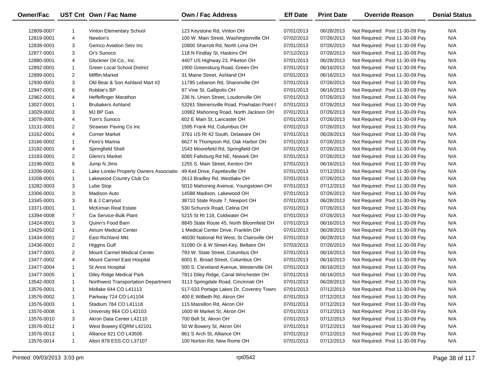| Owner/Fac  |                | UST Cnt Own / Fac Name                  | Own / Fac Address                          | <b>Eff Date</b> | <b>Print Date</b> | <b>Override Reason</b>          | <b>Denial Status</b> |
|------------|----------------|-----------------------------------------|--------------------------------------------|-----------------|-------------------|---------------------------------|----------------------|
| 12809-0007 | -1             | <b>Vinton Elementary School</b>         | 123 Keystone Rd, Vinton OH                 | 07/01/2013      | 06/28/2013        | Not Required: Post 11-30-09 Pay | N/A                  |
| 12819-0001 | 4              | Newton's                                | 100 W. Main Street, Washingtonville OH     | 07/02/2013      | 07/26/2013        | Not Required: Post 11-30-09 Pay | N/A                  |
| 12838-0001 | 3              | Gemco Aviation Serv Inc                 | 10800 Sharrott Rd, North Lima OH           | 07/01/2013      | 07/26/2013        | Not Required: Post 11-30-09 Pay | N/A                  |
| 12877-0001 | 3              | Or's Sunoco                             | 118 N Findlay St, Haskins OH               | 07/12/2013      | 07/26/2013        | Not Required: Post 11-30-09 Pay | N/A                  |
| 12880-0001 | 4              | Glockner Oil Co., Inc.                  | 4407 US Highway 23, Piketon OH             | 07/01/2013      | 06/28/2013        | Not Required: Post 11-30-09 Pay | N/A                  |
| 12892-0001 | $\mathbf{1}$   | Green Local School District             | 1900 Greensburg Road, Green OH             | 07/01/2013      | 06/16/2013        | Not Required: Post 11-30-09 Pay | N/A                  |
| 12899-0001 | $\overline{2}$ | <b>Mifflin Market</b>                   | 31 Maine Street, Ashland OH                | 07/01/2013      | 06/16/2013        | Not Required: Post 11-30-09 Pay | N/A                  |
| 12930-0001 | 3              | Old Bear & Son Ashland Mart #2          | 11785 Lebanon Rd, Sharonville OH           | 07/01/2013      | 07/26/2013        | Not Required: Post 11-30-09 Pay | N/A                  |
| 12947-0001 | 6              | Robbie's BP                             | 87 Vine St, Gallipolis OH                  | 07/01/2013      | 06/16/2013        | Not Required: Post 11-30-09 Pay | N/A                  |
| 12962-0001 | 4              | <b>Heffelfinger Marathon</b>            | 236 N. Union Street, Loudonville OH        | 07/01/2013      | 07/26/2013        | Not Required: Post 11-30-09 Pay | N/A                  |
| 13027-0001 | $\mathbf{1}$   | <b>Brubakers Ashland</b>                | 53261 Steinersville Road, Powhatan Point ( | 07/01/2013      | 07/26/2013        | Not Required: Post 11-30-09 Pay | N/A                  |
| 13029-0002 | 3              | MJ BP Gas                               | 10982 Mahoning Road, North Jackson OH      | 07/01/2013      | 07/26/2013        | Not Required: Post 11-30-09 Pay | N/A                  |
| 13078-0001 | 4              | Tom's Sunoco                            | 602 E Main St, Lancaster OH                | 07/01/2013      | 07/26/2013        | Not Required: Post 11-30-09 Pay | N/A                  |
| 13131-0001 | $\overline{2}$ | Strawser Paving Co Inc                  | 1595 Frank Rd, Columbus OH                 | 07/01/2013      | 07/26/2013        | Not Required: Post 11-30-09 Pay | N/A                  |
| 13162-0001 | 4              | <b>Corner Market</b>                    | 3761 US Rt 42 South, Delaware OH           | 07/01/2013      | 06/28/2013        | Not Required: Post 11-30-09 Pay | N/A                  |
| 13166-0002 | $\mathbf{1}$   | Floro's Marina                          | 6627 N Thompson Rd, Oak Harbor OH          | 07/01/2013      | 07/26/2013        | Not Required: Post 11-30-09 Pay | N/A                  |
| 13192-0001 | 4              | Springfield Shell                       | 1543 Moorefield Rd, Springfield OH         | 07/01/2013      | 07/26/2013        | Not Required: Post 11-30-09 Pay | N/A                  |
| 13193-0001 | $\overline{2}$ | Glenn's Market                          | 6085 Fallsburg Rd NE, Newark OH            | 07/01/2013      | 07/26/2013        | Not Required: Post 11-30-09 Pay | N/A                  |
| 13196-0001 | 6              | Jump N Jims                             | 1255 S. Main Street, Kenton OH             | 07/01/2013      | 06/16/2013        | Not Required: Post 11-30-09 Pay | N/A                  |
| 13206-0001 | $\mathbf{1}$   | Lake Lorelei Property Owners Associatio | 49 Keil Drive, Fayetteville OH             | 07/01/2013      | 07/12/2013        | Not Required: Post 11-30-09 Pay | N/A                  |
| 13208-0001 | $\mathbf{1}$   | Lakewood Country Club Co                | 2613 Bradley Rd, Westlake OH               | 07/01/2013      | 07/26/2013        | Not Required: Post 11-30-09 Pay | N/A                  |
| 13282-0003 | 3              | Lube Stop                               | 5010 Mahoning Avenue, Youngstown OH        | 07/01/2013      | 07/12/2013        | Not Required: Post 11-30-09 Pay | N/A                  |
| 13306-0001 | 3              | Madison Auto                            | 14588 Madison, Lakewood OH                 | 07/01/2013      | 07/26/2013        | Not Required: Post 11-30-09 Pay | N/A                  |
| 13345-0001 | 3              | B & J Carryout                          | 38710 State Route 7, Newport OH            | 07/01/2013      | 06/28/2013        | Not Required: Post 11-30-09 Pay | N/A                  |
| 13371-0001 | $\mathbf{1}$   | McKirnan Real Estate                    | 530 Schunck Road, Celina OH                | 07/01/2013      | 07/26/2013        | Not Required: Post 11-30-09 Pay | N/A                  |
| 13394-0008 | $\overline{7}$ | Cw Service-Bulk Plant                   | 5215 St Rt 118, Coldwater OH               | 07/01/2013      | 07/26/2013        | Not Required: Post 11-30-09 Pay | N/A                  |
| 13424-0001 | 3              | Quinn's Food Barn                       | 8845 State Route 45, North Bloomfield OH   | 07/01/2013      | 06/16/2013        | Not Required: Post 11-30-09 Pay | N/A                  |
| 13429-0002 | $\mathbf{1}$   | <b>Atrium Medical Center</b>            | 1 Medical Center Drive, Franklin OH        | 07/01/2013      | 06/28/2013        | Not Required: Post 11-30-09 Pay | N/A                  |
| 13434-0001 | $\overline{2}$ | <b>East Richland Mkt</b>                | 46030 National Rd West, St Clairsville OH  | 07/01/2013      | 06/28/2013        | Not Required: Post 11-30-09 Pay | N/A                  |
| 13436-0001 | $\overline{2}$ | <b>Higgins Gulf</b>                     | 51090 Or & W Street-Key, Bellaire OH       | 07/03/2013      | 07/26/2013        | Not Required: Post 11-30-09 Pay | N/A                  |
| 13477-0001 | $\overline{2}$ | <b>Mount Carmel Medical Center</b>      | 793 W. State Street, Columbus OH           | 07/01/2013      | 06/16/2013        | Not Required: Post 11-30-09 Pay | N/A                  |
| 13477-0002 | 4              | Mount Carmel East Hospital              | 6001 E. Broad Street, Columbus OH          | 07/01/2013      | 06/16/2013        | Not Required: Post 11-30-09 Pay | N/A                  |
| 13477-0004 | $\mathbf{1}$   | St Anns Hospital                        | 500 S. Cleveland Avenue, Westerville OH    | 07/01/2013      | 06/16/2013        | Not Required: Post 11-30-09 Pay | N/A                  |
| 13477-0005 | $\mathbf{1}$   | Diley Ridge Medical Park                | 7911 Diley Ridge, Canal Winchester OH      | 07/01/2013      | 06/16/2013        | Not Required: Post 11-30-09 Pay | N/A                  |
| 13542-0003 | $\mathbf{1}$   | Northwest Transportation Department     | 3113 Springdale Road, Cincinnati OH        | 07/01/2013      | 06/28/2013        | Not Required: Post 11-30-09 Pay | N/A                  |
| 13576-0001 | 1              | Midlake 644 CO L41113                   | 517-533 Portage Lakes Dr, Coventry Towns   | 07/01/2013      | 07/12/2013        | Not Required: Post 11-30-09 Pay | N/A                  |
| 13576-0002 |                | Parkway 724 CO L41104                   | 400 E Wilbeth Rd, Akron OH                 | 07/01/2013      | 07/12/2013        | Not Required: Post 11-30-09 Pay | N/A                  |
| 13576-0003 | -1             | Stadium 784 CO L41118                   | 115 Massillon Rd, Akron OH                 | 07/01/2013      | 07/12/2013        | Not Required: Post 11-30-09 Pay | N/A                  |
| 13576-0008 | 1              | University 864 CO L42103                | 1600 W Market St, Akron OH                 | 07/01/2013      | 07/12/2013        | Not Required: Post 11-30-09 Pay | N/A                  |
| 13576-0010 | 3              | Akron Data Center L42110                | 700 Bell St, Akron OH                      | 07/01/2013      | 07/12/2013        | Not Required: Post 11-30-09 Pay | N/A                  |
| 13576-0012 | 1              | West Bowery EQRM L42101                 | 50 W Bowery St, Akron OH                   | 07/01/2013      | 07/12/2013        | Not Required: Post 11-30-09 Pay | N/A                  |
| 13576-0013 | -1             | Alliance 821 CO L43506                  | 861 S Arch St, Alliance OH                 | 07/01/2013      | 07/12/2013        | Not Required: Post 11-30-09 Pay | N/A                  |
| 13576-0014 | 1              | Alton 878 ESS CO L37107                 | 100 Norton Rd, New Rome OH                 | 07/01/2013      | 07/12/2013        | Not Required: Post 11-30-09 Pay | N/A                  |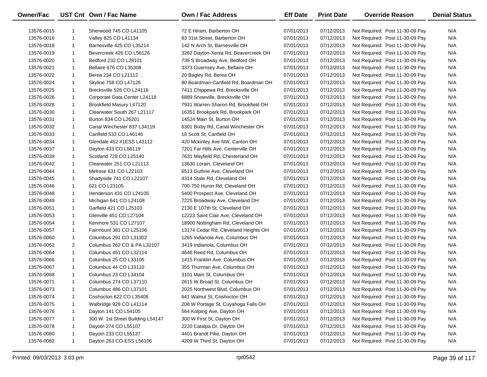| Owner/Fac  |              | UST Cnt Own / Fac Name            | <b>Own / Fac Address</b>             | <b>Eff Date</b> | <b>Print Date</b> | <b>Override Reason</b>          | <b>Denial Status</b> |
|------------|--------------|-----------------------------------|--------------------------------------|-----------------|-------------------|---------------------------------|----------------------|
| 13576-0015 | 1            | Sherwood 745 CO L41105            | 72 E Hiram, Barberton OH             | 07/01/2013      | 07/12/2013        | Not Required: Post 11-30-09 Pay | N/A                  |
| 13576-0016 | $\mathbf{1}$ | Valley 825 CO L41134              | 83 31st Street, Barberton OH         | 07/01/2013      | 07/12/2013        | Not Required: Post 11-30-09 Pay | N/A                  |
| 13576-0018 | $\mathbf{1}$ | Barnesville 425 CO L35214         | 142 N Arch St, Barnesville OH        | 07/01/2013      | 07/12/2013        | Not Required: Post 11-30-09 Pay | N/A                  |
| 13576-0019 | $\mathbf{1}$ | Bevercreek 426 CO L56126          | 3262 Dayton-Xenia Rd, Beavercreek OH | 07/01/2013      | 07/12/2013        | Not Required: Post 11-30-09 Pay | N/A                  |
| 13576-0020 | $\mathbf{1}$ | Bedford 232 CO L28101             | 739 S Broadway Ave, Bedford OH       | 07/01/2013      | 07/12/2013        | Not Required: Post 11-30-09 Pay | N/A                  |
| 13576-0021 | $\mathbf{1}$ | Bellaire 676 CO L35308            | 3373 Guernsey Ave, Bellaire OH       | 07/01/2013      | 07/12/2013        | Not Required: Post 11-30-09 Pay | N/A                  |
| 13576-0022 | $\mathbf{1}$ | Berea 234 CO L21112               | 20 Bagley Rd, Berea OH               | 07/01/2013      | 07/12/2013        | Not Required: Post 11-30-09 Pay | N/A                  |
| 13576-0024 | $\mathbf{1}$ | Skyline 758 CO L47126             | 80 Boardman-Canfield Rd, Boardman OH | 07/01/2013      | 07/12/2013        | Not Required: Post 11-30-09 Pay | N/A                  |
| 13576-0025 | $\mathbf{1}$ | Brecksville 526 CO L24116         | 7411 Chippewa Rd, Brecksville OH     | 07/01/2013      | 07/12/2013        | Not Required: Post 11-30-09 Pay | N/A                  |
| 13576-0026 | $\mathbf{1}$ | Corporate Data Center L24118      | 6889 Snowville, Brecksville OH       | 07/01/2013      | 07/12/2013        | Not Required: Post 11-30-09 Pay | N/A                  |
| 13576-0028 | $\mathbf{1}$ | Brookfield Masury L47120          | 7931 Warren-Sharon Rd, Brookfield OH | 07/01/2013      | 07/12/2013        | Not Required: Post 11-30-09 Pay | N/A                  |
| 13576-0030 | $\mathbf{1}$ | Clearwater South 267 L21117       | 16351 Brookpark Rd, Brookpark OH     | 07/01/2013      | 07/12/2013        | Not Required: Post 11-30-09 Pay | N/A                  |
| 13576-0031 | $\mathbf{1}$ | Burton 834 CO L26201              | 14524 Main St, Burton OH             | 07/01/2013      | 07/12/2013        | Not Required: Post 11-30-09 Pay | N/A                  |
| 13576-0032 | $\mathbf{1}$ | Canal Winchester 837 L34119       | 6301 Bixby Rd, Canal Winchester OH   | 07/01/2013      | 07/12/2013        | Not Required: Post 11-30-09 Pay | N/A                  |
| 13576-0033 | $\mathbf{1}$ | Canfield 533 CO L46146            | 18 Scott St, Canfield OH             | 07/01/2013      | 07/12/2013        | Not Required: Post 11-30-09 Pay | N/A                  |
| 13576-0034 | $\mathbf{1}$ | Glendale 452 #1ESS L43112         | 420 Mckinley Ave NW, Canton OH       | 07/01/2013      | 07/12/2013        | Not Required: Post 11-30-09 Pay | N/A                  |
| 13576-0037 | $\mathbf{1}$ | Dayton 433 CO L56119              | 7201 Far Hills Ave, Centerville OH   | 07/01/2013      | 07/12/2013        | Not Required: Post 11-30-09 Pay | N/A                  |
| 13576-0039 | $\mathbf{1}$ | Scotland 729 CO L25140            | 7631 Mayfield Rd, Chesterland OH     | 07/01/2013      | 07/12/2013        | Not Required: Post 11-30-09 Pay | N/A                  |
| 13576-0042 | $\mathbf{1}$ | Clearwater 251 CO L21113          | 13630 Lorain, Cleveland OH           | 07/01/2013      | 07/12/2013        | Not Required: Post 11-30-09 Pay | N/A                  |
| 13576-0044 | $\mathbf{1}$ | Melrose 631 CO L22103             | 6513 Guthrie Ave, Cleveland OH       | 07/01/2013      | 07/12/2013        | Not Required: Post 11-30-09 Pay | N/A                  |
| 13576-0045 | $\mathbf{1}$ | Shadyside 741 CO L22107           | 4314 State Rd, Cleveland OH          | 07/01/2013      | 07/12/2013        | Not Required: Post 11-30-09 Pay | N/A                  |
| 13576-0046 | $\mathbf{1}$ | 621 CO L23105                     | 700-750 Huron Rd, Cleveland OH       | 07/01/2013      | 07/12/2013        | Not Required: Post 11-30-09 Pay | N/A                  |
| 13576-0048 | $\mathbf{1}$ | Henderson 431 CO L24105           | 5400 Prospect Ave, Cleveland OH      | 07/01/2013      | 07/12/2013        | Not Required: Post 11-30-09 Pay | N/A                  |
| 13576-0049 | $\mathbf{1}$ | Michigan 641 CO L24108            | 7225 Broadway Ave, Cleveland OH      | 07/01/2013      | 07/12/2013        | Not Required: Post 11-30-09 Pay | N/A                  |
| 13576-0051 | $\mathbf{1}$ | Garfield 421 CO L25103            | 2130 E 107th St, Cleveland OH        | 07/01/2013      | 07/12/2013        | Not Required: Post 11-30-09 Pay | N/A                  |
| 13576-0053 | $\mathbf{1}$ | Glenville 451 CO L27104           | 12223 Saint Clair Ave, Cleveland OH  | 07/01/2013      | 07/12/2013        | Not Required: Post 11-30-09 Pay | N/A                  |
| 13576-0054 | $\mathbf{1}$ | Kenmore 531 CO L27107             | 18900 Nottingham Rd, Cleveland OH    | 07/01/2013      | 07/12/2013        | Not Required: Post 11-30-09 Pay | N/A                  |
| 13576-0057 | $\mathbf{1}$ | Fairmount 381 CO L25106           | 13174 Cedar Rd, Cleveland Heights OH | 07/01/2013      | 07/12/2013        | Not Required: Post 11-30-09 Pay | N/A                  |
| 13576-0060 | $\mathbf{1}$ | Columbus 291 CO L31302            | 1265 Indianola Ave, Columbus OH      | 07/01/2013      | 07/12/2013        | Not Required: Post 11-30-09 Pay | N/A                  |
| 13576-0062 | 2            | Columbus 262 CO & PA L32107       | 3419 Indianola, Columbus OH          | 07/01/2013      | 07/12/2013        | Not Required: Post 11-30-09 Pay | N/A                  |
| 13576-0064 | $\mathbf{1}$ | Columbus 451 CO L32114            | 4646 Reed Rd, Columbus OH            | 07/01/2013      | 07/12/2013        | Not Required: Post 11-30-09 Pay | N/A                  |
| 13576-0066 | $\mathbf{1}$ | Columbus 25 CO L33105             | 1415 Franklin Ave, Columbus OH       | 07/01/2013      | 07/12/2013        | Not Required: Post 11-30-09 Pay | N/A                  |
| 13576-0067 | $\mathbf{1}$ | Columbus 44 CO L33110             | 355 Thurman Ave, Columbus OH         | 07/01/2013      | 07/12/2013        | Not Required: Post 11-30-09 Pay | N/A                  |
| 13576-0068 | $\mathbf{1}$ | Columbus 23 CO L34104             | 3101 Main St, Columbus OH            | 07/01/2013      | 07/12/2013        | Not Required: Post 11-30-09 Pay | N/A                  |
| 13576-0071 | $\mathbf{1}$ | Columbus 274 CO L37110            | 2615 W Broad St, Columbus OH         | 07/01/2013      | 07/12/2013        | Not Required: Post 11-30-09 Pay | N/A                  |
| 13576-0073 | 1            | Columbus 486 CO L37101            | 2025 Northwest Blvd, Columbus OH     | 07/01/2013      | 07/12/2013        | Not Required: Post 11-30-09 Pay | N/A                  |
| 13576-0074 | 1            | Coshocton 622 CO L35408           | 641 Walnut St, Coshocton OH          | 07/01/2013      | 07/12/2013        | Not Required: Post 11-30-09 Pay | N/A                  |
| 13576-0075 | $\mathbf{1}$ | Walbridge 928 CO L41114           | 208 W Portage St, Cuyahoga Falls OH  | 07/01/2013      | 07/12/2013        | Not Required: Post 11-30-09 Pay | N/A                  |
| 13576-0076 | $\mathbf{1}$ | Dayton 141 CO L54105              | 564 Kolping Ave, Dayton OH           | 07/01/2013      | 07/12/2013        | Not Required: Post 11-30-09 Pay | N/A                  |
| 13576-0077 | $\mathbf{1}$ | 300 W. 1st Street Building L54147 | 300 W First St, Dayton OH            | 07/01/2013      | 07/12/2013        | Not Required: Post 11-30-09 Pay | N/A                  |
| 13576-0078 | 1            | Dayotn 274 CO L55107              | 2220 Catalpa Dr, Dayton OH           | 07/01/2013      | 07/12/2013        | Not Required: Post 11-30-09 Pay | N/A                  |
| 13576-0080 | $\mathbf{1}$ | Dayotn 233 CO L55137              | 4401 Brandt Pike, Dayton OH          | 07/01/2013      | 07/12/2013        | Not Required: Post 11-30-09 Pay | N/A                  |
| 13576-0082 | $\mathbf{1}$ | Dayton 263 CO-ESS L56106          | 4209 W Third St, Dayton OH           | 07/01/2013      | 07/12/2013        | Not Required: Post 11-30-09 Pay | N/A                  |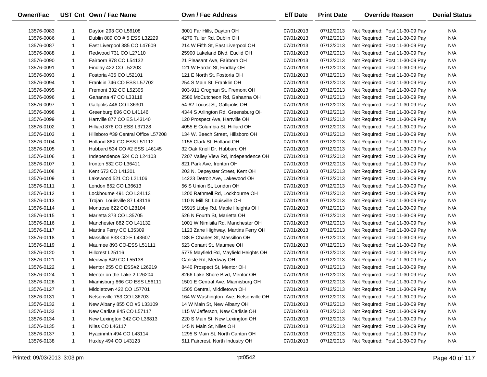| <b>Owner/Fac</b> |              | UST Cnt Own / Fac Name              | <b>Own / Fac Address</b>              | <b>Eff Date</b> | <b>Print Date</b> | <b>Override Reason</b>          | <b>Denial Status</b> |
|------------------|--------------|-------------------------------------|---------------------------------------|-----------------|-------------------|---------------------------------|----------------------|
| 13576-0083       | 1            | Dayton 293 CO L56108                | 3001 Far Hills, Dayton OH             | 07/01/2013      | 07/12/2013        | Not Required: Post 11-30-09 Pay | N/A                  |
| 13576-0086       | $\mathbf{1}$ | Dublin 889 CO # 5 ESS L32229        | 4270 Tuller Rd, Dublin OH             | 07/01/2013      | 07/12/2013        | Not Required: Post 11-30-09 Pay | N/A                  |
| 13576-0087       | $\mathbf{1}$ | East Liverpool 385 CO L47609        | 214 W Fifth St, East Liverpool OH     | 07/01/2013      | 07/12/2013        | Not Required: Post 11-30-09 Pay | N/A                  |
| 13576-0088       | $\mathbf{1}$ | Redwood 731 CO L27110               | 25900 Lakeland Blvd, Euclid OH        | 07/01/2013      | 07/12/2013        | Not Required: Post 11-30-09 Pay | N/A                  |
| 13576-0090       | $\mathbf{1}$ | Fairborn 878 CO L54132              | 21 Pleasant Ave, Fairborn OH          | 07/01/2013      | 07/12/2013        | Not Required: Post 11-30-09 Pay | N/A                  |
| 13576-0091       | 1            | Findlay 422 CO L52203               | 121 W Hardin St, Findlay OH           | 07/01/2013      | 07/12/2013        | Not Required: Post 11-30-09 Pay | N/A                  |
| 13576-0093       | $\mathbf{1}$ | Fostoria 435 CO L52101              | 121 E North St, Fostoria OH           | 07/01/2013      | 07/12/2013        | Not Required: Post 11-30-09 Pay | N/A                  |
| 13576-0094       | $\mathbf{1}$ | Franklin 746 CO ESS L57702          | 254 S Main St, Franklin OH            | 07/01/2013      | 07/12/2013        | Not Required: Post 11-30-09 Pay | N/A                  |
| 13576-0095       | $\mathbf{1}$ | Fremont 332 CO L52305               | 903-911 Croghan St, Fremont OH        | 07/01/2013      | 07/12/2013        | Not Required: Post 11-30-09 Pay | N/A                  |
| 13576-0096       | $\mathbf{1}$ | Gahanna 47 CO L33118                | 2580 McCutcheon Rd, Gahanna OH        | 07/01/2013      | 07/12/2013        | Not Required: Post 11-30-09 Pay | N/A                  |
| 13576-0097       | 1            | Gallpolis 446 CO L36301             | 54-62 Locust St, Gallipolis OH        | 07/01/2013      | 07/12/2013        | Not Required: Post 11-30-09 Pay | N/A                  |
| 13576-0098       | 1            | Greenburg 896 CO L41146             | 4344 S Arlington Rd, Greensburg OH    | 07/01/2013      | 07/12/2013        | Not Required: Post 11-30-09 Pay | N/A                  |
| 13576-0099       | $\mathbf{1}$ | Hartville 877 CO ES L43140          | 120 Prospect Ave, Hartville OH        | 07/01/2013      | 07/12/2013        | Not Required: Post 11-30-09 Pay | N/A                  |
| 13576-0102       | 1            | Hilliard 876 CO ESS L37128          | 4055 E Columbia St, Hilliard OH       | 07/01/2013      | 07/12/2013        | Not Required: Post 11-30-09 Pay | N/A                  |
| 13576-0103       | $\mathbf{1}$ | Hillsboro #39 Central Office L57208 | 134 W. Beech Street, Hillsboro OH     | 07/01/2013      | 07/12/2013        | Not Required: Post 11-30-09 Pay | N/A                  |
| 13576-0104       | $\mathbf{1}$ | Holland 86X CO-ESS L51112           | 1155 Clark St, Holland OH             | 07/01/2013      | 07/12/2013        | Not Required: Post 11-30-09 Pay | N/A                  |
| 13576-0105       | $\mathbf{1}$ | Hubbard 534 CO #2 ESS L46145        | 32 Oak Knoll Dr, Hubbard OH           | 07/01/2013      | 07/12/2013        | Not Required: Post 11-30-09 Pay | N/A                  |
| 13576-0106       | 1            | Independence 524 CO L24103          | 7207 Valley View Rd, Independence OH  | 07/01/2013      | 07/12/2013        | Not Required: Post 11-30-09 Pay | N/A                  |
| 13576-0107       | $\mathbf{1}$ | Ironton 532 CO L36411               | 821 Park Ave, Ironton OH              | 07/01/2013      | 07/12/2013        | Not Required: Post 11-30-09 Pay | N/A                  |
| 13576-0108       | 1            | Kent 673 CO L41301                  | 203 N. Depeyster Street, Kent OH      | 07/01/2013      | 07/12/2013        | Not Required: Post 11-30-09 Pay | N/A                  |
| 13576-0109       | $\mathbf{1}$ | Lakewood 521 CO L21106              | 14223 Detroit Ave, Lakewood OH        | 07/01/2013      | 07/12/2013        | Not Required: Post 11-30-09 Pay | N/A                  |
| 13576-0111       | $\mathbf{1}$ | London 852 CO L36613                | 56 S Union St, London OH              | 07/01/2013      | 07/12/2013        | Not Required: Post 11-30-09 Pay | N/A                  |
| 13576-0112       | $\mathbf{1}$ | Lockbourne 491 CO L34113            | 1200 Rathmell Rd, Lockbourne OH       | 07/01/2013      | 07/12/2013        | Not Required: Post 11-30-09 Pay | N/A                  |
| 13576-0113       | $\mathbf{1}$ | Trojan_Louisville 87 L43116         | 110 N Mill St, Louisville OH          | 07/01/2013      | 07/12/2013        | Not Required: Post 11-30-09 Pay | N/A                  |
| 13576-0114       | $\mathbf{1}$ | Montrose 622 CO L28104              | 15915 Libby Rd, Maple Heights OH      | 07/01/2013      | 07/12/2013        | Not Required: Post 11-30-09 Pay | N/A                  |
| 13576-0115       | $\mathbf{1}$ | Marietta 373 CO L35705              | 526 N Fourth St, Marietta OH          | 07/01/2013      | 07/12/2013        | Not Required: Post 11-30-09 Pay | N/A                  |
| 13576-0116       | 1            | Manchester 882 CO L41132            | 1001 W Nimisila Rd, Manchester OH     | 07/01/2013      | 07/12/2013        | Not Required: Post 11-30-09 Pay | N/A                  |
| 13576-0117       | 1            | Martins Ferry CO L35309             | 1123 Zane Highway, Martins Ferry OH   | 07/01/2013      | 07/12/2013        | Not Required: Post 11-30-09 Pay | N/A                  |
| 13576-0118       | 1            | Massillon 833 CO-E L43607           | 188 E Charles St, Massillon OH        | 07/01/2013      | 07/12/2013        | Not Required: Post 11-30-09 Pay | N/A                  |
| 13576-0119       | $\mathbf{1}$ | Maumee 893 CO-ESS L51111            | 523 Conant St, Maumee OH              | 07/01/2013      | 07/12/2013        | Not Required: Post 11-30-09 Pay | N/A                  |
| 13576-0120       | 1            | Hillcrest L25116                    | 5775 Mayfield Rd, Mayfield Heights OH | 07/01/2013      | 07/12/2013        | Not Required: Post 11-30-09 Pay | N/A                  |
| 13576-0121       | $\mathbf{1}$ | Medway 849 CO L55138                | Carlisle Rd, Medway OH                | 07/01/2013      | 07/12/2013        | Not Required: Post 11-30-09 Pay | N/A                  |
| 13576-0122       | 1            | Mentor 255 CO ESS#2 L26219          | 8440 Prospect St, Mentor OH           | 07/01/2013      | 07/12/2013        | Not Required: Post 11-30-09 Pay | N/A                  |
| 13576-0124       | $\mathbf{1}$ | Mentor on the Lake 2 L26204         | 8266 Lake Shore Blvd, Mentor OH       | 07/01/2013      | 07/12/2013        | Not Required: Post 11-30-09 Pay | N/A                  |
| 13576-0126       | $\mathbf{1}$ | Miamisburg 866 CO ESS L56111        | 1501 E Central Ave, Miamisburg OH     | 07/01/2013      | 07/12/2013        | Not Required: Post 11-30-09 Pay | N/A                  |
| 13576-0127       | 1            | Middletown 422 CO L57701            | 1505 Central, Middletown OH           | 07/01/2013      | 07/12/2013        | Not Required: Post 11-30-09 Pay | N/A                  |
| 13576-0131       | 1            | Nelsonville 753 CO L36703           | 164 W Washington Ave, Nelsonville OH  | 07/01/2013      | 07/12/2013        | Not Required: Post 11-30-09 Pay | N/A                  |
| 13576-0132       | 1            | New Albany 855 CO #5 L33109         | 14 W Main St, New Albany OH           | 07/01/2013      | 07/12/2013        | Not Required: Post 11-30-09 Pay | N/A                  |
| 13576-0133       | 1            | New Carlise 845 CO L57117           | 115 W Jefferson, New Carlisle OH      | 07/01/2013      | 07/12/2013        | Not Required: Post 11-30-09 Pay | N/A                  |
| 13576-0134       | $\mathbf{1}$ | New Lexington 342 CO L36813         | 220 S Main St, New Lexington OH       | 07/01/2013      | 07/12/2013        | Not Required: Post 11-30-09 Pay | N/A                  |
| 13576-0135       | $\mathbf{1}$ | Niles CO L46117                     | 145 N Main St, Niles OH               | 07/01/2013      | 07/12/2013        | Not Required: Post 11-30-09 Pay | N/A                  |
| 13576-0137       | 1            | Hyacinmth 494 CO L43114             | 1295 S Main St, North Canton OH       | 07/01/2013      | 07/12/2013        | Not Required: Post 11-30-09 Pay | N/A                  |
| 13576-0138       | $\mathbf{1}$ | Huxley 494 CO L43123                | 511 Faircrest, North Industry OH      | 07/01/2013      | 07/12/2013        | Not Required: Post 11-30-09 Pay | N/A                  |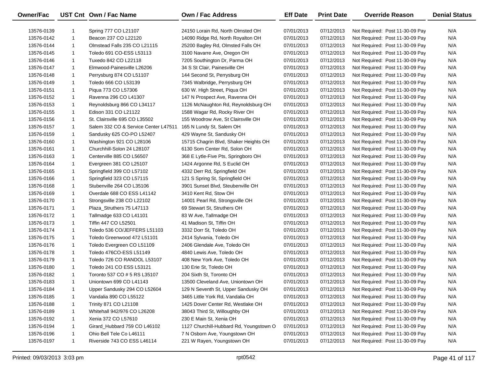| Owner/Fac  |              | UST Cnt Own / Fac Name                       | <b>Own / Fac Address</b>                                               | <b>Eff Date</b>          | <b>Print Date</b>        | <b>Override Reason</b>                                             | <b>Denial Status</b> |
|------------|--------------|----------------------------------------------|------------------------------------------------------------------------|--------------------------|--------------------------|--------------------------------------------------------------------|----------------------|
|            |              |                                              |                                                                        |                          |                          |                                                                    | N/A                  |
| 13576-0139 | $\mathbf 1$  | Spring 777 CO L21107<br>Beacon 237 CO L22120 | 24150 Lorain Rd, North Olmsted OH<br>14090 Ridge Rd, North Royalton OH | 07/01/2013<br>07/01/2013 | 07/12/2013<br>07/12/2013 | Not Required: Post 11-30-09 Pay                                    | N/A                  |
| 13576-0142 | $\mathbf{1}$ | Olmstead Falls 235 CO L21115                 |                                                                        |                          | 07/12/2013               | Not Required: Post 11-30-09 Pay<br>Not Required: Post 11-30-09 Pay | N/A                  |
| 13576-0144 | $\mathbf 1$  |                                              | 25200 Bagley Rd, Olmsted Falls OH                                      | 07/01/2013               |                          |                                                                    |                      |
| 13576-0145 |              | Toledo 691 CO-ESS L53113                     | 3100 Navarre Ave, Oregon OH                                            | 07/01/2013               | 07/12/2013               | Not Required: Post 11-30-09 Pay                                    | N/A                  |
| 13576-0146 | $\mathbf{1}$ | Tuxedo 842 CO L22118                         | 7205 Southington Dr, Parma OH                                          | 07/01/2013               | 07/12/2013               | Not Required: Post 11-30-09 Pay                                    | N/A                  |
| 13576-0147 | $\mathbf{1}$ | Elmwood-Painesville L26206                   | 34 S St Clair, Painesville OH                                          | 07/01/2013               | 07/12/2013               | Not Required: Post 11-30-09 Pay                                    | N/A                  |
| 13576-0148 | $\mathbf{1}$ | Perrysburg 874 CO L51107                     | 144 Second St, Perrysburg OH                                           | 07/01/2013               | 07/12/2013               | Not Required: Post 11-30-09 Pay                                    | N/A                  |
| 13576-0149 | $\mathbf{1}$ | Toledo 666 CO L53139                         | 7345 Walbridge, Perrysburg OH                                          | 07/01/2013               | 07/12/2013               | Not Required: Post 11-30-09 Pay                                    | N/A                  |
| 13576-0151 | $\mathbf{1}$ | Piqua 773 CO L57306                          | 630 W. High Street, Piqua OH                                           | 07/01/2013               | 07/12/2013               | Not Required: Post 11-30-09 Pay                                    | N/A                  |
| 13576-0152 | $\mathbf{1}$ | Ravenna 296 CO L41307                        | 147 N Prospect Ave, Ravenna OH                                         | 07/01/2013               | 07/12/2013               | Not Required: Post 11-30-09 Pay                                    | N/A                  |
| 13576-0153 | $\mathbf{1}$ | Reynoldsburg 866 CO L34117                   | 1126 McNaughton Rd, Reynoldsburg OH                                    | 07/01/2013               | 07/12/2013               | Not Required: Post 11-30-09 Pay                                    | N/A                  |
| 13576-0155 | $\mathbf{1}$ | Edison 331 CO L21122                         | 1588 Wagar Rd, Rocky River OH                                          | 07/01/2013               | 07/12/2013               | Not Required: Post 11-30-09 Pay                                    | N/A                  |
| 13576-0156 | $\mathbf{1}$ | St. Clairsville 695 CO L35502                | 155 Woodrow Ave, St Clairsville OH                                     | 07/01/2013               | 07/12/2013               | Not Required: Post 11-30-09 Pay                                    | N/A                  |
| 13576-0157 | $\mathbf 1$  | Salem 332 CO & Service Center L47511         | 165 N Lundy St, Salem OH                                               | 07/01/2013               | 07/12/2013               | Not Required: Post 11-30-09 Pay                                    | N/A                  |
| 13576-0159 | 1            | Sandusky 625 CO-PO L52407                    | 429 Wayne St, Sandusky OH                                              | 07/01/2013               | 07/12/2013               | Not Required: Post 11-30-09 Pay                                    | N/A                  |
| 13576-0160 | $\mathbf{1}$ | Washington 921 CO L28106                     | 15715 Chagrin Blvd, Shaker Heights OH                                  | 07/01/2013               | 07/12/2013               | Not Required: Post 11-30-09 Pay                                    | N/A                  |
| 13576-0161 | $\mathbf 1$  | Churchhill-Solon 24 L28107                   | 6130 Som Center Rd, Solon OH                                           | 07/01/2013               | 07/12/2013               | Not Required: Post 11-30-09 Pay                                    | N/A                  |
| 13576-0163 | -1           | Centerville 885 CO L56507                    | 368 E Lytle-Five Pts, Springboro OH                                    | 07/01/2013               | 07/12/2013               | Not Required: Post 11-30-09 Pay                                    | N/A                  |
| 13576-0164 | 1            | Evergreen 381 CO L25107                      | 1424 Argonne Rd, S Euclid OH                                           | 07/01/2013               | 07/12/2013               | Not Required: Post 11-30-09 Pay                                    | N/A                  |
| 13576-0165 | -1           | Springfield 399 CO L57102                    | 4332 Derr Rd, Springfield OH                                           | 07/01/2013               | 07/12/2013               | Not Required: Post 11-30-09 Pay                                    | N/A                  |
| 13576-0166 | -1           | Springfield 323 CO L57115                    | 121 S Spring St, Springfield OH                                        | 07/01/2013               | 07/12/2013               | Not Required: Post 11-30-09 Pay                                    | N/A                  |
| 13576-0168 | -1           | Stubenville 264 CO L35106                    | 3901 Sunset Blvd, Steubenville OH                                      | 07/01/2013               | 07/12/2013               | Not Required: Post 11-30-09 Pay                                    | N/A                  |
| 13576-0169 | $\mathbf{1}$ | Overdale 688 CO ESS L41142                   | 3410 Kent Rd, Stow OH                                                  | 07/01/2013               | 07/12/2013               | Not Required: Post 11-30-09 Pay                                    | N/A                  |
| 13576-0170 | -1           | Strongsville 238 CO L22102                   | 14001 Pearl Rd, Strongsville OH                                        | 07/01/2013               | 07/12/2013               | Not Required: Post 11-30-09 Pay                                    | N/A                  |
| 13576-0171 | $\mathbf{1}$ | Plaza_Struthers 75 L47113                    | 69 Stewart St, Struthers OH                                            | 07/01/2013               | 07/12/2013               | Not Required: Post 11-30-09 Pay                                    | N/A                  |
| 13576-0172 | $\mathbf{1}$ | Tallmadge 633 CO L41101                      | 83 W Ave, Tallmadge OH                                                 | 07/01/2013               | 07/12/2013               | Not Required: Post 11-30-09 Pay                                    | N/A                  |
| 13576-0173 | $\mathbf{1}$ | Tiffin 447 CO L52501                         | 41 Madison St, Tiffin OH                                               | 07/01/2013               | 07/12/2013               | Not Required: Post 11-30-09 Pay                                    | N/A                  |
| 13576-0174 | $\mathbf{1}$ | Toledo 536 CO/JEFFERS L51103                 | 3332 Dorr St, Toledo OH                                                | 07/01/2013               | 07/12/2013               | Not Required: Post 11-30-09 Pay                                    | N/A                  |
| 13576-0175 | $\mathbf{1}$ | Toledo Greenwood 472 L51101                  | 2414 Sylvania, Toledo OH                                               | 07/01/2013               | 07/12/2013               | Not Required: Post 11-30-09 Pay                                    | N/A                  |
| 13576-0176 | $\mathbf{1}$ | Toledo Evergreen CO L51109                   | 2406 Glendale Ave, Toledo OH                                           | 07/01/2013               | 07/12/2013               | Not Required: Post 11-30-09 Pay                                    | N/A                  |
| 13576-0178 | $\mathbf{1}$ | Toledo 476CO-ESS L51149                      | 4840 Lewis Ave, Toledo OH                                              | 07/01/2013               | 07/12/2013               | Not Required: Post 11-30-09 Pay                                    | N/A                  |
| 13576-0179 | $\mathbf{1}$ | Toledo 726 CO RANDOL L53107                  | 408 New York Ave, Toledo OH                                            | 07/01/2013               | 07/12/2013               | Not Required: Post 11-30-09 Pay                                    | N/A                  |
| 13576-0180 | $\mathbf{1}$ | Toledo 241 CO ESS L53121                     | 130 Erie St, Toledo OH                                                 | 07/01/2013               | 07/12/2013               | Not Required: Post 11-30-09 Pay                                    | N/A                  |
| 13576-0182 | $\mathbf{1}$ | Toronto 537 CO # 5 RS L35107                 | 204 Sixth St, Toronto OH                                               | 07/01/2013               | 07/12/2013               | Not Required: Post 11-30-09 Pay                                    | N/A                  |
| 13576-0183 | $\mathbf{1}$ | Uniontown 699 CO L41143                      | 13500 Cleveland Ave, Uniontown OH                                      | 07/01/2013               | 07/12/2013               | Not Required: Post 11-30-09 Pay                                    | N/A                  |
| 13576-0184 |              | Upper Sandusky 294 CO L52604                 | 129 N Seventh St, Upper Sandusky OH                                    | 07/01/2013               | 07/12/2013               | Not Required: Post 11-30-09 Pay                                    | N/A                  |
| 13576-0185 | -1           | Vandalia 890 CO L55122                       | 3465 Little York Rd, Vandalia OH                                       | 07/01/2013               | 07/12/2013               | Not Required: Post 11-30-09 Pay                                    | N/A                  |
| 13576-0188 | -1           | Trinity 871 CO L21108                        | 1425 Dover Center Rd, Westlake OH                                      | 07/01/2013               | 07/12/2013               | Not Required: Post 11-30-09 Pay                                    | N/A                  |
| 13576-0189 | -1           | Whitehall 942/976 CO L26208                  | 38043 Third St, Willoughby OH                                          | 07/01/2013               | 07/12/2013               | Not Required: Post 11-30-09 Pay                                    | N/A                  |
| 13576-0192 | -1           | Xenia 372 CO L57610                          | 230 E Main St, Xenia OH                                                | 07/01/2013               | 07/12/2013               | Not Required: Post 11-30-09 Pay                                    | N/A                  |
| 13576-0194 | -1           | Girard Hubbard 759 CO L46102                 | 1127 Churchill-Hubbard Rd, Youngstown O                                | 07/01/2013               | 07/12/2013               | Not Required: Post 11-30-09 Pay                                    | N/A                  |
| 13576-0196 | -1           | Ohio Bell Tele Co L46111                     | 7 N Osborn Ave, Youngstown OH                                          | 07/01/2013               | 07/12/2013               | Not Required: Post 11-30-09 Pay                                    | N/A                  |
| 13576-0197 | 1            | Riverside 743 CO ESS L46114                  | 221 W Rayen, Youngstown OH                                             | 07/01/2013               | 07/12/2013               | Not Required: Post 11-30-09 Pay                                    | N/A                  |
|            |              |                                              |                                                                        |                          |                          |                                                                    |                      |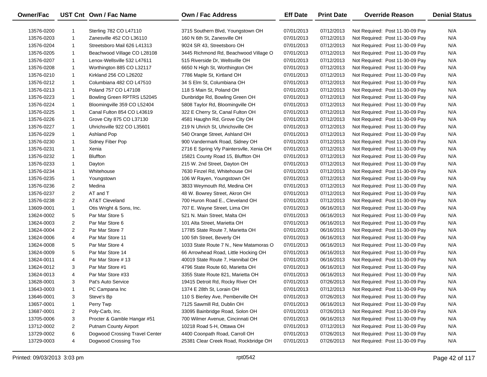| Owner/Fac  |                | UST Cnt Own / Fac Name         | Own / Fac Address                        | <b>Eff Date</b> | <b>Print Date</b> | <b>Override Reason</b>          | <b>Denial Status</b> |
|------------|----------------|--------------------------------|------------------------------------------|-----------------|-------------------|---------------------------------|----------------------|
| 13576-0200 | -1             | Sterling 782 CO L47110         | 3715 Southern Blvd, Youngstown OH        | 07/01/2013      | 07/12/2013        | Not Required: Post 11-30-09 Pay | N/A                  |
| 13576-0203 | -1             | Zanesville 452 CO L36110       | 160 N 6th St, Zanesville OH              | 07/01/2013      | 07/12/2013        | Not Required: Post 11-30-09 Pay | N/A                  |
| 13576-0204 | $\mathbf{1}$   | Streetsboro Mail 626 L41313    | 9024 SR 43, Streetsboro OH               | 07/01/2013      | 07/12/2013        | Not Required: Post 11-30-09 Pay | N/A                  |
| 13576-0205 | $\mathbf{1}$   | Beachwood Village CO L28108    | 3445 Richmond Rd, Beachwood Village O    | 07/01/2013      | 07/12/2013        | Not Required: Post 11-30-09 Pay | N/A                  |
| 13576-0207 | $\mathbf{1}$   | Lenox-Wellsville 532 L47611    | 515 Riverside Dr, Wellsville OH          | 07/01/2013      | 07/12/2013        | Not Required: Post 11-30-09 Pay | N/A                  |
| 13576-0208 | $\mathbf{1}$   | Worthington 885 CO L32117      | 6650 N High St, Worthington OH           | 07/01/2013      | 07/12/2013        | Not Required: Post 11-30-09 Pay | N/A                  |
| 13576-0210 | $\mathbf{1}$   | Kirkland 256 CO L26202         | 7786 Maple St, Kirtland OH               | 07/01/2013      | 07/12/2013        | Not Required: Post 11-30-09 Pay | N/A                  |
| 13576-0212 | $\mathbf{1}$   | Columbiana 482 CO L47510       | 34 S Elm St, Columbiana OH               | 07/01/2013      | 07/12/2013        | Not Required: Post 11-30-09 Pay | N/A                  |
| 13576-0213 | $\mathbf{1}$   | Poland 757 CO L47108           | 118 S Main St, Poland OH                 | 07/01/2013      | 07/12/2013        | Not Required: Post 11-30-09 Pay | N/A                  |
| 13576-0223 | $\mathbf{1}$   | Bowling Green RPTRS L52045     | Dunbridge Rd, Bowling Green OH           | 07/01/2013      | 07/12/2013        | Not Required: Post 11-30-09 Pay | N/A                  |
| 13576-0224 | $\mathbf{1}$   | Bloomingville 359 CO L52404    | 5808 Taylor Rd, Bloomingville OH         | 07/01/2013      | 07/12/2013        | Not Required: Post 11-30-09 Pay | N/A                  |
| 13576-0225 | -1             | Canal Fulton 854 CO L43619     | 322 E Cherry St, Canal Fulton OH         | 07/01/2013      | 07/12/2013        | Not Required: Post 11-30-09 Pay | N/A                  |
| 13576-0226 | $\mathbf{1}$   | Grove City 875 CO L37130       | 4581 Haughn Rd, Grove City OH            | 07/01/2013      | 07/12/2013        | Not Required: Post 11-30-09 Pay | N/A                  |
| 13576-0227 | $\mathbf{1}$   | Uhrichsville 922 CO L35601     | 219 N Uhrich St, Uhrichsville OH         | 07/01/2013      | 07/12/2013        | Not Required: Post 11-30-09 Pay | N/A                  |
| 13576-0229 | $\mathbf{1}$   | Ashland Pop                    | 540 Orange Street, Ashland OH            | 07/01/2013      | 07/12/2013        | Not Required: Post 11-30-09 Pay | N/A                  |
| 13576-0230 | 1              | Sidney Fiber Pop               | 900 Vandermark Road, Sidney OH           | 07/01/2013      | 07/12/2013        | Not Required: Post 11-30-09 Pay | N/A                  |
| 13576-0231 | $\mathbf{1}$   | Xenia                          | 2716 E Spring Vly Paintersvlle, Xenia OH | 07/01/2013      | 07/12/2013        | Not Required: Post 11-30-09 Pay | N/A                  |
| 13576-0232 | $\mathbf{1}$   | <b>Bluffton</b>                | 15821 County Road 15, Bluffton OH        | 07/01/2013      | 07/12/2013        | Not Required: Post 11-30-09 Pay | N/A                  |
| 13576-0233 | $\mathbf{1}$   | Dayton                         | 215 W. 2nd Street, Dayton OH             | 07/01/2013      | 07/12/2013        | Not Required: Post 11-30-09 Pay | N/A                  |
| 13576-0234 | $\mathbf{1}$   | Whitehouse                     | 7630 Finzel Rd, Whitehouse OH            | 07/01/2013      | 07/12/2013        | Not Required: Post 11-30-09 Pay | N/A                  |
| 13576-0235 | $\mathbf{1}$   | Youngstown                     | 106 W Rayen, Youngstown OH               | 07/01/2013      | 07/12/2013        | Not Required: Post 11-30-09 Pay | N/A                  |
| 13576-0236 | $\overline{2}$ | Medina                         | 3833 Weymouth Rd, Medina OH              | 07/01/2013      | 07/12/2013        | Not Required: Post 11-30-09 Pay | N/A                  |
| 13576-0237 | $\overline{2}$ | AT and T                       | 48 W. Bowrey Street, Akron OH            | 07/01/2013      | 07/12/2013        | Not Required: Post 11-30-09 Pay | N/A                  |
| 13576-0238 | $\overline{2}$ | AT&T Cleveland                 | 700 Huron Road E., Cleveland OH          | 07/01/2013      | 07/12/2013        | Not Required: Post 11-30-09 Pay | N/A                  |
| 13609-0001 | $\mathbf{1}$   | Otis Wright & Sons, Inc.       | 707 E. Wayne Street, Lima OH             | 07/01/2013      | 06/16/2013        | Not Required: Post 11-30-09 Pay | N/A                  |
| 13624-0002 | 5              | Par Mar Store 5                | 521 N. Main Street, Malta OH             | 07/01/2013      | 06/16/2013        | Not Required: Post 11-30-09 Pay | N/A                  |
| 13624-0003 | $\overline{2}$ | Par Mar Store 6                | 101 Alta Street, Marietta OH             | 07/01/2013      | 06/16/2013        | Not Required: Post 11-30-09 Pay | N/A                  |
| 13624-0004 | $\overline{2}$ | Par Mar Store 7                | 17785 State Route 7, Marietta OH         | 07/01/2013      | 06/16/2013        | Not Required: Post 11-30-09 Pay | N/A                  |
| 13624-0006 | 4              | Par Mar Store 11               | 100 5th Street, Beverly OH               | 07/01/2013      | 06/16/2013        | Not Required: Post 11-30-09 Pay | N/A                  |
| 13624-0008 | 5              | Par Mar Store 4                | 1033 State Route 7 N., New Matamoras O   | 07/01/2013      | 06/16/2013        | Not Required: Post 11-30-09 Pay | N/A                  |
| 13624-0009 | 5              | Par Mar Store 14               | 66 Arrowhead Road, Little Hocking OH     | 07/01/2013      | 06/16/2013        | Not Required: Post 11-30-09 Pay | N/A                  |
| 13624-0011 | 4              | Par Mar Store #13              | 40019 State Route 7, Hannibal OH         | 07/01/2013      | 06/16/2013        | Not Required: Post 11-30-09 Pay | N/A                  |
| 13624-0012 | 3              | Par Mar Store #1               | 4796 State Route 60, Marietta OH         | 07/01/2013      | 06/16/2013        | Not Required: Post 11-30-09 Pay | N/A                  |
| 13624-0013 | 4              | Par Mar Store #33              | 3355 State Route 821, Marietta OH        | 07/01/2013      | 06/16/2013        | Not Required: Post 11-30-09 Pay | N/A                  |
| 13628-0001 | 3              | Pat's Auto Service             | 19415 Detroit Rd, Rocky River OH         | 07/01/2013      | 07/26/2013        | Not Required: Post 11-30-09 Pay | N/A                  |
| 13643-0003 |                | PC Campana Inc                 | 1374 E 28th St, Lorain OH                | 07/01/2013      | 07/12/2013        | Not Required: Post 11-30-09 Pay | N/A                  |
| 13646-0001 | 3              | Steve's Bp                     | 110 S Bierley Ave, Pemberville OH        | 07/01/2013      | 07/26/2013        | Not Required: Post 11-30-09 Pay | N/A                  |
| 13657-0001 | 1              | Perry Twp                      | 7125 Sawmill Rd, Dublin OH               | 07/01/2013      | 06/16/2013        | Not Required: Post 11-30-09 Pay | N/A                  |
| 13687-0001 | 2              | Poly-Carb, Inc.                | 33095 Bainbridge Road, Solon OH          | 07/01/2013      | 07/26/2013        | Not Required: Post 11-30-09 Pay | N/A                  |
| 13705-0006 | 3              | Procter & Gamble Hangar #51    | 700 Wilmer Avenue, Cincinnati OH         | 07/01/2013      | 06/16/2013        | Not Required: Post 11-30-09 Pay | N/A                  |
| 13712-0002 | 2              | Putnam County Airport          | 10218 Road 5-H, Ottawa OH                | 07/01/2013      | 07/12/2013        | Not Required: Post 11-30-09 Pay | N/A                  |
| 13729-0002 | 6              | Dogwood Crossing Travel Center | 4400 Coonpath Road, Carroll OH           | 07/01/2013      | 07/26/2013        | Not Required: Post 11-30-09 Pay | N/A                  |
| 13729-0003 | 4              | Dogwood Crossing Too           | 25381 Clear Creek Road, Rockbridge OH    | 07/01/2013      | 07/26/2013        | Not Required: Post 11-30-09 Pay | N/A                  |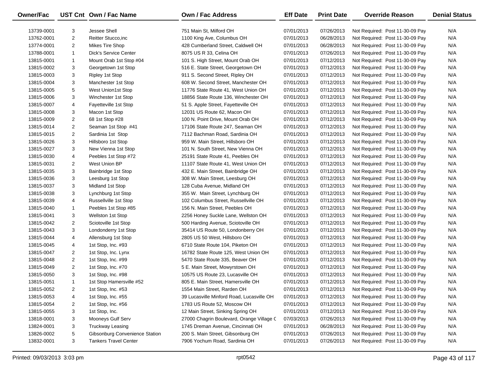| Owner/Fac  |                | UST Cnt Own / Fac Name         | <b>Own / Fac Address</b>                  | <b>Eff Date</b> | <b>Print Date</b> | <b>Override Reason</b>          | <b>Denial Status</b> |
|------------|----------------|--------------------------------|-------------------------------------------|-----------------|-------------------|---------------------------------|----------------------|
| 13739-0001 | 3              | Jessee Shell                   | 751 Main St, Milford OH                   | 07/01/2013      | 07/26/2013        | Not Required: Post 11-30-09 Pay | N/A                  |
| 13762-0001 | 2              | Reitter Stucco, inc            | 1100 King Ave, Columbus OH                | 07/01/2013      | 06/28/2013        | Not Required: Post 11-30-09 Pay | N/A                  |
| 13774-0001 | 2              | <b>Mikes Tire Shop</b>         | 428 Cumberland Street, Caldwell OH        | 07/01/2013      | 06/28/2013        | Not Required: Post 11-30-09 Pay | N/A                  |
| 13788-0001 | $\mathbf{1}$   | <b>Dick's Service Center</b>   | 8075 US R 33, Celina OH                   | 07/01/2013      | 07/26/2013        | Not Required: Post 11-30-09 Pay | N/A                  |
| 13815-0001 | $\mathbf{1}$   | Mount Orab 1st Stop #04        | 101 S. High Street, Mount Orab OH         | 07/01/2013      | 07/12/2013        | Not Required: Post 11-30-09 Pay | N/A                  |
| 13815-0002 | 3              | Georgetown 1st Stop            | 516 E. State Street, Georgetown OH        | 07/01/2013      | 07/12/2013        | Not Required: Post 11-30-09 Pay | N/A                  |
| 13815-0003 | 3              | <b>Ripley 1st Stop</b>         | 911 S. Second Street, Ripley OH           | 07/01/2013      | 07/12/2013        | Not Required: Post 11-30-09 Pay | N/A                  |
| 13815-0004 | 3              | Manchester 1st Stop            | 608 W. Second Street, Manchester OH       | 07/01/2013      | 07/12/2013        | Not Required: Post 11-30-09 Pay | N/A                  |
| 13815-0005 | 5              | West Union1st Stop             | 11776 State Route 41, West Union OH       | 07/01/2013      | 07/12/2013        | Not Required: Post 11-30-09 Pay | N/A                  |
| 13815-0006 | 3              | Winchester 1st Stop            | 18856 State Route 136, Winchester OH      | 07/01/2013      | 07/12/2013        | Not Required: Post 11-30-09 Pay | N/A                  |
| 13815-0007 | 4              | Fayetteville 1st Stop          | 51 S. Apple Street, Fayetteville OH       | 07/01/2013      | 07/12/2013        | Not Required: Post 11-30-09 Pay | N/A                  |
| 13815-0008 | 3              | Macon 1st Stop                 | 12031 US Route 62, Macon OH               | 07/01/2013      | 07/12/2013        | Not Required: Post 11-30-09 Pay | N/A                  |
| 13815-0009 | $\overline{2}$ | 68 1st Stop #28                | 100 N. Point Drive, Mount Orab OH         | 07/01/2013      | 07/12/2013        | Not Required: Post 11-30-09 Pay | N/A                  |
| 13815-0014 | $\overline{2}$ | Seaman 1st Stop #41            | 17106 State Route 247, Seaman OH          | 07/01/2013      | 07/12/2013        | Not Required: Post 11-30-09 Pay | N/A                  |
| 13815-0015 | $\overline{2}$ | Sardinia 1st Stop              | 7112 Bachman Road, Sardinia OH            | 07/01/2013      | 07/12/2013        | Not Required: Post 11-30-09 Pay | N/A                  |
| 13815-0026 | 3              | Hillsboro 1st Stop             | 959 W. Main Street, Hillsboro OH          | 07/01/2013      | 07/12/2013        | Not Required: Post 11-30-09 Pay | N/A                  |
| 13815-0027 | 3              | New Vienna 1st Stop            | 101 N. South Street, New Vienna OH        | 07/01/2013      | 07/12/2013        | Not Required: Post 11-30-09 Pay | N/A                  |
| 13815-0030 | 4              | Peebles 1st Stop #72           | 25191 State Route 41, Peebles OH          | 07/01/2013      | 07/12/2013        | Not Required: Post 11-30-09 Pay | N/A                  |
| 13815-0031 | $\overline{2}$ | West Union BP                  | 11107 State Route 41, West Union OH       | 07/01/2013      | 07/12/2013        | Not Required: Post 11-30-09 Pay | N/A                  |
| 13815-0035 | 3              | Bainbridge 1st Stop            | 432 E. Main Street, Bainbridge OH         | 07/01/2013      | 07/12/2013        | Not Required: Post 11-30-09 Pay | N/A                  |
| 13815-0036 | 3              | Leesburg 1st Stop              | 308 W. Main Street, Leesburg OH           | 07/01/2013      | 07/12/2013        | Not Required: Post 11-30-09 Pay | N/A                  |
| 13815-0037 | 3              | Midland 1st Stop               | 128 Cuba Avenue, Midland OH               | 07/01/2013      | 07/12/2013        | Not Required: Post 11-30-09 Pay | N/A                  |
| 13815-0038 | 3              | Lynchburg 1st Stop             | 355 W. Main Street, Lynchburg OH          | 07/01/2013      | 07/12/2013        | Not Required: Post 11-30-09 Pay | N/A                  |
| 13815-0039 | 4              | Russellville 1st Stop          | 102 Columbus Street, Russellville OH      | 07/01/2013      | 07/12/2013        | Not Required: Post 11-30-09 Pay | N/A                  |
| 13815-0040 | $\mathbf{1}$   | Peebles 1st Stop #85           | 156 N. Main Street, Peebles OH            | 07/01/2013      | 07/12/2013        | Not Required: Post 11-30-09 Pay | N/A                  |
| 13815-0041 | 3              | <b>Wellston 1st Stop</b>       | 2256 Honey Suckle Lane, Wellston OH       | 07/01/2013      | 07/12/2013        | Not Required: Post 11-30-09 Pay | N/A                  |
| 13815-0042 | $\overline{2}$ | Sciotoville 1st Stop           | 500 Harding Avenue, Sciotoville OH        | 07/01/2013      | 07/12/2013        | Not Required: Post 11-30-09 Pay | N/A                  |
| 13815-0043 | 3              | Londonderry 1st Stop           | 35414 US Route 50, Londonberry OH         | 07/01/2013      | 07/12/2013        | Not Required: Post 11-30-09 Pay | N/A                  |
| 13815-0044 | 4              | Allensburg 1st Stop            | 2805 US 50 West, Hillsboro OH             | 07/01/2013      | 07/12/2013        | Not Required: Post 11-30-09 Pay | N/A                  |
| 13815-0045 | 4              | 1st Stop, Inc. #93             | 6710 State Route 104, Piketon OH          | 07/01/2013      | 07/12/2013        | Not Required: Post 11-30-09 Pay | N/A                  |
| 13815-0047 | $\overline{2}$ | 1st Stop, Inc. Lynx            | 16782 State Route 125, West Union OH      | 07/01/2013      | 07/12/2013        | Not Required: Post 11-30-09 Pay | N/A                  |
| 13815-0048 | 2              | 1st Stop, Inc. #99             | 5470 State Route 335, Beaver OH           | 07/01/2013      | 07/12/2013        | Not Required: Post 11-30-09 Pay | N/A                  |
| 13815-0049 | $\overline{2}$ | 1st Stop, Inc. #70             | 5 E. Main Street, Mowyrstown OH           | 07/01/2013      | 07/12/2013        | Not Required: Post 11-30-09 Pay | N/A                  |
| 13815-0050 | 3              | 1st Stop, Inc. #98             | 10575 US Route 23, Lucasville OH          | 07/01/2013      | 07/12/2013        | Not Required: Post 11-30-09 Pay | N/A                  |
| 13815-0051 | $\mathbf{1}$   | 1st Stop Hamersville #52       | 805 E. Main Street, Hamersville OH        | 07/01/2013      | 07/12/2013        | Not Required: Post 11-30-09 Pay | N/A                  |
| 13815-0052 | 2              | 1st Stop, Inc. #53             | 1554 Main Street, Rarden OH               | 07/01/2013      | 07/12/2013        | Not Required: Post 11-30-09 Pay | N/A                  |
| 13815-0053 | 4              | 1st Stop, Inc. #55             | 39 Lucasville Minford Road, Lucasville OH | 07/01/2013      | 07/12/2013        | Not Required: Post 11-30-09 Pay | N/A                  |
| 13815-0054 | 2              | 1st Stop, Inc. #56             | 1783 US Route 52, Moscow OH               | 07/01/2013      | 07/12/2013        | Not Required: Post 11-30-09 Pay | N/A                  |
| 13815-0055 | 3              | 1st Stop, Inc.                 | 12 Main Street, Sinking Spring OH         | 07/01/2013      | 07/12/2013        | Not Required: Post 11-30-09 Pay | N/A                  |
| 13818-0001 | 3              | Mooneys Gulf Serv              | 27000 Chagrin Boulevard, Orange Village C | 07/03/2013      | 07/26/2013        | Not Required: Post 11-30-09 Pay | N/A                  |
| 13824-0001 | 3              | <b>Truckway Leasing</b>        | 1745 Dreman Avenue, Cincinnati OH         | 07/01/2013      | 06/28/2013        | Not Required: Post 11-30-09 Pay | N/A                  |
| 13826-0002 | 5              | Gibsonburg Convenience Station | 200 S. Main Street, Gibsonburg OH         | 07/01/2013      | 07/26/2013        | Not Required: Post 11-30-09 Pay | N/A                  |
| 13832-0001 | 3              | <b>Tankers Travel Center</b>   | 7906 Yochum Road, Sardinia OH             | 07/01/2013      | 07/26/2013        | Not Required: Post 11-30-09 Pay | N/A                  |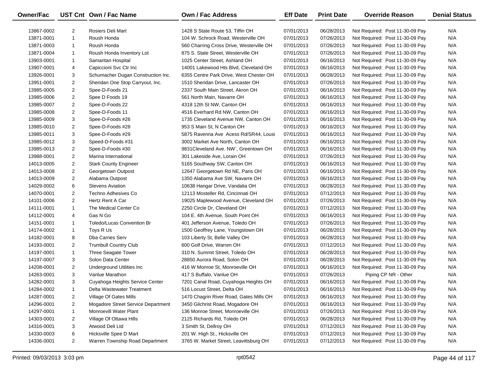| Owner/Fac  |                | UST Cnt Own / Fac Name             | Own / Fac Address                        | <b>Eff Date</b> | <b>Print Date</b> | <b>Override Reason</b>          | <b>Denial Status</b> |
|------------|----------------|------------------------------------|------------------------------------------|-----------------|-------------------|---------------------------------|----------------------|
| 13867-0002 | $\overline{2}$ | Rosiers Deli Mart                  | 1428 S State Route 53, Tiffin OH         | 07/01/2013      | 06/28/2013        | Not Required: Post 11-30-09 Pay | N/A                  |
| 13871-0001 | $\mathbf{1}$   | Roush Honda                        | 104 W. Schrock Road, Westerville OH      | 07/01/2013      | 07/26/2013        | Not Required: Post 11-30-09 Pay | N/A                  |
| 13871-0003 | $\mathbf{1}$   | Roush Honda                        | 560 Charring Cross Drive, Westerville OH | 07/01/2013      | 07/26/2013        | Not Required: Post 11-30-09 Pay | N/A                  |
| 13871-0004 | $\mathbf{1}$   | Roush Honda Inventory Lot          | 875 S. State Street, Westerville OH      | 07/01/2013      | 07/26/2013        | Not Required: Post 11-30-09 Pay | N/A                  |
| 13903-0001 | $\mathbf{1}$   | Samaritan Hospital                 | 1025 Center Street, Ashland OH           | 07/01/2013      | 06/16/2013        | Not Required: Post 11-30-09 Pay | N/A                  |
| 13907-0001 | 4              | Capiccioni Svc Ctr Inc             | 14001 Lakewood Hts Blvd, Cleveland OH    | 07/01/2013      | 06/16/2013        | Not Required: Post 11-30-09 Pay | N/A                  |
| 13926-0001 | 3              | Schumacher Dugan Construction Inc. | 6355 Centre Park Drive, West Chester OH  | 07/01/2013      | 06/28/2013        | Not Required: Post 11-30-09 Pay | N/A                  |
| 13951-0001 | $\overline{2}$ | Sheridan One Stop Carryout, Inc.   | 1510 Sheridan Drive, Lancaster OH        | 07/01/2013      | 07/26/2013        | Not Required: Post 11-30-09 Pay | N/A                  |
| 13985-0005 | $\overline{2}$ | Spee-D-Foods 21                    | 2337 South Main Street, Akron OH         | 07/01/2013      | 06/16/2013        | Not Required: Post 11-30-09 Pay | N/A                  |
| 13985-0006 | $\overline{2}$ | Spee D Foods 19                    | 561 North Main, Navarre OH               | 07/01/2013      | 06/16/2013        | Not Required: Post 11-30-09 Pay | N/A                  |
| 13985-0007 | $\overline{2}$ | Spee-D-Foods 22                    | 4318 12th St NW, Canton OH               | 07/01/2013      | 06/16/2013        | Not Required: Post 11-30-09 Pay | N/A                  |
| 13985-0008 | $\overline{2}$ | Spee-D-Foods 11                    | 4516 Everhard Rd NW, Canton OH           | 07/01/2013      | 06/16/2013        | Not Required: Post 11-30-09 Pay | N/A                  |
| 13985-0009 | 3              | Spee-D-Foods #26                   | 1735 Cleveland Avenue NW, Canton OH      | 07/01/2013      | 06/16/2013        | Not Required: Post 11-30-09 Pay | N/A                  |
| 13985-0010 | $\overline{2}$ | Spee-D-Foods #28                   | 953 S Main St, N Canton OH               | 07/01/2013      | 06/16/2013        | Not Required: Post 11-30-09 Pay | N/A                  |
| 13985-0011 | 3              | Spee-D-Foods #29                   | 5875 Ravenna Ave Acess Rd/SR44, Lousi    | 07/01/2013      | 06/16/2013        | Not Required: Post 11-30-09 Pay | N/A                  |
| 13985-0012 | 3              | Speed-D-Foods #31                  | 3002 Market Ave North, Canton OH         | 07/01/2013      | 06/16/2013        | Not Required: Post 11-30-09 Pay | N/A                  |
| 13985-0013 | $\overline{2}$ | Spee-D-Foods #30                   | 9831 Cleveland Ave. NW, Greentown OH     | 07/01/2013      | 06/16/2013        | Not Required: Post 11-30-09 Pay | N/A                  |
| 13988-0001 | $\overline{2}$ | Marina International               | 301 Lakeside Ave, Lorain OH              | 07/01/2013      | 07/26/2013        | Not Required: Post 11-30-09 Pay | N/A                  |
| 14013-0005 | $\overline{2}$ | <b>Stark County Engineer</b>       | 5165 Southway SW, Canton OH              | 07/01/2013      | 06/16/2013        | Not Required: Post 11-30-09 Pay | N/A                  |
| 14013-0008 | $\overline{2}$ | Georgetown Outpost                 | 12647 Georgetown Rd NE, Paris OH         | 07/01/2013      | 06/16/2013        | Not Required: Post 11-30-09 Pay | N/A                  |
| 14013-0009 | $\overline{2}$ | Alabama Outpost                    | 1350 Alabama Ave SW, Navarre OH          | 07/01/2013      | 06/16/2013        | Not Required: Post 11-30-09 Pay | N/A                  |
| 14029-0002 | 6              | <b>Stevens Aviation</b>            | 10638 Hangar Drive, Vandalia OH          | 07/01/2013      | 06/28/2013        | Not Required: Post 11-30-09 Pay | N/A                  |
| 14070-0001 | $\overline{2}$ | Techno Adhesives Co                | 12113 Mosteller Rd, Cincinnati OH        | 07/01/2013      | 07/12/2013        | Not Required: Post 11-30-09 Pay | N/A                  |
| 14101-0006 | $\overline{2}$ | Hertz Rent A Car                   | 19025 Maplewood Avenue, Cleveland OH     | 07/01/2013      | 07/26/2013        | Not Required: Post 11-30-09 Pay | N/A                  |
| 14111-0001 | $\mathbf{1}$   | The Medical Center Co              | 2250 Circle Dr, Cleveland OH             | 07/01/2013      | 07/12/2013        | Not Required: Post 11-30-09 Pay | N/A                  |
| 14112-0001 | 4              | Gas N Go                           | 104 E. 4th Avenue, South Point OH        | 07/01/2013      | 06/16/2013        | Not Required: Post 11-30-09 Pay | N/A                  |
| 14151-0001 | $\mathbf{1}$   | Toledo/Lucas Convention Br         | 401 Jefferson Avenue, Toledo OH          | 07/01/2013      | 07/26/2013        | Not Required: Post 11-30-09 Pay | N/A                  |
| 14174-0002 | $\mathbf{1}$   | Toys R Us                          | 1500 Geoffrey Lane, Youngstown OH        | 07/01/2013      | 06/28/2013        | Not Required: Post 11-30-09 Pay | N/A                  |
| 14182-0001 | 8              | Dba Carnes Serv                    | 103 Liberty St, Belle Valley OH          | 07/01/2013      | 06/28/2013        | Not Required: Post 11-30-09 Pay | N/A                  |
| 14193-0001 | $\overline{2}$ | <b>Trumbull Country Club</b>       | 600 Golf Drive, Warren OH                | 07/01/2013      | 07/12/2013        | Not Required: Post 11-30-09 Pay | N/A                  |
| 14197-0001 | $\mathbf{1}$   | Three Seagate Tower                | 310 N. Summit Street, Toledo OH          | 07/01/2013      | 06/28/2013        | Not Required: Post 11-30-09 Pay | N/A                  |
| 14197-0007 | 3              | Solon Data Center                  | 28850 Aurora Road, Solon OH              | 07/01/2013      | 06/28/2013        | Not Required: Post 11-30-09 Pay | N/A                  |
| 14208-0001 | $\overline{2}$ | Underground Utilities Inc          | 416 W Monroe St, Monroeville OH          | 07/01/2013      | 06/16/2013        | Not Required: Post 11-30-09 Pay | N/A                  |
| 14263-0001 | 3              | Vanlue Marathon                    | 417 S Buffalo, Vanlue OH                 | 07/01/2013      | 07/26/2013        | Piping CP NR - Other            | N/A                  |
| 14282-0001 | 3              | Cuyahoga Heights Service Center    | 7201 Canal Road, Cuyahoga Heights OH     | 07/01/2013      | 06/16/2013        | Not Required: Post 11-30-09 Pay | N/A                  |
| 14284-0002 | 1              | Delta Wastewater Treatment         | 516 Locust Street, Delta OH              | 07/01/2013      | 06/16/2013        | Not Required: Post 11-30-09 Pay | N/A                  |
| 14287-0001 | 2              | Village Of Gates Mills             | 1470 Chagrin River Road, Gates Mills OH  | 07/01/2013      | 06/16/2013        | Not Required: Post 11-30-09 Pay | N/A                  |
| 14296-0001 | 2              | Mogadore Street Service Department | 3450 Gilchrist Road, Mogadore OH         | 07/01/2013      | 06/16/2013        | Not Required: Post 11-30-09 Pay | N/A                  |
| 14297-0001 | 1              | Monroevill Water Plant             | 136 Monroe Street, Monroeville OH        | 07/01/2013      | 07/26/2013        | Not Required: Post 11-30-09 Pay | N/A                  |
| 14303-0001 | $\overline{2}$ | Village Of Ottawa Hills            | 2125 Richards Rd, Toledo OH              | 07/01/2013      | 06/28/2013        | Not Required: Post 11-30-09 Pay | N/A                  |
| 14316-0001 | 3              | Atwood Deli Ltd                    | 3 Smith St, Dellroy OH                   | 07/01/2013      | 07/12/2013        | Not Required: Post 11-30-09 Pay | N/A                  |
| 14330-0003 | 6              | Hicksville Spee D Mart             | 201 W. High St., Hicksville OH           | 07/01/2013      | 07/12/2013        | Not Required: Post 11-30-09 Pay | N/A                  |
| 14336-0001 | $\overline{2}$ | Warren Township Road Department    | 3765 W. Market Street, Leavittsburg OH   | 07/01/2013      | 07/12/2013        | Not Required: Post 11-30-09 Pay | N/A                  |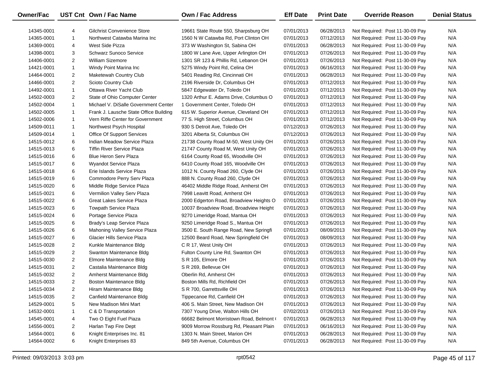| Owner/Fac  |                | UST Cnt Own / Fac Name                 | Own / Fac Address                       | <b>Eff Date</b> | <b>Print Date</b> | <b>Override Reason</b>          | <b>Denial Status</b> |
|------------|----------------|----------------------------------------|-----------------------------------------|-----------------|-------------------|---------------------------------|----------------------|
| 14345-0001 | 4              | Gilchrist Convenience Store            | 19661 State Route 550, Sharpsburg OH    | 07/01/2013      | 06/28/2013        | Not Required: Post 11-30-09 Pay | N/A                  |
| 14365-0001 | $\mathbf{1}$   | Northwest Catawba Marina Inc           | 1560 N W Catawba Rd, Port Clinton OH    | 07/01/2013      | 07/12/2013        | Not Required: Post 11-30-09 Pay | N/A                  |
| 14369-0001 | 4              | West Side Pizza                        | 373 W Washington St, Sabina OH          | 07/01/2013      | 06/28/2013        | Not Required: Post 11-30-09 Pay | N/A                  |
| 14398-0001 | 3              | <b>Schwarz Sunoco Service</b>          | 1800 W Lane Ave, Upper Arlington OH     | 07/01/2013      | 07/26/2013        | Not Required: Post 11-30-09 Pay | N/A                  |
| 14406-0001 | $\overline{2}$ | <b>William Sizemore</b>                | 1301 SR 123 & Phillis Rd, Lebanon OH    | 07/01/2013      | 07/26/2013        | Not Required: Post 11-30-09 Pay | N/A                  |
| 14421-0001 | $\mathbf{1}$   | Windy Point Marina Inc                 | 5275 Windy Point Rd, Celina OH          | 07/01/2013      | 06/16/2013        | Not Required: Post 11-30-09 Pay | N/A                  |
| 14464-0001 | $\overline{2}$ | Maketewah Country Club                 | 5401 Reading Rd, Cincinnati OH          | 07/01/2013      | 06/28/2013        | Not Required: Post 11-30-09 Pay | N/A                  |
| 14466-0001 | $\overline{2}$ | Scioto Country Club                    | 2196 Riverside Dr, Columbus OH          | 07/01/2013      | 07/12/2013        | Not Required: Post 11-30-09 Pay | N/A                  |
| 14492-0001 | $\mathbf{1}$   | Ottawa River Yacht Club                | 5847 Edgewater Dr, Toledo OH            | 07/01/2013      | 07/12/2013        | Not Required: Post 11-30-09 Pay | N/A                  |
| 14502-0003 | $\overline{2}$ | State of Ohio Computer Center          | 1320 Arthur E. Adams Drive, Columbus O  | 07/01/2013      | 07/12/2013        | Not Required: Post 11-30-09 Pay | N/A                  |
| 14502-0004 | $\mathbf{1}$   | Michael V. DiSalle Government Center   | 1 Government Center, Toledo OH          | 07/01/2013      | 07/12/2013        | Not Required: Post 11-30-09 Pay | N/A                  |
| 14502-0005 | $\mathbf{1}$   | Frank J. Lausche State Office Building | 615 W. Superior Avenue, Cleveland OH    | 07/01/2013      | 07/12/2013        | Not Required: Post 11-30-09 Pay | N/A                  |
| 14502-0006 | $\mathbf{1}$   | Vern Riffe Center for Government       | 77 S. High Street, Columbus OH          | 07/01/2013      | 07/12/2013        | Not Required: Post 11-30-09 Pay | N/A                  |
| 14509-0011 | $\mathbf{1}$   | Northwest Psych Hospital               | 930 S Detroit Ave, Toledo OH            | 07/12/2013      | 07/26/2013        | Not Required: Post 11-30-09 Pay | N/A                  |
| 14509-0014 | $\mathbf{1}$   | Office Of Support Services             | 3201 Alberta St, Columbus OH            | 07/12/2013      | 07/26/2013        | Not Required: Post 11-30-09 Pay | N/A                  |
| 14515-0012 | 6              | Indian Meadow Service Plaza            | 21738 County Road M-50, West Unity OH   | 07/01/2013      | 07/26/2013        | Not Required: Post 11-30-09 Pay | N/A                  |
| 14515-0013 | 6              | <b>Tiffin River Service Plaza</b>      | 21747 County Road M, West Unity OH      | 07/01/2013      | 07/26/2013        | Not Required: Post 11-30-09 Pay | N/A                  |
| 14515-0016 | 6              | <b>Blue Heron Serv Plaza</b>           | 6164 County Road 65, Woodville OH       | 07/01/2013      | 07/26/2013        | Not Required: Post 11-30-09 Pay | N/A                  |
| 14515-0017 | 6              | Wyandot Service Plaza                  | 6410 County Road 165, Woodville OH      | 07/01/2013      | 07/26/2013        | Not Required: Post 11-30-09 Pay | N/A                  |
| 14515-0018 | 6              | Erie Islands Service Plaza             | 1012 N. County Road 260, Clyde OH       | 07/01/2013      | 07/26/2013        | Not Required: Post 11-30-09 Pay | N/A                  |
| 14515-0019 | 6              | Commodore Perry Serv Plaza             | 888 N. County Road 260, Clyde OH        | 07/01/2013      | 07/26/2013        | Not Required: Post 11-30-09 Pay | N/A                  |
| 14515-0020 | 6              | Middle Ridge Service Plaza             | 46402 Middle Ridge Road, Amherst OH     | 07/01/2013      | 07/26/2013        | Not Required: Post 11-30-09 Pay | N/A                  |
| 14515-0021 | 6              | Vermilion Valley Serv Plaza            | 7998 Leavitt Road, Amherst OH           | 07/01/2013      | 07/26/2013        | Not Required: Post 11-30-09 Pay | N/A                  |
| 14515-0022 | 6              | Great Lakes Service Plaza              | 2000 Edgerton Road, Broadview Heights O | 07/01/2013      | 07/26/2013        | Not Required: Post 11-30-09 Pay | N/A                  |
| 14515-0023 | 6              | <b>Towpath Service Plaza</b>           | 10037 Broadview Road, Broadview Height  | 07/01/2013      | 07/26/2013        | Not Required: Post 11-30-09 Pay | N/A                  |
| 14515-0024 | 6              | Portage Service Plaza                  | 9270 Limeridge Road, Mantua OH          | 07/01/2013      | 07/26/2013        | Not Required: Post 11-30-09 Pay | N/A                  |
| 14515-0025 | 6              | Brady's Leap Service Plaza             | 9250 Limeridge Road S., Mantua OH       | 07/01/2013      | 07/26/2013        | Not Required: Post 11-30-09 Pay | N/A                  |
| 14515-0026 | 6              | Mahoning Valley Service Plaza          | 3500 E. South Range Road, New Springfi  | 07/01/2013      | 08/09/2013        | Not Required: Post 11-30-09 Pay | N/A                  |
| 14515-0027 | 6              | Glacier Hills Service Plaza            | 12500 Beard Road, New Springfield OH    | 07/01/2013      | 08/09/2013        | Not Required: Post 11-30-09 Pay | N/A                  |
| 14515-0028 | $\overline{2}$ | Kunkle Maintenance Bldg                | C R 17, West Unity OH                   | 07/01/2013      | 07/26/2013        | Not Required: Post 11-30-09 Pay | N/A                  |
| 14515-0029 | $\overline{2}$ | Swanton Maintenance Bldg               | Fulton County Line Rd, Swanton OH       | 07/01/2013      | 07/26/2013        | Not Required: Post 11-30-09 Pay | N/A                  |
| 14515-0030 | $\overline{2}$ | Elmore Maintenance Bldg                | S R 105, Elmore OH                      | 07/01/2013      | 07/26/2013        | Not Required: Post 11-30-09 Pay | N/A                  |
| 14515-0031 | $\overline{2}$ | Castalia Maintenance Bldg              | S R 269, Bellevue OH                    | 07/01/2013      | 07/26/2013        | Not Required: Post 11-30-09 Pay | N/A                  |
| 14515-0032 | $\overline{a}$ | Amherst Maintenance Bldg               | Oberlin Rd, Amherst OH                  | 07/01/2013      | 07/26/2013        | Not Required: Post 11-30-09 Pay | N/A                  |
| 14515-0033 | $\overline{2}$ | Boston Maintenance Bldg                | Boston Mills Rd, Richfield OH           | 07/01/2013      | 07/26/2013        | Not Required: Post 11-30-09 Pay | N/A                  |
| 14515-0034 | 2              | Hiram Maintenance Bldg                 | S R 700, Garrettsville OH               | 07/01/2013      | 07/26/2013        | Not Required: Post 11-30-09 Pay | N/A                  |
| 14515-0035 | 2              | Canfield Maintenance Bldg              | Tippecanoe Rd, Canfield OH              | 07/01/2013      | 07/26/2013        | Not Required: Post 11-30-09 Pay | N/A                  |
| 14529-0001 | 5              | New Madison Mini Mart                  | 406 S. Main Street, New Madison OH      | 07/01/2013      | 07/26/2013        | Not Required: Post 11-30-09 Pay | N/A                  |
| 14532-0001 | 1              | C & D Transportation                   | 7307 Young Drive, Walton Hills OH       | 07/02/2013      | 07/26/2013        | Not Required: Post 11-30-09 Pay | N/A                  |
| 14545-0001 | 4              | Two O Eight Fuel Piaza                 | 66682 Belmont Morristown Road, Belmont  | 07/01/2013      | 06/28/2013        | Not Required: Post 11-30-09 Pay | N/A                  |
| 14556-0001 | 2              | Harlan Twp Fire Dept                   | 9009 Morrow Rossburg Rd, Pleasant Plain | 07/01/2013      | 06/16/2013        | Not Required: Post 11-30-09 Pay | N/A                  |
| 14564-0001 | 6              | Knight Enterprises Inc. 81             | 1303 N. Main Street, Marion OH          | 07/01/2013      | 06/28/2013        | Not Required: Post 11-30-09 Pay | N/A                  |
| 14564-0002 | 6              | Knight Enterprises 83                  | 849 5th Avenue, Columbus OH             | 07/01/2013      | 06/28/2013        | Not Required: Post 11-30-09 Pay | N/A                  |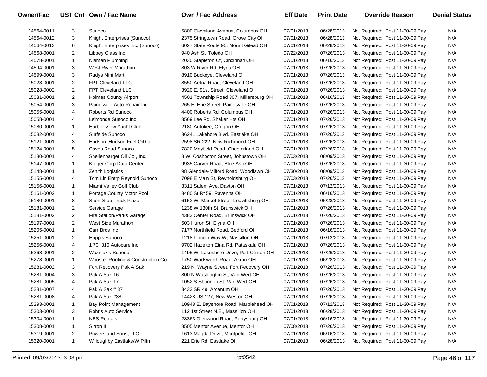| Owner/Fac  |                | UST Cnt Own / Fac Name             | Own / Fac Address                        | <b>Eff Date</b> | <b>Print Date</b> | <b>Override Reason</b>          | <b>Denial Status</b> |
|------------|----------------|------------------------------------|------------------------------------------|-----------------|-------------------|---------------------------------|----------------------|
| 14564-0011 | 3              | Sunoco                             | 5800 Cleveland Avenue, Columbus OH       | 07/01/2013      | 06/28/2013        | Not Required: Post 11-30-09 Pay | N/A                  |
| 14564-0012 | 3              | Knight Enterprises (Sunoco)        | 2375 Stringtown Road, Grove City OH      | 07/01/2013      | 06/28/2013        | Not Required: Post 11-30-09 Pay | N/A                  |
| 14564-0013 | 6              | Knight Enterprises Inc. (Sunoco)   | 6027 State Route 95, Mount Gilead OH     | 07/01/2013      | 06/28/2013        | Not Required: Post 11-30-09 Pay | N/A                  |
| 14568-0001 | $\overline{2}$ | Libbey Glass Inc                   | 940 Ash St, Toledo OH                    | 07/22/2013      | 07/26/2013        | Not Required: Post 11-30-09 Pay | N/A                  |
| 14578-0001 | $\mathbf{1}$   | Nieman Plumbing                    | 2030 Stapleton Ct, Cincinnati OH         | 07/01/2013      | 06/16/2013        | Not Required: Post 11-30-09 Pay | N/A                  |
| 14594-0001 | 3              | West River Marathon                | 803 W River Rd, Elyria OH                | 07/01/2013      | 07/26/2013        | Not Required: Post 11-30-09 Pay | N/A                  |
| 14599-0001 | 3              | Rudys Mini Mart                    | 8910 Buckeye, Cleveland OH               | 07/01/2013      | 07/26/2013        | Not Required: Post 11-30-09 Pay | N/A                  |
| 15028-0001 | $\overline{2}$ | FPT Cleveland LLC                  | 8550 Aetna Road, Cleveland OH            | 07/01/2013      | 07/26/2013        | Not Required: Post 11-30-09 Pay | N/A                  |
| 15028-0002 | $\overline{2}$ | <b>FPT Cleveland LLC</b>           | 3920 E. 91st Street, Cleveland OH        | 07/01/2013      | 07/26/2013        | Not Required: Post 11-30-09 Pay | N/A                  |
| 15031-0001 | $\overline{a}$ | <b>Holmes County Airport</b>       | 4501 Township Road 307, Millersburg OH   | 07/01/2013      | 06/16/2013        | Not Required: Post 11-30-09 Pay | N/A                  |
| 15054-0001 | 3              | Painesville Auto Repair Inc        | 265 E. Erie Street, Painesville OH       | 07/01/2013      | 07/26/2013        | Not Required: Post 11-30-09 Pay | N/A                  |
| 15055-0001 | 4              | Roberts Rd Sunoco                  | 4400 Roberts Rd, Columbus OH             | 07/01/2013      | 07/26/2013        | Not Required: Post 11-30-09 Pay | N/A                  |
| 15058-0001 | 4              | Le'monde Sunoco Inc                | 3569 Lee Rd, Shaker Hts OH               | 07/01/2013      | 07/26/2013        | Not Required: Post 11-30-09 Pay | N/A                  |
| 15080-0001 | $\mathbf{1}$   | Harbor View Yacht Club             | 2180 Autokee, Oregon OH                  | 07/01/2013      | 07/26/2013        | Not Required: Post 11-30-09 Pay | N/A                  |
| 15082-0001 | 4              | Surfside Sunoco                    | 36241 Lakehore Blvd, Eastlake OH         | 07/01/2013      | 07/26/2013        | Not Required: Post 11-30-09 Pay | N/A                  |
| 15121-0001 | 3              | Hudson Hudson Fuel Oil Co          | 2598 SR 222, New Richmond OH             | 07/01/2013      | 07/26/2013        | Not Required: Post 11-30-09 Pay | N/A                  |
| 15124-0001 | 5              | Caves Road Sunoco                  | 7820 Mayfield Road, Chesterland OH       | 07/01/2013      | 07/26/2013        | Not Required: Post 11-30-09 Pay | N/A                  |
| 15130-0001 | 4              | Shellenbarger Oil Co., Inc.        | 8 W. Coshocton Street, Johnstown OH      | 07/03/2013      | 08/09/2013        | Not Required: Post 11-30-09 Pay | N/A                  |
| 15147-0001 | $\mathbf{1}$   | Kroger Corp Data Center            | 9935 Carver Road, Blue Ash OH            | 07/01/2013      | 07/26/2013        | Not Required: Post 11-30-09 Pay | N/A                  |
| 15148-0001 | $\mathbf{1}$   | Zenith Logistics                   | 98 Glendale-Milford Road, Woodlawn OH    | 07/30/2013      | 08/09/2013        | Not Required: Post 11-30-09 Pay | N/A                  |
| 15155-0001 | 4              | Tom Lin Entrp Reynold Sunoco       | 7098 E Main St, Reynoldsburg OH          | 07/03/2013      | 07/26/2013        | Not Required: Post 11-30-09 Pay | N/A                  |
| 15156-0001 | $\mathbf{1}$   | Miami Valley Golf Club             | 3311 Salem Ave, Dayton OH                | 07/01/2013      | 07/12/2013        | Not Required: Post 11-30-09 Pay | N/A                  |
| 15161-0002 | $\mathbf{1}$   | Portage County Motor Pool          | 3480 St Rt 59, Ravenna OH                | 07/01/2013      | 06/16/2013        | Not Required: Post 11-30-09 Pay | N/A                  |
| 15180-0001 | 8              | Short Stop Truck Plaza             | 6152 W. Market Street, Leavittsburg OH   | 07/01/2013      | 06/28/2013        | Not Required: Post 11-30-09 Pay | N/A                  |
| 15181-0001 | $\overline{2}$ | Service Garage                     | 1238 W 130th St, Brunswick OH            | 07/01/2013      | 07/26/2013        | Not Required: Post 11-30-09 Pay | N/A                  |
| 15181-0002 | $\overline{2}$ | Fire Station/Parks Garage          | 4383 Center Road, Brunswick OH           | 07/01/2013      | 07/26/2013        | Not Required: Post 11-30-09 Pay | N/A                  |
| 15197-0001 | $\overline{2}$ | West Side Marathon                 | 503 Huron St, Elyria OH                  | 07/01/2013      | 07/26/2013        | Not Required: Post 11-30-09 Pay | N/A                  |
| 15205-0001 | $\mathbf{1}$   | Carr Bros Inc                      | 7177 Northfield Road, Bedford OH         | 07/01/2013      | 06/16/2013        | Not Required: Post 11-30-09 Pay | N/A                  |
| 15251-0001 | $\overline{2}$ | Hupp's Sunoco                      | 1218 Lincoln Way W, Massillon OH         | 07/01/2013      | 07/12/2013        | Not Required: Post 11-30-09 Pay | N/A                  |
| 15256-0001 | 4              | 170 310 Autocare Inc               | 9702 Hazelton Etna Rd, Pataskala OH      | 07/01/2013      | 07/26/2013        | Not Required: Post 11-30-09 Pay | N/A                  |
| 15268-0001 | $\overline{2}$ | <b>Wozniak's Sunoco</b>            | 1495 W. Lakeshore Drive, Port Clinton OH | 07/01/2013      | 07/26/2013        | Not Required: Post 11-30-09 Pay | N/A                  |
| 15278-0001 | $\mathbf{1}$   | Wooster Roofing & Construction Co. | 1750 Wadsworth Road, Akron OH            | 07/01/2013      | 06/28/2013        | Not Required: Post 11-30-09 Pay | N/A                  |
| 15281-0002 | 3              | Fort Recovery Pak A Sak            | 219 N. Wayne Street, Fort Recovery OH    | 07/01/2013      | 07/26/2013        | Not Required: Post 11-30-09 Pay | N/A                  |
| 15281-0004 | 3              | Pak A Sak 16                       | 800 N Washington St, Van Wert OH         | 07/01/2013      | 07/26/2013        | Not Required: Post 11-30-09 Pay | N/A                  |
| 15281-0005 | 4              | Pak A Sak 17                       | 1052 S Shannon St, Van Wert OH           | 07/01/2013      | 07/26/2013        | Not Required: Post 11-30-09 Pay | N/A                  |
| 15281-0007 | 4              | Pak A Sak # 37                     | 3433 SR 49, Arcanum OH                   | 07/01/2013      | 07/26/2013        | Not Required: Post 11-30-09 Pay | N/A                  |
| 15281-0008 | 4              | Pak A Sak #38                      | 14428 US 127, New Weston OH              | 07/01/2013      | 07/26/2013        | Not Required: Post 11-30-09 Pay | N/A                  |
| 15293-0001 | 1              | <b>Bay Point Management</b>        | 10948 E. Bayshore Road, Marblehead OH    | 07/01/2013      | 07/12/2013        | Not Required: Post 11-30-09 Pay | N/A                  |
| 15303-0001 | 3              | Rohr's Auto Service                | 112 1st Street N.E., Massillon OH        | 07/01/2013      | 06/28/2013        | Not Required: Post 11-30-09 Pay | N/A                  |
| 15304-0001 | 1              | <b>NES Rentals</b>                 | 28363 Glenwood Road, Perrysburg OH       | 07/01/2013      | 06/16/2013        | Not Required: Post 11-30-09 Pay | N/A                  |
| 15308-0001 | 1              | Sirron II                          | 8505 Mentor Avenue, Mentor OH            | 07/08/2013      | 07/26/2013        | Not Required: Post 11-30-09 Pay | N/A                  |
| 15319-0001 | 2              | Powers and Sons, LLC               | 1613 Magda Drive, Montpelier OH          | 07/01/2013      | 06/16/2013        | Not Required: Post 11-30-09 Pay | N/A                  |
| 15320-0001 | $\mathbf{1}$   | Willoughby Eastlake/W Plltn        | 221 Erie Rd, Eastlake OH                 | 07/01/2013      | 06/28/2013        | Not Required: Post 11-30-09 Pay | N/A                  |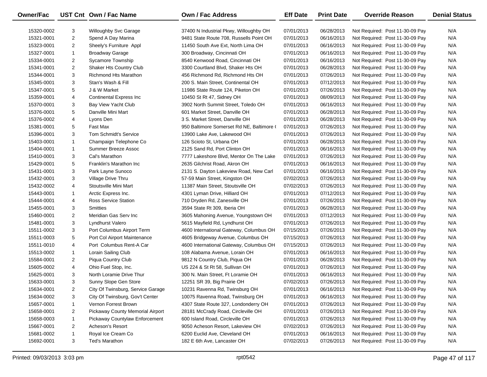| Owner/Fac  |                | UST Cnt Own / Fac Name            | Own / Fac Address                         | <b>Eff Date</b> | <b>Print Date</b> | <b>Override Reason</b>          | <b>Denial Status</b> |
|------------|----------------|-----------------------------------|-------------------------------------------|-----------------|-------------------|---------------------------------|----------------------|
| 15320-0002 | 3              | <b>Willoughby Svc Garage</b>      | 37400 N Industrial Pkwy, Willoughby OH    | 07/01/2013      | 06/28/2013        | Not Required: Post 11-30-09 Pay | N/A                  |
| 15321-0001 | $\overline{c}$ | Spend A Day Marina                | 9481 State Route 708, Russells Point OH   | 07/01/2013      | 06/16/2013        | Not Required: Post 11-30-09 Pay | N/A                  |
| 15323-0001 | $\overline{2}$ | Sheely's Furniture Appl           | 11450 South Ave Ext, North Lima OH        | 07/01/2013      | 06/16/2013        | Not Required: Post 11-30-09 Pay | N/A                  |
| 15327-0001 | $\mathbf{1}$   | <b>Broadway Garage</b>            | 300 Broadway, Cincinnati OH               | 07/01/2013      | 06/16/2013        | Not Required: Post 11-30-09 Pay | N/A                  |
| 15334-0001 | 2              | <b>Sycamore Township</b>          | 8540 Kenwood Road, Cincinnati OH          | 07/01/2013      | 06/16/2013        | Not Required: Post 11-30-09 Pay | N/A                  |
| 15341-0001 | 2              | Shaker Hts Country Club           | 3300 Courtland Blvd, Shaker Hts OH        | 07/01/2013      | 06/28/2013        | Not Required: Post 11-30-09 Pay | N/A                  |
| 15344-0001 | 3              | Richmond Hts Marathon             | 456 Richmond Rd, Richmond Hts OH          | 07/01/2013      | 07/26/2013        | Not Required: Post 11-30-09 Pay | N/A                  |
| 15345-0001 | 3              | Stan's Wash & Fill                | 200 S. Main Street, Continental OH        | 07/01/2013      | 07/12/2013        | Not Required: Post 11-30-09 Pay | N/A                  |
| 15347-0001 | 5              | J & W Market                      | 11986 State Route 124, Piketon OH         | 07/01/2013      | 07/26/2013        | Not Required: Post 11-30-09 Pay | N/A                  |
| 15359-0001 | 4              | <b>Continental Express Inc</b>    | 10450 St Rt 47, Sidney OH                 | 07/01/2013      | 08/09/2013        | Not Required: Post 11-30-09 Pay | N/A                  |
| 15370-0001 | 3              | Bay View Yacht Club               | 3902 North Summit Street, Toledo OH       | 07/01/2013      | 06/16/2013        | Not Required: Post 11-30-09 Pay | N/A                  |
| 15376-0001 | 5              | Danville Mini Mart                | 601 Market Street, Danville OH            | 07/01/2013      | 06/28/2013        | Not Required: Post 11-30-09 Pay | N/A                  |
| 15376-0002 | 4              | Lyons Den                         | 3 S. Market Street, Danville OH           | 07/01/2013      | 06/28/2013        | Not Required: Post 11-30-09 Pay | N/A                  |
| 15381-0001 | 5              | Fast Max                          | 950 Baltimore Somerset Rd NE, Baltimore ( | 07/01/2013      | 07/26/2013        | Not Required: Post 11-30-09 Pay | N/A                  |
| 15396-0001 | 3              | <b>Tom Schmidt's Service</b>      | 13900 Lake Ave, Lakewood OH               | 07/01/2013      | 07/26/2013        | Not Required: Post 11-30-09 Pay | N/A                  |
| 15403-0001 | $\mathbf{1}$   | Champaign Telephone Co            | 126 Scioto St, Urbana OH                  | 07/01/2013      | 06/28/2013        | Not Required: Post 11-30-09 Pay | N/A                  |
| 15404-0001 | $\mathbf{1}$   | Summer Breeze Assoc               | 2125 Sand Rd, Port Clinton OH             | 07/01/2013      | 06/16/2013        | Not Required: Post 11-30-09 Pay | N/A                  |
| 15410-0001 | 3              | Cal's Marathon                    | 7777 Lakeshore Blvd, Mentor On The Lake   | 07/01/2013      | 07/26/2013        | Not Required: Post 11-30-09 Pay | N/A                  |
| 15429-0001 | 5              | Franklin's Marathon Inc           | 2635 Gilchrist Road, Akron OH             | 07/01/2013      | 06/16/2013        | Not Required: Post 11-30-09 Pay | N/A                  |
| 15431-0001 | 3              | Park Layne Sunoco                 | 2131 S. Dayton Lakeview Road, New Carl    | 07/01/2013      | 06/16/2013        | Not Required: Post 11-30-09 Pay | N/A                  |
| 15432-0001 | 3              | Village Drive Thru                | 57-59 Main Street, Kingston OH            | 07/02/2013      | 07/26/2013        | Not Required: Post 11-30-09 Pay | N/A                  |
| 15432-0002 | 4              | Stoutsville Mini Mart             | 11387 Main Street, Stoutsville OH         | 07/02/2013      | 07/26/2013        | Not Required: Post 11-30-09 Pay | N/A                  |
| 15443-0001 | $\mathbf{1}$   | Arctic Express Inc.               | 4301 Lyman Drive, Hilliard OH             | 07/01/2013      | 07/12/2013        | Not Required: Post 11-30-09 Pay | N/A                  |
| 15444-0001 | 4              | <b>Ross Service Station</b>       | 710 Dryden Rd, Zanesville OH              | 07/01/2013      | 07/26/2013        | Not Required: Post 11-30-09 Pay | N/A                  |
| 15455-0001 | 3              | <b>Smitties</b>                   | 3594 State Rt 309, Iberia OH              | 07/01/2013      | 06/28/2013        | Not Required: Post 11-30-09 Pay | N/A                  |
| 15460-0001 | $\overline{2}$ | Meridian Gas Serv Inc             | 3605 Mahoning Avenue, Youngstown OH       | 07/01/2013      | 07/12/2013        | Not Required: Post 11-30-09 Pay | N/A                  |
| 15481-0001 | 3              | Lyndhurst Valero                  | 5615 Mayfield Rd, Lyndhurst OH            | 07/01/2013      | 07/26/2013        | Not Required: Post 11-30-09 Pay | N/A                  |
| 15511-0002 | 3              | Port Columbus Airport Term        | 4600 International Gateway, Columbus OH   | 07/15/2013      | 07/26/2013        | Not Required: Post 11-30-09 Pay | N/A                  |
| 15511-0003 | 5              | Port Col Airport Maintenance      | 4605 Bridgeway Avenue, Columbus OH        | 07/15/2013      | 07/26/2013        | Not Required: Post 11-30-09 Pay | N/A                  |
| 15511-0010 | 4              | Port Columbus Rent-A Car          | 4600 International Gateway, Columbus OH   | 07/15/2013      | 07/26/2013        | Not Required: Post 11-30-09 Pay | N/A                  |
| 15513-0002 | $\mathbf{1}$   | Lorain Sailing Club               | 108 Alabama Avenue, Lorain OH             | 07/01/2013      | 06/16/2013        | Not Required: Post 11-30-09 Pay | N/A                  |
| 15584-0001 | $\overline{2}$ | Piqua Country Club                | 9812 N Country Club, Piqua OH             | 07/01/2013      | 06/28/2013        | Not Required: Post 11-30-09 Pay | N/A                  |
| 15605-0002 | 4              | Ohio Fuel Stop, Inc.              | US 224 & St Rt 58, Sullivan OH            | 07/01/2013      | 07/26/2013        | Not Required: Post 11-30-09 Pay | N/A                  |
| 15625-0001 | 3              | North Loramie Drive Thur          | 300 N. Main Street, Ft Loramie OH         | 07/01/2013      | 06/16/2013        | Not Required: Post 11-30-09 Pay | N/A                  |
| 15633-0001 | 3              | Sunny Slope Gen Store             | 12251 SR 39, Big Prairie OH               | 07/02/2013      | 07/26/2013        | Not Required: Post 11-30-09 Pay | N/A                  |
| 15634-0001 | 2              | City Of Twinsburg, Service Garage | 10231 Ravenna Rd, Twinsburg OH            | 07/01/2013      | 06/16/2013        | Not Required: Post 11-30-09 Pay | N/A                  |
| 15634-0002 | 3              | City Of Twinsburg, Gov't Center   | 10075 Ravenna Road, Twinsburg OH          | 07/01/2013      | 06/16/2013        | Not Required: Post 11-30-09 Pay | N/A                  |
| 15657-0001 | 1              | Vernon Forrest Brown              | 4307 State Route 327, Londonderry OH      | 07/01/2013      | 07/26/2013        | Not Required: Post 11-30-09 Pay | N/A                  |
| 15658-0001 | 2              | Pickaway County Memorial Airport  | 28181 McCrady Road, Circleville OH        | 07/01/2013      | 07/26/2013        | Not Required: Post 11-30-09 Pay | N/A                  |
| 15658-0003 | $\mathbf{1}$   | Pickaway Countylaw Enforcement    | 600 Island Road, Circleville OH           | 07/01/2013      | 07/26/2013        | Not Required: Post 11-30-09 Pay | N/A                  |
| 15667-0001 | 2              | Acheson's Resort                  | 9050 Acheson Resort, Lakeview OH          | 07/02/2013      | 07/26/2013        | Not Required: Post 11-30-09 Pay | N/A                  |
| 15681-0002 | 1              | Royal Ice Cream Co                | 6200 Euclid Ave, Cleveland OH             | 07/01/2013      | 06/16/2013        | Not Required: Post 11-30-09 Pay | N/A                  |
| 15692-0001 | 3              | Ted's Marathon                    | 182 E 6th Ave, Lancaster OH               | 07/02/2013      | 07/26/2013        | Not Required: Post 11-30-09 Pay | N/A                  |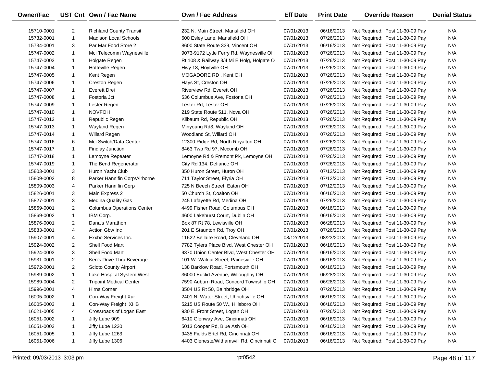| Owner/Fac  |                | UST Cnt Own / Fac Name            | <b>Own / Fac Address</b>                   | <b>Eff Date</b> | <b>Print Date</b> | <b>Override Reason</b>          | <b>Denial Status</b> |
|------------|----------------|-----------------------------------|--------------------------------------------|-----------------|-------------------|---------------------------------|----------------------|
| 15710-0001 | 2              | <b>Richland County Transit</b>    | 232 N. Main Street, Mansfield OH           | 07/01/2013      | 06/16/2013        | Not Required: Post 11-30-09 Pay | N/A                  |
| 15732-0001 | $\mathbf{1}$   | Madison Local Schools             | 600 Esley Lane, Mansfield OH               | 07/01/2013      | 07/26/2013        | Not Required: Post 11-30-09 Pay | N/A                  |
| 15734-0001 | 3              | Par Mar Food Store 2              | 8600 State Route 339, Vincent OH           | 07/01/2013      | 06/16/2013        | Not Required: Post 11-30-09 Pay | N/A                  |
| 15747-0002 | $\mathbf{1}$   | Mci Telecomm Waynesville          | 9073-9172 Lytle Ferry Rd, Waynesville OH   | 07/01/2013      | 07/26/2013        | Not Required: Post 11-30-09 Pay | N/A                  |
| 15747-0003 | $\mathbf{1}$   | Holgate Regen                     | Rt 108 & Railway 3/4 Mi E Holg, Holgate O  | 07/01/2013      | 07/26/2013        | Not Required: Post 11-30-09 Pay | N/A                  |
| 15747-0004 | $\mathbf{1}$   | Hotteville Regen                  | Hwy 18, Hoytville OH                       | 07/01/2013      | 07/26/2013        | Not Required: Post 11-30-09 Pay | N/A                  |
| 15747-0005 | $\mathbf{1}$   | Kent Regen                        | MOGADORE RD, Kent OH                       | 07/01/2013      | 07/26/2013        | Not Required: Post 11-30-09 Pay | N/A                  |
| 15747-0006 | $\mathbf{1}$   | Creston Regen                     | Hays St, Creston OH                        | 07/01/2013      | 07/26/2013        | Not Required: Post 11-30-09 Pay | N/A                  |
| 15747-0007 | $\mathbf{1}$   | Everett Drei                      | Riverview Rd, Everett OH                   | 07/01/2013      | 07/26/2013        | Not Required: Post 11-30-09 Pay | N/A                  |
| 15747-0008 | $\mathbf{1}$   | Fostoria Jct                      | 536 Columbus Ave, Fostoria OH              | 07/01/2013      | 07/26/2013        | Not Required: Post 11-30-09 Pay | N/A                  |
| 15747-0009 | $\mathbf{1}$   | Lester Regen                      | Lester Rd, Lester OH                       | 07/01/2013      | 07/26/2013        | Not Required: Post 11-30-09 Pay | N/A                  |
| 15747-0010 | $\mathbf{1}$   | <b>NOVFOH</b>                     | 219 State Route 511, Nova OH               | 07/01/2013      | 07/26/2013        | Not Required: Post 11-30-09 Pay | N/A                  |
| 15747-0012 | $\mathbf{1}$   | Republic Regen                    | Kilbaum Rd, Republic OH                    | 07/01/2013      | 07/26/2013        | Not Required: Post 11-30-09 Pay | N/A                  |
| 15747-0013 | $\mathbf{1}$   | Wayland Regen                     | Minyoung Rd3, Wayland OH                   | 07/01/2013      | 07/26/2013        | Not Required: Post 11-30-09 Pay | N/A                  |
| 15747-0014 | $\mathbf{1}$   | Willard Regen                     | Woodland St, Willard OH                    | 07/01/2013      | 07/26/2013        | Not Required: Post 11-30-09 Pay | N/A                  |
| 15747-0016 | 6              | Mci Switch/Data Center            | 12300 Ridge Rd, North Royalton OH          | 07/01/2013      | 07/26/2013        | Not Required: Post 11-30-09 Pay | N/A                  |
| 15747-0017 | $\mathbf{1}$   | <b>Findlay Junction</b>           | 8463 Twp Rd 97, Mccomb OH                  | 07/01/2013      | 07/26/2013        | Not Required: Post 11-30-09 Pay | N/A                  |
| 15747-0018 | $\mathbf{1}$   | Lemoyne Repeater                  | Lemoyne Rd & Fremont Pk, Lemoyne OH        | 07/01/2013      | 07/26/2013        | Not Required: Post 11-30-09 Pay | N/A                  |
| 15747-0019 | $\mathbf{1}$   | The Bend Regenerator              | City Rd 134, Defiance OH                   | 07/01/2013      | 07/26/2013        | Not Required: Post 11-30-09 Pay | N/A                  |
| 15803-0001 | 3              | Huron Yacht Club                  | 350 Huron Street, Huron OH                 | 07/01/2013      | 07/12/2013        | Not Required: Post 11-30-09 Pay | N/A                  |
| 15809-0002 | 8              | Parker Hannifin Corp/Airborne     | 711 Taylor Street, Elyria OH               | 07/01/2013      | 07/12/2013        | Not Required: Post 11-30-09 Pay | N/A                  |
| 15809-0003 | 4              | Parker Hannifin Corp              | 725 N Beech Street, Eaton OH               | 07/01/2013      | 07/12/2013        | Not Required: Post 11-30-09 Pay | N/A                  |
| 15826-0001 | 3              | Main Express 2                    | 50 Church St, Coalton OH                   | 07/01/2013      | 06/16/2013        | Not Required: Post 11-30-09 Pay | N/A                  |
| 15827-0001 | 3              | Medina Quality Gas                | 245 Lafayette Rd, Medina OH                | 07/01/2013      | 07/26/2013        | Not Required: Post 11-30-09 Pay | N/A                  |
| 15869-0001 | $\overline{2}$ | <b>Columbus Operations Center</b> | 4499 Fisher Road, Columbus OH              | 07/01/2013      | 06/16/2013        | Not Required: Post 11-30-09 Pay | N/A                  |
| 15869-0002 | $\mathbf{1}$   | IBM Corp.                         | 4600 Lakehurst Court, Dublin OH            | 07/01/2013      | 06/16/2013        | Not Required: Post 11-30-09 Pay | N/A                  |
| 15876-0001 | $\overline{2}$ | Dana's Marathon                   | Box 87 Rt 78, Lewisville OH                | 07/01/2013      | 06/28/2013        | Not Required: Post 11-30-09 Pay | N/A                  |
| 15883-0001 | 4              | Action Gbw Inc                    | 201 E Staunton Rd, Troy OH                 | 07/01/2013      | 07/26/2013        | Not Required: Post 11-30-09 Pay | N/A                  |
| 15907-0001 | 4              | Exxbo Services Inc.               | 11622 Bellaire Road, Cleveland OH          | 08/12/2013      | 08/23/2013        | Not Required: Post 11-30-09 Pay | N/A                  |
| 15924-0002 | 2              | Shell Food Mart                   | 7782 Tylers Place Blvd, West Chester OH    | 07/01/2013      | 06/16/2013        | Not Required: Post 11-30-09 Pay | N/A                  |
| 15924-0003 | 3              | Shell Food Mart                   | 9370 Union Center Blvd, West Chester OH    | 07/01/2013      | 06/16/2013        | Not Required: Post 11-30-09 Pay | N/A                  |
| 15931-0001 | $\overline{2}$ | Ken's Drive Thru Beverage         | 101 W. Walnut Street, Painesville OH       | 07/01/2013      | 06/16/2013        | Not Required: Post 11-30-09 Pay | N/A                  |
| 15972-0001 | $\overline{2}$ | Scioto County Airport             | 138 Barklow Road, Portsmouth OH            | 07/01/2013      | 06/16/2013        | Not Required: Post 11-30-09 Pay | N/A                  |
| 15989-0002 | $\mathbf{1}$   | Lake Hospital System West         | 36000 Euclid Avenue, Willoughby OH         | 07/01/2013      | 06/28/2013        | Not Required: Post 11-30-09 Pay | N/A                  |
| 15989-0004 | $\overline{2}$ | <b>Tripoint Medical Center</b>    | 7590 Auburn Road, Concord Township OH      | 07/01/2013      | 06/28/2013        | Not Required: Post 11-30-09 Pay | N/A                  |
| 15996-0001 | 4              | Hirns Corner                      | 3504 US Rt 50, Bainbridge OH               | 07/01/2013      | 07/26/2013        | Not Required: Post 11-30-09 Pay | N/A                  |
| 16005-0002 | 1              | Con-Way Freight Xur               | 2401 N. Water Street, Uhrichsville OH      | 07/01/2013      | 06/16/2013        | Not Required: Post 11-30-09 Pay | N/A                  |
| 16005-0003 | 1              | Con-Way Freight XHB               | 5215 US Route 50 W., Hillsboro OH          | 07/01/2013      | 06/16/2013        | Not Required: Post 11-30-09 Pay | N/A                  |
| 16021-0005 | 4              | Crossroads of Logan East          | 930 E. Front Street, Logan OH              | 07/01/2013      | 07/26/2013        | Not Required: Post 11-30-09 Pay | N/A                  |
| 16051-0002 | 1              | Jiffy Lube 909                    | 6410 Glenway Ave, Cincinnati OH            | 07/01/2013      | 06/16/2013        | Not Required: Post 11-30-09 Pay | N/A                  |
| 16051-0003 | 1              | Jiffy Lube 1220                   | 5013 Cooper Rd, Blue Ash OH                | 07/01/2013      | 06/16/2013        | Not Required: Post 11-30-09 Pay | N/A                  |
| 16051-0005 | 1              | Jiffy Lube 1263                   | 9435 Fields Ertel Rd, Cincinnati OH        | 07/01/2013      | 06/16/2013        | Not Required: Post 11-30-09 Pay | N/A                  |
| 16051-0006 | $\mathbf{1}$   | Jiffy Lube 1306                   | 4403 Gleneste/Withamsvill Rd, Cincinnati C | 07/01/2013      | 06/16/2013        | Not Required: Post 11-30-09 Pay | N/A                  |
|            |                |                                   |                                            |                 |                   |                                 |                      |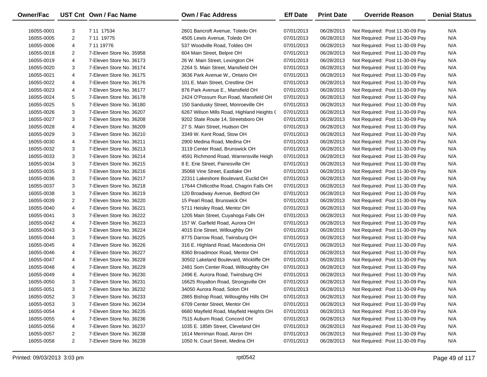| Owner/Fac  |                | UST Cnt Own / Fac Name   | <b>Own / Fac Address</b>                   | <b>Eff Date</b> | <b>Print Date</b> | <b>Override Reason</b>          | <b>Denial Status</b> |
|------------|----------------|--------------------------|--------------------------------------------|-----------------|-------------------|---------------------------------|----------------------|
| 16055-0001 | 3              | 7 11 17534               | 2601 Bancroft Avenue. Toledo OH            | 07/01/2013      | 06/28/2013        | Not Required: Post 11-30-09 Pay | N/A                  |
| 16055-0005 | 2              | 7 11 19775               | 4505 Lewis Avenue, Toledo OH               | 07/01/2013      | 06/28/2013        | Not Required: Post 11-30-09 Pay | N/A                  |
| 16055-0006 | 4              | 7 11 19776               | 537 Woodville Road, Toldeo OH              | 07/01/2013      | 06/28/2013        | Not Required: Post 11-30-09 Pay | N/A                  |
| 16055-0018 | 2              | 7-Eleven Store No. 35958 | 604 Main Street, Belpre OH                 | 07/01/2013      | 06/28/2013        | Not Required: Post 11-30-09 Pay | N/A                  |
| 16055-0019 | 4              | 7-Eleven Store No. 36173 | 26 W. Main Street, Lexington OH            | 07/01/2013      | 06/28/2013        | Not Required: Post 11-30-09 Pay | N/A                  |
| 16055-0020 | 3              | 7-Eleven Store No. 36174 | 2264 S. Main Street, Mansfield OH          | 07/01/2013      | 06/28/2013        | Not Required: Post 11-30-09 Pay | N/A                  |
| 16055-0021 | 4              | 7-Eleven Store No. 36175 | 3636 Park Avenue W., Ontario OH            | 07/01/2013      | 06/28/2013        | Not Required: Post 11-30-09 Pay | N/A                  |
| 16055-0022 | 4              | 7-Eleven Store No. 36176 | 101 E. Main Street, Crestline OH           | 07/01/2013      | 06/28/2013        | Not Required: Post 11-30-09 Pay | N/A                  |
| 16055-0023 | 4              | 7-Eleven Store No. 36177 | 876 Park Avenue E., Mansfield OH           | 07/01/2013      | 06/28/2013        | Not Required: Post 11-30-09 Pay | N/A                  |
| 16055-0024 | 5              | 7-Eleven Store No. 36178 | 2424 O'Possum Run Road, Mansfield OH       | 07/01/2013      | 06/28/2013        | Not Required: Post 11-30-09 Pay | N/A                  |
| 16055-0025 | 5              | 7-Eleven Store No. 36180 | 150 Sandusky Street, Monroeville OH        | 07/01/2013      | 06/28/2013        | Not Required: Post 11-30-09 Pay | N/A                  |
| 16055-0026 | 3              | 7-Eleven Store No. 36207 | 6267 Wilson Mills Road, Highland Heights ( | 07/01/2013      | 06/28/2013        | Not Required: Post 11-30-09 Pay | N/A                  |
| 16055-0027 | 3              | 7-Eleven Store No. 36208 | 9202 State Route 14, Streetsboro OH        | 07/01/2013      | 06/28/2013        | Not Required: Post 11-30-09 Pay | N/A                  |
| 16055-0028 | 4              | 7-Eleven Store No. 36209 | 27 S. Main Street, Hudson OH               | 07/01/2013      | 06/28/2013        | Not Required: Post 11-30-09 Pay | N/A                  |
| 16055-0029 | 3              | 7-Eleven Store No. 36210 | 3349 W. Kent Road, Stow OH                 | 07/01/2013      | 06/28/2013        | Not Required: Post 11-30-09 Pay | N/A                  |
| 16055-0030 | 4              | 7-Eleven Store No. 36211 | 2900 Medina Road, Medina OH                | 07/01/2013      | 06/28/2013        | Not Required: Post 11-30-09 Pay | N/A                  |
| 16055-0032 | 3              | 7-Eleven Store No. 36213 | 3119 Center Road, Brunswick OH             | 07/01/2013      | 06/28/2013        | Not Required: Post 11-30-09 Pay | N/A                  |
| 16055-0033 | 3              | 7-Eleven Store No. 36214 | 4591 Richmond Road, Warrensville Heigh     | 07/01/2013      | 06/28/2013        | Not Required: Post 11-30-09 Pay | N/A                  |
| 16055-0034 | 3              | 7-Eleven Store No. 36215 | 8 E. Erie Street, Painesville OH           | 07/01/2013      | 06/28/2013        | Not Required: Post 11-30-09 Pay | N/A                  |
| 16055-0035 | 3              | 7-Eleven Store No. 36216 | 35068 Vine Street, Eastlake OH             | 07/01/2013      | 06/28/2013        | Not Required: Post 11-30-09 Pay | N/A                  |
| 16055-0036 | 3              | 7-Eleven Store No. 36217 | 22311 Lakeshore Boulevard, Euclid OH       | 07/01/2013      | 06/28/2013        | Not Required: Post 11-30-09 Pay | N/A                  |
| 16055-0037 | 3              | 7-Eleven Store No. 36218 | 17644 Chillicothe Road, Chagrin Falls OH   | 07/01/2013      | 06/28/2013        | Not Required: Post 11-30-09 Pay | N/A                  |
| 16055-0038 | 3              | 7-Eleven Store No. 36219 | 120 Broadway Avenue, Bedford OH            | 07/01/2013      | 06/28/2013        | Not Required: Post 11-30-09 Pay | N/A                  |
| 16055-0039 | 2              | 7-Eleven Store No. 36220 | 15 Pearl Road, Brunswick OH                | 07/01/2013      | 06/28/2013        | Not Required: Post 11-30-09 Pay | N/A                  |
| 16055-0040 | 4              | 7-Eleven Store No. 36221 | 5711 Heisley Road, Mentor OH               | 07/01/2013      | 06/28/2013        | Not Required: Post 11-30-09 Pay | N/A                  |
| 16055-0041 | 3              | 7-Eleven Store No. 36222 | 1205 Main Street, Cuyahoga Falls OH        | 07/01/2013      | 06/28/2013        | Not Required: Post 11-30-09 Pay | N/A                  |
| 16055-0042 | 4              | 7-Eleven Store No. 36223 | 157 W. Garfield Road, Aurora OH            | 07/01/2013      | 06/28/2013        | Not Required: Post 11-30-09 Pay | N/A                  |
| 16055-0043 | 3              | 7-Eleven Store No. 36224 | 4015 Erie Street, Willoughby OH            | 07/01/2013      | 06/28/2013        | Not Required: Post 11-30-09 Pay | N/A                  |
| 16055-0044 | 3              | 7-Eleven Store No. 36225 | 8775 Darrow Road, Twinsburg OH             | 07/01/2013      | 06/28/2013        | Not Required: Post 11-30-09 Pay | N/A                  |
| 16055-0045 | 4              | 7-Eleven Store No. 36226 | 316 E. Highland Road, Macedonia OH         | 07/01/2013      | 06/28/2013        | Not Required: Post 11-30-09 Pay | N/A                  |
| 16055-0046 | 4              | 7-Eleven Store No. 36227 | 8360 Broadmoor Road, Mentor OH             | 07/01/2013      | 06/28/2013        | Not Required: Post 11-30-09 Pay | N/A                  |
| 16055-0047 | 4              | 7-Eleven Store No. 36228 | 30502 Lakeland Boulevard, Wickliffe OH     | 07/01/2013      | 06/28/2013        | Not Required: Post 11-30-09 Pay | N/A                  |
| 16055-0048 | 4              | 7-Eleven Store No. 36229 | 2481 Som Center Road, Willoughby OH        | 07/01/2013      | 06/28/2013        | Not Required: Post 11-30-09 Pay | N/A                  |
| 16055-0049 | 4              | 7-Eleven Store No. 36230 | 2496 E. Aurora Road, Twinsburg OH          | 07/01/2013      | 06/28/2013        | Not Required: Post 11-30-09 Pay | N/A                  |
| 16055-0050 | 3              | 7-Eleven Store No. 36231 | 16625 Royalton Road, Strongsville OH       | 07/01/2013      | 06/28/2013        | Not Required: Post 11-30-09 Pay | N/A                  |
| 16055-0051 | 3              | 7-Eleven Store No. 36232 | 34050 Aurora Road, Solon OH                | 07/01/2013      | 06/28/2013        | Not Required: Post 11-30-09 Pay | N/A                  |
| 16055-0052 | 3              | 7-Eleven Store No. 36233 | 2865 Bishop Road, Willoughby Hills OH      | 07/01/2013      | 06/28/2013        | Not Required: Post 11-30-09 Pay | N/A                  |
| 16055-0053 | 3              | 7-Eleven Store No. 36234 | 6709 Center Street, Mentor OH              | 07/01/2013      | 06/28/2013        | Not Required: Post 11-30-09 Pay | N/A                  |
| 16055-0054 | 4              | 7-Eleven Store No. 36235 | 6680 Mayfield Road, Mayfield Heights OH    | 07/01/2013      | 06/28/2013        | Not Required: Post 11-30-09 Pay | N/A                  |
| 16055-0055 | 4              | 7-Eleven Store No. 36236 | 7515 Auburn Road, Concord OH               | 07/01/2013      | 06/28/2013        | Not Required: Post 11-30-09 Pay | N/A                  |
| 16055-0056 | 4              | 7-Eleven Store No. 36237 | 1035 E. 185th Street, Cleveland OH         | 07/01/2013      | 06/28/2013        | Not Required: Post 11-30-09 Pay | N/A                  |
| 16055-0057 | 2              | 7-Eleven Store No. 36238 | 1614 Merriman Road, Akron OH               | 07/01/2013      | 06/28/2013        | Not Required: Post 11-30-09 Pay | N/A                  |
| 16055-0058 | $\overline{2}$ | 7-Eleven Store No. 36239 | 1050 N. Court Street, Medina OH            | 07/01/2013      | 06/28/2013        | Not Required: Post 11-30-09 Pay | N/A                  |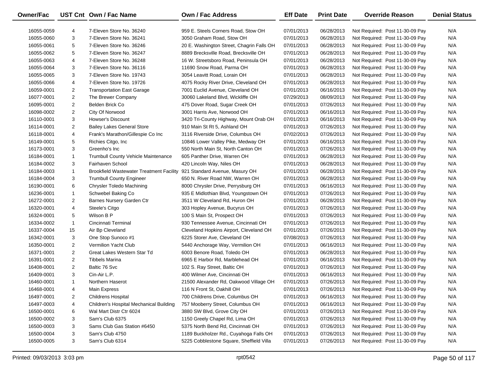| Owner/Fac  |                | UST Cnt Own / Fac Name                                                  | Own / Fac Address                         | <b>Eff Date</b> | <b>Print Date</b> | <b>Override Reason</b>          | <b>Denial Status</b> |
|------------|----------------|-------------------------------------------------------------------------|-------------------------------------------|-----------------|-------------------|---------------------------------|----------------------|
| 16055-0059 | 4              | 7-Eleven Store No. 36240                                                | 959 E. Steels Corners Road. Stow OH       | 07/01/2013      | 06/28/2013        | Not Required: Post 11-30-09 Pay | N/A                  |
| 16055-0060 | 3              | 7-Eleven Store No. 36241                                                | 3050 Graham Road, Stow OH                 | 07/01/2013      | 06/28/2013        | Not Required: Post 11-30-09 Pay | N/A                  |
| 16055-0061 | 5              | 7-Eleven Store No. 36246                                                | 20 E. Washington Street, Chagrin Falls OH | 07/01/2013      | 06/28/2013        | Not Required: Post 11-30-09 Pay | N/A                  |
| 16055-0062 | 5              | 7-Eleven Store No. 36247                                                | 8889 Brecksville Road, Brecksville OH     | 07/01/2013      | 06/28/2013        | Not Required: Post 11-30-09 Pay | N/A                  |
| 16055-0063 | 4              | 7-Eleven Store No. 36248                                                | 16 W. Streetsboro Road, Peninsula OH      | 07/01/2013      | 06/28/2013        | Not Required: Post 11-30-09 Pay | N/A                  |
| 16055-0064 | 3              | 7-Eleven Store No. 36116                                                | 11690 Snow Road, Parma OH                 | 07/01/2013      | 06/28/2013        | Not Required: Post 11-30-09 Pay | N/A                  |
| 16055-0065 | 3              | 7-Eleven Store No. 19743                                                | 3054 Leavitt Road, Lorain OH              | 07/01/2013      | 06/28/2013        | Not Required: Post 11-30-09 Pay | N/A                  |
| 16055-0066 | 4              | 7-Eleven Store No. 19726                                                | 4075 Rocky River Drive, Cleveland OH      | 07/01/2013      | 06/28/2013        | Not Required: Post 11-30-09 Pay | N/A                  |
| 16059-0001 | $\overline{2}$ | <b>Transportation East Garage</b>                                       | 7001 Euclid Avenue, Cleveland OH          | 07/01/2013      | 06/16/2013        | Not Required: Post 11-30-09 Pay | N/A                  |
| 16077-0001 | $\overline{2}$ | The Brewer Company                                                      | 30060 Lakeland Blvd, Wickliffe OH         | 07/29/2013      | 08/09/2013        | Not Required: Post 11-30-09 Pay | N/A                  |
| 16095-0001 | $\overline{2}$ | Belden Brick Co                                                         | 475 Dover Road, Sugar Creek OH            | 07/01/2013      | 07/26/2013        | Not Required: Post 11-30-09 Pay | N/A                  |
| 16098-0002 | $\overline{2}$ | City Of Norwood                                                         | 3001 Harris Ave, Norwood OH               | 07/01/2013      | 06/16/2013        | Not Required: Post 11-30-09 Pay | N/A                  |
| 16110-0001 | 3              | Howser's Discount                                                       | 3420 Tri-County Highway, Mount Orab OH    | 07/01/2013      | 06/16/2013        | Not Required: Post 11-30-09 Pay | N/A                  |
| 16114-0001 | $\overline{2}$ | <b>Bailey Lakes General Store</b>                                       | 910 Main St Rt 5, Ashland OH              | 07/01/2013      | 07/26/2013        | Not Required: Post 11-30-09 Pay | N/A                  |
| 16118-0001 | 4              | Frank's Marathon/Gillespie Co Inc                                       | 3116 Riverside Drive, Columbus OH         | 07/02/2013      | 07/26/2013        | Not Required: Post 11-30-09 Pay | N/A                  |
| 16149-0001 | 5              | Richies Citgo, Inc                                                      | 10846 Lower Valley Pike, Medway OH        | 07/01/2013      | 06/16/2013        | Not Required: Post 11-30-09 Pay | N/A                  |
| 16173-0001 | 3              | Greenho's Inc                                                           | 550 North Main St, North Canton OH        | 07/01/2013      | 07/26/2013        | Not Required: Post 11-30-09 Pay | N/A                  |
| 16184-0001 | $\mathbf{1}$   | <b>Trumbull County Vehicle Maintenance</b>                              | 605 Panther Drive, Warren OH              | 07/01/2013      | 06/28/2013        | Not Required: Post 11-30-09 Pay | N/A                  |
| 16184-0002 | 3              | Fairhaven School                                                        | 420 Lincoln Way, Niles OH                 | 07/01/2013      | 06/28/2013        | Not Required: Post 11-30-09 Pay | N/A                  |
| 16184-0003 | $\mathbf{1}$   | Brookfield Wastewater Treatment Facility 921 Standard Avenue, Masury OH |                                           | 07/01/2013      | 06/28/2013        | Not Required: Post 11-30-09 Pay | N/A                  |
| 16184-0004 | 3              | <b>Trumbull County Engineer</b>                                         | 650 N. River Road NW, Warren OH           | 07/01/2013      | 06/28/2013        | Not Required: Post 11-30-09 Pay | N/A                  |
| 16190-0001 | 6              | Chrysler Toledo Machining                                               | 8000 Chrysler Drive, Perrysburg OH        | 07/01/2013      | 06/16/2013        | Not Required: Post 11-30-09 Pay | N/A                  |
| 16236-0001 | $\mathbf{1}$   | Schwebel Baking Co                                                      | 935 E Midlothian Blvd, Youngstown OH      | 07/01/2013      | 07/26/2013        | Not Required: Post 11-30-09 Pay | N/A                  |
| 16272-0001 | $\overline{2}$ | Barnes Nursery Garden Ctr                                               | 3511 W Cleveland Rd, Huron OH             | 07/01/2013      | 06/28/2013        | Not Required: Post 11-30-09 Pay | N/A                  |
| 16320-0001 | 4              | Steele's Citgo                                                          | 303 Hopley Avenue, Bucyrus OH             | 07/01/2013      | 07/26/2013        | Not Required: Post 11-30-09 Pay | N/A                  |
| 16324-0001 | 5              | Wilson B P                                                              | 100 S Main St, Prospect OH                | 07/01/2013      | 07/26/2013        | Not Required: Post 11-30-09 Pay | N/A                  |
| 16334-0002 | $\mathbf{1}$   | Cincinnati Terminal                                                     | 930 Tennessee Avenue, Cincinnati OH       | 07/01/2013      | 07/26/2013        | Not Required: Post 11-30-09 Pay | N/A                  |
| 16337-0004 | 15             | Air Bp Cleveland                                                        | Cleveland Hopkins Airport, Cleveland OH   | 07/01/2013      | 07/26/2013        | Not Required: Post 11-30-09 Pay | N/A                  |
| 16342-0001 | 3              | One Stop Sunoco #1                                                      | 6225 Storer Ave, Cleveland OH             | 07/08/2013      | 07/26/2013        | Not Required: Post 11-30-09 Pay | N/A                  |
| 16350-0001 | $\overline{2}$ | Vermilion Yacht Club                                                    | 5440 Anchorage Way, Vermilion OH          | 07/01/2013      | 06/16/2013        | Not Required: Post 11-30-09 Pay | N/A                  |
| 16371-0001 | $\overline{2}$ | Great Lakes Western Star Td                                             | 6003 Benore Road, Toledo OH               | 07/01/2013      | 06/28/2013        | Not Required: Post 11-30-09 Pay | N/A                  |
| 16391-0001 | $\overline{2}$ | Tibbels Marina                                                          | 6965 E Harbor Rd, Marblehead OH           | 07/01/2013      | 06/16/2013        | Not Required: Post 11-30-09 Pay | N/A                  |
| 16408-0001 | $\overline{2}$ | Baltic 76 Svc                                                           | 102 S. Ray Street, Baltic OH              | 07/01/2013      | 07/26/2013        | Not Required: Post 11-30-09 Pay | N/A                  |
| 16409-0001 | 3              | Cin-Air L.P.                                                            | 400 Wilmer Ave, Cincinnati OH             | 07/01/2013      | 06/16/2013        | Not Required: Post 11-30-09 Pay | N/A                  |
| 16460-0001 | $\mathbf{1}$   | Northern Haserot                                                        | 21500 Alexander Rd, Oakwood Village OH    | 07/01/2013      | 07/26/2013        | Not Required: Post 11-30-09 Pay | N/A                  |
| 16468-0001 | 4              | <b>Main Express</b>                                                     | 116 N Front St, Oakhill OH                | 07/01/2013      | 07/26/2013        | Not Required: Post 11-30-09 Pay | N/A                  |
| 16497-0001 | 2              | <b>Childrens Hospital</b>                                               | 700 Childrens Drive, Columbus OH          | 07/01/2013      | 06/16/2013        | Not Required: Post 11-30-09 Pay | N/A                  |
| 16497-0003 | 4              | Children's Hospital Mechanical Building                                 | 757 Mooberry Street, Columbus OH          | 07/01/2013      | 06/16/2013        | Not Required: Post 11-30-09 Pay | N/A                  |
| 16500-0001 | 6              | Wal Mart Distr Ctr 6024                                                 | 3880 SW Blvd, Grove City OH               | 07/01/2013      | 07/26/2013        | Not Required: Post 11-30-09 Pay | N/A                  |
| 16500-0002 | 3              | Sam's Club 6375                                                         | 1150 Greely Chapel Rd, Lima OH            | 07/01/2013      | 07/26/2013        | Not Required: Post 11-30-09 Pay | N/A                  |
| 16500-0003 | 3              | Sams Club Gas Station #6450                                             | 5375 North Bend Rd, Cincinnati OH         | 07/01/2013      | 07/26/2013        | Not Required: Post 11-30-09 Pay | N/A                  |
| 16500-0004 | 3              | Sam's Club 4750                                                         | 1189 Buckholzer Rd., Cuyahoga Falls OH    | 07/01/2013      | 07/26/2013        | Not Required: Post 11-30-09 Pay | N/A                  |
| 16500-0005 | 3              | Sam's Club 6314                                                         | 5225 Cobblestone Square, Sheffield Villa  | 07/01/2013      | 07/26/2013        | Not Required: Post 11-30-09 Pay | N/A                  |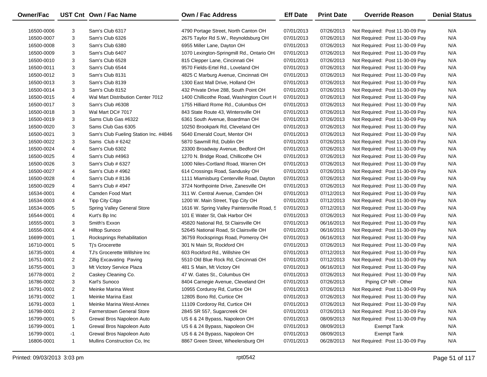| Owner/Fac  |                | UST Cnt Own / Fac Name                | Own / Fac Address                            | <b>Eff Date</b> | <b>Print Date</b> | <b>Override Reason</b>          | <b>Denial Status</b> |
|------------|----------------|---------------------------------------|----------------------------------------------|-----------------|-------------------|---------------------------------|----------------------|
| 16500-0006 | 3              | Sam's Club 6317                       | 4790 Portage Street, North Canton OH         | 07/01/2013      | 07/26/2013        | Not Required: Post 11-30-09 Pay | N/A                  |
| 16500-0007 | 3              | Sam's Club 6326                       | 2675 Taylor Rd S.W., Reynoldsburg OH         | 07/01/2013      | 07/26/2013        | Not Required: Post 11-30-09 Pay | N/A                  |
| 16500-0008 | 3              | Sam's Club 6380                       | 6955 Miller Lane, Dayton OH                  | 07/01/2013      | 07/26/2013        | Not Required: Post 11-30-09 Pay | N/A                  |
| 16500-0009 | 3              | Sam's Club 6407                       | 1070 Lexington-Springmill Rd., Ontario OH    | 07/01/2013      | 07/26/2013        | Not Required: Post 11-30-09 Pay | N/A                  |
| 16500-0010 | 3              | Sam's Club 6528                       | 815 Clepper Lane, Cincinnati OH              | 07/01/2013      | 07/26/2013        | Not Required: Post 11-30-09 Pay | N/A                  |
| 16500-0011 | 3              | Sam's Club 6544                       | 9570 Fields-Ertel Rd., Loveland OH           | 07/01/2013      | 07/26/2013        | Not Required: Post 11-30-09 Pay | N/A                  |
| 16500-0012 | 3              | Sam's Club 8131                       | 4825 C Marburg Avenue, Cincinnati OH         | 07/01/2013      | 07/26/2013        | Not Required: Post 11-30-09 Pay | N/A                  |
| 16500-0013 | 3              | Sam's Club 8139                       | 1300 East Mall Drive, Holland OH             | 07/01/2013      | 07/26/2013        | Not Required: Post 11-30-09 Pay | N/A                  |
| 16500-0014 | 3              | Sam's Club 8152                       | 432 Private Drive 288, South Point OH        | 07/01/2013      | 07/26/2013        | Not Required: Post 11-30-09 Pay | N/A                  |
| 16500-0015 | 4              | Wal Mart Distribution Center 7012     | 1400 Chillicothe Road, Washington Court H    | 07/01/2013      | 07/26/2013        | Not Required: Post 11-30-09 Pay | N/A                  |
| 16500-0017 | 3              | Sam's Club #6308                      | 1755 Hilliard Rome Rd., Columbus OH          | 07/01/2013      | 07/26/2013        | Not Required: Post 11-30-09 Pay | N/A                  |
| 16500-0018 | 3              | Wal Mart DC# 7017                     | 843 State Route 43, Wintersville OH          | 07/01/2013      | 07/26/2013        | Not Required: Post 11-30-09 Pay | N/A                  |
| 16500-0019 | 3              | Sams Club Gas #6322                   | 6361 South Avenue, Boardman OH               | 07/01/2013      | 07/26/2013        | Not Required: Post 11-30-09 Pay | N/A                  |
| 16500-0020 | 3              | Sams Club Gas 6305                    | 10250 Brookpark Rd, Cleveland OH             | 07/01/2013      | 07/26/2013        | Not Required: Post 11-30-09 Pay | N/A                  |
| 16500-0021 | 3              | Sam's Club Fueling Station Inc. #4846 | 5640 Emerald Court, Mentor OH                | 07/01/2013      | 07/26/2013        | Not Required: Post 11-30-09 Pay | N/A                  |
| 16500-0022 | 3              | Sams Club # 6242                      | 5870 Sawmill Rd, Dublin OH                   | 07/01/2013      | 07/26/2013        | Not Required: Post 11-30-09 Pay | N/A                  |
| 16500-0024 | 4              | Sam's Club 6302                       | 23300 Broadway Avenue, Bedford OH            | 07/01/2013      | 07/26/2013        | Not Required: Post 11-30-09 Pay | N/A                  |
| 16500-0025 | 4              | Sam's Club #4963                      | 1270 N. Bridge Road, Chillicothe OH          | 07/01/2013      | 07/26/2013        | Not Required: Post 11-30-09 Pay | N/A                  |
| 16500-0026 | 3              | Sam's Club # 6327                     | 1000 Niles-Cortland Road, Warren OH          | 07/01/2013      | 07/26/2013        | Not Required: Post 11-30-09 Pay | N/A                  |
| 16500-0027 | 4              | Sam's Club # 4962                     | 614 Crossings Road, Sandusky OH              | 07/01/2013      | 07/26/2013        | Not Required: Post 11-30-09 Pay | N/A                  |
| 16500-0028 | 4              | Sam's Club # 8136                     | 1111 Miamisburg Centerville Road, Dayton     | 07/01/2013      | 07/26/2013        | Not Required: Post 11-30-09 Pay | N/A                  |
| 16500-0029 | 4              | Sam's Club # 4947                     | 3724 Northpointe Drive, Zanesville OH        | 07/01/2013      | 07/26/2013        | Not Required: Post 11-30-09 Pay | N/A                  |
| 16534-0001 | 4              | Camden Food Mart                      | 311 W. Central Avenue, Camden OH             | 07/01/2013      | 07/12/2013        | Not Required: Post 11-30-09 Pay | N/A                  |
| 16534-0003 | 4              | Tipp City Citgo                       | 1200 W. Main Street, Tipp City OH            | 07/01/2013      | 07/12/2013        | Not Required: Post 11-30-09 Pay | N/A                  |
| 16534-0005 | 5              | Spring Valley General Store           | 1616 W. Spring Valley Paintersville Road, S. | 07/01/2013      | 07/12/2013        | Not Required: Post 11-30-09 Pay | N/A                  |
| 16544-0001 | 4              | Kurt's Bp Inc                         | 101 E Water St, Oak Harbor OH                | 07/01/2013      | 07/26/2013        | Not Required: Post 11-30-09 Pay | N/A                  |
| 16555-0001 | 3              | Smith's Exxon                         | 45820 National Rd, St Clairsville OH         | 07/01/2013      | 06/16/2013        | Not Required: Post 11-30-09 Pay | N/A                  |
| 16556-0001 | 4              | <b>Hilltop Sunoco</b>                 | 52645 National Road, St Clairsville OH       | 07/01/2013      | 06/16/2013        | Not Required: Post 11-30-09 Pay | N/A                  |
| 16699-0001 | $\mathbf{1}$   | Rocksprings Rehabilitation            | 36759 Rocksprings Road, Pomeroy OH           | 07/01/2013      | 06/16/2013        | Not Required: Post 11-30-09 Pay | N/A                  |
| 16710-0001 | 5              | Ti's Grocerette                       | 301 N Main St, Rockford OH                   | 07/01/2013      | 07/26/2013        | Not Required: Post 11-30-09 Pay | N/A                  |
| 16735-0001 | 4              | TJ's Grocerette Willshire Inc         | 603 Rockford Rd., Willshire OH               | 07/01/2013      | 07/12/2013        | Not Required: Post 11-30-09 Pay | N/A                  |
| 16751-0001 | $\overline{2}$ | <b>Zillig Excavating Paving</b>       | 5510 Old Blue Rock Rd, Cincinnati OH         | 07/01/2013      | 07/12/2013        | Not Required: Post 11-30-09 Pay | N/A                  |
| 16755-0001 | 3              | Mt Victory Service Plaza              | 481 S Main, Mt Victory OH                    | 07/01/2013      | 06/16/2013        | Not Required: Post 11-30-09 Pay | N/A                  |
| 16778-0001 | $\overline{2}$ | Caskey Cleaning Co.                   | 47 W. Gates St., Columbus OH                 | 07/01/2013      | 07/26/2013        | Not Required: Post 11-30-09 Pay | N/A                  |
| 16786-0002 | 3              | Karl's Sunoco                         | 8404 Carnegie Avenue, Cleveland OH           | 07/01/2013      | 07/26/2013        | Piping CP NR - Other            | N/A                  |
| 16791-0001 | 2              | Meinke Marina West                    | 10955 Corduroy Rd, Curtice OH                | 07/01/2013      | 07/26/2013        | Not Required: Post 11-30-09 Pay | N/A                  |
| 16791-0002 | 1              | Meinke Marina East                    | 12805 Bono Rd, Curtice OH                    | 07/01/2013      | 07/26/2013        | Not Required: Post 11-30-09 Pay | N/A                  |
| 16791-0003 | $\mathbf{1}$   | Meinke Marina West-Annex              | 11109 Cordoroy Rd, Curtice OH                | 07/01/2013      | 07/26/2013        | Not Required: Post 11-30-09 Pay | N/A                  |
| 16798-0001 | 2              | <b>Farmerstown General Store</b>      | 2845 SR 557, Sugarcreek OH                   | 07/01/2013      | 07/26/2013        | Not Required: Post 11-30-09 Pay | N/A                  |
| 16799-0001 | 5              | Grewal Bros Napoleon Auto             | US 6 & 24 Bypass, Napoleon OH                | 07/01/2013      | 08/09/2013        | Not Required: Post 11-30-09 Pay | N/A                  |
| 16799-0001 | $\mathbf{1}$   | Grewal Bros Napoleon Auto             | US 6 & 24 Bypass, Napoleon OH                | 07/01/2013      | 08/09/2013        | <b>Exempt Tank</b>              | N/A                  |
| 16799-0001 | $-1$           | Grewal Bros Napoleon Auto             | US 6 & 24 Bypass, Napoleon OH                | 07/01/2013      | 08/09/2013        | <b>Exempt Tank</b>              | N/A                  |
| 16806-0001 | $\mathbf{1}$   | Mullins Construction Co, Inc.         | 8867 Green Street, Wheelersburg OH           | 07/01/2013      | 06/28/2013        | Not Required: Post 11-30-09 Pay | N/A                  |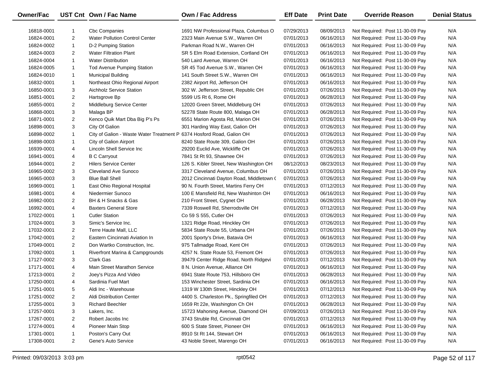| <b>Owner/Fac</b> |                | UST Cnt Own / Fac Name                                                | <b>Own / Fac Address</b>                  | <b>Eff Date</b> | <b>Print Date</b> | <b>Override Reason</b>          | <b>Denial Status</b> |
|------------------|----------------|-----------------------------------------------------------------------|-------------------------------------------|-----------------|-------------------|---------------------------------|----------------------|
| 16818-0001       | 1              | <b>Cbc Companies</b>                                                  | 1691 NW Professional Plaza, Columbus O    | 07/29/2013      | 08/09/2013        | Not Required: Post 11-30-09 Pay | N/A                  |
| 16824-0001       | $\overline{2}$ | <b>Water Pollution Control Center</b>                                 | 2323 Main Avenue S.W., Warren OH          | 07/01/2013      | 06/16/2013        | Not Required: Post 11-30-09 Pay | N/A                  |
| 16824-0002       | $\mathbf{1}$   | D-2 Pumping Station                                                   | Parkman Road N.W., Warren OH              | 07/01/2013      | 06/16/2013        | Not Required: Post 11-30-09 Pay | N/A                  |
| 16824-0003       | $\overline{2}$ | <b>Water Filtration Plant</b>                                         | SR 5 Elm Road Extension, Cortland OH      | 07/01/2013      | 06/16/2013        | Not Required: Post 11-30-09 Pay | N/A                  |
| 16824-0004       | $\mathbf{1}$   | <b>Water Distribution</b>                                             | 540 Laird Avenue, Warren OH               | 07/01/2013      | 06/16/2013        | Not Required: Post 11-30-09 Pay | N/A                  |
| 16824-0005       | $\mathbf{1}$   | Tod Avenue Pumping Station                                            | SR 45 Tod Avenue S.W., Warren OH          | 07/01/2013      | 06/16/2013        | Not Required: Post 11-30-09 Pay | N/A                  |
| 16824-0010       | $\mathbf{1}$   | <b>Municipal Building</b>                                             | 141 South Street S.W., Warren OH          | 07/01/2013      | 06/16/2013        | Not Required: Post 11-30-09 Pay | N/A                  |
| 16832-0001       | $\mathbf{1}$   | Northeast Ohio Regional Airport                                       | 2382 Airport Rd, Jefferson OH             | 07/01/2013      | 06/16/2013        | Not Required: Post 11-30-09 Pay | N/A                  |
| 16850-0001       | 3              | Aichholz Service Station                                              | 302 W. Jefferson Street, Republic OH      | 07/01/2013      | 07/26/2013        | Not Required: Post 11-30-09 Pay | N/A                  |
| 16851-0001       | $\overline{2}$ | Hartsgrove Bp                                                         | 5599 US Rt 6, Rome OH                     | 07/01/2013      | 06/28/2013        | Not Required: Post 11-30-09 Pay | N/A                  |
| 16855-0001       | $\overline{2}$ | Middleburg Service Center                                             | 12020 Green Street, Middleburg OH         | 07/01/2013      | 07/26/2013        | Not Required: Post 11-30-09 Pay | N/A                  |
| 16868-0001       | 3              | Malaga BP                                                             | 52278 State Route 800, Malaga OH          | 07/01/2013      | 06/28/2013        | Not Required: Post 11-30-09 Pay | N/A                  |
| 16871-0001       | $\overline{2}$ | Kenco Quik Mart Dba Big P's Ps                                        | 6551 Marion Agosta Rd, Marion OH          | 07/01/2013      | 07/26/2013        | Not Required: Post 11-30-09 Pay | N/A                  |
| 16898-0001       | 3              | City Of Galion                                                        | 301 Harding Way East, Galion OH           | 07/01/2013      | 07/26/2013        | Not Required: Post 11-30-09 Pay | N/A                  |
| 16898-0002       | $\mathbf{1}$   | City of Galion - Waste Water Treatment P 6374 Hosford Road, Galion OH |                                           | 07/01/2013      | 07/26/2013        | Not Required: Post 11-30-09 Pay | N/A                  |
| 16898-0003       | $\mathbf{1}$   | City of Galion Airport                                                | 8240 State Route 309, Galion OH           | 07/01/2013      | 07/26/2013        | Not Required: Post 11-30-09 Pay | N/A                  |
| 16939-0001       | 4              | Lincoln Shell Service Inc                                             | 29200 Euclid Ave, Wickliffe OH            | 07/01/2013      | 07/26/2013        | Not Required: Post 11-30-09 Pay | N/A                  |
| 16941-0001       | 4              | <b>B C Carryout</b>                                                   | 7841 St Rt 93, Shawnee OH                 | 07/01/2013      | 07/26/2013        | Not Required: Post 11-30-09 Pay | N/A                  |
| 16944-0001       | $\overline{2}$ | <b>Hilers Service Center</b>                                          | 126 S. Kibler Street, New Washington OH   | 08/12/2013      | 08/23/2013        | Not Required: Post 11-30-09 Pay | N/A                  |
| 16965-0002       | 3              | Cleveland Ave Sunoco                                                  | 3317 Cleveland Avenue, Columbus OH        | 07/01/2013      | 07/26/2013        | Not Required: Post 11-30-09 Pay | N/A                  |
| 16965-0003       | 3              | <b>Blue Ball Shell</b>                                                | 2012 Cincinnati Dayton Road, Middletown ( | 07/01/2013      | 07/26/2013        | Not Required: Post 11-30-09 Pay | N/A                  |
| 16969-0001       | $\mathbf{1}$   | East Ohio Regional Hospital                                           | 90 N. Fourth Street, Martins Ferry OH     | 07/01/2013      | 07/12/2013        | Not Required: Post 11-30-09 Pay | N/A                  |
| 16981-0001       | 4              | Niedermier Sunoco                                                     | 100 E Mansfield Rd, New Washinton OH      | 07/01/2013      | 06/16/2013        | Not Required: Post 11-30-09 Pay | N/A                  |
| 16982-0001       | $\overline{2}$ | BH & H Snacks & Gas                                                   | 210 Front Street, Cygnet OH               | 07/01/2013      | 06/28/2013        | Not Required: Post 11-30-09 Pay | N/A                  |
| 16992-0001       | 4              | <b>Baxters General Store</b>                                          | 7339 Roswell Rd, Sherrodsville OH         | 07/01/2013      | 07/12/2013        | Not Required: Post 11-30-09 Pay | N/A                  |
| 17022-0001       | $\mathbf{1}$   | <b>Cutler Station</b>                                                 | Co 59 S 555, Cutler OH                    | 07/01/2013      | 07/26/2013        | Not Required: Post 11-30-09 Pay | N/A                  |
| 17024-0001       | 3              | Simic's Service Inc.                                                  | 1321 Ridge Road, Hinckley OH              | 07/01/2013      | 07/26/2013        | Not Required: Post 11-30-09 Pay | N/A                  |
| 17032-0001       | $\overline{2}$ | Terre Haute Mall, LLC                                                 | 5834 State Route 55, Urbana OH            | 07/01/2013      | 07/26/2013        | Not Required: Post 11-30-09 Pay | N/A                  |
| 17042-0001       | $\overline{2}$ | Eastern Cincinnati Aviation In                                        | 2001 Sporty's Drive, Batavia OH           | 07/01/2013      | 06/16/2013        | Not Required: Post 11-30-09 Pay | N/A                  |
| 17049-0001       | $\overline{2}$ | Don Wartko Construction, Inc.                                         | 975 Tallmadge Road, Kent OH               | 07/01/2013      | 07/26/2013        | Not Required: Post 11-30-09 Pay | N/A                  |
| 17092-0001       | $\mathbf{1}$   | Riverfront Marina & Campgrounds                                       | 4257 N. State Route 53, Fremont OH        | 07/01/2013      | 07/26/2013        | Not Required: Post 11-30-09 Pay | N/A                  |
| 17127-0002       | 3              | <b>Clark Gas</b>                                                      | 39479 Center Ridge Road, North Ridgevi    | 07/01/2013      | 07/12/2013        | Not Required: Post 11-30-09 Pay | N/A                  |
| 17171-0001       | 4              | <b>Main Street Marathon Service</b>                                   | 8 N. Union Avenue, Alliance OH            | 07/01/2013      | 06/16/2013        | Not Required: Post 11-30-09 Pay | N/A                  |
| 17213-0001       | $\overline{2}$ | Joey's Pizza And Video                                                | 6941 State Route 753, Hillsboro OH        | 07/01/2013      | 06/28/2013        | Not Required: Post 11-30-09 Pay | N/A                  |
| 17250-0001       | 4              | Sardinia Fuel Mart                                                    | 153 Winchester Street, Sardinia OH        | 07/01/2013      | 06/16/2013        | Not Required: Post 11-30-09 Pay | N/A                  |
| 17251-0001       | 5              | Aldi Inc - Warehouse                                                  | 1319 W 130th Street, Hinckley OH          | 07/01/2013      | 07/12/2013        | Not Required: Post 11-30-09 Pay | N/A                  |
| 17251-0002       | $\overline{2}$ | Aldi Distribution Center                                              | 4400 S. Charleston Pk., Springfiled OH    | 07/01/2013      | 07/12/2013        | Not Required: Post 11-30-09 Pay | N/A                  |
| 17255-0001       | 3              | <b>Richard Beechler</b>                                               | 1659 Rt 22e, Washington Ch OH             | 07/01/2013      | 06/28/2013        | Not Required: Post 11-30-09 Pay | N/A                  |
| 17257-0001       | 3              | Lakers, Inc.                                                          | 15723 Mahoning Avenue, Diamond OH         | 07/09/2013      | 07/26/2013        | Not Required: Post 11-30-09 Pay | N/A                  |
| 17267-0001       | $\overline{2}$ | Robert Jacobs Inc                                                     | 3743 Struble Rd, Cincinnati OH            | 07/01/2013      | 07/12/2013        | Not Required: Post 11-30-09 Pay | N/A                  |
| 17274-0001       | 4              | Pioneer Main Stop                                                     | 600 S State Street, Pioneer OH            | 07/01/2013      | 06/16/2013        | Not Required: Post 11-30-09 Pay | N/A                  |
| 17301-0001       | 1              | Poston's Carry Out                                                    | 8910 St Rt 144, Stewart OH                | 07/01/2013      | 06/16/2013        | Not Required: Post 11-30-09 Pay | N/A                  |
| 17308-0001       | $\overline{2}$ | Gene's Auto Service                                                   | 43 Noble Street, Marengo OH               | 07/01/2013      | 06/16/2013        | Not Required: Post 11-30-09 Pay | N/A                  |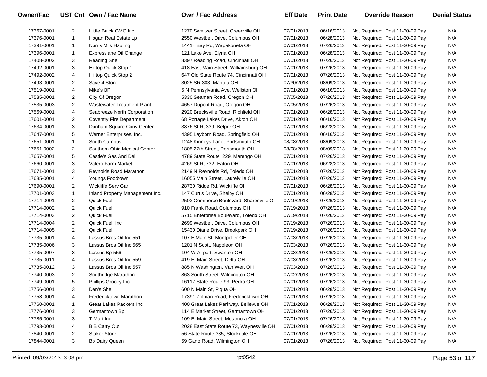| Owner/Fac  |                | UST Cnt Own / Fac Name            | Own / Fac Address                        | <b>Eff Date</b> | <b>Print Date</b> | <b>Override Reason</b>          | <b>Denial Status</b> |
|------------|----------------|-----------------------------------|------------------------------------------|-----------------|-------------------|---------------------------------|----------------------|
| 17367-0001 | 2              | Hittle Buick GMC Inc.             | 1270 Sweitzer Street, Greenville OH      | 07/01/2013      | 06/16/2013        | Not Required: Post 11-30-09 Pay | N/A                  |
| 17376-0001 | $\mathbf{1}$   | Hogan Real Estate Lp              | 2550 Westbelt Drive, Columbus OH         | 07/01/2013      | 06/28/2013        | Not Required: Post 11-30-09 Pay | N/A                  |
| 17391-0001 | $\mathbf{1}$   | Norris Milk Hauling               | 14414 Bay Rd, Wapakoneta OH              | 07/01/2013      | 07/26/2013        | Not Required: Post 11-30-09 Pay | N/A                  |
| 17396-0001 | $\mathbf{1}$   | Expresslane Oil Change            | 121 Lake Ave, Elyria OH                  | 07/01/2013      | 06/28/2013        | Not Required: Post 11-30-09 Pay | N/A                  |
| 17408-0002 | 3              | <b>Reading Shell</b>              | 8397 Reading Road, Cincinnati OH         | 07/01/2013      | 07/26/2013        | Not Required: Post 11-30-09 Pay | N/A                  |
| 17492-0001 | 3              | Hilltop Quick Stop 1              | 418 East Main Street, Williamsburg OH    | 07/01/2013      | 07/26/2013        | Not Required: Post 11-30-09 Pay | N/A                  |
| 17492-0002 | 4              | Hilltop Quick Stop 2              | 647 Old State Route 74, Cincinnati OH    | 07/01/2013      | 07/26/2013        | Not Required: Post 11-30-09 Pay | N/A                  |
| 17493-0001 | $\overline{2}$ | Save 4 Store                      | 3025 SR 303, Mantua OH                   | 07/30/2013      | 08/09/2013        | Not Required: Post 11-30-09 Pay | N/A                  |
| 17519-0001 | 4              | Mike's BP                         | 5 N Pennsylvania Ave, Wellston OH        | 07/01/2013      | 06/16/2013        | Not Required: Post 11-30-09 Pay | N/A                  |
| 17535-0001 | 2              | City Of Oregon                    | 5330 Seaman Road, Oregon OH              | 07/05/2013      | 07/26/2013        | Not Required: Post 11-30-09 Pay | N/A                  |
| 17535-0003 | $\overline{2}$ | <b>Wastewater Treatment Plant</b> | 4657 Dupont Road, Oregon OH              | 07/05/2013      | 07/26/2013        | Not Required: Post 11-30-09 Pay | N/A                  |
| 17569-0001 | 4              | Seabreeze North Corporation       | 2920 Brecksville Road, Richfield OH      | 07/01/2013      | 06/28/2013        | Not Required: Post 11-30-09 Pay | N/A                  |
| 17601-0001 | $\overline{2}$ | <b>Coventry Fire Department</b>   | 68 Portage Lakes Drive, Akron OH         | 07/01/2013      | 06/16/2013        | Not Required: Post 11-30-09 Pay | N/A                  |
| 17634-0001 | 3              | Dunham Square Conv Center         | 3876 St Rt 339, Belpre OH                | 07/01/2013      | 06/28/2013        | Not Required: Post 11-30-09 Pay | N/A                  |
| 17647-0001 | 5              | Werner Enterprises, Inc.          | 4395 Layborn Road, Springfield OH        | 07/01/2013      | 06/16/2013        | Not Required: Post 11-30-09 Pay | N/A                  |
| 17651-0001 | $\mathbf{1}$   | South Campus                      | 1248 Kinneys Lane, Portsmouth OH         | 08/08/2013      | 08/09/2013        | Not Required: Post 11-30-09 Pay | N/A                  |
| 17651-0002 | $\overline{2}$ | Southern Ohio Medical Center      | 1805 27th Street, Portsmouth OH          | 08/08/2013      | 08/09/2013        | Not Required: Post 11-30-09 Pay | N/A                  |
| 17657-0001 | 5              | Castle's Gas And Deli             | 4789 State Route 229, Marengo OH         | 07/01/2013      | 07/26/2013        | Not Required: Post 11-30-09 Pay | N/A                  |
| 17660-0001 | 3              | Valero Farm Market                | 4269 St Rt 732, Eaton OH                 | 07/01/2013      | 06/28/2013        | Not Required: Post 11-30-09 Pay | N/A                  |
| 17671-0001 | 3              | Reynolds Road Marathon            | 2149 N Reynolds Rd, Toledo OH            | 07/01/2013      | 07/26/2013        | Not Required: Post 11-30-09 Pay | N/A                  |
| 17685-0001 | 4              | Youngs Foodtown                   | 16055 Main Street, Laurelville OH        | 07/01/2013      | 07/26/2013        | Not Required: Post 11-30-09 Pay | N/A                  |
| 17690-0001 | $\overline{2}$ | Wickliffe Serv Gar                | 28730 Ridge Rd, Wickliffe OH             | 07/01/2013      | 06/28/2013        | Not Required: Post 11-30-09 Pay | N/A                  |
| 17701-0003 | $\mathbf{1}$   | Inland Property Management Inc.   | 147 Curtis Drive, Shelby OH              | 07/01/2013      | 06/28/2013        | Not Required: Post 11-30-09 Pay | N/A                  |
| 17714-0001 | $\overline{2}$ | Quick Fuel                        | 2502 Commerce Boulevard, Sharonville O   | 07/19/2013      | 07/26/2013        | Not Required: Post 11-30-09 Pay | N/A                  |
| 17714-0002 | 2              | <b>Quick Fuel</b>                 | 910 Frank Road, Columbus OH              | 07/19/2013      | 07/26/2013        | Not Required: Post 11-30-09 Pay | N/A                  |
| 17714-0003 | $\overline{2}$ | Quick Fuel                        | 5715 Enterprise Boulevard, Toledo OH     | 07/19/2013      | 07/26/2013        | Not Required: Post 11-30-09 Pay | N/A                  |
| 17714-0004 | $\overline{2}$ | Quick Fuel Inc                    | 2699 Westbelt Drive, Columbus OH         | 07/19/2013      | 07/26/2013        | Not Required: Post 11-30-09 Pay | N/A                  |
| 17714-0005 | $\overline{2}$ | Quick Fuel                        | 15430 Diane Drive, Brookpark OH          | 07/19/2013      | 07/26/2013        | Not Required: Post 11-30-09 Pay | N/A                  |
| 17735-0001 | 4              | Lassus Bros Oil Inc 551           | 107 E Main St, Montpelier OH             | 07/03/2013      | 07/26/2013        | Not Required: Post 11-30-09 Pay | N/A                  |
| 17735-0006 | 3              | Lassus Bros Oil Inc 565           | 1201 N Scott, Napoleon OH                | 07/03/2013      | 07/26/2013        | Not Required: Post 11-30-09 Pay | N/A                  |
| 17735-0007 | 3              | Lassus Bp 556                     | 104 W Airport, Swanton OH                | 07/03/2013      | 07/26/2013        | Not Required: Post 11-30-09 Pay | N/A                  |
| 17735-0011 | 4              | Lassus Bros Oil Inc 559           | 419 E. Main Street, Delta OH             | 07/03/2013      | 07/26/2013        | Not Required: Post 11-30-09 Pay | N/A                  |
| 17735-0012 | 3              | Lassus Bros Oil Inc 557           | 885 N Washington, Van Wert OH            | 07/03/2013      | 07/26/2013        | Not Required: Post 11-30-09 Pay | N/A                  |
| 17740-0003 | $\overline{2}$ | Southridge Marathon               | 863 South Street, Wilmington OH          | 07/02/2013      | 07/26/2013        | Not Required: Post 11-30-09 Pay | N/A                  |
| 17749-0001 | 5              | Phillips Grocey Inc               | 16117 State Route 93, Pedro OH           | 07/01/2013      | 07/26/2013        | Not Required: Post 11-30-09 Pay | N/A                  |
| 17756-0001 | 3              | Dan's Shell                       | 600 N Main St, Piqua OH                  | 07/01/2013      | 06/28/2013        | Not Required: Post 11-30-09 Pay | N/A                  |
| 17758-0001 | 4              | Fredericktown Marathon            | 17391 Zolman Road, Fredericktown OH      | 07/01/2013      | 07/26/2013        | Not Required: Post 11-30-09 Pay | N/A                  |
| 17760-0001 | 1              | Great Lakes Packers Inc           | 400 Great Lakes Parkway, Bellevue OH     | 07/01/2013      | 06/28/2013        | Not Required: Post 11-30-09 Pay | N/A                  |
| 17776-0001 | 3              | Germantown Bp                     | 114 E Market Street, Germantown OH       | 07/01/2013      | 07/26/2013        | Not Required: Post 11-30-09 Pay | N/A                  |
| 17785-0001 | 3              | T-Mart Inc                        | 109 E. Main Street, Metamora OH          | 07/01/2013      | 07/26/2013        | Not Required: Post 11-30-09 Pay | N/A                  |
| 17793-0001 | 4              | <b>B B Carry Out</b>              | 2028 East State Route 73, Waynesville OH | 07/01/2013      | 06/28/2013        | Not Required: Post 11-30-09 Pay | N/A                  |
| 17840-0001 | 2              | <b>Staker Store</b>               | 56 State Route 335, Stockdale OH         | 07/01/2013      | 07/26/2013        | Not Required: Post 11-30-09 Pay | N/A                  |
| 17844-0001 | 3              | Bp Dairy Queen                    | 59 Gano Road, Wilmington OH              | 07/01/2013      | 07/26/2013        | Not Required: Post 11-30-09 Pay | N/A                  |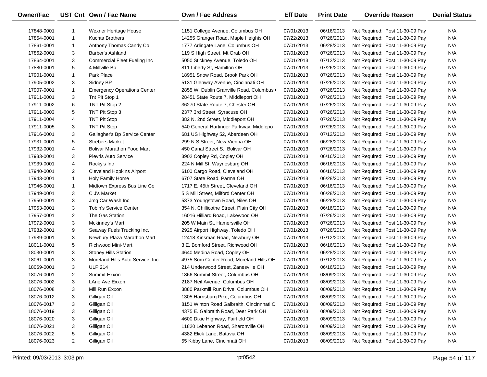| Owner/Fac  |                | UST Cnt Own / Fac Name              | Own / Fac Address                         | <b>Eff Date</b> | <b>Print Date</b> | <b>Override Reason</b>          | <b>Denial Status</b> |
|------------|----------------|-------------------------------------|-------------------------------------------|-----------------|-------------------|---------------------------------|----------------------|
| 17848-0001 |                | Wexner Heritage House               | 1151 College Avenue, Columbus OH          | 07/01/2013      | 06/16/2013        | Not Required: Post 11-30-09 Pay | N/A                  |
| 17854-0001 | $\mathbf{1}$   | Kuchta Brothers                     | 14255 Granger Road, Maple Heights OH      | 07/22/2013      | 07/26/2013        | Not Required: Post 11-30-09 Pay | N/A                  |
| 17861-0001 | $\mathbf{1}$   | Anthony Thomas Candy Co             | 1777 Arlingate Lane, Columbus OH          | 07/01/2013      | 06/28/2013        | Not Required: Post 11-30-09 Pay | N/A                  |
| 17862-0001 | 3              | Barber's Ashland                    | 119 S High Street, Mt Orab OH             | 07/01/2013      | 07/26/2013        | Not Required: Post 11-30-09 Pay | N/A                  |
| 17864-0001 | 3              | <b>Commercial Fleet Fueling Inc</b> | 5050 Stickney Avenue, Toledo OH           | 07/01/2013      | 07/12/2013        | Not Required: Post 11-30-09 Pay | N/A                  |
| 17880-0001 | 5              | 4 Millville Bp                      | 811 Liberty St, Hamilton OH               | 07/01/2013      | 07/26/2013        | Not Required: Post 11-30-09 Pay | N/A                  |
| 17901-0001 | $\mathbf{1}$   | Park Place                          | 18951 Snow Road, Brook Park OH            | 07/01/2013      | 07/26/2013        | Not Required: Post 11-30-09 Pay | N/A                  |
| 17905-0002 | 3              | Sidney BP                           | 5131 Glenway Avenue, Cincinnati OH        | 07/01/2013      | 07/26/2013        | Not Required: Post 11-30-09 Pay | N/A                  |
| 17907-0001 | $\mathbf{1}$   | <b>Emergency Operations Center</b>  | 2855 W. Dublin Granville Road, Columbus ( | 07/01/2013      | 07/26/2013        | Not Required: Post 11-30-09 Pay | N/A                  |
| 17911-0001 | 3              | Tnt Pit Stop 1                      | 28451 State Route 7, Middleport OH        | 07/01/2013      | 07/26/2013        | Not Required: Post 11-30-09 Pay | N/A                  |
| 17911-0002 | 6              | TNT Pit Stop 2                      | 36270 State Route 7, Chester OH           | 07/01/2013      | 07/26/2013        | Not Required: Post 11-30-09 Pay | N/A                  |
| 17911-0003 | 5              | TNT Pit Stop 3                      | 2377 3rd Street, Syracuse OH              | 07/01/2013      | 07/26/2013        | Not Required: Post 11-30-09 Pay | N/A                  |
| 17911-0004 | 4              | <b>TNT Pit Stop</b>                 | 382 N. 2nd Street, Middleport OH          | 07/01/2013      | 07/26/2013        | Not Required: Post 11-30-09 Pay | N/A                  |
| 17911-0005 | 3              | <b>TNT Pit Stop</b>                 | 540 General Hartinger Parkway, Middlepo   | 07/01/2013      | 07/26/2013        | Not Required: Post 11-30-09 Pay | N/A                  |
| 17916-0001 | 3              | Gallagher's Bp Service Center       | 681 US Highway 52, Aberdeen OH            | 07/01/2013      | 07/12/2013        | Not Required: Post 11-30-09 Pay | N/A                  |
| 17931-0001 | 5              | <b>Strebers Market</b>              | 299 N S Street, New Vienna OH             | 07/01/2013      | 06/28/2013        | Not Required: Post 11-30-09 Pay | N/A                  |
| 17932-0001 | 4              | <b>Bolivar Marathon Food Mart</b>   | 450 Canal Street S., Bolivar OH           | 07/01/2013      | 07/26/2013        | Not Required: Post 11-30-09 Pay | N/A                  |
| 17933-0001 | 3              | <b>Plevris Auto Service</b>         | 3902 Copley Rd, Copley OH                 | 07/01/2013      | 06/16/2013        | Not Required: Post 11-30-09 Pay | N/A                  |
| 17939-0001 | 4              | Rocky's Inc                         | 224 N Mill St, Waynesburg OH              | 07/01/2013      | 06/16/2013        | Not Required: Post 11-30-09 Pay | N/A                  |
| 17940-0001 | $\overline{2}$ | <b>Cleveland Hopkins Airport</b>    | 6100 Cargo Road, Cleveland OH             | 07/01/2013      | 06/16/2013        | Not Required: Post 11-30-09 Pay | N/A                  |
| 17943-0001 | $\mathbf{1}$   | Holy Family Home                    | 6707 State Road, Parma OH                 | 07/01/2013      | 06/28/2013        | Not Required: Post 11-30-09 Pay | N/A                  |
| 17946-0001 | $\mathbf{1}$   | Midtown Express Bus Line Co         | 1717 E. 45th Street, Cleveland OH         | 07/01/2013      | 06/16/2013        | Not Required: Post 11-30-09 Pay | N/A                  |
| 17949-0001 | 3              | C J's Market                        | 5 S Mill Street, Milford Center OH        | 07/01/2013      | 06/28/2013        | Not Required: Post 11-30-09 Pay | N/A                  |
| 17950-0001 | 3              | Jmg Car Wash Inc                    | 5373 Youngstown Road, Niles OH            | 07/01/2013      | 06/28/2013        | Not Required: Post 11-30-09 Pay | N/A                  |
| 17953-0001 | 3              | <b>Tobin's Service Center</b>       | 354 N. Chillicothe Street, Plain City OH  | 07/01/2013      | 06/16/2013        | Not Required: Post 11-30-09 Pay | N/A                  |
| 17957-0001 | $\overline{2}$ | The Gas Station                     | 16016 Hilliard Road, Lakewood OH          | 07/01/2013      | 07/26/2013        | Not Required: Post 11-30-09 Pay | N/A                  |
| 17972-0001 | 3              | Mckinney's Mart                     | 205 W Main St, Hamersville OH             | 07/01/2013      | 07/26/2013        | Not Required: Post 11-30-09 Pay | N/A                  |
| 17982-0001 | 9              | Seaway Fuels Trucking Inc.          | 2925 Airport Highway, Toledo OH           | 07/01/2013      | 07/26/2013        | Not Required: Post 11-30-09 Pay | N/A                  |
| 17989-0001 | 3              | Newbury Plaza Marathon Mart         | 12418 Kinsman Road, Newbury OH            | 07/01/2013      | 07/12/2013        | Not Required: Post 11-30-09 Pay | N/A                  |
| 18011-0001 | 5              | <b>Richwood Mini-Mart</b>           | 3 E. Bomford Street, Richwood OH          | 07/01/2013      | 06/16/2013        | Not Required: Post 11-30-09 Pay | N/A                  |
| 18030-0001 | 3              | <b>Stoney Hills Station</b>         | 4640 Medina Road, Copley OH               | 07/01/2013      | 06/28/2013        | Not Required: Post 11-30-09 Pay | N/A                  |
| 18061-0001 | 3              | Moreland Hills Auto Service, Inc.   | 4975 Som Center Road, Moreland Hills OH   | 07/01/2013      | 07/12/2013        | Not Required: Post 11-30-09 Pay | N/A                  |
| 18069-0001 | 3              | <b>ULP 214</b>                      | 214 Underwood Street, Zanesville OH       | 07/01/2013      | 06/16/2013        | Not Required: Post 11-30-09 Pay | N/A                  |
| 18076-0001 | $\overline{2}$ | Summit Exxon                        | 1866 Summit Street, Columbus OH           | 07/01/2013      | 08/09/2013        | Not Required: Post 11-30-09 Pay | N/A                  |
| 18076-0002 | 3              | LAne Ave Exxon                      | 2187 Neil Avenue, Columbus OH             | 07/01/2013      | 08/09/2013        | Not Required: Post 11-30-09 Pay | N/A                  |
| 18076-0008 | 3              | Mill Run Exxon                      | 3880 Parkmill Run Drive, Columbus OH      | 07/01/2013      | 08/09/2013        | Not Required: Post 11-30-09 Pay | N/A                  |
| 18076-0012 | 3              | Gilligan Oil                        | 1305 Harrisburg Pike, Columbus OH         | 07/01/2013      | 08/09/2013        | Not Required: Post 11-30-09 Pay | N/A                  |
| 18076-0017 | 3              | Gilligan Oil                        | 8151 Winton Road Galbraith, Cincinnnati O | 07/01/2013      | 08/09/2013        | Not Required: Post 11-30-09 Pay | N/A                  |
| 18076-0019 | 3              | Gilligan Oil                        | 4375 E. Galbraith Road, Deer Park OH      | 07/01/2013      | 08/09/2013        | Not Required: Post 11-30-09 Pay | N/A                  |
| 18076-0020 | 3              | Gilligan Oil                        | 4600 Dixie Highway, Fairfield OH          | 07/01/2013      | 08/09/2013        | Not Required: Post 11-30-09 Pay | N/A                  |
| 18076-0021 | 3              | Gilligan Oil                        | 11820 Lebanon Road, Sharonville OH        | 07/01/2013      | 08/09/2013        | Not Required: Post 11-30-09 Pay | N/A                  |
| 18076-0022 | 5              | Gilligan Oil                        | 4382 Elick Lane, Batavia OH               | 07/01/2013      | 08/09/2013        | Not Required: Post 11-30-09 Pay | N/A                  |
| 18076-0023 | $\overline{2}$ | Gilligan Oil                        | 55 Kibby Lane, Cincinnati OH              | 07/01/2013      | 08/09/2013        | Not Required: Post 11-30-09 Pay | N/A                  |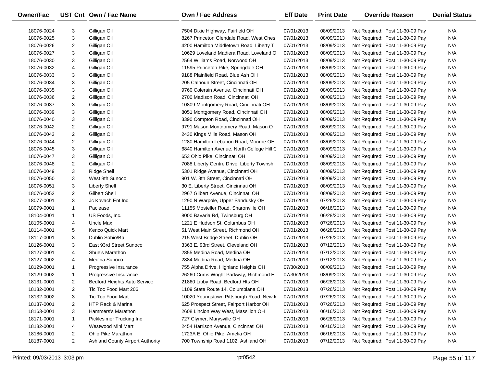| Owner/Fac  |                         | UST Cnt Own / Fac Name                  | <b>Own / Fac Address</b>                   | <b>Eff Date</b> | <b>Print Date</b> | <b>Override Reason</b>          | <b>Denial Status</b> |
|------------|-------------------------|-----------------------------------------|--------------------------------------------|-----------------|-------------------|---------------------------------|----------------------|
| 18076-0024 | 3                       | Gilligan Oil                            | 7504 Dixie Highway, Fairfield OH           | 07/01/2013      | 08/09/2013        | Not Required: Post 11-30-09 Pay | N/A                  |
| 18076-0025 | 3                       | Gilligan Oil                            | 8267 Princeton Glendale Road, West Ches    | 07/01/2013      | 08/09/2013        | Not Required: Post 11-30-09 Pay | N/A                  |
| 18076-0026 | 2                       | Gilligan Oil                            | 4200 Hamilton Middletown Road, Liberty T   | 07/01/2013      | 08/09/2013        | Not Required: Post 11-30-09 Pay | N/A                  |
| 18076-0027 | 3                       | Gilligan Oil                            | 10629 Loveland Madiera Road, Loveland C    | 07/01/2013      | 08/09/2013        | Not Required: Post 11-30-09 Pay | N/A                  |
| 18076-0030 | 3                       | Gilligan Oil                            | 2564 Williams Road, Norwood OH             | 07/01/2013      | 08/09/2013        | Not Required: Post 11-30-09 Pay | N/A                  |
| 18076-0032 | 4                       | Gilligan Oil                            | 11595 Princeton Pike, Springdale OH        | 07/01/2013      | 08/09/2013        | Not Required: Post 11-30-09 Pay | N/A                  |
| 18076-0033 | 3                       | Gilligan Oil                            | 9188 Plainfield Road, Blue Ash OH          | 07/01/2013      | 08/09/2013        | Not Required: Post 11-30-09 Pay | N/A                  |
| 18076-0034 | 3                       | Gilligan Oil                            | 205 Calhoun Street, Cincinnati OH          | 07/01/2013      | 08/09/2013        | Not Required: Post 11-30-09 Pay | N/A                  |
| 18076-0035 | 3                       | Gilligan Oil                            | 9760 Colerain Avenue, Cincinnati OH        | 07/01/2013      | 08/09/2013        | Not Required: Post 11-30-09 Pay | N/A                  |
| 18076-0036 | $\overline{\mathbf{c}}$ | Gilligan Oil                            | 2700 Madison Road, Cincinnati OH           | 07/01/2013      | 08/09/2013        | Not Required: Post 11-30-09 Pay | N/A                  |
| 18076-0037 | 3                       | Gilligan Oil                            | 10809 Montgomery Road, Cincinnati OH       | 07/01/2013      | 08/09/2013        | Not Required: Post 11-30-09 Pay | N/A                  |
| 18076-0039 | 3                       | Gilligan Oil                            | 8051 Montgomery Road, Cincinnati OH        | 07/01/2013      | 08/09/2013        | Not Required: Post 11-30-09 Pay | N/A                  |
| 18076-0040 | 3                       | Gilligan Oil                            | 3390 Compton Road, Cincinnati OH           | 07/01/2013      | 08/09/2013        | Not Required: Post 11-30-09 Pay | N/A                  |
| 18076-0042 | 2                       | Gilligan Oil                            | 9791 Mason Montgomery Road, Mason O        | 07/01/2013      | 08/09/2013        | Not Required: Post 11-30-09 Pay | N/A                  |
| 18076-0043 | $\overline{2}$          | Gilligan Oil                            | 2430 Kings Mills Road, Mason OH            | 07/01/2013      | 08/09/2013        | Not Required: Post 11-30-09 Pay | N/A                  |
| 18076-0044 | $\overline{\mathbf{c}}$ | Gilligan Oil                            | 1280 Hamilton Lebanon Road, Monroe OH      | 07/01/2013      | 08/09/2013        | Not Required: Post 11-30-09 Pay | N/A                  |
| 18076-0045 | 3                       | Gilligan Oil                            | 6840 Hamilton Avenue, North College Hill C | 07/01/2013      | 08/09/2013        | Not Required: Post 11-30-09 Pay | N/A                  |
| 18076-0047 | 3                       | Gilligan Oil                            | 653 Ohio Pike, Cincinnati OH               | 07/01/2013      | 08/09/2013        | Not Required: Post 11-30-09 Pay | N/A                  |
| 18076-0048 | 2                       | Gilligan Oil                            | 7088 Liberty Centre Drive, Liberty Townshi | 07/01/2013      | 08/09/2013        | Not Required: Post 11-30-09 Pay | N/A                  |
| 18076-0049 | 3                       | <b>Ridge Shell</b>                      | 5301 Ridge Avenue, Cincinnati OH           | 07/01/2013      | 08/09/2013        | Not Required: Post 11-30-09 Pay | N/A                  |
| 18076-0050 | 3                       | West 8th Sunoco                         | 901 W. 8th Street, Cincinnati OH           | 07/01/2013      | 08/09/2013        | Not Required: Post 11-30-09 Pay | N/A                  |
| 18076-0051 | 3                       | <b>Liberty Shell</b>                    | 30 E. Liberty Street, Cincinnati OH        | 07/01/2013      | 08/09/2013        | Not Required: Post 11-30-09 Pay | N/A                  |
| 18076-0052 | $\overline{2}$          | <b>Gilbert Shell</b>                    | 2967 Gilbert Avenue, Cincinnati OH         | 07/01/2013      | 08/09/2013        | Not Required: Post 11-30-09 Pay | N/A                  |
| 18077-0001 | 3                       | Jc Kovach Ent Inc                       | 1290 N Warpole, Upper Sandusky OH          | 07/01/2013      | 07/26/2013        | Not Required: Post 11-30-09 Pay | N/A                  |
| 18079-0001 | 1                       | Paclease                                | 11155 Mosteller Road, Sharonville OH       | 07/01/2013      | 06/16/2013        | Not Required: Post 11-30-09 Pay | N/A                  |
| 18104-0001 | 1                       | US Foods, Inc.                          | 8000 Bavaria Rd, Twinsburg OH              | 07/01/2013      | 06/28/2013        | Not Required: Post 11-30-09 Pay | N/A                  |
| 18105-0001 | 4                       | Uncle Max                               | 1221 E Hudson St, Columbus OH              | 07/01/2013      | 07/26/2013        | Not Required: Post 11-30-09 Pay | N/A                  |
| 18114-0001 | 5                       | Kenco Quick Mart                        | 51 West Main Street, Richmond OH           | 07/01/2013      | 06/28/2013        | Not Required: Post 11-30-09 Pay | N/A                  |
| 18117-0001 | 3                       | Dublin Sohio/Bp                         | 215 West Bridge Street, Dublin OH          | 07/01/2013      | 07/26/2013        | Not Required: Post 11-30-09 Pay | N/A                  |
| 18126-0001 | 3                       | East 93rd Street Sunoco                 | 3363 E. 93rd Street, Cleveland OH          | 07/01/2013      | 07/12/2013        | Not Required: Post 11-30-09 Pay | N/A                  |
| 18127-0001 | 4                       | Shue's Marathon                         | 2855 Medina Road, Medina OH                | 07/01/2013      | 07/12/2013        | Not Required: Post 11-30-09 Pay | N/A                  |
| 18127-0002 | 4                       | Medina Sunoco                           | 2884 Medina Road, Medina OH                | 07/01/2013      | 07/12/2013        | Not Required: Post 11-30-09 Pay | N/A                  |
| 18129-0001 | 1                       | Progressive Insurance                   | 755 Alpha Drive, Highland Heights OH       | 07/30/2013      | 08/09/2013        | Not Required: Post 11-30-09 Pay | N/A                  |
| 18129-0002 | 1                       | Progressive Insurance                   | 26260 Curtis Wright Parkway, Richmond H    | 07/30/2013      | 08/09/2013        | Not Required: Post 11-30-09 Pay | N/A                  |
| 18131-0001 | $\overline{2}$          | <b>Bedford Heights Auto Service</b>     | 21860 Libby Road, Bedford Hts OH           | 07/01/2013      | 06/28/2013        | Not Required: Post 11-30-09 Pay | N/A                  |
| 18132-0001 | 2                       | Tic Toc Food Mart 206                   | 1109 State Route 14, Columbiana OH         | 07/01/2013      | 07/26/2013        | Not Required: Post 11-30-09 Pay | N/A                  |
| 18132-0002 | 3                       | Tic Toc Food Mart                       | 10020 Youngstown Pittsburgh Road, New M    | 07/01/2013      | 07/26/2013        | Not Required: Post 11-30-09 Pay | N/A                  |
| 18137-0001 | 2                       | HTP Rack & Marina                       | 625 Prospect Street, Fairport Harbor OH    | 07/01/2013      | 07/26/2013        | Not Required: Post 11-30-09 Pay | N/A                  |
| 18163-0001 | 3                       | Hammers's Marathon                      | 2608 Linclon Way West, Massillon OH        | 07/01/2013      | 06/16/2013        | Not Required: Post 11-30-09 Pay | N/A                  |
| 18171-0001 | 1                       | Picklesimer Trucking Inc                | 727 Clymer, Marysville OH                  | 07/01/2013      | 06/28/2013        | Not Required: Post 11-30-09 Pay | N/A                  |
| 18182-0001 | 4                       | Westwood Mini Mart                      | 2454 Harrison Avenue, Cincinnati OH        | 07/01/2013      | 06/16/2013        | Not Required: Post 11-30-09 Pay | N/A                  |
| 18186-0001 | 2                       | Ohio Pike Marathon                      | 1723A E. Ohio Pike, Amelia OH              | 07/01/2013      | 06/16/2013        | Not Required: Post 11-30-09 Pay | N/A                  |
| 18187-0001 | $\overline{a}$          | <b>Ashland County Airport Authority</b> | 700 Township Road 1102, Ashland OH         | 07/01/2013      | 07/12/2013        | Not Required: Post 11-30-09 Pay | N/A                  |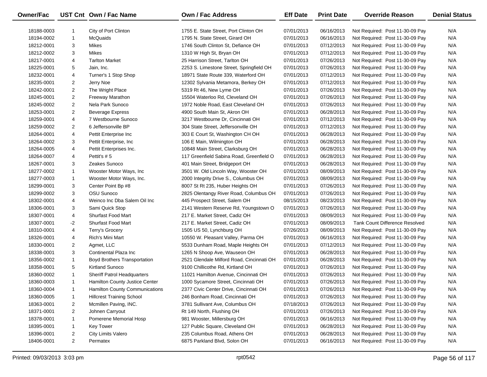| <b>Owner/Fac</b> |                | UST Cnt Own / Fac Name           | <b>Own / Fac Address</b>                  | <b>Eff Date</b> | <b>Print Date</b> | <b>Override Reason</b>                | <b>Denial Status</b> |
|------------------|----------------|----------------------------------|-------------------------------------------|-----------------|-------------------|---------------------------------------|----------------------|
| 18188-0003       | 1              | City of Port Clinton             | 1755 E. State Street, Port Clinton OH     | 07/01/2013      | 06/16/2013        | Not Required: Post 11-30-09 Pay       | N/A                  |
| 18194-0002       | $\mathbf{1}$   | McQuaids                         | 1795 N. State Street, Girard OH           | 07/01/2013      | 06/16/2013        | Not Required: Post 11-30-09 Pay       | N/A                  |
| 18212-0001       | 3              | Mikes                            | 1746 South Clinton St, Defiance OH        | 07/01/2013      | 07/12/2013        | Not Required: Post 11-30-09 Pay       | N/A                  |
| 18212-0002       | 3              | Mikes                            | 1310 W High St, Bryan OH                  | 07/01/2013      | 07/12/2013        | Not Required: Post 11-30-09 Pay       | N/A                  |
| 18217-0001       | 4              | <b>Tarlton Market</b>            | 25 Harrison Street, Tarlton OH            | 07/01/2013      | 07/26/2013        | Not Required: Post 11-30-09 Pay       | N/A                  |
| 18225-0001       | 5              | Jain, Inc.                       | 2253 S. Limestone Street, Springfield OH  | 07/01/2013      | 07/26/2013        | Not Required: Post 11-30-09 Pay       | N/A                  |
| 18232-0001       | 4              | Turner's 1 Stop Shop             | 18971 State Route 339, Waterford OH       | 07/01/2013      | 07/12/2013        | Not Required: Post 11-30-09 Pay       | N/A                  |
| 18235-0001       | 2              | Jerry Noe                        | 12302 Sylvania Metamora, Berkey OH        | 07/01/2013      | 07/12/2013        | Not Required: Post 11-30-09 Pay       | N/A                  |
| 18242-0001       | $\overline{2}$ | The Wright Place                 | 5319 Rt 46, New Lyme OH                   | 07/01/2013      | 07/26/2013        | Not Required: Post 11-30-09 Pay       | N/A                  |
| 18245-0001       | $\overline{2}$ | Freeway Marathon                 | 15504 Waterloo Rd, Cleveland OH           | 07/01/2013      | 07/26/2013        | Not Required: Post 11-30-09 Pay       | N/A                  |
| 18245-0002       | 2              | Nela Park Sunoco                 | 1972 Noble Road, East Cleveland OH        | 07/01/2013      | 07/26/2013        | Not Required: Post 11-30-09 Pay       | N/A                  |
| 18253-0001       | 2              | <b>Beverage Express</b>          | 4900 South Main St, Akron OH              | 07/01/2013      | 06/28/2013        | Not Required: Post 11-30-09 Pay       | N/A                  |
| 18259-0001       | 4              | 7 Westbourne Sunoco              | 3217 Westbourne Dr, Cincinnati OH         | 07/01/2013      | 07/12/2013        | Not Required: Post 11-30-09 Pay       | N/A                  |
| 18259-0002       | 2              | 6 Jeffersonville BP              | 304 State Street, Jeffersonville OH       | 07/01/2013      | 07/12/2013        | Not Required: Post 11-30-09 Pay       | N/A                  |
| 18264-0001       | 4              | Pettit Enterprise Inc            | 303 E Court St, Washington CH OH          | 07/01/2013      | 06/28/2013        | Not Required: Post 11-30-09 Pay       | N/A                  |
| 18264-0002       | 3              | Pettit Enterprise, Inc.          | 106 E Main, Wilmington OH                 | 07/01/2013      | 06/28/2013        | Not Required: Post 11-30-09 Pay       | N/A                  |
| 18264-0005       | 4              | Pettit Enterprises Inc.          | 10848 Main Street, Clarksburg OH          | 07/01/2013      | 06/28/2013        | Not Required: Post 11-30-09 Pay       | N/A                  |
| 18264-0007       | 4              | Pettit's #5                      | 117 Greenfield Sabina Road, Greenfield O  | 07/01/2013      | 06/28/2013        | Not Required: Post 11-30-09 Pay       | N/A                  |
| 18267-0001       | 3              | Zeakes Sunoco                    | 401 Main Street, Bridgeport OH            | 07/01/2013      | 06/28/2013        | Not Required: Post 11-30-09 Pay       | N/A                  |
| 18277-0002       | $\mathbf{1}$   | Wooster Motor Ways, Inc          | 3501 W. Old Lincoln Way, Wooster OH       | 07/01/2013      | 08/09/2013        | Not Required: Post 11-30-09 Pay       | N/A                  |
| 18277-0003       | $\mathbf{1}$   | Wooster Motor Ways, Inc.         | 2000 Integrity Drive S., Columbus OH      | 07/01/2013      | 08/09/2013        | Not Required: Post 11-30-09 Pay       | N/A                  |
| 18299-0001       | 3              | Center Point Bp #8               | 8007 St Rt 235, Huber Heights OH          | 07/01/2013      | 07/26/2013        | Not Required: Post 11-30-09 Pay       | N/A                  |
| 18299-0002       | 3              | OSU Sunoco                       | 2825 Olentangy River Road, Columbus OH    | 07/01/2013      | 07/26/2013        | Not Required: Post 11-30-09 Pay       | N/A                  |
| 18302-0001       | 4              | Weinco Inc Dba Salem Oil Inc     | 445 Prospect Street, Salem OH             | 08/15/2013      | 08/23/2013        | Not Required: Post 11-30-09 Pay       | N/A                  |
| 18306-0001       | 3              | Sami Quick Stop                  | 2141 Western Reserve Rd, Youngstown O     | 07/01/2013      | 07/26/2013        | Not Required: Post 11-30-09 Pay       | N/A                  |
| 18307-0001       | 4              | <b>Shurfast Food Mart</b>        | 217 E. Market Street, Cadiz OH            | 07/01/2013      | 08/09/2013        | Not Required: Post 11-30-09 Pay       | N/A                  |
| 18307-0001       | -2             | <b>Shurfast Food Mart</b>        | 217 E. Market Street, Cadiz OH            | 07/01/2013      | 08/09/2013        | <b>Tank Count Difference Resolved</b> | N/A                  |
| 18310-0001       | 4              | Terry's Grocery                  | 1505 US 50, Lynchburg OH                  | 07/26/2013      | 08/09/2013        | Not Required: Post 11-30-09 Pay       | N/A                  |
| 18326-0001       | 4              | Rich's Mini Mart                 | 10550 W. Pleasant Valley, Parma OH        | 07/01/2013      | 06/16/2013        | Not Required: Post 11-30-09 Pay       | N/A                  |
| 18330-0001       | 2              | Agmet, LLC                       | 5533 Dunham Road, Maple Heights OH        | 07/01/2013      | 07/12/2013        | Not Required: Post 11-30-09 Pay       | N/A                  |
| 18338-0001       | 3              | Continental Plaza Inc            | 1265 N Shoop Ave, Wauseon OH              | 07/01/2013      | 06/28/2013        | Not Required: Post 11-30-09 Pay       | N/A                  |
| 18356-0002       | $\mathbf{1}$   | Boyd Brothers Transportation     | 2521 Glendale Milford Road, Cincinnati OH | 07/01/2013      | 06/28/2013        | Not Required: Post 11-30-09 Pay       | N/A                  |
| 18358-0001       | 5              | <b>Kirtland Sunoco</b>           | 9100 Chillicothe Rd, Kirtland OH          | 07/01/2013      | 07/26/2013        | Not Required: Post 11-30-09 Pay       | N/A                  |
| 18360-0002       | $\mathbf{1}$   | Sheriff Patrol Headquarters      | 11021 Hamilton Avenue, Cincinnati OH      | 07/01/2013      | 07/26/2013        | Not Required: Post 11-30-09 Pay       | N/A                  |
| 18360-0003       | $\mathbf{1}$   | Hamilton County Justice Center   | 1000 Sycamore Street, Cincinnati OH       | 07/01/2013      | 07/26/2013        | Not Required: Post 11-30-09 Pay       | N/A                  |
| 18360-0004       | 1              | Hamilton County Communications   | 2377 Civic Center Drive, Cincinnati OH    | 07/01/2013      | 07/26/2013        | Not Required: Post 11-30-09 Pay       | N/A                  |
| 18360-0005       | $\mathbf{1}$   | <b>Hillcrest Training School</b> | 246 Bonham Road, Cincinnati OH            | 07/01/2013      | 07/26/2013        | Not Required: Post 11-30-09 Pay       | N/A                  |
| 18363-0001       | 2              | Mcmillen Paving, INC.            | 3781 Sullivant Ave, Columbus OH           | 07/18/2013      | 07/26/2013        | Not Required: Post 11-30-09 Pay       | N/A                  |
| 18371-0001       | 2              | Johnen Carryout                  | Rt 149 North, Flushing OH                 | 07/01/2013      | 07/26/2013        | Not Required: Post 11-30-09 Pay       | N/A                  |
| 18378-0001       | $\mathbf{1}$   | Pomerene Memorial Hosp           | 981 Wooster, Millersburg OH               | 07/01/2013      | 06/16/2013        | Not Required: Post 11-30-09 Pay       | N/A                  |
| 18395-0001       | $\mathbf{1}$   | <b>Key Tower</b>                 | 127 Public Square, Cleveland OH           | 07/01/2013      | 06/28/2013        | Not Required: Post 11-30-09 Pay       | N/A                  |
| 18396-0001       | 2              | City Limits Valero               | 235 Columbus Road, Athens OH              | 07/01/2013      | 06/28/2013        | Not Required: Post 11-30-09 Pay       | N/A                  |
| 18406-0001       | 2              | Permatex                         | 6875 Parkland Blvd, Solon OH              | 07/01/2013      | 06/16/2013        | Not Required: Post 11-30-09 Pay       | N/A                  |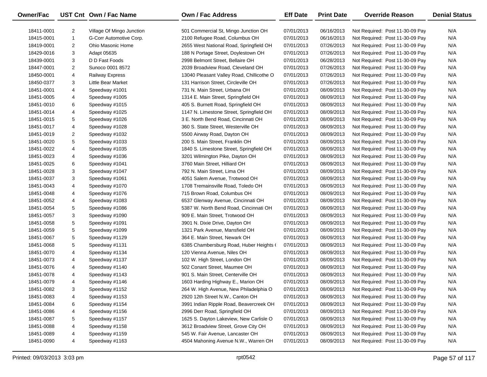| <b>Owner/Fac</b> |                | UST Cnt Own / Fac Name    | <b>Own / Fac Address</b>                  | <b>Eff Date</b> | <b>Print Date</b> | <b>Override Reason</b>          | <b>Denial Status</b> |
|------------------|----------------|---------------------------|-------------------------------------------|-----------------|-------------------|---------------------------------|----------------------|
| 18411-0001       | $\overline{2}$ | Village Of Mingo Junction | 501 Commercial St, Mingo Junction OH      | 07/01/2013      | 06/16/2013        | Not Required: Post 11-30-09 Pay | N/A                  |
| 18415-0001       | $\mathbf{1}$   | G-Corr Automotive Corp.   | 2100 Refugee Road, Columbus OH            | 07/01/2013      | 06/16/2013        | Not Required: Post 11-30-09 Pay | N/A                  |
| 18419-0001       | $\overline{2}$ | Ohio Masonic Home         | 2655 West National Road, Springfield OH   | 07/01/2013      | 07/26/2013        | Not Required: Post 11-30-09 Pay | N/A                  |
| 18429-0016       | 3              | Adapt 05635               | 188 N Portage Street, Doylestown OH       | 07/01/2013      | 07/26/2013        | Not Required: Post 11-30-09 Pay | N/A                  |
| 18439-0001       | 3              | D D Fast Foods            | 2998 Belmont Street, Bellaire OH          | 07/01/2013      | 06/28/2013        | Not Required: Post 11-30-09 Pay | N/A                  |
| 18447-0001       | $\overline{2}$ | Sunoco 0001 8572          | 2039 Broadview Road, Cleveland OH         | 07/01/2013      | 07/26/2013        | Not Required: Post 11-30-09 Pay | N/A                  |
| 18450-0001       | 4              | <b>Railway Express</b>    | 13040 Pleasant Valley Road, Chillicothe O | 07/01/2013      | 07/26/2013        | Not Required: Post 11-30-09 Pay | N/A                  |
| 18450-0377       | 3              | Little Bear Market        | 131 Harrison Street, Circleville OH       | 07/01/2013      | 07/26/2013        | Not Required: Post 11-30-09 Pay | N/A                  |
| 18451-0001       | 4              | Speedway #1001            | 731 N. Main Street, Urbana OH             | 07/01/2013      | 08/09/2013        | Not Required: Post 11-30-09 Pay | N/A                  |
| 18451-0005       | 4              | Speedway #1005            | 1314 E. Main Street, Springfield OH       | 07/01/2013      | 08/09/2013        | Not Required: Post 11-30-09 Pay | N/A                  |
| 18451-0010       | 6              | Speedway #1015            | 405 S. Burnett Road, Springfield OH       | 07/01/2013      | 08/09/2013        | Not Required: Post 11-30-09 Pay | N/A                  |
| 18451-0014       | 4              | Speedway #1025            | 1147 N. Limestone Street, Springfield OH  | 07/01/2013      | 08/09/2013        | Not Required: Post 11-30-09 Pay | N/A                  |
| 18451-0015       | 5              | Speedway #1026            | 3 E. North Bend Road, Cincinnati OH       | 07/01/2013      | 08/09/2013        | Not Required: Post 11-30-09 Pay | N/A                  |
| 18451-0017       | 4              | Speedway #1028            | 360 S. State Street, Westerville OH       | 07/01/2013      | 08/09/2013        | Not Required: Post 11-30-09 Pay | N/A                  |
| 18451-0019       | 2              | Speedway #1032            | 5500 Airway Road, Dayton OH               | 07/01/2013      | 08/09/2013        | Not Required: Post 11-30-09 Pay | N/A                  |
| 18451-0020       | 5              | Speedway #1033            | 200 S. Main Street, Franklin OH           | 07/01/2013      | 08/09/2013        | Not Required: Post 11-30-09 Pay | N/A                  |
| 18451-0022       | 4              | Speedway #1035            | 1840 S. Limestone Street, Springfield OH  | 07/01/2013      | 08/09/2013        | Not Required: Post 11-30-09 Pay | N/A                  |
| 18451-0023       | 4              | Speedway #1036            | 3201 Wilmington Pike, Dayton OH           | 07/01/2013      | 08/09/2013        | Not Required: Post 11-30-09 Pay | N/A                  |
| 18451-0025       | 6              | Speedway #1041            | 3760 Main Street, Hilliard OH             | 07/01/2013      | 08/09/2013        | Not Required: Post 11-30-09 Pay | N/A                  |
| 18451-0028       | 3              | Speedway #1047            | 792 N. Main Street, Lima OH               | 07/01/2013      | 08/09/2013        | Not Required: Post 11-30-09 Pay | N/A                  |
| 18451-0037       | 3              | Speedway #1061            | 4051 Salem Avenue, Trotwood OH            | 07/01/2013      | 08/09/2013        | Not Required: Post 11-30-09 Pay | N/A                  |
| 18451-0043       | 4              | Speedway #1070            | 1708 Tremainsville Road, Toledo OH        | 07/01/2013      | 08/09/2013        | Not Required: Post 11-30-09 Pay | N/A                  |
| 18451-0048       | 4              | Speedway #1076            | 715 Brown Road, Columbus OH               | 07/01/2013      | 08/09/2013        | Not Required: Post 11-30-09 Pay | N/A                  |
| 18451-0052       | 4              | Speedway #1083            | 6537 Glenway Avenue, Cincinnati OH        | 07/01/2013      | 08/09/2013        | Not Required: Post 11-30-09 Pay | N/A                  |
| 18451-0054       | 5              | Speedway #1086            | 5387 W. North Bend Road, Cincinnati OH    | 07/01/2013      | 08/09/2013        | Not Required: Post 11-30-09 Pay | N/A                  |
| 18451-0057       | 3              | Speedway #1090            | 909 E. Main Street, Trotwood OH           | 07/01/2013      | 08/09/2013        | Not Required: Post 11-30-09 Pay | N/A                  |
| 18451-0058       | 5              | Speedway #1091            | 3901 N. Dixie Drive, Dayton OH            | 07/01/2013      | 08/09/2013        | Not Required: Post 11-30-09 Pay | N/A                  |
| 18451-0059       | 5              | Speedway #1099            | 1321 Park Avenue, Mansfield OH            | 07/01/2013      | 08/09/2013        | Not Required: Post 11-30-09 Pay | N/A                  |
| 18451-0067       | 5              | Speedway #1129            | 364 E. Main Street, Newark OH             | 07/01/2013      | 08/09/2013        | Not Required: Post 11-30-09 Pay | N/A                  |
| 18451-0068       | 5              | Speedway #1131            | 6385 Chambersburg Road, Huber Heights (   | 07/01/2013      | 08/09/2013        | Not Required: Post 11-30-09 Pay | N/A                  |
| 18451-0070       | 4              | Speedway #1134            | 120 Vienna Avenue, Niles OH               | 07/01/2013      | 08/09/2013        | Not Required: Post 11-30-09 Pay | N/A                  |
| 18451-0073       | 4              | Speedway #1137            | 102 W. High Street, London OH             | 07/01/2013      | 08/09/2013        | Not Required: Post 11-30-09 Pay | N/A                  |
| 18451-0076       | 4              | Speedway #1140            | 502 Conant Street, Maumee OH              | 07/01/2013      | 08/09/2013        | Not Required: Post 11-30-09 Pay | N/A                  |
| 18451-0078       | 4              | Speedway #1143            | 901 S. Main Street, Centerville OH        | 07/01/2013      | 08/09/2013        | Not Required: Post 11-30-09 Pay | N/A                  |
| 18451-0079       | 4              | Speedway #1146            | 1603 Harding Highway E., Marion OH        | 07/01/2013      | 08/09/2013        | Not Required: Post 11-30-09 Pay | N/A                  |
| 18451-0082       | 3              | Speedway #1152            | 264 W. High Avenue, New Philadelphia O    | 07/01/2013      | 08/09/2013        | Not Required: Post 11-30-09 Pay | N/A                  |
| 18451-0083       | 4              | Speedway #1153            | 2920 12th Street N.W., Canton OH          | 07/01/2013      | 08/09/2013        | Not Required: Post 11-30-09 Pay | N/A                  |
| 18451-0084       | 6              | Speedway #1154            | 3991 Indian Ripple Road, Beavercreek OH   | 07/01/2013      | 08/09/2013        | Not Required: Post 11-30-09 Pay | N/A                  |
| 18451-0086       | 4              | Speedway #1156            | 2996 Derr Road, Springfield OH            | 07/01/2013      | 08/09/2013        | Not Required: Post 11-30-09 Pay | N/A                  |
| 18451-0087       | 5              | Speedway #1157            | 1625 S. Dayton Lakeview, New Carlisle O   | 07/01/2013      | 08/09/2013        | Not Required: Post 11-30-09 Pay | N/A                  |
| 18451-0088       | 4              | Speedway #1158            | 3612 Broadview Street, Grove City OH      | 07/01/2013      | 08/09/2013        | Not Required: Post 11-30-09 Pay | N/A                  |
| 18451-0089       | 4              | Speedway #1159            | 545 W. Fair Avenue, Lancaster OH          | 07/01/2013      | 08/09/2013        | Not Required: Post 11-30-09 Pay | N/A                  |
| 18451-0090       | 4              | Speedway #1163            | 4504 Mahoning Avenue N.W., Warren OH      | 07/01/2013      | 08/09/2013        | Not Required: Post 11-30-09 Pay | N/A                  |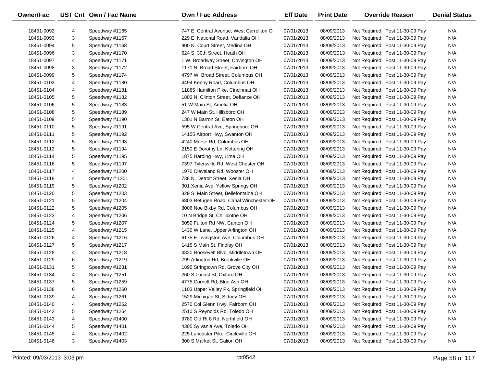| Owner/Fac  |   | UST Cnt Own / Fac Name | Own / Fac Address                        | <b>Eff Date</b> | <b>Print Date</b> | <b>Override Reason</b>          | <b>Denial Status</b> |
|------------|---|------------------------|------------------------------------------|-----------------|-------------------|---------------------------------|----------------------|
| 18451-0092 | 4 | Speedway #1165         | 747 E. Central Avenue, West Carrollton O | 07/01/2013      | 08/09/2013        | Not Required: Post 11-30-09 Pay | N/A                  |
| 18451-0093 | 3 | Speedway #1167         | 229 E. National Road, Vandalia OH        | 07/01/2013      | 08/09/2013        | Not Required: Post 11-30-09 Pay | N/A                  |
| 18451-0094 | 5 | Speedway #1168         | 900 N. Court Street, Medina OH           | 07/01/2013      | 08/09/2013        | Not Required: Post 11-30-09 Pay | N/A                  |
| 18451-0096 | 3 | Speedway #1170         | 624 S. 30th Street, Heath OH             | 07/01/2013      | 08/09/2013        | Not Required: Post 11-30-09 Pay | N/A                  |
| 18451-0097 | 4 | Speedway #1171         | 1 W. Broadway Street, Covington OH       | 07/01/2013      | 08/09/2013        | Not Required: Post 11-30-09 Pay | N/A                  |
| 18451-0098 | 3 | Speedway #1172         | 1171 N. Broad Street, Fairborn OH        | 07/01/2013      | 08/09/2013        | Not Required: Post 11-30-09 Pay | N/A                  |
| 18451-0099 | 5 | Speedway #1174         | 4797 W. Broad Street, Columbus OH        | 07/01/2013      | 08/09/2013        | Not Required: Post 11-30-09 Pay | N/A                  |
| 18451-0103 | 4 | Speedway #1180         | 4494 Kenny Road, Columbus OH             | 07/01/2013      | 08/09/2013        | Not Required: Post 11-30-09 Pay | N/A                  |
| 18451-0104 | 4 | Speedway #1181         | 11885 Hamilton Pike, Cincinnati OH       | 07/01/2013      | 08/09/2013        | Not Required: Post 11-30-09 Pay | N/A                  |
| 18451-0105 | 5 | Speedway #1182         | 1802 N. Clinton Street, Defiance OH      | 07/01/2013      | 08/09/2013        | Not Required: Post 11-30-09 Pay | N/A                  |
| 18451-0106 | 5 | Speedway #1183         | 51 W Main St, Amelia OH                  | 07/01/2013      | 08/09/2013        | Not Required: Post 11-30-09 Pay | N/A                  |
| 18451-0108 | 5 | Speedway #1189         | 247 W Main St, Hillsboro OH              | 07/01/2013      | 08/09/2013        | Not Required: Post 11-30-09 Pay | N/A                  |
| 18451-0109 | 5 | Speedway #1190         | 1301 N Barron St, Eaton OH               | 07/01/2013      | 08/09/2013        | Not Required: Post 11-30-09 Pay | N/A                  |
| 18451-0110 | 5 | Speedway #1191         | 595 W Central Ave, Springboro OH         | 07/01/2013      | 08/09/2013        | Not Required: Post 11-30-09 Pay | N/A                  |
| 18451-0111 | 5 | Speedway #1192         | 14155 Airport Hwy, Swanton OH            | 07/01/2013      | 08/09/2013        | Not Required: Post 11-30-09 Pay | N/A                  |
| 18451-0112 | 5 | Speedway #1193         | 4240 Morse Rd, Columbus OH               | 07/01/2013      | 08/09/2013        | Not Required: Post 11-30-09 Pay | N/A                  |
| 18451-0113 | 5 | Speedway #1194         | 2150 E Dorothy Ln, Kettering OH          | 07/01/2013      | 08/09/2013        | Not Required: Post 11-30-09 Pay | N/A                  |
| 18451-0114 | 5 | Speedway #1195         | 1875 Harding Hwy, Lima OH                | 07/01/2013      | 08/09/2013        | Not Required: Post 11-30-09 Pay | N/A                  |
| 18451-0116 | 5 | Speedway #1197         | 7397 Tylersville Rd, West Chester OH     | 07/01/2013      | 08/09/2013        | Not Required: Post 11-30-09 Pay | N/A                  |
| 18451-0117 | 4 | Speedway #1200         | 1970 Cleveland Rd, Wooster OH            | 07/01/2013      | 08/09/2013        | Not Required: Post 11-30-09 Pay | N/A                  |
| 18451-0118 | 4 | Speedway #1201         | 738 N. Detroit Street, Xenia OH          | 07/01/2013      | 08/09/2013        | Not Required: Post 11-30-09 Pay | N/A                  |
| 18451-0119 | 5 | Speedway #1202         | 301 Xenia Ave, Yellow Springs OH         | 07/01/2013      | 08/09/2013        | Not Required: Post 11-30-09 Pay | N/A                  |
| 18451-0120 | 5 | Speedway #1203         | 329 S. Main Street, Bellefontaine OH     | 07/01/2013      | 08/09/2013        | Not Required: Post 11-30-09 Pay | N/A                  |
| 18451-0121 | 5 | Speedway #1204         | 6803 Refugee Road, Canal Winchester OH   | 07/01/2013      | 08/09/2013        | Not Required: Post 11-30-09 Pay | N/A                  |
| 18451-0122 | 5 | Speedway #1205         | 3006 Noe Bixby Rd, Columbus OH           | 07/01/2013      | 08/09/2013        | Not Required: Post 11-30-09 Pay | N/A                  |
| 18451-0123 | 4 | Speedway #1206         | 10 N Bridge St, Chillicothe OH           | 07/01/2013      | 08/09/2013        | Not Required: Post 11-30-09 Pay | N/A                  |
| 18451-0124 | 5 | Speedway #1207         | 5050 Fulton Rd NW, Canton OH             | 07/01/2013      | 08/09/2013        | Not Required: Post 11-30-09 Pay | N/A                  |
| 18451-0125 | 4 | Speedway #1215         | 1430 W Lane, Upper Arlington OH          | 07/01/2013      | 08/09/2013        | Not Required: Post 11-30-09 Pay | N/A                  |
| 18451-0126 | 4 | Speedway #1216         | 6175 E Livingston Ave, Columbus OH       | 07/01/2013      | 08/09/2013        | Not Required: Post 11-30-09 Pay | N/A                  |
| 18451-0127 | 5 | Speedway #1217         | 1415 S Main St, Findlay OH               | 07/01/2013      | 08/09/2013        | Not Required: Post 11-30-09 Pay | N/A                  |
| 18451-0128 | 4 | Speedway #1218         | 4320 Roosevelt Blvd, Middletown OH       | 07/01/2013      | 08/09/2013        | Not Required: Post 11-30-09 Pay | N/A                  |
| 18451-0129 | 6 | Speedway #1219         | 799 Arlington Rd, Brookville OH          | 07/01/2013      | 08/09/2013        | Not Required: Post 11-30-09 Pay | N/A                  |
| 18451-0131 | 5 | Speedway #1231         | 1895 Stringtown Rd, Grove City OH        | 07/01/2013      | 08/09/2013        | Not Required: Post 11-30-09 Pay | N/A                  |
| 18451-0134 | 4 | Speedway #1251         | 260 S Locust St, Oxford OH               | 07/01/2013      | 08/09/2013        | Not Required: Post 11-30-09 Pay | N/A                  |
| 18451-0137 | 5 | Speedway #1259         | 4775 Cornell Rd, Blue Ash OH             | 07/01/2013      | 08/09/2013        | Not Required: Post 11-30-09 Pay | N/A                  |
| 18451-0138 | 6 | Speedway #1260         | 1103 Upper Valley Pk, Springfield OH     | 07/01/2013      | 08/09/2013        | Not Required: Post 11-30-09 Pay | N/A                  |
| 18451-0139 | 4 | Speedway #1261         | 1529 Michigan St, Sidney OH              | 07/01/2013      | 08/09/2013        | Not Required: Post 11-30-09 Pay | N/A                  |
| 18451-0140 | 4 | Speedway #1262         | 2570 Col Glenn Hwy, Fairborn OH          | 07/01/2013      | 08/09/2013        | Not Required: Post 11-30-09 Pay | N/A                  |
| 18451-0142 | 5 | Speedway #1264         | 2510 S Reynolds Rd, Toledo OH            | 07/01/2013      | 08/09/2013        | Not Required: Post 11-30-09 Pay | N/A                  |
| 18451-0143 | 4 | Speedway #1400         | 9780 Old Rt 8 Rd, Northfield OH          | 07/01/2013      | 08/09/2013        | Not Required: Post 11-30-09 Pay | N/A                  |
| 18451-0144 | 5 | Speedway #1401         | 4305 Sylvania Ave, Toledo OH             | 07/01/2013      | 08/09/2013        | Not Required: Post 11-30-09 Pay | N/A                  |
| 18451-0145 | 4 | Speedway #1402         | 225 Lancaster Pike, Circleville OH       | 07/01/2013      | 08/09/2013        | Not Required: Post 11-30-09 Pay | N/A                  |
| 18451-0146 | 3 | Speedway #1403         | 300 S Market St, Galion OH               | 07/01/2013      | 08/09/2013        | Not Required: Post 11-30-09 Pay | N/A                  |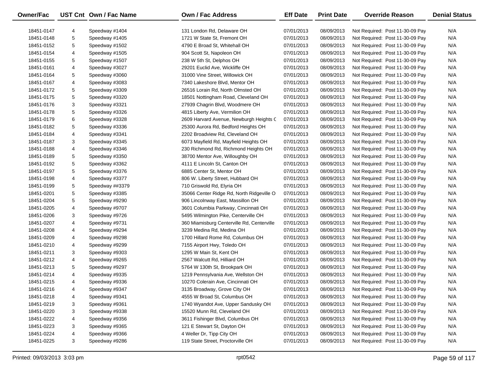| Owner/Fac  |   | UST Cnt Own / Fac Name | <b>Own / Fac Address</b>                   | <b>Eff Date</b> | <b>Print Date</b> | <b>Override Reason</b>          | <b>Denial Status</b> |
|------------|---|------------------------|--------------------------------------------|-----------------|-------------------|---------------------------------|----------------------|
|            |   |                        |                                            |                 |                   |                                 |                      |
| 18451-0147 | 4 | Speedway #1404         | 131 London Rd, Delaware OH                 | 07/01/2013      | 08/09/2013        | Not Required: Post 11-30-09 Pay | N/A                  |
| 18451-0148 | 5 | Speedway #1405         | 1721 W State St, Fremont OH                | 07/01/2013      | 08/09/2013        | Not Required: Post 11-30-09 Pay | N/A                  |
| 18451-0152 | 5 | Speedway #1502         | 4790 E Broad St, Whitehall OH              | 07/01/2013      | 08/09/2013        | Not Required: Post 11-30-09 Pay | N/A                  |
| 18451-0154 | 4 | Speedway #1505         | 904 Scott St, Napoleon OH                  | 07/01/2013      | 08/09/2013        | Not Required: Post 11-30-09 Pay | N/A                  |
| 18451-0155 | 5 | Speedway #1507         | 238 W 5th St, Delphos OH                   | 07/01/2013      | 08/09/2013        | Not Required: Post 11-30-09 Pay | N/A                  |
| 18451-0161 | 4 | Speedway #3027         | 29201 Euclid Ave, Wickliffe OH             | 07/01/2013      | 08/09/2013        | Not Required: Post 11-30-09 Pay | N/A                  |
| 18451-0164 | 5 | Speedway #3060         | 31000 Vine Street, Willowick OH            | 07/01/2013      | 08/09/2013        | Not Required: Post 11-30-09 Pay | N/A                  |
| 18451-0167 | 4 | Speedway #3083         | 7340 Lakeshore Blvd, Mentor OH             | 07/01/2013      | 08/09/2013        | Not Required: Post 11-30-09 Pay | N/A                  |
| 18451-0172 | 5 | Speedway #3309         | 26516 Lorain Rd, North Olmsted OH          | 07/01/2013      | 08/09/2013        | Not Required: Post 11-30-09 Pay | N/A                  |
| 18451-0175 | 5 | Speedway #3320         | 18501 Nottingham Road, Cleveland OH        | 07/01/2013      | 08/09/2013        | Not Required: Post 11-30-09 Pay | N/A                  |
| 18451-0176 | 3 | Speedway #3321         | 27939 Chagrin Blvd, Woodmere OH            | 07/01/2013      | 08/09/2013        | Not Required: Post 11-30-09 Pay | N/A                  |
| 18451-0178 | 5 | Speedway #3326         | 4815 Liberty Ave, Vermilion OH             | 07/01/2013      | 08/09/2013        | Not Required: Post 11-30-09 Pay | N/A                  |
| 18451-0179 | 6 | Speedway #3328         | 2609 Harvard Avenue, Newburgh Heights C    | 07/01/2013      | 08/09/2013        | Not Required: Post 11-30-09 Pay | N/A                  |
| 18451-0182 | 5 | Speedway #3336         | 25300 Aurora Rd, Bedford Heights OH        | 07/01/2013      | 08/09/2013        | Not Required: Post 11-30-09 Pay | N/A                  |
| 18451-0184 | 4 | Speedway #3341         | 2202 Broadview Rd, Cleveland OH            | 07/01/2013      | 08/09/2013        | Not Required: Post 11-30-09 Pay | N/A                  |
| 18451-0187 | 3 | Speedway #3345         | 6073 Mayfield Rd, Mayfield Heights OH      | 07/01/2013      | 08/09/2013        | Not Required: Post 11-30-09 Pay | N/A                  |
| 18451-0188 | 4 | Speedway #3346         | 230 Richmond Rd, Richmond Heights OH       | 07/01/2013      | 08/09/2013        | Not Required: Post 11-30-09 Pay | N/A                  |
| 18451-0189 | 5 | Speedway #3350         | 38700 Mentor Ave, Willoughby OH            | 07/01/2013      | 08/09/2013        | Not Required: Post 11-30-09 Pay | N/A                  |
| 18451-0192 | 5 | Speedway #3362         | 4111 E Lincoln St, Canton OH               | 07/01/2013      | 08/09/2013        | Not Required: Post 11-30-09 Pay | N/A                  |
| 18451-0197 | 5 | Speedway #3376         | 6885 Center St, Mentor OH                  | 07/01/2013      | 08/09/2013        | Not Required: Post 11-30-09 Pay | N/A                  |
| 18451-0198 | 4 | Speedway #3377         | 806 W. Liberty Street, Hubbard OH          | 07/01/2013      | 08/09/2013        | Not Required: Post 11-30-09 Pay | N/A                  |
| 18451-0199 | 5 | Speedway ##3379        | 710 Griswold Rd, Elyria OH                 | 07/01/2013      | 08/09/2013        | Not Required: Post 11-30-09 Pay | N/A                  |
| 18451-0201 | 5 | Speedway #3385         | 35066 Center Ridge Rd, North Ridgeville O  | 07/01/2013      | 08/09/2013        | Not Required: Post 11-30-09 Pay | N/A                  |
| 18451-0204 | 5 | Speedway #9290         | 906 Lincolnway East, Massillon OH          | 07/01/2013      | 08/09/2013        | Not Required: Post 11-30-09 Pay | N/A                  |
| 18451-0205 | 4 | Speedway #9707         | 3601 Columbia Parkway, Cincinnati OH       | 07/01/2013      | 08/09/2013        | Not Required: Post 11-30-09 Pay | N/A                  |
| 18451-0206 | 3 | Speedway #9726         | 5495 Wilmington Pike, Centerville OH       | 07/01/2013      | 08/09/2013        | Not Required: Post 11-30-09 Pay | N/A                  |
| 18451-0207 | 4 | Speedway #9731         | 360 Miamisburg Centerville Rd, Centerville | 07/01/2013      | 08/09/2013        | Not Required: Post 11-30-09 Pay | N/A                  |
| 18451-0208 | 4 | Speedway #9294         | 3239 Medina Rd, Medina OH                  | 07/01/2013      | 08/09/2013        | Not Required: Post 11-30-09 Pay | N/A                  |
| 18451-0209 | 4 | Speedway #9298         | 1700 Hillard Rome Rd, Columbus OH          | 07/01/2013      | 08/09/2013        | Not Required: Post 11-30-09 Pay | N/A                  |
| 18451-0210 | 4 | Speedway #9299         | 7155 Airport Hwy, Toledo OH                | 07/01/2013      | 08/09/2013        | Not Required: Post 11-30-09 Pay | N/A                  |
| 18451-0211 | 3 | Speedway #9303         | 1295 W Main St, Kent OH                    | 07/01/2013      | 08/09/2013        | Not Required: Post 11-30-09 Pay | N/A                  |
| 18451-0212 | 4 | Speedway #9265         | 2567 Walcutt Rd, Hilliard OH               | 07/01/2013      | 08/09/2013        | Not Required: Post 11-30-09 Pay | N/A                  |
| 18451-0213 | 5 | Speedway #9297         | 5764 W 130th St, Brookpark OH              | 07/01/2013      | 08/09/2013        | Not Required: Post 11-30-09 Pay | N/A                  |
| 18451-0214 | 4 | Speedway #9335         | 1219 Pennsylvania Ave, Wellston OH         | 07/01/2013      | 08/09/2013        | Not Required: Post 11-30-09 Pay | N/A                  |
| 18451-0215 | 4 | Speedway #9336         | 10270 Colerain Ave, Cincinnati OH          | 07/01/2013      | 08/09/2013        | Not Required: Post 11-30-09 Pay | N/A                  |
| 18451-0216 | 4 | Speedway #9347         | 3135 Broadway, Grove City OH               | 07/01/2013      | 08/09/2013        | Not Required: Post 11-30-09 Pay | N/A                  |
| 18451-0218 | 4 | Speedway #9341         | 4555 W Broad St, Columbus OH               | 07/01/2013      | 08/09/2013        | Not Required: Post 11-30-09 Pay | N/A                  |
| 18451-0219 | 3 | Speedway #9361         | 1740 Wyandot Ave, Upper Sandusky OH        | 07/01/2013      | 08/09/2013        | Not Required: Post 11-30-09 Pay | N/A                  |
| 18451-0220 | 3 | Speedway #9338         | 15520 Munn Rd, Cleveland OH                | 07/01/2013      | 08/09/2013        | Not Required: Post 11-30-09 Pay | N/A                  |
| 18451-0222 | 4 | Speedway #9356         | 3611 Fishinger Blvd, Columbus OH           | 07/01/2013      | 08/09/2013        | Not Required: Post 11-30-09 Pay | N/A                  |
| 18451-0223 | 3 | Speedway #9365         | 121 E Stewart St, Dayton OH                | 07/01/2013      | 08/09/2013        | Not Required: Post 11-30-09 Pay | N/A                  |
| 18451-0224 | 4 | Speedway #9366         | 4 Weller Dr, Tipp City OH                  | 07/01/2013      | 08/09/2013        | Not Required: Post 11-30-09 Pay | N/A                  |
| 18451-0225 | 3 | Speedway #9286         | 119 State Street, Proctorville OH          | 07/01/2013      | 08/09/2013        | Not Required: Post 11-30-09 Pay | N/A                  |
|            |   |                        |                                            |                 |                   |                                 |                      |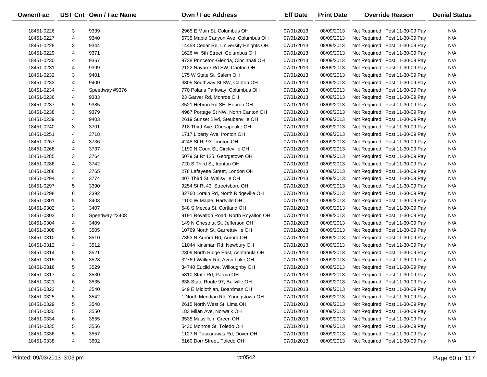| <b>Owner/Fac</b> |   | UST Cnt Own / Fac Name | Own / Fac Address                     | <b>Eff Date</b> | <b>Print Date</b> | <b>Override Reason</b>          | <b>Denial Status</b> |
|------------------|---|------------------------|---------------------------------------|-----------------|-------------------|---------------------------------|----------------------|
| 18451-0226       | 3 | 9339                   | 2965 E Main St, Columbus OH           | 07/01/2013      | 08/09/2013        | Not Required: Post 11-30-09 Pay | N/A                  |
| 18451-0227       | 4 | 9340                   | 5735 Maple Canyon Ave, Columbus OH    | 07/01/2013      | 08/09/2013        | Not Required: Post 11-30-09 Pay | N/A                  |
| 18451-0228       | 3 | 9344                   | 14458 Cedar Rd, University Heights OH | 07/01/2013      | 08/09/2013        | Not Required: Post 11-30-09 Pay | N/A                  |
| 18451-0229       | 4 | 9371                   | 1626 W. 5th Street, Columbus OH       | 07/01/2013      | 08/09/2013        | Not Required: Post 11-30-09 Pay | N/A                  |
| 18451-0230       | 4 | 9367                   | 9738 Princeton-Glenda, Cincinnati OH  | 07/01/2013      | 08/09/2013        | Not Required: Post 11-30-09 Pay | N/A                  |
| 18451-0231       | 4 | 9399                   | 2122 Navarre Rd SW, Canton OH         | 07/01/2013      | 08/09/2013        | Not Required: Post 11-30-09 Pay | N/A                  |
| 18451-0232       | 3 | 9401                   | 175 W State St, Salem OH              | 07/01/2013      | 08/09/2013        | Not Required: Post 11-30-09 Pay | N/A                  |
| 18451-0233       | 4 | 9400                   | 3805 Southway St SW, Canton OH        | 07/01/2013      | 08/09/2013        | Not Required: Post 11-30-09 Pay | N/A                  |
| 18451-0234       | 4 | Speedway #9376         | 770 Polaris Parkway, Columbus OH      | 07/01/2013      | 08/09/2013        | Not Required: Post 11-30-09 Pay | N/A                  |
| 18451-0236       | 4 | 9383                   | 23 Garver Rd, Monroe OH               | 07/01/2013      | 08/09/2013        | Not Required: Post 11-30-09 Pay | N/A                  |
| 18451-0237       | 5 | 9385                   | 3521 Hebron Rd SE, Hebron OH          | 07/01/2013      | 08/09/2013        | Not Required: Post 11-30-09 Pay | N/A                  |
| 18451-0238       | 3 | 9379                   | 4967 Portage St NW, North Canton OH   | 07/01/2013      | 08/09/2013        | Not Required: Post 11-30-09 Pay | N/A                  |
| 18451-0239       | 4 | 9403                   | 2619 Sunset Blvd, Steubenville OH     | 07/01/2013      | 08/09/2013        | Not Required: Post 11-30-09 Pay | N/A                  |
| 18451-0240       | 3 | 3701                   | 218 Third Ave, Chesapeake OH          | 07/01/2013      | 08/09/2013        | Not Required: Post 11-30-09 Pay | N/A                  |
| 18451-0251       | 4 | 3718                   | 1717 Liberty Ave, Ironton OH          | 07/01/2013      | 08/09/2013        | Not Required: Post 11-30-09 Pay | N/A                  |
| 18451-0267       | 4 | 3736                   | 4248 St Rt 93, Ironton OH             | 07/01/2013      | 08/09/2013        | Not Required: Post 11-30-09 Pay | N/A                  |
| 18451-0268       | 4 | 3737                   | 1190 N Court St, Circleville OH       | 07/01/2013      | 08/09/2013        | Not Required: Post 11-30-09 Pay | N/A                  |
| 18451-0285       | 3 | 3764                   | 5079 St Rt 125, Georgetown OH         | 07/01/2013      | 08/09/2013        | Not Required: Post 11-30-09 Pay | N/A                  |
| 18451-0286       | 4 | 3742                   | 720 S Third St, Ironton OH            | 07/01/2013      | 08/09/2013        | Not Required: Post 11-30-09 Pay | N/A                  |
| 18451-0288       | 3 | 3765                   | 278 Lafayette Street, London OH       | 07/01/2013      | 08/09/2013        | Not Required: Post 11-30-09 Pay | N/A                  |
| 18451-0294       | 4 | 3774                   | 407 Third St, Wellsville OH           | 07/01/2013      | 08/09/2013        | Not Required: Post 11-30-09 Pay | N/A                  |
| 18451-0297       | 5 | 3390                   | 9254 St Rt 43, Streetsboro OH         | 07/01/2013      | 08/09/2013        | Not Required: Post 11-30-09 Pay | N/A                  |
| 18451-0298       | 6 | 3392                   | 32760 Lorain Rd, North Ridgeville OH  | 07/01/2013      | 08/09/2013        | Not Required: Post 11-30-09 Pay | N/A                  |
| 18451-0301       | 5 | 3403                   | 1100 W Maple, Hartville OH            | 07/01/2013      | 08/09/2013        | Not Required: Post 11-30-09 Pay | N/A                  |
| 18451-0302       | 3 | 3407                   | 548 S Mecca St, Cortland OH           | 07/01/2013      | 08/09/2013        | Not Required: Post 11-30-09 Pay | N/A                  |
| 18451-0303       | 5 | Speedway #3408         | 9191 Royalton Road, North Royalton OH | 07/01/2013      | 08/09/2013        | Not Required: Post 11-30-09 Pay | N/A                  |
| 18451-0304       | 4 | 3409                   | 149 N Chestnut St, Jefferson OH       | 07/01/2013      | 08/09/2013        | Not Required: Post 11-30-09 Pay | N/A                  |
| 18451-0308       | 5 | 3505                   | 10769 North St, Garrettsville OH      | 07/01/2013      | 08/09/2013        | Not Required: Post 11-30-09 Pay | N/A                  |
| 18451-0310       | 5 | 3510                   | 7353 N Aurora Rd, Aurora OH           | 07/01/2013      | 08/09/2013        | Not Required: Post 11-30-09 Pay | N/A                  |
| 18451-0312       | 4 | 3512                   | 11044 Kinsman Rd, Newbury OH          | 07/01/2013      | 08/09/2013        | Not Required: Post 11-30-09 Pay | N/A                  |
| 18451-0314       | 5 | 3521                   | 2309 North Ridge East, Ashtabula OH   | 07/01/2013      | 08/09/2013        | Not Required: Post 11-30-09 Pay | N/A                  |
| 18451-0315       | 5 | 3528                   | 32769 Walker Rd, Avon Lake OH         | 07/01/2013      | 08/09/2013        | Not Required: Post 11-30-09 Pay | N/A                  |
| 18451-0316       | 5 | 3529                   | 34740 Euclid Ave, Willoughby OH       | 07/01/2013      | 08/09/2013        | Not Required: Post 11-30-09 Pay | N/A                  |
| 18451-0317       | 4 | 3530                   | 5810 State Rd, Parma OH               | 07/01/2013      | 08/09/2013        | Not Required: Post 11-30-09 Pay | N/A                  |
| 18451-0321       | 6 | 3535                   | 838 State Route 97, Bellville OH      | 07/01/2013      | 08/09/2013        | Not Required: Post 11-30-09 Pay | N/A                  |
| 18451-0323       | 3 | 3540                   | 649 E Midlothian, Boardman OH         | 07/01/2013      | 08/09/2013        | Not Required: Post 11-30-09 Pay | N/A                  |
| 18451-0325       | 5 | 3542                   | 1 North Meridian Rd, Youngstown OH    | 07/01/2013      | 08/09/2013        | Not Required: Post 11-30-09 Pay | N/A                  |
| 18451-0329       | 5 | 3548                   | 2615 North West St, Lima OH           | 07/01/2013      | 08/09/2013        | Not Required: Post 11-30-09 Pay | N/A                  |
| 18451-0330       | 5 | 3550                   | 183 Milan Ave, Norwalk OH             | 07/01/2013      | 08/09/2013        | Not Required: Post 11-30-09 Pay | N/A                  |
| 18451-0334       | 6 | 3555                   | 3535 Massillon, Green OH              | 07/01/2013      | 08/09/2013        | Not Required: Post 11-30-09 Pay | N/A                  |
| 18451-0335       | 5 | 3556                   | 5430 Monroe St, Toledo OH             | 07/01/2013      | 08/09/2013        | Not Required: Post 11-30-09 Pay | N/A                  |
| 18451-0336       | 5 | 3557                   | 1127 N Tuscarawas Rd, Dover OH        | 07/01/2013      | 08/09/2013        | Not Required: Post 11-30-09 Pay | N/A                  |
| 18451-0338       | 4 | 3602                   | 5160 Dorr Street, Toledo OH           | 07/01/2013      | 08/09/2013        | Not Required: Post 11-30-09 Pay | N/A                  |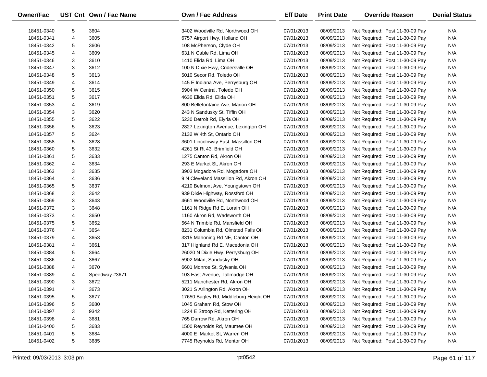| <b>Owner/Fac</b> |   | UST Cnt Own / Fac Name | Own / Fac Address                     | <b>Eff Date</b> | <b>Print Date</b> | <b>Override Reason</b>          | <b>Denial Status</b> |
|------------------|---|------------------------|---------------------------------------|-----------------|-------------------|---------------------------------|----------------------|
| 18451-0340       | 5 | 3604                   | 3402 Woodville Rd, Northwood OH       | 07/01/2013      | 08/09/2013        | Not Required: Post 11-30-09 Pay | N/A                  |
| 18451-0341       | 4 | 3605                   | 6757 Airport Hwy, Holland OH          | 07/01/2013      | 08/09/2013        | Not Required: Post 11-30-09 Pay | N/A                  |
| 18451-0342       | 5 | 3606                   | 108 McPherson, Clyde OH               | 07/01/2013      | 08/09/2013        | Not Required: Post 11-30-09 Pay | N/A                  |
| 18451-0345       | 4 | 3609                   | 631 N Cable Rd, Lima OH               | 07/01/2013      | 08/09/2013        | Not Required: Post 11-30-09 Pay | N/A                  |
| 18451-0346       | 3 | 3610                   | 1410 Elida Rd, Lima OH                | 07/01/2013      | 08/09/2013        | Not Required: Post 11-30-09 Pay | N/A                  |
| 18451-0347       | 3 | 3612                   | 100 N Dixie Hwy, Cridersville OH      | 07/01/2013      | 08/09/2013        | Not Required: Post 11-30-09 Pay | N/A                  |
| 18451-0348       | 5 | 3613                   | 5010 Secor Rd, Toledo OH              | 07/01/2013      | 08/09/2013        | Not Required: Post 11-30-09 Pay | N/A                  |
| 18451-0349       | 4 | 3614                   | 145 E Indiana Ave, Perrysburg OH      | 07/01/2013      | 08/09/2013        | Not Required: Post 11-30-09 Pay | N/A                  |
| 18451-0350       | 5 | 3615                   | 5904 W Central, Toledo OH             | 07/01/2013      | 08/09/2013        | Not Required: Post 11-30-09 Pay | N/A                  |
| 18451-0351       | 5 | 3617                   | 4630 Elida Rd, Elida OH               | 07/01/2013      | 08/09/2013        | Not Required: Post 11-30-09 Pay | N/A                  |
| 18451-0353       | 4 | 3619                   | 800 Bellefontaine Ave, Marion OH      | 07/01/2013      | 08/09/2013        | Not Required: Post 11-30-09 Pay | N/A                  |
| 18451-0354       | 3 | 3620                   | 243 N Sandusky St, Tiffin OH          | 07/01/2013      | 08/09/2013        | Not Required: Post 11-30-09 Pay | N/A                  |
| 18451-0355       | 5 | 3622                   | 5230 Detroit Rd, Elyria OH            | 07/01/2013      | 08/09/2013        | Not Required: Post 11-30-09 Pay | N/A                  |
| 18451-0356       | 5 | 3623                   | 2827 Lexington Avenue, Lexington OH   | 07/01/2013      | 08/09/2013        | Not Required: Post 11-30-09 Pay | N/A                  |
| 18451-0357       | 5 | 3624                   | 2132 W 4th St, Ontario OH             | 07/01/2013      | 08/09/2013        | Not Required: Post 11-30-09 Pay | N/A                  |
| 18451-0358       | 5 | 3628                   | 3601 Lincolnway East, Massillon OH    | 07/01/2013      | 08/09/2013        | Not Required: Post 11-30-09 Pay | N/A                  |
| 18451-0360       | 5 | 3632                   | 4261 St Rt 43, Brimfield OH           | 07/01/2013      | 08/09/2013        | Not Required: Post 11-30-09 Pay | N/A                  |
| 18451-0361       | 5 | 3633                   | 1275 Canton Rd, Akron OH              | 07/01/2013      | 08/09/2013        | Not Required: Post 11-30-09 Pay | N/A                  |
| 18451-0362       | 4 | 3634                   | 293 E Market St, Akron OH             | 07/01/2013      | 08/09/2013        | Not Required: Post 11-30-09 Pay | N/A                  |
| 18451-0363       | 3 | 3635                   | 3903 Mogadore Rd, Mogadore OH         | 07/01/2013      | 08/09/2013        | Not Required: Post 11-30-09 Pay | N/A                  |
| 18451-0364       | 4 | 3636                   | 9 N Cleveland Massillon Rd, Akron OH  | 07/01/2013      | 08/09/2013        | Not Required: Post 11-30-09 Pay | N/A                  |
| 18451-0365       | 5 | 3637                   | 4210 Belmont Ave, Youngstown OH       | 07/01/2013      | 08/09/2013        | Not Required: Post 11-30-09 Pay | N/A                  |
| 18451-0368       | 3 | 3642                   | 939 Dixie Highway, Rossford OH        | 07/01/2013      | 08/09/2013        | Not Required: Post 11-30-09 Pay | N/A                  |
| 18451-0369       | 3 | 3643                   | 4661 Woodville Rd, Northwood OH       | 07/01/2013      | 08/09/2013        | Not Required: Post 11-30-09 Pay | N/A                  |
| 18451-0372       | 3 | 3648                   | 1161 N Ridge Rd E, Lorain OH          | 07/01/2013      | 08/09/2013        | Not Required: Post 11-30-09 Pay | N/A                  |
| 18451-0373       | 4 | 3650                   | 1160 Akron Rd, Wadsworth OH           | 07/01/2013      | 08/09/2013        | Not Required: Post 11-30-09 Pay | N/A                  |
| 18451-0375       | 5 | 3652                   | 564 N Trimble Rd, Mansfield OH        | 07/01/2013      | 08/09/2013        | Not Required: Post 11-30-09 Pay | N/A                  |
| 18451-0376       | 4 | 3654                   | 8231 Columbia Rd, Olmsted Falls OH    | 07/01/2013      | 08/09/2013        | Not Required: Post 11-30-09 Pay | N/A                  |
| 18451-0379       | 4 | 3653                   | 3315 Mahoning Rd NE, Canton OH        | 07/01/2013      | 08/09/2013        | Not Required: Post 11-30-09 Pay | N/A                  |
| 18451-0381       | 4 | 3661                   | 317 Highland Rd E, Macedonia OH       | 07/01/2013      | 08/09/2013        | Not Required: Post 11-30-09 Pay | N/A                  |
| 18451-0384       | 5 | 3664                   | 26020 N Dixie Hwy, Perrysburg OH      | 07/01/2013      | 08/09/2013        | Not Required: Post 11-30-09 Pay | N/A                  |
| 18451-0386       | 4 | 3667                   | 5902 Milan, Sandusky OH               | 07/01/2013      | 08/09/2013        | Not Required: Post 11-30-09 Pay | N/A                  |
| 18451-0388       | 4 | 3670                   | 6601 Monroe St, Sylvania OH           | 07/01/2013      | 08/09/2013        | Not Required: Post 11-30-09 Pay | N/A                  |
| 18451-0389       | 4 | Speedway #3671         | 103 East Avenue, Tallmadge OH         | 07/01/2013      | 08/09/2013        | Not Required: Post 11-30-09 Pay | N/A                  |
| 18451-0390       | 3 | 3672                   | 5211 Manchester Rd, Akron OH          | 07/01/2013      | 08/09/2013        | Not Required: Post 11-30-09 Pay | N/A                  |
| 18451-0391       | 4 | 3673                   | 3021 S Arlington Rd, Akron OH         | 07/01/2013      | 08/09/2013        | Not Required: Post 11-30-09 Pay | N/A                  |
| 18451-0395       | 5 | 3677                   | 17650 Bagley Rd, Middleburg Height OH | 07/01/2013      | 08/09/2013        | Not Required: Post 11-30-09 Pay | N/A                  |
| 18451-0396       | 5 | 3680                   | 1045 Graham Rd, Stow OH               | 07/01/2013      | 08/09/2013        | Not Required: Post 11-30-09 Pay | N/A                  |
| 18451-0397       | 3 | 9342                   | 1224 E Stroop Rd, Kettering OH        | 07/01/2013      | 08/09/2013        | Not Required: Post 11-30-09 Pay | N/A                  |
| 18451-0398       | 4 | 3681                   | 765 Darrow Rd, Akron OH               | 07/01/2013      | 08/09/2013        | Not Required: Post 11-30-09 Pay | N/A                  |
| 18451-0400       | 5 | 3683                   | 1500 Reynolds Rd, Maumee OH           | 07/01/2013      | 08/09/2013        | Not Required: Post 11-30-09 Pay | N/A                  |
| 18451-0401       | 5 | 3684                   | 4000 E Market St, Warren OH           | 07/01/2013      | 08/09/2013        | Not Required: Post 11-30-09 Pay | N/A                  |
| 18451-0402       | 5 | 3685                   | 7745 Reynolds Rd, Mentor OH           | 07/01/2013      | 08/09/2013        | Not Required: Post 11-30-09 Pay | N/A                  |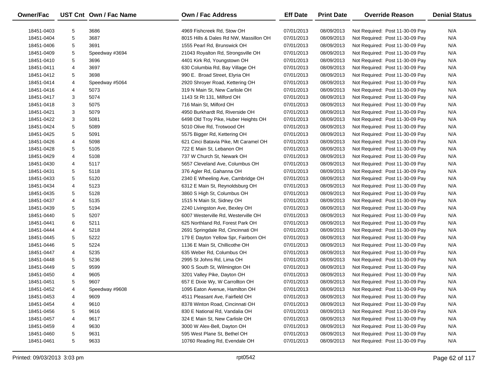| <b>Owner/Fac</b> |   | UST Cnt Own / Fac Name | <b>Own / Fac Address</b>               | <b>Eff Date</b> | <b>Print Date</b> | <b>Override Reason</b>          | <b>Denial Status</b> |
|------------------|---|------------------------|----------------------------------------|-----------------|-------------------|---------------------------------|----------------------|
| 18451-0403       | 5 | 3686                   | 4969 Fishcreek Rd, Stow OH             | 07/01/2013      | 08/09/2013        | Not Required: Post 11-30-09 Pay | N/A                  |
| 18451-0404       | 5 | 3687                   | 8015 Hills & Dales Rd NW, Massillon OH | 07/01/2013      | 08/09/2013        | Not Required: Post 11-30-09 Pay | N/A                  |
| 18451-0406       | 5 | 3691                   | 1555 Pearl Rd, Brunswick OH            | 07/01/2013      | 08/09/2013        | Not Required: Post 11-30-09 Pay | N/A                  |
| 18451-0409       | 5 | Speedway #3694         | 21043 Royalton Rd, Strongsville OH     | 07/01/2013      | 08/09/2013        | Not Required: Post 11-30-09 Pay | N/A                  |
| 18451-0410       | 5 | 3696                   | 4401 Kirk Rd, Youngstown OH            | 07/01/2013      | 08/09/2013        | Not Required: Post 11-30-09 Pay | N/A                  |
| 18451-0411       | 4 | 3697                   | 630 Columbia Rd, Bay Village OH        | 07/01/2013      | 08/09/2013        | Not Required: Post 11-30-09 Pay | N/A                  |
| 18451-0412       | 5 | 3698                   | 990 E. Broad Street, Elyria OH         | 07/01/2013      | 08/09/2013        | Not Required: Post 11-30-09 Pay | N/A                  |
| 18451-0414       | 4 | Speedway #5064         | 2920 Shroyer Road, Kettering OH        | 07/01/2013      | 08/09/2013        | Not Required: Post 11-30-09 Pay | N/A                  |
| 18451-0416       | 4 | 5073                   | 319 N Main St, New Carlisle OH         | 07/01/2013      | 08/09/2013        | Not Required: Post 11-30-09 Pay | N/A                  |
| 18451-0417       | 3 | 5074                   | 1143 St Rt 131, Milford OH             | 07/01/2013      | 08/09/2013        | Not Required: Post 11-30-09 Pay | N/A                  |
| 18451-0418       | 3 | 5075                   | 716 Main St, Milford OH                | 07/01/2013      | 08/09/2013        | Not Required: Post 11-30-09 Pay | N/A                  |
| 18451-0421       | 3 | 5079                   | 4950 Burkhardt Rd, Riverside OH        | 07/01/2013      | 08/09/2013        | Not Required: Post 11-30-09 Pay | N/A                  |
| 18451-0422       | 3 | 5081                   | 6498 Old Troy Pike, Huber Heights OH   | 07/01/2013      | 08/09/2013        | Not Required: Post 11-30-09 Pay | N/A                  |
| 18451-0424       | 5 | 5089                   | 5010 Olive Rd, Trotwood OH             | 07/01/2013      | 08/09/2013        | Not Required: Post 11-30-09 Pay | N/A                  |
| 18451-0425       | 5 | 5091                   | 5575 Bigger Rd, Kettering OH           | 07/01/2013      | 08/09/2013        | Not Required: Post 11-30-09 Pay | N/A                  |
| 18451-0426       | 4 | 5098                   | 621 Cinci Batavia Pike, Mt Caramel OH  | 07/01/2013      | 08/09/2013        | Not Required: Post 11-30-09 Pay | N/A                  |
| 18451-0428       | 5 | 5105                   | 722 E Main St, Lebanon OH              | 07/01/2013      | 08/09/2013        | Not Required: Post 11-30-09 Pay | N/A                  |
| 18451-0429       | 4 | 5108                   | 737 W Church St, Newark OH             | 07/01/2013      | 08/09/2013        | Not Required: Post 11-30-09 Pay | N/A                  |
| 18451-0430       | 4 | 5117                   | 5657 Cleveland Ave, Columbus OH        | 07/01/2013      | 08/09/2013        | Not Required: Post 11-30-09 Pay | N/A                  |
| 18451-0431       | 5 | 5118                   | 376 Agler Rd, Gahanna OH               | 07/01/2013      | 08/09/2013        | Not Required: Post 11-30-09 Pay | N/A                  |
| 18451-0433       | 5 | 5120                   | 2340 E Wheeling Ave, Cambridge OH      | 07/01/2013      | 08/09/2013        | Not Required: Post 11-30-09 Pay | N/A                  |
| 18451-0434       | 4 | 5123                   | 6312 E Main St, Reynoldsburg OH        | 07/01/2013      | 08/09/2013        | Not Required: Post 11-30-09 Pay | N/A                  |
| 18451-0435       | 5 | 5128                   | 3860 S High St, Columbus OH            | 07/01/2013      | 08/09/2013        | Not Required: Post 11-30-09 Pay | N/A                  |
| 18451-0437       | 4 | 5135                   | 1515 N Main St, Sidney OH              | 07/01/2013      | 08/09/2013        | Not Required: Post 11-30-09 Pay | N/A                  |
| 18451-0439       | 5 | 5194                   | 2240 Livingston Ave, Bexley OH         | 07/01/2013      | 08/09/2013        | Not Required: Post 11-30-09 Pay | N/A                  |
| 18451-0440       | 5 | 5207                   | 6007 Westerville Rd, Westerville OH    | 07/01/2013      | 08/09/2013        | Not Required: Post 11-30-09 Pay | N/A                  |
| 18451-0441       | 6 | 5211                   | 625 Northland Rd, Forest Park OH       | 07/01/2013      | 08/09/2013        | Not Required: Post 11-30-09 Pay | N/A                  |
| 18451-0444       | 4 | 5218                   | 2691 Springdale Rd, Cincinnati OH      | 07/01/2013      | 08/09/2013        | Not Required: Post 11-30-09 Pay | N/A                  |
| 18451-0445       | 5 | 5222                   | 179 E Dayton Yellow Spr, Fairborn OH   | 07/01/2013      | 08/09/2013        | Not Required: Post 11-30-09 Pay | N/A                  |
| 18451-0446       | 5 | 5224                   | 1136 E Main St, Chillicothe OH         | 07/01/2013      | 08/09/2013        | Not Required: Post 11-30-09 Pay | N/A                  |
| 18451-0447       | 4 | 5235                   | 635 Weber Rd, Columbus OH              | 07/01/2013      | 08/09/2013        | Not Required: Post 11-30-09 Pay | N/A                  |
| 18451-0448       | 5 | 5236                   | 2995 St Johns Rd, Lima OH              | 07/01/2013      | 08/09/2013        | Not Required: Post 11-30-09 Pay | N/A                  |
| 18451-0449       | 5 | 9599                   | 900 S South St, Wilmington OH          | 07/01/2013      | 08/09/2013        | Not Required: Post 11-30-09 Pay | N/A                  |
| 18451-0450       | 4 | 9605                   | 3201 Valley Pike, Dayton OH            | 07/01/2013      | 08/09/2013        | Not Required: Post 11-30-09 Pay | N/A                  |
| 18451-0451       | 5 | 9607                   | 657 E Dixie Wy, W Carrollton OH        | 07/01/2013      | 08/09/2013        | Not Required: Post 11-30-09 Pay | N/A                  |
| 18451-0452       | 4 | Speedway #9608         | 1095 Eaton Avenue, Hamilton OH         | 07/01/2013      | 08/09/2013        | Not Required: Post 11-30-09 Pay | N/A                  |
| 18451-0453       | 4 | 9609                   | 4511 Pleasant Ave, Fairfield OH        | 07/01/2013      | 08/09/2013        | Not Required: Post 11-30-09 Pay | N/A                  |
| 18451-0454       | 4 | 9610                   | 8378 Winton Road, Cincinnati OH        | 07/01/2013      | 08/09/2013        | Not Required: Post 11-30-09 Pay | N/A                  |
| 18451-0456       | 5 | 9616                   | 830 E National Rd, Vandalia OH         | 07/01/2013      | 08/09/2013        | Not Required: Post 11-30-09 Pay | N/A                  |
| 18451-0457       | 4 | 9617                   | 324 E Main St, New Carlisle OH         | 07/01/2013      | 08/09/2013        | Not Required: Post 11-30-09 Pay | N/A                  |
| 18451-0459       | 4 | 9630                   | 3000 W Alex-Bell, Dayton OH            | 07/01/2013      | 08/09/2013        | Not Required: Post 11-30-09 Pay | N/A                  |
| 18451-0460       | 5 | 9631                   | 595 West Plane St, Bethel OH           | 07/01/2013      | 08/09/2013        | Not Required: Post 11-30-09 Pay | N/A                  |
| 18451-0461       | 5 | 9633                   | 10760 Reading Rd, Evendale OH          | 07/01/2013      | 08/09/2013        | Not Required: Post 11-30-09 Pay | N/A                  |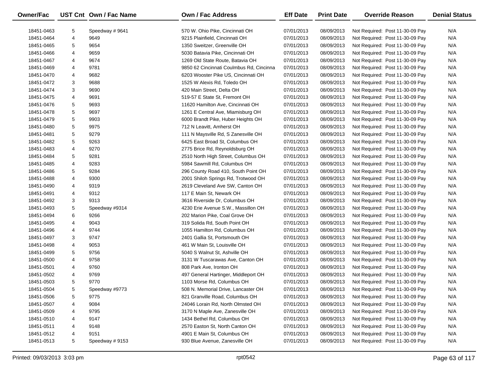| Owner/Fac  |   | UST Cnt Own / Fac Name | <b>Own / Fac Address</b>                 | <b>Eff Date</b> | <b>Print Date</b> | <b>Override Reason</b>          | <b>Denial Status</b> |
|------------|---|------------------------|------------------------------------------|-----------------|-------------------|---------------------------------|----------------------|
| 18451-0463 | 5 | Speedway #9641         | 570 W. Ohio Pike, Cincinnati OH          | 07/01/2013      | 08/09/2013        | Not Required: Post 11-30-09 Pay | N/A                  |
| 18451-0464 | 4 | 9649                   | 9215 Plainfield, Cincinnati OH           | 07/01/2013      | 08/09/2013        | Not Required: Post 11-30-09 Pay | N/A                  |
| 18451-0465 | 5 | 9654                   | 1350 Sweitzer, Greenville OH             | 07/01/2013      | 08/09/2013        | Not Required: Post 11-30-09 Pay | N/A                  |
| 18451-0466 | 4 | 9659                   | 5030 Batavia Pike, Cincinnati OH         | 07/01/2013      | 08/09/2013        | Not Required: Post 11-30-09 Pay | N/A                  |
| 18451-0467 | 4 | 9674                   | 1269 Old State Route, Batavia OH         | 07/01/2013      | 08/09/2013        | Not Required: Post 11-30-09 Pay | N/A                  |
| 18451-0469 | 4 | 9781                   | 9850 62 Cincinnati Coulmbus Rd, Cincinna | 07/01/2013      | 08/09/2013        | Not Required: Post 11-30-09 Pay | N/A                  |
| 18451-0470 | 4 | 9682                   | 6203 Wooster Pike US, Cincinnati OH      | 07/01/2013      | 08/09/2013        | Not Required: Post 11-30-09 Pay | N/A                  |
| 18451-0472 | 3 | 9688                   | 1525 W Alexis Rd, Toledo OH              | 07/01/2013      | 08/09/2013        | Not Required: Post 11-30-09 Pay | N/A                  |
| 18451-0474 | 3 | 9690                   | 420 Main Street, Delta OH                | 07/01/2013      | 08/09/2013        | Not Required: Post 11-30-09 Pay | N/A                  |
| 18451-0475 | 4 | 9691                   | 519-57 E State St, Fremont OH            | 07/01/2013      | 08/09/2013        | Not Required: Post 11-30-09 Pay | N/A                  |
| 18451-0476 | 5 | 9693                   | 11620 Hamilton Ave, Cincinnati OH        | 07/01/2013      | 08/09/2013        | Not Required: Post 11-30-09 Pay | N/A                  |
| 18451-0478 | 5 | 9697                   | 1261 E Central Ave, Miamisburg OH        | 07/01/2013      | 08/09/2013        | Not Required: Post 11-30-09 Pay | N/A                  |
| 18451-0479 | 5 | 9903                   | 6000 Brandt Pike, Huber Heights OH       | 07/01/2013      | 08/09/2013        | Not Required: Post 11-30-09 Pay | N/A                  |
| 18451-0480 | 5 | 9975                   | 712 N Leavitt, Amherst OH                | 07/01/2013      | 08/09/2013        | Not Required: Post 11-30-09 Pay | N/A                  |
| 18451-0481 | 5 | 9279                   | 111 N Maysville Rd, S Zanesville OH      | 07/01/2013      | 08/09/2013        | Not Required: Post 11-30-09 Pay | N/A                  |
| 18451-0482 | 5 | 9263                   | 6425 East Broad St, Columbus OH          | 07/01/2013      | 08/09/2013        | Not Required: Post 11-30-09 Pay | N/A                  |
| 18451-0483 | 4 | 9270                   | 2775 Brice Rd, Reynoldsburg OH           | 07/01/2013      | 08/09/2013        | Not Required: Post 11-30-09 Pay | N/A                  |
| 18451-0484 | 5 | 9281                   | 2510 North High Street, Columbus OH      | 07/01/2013      | 08/09/2013        | Not Required: Post 11-30-09 Pay | N/A                  |
| 18451-0485 | 4 | 9283                   | 5984 Sawmill Rd, Columbus OH             | 07/01/2013      | 08/09/2013        | Not Required: Post 11-30-09 Pay | N/A                  |
| 18451-0486 | 5 | 9284                   | 296 County Road 410, South Point OH      | 07/01/2013      | 08/09/2013        | Not Required: Post 11-30-09 Pay | N/A                  |
| 18451-0488 | 4 | 9300                   | 2001 Shiloh Springs Rd, Trotwood OH      | 07/01/2013      | 08/09/2013        | Not Required: Post 11-30-09 Pay | N/A                  |
| 18451-0490 | 4 | 9319                   | 2619 Cleveland Ave SW, Canton OH         | 07/01/2013      | 08/09/2013        | Not Required: Post 11-30-09 Pay | N/A                  |
| 18451-0491 | 4 | 9312                   | 117 E Main St, Newark OH                 | 07/01/2013      | 08/09/2013        | Not Required: Post 11-30-09 Pay | N/A                  |
| 18451-0492 | 3 | 9313                   | 3616 Riverside Dr, Columbus OH           | 07/01/2013      | 08/09/2013        | Not Required: Post 11-30-09 Pay | N/A                  |
| 18451-0493 | 5 | Speedway #9314         | 4230 Erie Avenue S.W., Massillon OH      | 07/01/2013      | 08/09/2013        | Not Required: Post 11-30-09 Pay | N/A                  |
| 18451-0494 | 6 | 9266                   | 202 Marion Pike, Coal Grove OH           | 07/01/2013      | 08/09/2013        | Not Required: Post 11-30-09 Pay | N/A                  |
| 18451-0495 | 4 | 9043                   | 319 Solida Rd, South Point OH            | 07/01/2013      | 08/09/2013        | Not Required: Post 11-30-09 Pay | N/A                  |
| 18451-0496 | 4 | 9744                   | 1055 Hamilton Rd, Columbus OH            | 07/01/2013      | 08/09/2013        | Not Required: Post 11-30-09 Pay | N/A                  |
| 18451-0497 | 3 | 9747                   | 2401 Gallia St, Portsmouth OH            | 07/01/2013      | 08/09/2013        | Not Required: Post 11-30-09 Pay | N/A                  |
| 18451-0498 | 4 | 9053                   | 461 W Main St, Louisville OH             | 07/01/2013      | 08/09/2013        | Not Required: Post 11-30-09 Pay | N/A                  |
| 18451-0499 | 5 | 9756                   | 5040 S Walnut St, Ashville OH            | 07/01/2013      | 08/09/2013        | Not Required: Post 11-30-09 Pay | N/A                  |
| 18451-0500 | 4 | 9758                   | 3131 W Tuscarawas Ave, Canton OH         | 07/01/2013      | 08/09/2013        | Not Required: Post 11-30-09 Pay | N/A                  |
| 18451-0501 | 4 | 9760                   | 808 Park Ave, Ironton OH                 | 07/01/2013      | 08/09/2013        | Not Required: Post 11-30-09 Pay | N/A                  |
| 18451-0502 | 4 | 9769                   | 497 General Hartinger, Middleport OH     | 07/01/2013      | 08/09/2013        | Not Required: Post 11-30-09 Pay | N/A                  |
| 18451-0503 | 5 | 9770                   | 1103 Morse Rd, Columbus OH               | 07/01/2013      | 08/09/2013        | Not Required: Post 11-30-09 Pay | N/A                  |
| 18451-0504 | 5 | Speedway #9773         | 508 N. Memorial Drive, Lancaster OH      | 07/01/2013      | 08/09/2013        | Not Required: Post 11-30-09 Pay | N/A                  |
| 18451-0506 | 5 | 9775                   | 821 Granville Road, Columbus OH          | 07/01/2013      | 08/09/2013        | Not Required: Post 11-30-09 Pay | N/A                  |
| 18451-0507 | 4 | 9084                   | 24046 Lorain Rd, North Olmsted OH        | 07/01/2013      | 08/09/2013        | Not Required: Post 11-30-09 Pay | N/A                  |
| 18451-0509 | 4 | 9795                   | 3170 N Maple Ave, Zanesville OH          | 07/01/2013      | 08/09/2013        | Not Required: Post 11-30-09 Pay | N/A                  |
| 18451-0510 | 4 | 9147                   | 1434 Bethel Rd, Columbus OH              | 07/01/2013      | 08/09/2013        | Not Required: Post 11-30-09 Pay | N/A                  |
| 18451-0511 | 4 | 9148                   | 2570 Easton St, North Canton OH          | 07/01/2013      | 08/09/2013        | Not Required: Post 11-30-09 Pay | N/A                  |
| 18451-0512 | 4 | 9151                   | 4901 E Main St, Columbus OH              | 07/01/2013      | 08/09/2013        | Not Required: Post 11-30-09 Pay | N/A                  |
| 18451-0513 | 5 | Speedway #9153         | 930 Blue Avenue, Zanesville OH           | 07/01/2013      | 08/09/2013        | Not Required: Post 11-30-09 Pay | N/A                  |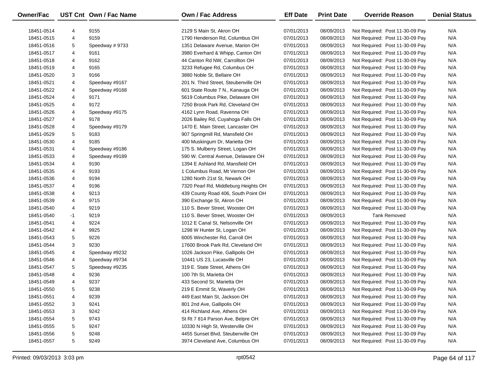| Owner/Fac                |        | UST Cnt Own / Fac Name           | <b>Own / Fac Address</b>                                   | <b>Eff Date</b>          | <b>Print Date</b>        | <b>Override Reason</b>                                             | <b>Denial Status</b> |
|--------------------------|--------|----------------------------------|------------------------------------------------------------|--------------------------|--------------------------|--------------------------------------------------------------------|----------------------|
| 18451-0514               |        | 9155                             |                                                            |                          |                          |                                                                    | N/A                  |
| 18451-0515               | 4<br>4 | 9159                             | 2129 S Main St, Akron OH<br>1790 Henderson Rd, Columbus OH | 07/01/2013<br>07/01/2013 | 08/09/2013<br>08/09/2013 | Not Required: Post 11-30-09 Pay<br>Not Required: Post 11-30-09 Pay | N/A                  |
| 18451-0516               | 5      | Speedway #9733                   | 1351 Delaware Avenue, Marion OH                            | 07/01/2013               | 08/09/2013               | Not Required: Post 11-30-09 Pay                                    | N/A                  |
| 18451-0517               | 4      | 9161                             | 3980 Everhard & Whipp, Canton OH                           | 07/01/2013               | 08/09/2013               | Not Required: Post 11-30-09 Pay                                    | N/A                  |
|                          | 4      | 9162                             | 44 Canton Rd NW, Carrollton OH                             |                          |                          |                                                                    | N/A                  |
| 18451-0518               | 4      | 9165                             |                                                            | 07/01/2013               | 08/09/2013               | Not Required: Post 11-30-09 Pay                                    | N/A                  |
| 18451-0519               | 3      | 9166                             | 3233 Refugee Rd, Columbus OH<br>3880 Noble St, Bellaire OH | 07/01/2013               | 08/09/2013               | Not Required: Post 11-30-09 Pay                                    | N/A                  |
| 18451-0520<br>18451-0521 | 4      |                                  | 201 N. Third Street, Steubenville OH                       | 07/01/2013               | 08/09/2013<br>08/09/2013 | Not Required: Post 11-30-09 Pay                                    | N/A                  |
|                          |        | Speedway #9167<br>Speedway #9168 | 601 State Route 7 N., Kanauga OH                           | 07/01/2013<br>07/01/2013 |                          | Not Required: Post 11-30-09 Pay                                    | N/A                  |
| 18451-0522               | 4      |                                  |                                                            |                          | 08/09/2013               | Not Required: Post 11-30-09 Pay                                    |                      |
| 18451-0524               | 4      | 9171                             | 5619 Columbus Pike, Delaware OH                            | 07/01/2013               | 08/09/2013               | Not Required: Post 11-30-09 Pay                                    | N/A                  |
| 18451-0525               | 4      | 9172                             | 7250 Brook Park Rd, Cleveland OH                           | 07/01/2013               | 08/09/2013               | Not Required: Post 11-30-09 Pay                                    | N/A                  |
| 18451-0526               | 4      | Speedway #9175                   | 4162 Lynn Road, Ravenna OH                                 | 07/01/2013               | 08/09/2013               | Not Required: Post 11-30-09 Pay                                    | N/A                  |
| 18451-0527               | 4      | 9178                             | 2026 Bailey Rd, Cuyahoga Falls OH                          | 07/01/2013               | 08/09/2013               | Not Required: Post 11-30-09 Pay                                    | N/A                  |
| 18451-0528               | 4      | Speedway #9179                   | 1470 E. Main Street, Lancaster OH                          | 07/01/2013               | 08/09/2013               | Not Required: Post 11-30-09 Pay                                    | N/A                  |
| 18451-0529               | 5      | 9183                             | 907 Springmill Rd, Mansfield OH                            | 07/01/2013               | 08/09/2013               | Not Required: Post 11-30-09 Pay                                    | N/A                  |
| 18451-0530               | 4      | 9185                             | 400 Muskingum Dr, Marietta OH                              | 07/01/2013               | 08/09/2013               | Not Required: Post 11-30-09 Pay                                    | N/A                  |
| 18451-0531               | 4      | Speedway #9186                   | 175 S. Mulberry Street, Logan OH                           | 07/01/2013               | 08/09/2013               | Not Required: Post 11-30-09 Pay                                    | N/A                  |
| 18451-0533               | 4      | Speedway #9189                   | 590 W. Central Avenue, Delaware OH                         | 07/01/2013               | 08/09/2013               | Not Required: Post 11-30-09 Pay                                    | N/A                  |
| 18451-0534               | 4      | 9190                             | 1394 E Ashland Rd, Mansfield OH                            | 07/01/2013               | 08/09/2013               | Not Required: Post 11-30-09 Pay                                    | N/A                  |
| 18451-0535               | 4      | 9193                             | 1 Columbus Road, Mt Vernon OH                              | 07/01/2013               | 08/09/2013               | Not Required: Post 11-30-09 Pay                                    | N/A                  |
| 18451-0536               | 4      | 9194                             | 1280 North 21st St, Newark OH                              | 07/01/2013               | 08/09/2013               | Not Required: Post 11-30-09 Pay                                    | N/A                  |
| 18451-0537               | 4      | 9196                             | 7320 Pearl Rd, Middleburg Heights OH                       | 07/01/2013               | 08/09/2013               | Not Required: Post 11-30-09 Pay                                    | N/A                  |
| 18451-0538               | 4      | 9213                             | 439 County Road 406, South Point OH                        | 07/01/2013               | 08/09/2013               | Not Required: Post 11-30-09 Pay                                    | N/A                  |
| 18451-0539               | 4      | 9715                             | 390 Exchange St, Akron OH                                  | 07/01/2013               | 08/09/2013               | Not Required: Post 11-30-09 Pay                                    | N/A                  |
| 18451-0540               | 4      | 9219                             | 110 S. Bever Street, Wooster OH                            | 07/01/2013               | 08/09/2013               | Not Required: Post 11-30-09 Pay                                    | N/A                  |
| 18451-0540               | -1     | 9219                             | 110 S. Bever Street, Wooster OH                            | 07/01/2013               | 08/09/2013               | <b>Tank Removed</b>                                                | N/A                  |
| 18451-0541               | 4      | 9224                             | 1012 E Canal St, Nelsonville OH                            | 07/01/2013               | 08/09/2013               | Not Required: Post 11-30-09 Pay                                    | N/A                  |
| 18451-0542               | 4      | 9925                             | 1298 W Hunter St, Logan OH                                 | 07/01/2013               | 08/09/2013               | Not Required: Post 11-30-09 Pay                                    | N/A                  |
| 18451-0543               | 5      | 9226                             | 6005 Winchester Rd, Carroll OH                             | 07/01/2013               | 08/09/2013               | Not Required: Post 11-30-09 Pay                                    | N/A                  |
| 18451-0544               | 3      | 9230                             | 17600 Brook Park Rd, Cleveland OH                          | 07/01/2013               | 08/09/2013               | Not Required: Post 11-30-09 Pay                                    | N/A                  |
| 18451-0545               | 4      | Speedway #9232                   | 1026 Jackson Pike, Gallipolis OH                           | 07/01/2013               | 08/09/2013               | Not Required: Post 11-30-09 Pay                                    | N/A                  |
| 18451-0546               | 4      | Speedway #9734                   | 10441 US 23, Lucasville OH                                 | 07/01/2013               | 08/09/2013               | Not Required: Post 11-30-09 Pay                                    | N/A                  |
| 18451-0547               | 5      | Speedway #9235                   | 319 E. State Street, Athens OH                             | 07/01/2013               | 08/09/2013               | Not Required: Post 11-30-09 Pay                                    | N/A                  |
| 18451-0548               | 4      | 9236                             | 100 7th St, Marietta OH                                    | 07/01/2013               | 08/09/2013               | Not Required: Post 11-30-09 Pay                                    | N/A                  |
| 18451-0549               | 4      | 9237                             | 433 Second St, Marietta OH                                 | 07/01/2013               | 08/09/2013               | Not Required: Post 11-30-09 Pay                                    | N/A                  |
| 18451-0550               | 5      | 9238                             | 219 E Emmit St, Waverly OH                                 | 07/01/2013               | 08/09/2013               | Not Required: Post 11-30-09 Pay                                    | N/A                  |
| 18451-0551               | 4      | 9239                             | 449 East Main St, Jackson OH                               | 07/01/2013               | 08/09/2013               | Not Required: Post 11-30-09 Pay                                    | N/A                  |
| 18451-0552               | 3      | 9241                             | 801 2nd Ave, Gallipolis OH                                 | 07/01/2013               | 08/09/2013               | Not Required: Post 11-30-09 Pay                                    | N/A                  |
| 18451-0553               | 3      | 9242                             | 414 Richland Ave, Athens OH                                | 07/01/2013               | 08/09/2013               | Not Required: Post 11-30-09 Pay                                    | N/A                  |
| 18451-0554               | 5      | 9743                             | St Rt 7 814 Parson Ave, Belpre OH                          | 07/01/2013               | 08/09/2013               | Not Required: Post 11-30-09 Pay                                    | N/A                  |
| 18451-0555               | 5      | 9247                             | 10330 N High St, Westerville OH                            | 07/01/2013               | 08/09/2013               | Not Required: Post 11-30-09 Pay                                    | N/A                  |
| 18451-0556               | 5      | 9248                             | 4455 Sunset Blvd, Steubenville OH                          | 07/01/2013               | 08/09/2013               | Not Required: Post 11-30-09 Pay                                    | N/A                  |
| 18451-0557               | 5      | 9249                             | 3974 Cleveland Ave, Columbus OH                            | 07/01/2013               | 08/09/2013               | Not Required: Post 11-30-09 Pay                                    | N/A                  |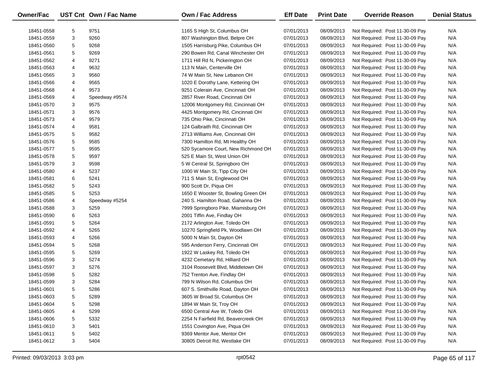| <b>Owner/Fac</b> |   | UST Cnt Own / Fac Name | Own / Fac Address                   | <b>Eff Date</b> | <b>Print Date</b> | <b>Override Reason</b>          | <b>Denial Status</b> |
|------------------|---|------------------------|-------------------------------------|-----------------|-------------------|---------------------------------|----------------------|
| 18451-0558       | 5 | 9751                   | 1165 S High St, Columbus OH         | 07/01/2013      | 08/09/2013        | Not Required: Post 11-30-09 Pay | N/A                  |
| 18451-0559       | 3 | 9260                   | 807 Washington Blvd, Belpre OH      | 07/01/2013      | 08/09/2013        | Not Required: Post 11-30-09 Pay | N/A                  |
| 18451-0560       | 5 | 9268                   | 1505 Harrisburg Pike, Columbus OH   | 07/01/2013      | 08/09/2013        | Not Required: Post 11-30-09 Pay | N/A                  |
| 18451-0561       | 5 | 9269                   | 290 Bowen Rd, Canal Winchester OH   | 07/01/2013      | 08/09/2013        | Not Required: Post 11-30-09 Pay | N/A                  |
| 18451-0562       | 4 | 9271                   | 1711 Hill Rd N, Pickerington OH     | 07/01/2013      | 08/09/2013        | Not Required: Post 11-30-09 Pay | N/A                  |
| 18451-0563       | 4 | 9632                   | 113 N Main, Centerville OH          | 07/01/2013      | 08/09/2013        | Not Required: Post 11-30-09 Pay | N/A                  |
| 18451-0565       | 3 | 9560                   | 74 W Main St, New Lebanon OH        | 07/01/2013      | 08/09/2013        | Not Required: Post 11-30-09 Pay | N/A                  |
| 18451-0566       | 4 | 9565                   | 1020 E Dorothy Lane, Kettering OH   | 07/01/2013      | 08/09/2013        | Not Required: Post 11-30-09 Pay | N/A                  |
| 18451-0568       | 4 | 9573                   | 9251 Colerain Ave, Cincinnati OH    | 07/01/2013      | 08/09/2013        | Not Required: Post 11-30-09 Pay | N/A                  |
| 18451-0569       | 4 | Speedway #9574         | 2857 River Road, Cincinnati OH      | 07/01/2013      | 08/09/2013        | Not Required: Post 11-30-09 Pay | N/A                  |
| 18451-0570       | 3 | 9575                   | 12006 Montgomery Rd, Cincinnati OH  | 07/01/2013      | 08/09/2013        | Not Required: Post 11-30-09 Pay | N/A                  |
| 18451-0571       | 3 | 9576                   | 4425 Montgomery Rd, Cincinnati OH   | 07/01/2013      | 08/09/2013        | Not Required: Post 11-30-09 Pay | N/A                  |
| 18451-0573       | 4 | 9579                   | 735 Ohio Pike, Cincinnati OH        | 07/01/2013      | 08/09/2013        | Not Required: Post 11-30-09 Pay | N/A                  |
| 18451-0574       | 4 | 9581                   | 124 Galbraith Rd, Cincinnati OH     | 07/01/2013      | 08/09/2013        | Not Required: Post 11-30-09 Pay | N/A                  |
| 18451-0575       | 5 | 9582                   | 2713 Williams Ave, Cincinnati OH    | 07/01/2013      | 08/09/2013        | Not Required: Post 11-30-09 Pay | N/A                  |
| 18451-0576       | 5 | 9585                   | 7300 Hamilton Rd, Mt Healthy OH     | 07/01/2013      | 08/09/2013        | Not Required: Post 11-30-09 Pay | N/A                  |
| 18451-0577       | 5 | 9595                   | 520 Sycamore Court, New Richmond OH | 07/01/2013      | 08/09/2013        | Not Required: Post 11-30-09 Pay | N/A                  |
| 18451-0578       | 5 | 9597                   | 525 E Main St, West Union OH        | 07/01/2013      | 08/09/2013        | Not Required: Post 11-30-09 Pay | N/A                  |
| 18451-0579       | 3 | 9598                   | 5 W Central St, Springboro OH       | 07/01/2013      | 08/09/2013        | Not Required: Post 11-30-09 Pay | N/A                  |
| 18451-0580       | 4 | 5237                   | 1000 W Main St, Tipp City OH        | 07/01/2013      | 08/09/2013        | Not Required: Post 11-30-09 Pay | N/A                  |
| 18451-0581       | 6 | 5241                   | 711 S Main St, Englewood OH         | 07/01/2013      | 08/09/2013        | Not Required: Post 11-30-09 Pay | N/A                  |
| 18451-0582       | 5 | 5243                   | 900 Scott Dr, Piqua OH              | 07/01/2013      | 08/09/2013        | Not Required: Post 11-30-09 Pay | N/A                  |
| 18451-0585       | 5 | 5253                   | 1650 E Wooster St, Bowling Green OH | 07/01/2013      | 08/09/2013        | Not Required: Post 11-30-09 Pay | N/A                  |
| 18451-0586       | 4 | Speedway #5254         | 240 S. Hamilton Road, Gahanna OH    | 07/01/2013      | 08/09/2013        | Not Required: Post 11-30-09 Pay | N/A                  |
| 18451-0588       | 3 | 5259                   | 7999 Springboro Pike, Miamisburg OH | 07/01/2013      | 08/09/2013        | Not Required: Post 11-30-09 Pay | N/A                  |
| 18451-0590       | 6 | 5263                   | 2001 Tiffin Ave, Findlay OH         | 07/01/2013      | 08/09/2013        | Not Required: Post 11-30-09 Pay | N/A                  |
| 18451-0591       | 5 | 5264                   | 2172 Arlington Ave, Toledo OH       | 07/01/2013      | 08/09/2013        | Not Required: Post 11-30-09 Pay | N/A                  |
| 18451-0592       | 4 | 5265                   | 10270 Springfield Pk, Woodlawn OH   | 07/01/2013      | 08/09/2013        | Not Required: Post 11-30-09 Pay | N/A                  |
| 18451-0593       | 4 | 5266                   | 5000 N Main St, Dayton OH           | 07/01/2013      | 08/09/2013        | Not Required: Post 11-30-09 Pay | N/A                  |
| 18451-0594       | 5 | 5268                   | 595 Anderson Ferry, Cincinnati OH   | 07/01/2013      | 08/09/2013        | Not Required: Post 11-30-09 Pay | N/A                  |
| 18451-0595       | 5 | 5269                   | 1922 W Laskey Rd, Toledo OH         | 07/01/2013      | 08/09/2013        | Not Required: Post 11-30-09 Pay | N/A                  |
| 18451-0596       | 3 | 5274                   | 4232 Cemetary Rd, Hilliard OH       | 07/01/2013      | 08/09/2013        | Not Required: Post 11-30-09 Pay | N/A                  |
| 18451-0597       | 3 | 5276                   | 3104 Roosevelt Blvd, Middletown OH  | 07/01/2013      | 08/09/2013        | Not Required: Post 11-30-09 Pay | N/A                  |
| 18451-0598       | 5 | 5282                   | 752 Trenton Ave, Findlay OH         | 07/01/2013      | 08/09/2013        | Not Required: Post 11-30-09 Pay | N/A                  |
| 18451-0599       | 3 | 5284                   | 799 N Wilson Rd, Columbus OH        | 07/01/2013      | 08/09/2013        | Not Required: Post 11-30-09 Pay | N/A                  |
| 18451-0601       | 5 | 5286                   | 607 S. Smithville Road, Dayton OH   | 07/01/2013      | 08/09/2013        | Not Required: Post 11-30-09 Pay | N/A                  |
| 18451-0603       | 5 | 5289                   | 3605 W Broad St, Columbus OH        | 07/01/2013      | 08/09/2013        | Not Required: Post 11-30-09 Pay | N/A                  |
| 18451-0604       | 5 | 5298                   | 1894 W Main St, Troy OH             | 07/01/2013      | 08/09/2013        | Not Required: Post 11-30-09 Pay | N/A                  |
| 18451-0605       | 4 | 5299                   | 6500 Central Ave W, Toledo OH       | 07/01/2013      | 08/09/2013        | Not Required: Post 11-30-09 Pay | N/A                  |
| 18451-0606       | 5 | 5332                   | 2254 N Fairfield Rd, Beavercreek OH | 07/01/2013      | 08/09/2013        | Not Required: Post 11-30-09 Pay | N/A                  |
| 18451-0610       | 3 | 5401                   | 1551 Covington Ave, Piqua OH        | 07/01/2013      | 08/09/2013        | Not Required: Post 11-30-09 Pay | N/A                  |
| 18451-0611       | 5 | 5402                   | 9369 Mentor Ave, Mentor OH          | 07/01/2013      | 08/09/2013        | Not Required: Post 11-30-09 Pay | N/A                  |
| 18451-0612       | 3 | 5404                   | 30805 Detroit Rd, Westlake OH       | 07/01/2013      | 08/09/2013        | Not Required: Post 11-30-09 Pay | N/A                  |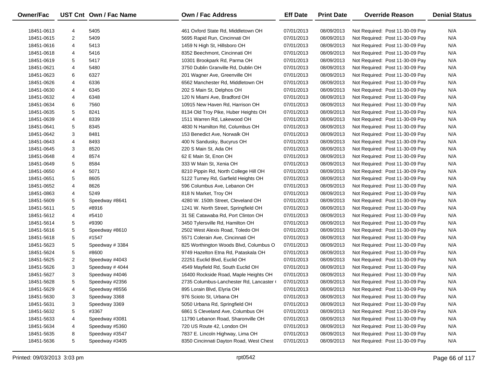| <b>Owner/Fac</b> |                | UST Cnt Own / Fac Name | Own / Fac Address                        | <b>Eff Date</b> | <b>Print Date</b> | <b>Override Reason</b>          | <b>Denial Status</b> |
|------------------|----------------|------------------------|------------------------------------------|-----------------|-------------------|---------------------------------|----------------------|
|                  |                |                        |                                          |                 |                   |                                 |                      |
| 18451-0613       | 4              | 5405                   | 461 Oxford State Rd, Middletown OH       | 07/01/2013      | 08/09/2013        | Not Required: Post 11-30-09 Pay | N/A                  |
| 18451-0615       | 2              | 5409                   | 5695 Rapid Run, Cincinnati OH            | 07/01/2013      | 08/09/2013        | Not Required: Post 11-30-09 Pay | N/A                  |
| 18451-0616       | 4              | 5413                   | 1459 N High St, Hillsboro OH             | 07/01/2013      | 08/09/2013        | Not Required: Post 11-30-09 Pay | N/A                  |
| 18451-0618       | 4              | 5416                   | 8352 Beechmont, Cincinnati OH            | 07/01/2013      | 08/09/2013        | Not Required: Post 11-30-09 Pay | N/A                  |
| 18451-0619       | 5              | 5417                   | 10301 Brookpark Rd, Parma OH             | 07/01/2013      | 08/09/2013        | Not Required: Post 11-30-09 Pay | N/A                  |
| 18451-0621       | 4              | 5480                   | 3750 Dublin Granville Rd, Dublin OH      | 07/01/2013      | 08/09/2013        | Not Required: Post 11-30-09 Pay | N/A                  |
| 18451-0623       | 6              | 6327                   | 201 Wagner Ave, Greenville OH            | 07/01/2013      | 08/09/2013        | Not Required: Post 11-30-09 Pay | N/A                  |
| 18451-0626       | 4              | 6336                   | 6562 Manchester Rd, Middletown OH        | 07/01/2013      | 08/09/2013        | Not Required: Post 11-30-09 Pay | N/A                  |
| 18451-0630       | 4              | 6345                   | 202 S Main St, Delphos OH                | 07/01/2013      | 08/09/2013        | Not Required: Post 11-30-09 Pay | N/A                  |
| 18451-0632       | 4              | 6348                   | 120 N Miami Ave, Bradford OH             | 07/01/2013      | 08/09/2013        | Not Required: Post 11-30-09 Pay | N/A                  |
| 18451-0634       | 6              | 7560                   | 10915 New Haven Rd, Harrison OH          | 07/01/2013      | 08/09/2013        | Not Required: Post 11-30-09 Pay | N/A                  |
| 18451-0635       | 5              | 8241                   | 8134 Old Troy Pike, Huber Heights OH     | 07/01/2013      | 08/09/2013        | Not Required: Post 11-30-09 Pay | N/A                  |
| 18451-0639       | 4              | 8339                   | 1511 Warren Rd, Lakewood OH              | 07/01/2013      | 08/09/2013        | Not Required: Post 11-30-09 Pay | N/A                  |
| 18451-0641       | 5              | 8345                   | 4830 N Hamilton Rd, Columbus OH          | 07/01/2013      | 08/09/2013        | Not Required: Post 11-30-09 Pay | N/A                  |
| 18451-0642       | 3              | 8481                   | 153 Benedict Ave, Norwalk OH             | 07/01/2013      | 08/09/2013        | Not Required: Post 11-30-09 Pay | N/A                  |
| 18451-0643       | 4              | 8493                   | 400 N Sandusky, Bucyrus OH               | 07/01/2013      | 08/09/2013        | Not Required: Post 11-30-09 Pay | N/A                  |
| 18451-0645       | 3              | 8520                   | 220 S Main St, Ada OH                    | 07/01/2013      | 08/09/2013        | Not Required: Post 11-30-09 Pay | N/A                  |
| 18451-0648       | 4              | 8574                   | 62 E Main St, Enon OH                    | 07/01/2013      | 08/09/2013        | Not Required: Post 11-30-09 Pay | N/A                  |
| 18451-0649       | 5              | 8584                   | 333 W Main St, Xenia OH                  | 07/01/2013      | 08/09/2013        | Not Required: Post 11-30-09 Pay | N/A                  |
| 18451-0650       | 4              | 5071                   | 8210 Pippin Rd, North College Hill OH    | 07/01/2013      | 08/09/2013        | Not Required: Post 11-30-09 Pay | N/A                  |
| 18451-0651       | 5              | 8605                   | 5122 Turney Rd, Garfield Heights OH      | 07/01/2013      | 08/09/2013        | Not Required: Post 11-30-09 Pay | N/A                  |
| 18451-0652       | 4              | 8626                   | 596 Columbus Ave, Lebanon OH             | 07/01/2013      | 08/09/2013        | Not Required: Post 11-30-09 Pay | N/A                  |
| 18451-0863       | 4              | 5249                   | 818 N Market, Troy OH                    | 07/01/2013      | 08/09/2013        | Not Required: Post 11-30-09 Pay | N/A                  |
| 18451-5609       | 5              | Speedway #8641         | 4280 W. 150th Street, Cleveland OH       | 07/01/2013      | 08/09/2013        | Not Required: Post 11-30-09 Pay | N/A                  |
| 18451-5611       | 5              | #8916                  | 1241 W. North Street, Springfield OH     | 07/01/2013      | 08/09/2013        | Not Required: Post 11-30-09 Pay | N/A                  |
| 18451-5612       | 4              | #5410                  | 31 SE Catawaba Rd, Port Clinton OH       | 07/01/2013      | 08/09/2013        | Not Required: Post 11-30-09 Pay | N/A                  |
| 18451-5614       | 5              | #9390                  | 3450 Tylersville Rd, Hamilton OH         | 07/01/2013      | 08/09/2013        | Not Required: Post 11-30-09 Pay | N/A                  |
| 18451-5616       | 5              | Speedway #8610         | 2502 West Alexis Road, Toledo OH         | 07/01/2013      | 08/09/2013        | Not Required: Post 11-30-09 Pay | N/A                  |
| 18451-5618       | 5              | #1547                  | 5571 Colerain Ave, Cincinnati OH         | 07/01/2013      | 08/09/2013        | Not Required: Post 11-30-09 Pay | N/A                  |
| 18451-5623       | 5              | Speedway #3384         | 825 Worthington Woods Blvd, Columbus O   | 07/01/2013      | 08/09/2013        | Not Required: Post 11-30-09 Pay | N/A                  |
| 18451-5624       | 5              | #8600                  | 9749 Hazelton Etna Rd, Pataskala OH      | 07/01/2013      | 08/09/2013        | Not Required: Post 11-30-09 Pay | N/A                  |
| 18451-5625       | $\overline{c}$ | Speedway #4043         | 22251 Euclid Blvd, Euclid OH             | 07/01/2013      | 08/09/2013        | Not Required: Post 11-30-09 Pay | N/A                  |
| 18451-5626       | 3              | Speedway #4044         | 4549 Mayfield Rd, South Euclid OH        | 07/01/2013      | 08/09/2013        | Not Required: Post 11-30-09 Pay | N/A                  |
| 18451-5627       | 3              | Speedway #4046         | 16400 Rockside Road, Maple Heights OH    | 07/01/2013      | 08/09/2013        | Not Required: Post 11-30-09 Pay | N/A                  |
| 18451-5628       | 5              | Speedway #2356         | 2735 Columbus-Lanchester Rd, Lancaster ( | 07/01/2013      | 08/09/2013        | Not Required: Post 11-30-09 Pay | N/A                  |
| 18451-5629       | 4              | Speedway #8556         | 895 Lorain Blvd, Elyria OH               | 07/01/2013      | 08/09/2013        | Not Required: Post 11-30-09 Pay | N/A                  |
| 18451-5630       | 3              | Speedway 3368          | 976 Scioto St, Urbana OH                 | 07/01/2013      | 08/09/2013        | Not Required: Post 11-30-09 Pay | N/A                  |
| 18451-5631       | 3              | Speedway 3369          | 5050 Urbana Rd, Springfield OH           | 07/01/2013      | 08/09/2013        | Not Required: Post 11-30-09 Pay | N/A                  |
| 18451-5632       | 5              | #3367                  | 6861 S Cleveland Ave, Columbus OH        | 07/01/2013      | 08/09/2013        | Not Required: Post 11-30-09 Pay | N/A                  |
| 18451-5633       | 4              | Speedway #3081         | 11790 Lebanon Road, Sharonville OH       | 07/01/2013      | 08/09/2013        | Not Required: Post 11-30-09 Pay | N/A                  |
| 18451-5634       | 4              | Speedway #5360         | 720 US Route 42, London OH               | 07/01/2013      | 08/09/2013        | Not Required: Post 11-30-09 Pay | N/A                  |
| 18451-5635       | 8              | Speedway #3547         | 7837 E. Lincoln Highway, Lima OH         | 07/01/2013      | 08/09/2013        | Not Required: Post 11-30-09 Pay | N/A                  |
| 18451-5636       | 5              | Speedway #3405         | 8350 Cincinnati Dayton Road, West Chest  | 07/01/2013      | 08/09/2013        | Not Required: Post 11-30-09 Pay | N/A                  |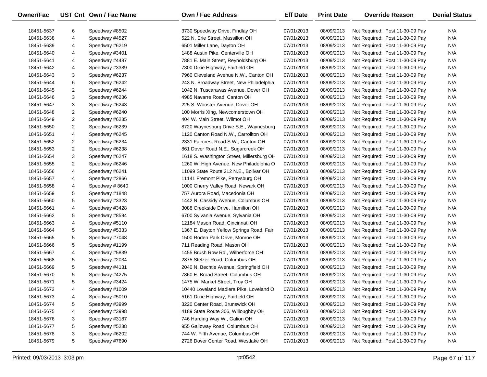| Owner/Fac  |   | UST Cnt Own / Fac Name | <b>Own / Fac Address</b>                  | <b>Eff Date</b> | <b>Print Date</b> | <b>Override Reason</b>          | <b>Denial Status</b> |
|------------|---|------------------------|-------------------------------------------|-----------------|-------------------|---------------------------------|----------------------|
| 18451-5637 | 6 | Speedway #8502         | 3730 Speedway Drive, Findlay OH           | 07/01/2013      | 08/09/2013        | Not Required: Post 11-30-09 Pay | N/A                  |
| 18451-5638 | 4 | Speedway #4527         | 522 N. Erie Street, Massillon OH          | 07/01/2013      | 08/09/2013        | Not Required: Post 11-30-09 Pay | N/A                  |
| 18451-5639 | 4 | Speedway #6219         | 6501 Miller Lane, Dayton OH               | 07/01/2013      | 08/09/2013        | Not Required: Post 11-30-09 Pay | N/A                  |
| 18451-5640 | 4 | Speedway #3401         | 1488 Austin Pike, Centerville OH          | 07/01/2013      | 08/09/2013        | Not Required: Post 11-30-09 Pay | N/A                  |
| 18451-5641 | 4 | Speedway #4487         | 7881 E. Main Street, Reynoldsburg OH      | 07/01/2013      | 08/09/2013        | Not Required: Post 11-30-09 Pay | N/A                  |
| 18451-5642 | 4 | Speedway #3389         | 7300 Dixie Highway, Fairfield OH          | 07/01/2013      | 08/09/2013        | Not Required: Post 11-30-09 Pay | N/A                  |
| 18451-5643 | 3 | Speedway #6237         | 7960 Cleveland Avenue N.W., Canton OH     | 07/01/2013      | 08/09/2013        | Not Required: Post 11-30-09 Pay | N/A                  |
| 18451-5644 | 6 | Speedway #6242         | 243 N. Broadway Street, New Philadelphia  | 07/01/2013      | 08/09/2013        | Not Required: Post 11-30-09 Pay | N/A                  |
| 18451-5645 | 2 | Speedway #6244         | 1042 N. Tuscarawas Avenue, Dover OH       | 07/01/2013      | 08/09/2013        | Not Required: Post 11-30-09 Pay | N/A                  |
| 18451-5646 | 3 | Speedway #6236         | 4985 Navarre Road, Canton OH              | 07/01/2013      | 08/09/2013        | Not Required: Post 11-30-09 Pay | N/A                  |
| 18451-5647 | 3 | Speedway #6243         | 225 S. Wooster Avenue, Dover OH           | 07/01/2013      | 08/09/2013        | Not Required: Post 11-30-09 Pay | N/A                  |
| 18451-5648 | 2 | Speedway #6240         | 100 Morris Xing, Newcomerstown OH         | 07/01/2013      | 08/09/2013        | Not Required: Post 11-30-09 Pay | N/A                  |
| 18451-5649 | 2 | Speedway #6235         | 404 W. Main Street, Wilmot OH             | 07/01/2013      | 08/09/2013        | Not Required: Post 11-30-09 Pay | N/A                  |
| 18451-5650 | 2 | Speedway #6239         | 8720 Waynesburg Drive S.E., Waynesburg    | 07/01/2013      | 08/09/2013        | Not Required: Post 11-30-09 Pay | N/A                  |
| 18451-5651 | 4 | Speedway #6245         | 1120 Canton Road N.W., Carrollton OH      | 07/01/2013      | 08/09/2013        | Not Required: Post 11-30-09 Pay | N/A                  |
| 18451-5652 | 2 | Speedway #6234         | 2331 Faircrest Road S.W., Canton OH       | 07/01/2013      | 08/09/2013        | Not Required: Post 11-30-09 Pay | N/A                  |
| 18451-5653 | 2 | Speedway #6238         | 861 Dover Road N.E., Sugarcreek OH        | 07/01/2013      | 08/09/2013        | Not Required: Post 11-30-09 Pay | N/A                  |
| 18451-5654 | 3 | Speedway #6247         | 1618 S. Washington Street, Millersburg OH | 07/01/2013      | 08/09/2013        | Not Required: Post 11-30-09 Pay | N/A                  |
| 18451-5655 | 2 | Speedway #6246         | 1260 W. High Avenue, New Philadelphia O   | 07/01/2013      | 08/09/2013        | Not Required: Post 11-30-09 Pay | N/A                  |
| 18451-5656 | 4 | Speedway #6241         | 11099 State Route 212 N.E., Bolivar OH    | 07/01/2013      | 08/09/2013        | Not Required: Post 11-30-09 Pay | N/A                  |
| 18451-5657 | 4 | Speedway #2866         | 11141 Fremont Pike, Perrysburg OH         | 07/01/2013      | 08/09/2013        | Not Required: Post 11-30-09 Pay | N/A                  |
| 18451-5658 | 4 | Speedway #8640         | 1000 Cherry Valley Road, Newark OH        | 07/01/2013      | 08/09/2013        | Not Required: Post 11-30-09 Pay | N/A                  |
| 18451-5659 | 5 | Speedway #1848         | 757 Aurora Road, Macedonia OH             | 07/01/2013      | 08/09/2013        | Not Required: Post 11-30-09 Pay | N/A                  |
| 18451-5660 | 5 | Speedway #3323         | 1442 N. Cassidy Avenue, Columbus OH       | 07/01/2013      | 08/09/2013        | Not Required: Post 11-30-09 Pay | N/A                  |
| 18451-5661 | 4 | Speedway #3428         | 3088 Creekside Drive, Hamilton OH         | 07/01/2013      | 08/09/2013        | Not Required: Post 11-30-09 Pay | N/A                  |
| 18451-5662 | 5 | Speedway #8594         | 6700 Sylvania Avenue, Sylvania OH         | 07/01/2013      | 08/09/2013        | Not Required: Post 11-30-09 Pay | N/A                  |
| 18451-5663 | 4 | Speedway #5110         | 12184 Mason Road, Cincinnati OH           | 07/01/2013      | 08/09/2013        | Not Required: Post 11-30-09 Pay | N/A                  |
| 18451-5664 | 5 | Speedway #5333         | 1367 E. Dayton Yellow Springs Road, Fair  | 07/01/2013      | 08/09/2013        | Not Required: Post 11-30-09 Pay | N/A                  |
| 18451-5665 | 5 | Speedway #7048         | 1500 Roden Park Drive, Monroe OH          | 07/01/2013      | 08/09/2013        | Not Required: Post 11-30-09 Pay | N/A                  |
| 18451-5666 | 5 | Speedway #1199         | 711 Reading Road, Mason OH                | 07/01/2013      | 08/09/2013        | Not Required: Post 11-30-09 Pay | N/A                  |
| 18451-5667 | 4 | Speedway #5839         | 1455 Brush Row Rd., Wilberforce OH        | 07/01/2013      | 08/09/2013        | Not Required: Post 11-30-09 Pay | N/A                  |
| 18451-5668 | 5 | Speedway #2034         | 2875 Stelzer Road, Columbus OH            | 07/01/2013      | 08/09/2013        | Not Required: Post 11-30-09 Pay | N/A                  |
| 18451-5669 | 5 | Speedway #4131         | 2040 N. Bechtle Avenue, Springfield OH    | 07/01/2013      | 08/09/2013        | Not Required: Post 11-30-09 Pay | N/A                  |
| 18451-5670 | 5 | Speedway #4275         | 7860 E. Broad Street, Columbus OH         | 07/01/2013      | 08/09/2013        | Not Required: Post 11-30-09 Pay | N/A                  |
| 18451-5671 | 5 | Speedway #3424         | 1475 W. Market Street, Troy OH            | 07/01/2013      | 08/09/2013        | Not Required: Post 11-30-09 Pay | N/A                  |
| 18451-5672 | 4 | Speedway #1009         | 10440 Loveland Madiera Pike, Loveland O   | 07/01/2013      | 08/09/2013        | Not Required: Post 11-30-09 Pay | N/A                  |
| 18451-5673 | 4 | Speedway #5010         | 5161 Dixie Highway, Fairfield OH          | 07/01/2013      | 08/09/2013        | Not Required: Post 11-30-09 Pay | N/A                  |
| 18451-5674 | 5 | Speedway #3999         | 3220 Center Road, Brunswick OH            | 07/01/2013      | 08/09/2013        | Not Required: Post 11-30-09 Pay | N/A                  |
| 18451-5675 | 4 | Speedway #3998         | 4189 State Route 306, Willoughby OH       | 07/01/2013      | 08/09/2013        | Not Required: Post 11-30-09 Pay | N/A                  |
| 18451-5676 | 3 | Speedway #3187         | 746 Harding Way W., Galion OH             | 07/01/2013      | 08/09/2013        | Not Required: Post 11-30-09 Pay | N/A                  |
| 18451-5677 | 5 | Speedway #5238         | 955 Galloway Road, Columbus OH            | 07/01/2013      | 08/09/2013        | Not Required: Post 11-30-09 Pay | N/A                  |
| 18451-5678 | 3 | Speedway #6202         | 744 W. Fifth Avenue, Columbus OH          | 07/01/2013      | 08/09/2013        | Not Required: Post 11-30-09 Pay | N/A                  |
| 18451-5679 | 5 | Speedway #7690         | 2726 Dover Center Road, Westlake OH       | 07/01/2013      | 08/09/2013        | Not Required: Post 11-30-09 Pay | N/A                  |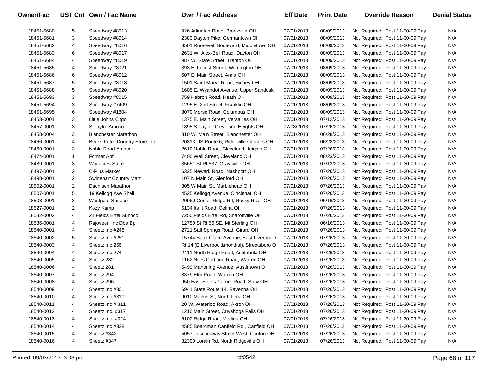| Owner/Fac  |                | UST Cnt Own / Fac Name        | <b>Own / Fac Address</b>                    | <b>Eff Date</b> | <b>Print Date</b> | <b>Override Reason</b>          | <b>Denial Status</b> |
|------------|----------------|-------------------------------|---------------------------------------------|-----------------|-------------------|---------------------------------|----------------------|
| 18451-5680 | 5              | Speedway #8013                | 926 Arlington Road, Brookville OH           | 07/01/2013      | 08/09/2013        | Not Required: Post 11-30-09 Pay | N/A                  |
| 18451-5681 | 3              | Speedway #8014                | 2383 Dayton Pike, Germantown OH             | 07/01/2013      | 08/09/2013        | Not Required: Post 11-30-09 Pay | N/A                  |
| 18451-5682 | 4              | Speedway #8016                | 3501 Roosevelt Boulevard, Middletown OH     | 07/01/2013      | 08/09/2013        | Not Required: Post 11-30-09 Pay | N/A                  |
| 18451-5683 | 6              | Speedway #8017                | 2631 W. Alex-Bell Road, Dayton OH           | 07/01/2013      | 08/09/2013        | Not Required: Post 11-30-09 Pay | N/A                  |
| 18451-5684 | 4              | Speedway #8019                | 987 W. State Street, Trenton OH             | 07/01/2013      | 08/09/2013        | Not Required: Post 11-30-09 Pay | N/A                  |
| 18451-5685 | 4              | Speedway #8021                | 393 E. Locust Street, Wilmington OH         | 07/01/2013      | 08/09/2013        | Not Required: Post 11-30-09 Pay | N/A                  |
| 18451-5686 | 6              | Speedway #8012                | 607 E. Main Street, Anna OH                 | 07/01/2013      | 08/09/2013        | Not Required: Post 11-30-09 Pay | N/A                  |
| 18451-5687 | 5              | Speedway #8018                | 1501 Saint Marys Road, Sidney OH            | 07/01/2013      | 08/09/2013        | Not Required: Post 11-30-09 Pay | N/A                  |
| 18451-5688 | 5              | Speedway #8020                | 1605 E. Wyandot Avenue, Upper Sandusk       | 07/01/2013      | 08/09/2013        | Not Required: Post 11-30-09 Pay | N/A                  |
| 18451-5693 | 3              | Speedway #8015                | 759 Hebron Road, Heath OH                   | 07/01/2013      | 08/09/2013        | Not Required: Post 11-30-09 Pay | N/A                  |
| 18451-5694 | 3              | Speedway #7409                | 1295 E. 2nd Street, Franklin OH             | 07/01/2013      | 08/09/2013        | Not Required: Post 11-30-09 Pay | N/A                  |
| 18451-5695 | 6              | Speedway #1804                | 3070 Morse Road, Columbus OH                | 07/01/2013      | 08/09/2013        | Not Required: Post 11-30-09 Pay | N/A                  |
| 18453-0001 | 3              | Little Johns Citgo            | 1375 E. Main Street, Versailles OH          | 07/01/2013      | 07/12/2013        | Not Required: Post 11-30-09 Pay | N/A                  |
| 18457-0001 | 3              | S Taylor Amoco                | 1895 S Taylor, Cleveland Heights OH         | 07/08/2013      | 07/26/2013        | Not Required: Post 11-30-09 Pay | N/A                  |
| 18458-0004 | 3              | <b>Blanchester Marathon</b>   | 310 W. Main Street, Blanchester OH          | 07/01/2013      | 06/28/2013        | Not Required: Post 11-30-09 Pay | N/A                  |
| 18466-0001 | 4              | Becks Petro Country Store Ltd | 20813 US Route 6, Ridgeville Corners OH     | 07/01/2013      | 06/28/2013        | Not Required: Post 11-30-09 Pay | N/A                  |
| 18469-0001 | 3              | Noble Road Amoco              | 2610 Noble Road, Cleveland Heights OH       | 07/01/2013      | 07/26/2013        | Not Required: Post 11-30-09 Pay | N/A                  |
| 18474-0001 | $\mathbf{1}$   | Former Abf                    | 7400 Wall Street, Cleveland OH              | 07/01/2013      | 08/23/2013        | Not Required: Post 11-30-09 Pay | N/A                  |
| 18489-0001 | 3              | <b>Whitacres Store</b>        | 35651 St Rt 537, Graysville OH              | 07/01/2013      | 07/12/2013        | Not Required: Post 11-30-09 Pay | N/A                  |
| 18497-0001 | 2              | C-Plus Market                 | 6325 Newark Road, Nashport OH               | 07/01/2013      | 07/26/2013        | Not Required: Post 11-30-09 Pay | N/A                  |
| 18498-0001 | $\overline{2}$ | <b>Swinehart Country Mart</b> | 107 N Main St, Glenford OH                  | 07/01/2013      | 07/26/2013        | Not Required: Post 11-30-09 Pay | N/A                  |
| 18502-0001 | 2              | Dachisen Marathon             | 305 W Main St, Marblehead OH                | 07/01/2013      | 07/26/2013        | Not Required: Post 11-30-09 Pay | N/A                  |
| 18507-0001 | 5              | 19 Kellogg Ave Shell          | 4525 Kellogg Avenue, Cincinnati OH          | 07/01/2013      | 07/26/2013        | Not Required: Post 11-30-09 Pay | N/A                  |
| 18508-0001 | 3              | Westgate Sunoco               | 20960 Center Ridge Rd, Rocky River OH       | 07/01/2013      | 06/16/2013        | Not Required: Post 11-30-09 Pay | N/A                  |
| 18527-0001 | $\overline{2}$ | Kozy Kamp                     | 5134 Its It Road, Celina OH                 | 07/01/2013      | 07/26/2013        | Not Required: Post 11-30-09 Pay | N/A                  |
| 18532-0002 | 4              | 21 Fields Ertel Sunoco        | 7250 Fields Ertel Rd, Sharonville OH        | 07/01/2013      | 07/26/2013        | Not Required: Post 11-30-09 Pay | N/A                  |
| 18536-0001 | 4              | Rajoveer Inc Dba Bp           | 12750 St Rt 56 SE, Mt Sterling OH           | 07/01/2013      | 06/16/2013        | Not Required: Post 11-30-09 Pay | N/A                  |
| 18540-0001 | 4              | Sheetz Inc #248               | 2721 Salt Springs Road, Girard OH           | 07/01/2013      | 07/26/2013        | Not Required: Post 11-30-09 Pay | N/A                  |
| 18540-0002 | 5              | Sheetz Inc #251               | 15744 Saint Claire Avenue, East Liverpool ( | 07/01/2013      | 07/26/2013        | Not Required: Post 11-30-09 Pay | N/A                  |
| 18540-0003 | 4              | Sheetz Inc 266                | Rt 14 (E Liverpool&mondial), Streetsboro O  | 07/01/2013      | 07/26/2013        | Not Required: Post 11-30-09 Pay | N/A                  |
| 18540-0004 | 4              | Sheetz Inc 274                | 2411 North Ridge Road, Ashtabula OH         | 07/01/2013      | 07/26/2013        | Not Required: Post 11-30-09 Pay | N/A                  |
| 18540-0005 | 4              | Sheetz 282                    | 1162 Niles Cortland Road, Warren OH         | 07/01/2013      | 07/26/2013        | Not Required: Post 11-30-09 Pay | N/A                  |
| 18540-0006 | 4              | Sheetz 281                    | 5499 Mahoning Avenue, Austintown OH         | 07/01/2013      | 07/26/2013        | Not Required: Post 11-30-09 Pay | N/A                  |
| 18540-0007 | 4              | Sheetz 294                    | 3379 Elm Road, Warren OH                    | 07/01/2013      | 07/26/2013        | Not Required: Post 11-30-09 Pay | N/A                  |
| 18540-0008 | 4              | Sheetz 296                    | 950 East Steels Corner Road, Stow OH        | 07/01/2013      | 07/26/2013        | Not Required: Post 11-30-09 Pay | N/A                  |
| 18540-0009 | 4              | Sheetz Inc #301               | 6941 State Route 14, Ravenna OH             | 07/01/2013      | 07/26/2013        | Not Required: Post 11-30-09 Pay | N/A                  |
| 18540-0010 | 4              | Sheetz Inc #310               | 9010 Market St, North Lima OH               | 07/01/2013      | 07/26/2013        | Not Required: Post 11-30-09 Pay | N/A                  |
| 18540-0011 | 4              | Sheetz Inc # 311              | 20 W. Waterloo Road, Akron OH               | 07/01/2013      | 07/26/2013        | Not Required: Post 11-30-09 Pay | N/A                  |
| 18540-0012 | 4              | Sheetz Inc. #317              | 1210 Main Street, Cuyahoga Falls OH         | 07/01/2013      | 07/26/2013        | Not Required: Post 11-30-09 Pay | N/A                  |
| 18540-0013 | 4              | Sheetz Inc. #324              | 5100 Ridge Road, Medina OH                  | 07/01/2013      | 07/26/2013        | Not Required: Post 11-30-09 Pay | N/A                  |
| 18540-0014 | 4              | Sheetz Inc #328               | 4585 Boardman Canfield Rd., Canfield OH     | 07/01/2013      | 07/26/2013        | Not Required: Post 11-30-09 Pay | N/A                  |
| 18540-0015 | 4              | Sheetz #342                   | 5057 Tuscarawas Street West, Canton OH      | 07/01/2013      | 07/26/2013        | Not Required: Post 11-30-09 Pay | N/A                  |
| 18540-0016 | 4              | Sheetz #347                   | 32390 Lorain Rd, North Ridgeville OH        | 07/01/2013      | 07/26/2013        | Not Required: Post 11-30-09 Pay | N/A                  |
|            |                |                               |                                             |                 |                   |                                 |                      |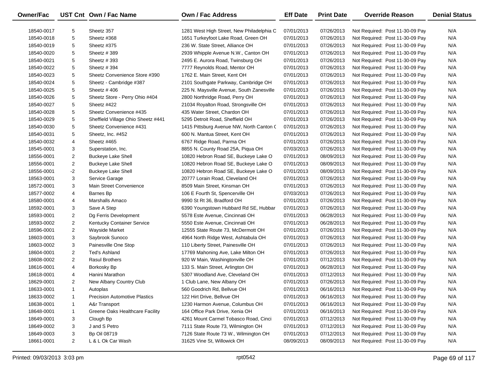| Owner/Fac  |                | UST Cnt Own / Fac Name               | Own / Fac Address                         | <b>Eff Date</b> | <b>Print Date</b> | <b>Override Reason</b>          | <b>Denial Status</b> |
|------------|----------------|--------------------------------------|-------------------------------------------|-----------------|-------------------|---------------------------------|----------------------|
| 18540-0017 | 5              | Sheetz 357                           | 1281 West High Street, New Philadelphia C | 07/01/2013      | 07/26/2013        | Not Required: Post 11-30-09 Pay | N/A                  |
| 18540-0018 | 5              | Sheetz #368                          | 1651 Turkeyfoot Lake Road, Green OH       | 07/01/2013      | 07/26/2013        | Not Required: Post 11-30-09 Pay | N/A                  |
| 18540-0019 | 5              | Sheetz #375                          | 236 W. State Street, Alliance OH          | 07/01/2013      | 07/26/2013        | Not Required: Post 11-30-09 Pay | N/A                  |
| 18540-0020 | 5              | Sheetz #389                          | 2939 Whipple Avenue N.W., Canton OH       | 07/01/2013      | 07/26/2013        | Not Required: Post 11-30-09 Pay | N/A                  |
| 18540-0021 | 5              | Sheetz #393                          | 2495 E. Aurora Road, Twinsburg OH         | 07/01/2013      | 07/26/2013        | Not Required: Post 11-30-09 Pay | N/A                  |
| 18540-0022 | 5              | Sheetz #394                          | 7777 Reynolds Road, Mentor OH             | 07/01/2013      | 07/26/2013        | Not Required: Post 11-30-09 Pay | N/A                  |
| 18540-0023 | 5              | Sheetz Convenience Store #390        | 1762 E. Main Street, Kent OH              | 07/01/2013      | 07/26/2013        | Not Required: Post 11-30-09 Pay | N/A                  |
| 18540-0024 | 5              | Sheetz - Cambridge #387              | 2101 Southgate Parkway, Cambridge OH      | 07/01/2013      | 07/26/2013        | Not Required: Post 11-30-09 Pay | N/A                  |
| 18540-0025 | 5              | Sheetz #406                          | 225 N. Maysville Avenue, South Zanesville | 07/01/2013      | 07/26/2013        | Not Required: Post 11-30-09 Pay | N/A                  |
| 18540-0026 | 5              | Sheetz Store - Perry Ohio #404       | 2800 Northridge Road, Perry OH            | 07/01/2013      | 07/26/2013        | Not Required: Post 11-30-09 Pay | N/A                  |
| 18540-0027 | 5              | Sheetz #422                          | 21034 Royalton Road, Strongsville OH      | 07/01/2013      | 07/26/2013        | Not Required: Post 11-30-09 Pay | N/A                  |
| 18540-0028 | 5              | Sheetz Convenience #435              | 435 Water Street, Chardon OH              | 07/01/2013      | 07/26/2013        | Not Required: Post 11-30-09 Pay | N/A                  |
| 18540-0029 | 5              | Sheffield Village Ohio Sheetz #441   | 5295 Detroit Road, Sheffield OH           | 07/01/2013      | 07/26/2013        | Not Required: Post 11-30-09 Pay | N/A                  |
| 18540-0030 | 5              | Sheetz Convenience #431              | 1415 Pittsburg Avenue NW, North Canton C  | 07/01/2013      | 07/26/2013        | Not Required: Post 11-30-09 Pay | N/A                  |
| 18540-0031 | 5              | Sheetz, Inc. #452                    | 600 N. Mantua Street, Kent OH             | 07/01/2013      | 07/26/2013        | Not Required: Post 11-30-09 Pay | N/A                  |
| 18540-0032 | 4              | Sheetz #465                          | 6767 Ridge Road, Parma OH                 | 07/01/2013      | 07/26/2013        | Not Required: Post 11-30-09 Pay | N/A                  |
| 18545-0001 | 3              | Superstation, Inc.                   | 8855 N. County Road 25A, Piqua OH         | 07/03/2013      | 07/26/2013        | Not Required: Post 11-30-09 Pay | N/A                  |
| 18556-0001 | $\overline{c}$ | <b>Buckeye Lake Shell</b>            | 10820 Hebron Road SE, Buckeye Lake O      | 07/01/2013      | 08/09/2013        | Not Required: Post 11-30-09 Pay | N/A                  |
| 18556-0001 | $\overline{2}$ | <b>Buckeye Lake Shell</b>            | 10820 Hebron Road SE, Buckeye Lake O      | 07/01/2013      | 08/09/2013        | Not Required: Post 11-30-09 Pay | N/A                  |
| 18556-0001 | $-2$           | <b>Buckeye Lake Shell</b>            | 10820 Hebron Road SE, Buckeye Lake O      | 07/01/2013      | 08/09/2013        | Not Required: Post 11-30-09 Pay | N/A                  |
| 18563-0001 | 3              | Service Garage                       | 20777 Lorain Road, Cleveland OH           | 07/01/2013      | 07/26/2013        | Not Required: Post 11-30-09 Pay | N/A                  |
| 18572-0001 | 3              | Main Street Convenience              | 8509 Main Street, Kinsman OH              | 07/01/2013      | 07/26/2013        | Not Required: Post 11-30-09 Pay | N/A                  |
| 18577-0002 | 4              | Barnes Bp                            | 106 E Fourth St, Spencerville OH          | 07/03/2013      | 07/26/2013        | Not Required: Post 11-30-09 Pay | N/A                  |
| 18580-0001 | 4              | <b>Marshalls Amaco</b>               | 9990 St Rt 36, Bradford OH                | 07/01/2013      | 07/26/2013        | Not Required: Post 11-30-09 Pay | N/A                  |
| 18592-0001 | 3              | Save A Step                          | 6390 Youngstown Hubbard Rd SE, Hubbar     | 07/01/2013      | 07/26/2013        | Not Required: Post 11-30-09 Pay | N/A                  |
| 18593-0001 | $\overline{2}$ | Dg Ferris Development                | 5578 Este Avenue, Cincinnati OH           | 07/01/2013      | 06/28/2013        | Not Required: Post 11-30-09 Pay | N/A                  |
| 18593-0002 | $\overline{2}$ | Kentucky Container Service           | 5550 Este Avenue, Cincinnati OH           | 07/01/2013      | 06/28/2013        | Not Required: Post 11-30-09 Pay | N/A                  |
| 18596-0001 | $\overline{2}$ | Wayside Market                       | 12555 State Route 73, McDermott OH        | 07/01/2013      | 07/26/2013        | Not Required: Post 11-30-09 Pay | N/A                  |
| 18603-0001 | 3              | Saybrook Sunoco                      | 4964 North Ridge West, Ashtabula OH       | 07/01/2013      | 07/26/2013        | Not Required: Post 11-30-09 Pay | N/A                  |
| 18603-0002 | 3              | Painesville One Stop                 | 110 Liberty Street, Painesville OH        | 07/01/2013      | 07/26/2013        | Not Required: Post 11-30-09 Pay | N/A                  |
| 18604-0001 | $\overline{2}$ | Ted's Ashland                        | 17769 Mahoning Ave, Lake Milton OH        | 07/01/2013      | 07/26/2013        | Not Required: Post 11-30-09 Pay | N/A                  |
| 18608-0002 | $\overline{2}$ | <b>Rasul Brothers</b>                | 920 W Main, Washingtonville OH            | 07/01/2013      | 07/12/2013        | Not Required: Post 11-30-09 Pay | N/A                  |
| 18616-0001 | 4              | Borkosky Bp                          | 133 S. Main Street, Arlington OH          | 07/01/2013      | 06/28/2013        | Not Required: Post 11-30-09 Pay | N/A                  |
| 18618-0001 | 4              | Hanini Marathon                      | 5307 Woodland Ave, Cleveland OH           | 07/01/2013      | 07/12/2013        | Not Required: Post 11-30-09 Pay | N/A                  |
| 18629-0001 | $\overline{2}$ | New Albany Country Club              | 1 Club Lane, New Albany OH                | 07/01/2013      | 07/26/2013        | Not Required: Post 11-30-09 Pay | N/A                  |
| 18633-0001 |                | Autoplas                             | 560 Goodrich Rd, Bellvue OH               | 07/01/2013      | 06/16/2013        | Not Required: Post 11-30-09 Pay | N/A                  |
| 18633-0002 |                | <b>Precision Automotive Plastics</b> | 122 Hirt Drive, Bellvue OH                | 07/01/2013      | 06/16/2013        | Not Required: Post 11-30-09 Pay | N/A                  |
| 18638-0001 | 1              | A&r Transport                        | 1230 Harmon Avenue, Columbus OH           | 07/01/2013      | 06/16/2013        | Not Required: Post 11-30-09 Pay | N/A                  |
| 18648-0001 | 1              | Greene Oaks Healthcare Facility      | 164 Office Park Drive, Xenia OH           | 07/01/2013      | 06/16/2013        | Not Required: Post 11-30-09 Pay | N/A                  |
| 18649-0001 | 3              | Clough Bp                            | 4261 Mount Carmel Tobasco Road, Cinci     | 07/01/2013      | 07/12/2013        | Not Required: Post 11-30-09 Pay | N/A                  |
| 18649-0002 | 3              | J and S Petro                        | 7111 State Route 73, Wilmington OH        | 07/01/2013      | 07/12/2013        | Not Required: Post 11-30-09 Pay | N/A                  |
| 18649-0003 | 3              | <b>Bp Oil 08719</b>                  | 7126 State Route 73 W., Wilmington OH     | 07/01/2013      | 07/12/2013        | Not Required: Post 11-30-09 Pay | N/A                  |
| 18661-0001 | $\overline{2}$ | L & L Ok Car Wash                    | 31625 Vine St, Willowick OH               | 08/09/2013      | 08/09/2013        | Not Required: Post 11-30-09 Pay | N/A                  |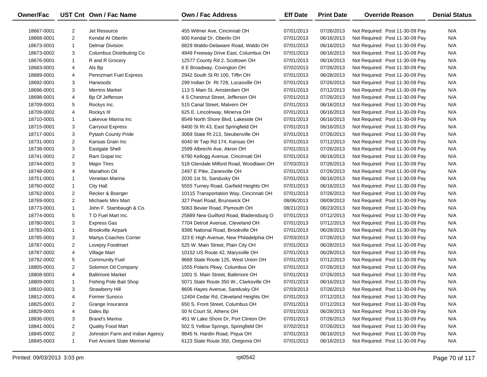| Owner/Fac  |                | UST Cnt Own / Fac Name          | <b>Own / Fac Address</b>                | <b>Eff Date</b> | <b>Print Date</b> | <b>Override Reason</b>          | <b>Denial Status</b> |
|------------|----------------|---------------------------------|-----------------------------------------|-----------------|-------------------|---------------------------------|----------------------|
| 18667-0001 | 2              | Jet Resource                    | 455 Wilmer Ave, Cincinnati OH           | 07/01/2013      | 07/26/2013        | Not Required: Post 11-30-09 Pay | N/A                  |
| 18668-0001 | 2              | Kendal At Oberlin               | 600 Kendal Dr, Oberlin OH               | 07/01/2013      | 06/16/2013        | Not Required: Post 11-30-09 Pay | N/A                  |
| 18673-0001 | $\mathbf{1}$   | <b>Delmar Division</b>          | 6829 Waldo-Delaware Road, Waldo OH      | 07/01/2013      | 06/16/2013        | Not Required: Post 11-30-09 Pay | N/A                  |
| 18673-0002 | 3              | Columbus Distributing Co.       | 4949 Freeway Drive East, Columbus OH    | 07/01/2013      | 06/16/2013        | Not Required: Post 11-30-09 Pay | N/A                  |
| 18676-0001 | $\mathbf{1}$   | R and R Grocery                 | 12577 County Rd 2, Scottown OH          | 07/01/2013      | 06/16/2013        | Not Required: Post 11-30-09 Pay | N/A                  |
| 18683-0001 | 4              | Als Bp                          | 6 E Broadway, Covington OH              | 07/02/2013      | 07/26/2013        | Not Required: Post 11-30-09 Pay | N/A                  |
| 18689-0001 | 4              | <b>Pennzmart Fuel Express</b>   | 2942 South St Rt 100, Tiffin OH         | 07/01/2013      | 06/28/2013        | Not Required: Post 11-30-09 Pay | N/A                  |
| 18692-0001 | 3              | Harwoods                        | 299 Indian Dr Rt 728, Lucasville OH     | 07/01/2013      | 07/26/2013        | Not Required: Post 11-30-09 Pay | N/A                  |
| 18696-0001 | 3              | <b>Merrins Market</b>           | 113 S Main St, Amsterdam OH             | 07/01/2013      | 07/12/2013        | Not Required: Post 11-30-09 Pay | N/A                  |
| 18698-0001 | 4              | Bp Of Jefferson                 | 4 S Chestnut Street, Jefferson OH       | 07/01/2013      | 07/26/2013        | Not Required: Post 11-30-09 Pay | N/A                  |
| 18709-0001 | 5              | Rockys Inc.                     | 515 Canal Street, Malvern OH            | 07/01/2013      | 06/16/2013        | Not Required: Post 11-30-09 Pay | N/A                  |
| 18709-0002 | 4              | Rockys III                      | 625 E. Lincolnway, Minerva OH           | 07/01/2013      | 06/16/2013        | Not Required: Post 11-30-09 Pay | N/A                  |
| 18710-0001 | $\mathbf{1}$   | Lakevue Marina Inc              | 8549 North Shore Blvd, Lakeside OH      | 07/01/2013      | 06/16/2013        | Not Required: Post 11-30-09 Pay | N/A                  |
| 18715-0001 | 3              | <b>Carryout Express</b>         | 8400 St Rt 43, East Springfield OH      | 07/01/2013      | 06/16/2013        | Not Required: Post 11-30-09 Pay | N/A                  |
| 18717-0001 | 3              | <b>Pytash County Pride</b>      | 3069 State Rt 213, Steubenville OH      | 07/01/2013      | 07/26/2013        | Not Required: Post 11-30-09 Pay | N/A                  |
| 18731-0001 | 2              | Kansas Grain Inc                | 6040 W Twp Rd 174, Kansas OH            | 07/01/2013      | 07/12/2013        | Not Required: Post 11-30-09 Pay | N/A                  |
| 18738-0001 | 3              | <b>Eastgate Shell</b>           | 2599 Albrecht Ave, Akron OH             | 07/01/2013      | 07/26/2013        | Not Required: Post 11-30-09 Pay | N/A                  |
| 18741-0001 | $\overline{2}$ | Ram Gopal Inc                   | 6790 Kellogg Avenue, Cincinnati OH      | 07/01/2013      | 06/16/2013        | Not Required: Post 11-30-09 Pay | N/A                  |
| 18744-0001 | 3              | <b>Major Tires</b>              | 518 Glendale Milford Road, Woodlawn OH  | 07/03/2013      | 07/26/2013        | Not Required: Post 11-30-09 Pay | N/A                  |
| 18748-0001 | 4              | Marathon Oil                    | 2497 E Pike, Zanesville OH              | 07/01/2013      | 07/26/2013        | Not Required: Post 11-30-09 Pay | N/A                  |
| 18751-0001 | $\mathbf{1}$   | Venetian Marina                 | 2035 1st St, Sandusky OH                | 07/01/2013      | 06/16/2013        | Not Required: Post 11-30-09 Pay | N/A                  |
| 18760-0002 | $\mathbf{1}$   | <b>City Hall</b>                | 5555 Turney Road, Garfield Heights OH   | 07/01/2013      | 06/16/2013        | Not Required: Post 11-30-09 Pay | N/A                  |
| 18762-0001 | $\overline{2}$ | Recker & Boerger                | 10115 Transportation Way, Cincinnati OH | 07/01/2013      | 07/26/2013        | Not Required: Post 11-30-09 Pay | N/A                  |
| 18769-0001 | $\overline{2}$ | Michaels Mini Mart              | 327 Pearl Road, Brunswick OH            | 08/06/2013      | 08/09/2013        | Not Required: Post 11-30-09 Pay | N/A                  |
| 18773-0001 | $\mathbf{1}$   | John F. Stambaugh & Co.         | 5063 Bevier Road, Plymouth OH           | 08/21/2013      | 08/23/2013        | Not Required: Post 11-30-09 Pay | N/A                  |
| 18774-0001 | 5              | T D Fuel Mart Inc.              | 25889 New Guilford Road, Bladensburg O  | 07/01/2013      | 07/12/2013        | Not Required: Post 11-30-09 Pay | N/A                  |
| 18780-0001 | 3              | Express Gas                     | 7704 Detroit Avenue, Cleveland OH       | 07/01/2013      | 07/12/2013        | Not Required: Post 11-30-09 Pay | N/A                  |
| 18783-0001 | $\mathbf{1}$   | <b>Brookville Airpark</b>       | 9386 National Road, Brookville OH       | 07/01/2013      | 06/28/2013        | Not Required: Post 11-30-09 Pay | N/A                  |
| 18785-0001 | 3              | <b>Martys Coaches Corner</b>    | 323 E High Avenue, New Philadelphia OH  | 07/03/2013      | 07/26/2013        | Not Required: Post 11-30-09 Pay | N/A                  |
| 18787-0001 | $\overline{2}$ | Lovejoy Foodmart                | 525 W. Main Street, Plain City OH       | 07/01/2013      | 06/28/2013        | Not Required: Post 11-30-09 Pay | N/A                  |
| 18787-0002 | 4              | Village Mart                    | 10152 US Route 42, Marysville OH        | 07/01/2013      | 06/28/2013        | Not Required: Post 11-30-09 Pay | N/A                  |
| 18792-0002 | 5              | <b>Community Fuel</b>           | 9668 State Route 125, West Union OH     | 07/01/2013      | 07/12/2013        | Not Required: Post 11-30-09 Pay | N/A                  |
| 18805-0001 | $\overline{2}$ | Solomon Oil Company             | 1555 Polaris Pkwy, Columbus OH          | 07/01/2013      | 07/26/2013        | Not Required: Post 11-30-09 Pay | N/A                  |
| 18808-0001 | 4              | <b>Baltimore Market</b>         | 1001 S. Main Street, Baltimore OH       | 07/01/2013      | 07/26/2013        | Not Required: Post 11-30-09 Pay | N/A                  |
| 18809-0001 | $\mathbf{1}$   | Fishing Pole Bait Shop          | 5071 State Route 350 W., Clarksville OH | 07/01/2013      | 06/16/2013        | Not Required: Post 11-30-09 Pay | N/A                  |
| 18810-0001 | 3              | Strawberry Hill                 | 8606 Hayes Avenue, Sandusky OH          | 07/03/2013      | 07/26/2013        | Not Required: Post 11-30-09 Pay | N/A                  |
| 18812-0001 | 4              | Former Sunoco                   | 12404 Cedar Rd, Cleveland Heights OH    | 07/01/2013      | 07/12/2013        | Not Required: Post 11-30-09 Pay | N/A                  |
| 18825-0001 | 2              | Grange Insurance                | 650 S. Front Street, Columbus OH        | 07/01/2013      | 07/12/2013        | Not Required: Post 11-30-09 Pay | N/A                  |
| 18829-0001 | 4              | Dales Bp                        | 50 N Court St, Athens OH                | 07/01/2013      | 06/28/2013        | Not Required: Post 11-30-09 Pay | N/A                  |
| 18836-0001 | 3              | Brand's Marina                  | 451 W Lake Shore Dr, Port Clinton OH    | 07/01/2013      | 07/26/2013        | Not Required: Post 11-30-09 Pay | N/A                  |
| 18841-0001 | 2              | Quality Food Mart               | 502 S Yellow Springs, Springfield OH    | 07/02/2013      | 07/26/2013        | Not Required: Post 11-30-09 Pay | N/A                  |
| 18845-0002 | 2              | Johnston Farm and Indian Agency | 9845 N. Hardin Road, Piqua OH           | 07/01/2013      | 06/16/2013        | Not Required: Post 11-30-09 Pay | N/A                  |
| 18845-0003 | $\mathbf{1}$   | Fort Ancient State Memorial     | 6123 State Route 350, Oregonia OH       | 07/01/2013      | 06/16/2013        | Not Required: Post 11-30-09 Pay | N/A                  |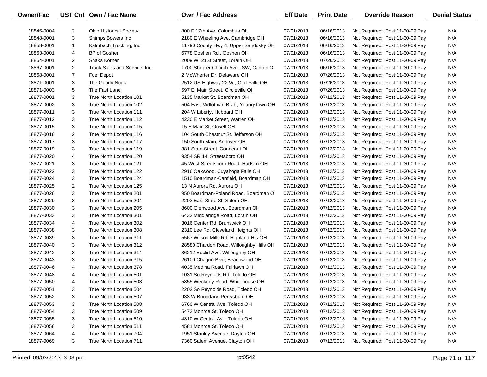| <b>Owner/Fac</b> |                | UST Cnt Own / Fac Name         | Own / Fac Address                        | <b>Eff Date</b> | <b>Print Date</b> | <b>Override Reason</b>          | <b>Denial Status</b> |
|------------------|----------------|--------------------------------|------------------------------------------|-----------------|-------------------|---------------------------------|----------------------|
| 18845-0004       | $\overline{2}$ | <b>Ohio Historical Society</b> | 800 E 17th Ave, Columbus OH              | 07/01/2013      | 06/16/2013        | Not Required: Post 11-30-09 Pay | N/A                  |
| 18848-0001       | 3              | Shimps Bowers Inc              | 2180 E Wheeling Ave, Cambridge OH        | 07/01/2013      | 06/16/2013        | Not Required: Post 11-30-09 Pay | N/A                  |
| 18858-0001       | $\mathbf{1}$   | Kalmbach Trucking, Inc.        | 11790 County Hwy 4, Upper Sandusky OH    | 07/01/2013      | 06/16/2013        | Not Required: Post 11-30-09 Pay | N/A                  |
| 18863-0001       | 4              | BP of Goshen                   | 6778 Goshen Rd., Goshen OH               | 07/01/2013      | 06/16/2013        | Not Required: Post 11-30-09 Pay | N/A                  |
| 18864-0001       | $\overline{2}$ | <b>Shaks Korner</b>            | 2009 W. 21St Street, Lorain OH           | 07/01/2013      | 07/26/2013        | Not Required: Post 11-30-09 Pay | N/A                  |
| 18867-0001       | $\overline{2}$ | Truck Sales and Service, Inc.  | 1700 Shepler Church Ave., SW, Canton O   | 07/01/2013      | 06/16/2013        | Not Required: Post 11-30-09 Pay | N/A                  |
| 18868-0001       | $\overline{7}$ | <b>Fuel Depot</b>              | 2 McWherter Dr, Delaware OH              | 07/01/2013      | 07/26/2013        | Not Required: Post 11-30-09 Pay | N/A                  |
| 18871-0001       | 3              | The Goody Nook                 | 2512 US Highway 22 W., Circleville OH    | 07/01/2013      | 07/26/2013        | Not Required: Post 11-30-09 Pay | N/A                  |
| 18871-0003       | 5              | The Fast Lane                  | 597 E. Main Street, Circleville OH       | 07/01/2013      | 07/26/2013        | Not Required: Post 11-30-09 Pay | N/A                  |
| 18877-0001       | 3              | True North Location 101        | 5135 Market St, Boardman OH              | 07/01/2013      | 07/12/2013        | Not Required: Post 11-30-09 Pay | N/A                  |
| 18877-0002       | 3              | True North Location 102        | 504 East Midlothian Blvd., Youngstown OH | 07/01/2013      | 07/12/2013        | Not Required: Post 11-30-09 Pay | N/A                  |
| 18877-0011       | 3              | True North Location 111        | 204 W Liberty, Hubbard OH                | 07/01/2013      | 07/12/2013        | Not Required: Post 11-30-09 Pay | N/A                  |
| 18877-0012       | 3              | True North Location 112        | 4230 E Market Street, Warren OH          | 07/01/2013      | 07/12/2013        | Not Required: Post 11-30-09 Pay | N/A                  |
| 18877-0015       | 3              | True North Location 115        | 15 E Main St, Orwell OH                  | 07/01/2013      | 07/12/2013        | Not Required: Post 11-30-09 Pay | N/A                  |
| 18877-0016       | $\overline{2}$ | True North Location 116        | 104 South Chestnut St, Jefferson OH      | 07/01/2013      | 07/12/2013        | Not Required: Post 11-30-09 Pay | N/A                  |
| 18877-0017       | 3              | True North Location 117        | 150 South Main, Andover OH               | 07/01/2013      | 07/12/2013        | Not Required: Post 11-30-09 Pay | N/A                  |
| 18877-0019       | 3              | True North Location 119        | 381 State Street, Conneaut OH            | 07/01/2013      | 07/12/2013        | Not Required: Post 11-30-09 Pay | N/A                  |
| 18877-0020       | 4              | True North Location 120        | 9354 SR 14, Streetsboro OH               | 07/01/2013      | 07/12/2013        | Not Required: Post 11-30-09 Pay | N/A                  |
| 18877-0021       | 3              | True North Location 121        | 45 West Streetsboro Road, Hudson OH      | 07/01/2013      | 07/12/2013        | Not Required: Post 11-30-09 Pay | N/A                  |
| 18877-0022       | 3              | True North Location 122        | 2916 Oakwood, Cuyahoga Falls OH          | 07/01/2013      | 07/12/2013        | Not Required: Post 11-30-09 Pay | N/A                  |
| 18877-0024       | 3              | True North Location 124        | 1510 Boardman-Canfield, Boardman OH      | 07/01/2013      | 07/12/2013        | Not Required: Post 11-30-09 Pay | N/A                  |
| 18877-0025       | $\overline{2}$ | True North Location 125        | 13 N Aurora Rd, Aurora OH                | 07/01/2013      | 07/12/2013        | Not Required: Post 11-30-09 Pay | N/A                  |
| 18877-0026       | 3              | True North Location 201        | 950 Boardman-Poland Road, Boardman O     | 07/01/2013      | 07/12/2013        | Not Required: Post 11-30-09 Pay | N/A                  |
| 18877-0029       | 3              | True North Location 204        | 2203 East State St, Salem OH             | 07/01/2013      | 07/12/2013        | Not Required: Post 11-30-09 Pay | N/A                  |
| 18877-0030       | 3              | True North Location 205        | 8600 Glenwood Ave, Boardman OH           | 07/01/2013      | 07/12/2013        | Not Required: Post 11-30-09 Pay | N/A                  |
| 18877-0033       | 3              | True North Location 301        | 6432 Middleridge Road, Lorain OH         | 07/01/2013      | 07/12/2013        | Not Required: Post 11-30-09 Pay | N/A                  |
| 18877-0034       | 4              | True North Location 302        | 3016 Center Rd, Brunswick OH             | 07/01/2013      | 07/12/2013        | Not Required: Post 11-30-09 Pay | N/A                  |
| 18877-0038       | 3              | True North Location 308        | 2310 Lee Rd, Cleveland Heights OH        | 07/01/2013      | 07/12/2013        | Not Required: Post 11-30-09 Pay | N/A                  |
| 18877-0039       | 3              | True North Location 311        | 5567 Wilson Mills Rd, Highland Hts OH    | 07/01/2013      | 07/12/2013        | Not Required: Post 11-30-09 Pay | N/A                  |
| 18877-0040       | 3              | True North Location 312        | 28580 Chardon Road, Willoughby Hills OH  | 07/01/2013      | 07/12/2013        | Not Required: Post 11-30-09 Pay | N/A                  |
| 18877-0042       | 3              | True North Location 314        | 36212 Euclid Ave, Willoughby OH          | 07/01/2013      | 07/12/2013        | Not Required: Post 11-30-09 Pay | N/A                  |
| 18877-0043       | 3              | True North Location 315        | 26100 Chagrin Blvd, Beachwood OH         | 07/01/2013      | 07/12/2013        | Not Required: Post 11-30-09 Pay | N/A                  |
| 18877-0046       | 4              | True North Location 378        | 4035 Medina Road, Fairlawn OH            | 07/01/2013      | 07/12/2013        | Not Required: Post 11-30-09 Pay | N/A                  |
| 18877-0048       | 4              | True North Location 501        | 1031 So Reynolds Rd, Toledo OH           | 07/01/2013      | 07/12/2013        | Not Required: Post 11-30-09 Pay | N/A                  |
| 18877-0050       | 4              | True North Location 503        | 5855 Weckerly Road, Whitehouse OH        | 07/01/2013      | 07/12/2013        | Not Required: Post 11-30-09 Pay | N/A                  |
| 18877-0051       | 3              | True North Location 504        | 2202 So Reynolds Road, Toledo OH         | 07/01/2013      | 07/12/2013        | Not Required: Post 11-30-09 Pay | N/A                  |
| 18877-0052       | 3              | True North Location 507        | 933 W Boundary, Perrysburg OH            | 07/01/2013      | 07/12/2013        | Not Required: Post 11-30-09 Pay | N/A                  |
| 18877-0053       | 3              | True North Location 508        | 6760 W Central Ave, Toledo OH            | 07/01/2013      | 07/12/2013        | Not Required: Post 11-30-09 Pay | N/A                  |
| 18877-0054       | 3              | True North Location 509        | 5473 Monroe St, Toledo OH                | 07/01/2013      | 07/12/2013        | Not Required: Post 11-30-09 Pay | N/A                  |
| 18877-0055       | 3              | True North Location 510        | 4310 W Central Ave, Toledo OH            | 07/01/2013      | 07/12/2013        | Not Required: Post 11-30-09 Pay | N/A                  |
| 18877-0056       | 3              | True North Location 511        | 4581 Monroe St, Toledo OH                | 07/01/2013      | 07/12/2013        | Not Required: Post 11-30-09 Pay | N/A                  |
| 18877-0064       | 4              | True North Location 704        | 1951 Stanley Avenue, Dayton OH           | 07/01/2013      | 07/12/2013        | Not Required: Post 11-30-09 Pay | N/A                  |
| 18877-0069       | 3              | True North Location 711        | 7360 Salem Avenue, Clayton OH            | 07/01/2013      | 07/12/2013        | Not Required: Post 11-30-09 Pay | N/A                  |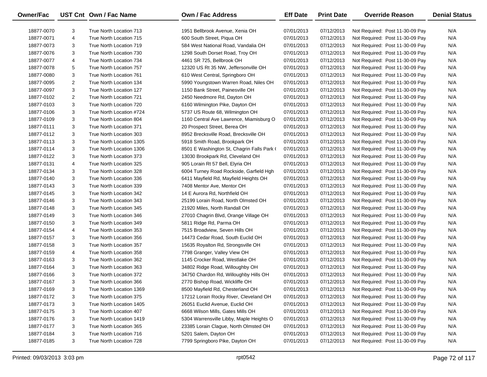| Owner/Fac  |                | UST Cnt Own / Fac Name   | Own / Fac Address                          | <b>Eff Date</b> | <b>Print Date</b> | <b>Override Reason</b>          | <b>Denial Status</b> |
|------------|----------------|--------------------------|--------------------------------------------|-----------------|-------------------|---------------------------------|----------------------|
| 18877-0070 | 3              | True North Location 713  | 1951 Bellbrook Avenue, Xenia OH            | 07/01/2013      | 07/12/2013        | Not Required: Post 11-30-09 Pay | N/A                  |
| 18877-0071 | 4              | True North Location 715  | 600 South Street, Piqua OH                 | 07/01/2013      | 07/12/2013        | Not Required: Post 11-30-09 Pay | N/A                  |
| 18877-0073 | 3              | True North Location 719  | 584 West National Road, Vandalia OH        | 07/01/2013      | 07/12/2013        | Not Required: Post 11-30-09 Pay | N/A                  |
| 18877-0076 | 3              | True North Location 730  | 1298 South Dorset Road, Troy OH            | 07/01/2013      | 07/12/2013        | Not Required: Post 11-30-09 Pay | N/A                  |
| 18877-0077 | 4              | True North Location 734  | 4461 SR 725, Bellbrook OH                  | 07/01/2013      | 07/12/2013        | Not Required: Post 11-30-09 Pay | N/A                  |
| 18877-0078 | 5              | True North Location 757  | 12320 US Rt 35 NW, Jeffersonville OH       | 07/01/2013      | 07/12/2013        | Not Required: Post 11-30-09 Pay | N/A                  |
| 18877-0080 | 3              | True North Location 761  | 610 West Central, Springboro OH            | 07/01/2013      | 07/12/2013        | Not Required: Post 11-30-09 Pay | N/A                  |
| 18877-0095 | $\overline{2}$ | True North Location 134  | 5990 Youngstown Warren Road, Niles OH      | 07/01/2013      | 07/12/2013        | Not Required: Post 11-30-09 Pay | N/A                  |
| 18877-0097 | 3              | True North Location 127  | 1150 Bank Street, Painesville OH           | 07/01/2013      | 07/12/2013        | Not Required: Post 11-30-09 Pay | N/A                  |
| 18877-0102 | 2              | True North Location 721  | 2450 Needmore Rd, Dayton OH                | 07/01/2013      | 07/12/2013        | Not Required: Post 11-30-09 Pay | N/A                  |
| 18877-0103 | 3              | True North Location 720  | 6160 Wilmington Pike, Dayton OH            | 07/01/2013      | 07/12/2013        | Not Required: Post 11-30-09 Pay | N/A                  |
| 18877-0106 | 3              | True North Location #724 | 5737 US Route 68, Wilmington OH            | 07/01/2013      | 07/12/2013        | Not Required: Post 11-30-09 Pay | N/A                  |
| 18877-0109 | 3              | True North Location 804  | 1160 Central Ave Lawrence, Miamisburg O    | 07/01/2013      | 07/12/2013        | Not Required: Post 11-30-09 Pay | N/A                  |
| 18877-0111 | 3              | True North Location 371  | 20 Prospect Street, Berea OH               | 07/01/2013      | 07/12/2013        | Not Required: Post 11-30-09 Pay | N/A                  |
| 18877-0112 | 3              | True North Location 303  | 8952 Brecksville Road, Brecksville OH      | 07/01/2013      | 07/12/2013        | Not Required: Post 11-30-09 Pay | N/A                  |
| 18877-0113 | 3              | True North Location 1305 | 5918 Smith Road, Brookpark OH              | 07/01/2013      | 07/12/2013        | Not Required: Post 11-30-09 Pay | N/A                  |
| 18877-0114 | 3              | True North Location 1306 | 8501 E Washington St, Chagrin Falls Park ( | 07/01/2013      | 07/12/2013        | Not Required: Post 11-30-09 Pay | N/A                  |
| 18877-0122 | 3              | True North Location 373  | 13030 Brookpark Rd, Cleveland OH           | 07/01/2013      | 07/12/2013        | Not Required: Post 11-30-09 Pay | N/A                  |
| 18877-0131 | 4              | True North Location 325  | 905 Lorain Rt 57 Bell, Elyria OH           | 07/01/2013      | 07/12/2013        | Not Required: Post 11-30-09 Pay | N/A                  |
| 18877-0134 | 3              | True North Location 328  | 6004 Turney Road Rockside, Garfield Hgh    | 07/01/2013      | 07/12/2013        | Not Required: Post 11-30-09 Pay | N/A                  |
| 18877-0140 | 3              | True North Location 336  | 6411 Mayfield Rd, Mayfield Heights OH      | 07/01/2013      | 07/12/2013        | Not Required: Post 11-30-09 Pay | N/A                  |
| 18877-0143 | 3              | True North Location 339  | 7408 Mentor Ave, Mentor OH                 | 07/01/2013      | 07/12/2013        | Not Required: Post 11-30-09 Pay | N/A                  |
| 18877-0145 | 3              | True North Location 342  | 14 E Aurora Rd, Northfield OH              | 07/01/2013      | 07/12/2013        | Not Required: Post 11-30-09 Pay | N/A                  |
| 18877-0146 | 3              | True North Location 343  | 25199 Lorain Road, North Olmsted OH        | 07/01/2013      | 07/12/2013        | Not Required: Post 11-30-09 Pay | N/A                  |
| 18877-0148 | 3              | True North Location 345  | 21920 Miles, North Randall OH              | 07/01/2013      | 07/12/2013        | Not Required: Post 11-30-09 Pay | N/A                  |
| 18877-0149 | 3              | True North Location 346  | 27010 Chagrin Blvd, Orange Village OH      | 07/01/2013      | 07/12/2013        | Not Required: Post 11-30-09 Pay | N/A                  |
| 18877-0150 | 3              | True North Location 349  | 5811 Ridge Rd, Parma OH                    | 07/01/2013      | 07/12/2013        | Not Required: Post 11-30-09 Pay | N/A                  |
| 18877-0154 | 4              | True North Location 353  | 7515 Broadview, Seven Hills OH             | 07/01/2013      | 07/12/2013        | Not Required: Post 11-30-09 Pay | N/A                  |
| 18877-0157 | 3              | True North Location 356  | 14473 Cedar Road, South Euclid OH          | 07/01/2013      | 07/12/2013        | Not Required: Post 11-30-09 Pay | N/A                  |
| 18877-0158 | 3              | True North Location 357  | 15635 Royalton Rd, Strongsville OH         | 07/01/2013      | 07/12/2013        | Not Required: Post 11-30-09 Pay | N/A                  |
| 18877-0159 | 4              | True North Location 358  | 7798 Granger, Valley View OH               | 07/01/2013      | 07/12/2013        | Not Required: Post 11-30-09 Pay | N/A                  |
| 18877-0163 | 3              | True North Location 362  | 1145 Crocker Road, Westlake OH             | 07/01/2013      | 07/12/2013        | Not Required: Post 11-30-09 Pay | N/A                  |
| 18877-0164 | 3              | True North Location 363  | 34802 Ridge Road, Willoughby OH            | 07/01/2013      | 07/12/2013        | Not Required: Post 11-30-09 Pay | N/A                  |
| 18877-0166 | 3              | True North Location 372  | 34750 Chardon Rd, Willoughby Hills OH      | 07/01/2013      | 07/12/2013        | Not Required: Post 11-30-09 Pay | N/A                  |
| 18877-0167 | 3              | True North Location 366  | 2770 Bishop Road, Wickliffe OH             | 07/01/2013      | 07/12/2013        | Not Required: Post 11-30-09 Pay | N/A                  |
| 18877-0169 | 3              | True North Location 1369 | 8500 Mayfield Rd, Chesterland OH           | 07/01/2013      | 07/12/2013        | Not Required: Post 11-30-09 Pay | N/A                  |
| 18877-0172 | 3              | True North Location 375  | 17212 Lorain Rocky River, Cleveland OH     | 07/01/2013      | 07/12/2013        | Not Required: Post 11-30-09 Pay | N/A                  |
| 18877-0173 | 3              | True North Location 1405 | 26051 Euclid Avenue, Euclid OH             | 07/01/2013      | 07/12/2013        | Not Required: Post 11-30-09 Pay | N/A                  |
| 18877-0175 | 3              | True North Location 407  | 6668 Wilson Mills, Gates Mills OH          | 07/01/2013      | 07/12/2013        | Not Required: Post 11-30-09 Pay | N/A                  |
| 18877-0176 | 3              | True North Location 1419 | 5304 Warrensville Libby, Maple Heights O   | 07/01/2013      | 07/12/2013        | Not Required: Post 11-30-09 Pay | N/A                  |
| 18877-0177 | 3              | True North Location 365  | 23385 Lorain Clague, North Olmsted OH      | 07/01/2013      | 07/12/2013        | Not Required: Post 11-30-09 Pay | N/A                  |
| 18877-0184 | 3              | True North Location 716  | 5201 Salem, Dayton OH                      | 07/01/2013      | 07/12/2013        | Not Required: Post 11-30-09 Pay | N/A                  |
| 18877-0185 | 3              | True North Location 728  | 7799 Springboro Pike, Dayton OH            | 07/01/2013      | 07/12/2013        | Not Required: Post 11-30-09 Pay | N/A                  |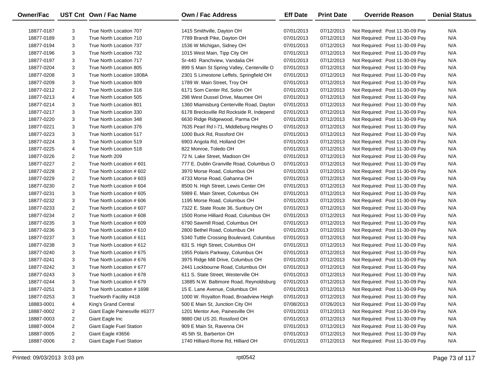| Owner/Fac  |                | UST Cnt Own / Fac Name        | <b>Own / Fac Address</b>                   | <b>Eff Date</b> | <b>Print Date</b> | <b>Override Reason</b>          | <b>Denial Status</b> |
|------------|----------------|-------------------------------|--------------------------------------------|-----------------|-------------------|---------------------------------|----------------------|
| 18877-0187 | 3              | True North Location 707       | 1415 Smithville, Dayton OH                 | 07/01/2013      | 07/12/2013        | Not Required: Post 11-30-09 Pay | N/A                  |
| 18877-0189 | 3              | True North Location 710       | 7789 Brandt Pike, Dayton OH                | 07/01/2013      | 07/12/2013        | Not Required: Post 11-30-09 Pay | N/A                  |
| 18877-0194 | 3              | True North Location 737       | 1536 W Michigan, Sidney OH                 | 07/01/2013      | 07/12/2013        | Not Required: Post 11-30-09 Pay | N/A                  |
| 18877-0196 | 3              | True North Location 732       | 1015 West Main, Tipp City OH               | 07/01/2013      | 07/12/2013        | Not Required: Post 11-30-09 Pay | N/A                  |
| 18877-0197 | 3              | True North Location 717       | Sr-440 Ranchview, Vandalia OH              | 07/01/2013      | 07/12/2013        | Not Required: Post 11-30-09 Pay | N/A                  |
| 18877-0204 | 3              | True North Location 805       | 899 S Main St Spring Valley, Centerville O | 07/01/2013      | 07/12/2013        | Not Required: Post 11-30-09 Pay | N/A                  |
| 18877-0208 | 3              | True North Location 1808A     | 2301 S Limestone Leffels, Springfield OH   | 07/01/2013      | 07/12/2013        | Not Required: Post 11-30-09 Pay | N/A                  |
| 18877-0209 | 3              | True North Location 809       | 1789 W. Main Street, Troy OH               | 07/01/2013      | 07/12/2013        | Not Required: Post 11-30-09 Pay | N/A                  |
| 18877-0212 | 2              | True North Location 316       | 6171 Som Center Rd, Solon OH               | 07/01/2013      | 07/12/2013        | Not Required: Post 11-30-09 Pay | N/A                  |
| 18877-0213 | 4              | True North Location 505       | 298 West Dussel Drive, Maumee OH           | 07/01/2013      | 07/12/2013        | Not Required: Post 11-30-09 Pay | N/A                  |
| 18877-0214 | 3              | True North Location 801       | 1360 Miamisburg Centerville Road, Dayton   | 07/01/2013      | 07/12/2013        | Not Required: Post 11-30-09 Pay | N/A                  |
| 18877-0217 | 3              | True North Location 330       | 6178 Brecksville Rd Rockside R, Independ   | 07/01/2013      | 07/12/2013        | Not Required: Post 11-30-09 Pay | N/A                  |
| 18877-0220 | 3              | True North Location 348       | 6630 Ridge Ridgewood, Parma OH             | 07/01/2013      | 07/12/2013        | Not Required: Post 11-30-09 Pay | N/A                  |
| 18877-0221 | 3              | True North Location 376       | 7635 Pearl Rd I-71, Middleburg Heights O   | 07/01/2013      | 07/12/2013        | Not Required: Post 11-30-09 Pay | N/A                  |
| 18877-0223 | 3              | True North Location 517       | 1000 Buck Rd, Rossford OH                  | 07/01/2013      | 07/12/2013        | Not Required: Post 11-30-09 Pay | N/A                  |
| 18877-0224 | 3              | True North Location 519       | 6903 Angola Rd, Holland OH                 | 07/01/2013      | 07/12/2013        | Not Required: Post 11-30-09 Pay | N/A                  |
| 18877-0225 | 4              | True North Location 518       | 822 Monroe, Toledo OH                      | 07/01/2013      | 07/12/2013        | Not Required: Post 11-30-09 Pay | N/A                  |
| 18877-0226 | $\overline{2}$ | True North 209                | 72 N. Lake Street, Madison OH              | 07/01/2013      | 07/12/2013        | Not Required: Post 11-30-09 Pay | N/A                  |
| 18877-0227 | 2              | True North Location #601      | 777 E. Dublin Granville Road, Columbus O   | 07/01/2013      | 07/12/2013        | Not Required: Post 11-30-09 Pay | N/A                  |
| 18877-0228 | $\overline{2}$ | True North Location # 602     | 3970 Morse Road, Columbus OH               | 07/01/2013      | 07/12/2013        | Not Required: Post 11-30-09 Pay | N/A                  |
| 18877-0229 | 2              | True North Location # 603     | 4733 Morse Road, Gahanna OH                | 07/01/2013      | 07/12/2013        | Not Required: Post 11-30-09 Pay | N/A                  |
| 18877-0230 | 2              | True North Location #604      | 8500 N. High Street, Lewis Center OH       | 07/01/2013      | 07/12/2013        | Not Required: Post 11-30-09 Pay | N/A                  |
| 18877-0231 | 3              | True North Location # 605     | 5989 E. Main Street, Columbus OH           | 07/01/2013      | 07/12/2013        | Not Required: Post 11-30-09 Pay | N/A                  |
| 18877-0232 | 3              | True North Location #606      | 1195 Morse Road, Columbus OH               | 07/01/2013      | 07/12/2013        | Not Required: Post 11-30-09 Pay | N/A                  |
| 18877-0233 | 2              | True North Location #607      | 7322 E. State Route 36, Sunbury OH         | 07/01/2013      | 07/12/2013        | Not Required: Post 11-30-09 Pay | N/A                  |
| 18877-0234 | $\overline{2}$ | True North Location #608      | 1500 Rome Hilliard Road, Columbus OH       | 07/01/2013      | 07/12/2013        | Not Required: Post 11-30-09 Pay | N/A                  |
| 18877-0235 | 3              | True North Location # 609     | 6790 Sawmill Road, Columbus OH             | 07/01/2013      | 07/12/2013        | Not Required: Post 11-30-09 Pay | N/A                  |
| 18877-0236 | 3              | True North Location # 610     | 2800 Bethel Road, Columbus OH              | 07/01/2013      | 07/12/2013        | Not Required: Post 11-30-09 Pay | N/A                  |
| 18877-0237 | 3              | True North Location # 611     | 5340 Tuttle Crossing Boulevard, Columbus   | 07/01/2013      | 07/12/2013        | Not Required: Post 11-30-09 Pay | N/A                  |
| 18877-0238 | 3              | True North Location # 612     | 631 S. High Street, Columbus OH            | 07/01/2013      | 07/12/2013        | Not Required: Post 11-30-09 Pay | N/A                  |
| 18877-0240 | 3              | True North Location #675      | 1955 Polaris Parkway, Columbus OH          | 07/01/2013      | 07/12/2013        | Not Required: Post 11-30-09 Pay | N/A                  |
| 18877-0241 | 3              | True North Location #676      | 3975 Ridge Mill Drive, Columbus OH         | 07/01/2013      | 07/12/2013        | Not Required: Post 11-30-09 Pay | N/A                  |
| 18877-0242 | 3              | True North Location # 677     | 2441 Lockbourne Road, Columbus OH          | 07/01/2013      | 07/12/2013        | Not Required: Post 11-30-09 Pay | N/A                  |
| 18877-0243 | 3              | True North Location #678      | 611 S. State Street, Westerville OH        | 07/01/2013      | 07/12/2013        | Not Required: Post 11-30-09 Pay | N/A                  |
| 18877-0244 | 3              | True North Location # 679     | 13885 N.W. Baltimore Road, Reynoldsburg    | 07/01/2013      | 07/12/2013        | Not Required: Post 11-30-09 Pay | N/A                  |
| 18877-0251 | 3              | True North Location # 1698    | 15 E. Lane Avenue, Columbus OH             | 07/01/2013      | 07/12/2013        | Not Required: Post 11-30-09 Pay | N/A                  |
| 18877-0253 | 3              | TrueNorth Facility #418       | 1000 W. Royalton Road, Broadview Heigh     | 07/01/2013      | 07/12/2013        | Not Required: Post 11-30-09 Pay | N/A                  |
| 18883-0001 | 4              | King's Grand Central          | 500 E Main St, Junction City OH            | 07/08/2013      | 07/26/2013        | Not Required: Post 11-30-09 Pay | N/A                  |
| 18887-0002 | 2              | Giant Eagle Painesville #6377 | 1201 Mentor Ave, Painesville OH            | 07/01/2013      | 07/12/2013        | Not Required: Post 11-30-09 Pay | N/A                  |
| 18887-0003 | $\overline{2}$ | Giant Eagle Inc               | 9880 Old US 20, Rossford OH                | 07/01/2013      | 07/12/2013        | Not Required: Post 11-30-09 Pay | N/A                  |
| 18887-0004 | 2              | Giant Eagle Fuel Station      | 909 E Main St, Ravenna OH                  | 07/01/2013      | 07/12/2013        | Not Required: Post 11-30-09 Pay | N/A                  |
| 18887-0005 | $\overline{2}$ | Giant Eagle #3656             | 45 5th St, Barberton OH                    | 07/01/2013      | 07/12/2013        | Not Required: Post 11-30-09 Pay | N/A                  |
| 18887-0006 | $\overline{2}$ | Giant Eagle Fuel Station      | 1740 Hilliard-Rome Rd, Hilliard OH         | 07/01/2013      | 07/12/2013        | Not Required: Post 11-30-09 Pay | N/A                  |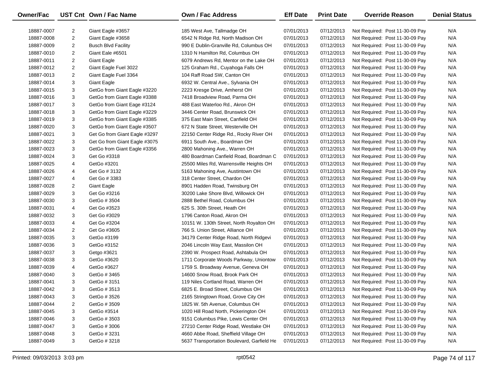| Owner/Fac  |                | UST Cnt Own / Fac Name        | <b>Own / Fac Address</b>                   | <b>Eff Date</b> | <b>Print Date</b> | <b>Override Reason</b>          | <b>Denial Status</b> |
|------------|----------------|-------------------------------|--------------------------------------------|-----------------|-------------------|---------------------------------|----------------------|
| 18887-0007 | 2              | Giant Eagle #3657             | 185 West Ave, Tallmadge OH                 | 07/01/2013      | 07/12/2013        | Not Required: Post 11-30-09 Pay | N/A                  |
| 18887-0008 | $\overline{2}$ | Giant Eagle #3658             | 6542 N Ridge Rd, North Madison OH          | 07/01/2013      | 07/12/2013        | Not Required: Post 11-30-09 Pay | N/A                  |
| 18887-0009 | $\overline{2}$ | <b>Busch Blvd Facility</b>    | 990 E Dublin-Granville Rd, Columbus OH     | 07/01/2013      | 07/12/2013        | Not Required: Post 11-30-09 Pay | N/A                  |
| 18887-0010 | $\overline{2}$ | Giant Eale #6501              | 1310 N Hamilton Rd, Columbus OH            | 07/01/2013      | 07/12/2013        | Not Required: Post 11-30-09 Pay | N/A                  |
| 18887-0011 | $\overline{2}$ | <b>Giant Eagle</b>            | 6079 Andrews Rd, Mentor on the Lake OH     | 07/01/2013      | 07/12/2013        | Not Required: Post 11-30-09 Pay | N/A                  |
| 18887-0012 | $\overline{2}$ | Giant Eagle Fuel 3022         | 125 Graham Rd., Cuyahoga Falls OH          | 07/01/2013      | 07/12/2013        | Not Required: Post 11-30-09 Pay | N/A                  |
| 18887-0013 | $\overline{2}$ | Giant Eagle Fuel 3364         | 104 Raff Road SW, Canton OH                | 07/01/2013      | 07/12/2013        | Not Required: Post 11-30-09 Pay | N/A                  |
| 18887-0014 | 3              | <b>Giant Eagle</b>            | 6932 W. Central Ave., Sylvania OH          | 07/01/2013      | 07/12/2013        | Not Required: Post 11-30-09 Pay | N/A                  |
| 18887-0015 | 3              | GetGo from Giant Eagle #3220  | 2223 Kresge Drive, Amherst OH              | 07/01/2013      | 07/12/2013        | Not Required: Post 11-30-09 Pay | N/A                  |
| 18887-0016 | 3              | GetGo from Giant Eagle #3388  | 7418 Broadview Road, Parma OH              | 07/01/2013      | 07/12/2013        | Not Required: Post 11-30-09 Pay | N/A                  |
| 18887-0017 | 3              | GetGo from Giant Eage #3124   | 488 East Waterloo Rd., Akron OH            | 07/01/2013      | 07/12/2013        | Not Required: Post 11-30-09 Pay | N/A                  |
| 18887-0018 | 3              | GetGo from Giant Eagle #3229  | 3446 Center Road, Brunswick OH             | 07/01/2013      | 07/12/2013        | Not Required: Post 11-30-09 Pay | N/A                  |
| 18887-0019 | 3              | GetGo from Giant Eagle #3385  | 375 East Main Street, Canfield OH          | 07/01/2013      | 07/12/2013        | Not Required: Post 11-30-09 Pay | N/A                  |
| 18887-0020 | 3              | GetGo from Giant Eagle #3507  | 672 N State Street, Westerville OH         | 07/01/2013      | 07/12/2013        | Not Required: Post 11-30-09 Pay | N/A                  |
| 18887-0021 | 3              | Get Go from Giant Eagle #3297 | 22150 Center Ridge Rd., Rocky River OH     | 07/01/2013      | 07/12/2013        | Not Required: Post 11-30-09 Pay | N/A                  |
| 18887-0022 | 3              | Get Go from Giant Eagle #3075 | 6911 South Ave., Boardman OH               | 07/01/2013      | 07/12/2013        | Not Required: Post 11-30-09 Pay | N/A                  |
| 18887-0023 | 3              | GetGo from Giant Eagle #3356  | 2800 Mahoning Ave., Warren OH              | 07/01/2013      | 07/12/2013        | Not Required: Post 11-30-09 Pay | N/A                  |
| 18887-0024 | 3              | Get Go #3318                  | 480 Boardman Canfield Road, Boardman C     | 07/01/2013      | 07/12/2013        | Not Required: Post 11-30-09 Pay | N/A                  |
| 18887-0025 | 4              | GetGo #3201                   | 25500 Miles Rd, Warrensville Heights OH    | 07/01/2013      | 07/12/2013        | Not Required: Post 11-30-09 Pay | N/A                  |
| 18887-0026 | 4              | Get Go # 3132                 | 5163 Mahoning Ave, Austintown OH           | 07/01/2013      | 07/12/2013        | Not Required: Post 11-30-09 Pay | N/A                  |
| 18887-0027 | 4              | Get Go # 3383                 | 318 Center Street, Chardon OH              | 07/01/2013      | 07/12/2013        | Not Required: Post 11-30-09 Pay | N/A                  |
| 18887-0028 | $\overline{2}$ | <b>Giant Eagle</b>            | 8901 Hadden Road, Twinsburg OH             | 07/01/2013      | 07/12/2013        | Not Required: Post 11-30-09 Pay | N/A                  |
| 18887-0029 | 3              | Get Go #3216                  | 30200 Lake Shore Blvd, Willowick OH        | 07/01/2013      | 07/12/2013        | Not Required: Post 11-30-09 Pay | N/A                  |
| 18887-0030 | 3              | GetGo # 3504                  | 2888 Bethel Road, Columbus OH              | 07/01/2013      | 07/12/2013        | Not Required: Post 11-30-09 Pay | N/A                  |
| 18887-0031 | 4              | Get Go #3523                  | 625 S. 30th Street, Heath OH               | 07/01/2013      | 07/12/2013        | Not Required: Post 11-30-09 Pay | N/A                  |
| 18887-0032 | 3              | Get Go #3029                  | 1796 Canton Road, Akron OH                 | 07/01/2013      | 07/12/2013        | Not Required: Post 11-30-09 Pay | N/A                  |
| 18887-0033 | 4              | Get Go #3204                  | 10151 W. 130th Street, North Royalton OH   | 07/01/2013      | 07/12/2013        | Not Required: Post 11-30-09 Pay | N/A                  |
| 18887-0034 | $\overline{2}$ | Get Go #3605                  | 766 S. Union Street, Alliance OH           | 07/01/2013      | 07/12/2013        | Not Required: Post 11-30-09 Pay | N/A                  |
| 18887-0035 | 3              | GetGo #3199                   | 34179 Center Ridge Road, North Ridgevi     | 07/01/2013      | 07/12/2013        | Not Required: Post 11-30-09 Pay | N/A                  |
| 18887-0036 | 3              | GetGo #3152                   | 2046 Lincoln Way East, Massilon OH         | 07/01/2013      | 07/12/2013        | Not Required: Post 11-30-09 Pay | N/A                  |
| 18887-0037 | 3              | Getgo #3621                   | 2390 W. Prospect Road, Ashtabula OH        | 07/01/2013      | 07/12/2013        | Not Required: Post 11-30-09 Pay | N/A                  |
| 18887-0038 | 3              | GetGo #3620                   | 1711 Corporate Woods Parkway, Uniontow     | 07/01/2013      | 07/12/2013        | Not Required: Post 11-30-09 Pay | N/A                  |
| 18887-0039 | 4              | GetGo #3627                   | 1759 S. Broadway Avenue, Geneva OH         | 07/01/2013      | 07/12/2013        | Not Required: Post 11-30-09 Pay | N/A                  |
| 18887-0040 | 3              | GetGo # 3465                  | 14600 Snow Road, Brook Park OH             | 07/01/2013      | 07/12/2013        | Not Required: Post 11-30-09 Pay | N/A                  |
| 18887-0041 | 3              | GetGo # 3151                  | 119 Niles Cortland Road, Warren OH         | 07/01/2013      | 07/12/2013        | Not Required: Post 11-30-09 Pay | N/A                  |
| 18887-0042 | 3              | GetGo # 3513                  | 6825 E. Broad Street, Columbus OH          | 07/01/2013      | 07/12/2013        | Not Required: Post 11-30-09 Pay | N/A                  |
| 18887-0043 | 3              | GetGo # 3526                  | 2165 Stringtown Road, Grove City OH        | 07/01/2013      | 07/12/2013        | Not Required: Post 11-30-09 Pay | N/A                  |
| 18887-0044 | 2              | GetGo # 3509                  | 1825 W. 5th Avenue, Columbus OH            | 07/01/2013      | 07/12/2013        | Not Required: Post 11-30-09 Pay | N/A                  |
| 18887-0045 | 3              | GetGo #3514                   | 1020 Hill Road North, Pickerington OH      | 07/01/2013      | 07/12/2013        | Not Required: Post 11-30-09 Pay | N/A                  |
| 18887-0046 | 3              | GetGo # 3503                  | 9151 Columbus Pike, Lewis Center OH        | 07/01/2013      | 07/12/2013        | Not Required: Post 11-30-09 Pay | N/A                  |
| 18887-0047 | 3              | GetGo #3006                   | 27210 Center Ridge Road, Westlake OH       | 07/01/2013      | 07/12/2013        | Not Required: Post 11-30-09 Pay | N/A                  |
| 18887-0048 | 3              | GetGo # 3231                  | 4660 Abbe Road, Sheffield Village OH       | 07/01/2013      | 07/12/2013        | Not Required: Post 11-30-09 Pay | N/A                  |
| 18887-0049 | 3              | GetGo #3218                   | 5637 Transportation Boulevard, Garfield He | 07/01/2013      | 07/12/2013        | Not Required: Post 11-30-09 Pay | N/A                  |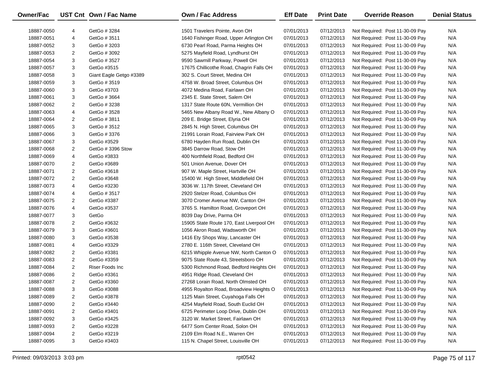| Owner/Fac  |                | UST Cnt Own / Fac Name  | <b>Own / Fac Address</b>                 | <b>Eff Date</b> | <b>Print Date</b> | <b>Override Reason</b>          | <b>Denial Status</b> |
|------------|----------------|-------------------------|------------------------------------------|-----------------|-------------------|---------------------------------|----------------------|
| 18887-0050 | 4              | GetGo # 3284            | 1501 Travelers Pointe, Avon OH           | 07/01/2013      | 07/12/2013        | Not Required: Post 11-30-09 Pay | N/A                  |
| 18887-0051 | 4              | GetGo # 3511            | 1640 Fishinger Road, Upper Arlington OH  | 07/01/2013      | 07/12/2013        | Not Required: Post 11-30-09 Pay | N/A                  |
| 18887-0052 | 3              | GetGo # 3203            | 6730 Pearl Road, Parma Heights OH        | 07/01/2013      | 07/12/2013        | Not Required: Post 11-30-09 Pay | N/A                  |
| 18887-0053 | 2              | GetGo # 3092            | 5275 Mayfield Road, Lyndhurst OH         | 07/01/2013      | 07/12/2013        | Not Required: Post 11-30-09 Pay | N/A                  |
| 18887-0054 | 3              | GetGo # 3527            | 9590 Sawmill Parkway, Powell OH          | 07/01/2013      | 07/12/2013        | Not Required: Post 11-30-09 Pay | N/A                  |
| 18887-0057 | 3              | GetGo #3515             | 17675 Chillicothe Road, Chagrin Falls OH | 07/01/2013      | 07/12/2013        | Not Required: Post 11-30-09 Pay | N/A                  |
| 18887-0058 | 3              | Giant Eagle Getgo #3389 | 302 S. Court Street, Medina OH           | 07/01/2013      | 07/12/2013        | Not Required: Post 11-30-09 Pay | N/A                  |
| 18887-0059 | 3              | GetGo # 3519            | 4758 W. Broad Street, Columbus OH        | 07/01/2013      | 07/12/2013        | Not Required: Post 11-30-09 Pay | N/A                  |
| 18887-0060 | 3              | GetGo #3703             | 4072 Medina Road, Fairlawn OH            | 07/01/2013      | 07/12/2013        | Not Required: Post 11-30-09 Pay | N/A                  |
| 18887-0061 | 3              | GetGo # 3664            | 2345 E. State Street, Salem OH           | 07/01/2013      | 07/12/2013        | Not Required: Post 11-30-09 Pay | N/A                  |
| 18887-0062 | 2              | GetGo # 3238            | 1317 State Route 60N, Vermillion OH      | 07/01/2013      | 07/12/2013        | Not Required: Post 11-30-09 Pay | N/A                  |
| 18887-0063 | 4              | GetGo # 3528            | 5465 New Albany Road W., New Albany O    | 07/01/2013      | 07/12/2013        | Not Required: Post 11-30-09 Pay | N/A                  |
| 18887-0064 | $\overline{2}$ | GetGo # 3811            | 209 E. Bridge Street, Elyria OH          | 07/01/2013      | 07/12/2013        | Not Required: Post 11-30-09 Pay | N/A                  |
| 18887-0065 | 3              | GetGo # 3512            | 2845 N. High Street, Columbus OH         | 07/01/2013      | 07/12/2013        | Not Required: Post 11-30-09 Pay | N/A                  |
| 18887-0066 | 3              | GetGo # 3376            | 21991 Lorain Road, Fairview Park OH      | 07/01/2013      | 07/12/2013        | Not Required: Post 11-30-09 Pay | N/A                  |
| 18887-0067 | 3              | GetGo #3529             | 6780 Hayden Run Road, Dublin OH          | 07/01/2013      | 07/12/2013        | Not Required: Post 11-30-09 Pay | N/A                  |
| 18887-0068 | 2              | GetGo # 3396 Stow       | 3845 Darrow Road, Stow OH                | 07/01/2013      | 07/12/2013        | Not Required: Post 11-30-09 Pay | N/A                  |
| 18887-0069 | 4              | GetGo #3833             | 400 Northfield Road, Bedford OH          | 07/01/2013      | 07/12/2013        | Not Required: Post 11-30-09 Pay | N/A                  |
| 18887-0070 | 2              | GetGo #3689             | 501 Union Avenue, Dover OH               | 07/01/2013      | 07/12/2013        | Not Required: Post 11-30-09 Pay | N/A                  |
| 18887-0071 | 2              | GetGo #3618             | 907 W. Maple Street, Hartville OH        | 07/01/2013      | 07/12/2013        | Not Required: Post 11-30-09 Pay | N/A                  |
| 18887-0072 | $\overline{2}$ | GetGo #3648             | 15400 W. High Street, Middlefield OH     | 07/01/2013      | 07/12/2013        | Not Required: Post 11-30-09 Pay | N/A                  |
| 18887-0073 | 4              | GetGo #3230             | 3036 W. 117th Street, Cleveland OH       | 07/01/2013      | 07/12/2013        | Not Required: Post 11-30-09 Pay | N/A                  |
| 18887-0074 | 4              | GetGo # 3517            | 2920 Stelzer Road, Columbus OH           | 07/01/2013      | 07/12/2013        | Not Required: Post 11-30-09 Pay | N/A                  |
| 18887-0075 | 2              | GetGo #3387             | 3070 Cromer Avenue NW, Canton OH         | 07/01/2013      | 07/12/2013        | Not Required: Post 11-30-09 Pay | N/A                  |
| 18887-0076 | 4              | GetGo #3537             | 3765 S. Hamilton Road, Groveport OH      | 07/01/2013      | 07/12/2013        | Not Required: Post 11-30-09 Pay | N/A                  |
| 18887-0077 | 3              | GetGo                   | 8039 Day Drive, Parma OH                 | 07/01/2013      | 07/12/2013        | Not Required: Post 11-30-09 Pay | N/A                  |
| 18887-0078 | $\overline{2}$ | GetGo #3632             | 15905 State Route 170, East Liverpool OH | 07/01/2013      | 07/12/2013        | Not Required: Post 11-30-09 Pay | N/A                  |
| 18887-0079 | 3              | GetGo #3601             | 1056 Akron Road, Wadsworth OH            | 07/01/2013      | 07/12/2013        | Not Required: Post 11-30-09 Pay | N/A                  |
| 18887-0080 | 3              | GetGo #3538             | 1416 Ety Shops Way, Lancaster OH         | 07/01/2013      | 07/12/2013        | Not Required: Post 11-30-09 Pay | N/A                  |
| 18887-0081 | 4              | GetGo #3329             | 2780 E. 116th Street, Cleveland OH       | 07/01/2013      | 07/12/2013        | Not Required: Post 11-30-09 Pay | N/A                  |
| 18887-0082 | 2              | GetGo #3381             | 6215 Whipple Avenue NW, North Canton O   | 07/01/2013      | 07/12/2013        | Not Required: Post 11-30-09 Pay | N/A                  |
| 18887-0083 | 2              | GetGo #3359             | 9075 State Route 43, Streetsboro OH      | 07/01/2013      | 07/12/2013        | Not Required: Post 11-30-09 Pay | N/A                  |
| 18887-0084 | 2              | Riser Foods Inc         | 5300 Richmond Road, Bedford Heights OH   | 07/01/2013      | 07/12/2013        | Not Required: Post 11-30-09 Pay | N/A                  |
| 18887-0086 | $\overline{2}$ | GetGo #3361             | 4951 Ridge Road, Cleveland OH            | 07/01/2013      | 07/12/2013        | Not Required: Post 11-30-09 Pay | N/A                  |
| 18887-0087 | $\overline{2}$ | GetGo #3360             | 27268 Lorain Road, North Olmsted OH      | 07/01/2013      | 07/12/2013        | Not Required: Post 11-30-09 Pay | N/A                  |
| 18887-0088 | 3              | GetGo #3088             | 4955 Royalton Road, Broadview Heights O  | 07/01/2013      | 07/12/2013        | Not Required: Post 11-30-09 Pay | N/A                  |
| 18887-0089 | 2              | GetGo #3878             | 1125 Main Street, Cuyahoga Falls OH      | 07/01/2013      | 07/12/2013        | Not Required: Post 11-30-09 Pay | N/A                  |
| 18887-0090 | 2              | GetGo #3440             | 4254 Mayfield Road, South Euclid OH      | 07/01/2013      | 07/12/2013        | Not Required: Post 11-30-09 Pay | N/A                  |
| 18887-0091 | 2              | GetGo #3401             | 6725 Perimeter Loop Drive, Dublin OH     | 07/01/2013      | 07/12/2013        | Not Required: Post 11-30-09 Pay | N/A                  |
| 18887-0092 | 3              | GetGo #3425             | 3120 W. Market Street, Fairlawn OH       | 07/01/2013      | 07/12/2013        | Not Required: Post 11-30-09 Pay | N/A                  |
| 18887-0093 | 2              | GetGo #3228             | 6477 Som Center Road, Solon OH           | 07/01/2013      | 07/12/2013        | Not Required: Post 11-30-09 Pay | N/A                  |
| 18887-0094 | $\overline{c}$ | GetGo #3219             | 2109 Elm Road N.E., Warren OH            | 07/01/2013      | 07/12/2013        | Not Required: Post 11-30-09 Pay | N/A                  |
| 18887-0095 | 3              | GetGo #3403             | 115 N. Chapel Street, Louisville OH      | 07/01/2013      | 07/12/2013        | Not Required: Post 11-30-09 Pay | N/A                  |
|            |                |                         |                                          |                 |                   |                                 |                      |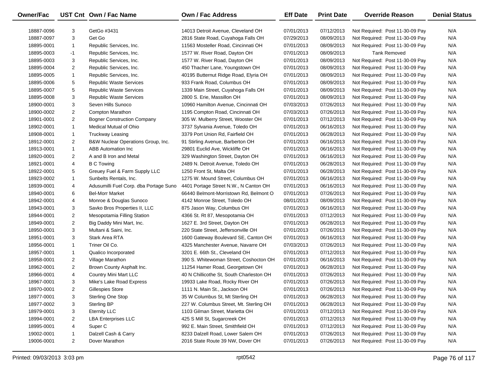| <b>Owner/Fac</b> |                | UST Cnt Own / Fac Name                 | <b>Own / Fac Address</b>                 | <b>Eff Date</b> | <b>Print Date</b> | <b>Override Reason</b>          | <b>Denial Status</b> |
|------------------|----------------|----------------------------------------|------------------------------------------|-----------------|-------------------|---------------------------------|----------------------|
| 18887-0096       | 3              | GetGo #3431                            | 14013 Detroit Avenue, Cleveland OH       | 07/01/2013      | 07/12/2013        | Not Required: Post 11-30-09 Pay | N/A                  |
| 18887-0097       | 3              | Get Go                                 | 2816 State Road, Cuyahoga Falls OH       | 07/29/2013      | 08/09/2013        | Not Required: Post 11-30-09 Pay | N/A                  |
| 18895-0001       | 1              | Republic Services, Inc.                | 11563 Mosteller Road, Cincinnati OH      | 07/01/2013      | 08/09/2013        | Not Required: Post 11-30-09 Pay | N/A                  |
| 18895-0003       |                |                                        | 1577 W. River Road, Dayton OH            |                 |                   | <b>Tank Removed</b>             | N/A                  |
|                  | $-1$           | Republic Services, Inc.                |                                          | 07/01/2013      | 08/09/2013        |                                 |                      |
| 18895-0003       | 3              | Republic Services, Inc.                | 1577 W. River Road, Dayton OH            | 07/01/2013      | 08/09/2013        | Not Required: Post 11-30-09 Pay | N/A                  |
| 18895-0004       | $\overline{2}$ | Republic Services, Inc.                | 450 Thacher Lane, Youngstown OH          | 07/01/2013      | 08/09/2013        | Not Required: Post 11-30-09 Pay | N/A                  |
| 18895-0005       | 1              | Republic Services, Inc.                | 40195 Butternut Ridge Road, Elyria OH    | 07/01/2013      | 08/09/2013        | Not Required: Post 11-30-09 Pay | N/A                  |
| 18895-0006       | 5              | <b>Republic Waste Services</b>         | 933 Frank Road, Columbus OH              | 07/01/2013      | 08/09/2013        | Not Required: Post 11-30-09 Pay | N/A                  |
| 18895-0007       | 5              | Republic Waste Services                | 1339 Main Street, Cuyahoga Falls OH      | 07/01/2013      | 08/09/2013        | Not Required: Post 11-30-09 Pay | N/A                  |
| 18895-0008       | 3              | Republic Waste Services                | 2800 S. Erie, Massillon OH               | 07/01/2013      | 08/09/2013        | Not Required: Post 11-30-09 Pay | N/A                  |
| 18900-0001       | 3              | Seven Hills Sunoco                     | 10960 Hamilton Avenue, Cincinnati OH     | 07/03/2013      | 07/26/2013        | Not Required: Post 11-30-09 Pay | N/A                  |
| 18900-0002       | $\overline{2}$ | Compton Marathon                       | 1195 Compton Road, Cincinnati OH         | 07/03/2013      | 07/26/2013        | Not Required: Post 11-30-09 Pay | N/A                  |
| 18901-0001       | 2              | <b>Bogner Construction Company</b>     | 305 W. Mulberry Street, Wooster OH       | 07/01/2013      | 07/12/2013        | Not Required: Post 11-30-09 Pay | N/A                  |
| 18902-0001       | $\mathbf{1}$   | Medical Mutual of Ohio                 | 3737 Sylvania Avenue, Toledo OH          | 07/01/2013      | 06/16/2013        | Not Required: Post 11-30-09 Pay | N/A                  |
| 18908-0001       | $\mathbf{1}$   | <b>Truckway Leasing</b>                | 3379 Port Union Rd, Fairfield OH         | 07/01/2013      | 06/28/2013        | Not Required: Post 11-30-09 Pay | N/A                  |
| 18912-0001       | $\overline{2}$ | B&W Nuclear Operations Group, Inc.     | 91 Stirling Avenue, Barberton OH         | 07/01/2013      | 06/16/2013        | Not Required: Post 11-30-09 Pay | N/A                  |
| 18913-0001       | $\mathbf{1}$   | ABB Automation Inc                     | 29801 Euclid Ave, Wickliffe OH           | 07/01/2013      | 06/16/2013        | Not Required: Post 11-30-09 Pay | N/A                  |
| 18920-0001       | 2              | A and B Iron and Metal                 | 329 Washington Street, Dayton OH         | 07/01/2013      | 06/16/2013        | Not Required: Post 11-30-09 Pay | N/A                  |
| 18921-0001       | 4              | <b>B C Towing</b>                      | 2489 N. Detroit Avenue, Toledo OH        | 07/01/2013      | 06/28/2013        | Not Required: Post 11-30-09 Pay | N/A                  |
| 18922-0001       | 5              | Greuey Fuel & Farm Supply LLC          | 1250 Front St, Malta OH                  | 07/01/2013      | 06/28/2013        | Not Required: Post 11-30-09 Pay | N/A                  |
| 18923-0002       | 1              | Sunbelts Rentals, Inc.                 | 1275 W. Mound Street, Columbus OH        | 07/01/2013      | 06/16/2013        | Not Required: Post 11-30-09 Pay | N/A                  |
| 18939-0001       | 4              | Adusumilli Fuel Corp. dba Portage Suno | 4401 Portage Street N.W., N Canton OH    | 07/01/2013      | 06/16/2013        | Not Required: Post 11-30-09 Pay | N/A                  |
| 18940-0001       | 6              | <b>Bel-Morr Market</b>                 | 66440 Belmont-Morristown Rd, Belmont O   | 07/01/2013      | 07/26/2013        | Not Required: Post 11-30-09 Pay | N/A                  |
| 18942-0001       | 4              | Monroe & Douglas Sunoco                | 4142 Monroe Street, Toledo OH            | 08/01/2013      | 08/09/2013        | Not Required: Post 11-30-09 Pay | N/A                  |
| 18943-0001       | 3              | Savko Bros Properties II, LLC          | 875 Jason Way, Columbus OH               | 07/01/2013      | 06/16/2013        | Not Required: Post 11-30-09 Pay | N/A                  |
| 18944-0001       | $\overline{2}$ | Mesopotamia Filling Station            | 4366 St. Rt 87, Mesopotamia OH           | 07/01/2013      | 07/12/2013        | Not Required: Post 11-30-09 Pay | N/A                  |
| 18949-0001       | $\overline{2}$ | Big Daddy Mini Mart, Inc.              | 1627 E. 3rd Street, Dayton OH            | 07/01/2013      | 06/28/2013        | Not Required: Post 11-30-09 Pay | N/A                  |
| 18950-0001       | 3              | Multani & Saini, Inc.                  | 220 State Street, Jeffersonville OH      | 07/01/2013      | 07/26/2013        | Not Required: Post 11-30-09 Pay | N/A                  |
| 18951-0001       | 3              | Stark Area RTA                         | 1600 Gateway Boulevard SE, Canton OH     | 07/01/2013      | 06/16/2013        | Not Required: Post 11-30-09 Pay | N/A                  |
| 18956-0001       | $\mathbf{1}$   | Triner Oil Co.                         | 4325 Manchester Avenue, Navarre OH       | 07/03/2013      | 07/26/2013        | Not Required: Post 11-30-09 Pay | N/A                  |
| 18957-0001       | $\mathbf{1}$   | Qualico Incorporated                   | 3201 E. 66th St., Cleveland OH           | 07/01/2013      | 07/12/2013        | Not Required: Post 11-30-09 Pay | N/A                  |
| 18958-0001       | $\overline{2}$ | Village Marathon                       | 390 S. Whitewoman Street, Coshocton OH   | 07/01/2013      | 06/16/2013        | Not Required: Post 11-30-09 Pay | N/A                  |
| 18962-0001       | 2              | Brown County Asphalt Inc.              | 11254 Hamer Road, Georgetown OH          | 07/01/2013      | 06/28/2013        | Not Required: Post 11-30-09 Pay | N/A                  |
| 18966-0001       | 4              | <b>Country Mini Mart LLC</b>           | 40 N Chillicothe St, South Charleston OH | 07/01/2013      | 07/26/2013        | Not Required: Post 11-30-09 Pay | N/A                  |
| 18967-0001       | 3              | Mike's Lake Road Express               | 19933 Lake Road, Rocky River OH          | 07/01/2013      | 07/26/2013        | Not Required: Post 11-30-09 Pay | N/A                  |
| 18970-0001       | 2              | <b>Gillespies Store</b>                | 1111 N. Main St., Jackson OH             | 07/01/2013      | 07/26/2013        | Not Required: Post 11-30-09 Pay | N/A                  |
| 18977-0001       | 3              | Sterling One Stop                      | 35 W Columbus St, Mt Sterling OH         | 07/01/2013      | 06/28/2013        | Not Required: Post 11-30-09 Pay | N/A                  |
| 18977-0002       | 3              | <b>Sterling BP</b>                     | 227 W. Columbus Street, Mt. Sterling OH  | 07/01/2013      | 06/28/2013        | Not Required: Post 11-30-09 Pay | N/A                  |
| 18979-0001       | 3              | <b>Eternity LLC</b>                    | 1103 Gilman Street, Marietta OH          | 07/01/2013      | 07/12/2013        | Not Required: Post 11-30-09 Pay | N/A                  |
| 18994-0001       | $\overline{2}$ | <b>LBA Enterprises LLC</b>             | 425 S Mill St, Sugarcreek OH             | 07/01/2013      | 07/12/2013        | Not Required: Post 11-30-09 Pay | N/A                  |
| 18995-0001       | 4              | Super C                                | 992 E. Main Street, Smithfield OH        | 07/01/2013      | 07/12/2013        | Not Required: Post 11-30-09 Pay | N/A                  |
| 19002-0001       | $\mathbf{1}$   | Dalzell Cash & Carry                   | 8233 Dalzell Road, Lower Salem OH        | 07/01/2013      | 07/26/2013        | Not Required: Post 11-30-09 Pay | N/A                  |
| 19006-0001       | $\overline{2}$ | Dover Marathon                         | 2016 State Route 39 NW, Dover OH         | 07/01/2013      | 07/26/2013        | Not Required: Post 11-30-09 Pay | N/A                  |
|                  |                |                                        |                                          |                 |                   |                                 |                      |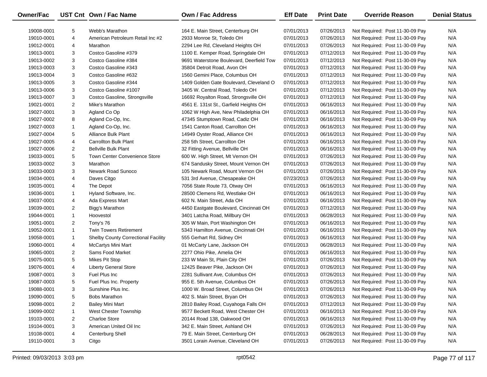| <b>Owner/Fac</b> |                | UST Cnt Own / Fac Name               | <b>Own / Fac Address</b>                 | <b>Eff Date</b> | <b>Print Date</b> | <b>Override Reason</b>          | <b>Denial Status</b> |
|------------------|----------------|--------------------------------------|------------------------------------------|-----------------|-------------------|---------------------------------|----------------------|
| 19008-0001       | 5              | Webb's Marathon                      | 164 E. Main Street, Centerburg OH        | 07/01/2013      | 07/26/2013        | Not Required: Post 11-30-09 Pay | N/A                  |
| 19010-0001       | 4              | American Petroleum Retail Inc #2     | 2933 Monroe St, Toledo OH                | 07/01/2013      | 07/26/2013        | Not Required: Post 11-30-09 Pay | N/A                  |
| 19012-0001       | 4              | Marathon                             | 2294 Lee Rd, Cleveland Heights OH        | 07/01/2013      | 07/26/2013        | Not Required: Post 11-30-09 Pay | N/A                  |
| 19013-0001       | 3              | Costco Gasoline #379                 | 1100 E. Kemper Road, Springdale OH       | 07/01/2013      | 07/12/2013        | Not Required: Post 11-30-09 Pay | N/A                  |
| 19013-0002       | 3              | Costco Gasoline #384                 | 9691 Waterstone Boulevard, Deerfield Tow | 07/01/2013      | 07/12/2013        | Not Required: Post 11-30-09 Pay | N/A                  |
| 19013-0003       | 3              | Costco Gasoline #343                 | 35804 Detroit Road, Avon OH              | 07/01/2013      | 07/12/2013        | Not Required: Post 11-30-09 Pay | N/A                  |
| 19013-0004       | 3              | Costco Gasoline #632                 | 1560 Gemini Place, Columbus OH           | 07/01/2013      | 07/12/2013        | Not Required: Post 11-30-09 Pay | N/A                  |
| 19013-0005       | 3              | Costco Gasoline #344                 | 1409 Golden Gate Boulevard, Cleveland O  | 07/01/2013      | 07/12/2013        | Not Required: Post 11-30-09 Pay | N/A                  |
| 19013-0006       | 3              | Costco Gasoline #1007                | 3405 W. Central Road, Toledo OH          | 07/01/2013      | 07/12/2013        | Not Required: Post 11-30-09 Pay | N/A                  |
| 19013-0007       | 3              | Costco Gasoline, Strongsville        | 16692 Royalton Road, Strongsville OH     | 07/01/2013      | 07/12/2013        | Not Required: Post 11-30-09 Pay | N/A                  |
| 19021-0001       | $\overline{2}$ | Mike's Marathon                      | 4561 E. 131st St., Garfield Heights OH   | 07/01/2013      | 06/16/2013        | Not Required: Post 11-30-09 Pay | N/A                  |
| 19027-0001       | 3              | Agland Co Op                         | 1062 W High Ave, New Philadelphia OH     | 07/01/2013      | 06/16/2013        | Not Required: Post 11-30-09 Pay | N/A                  |
| 19027-0002       | 8              | Agland Co-Op, Inc.                   | 47345 Stumptown Road, Cadiz OH           | 07/01/2013      | 06/16/2013        | Not Required: Post 11-30-09 Pay | N/A                  |
| 19027-0003       | $\mathbf{1}$   | Agland Co-Op, Inc.                   | 1541 Canton Road, Carrollton OH          | 07/01/2013      | 06/16/2013        | Not Required: Post 11-30-09 Pay | N/A                  |
| 19027-0004       | 5              | <b>Alliance Bulk Plant</b>           | 14949 Oyster Road, Alliance OH           | 07/01/2013      | 06/16/2013        | Not Required: Post 11-30-09 Pay | N/A                  |
| 19027-0005       | 4              | <b>Carrollton Bulk Plant</b>         | 258 5th Street, Carrollton OH            | 07/01/2013      | 06/16/2013        | Not Required: Post 11-30-09 Pay | N/A                  |
| 19027-0006       | $\overline{2}$ | <b>Bellville Bulk Plant</b>          | 32 Fitting Avenue, Bellville OH          | 07/01/2013      | 06/16/2013        | Not Required: Post 11-30-09 Pay | N/A                  |
| 19033-0001       | 5              | <b>Town Center Convenience Store</b> | 600 W. High Street, Mt Vernon OH         | 07/01/2013      | 07/26/2013        | Not Required: Post 11-30-09 Pay | N/A                  |
| 19033-0002       | 3              | Marathon                             | 674 Sandusky Street, Mount Vernon OH     | 07/01/2013      | 07/26/2013        | Not Required: Post 11-30-09 Pay | N/A                  |
| 19033-0003       | 3              | Newark Road Sunoco                   | 105 Newark Road, Mount Vernon OH         | 07/01/2013      | 07/26/2013        | Not Required: Post 11-30-09 Pay | N/A                  |
| 19034-0001       | 4              | Daves Citgo                          | 531 3rd Avenue, Chesapeake OH            | 07/23/2013      | 07/26/2013        | Not Required: Post 11-30-09 Pay | N/A                  |
| 19035-0001       | 4              | The Depot                            | 7056 State Route 73, Otway OH            | 07/01/2013      | 06/16/2013        | Not Required: Post 11-30-09 Pay | N/A                  |
| 19036-0001       | $\mathbf{1}$   | Hyland Software, Inc.                | 28500 Clemens Rd, Westlake OH            | 07/01/2013      | 06/16/2013        | Not Required: Post 11-30-09 Pay | N/A                  |
| 19037-0001       | 4              | Ada Express Mart                     | 602 N. Main Street, Ada OH               | 07/01/2013      | 06/16/2013        | Not Required: Post 11-30-09 Pay | N/A                  |
| 19039-0001       | $\overline{2}$ | Bigg's Marathon                      | 4450 Eastgate Boulevard, Cincinnati OH   | 07/01/2013      | 07/12/2013        | Not Required: Post 11-30-09 Pay | N/A                  |
| 19044-0001       | $\mathbf{1}$   | Hoovestol                            | 3401 Latcha Road, Millbury OH            | 07/01/2013      | 06/28/2013        | Not Required: Post 11-30-09 Pay | N/A                  |
| 19051-0001       | $\overline{2}$ | Tony's 76                            | 305 W Main, Port Washington OH           | 07/01/2013      | 06/16/2013        | Not Required: Post 11-30-09 Pay | N/A                  |
| 19052-0001       | $\mathbf{1}$   | <b>Twin Towers Retirement</b>        | 5343 Hamilton Avenue, Cincinnati OH      | 07/01/2013      | 06/16/2013        | Not Required: Post 11-30-09 Pay | N/A                  |
| 19058-0001       | $\mathbf{1}$   | Shelby County Correctional Facility  | 555 Gerhart Rd, Sidney OH                | 07/01/2013      | 06/16/2013        | Not Required: Post 11-30-09 Pay | N/A                  |
| 19060-0001       | 4              | <b>McCartys Mini Mart</b>            | 01 McCarty Lane, Jackson OH              | 07/01/2013      | 06/28/2013        | Not Required: Post 11-30-09 Pay | N/A                  |
| 19065-0001       | $\overline{2}$ | Sams Food Market                     | 2277 Ohio Pike, Amelia OH                | 07/01/2013      | 06/16/2013        | Not Required: Post 11-30-09 Pay | N/A                  |
| 19075-0001       | 5              | <b>Mikes Pit Stop</b>                | 233 W Main St, Plain City OH             | 07/01/2013      | 07/26/2013        | Not Required: Post 11-30-09 Pay | N/A                  |
| 19076-0001       | 4              | Liberty General Store                | 12425 Beaver Pike, Jackson OH            | 07/01/2013      | 07/26/2013        | Not Required: Post 11-30-09 Pay | N/A                  |
| 19087-0001       | 3              | Fuel Plus Inc                        | 2281 Sullivant Ave, Columbus OH          | 07/01/2013      | 07/26/2013        | Not Required: Post 11-30-09 Pay | N/A                  |
| 19087-0003       | 5              | Fuel Plus Inc. Property              | 955 E. 5th Avenue, Columbus OH           | 07/01/2013      | 07/26/2013        | Not Required: Post 11-30-09 Pay | N/A                  |
| 19088-0001       | 3              | Sunshine Plus Inc.                   | 1000 W. Broad Street, Columbus OH        | 07/01/2013      | 07/26/2013        | Not Required: Post 11-30-09 Pay | N/A                  |
| 19090-0001       | 5              | <b>Bobs Marathon</b>                 | 402 S. Main Street, Bryan OH             | 07/01/2013      | 07/26/2013        | Not Required: Post 11-30-09 Pay | N/A                  |
| 19098-0001       | 2              | <b>Bailey Mini Mart</b>              | 2810 Bailey Road, Cuyahoga Falls OH      | 07/01/2013      | 07/12/2013        | Not Required: Post 11-30-09 Pay | N/A                  |
| 19099-0002       | $\mathbf{1}$   | West Chester Township                | 9577 Beckett Road, West Chester OH       | 07/01/2013      | 06/16/2013        | Not Required: Post 11-30-09 Pay | N/A                  |
| 19103-0001       | $\overline{c}$ | <b>Charloe Store</b>                 | 20144 Road 138, Oakwood OH               | 07/01/2013      | 06/16/2013        | Not Required: Post 11-30-09 Pay | N/A                  |
| 19104-0001       | 3              | American United Oil Inc              | 342 E. Main Street, Ashland OH           | 07/01/2013      | 07/26/2013        | Not Required: Post 11-30-09 Pay | N/A                  |
| 19108-0001       | 4              | <b>Centerburg Shell</b>              | 79 E. Main Street, Centerburg OH         | 07/01/2013      | 06/28/2013        | Not Required: Post 11-30-09 Pay | N/A                  |
| 19110-0001       | 3              | Citgo                                | 3501 Lorain Avenue, Cleveland OH         | 07/01/2013      | 07/26/2013        | Not Required: Post 11-30-09 Pay | N/A                  |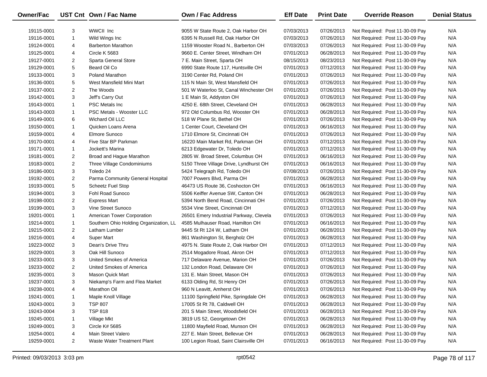| <b>Owner/Fac</b> |                         | UST Cnt Own / Fac Name                 | <b>Own / Fac Address</b>                | <b>Eff Date</b> | <b>Print Date</b> | <b>Override Reason</b>          | <b>Denial Status</b> |
|------------------|-------------------------|----------------------------------------|-----------------------------------------|-----------------|-------------------|---------------------------------|----------------------|
| 19115-0001       | 3                       | WWCII Inc                              | 9055 W State Route 2, Oak Harbor OH     | 07/03/2013      | 07/26/2013        | Not Required: Post 11-30-09 Pay | N/A                  |
| 19116-0001       | $\mathbf{1}$            | Wild Wings Inc                         | 6395 N Russell Rd, Oak Harbor OH        | 07/03/2013      | 07/26/2013        | Not Required: Post 11-30-09 Pay | N/A                  |
| 19124-0001       | 4                       | <b>Barberton Marathon</b>              | 1159 Wooster Road N., Barberton OH      | 07/03/2013      | 07/26/2013        | Not Required: Post 11-30-09 Pay | N/A                  |
| 19125-0001       | 4                       | Circle K 5683                          | 9660 E. Center Street, Windham OH       | 07/01/2013      | 06/28/2013        | Not Required: Post 11-30-09 Pay | N/A                  |
| 19127-0001       | $\overline{2}$          | Sparta General Store                   | 7 E. Main Street, Sparta OH             | 08/15/2013      | 08/23/2013        | Not Required: Post 11-30-09 Pay | N/A                  |
| 19129-0001       | 5                       | Beard Oil Co                           | 6990 State Route 117, Huntsville OH     | 07/01/2013      | 07/12/2013        | Not Required: Post 11-30-09 Pay | N/A                  |
| 19133-0001       | 3                       | Poland Marathon                        | 3190 Center Rd, Poland OH               | 07/01/2013      | 07/26/2013        | Not Required: Post 11-30-09 Pay | N/A                  |
| 19136-0001       | 5                       | West Mansfield Mini Mart               | 115 N Main St, West Mansfield OH        | 07/01/2013      | 07/26/2013        | Not Required: Post 11-30-09 Pay | N/A                  |
| 19137-0001       | $\overline{\mathbf{c}}$ | The Woods                              | 501 W Waterloo St, Canal Winchester OH  | 07/01/2013      | 07/26/2013        | Not Required: Post 11-30-09 Pay | N/A                  |
| 19142-0001       | 3                       | Jeff's Carry Out                       | 1 E Main St, Addyston OH                | 07/01/2013      | 07/26/2013        | Not Required: Post 11-30-09 Pay | N/A                  |
| 19143-0001       | $\mathbf{1}$            | <b>PSC Metals Inc.</b>                 | 4250 E. 68th Street, Cleveland OH       | 07/01/2013      | 06/28/2013        | Not Required: Post 11-30-09 Pay | N/A                  |
| 19143-0003       | $\mathbf{1}$            | PSC Metals - Wooster LLC               | 972 Old Columbus Rd, Wooster OH         | 07/01/2013      | 06/28/2013        | Not Required: Post 11-30-09 Pay | N/A                  |
| 19149-0001       | 6                       | Wichard Oil LLC                        | 518 W Plane St, Bethel OH               | 07/01/2013      | 07/26/2013        | Not Required: Post 11-30-09 Pay | N/A                  |
| 19150-0001       | $\mathbf{1}$            | Quicken Loans Arena                    | 1 Center Court, Cleveland OH            | 07/01/2013      | 06/16/2013        | Not Required: Post 11-30-09 Pay | N/A                  |
| 19159-0001       | 4                       | Elmore Sunoco                          | 1710 Elmore St, Cincinnati OH           | 07/01/2013      | 07/26/2013        | Not Required: Post 11-30-09 Pay | N/A                  |
| 19170-0001       | 4                       | Five Star BP Parkman                   | 16220 Main Market Rd, Parkman OH        | 07/01/2013      | 07/12/2013        | Not Required: Post 11-30-09 Pay | N/A                  |
| 19171-0001       | $\mathbf{1}$            | Jockett's Marina                       | 6213 Edgewater Dr, Toledo OH            | 07/01/2013      | 07/12/2013        | Not Required: Post 11-30-09 Pay | N/A                  |
| 19181-0001       | $\overline{2}$          | Broad and Hague Marathon               | 2805 W. Broad Street, Columbus OH       | 07/01/2013      | 06/16/2013        | Not Required: Post 11-30-09 Pay | N/A                  |
| 19183-0001       | $\overline{2}$          | Three Village Condominiums             | 5150 Three Village Drive, Lyndhurst OH  | 07/01/2013      | 06/16/2013        | Not Required: Post 11-30-09 Pay | N/A                  |
| 19186-0001       | 3                       | Toledo 24                              | 5424 Telegraph Rd, Toledo OH            | 07/08/2013      | 07/26/2013        | Not Required: Post 11-30-09 Pay | N/A                  |
| 19192-0001       | $\overline{2}$          | Parma Community General Hospital       | 7007 Powers Blvd, Parma OH              | 07/01/2013      | 06/28/2013        | Not Required: Post 11-30-09 Pay | N/A                  |
| 19193-0001       | 5                       | <b>Scheetz Fuel Stop</b>               | 46473 US Route 36, Coshocton OH         | 07/01/2013      | 06/16/2013        | Not Required: Post 11-30-09 Pay | N/A                  |
| 19194-0001       | 3                       | Fohl Road Sunoco                       | 5506 Keiffer Avenue SW, Canton OH       | 07/01/2013      | 06/28/2013        | Not Required: Post 11-30-09 Pay | N/A                  |
| 19198-0001       | $\overline{2}$          | <b>Express Mart</b>                    | 5394 North Bend Road, Cincinnati OH     | 07/01/2013      | 07/26/2013        | Not Required: Post 11-30-09 Pay | N/A                  |
| 19199-0001       | 3                       | Vine Street Sunoco                     | 5534 Vine Street, Cincinnati OH         | 07/01/2013      | 07/12/2013        | Not Required: Post 11-30-09 Pay | N/A                  |
| 19201-0001       | $\mathbf{1}$            | American Tower Corporation             | 26501 Emery Industrial Parkway, Clevela | 07/01/2013      | 07/26/2013        | Not Required: Post 11-30-09 Pay | N/A                  |
| 19214-0001       | $\mathbf{1}$            | Southern Ohio Holding Organization, LL | 4585 Mulhauser Road, Hamilton OH        | 07/01/2013      | 06/16/2013        | Not Required: Post 11-30-09 Pay | N/A                  |
| 19215-0001       | $\overline{2}$          | Latham Lumber                          | 9445 St Rt 124 W, Latham OH             | 07/01/2013      | 06/28/2013        | Not Required: Post 11-30-09 Pay | N/A                  |
| 19216-0001       | 4                       | <b>Super Mart</b>                      | 861 Washington St, Bergholz OH          | 07/01/2013      | 06/28/2013        | Not Required: Post 11-30-09 Pay | N/A                  |
| 19223-0002       | 3                       | Dean's Drive Thru                      | 4975 N. State Route 2, Oak Harbor OH    | 07/01/2013      | 07/12/2013        | Not Required: Post 11-30-09 Pay | N/A                  |
| 19229-0001       | 3                       | Oak Hill Sunoco                        | 2514 Mogadore Road, Akron OH            | 07/01/2013      | 07/12/2013        | Not Required: Post 11-30-09 Pay | N/A                  |
| 19233-0001       | 3                       | United Smokes of America               | 717 Delaware Avenue, Marion OH          | 07/01/2013      | 07/26/2013        | Not Required: Post 11-30-09 Pay | N/A                  |
| 19233-0002       | $\overline{2}$          | United Smokes of America               | 132 London Road, Delaware OH            | 07/01/2013      | 07/26/2013        | Not Required: Post 11-30-09 Pay | N/A                  |
| 19235-0001       | 3                       | <b>Mason Quick Mart</b>                | 131 E. Main Street, Mason OH            | 07/01/2013      | 07/26/2013        | Not Required: Post 11-30-09 Pay | N/A                  |
| 19237-0001       | 3                       | Niekamp's Farm and Flea Market         | 6133 Olding Rd, St Henry OH             | 07/01/2013      | 07/26/2013        | Not Required: Post 11-30-09 Pay | N/A                  |
| 19238-0001       | 4                       | Marathon Oil                           | 960 N Leavitt, Amherst OH               | 07/01/2013      | 07/26/2013        | Not Required: Post 11-30-09 Pay | N/A                  |
| 19241-0001       | $\mathbf{1}$            | Maple Knoll Village                    | 11100 Springfield Pike, Springdale OH   | 07/01/2013      | 06/28/2013        | Not Required: Post 11-30-09 Pay | N/A                  |
| 19243-0001       | 3                       | <b>TSP 807</b>                         | 17005 St Rt 78, Caldwell OH             | 07/01/2013      | 06/28/2013        | Not Required: Post 11-30-09 Pay | N/A                  |
| 19243-0004       | 3                       | <b>TSP 818</b>                         | 201 S Main Street, Woodsfield OH        | 07/01/2013      | 06/28/2013        | Not Required: Post 11-30-09 Pay | N/A                  |
| 19245-0001       | $\mathbf{1}$            | Village Mkt                            | 3819 US 52, Georgetown OH               | 07/01/2013      | 06/28/2013        | Not Required: Post 11-30-09 Pay | N/A                  |
| 19249-0001       | 3                       | <b>Circle K# 5685</b>                  | 11800 Mayfield Road, Munson OH          | 07/01/2013      | 06/28/2013        | Not Required: Post 11-30-09 Pay | N/A                  |
| 19254-0001       | 4                       | Main Street Valero                     | 227 E. Main Street, Bellevue OH         | 07/01/2013      | 06/28/2013        | Not Required: Post 11-30-09 Pay | N/A                  |
| 19259-0001       | $\overline{2}$          | Waste Water Treatment Plant            | 100 Legion Road, Saint Clairsville OH   | 07/01/2013      | 06/16/2013        | Not Required: Post 11-30-09 Pay | N/A                  |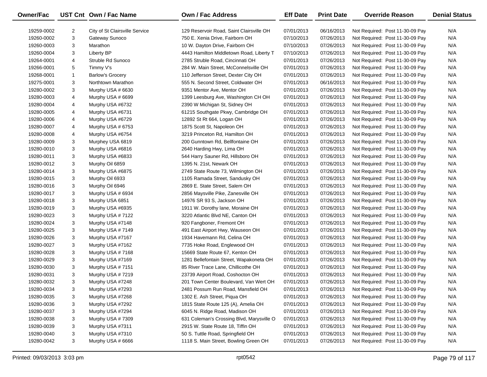| <b>Owner/Fac</b> |                | UST Cnt Own / Fac Name         | Own / Fac Address                         | <b>Eff Date</b> | <b>Print Date</b> | <b>Override Reason</b>          | <b>Denial Status</b> |
|------------------|----------------|--------------------------------|-------------------------------------------|-----------------|-------------------|---------------------------------|----------------------|
| 19259-0002       | $\overline{2}$ | City of St Clairsville Service | 129 Reservoir Road, Saint Clairsville OH  | 07/01/2013      | 06/16/2013        | Not Required: Post 11-30-09 Pay | N/A                  |
| 19260-0002       | 3              | Gateway Sunoco                 | 750 E. Xenia Drive, Fairborn OH           | 07/10/2013      | 07/26/2013        | Not Required: Post 11-30-09 Pay | N/A                  |
| 19260-0003       | 3              | Marathon                       | 10 W. Dayton Drive, Fairborn OH           | 07/10/2013      | 07/26/2013        | Not Required: Post 11-30-09 Pay | N/A                  |
| 19260-0004       | 3              | <b>Liberty BP</b>              | 4443 Hamilton Middletown Road, Liberty T  | 07/10/2013      | 07/26/2013        | Not Required: Post 11-30-09 Pay | N/A                  |
| 19264-0001       | 4              | Struble Rd Sunoco              | 2785 Struble Road, Cincinnati OH          | 07/01/2013      | 07/26/2013        | Not Required: Post 11-30-09 Pay | N/A                  |
| 19266-0001       | 5              | Timmy V's                      | 284 W. Main Street, McConnelsville OH     | 07/01/2013      | 07/26/2013        | Not Required: Post 11-30-09 Pay | N/A                  |
| 19268-0001       | $\mathbf{1}$   | <b>Barlow's Grocery</b>        | 110 Jefferson Street, Dexter City OH      | 07/01/2013      | 07/26/2013        | Not Required: Post 11-30-09 Pay | N/A                  |
| 19275-0001       | 3              | Northtown Marathon             | 555 N. Second Street, Coldwater OH        | 07/01/2013      | 06/16/2013        | Not Required: Post 11-30-09 Pay | N/A                  |
| 19280-0002       | 3              | Murphy USA # 6630              | 9351 Mentor Ave, Mentor OH                | 07/01/2013      | 07/26/2013        | Not Required: Post 11-30-09 Pay | N/A                  |
| 19280-0003       | 4              | Murphy USA # 6699              | 1399 Leesburg Ave, Washington CH OH       | 07/01/2013      | 07/26/2013        | Not Required: Post 11-30-09 Pay | N/A                  |
| 19280-0004       | 4              | Murphy USA #6732               | 2390 W Michigan St, Sidney OH             | 07/01/2013      | 07/26/2013        | Not Required: Post 11-30-09 Pay | N/A                  |
| 19280-0005       | 4              | Murphy USA #6731               | 61215 Southgate Pkwy, Cambridge OH        | 07/01/2013      | 07/26/2013        | Not Required: Post 11-30-09 Pay | N/A                  |
| 19280-0006       | 4              | Murphy USA #6729               | 12892 St Rt 664, Logan OH                 | 07/01/2013      | 07/26/2013        | Not Required: Post 11-30-09 Pay | N/A                  |
| 19280-0007       | 4              | Murphy USA # 6753              | 1875 Scott St, Napoleon OH                | 07/01/2013      | 07/26/2013        | Not Required: Post 11-30-09 Pay | N/A                  |
| 19280-0008       | 4              | Murphy USA #6754               | 3219 Princeton Rd, Hamilton OH            | 07/01/2013      | 07/26/2013        | Not Required: Post 11-30-09 Pay | N/A                  |
| 19280-0009       | 3              | Murphey USA 6819               | 200 Gunntown Rd, Bellfontaine OH          | 07/01/2013      | 07/26/2013        | Not Required: Post 11-30-09 Pay | N/A                  |
| 19280-0010       | 3              | Murphy USA #6816               | 2640 Harding Hwy, Lima OH                 | 07/01/2013      | 07/26/2013        | Not Required: Post 11-30-09 Pay | N/A                  |
| 19280-0011       | 3              | Murphy USA #6833               | 544 Harry Sauner Rd, Hillsboro OH         | 07/01/2013      | 07/26/2013        | Not Required: Post 11-30-09 Pay | N/A                  |
| 19280-0012       | 3              | Murphy Oil 6859                | 1395 N. 21st, Newark OH                   | 07/01/2013      | 07/26/2013        | Not Required: Post 11-30-09 Pay | N/A                  |
| 19280-0014       | 3              | Murphy USA #6875               | 2749 State Route 73, Wilmington OH        | 07/01/2013      | 07/26/2013        | Not Required: Post 11-30-09 Pay | N/A                  |
| 19280-0015       | 3              | Murphy Oil 6933                | 1105 Ramada Street, Sandusky OH           | 07/01/2013      | 07/26/2013        | Not Required: Post 11-30-09 Pay | N/A                  |
| 19280-0016       | 3              | Murphy Oil 6946                | 2869 E. State Street, Salem OH            | 07/01/2013      | 07/26/2013        | Not Required: Post 11-30-09 Pay | N/A                  |
| 19280-0017       | 3              | Murphy USA # 6934              | 2856 Maysville Pike, Zanesville OH        | 07/01/2013      | 07/26/2013        | Not Required: Post 11-30-09 Pay | N/A                  |
| 19280-0018       | 3              | Murphy USA 6851                | 14976 SR 93 S, Jackson OH                 | 07/01/2013      | 07/26/2013        | Not Required: Post 11-30-09 Pay | N/A                  |
| 19280-0019       | 3              | Murphy USA #6935               | 1911 W. Dorothy lane, Moraine OH          | 07/01/2013      | 07/26/2013        | Not Required: Post 11-30-09 Pay | N/A                  |
| 19280-0023       | 3              | Murphy USA #7122               | 3220 Atlantic Blvd NE, Canton OH          | 07/01/2013      | 07/26/2013        | Not Required: Post 11-30-09 Pay | N/A                  |
| 19280-0024       | 3              | Murphy USA #7148               | 920 Fangboner, Fremont OH                 | 07/01/2013      | 07/26/2013        | Not Required: Post 11-30-09 Pay | N/A                  |
| 19280-0025       | 3              | Murphy USA #7149               | 491 East Airport Hwy, Wauseon OH          | 07/01/2013      | 07/26/2013        | Not Required: Post 11-30-09 Pay | N/A                  |
| 19280-0026       | 3              | Murphy USA #7167               | 1934 Havemann Rd, Celina OH               | 07/01/2013      | 07/26/2013        | Not Required: Post 11-30-09 Pay | N/A                  |
| 19280-0027       | 3              | Murphy USA #7162               | 7735 Hoke Road, Englewood OH              | 07/01/2013      | 07/26/2013        | Not Required: Post 11-30-09 Pay | N/A                  |
| 19280-0028       | 3              | Murphy USA #7168               | 15669 State Route 67, Kenton OH           | 07/01/2013      | 07/26/2013        | Not Required: Post 11-30-09 Pay | N/A                  |
| 19280-0029       | 3              | Murphy USA #7169               | 1281 Bellefontain Street, Wapakoneta OH   | 07/01/2013      | 07/26/2013        | Not Required: Post 11-30-09 Pay | N/A                  |
| 19280-0030       | 3              | Murphy USA #7151               | 85 River Trace Lane, Chillicothe OH       | 07/01/2013      | 07/26/2013        | Not Required: Post 11-30-09 Pay | N/A                  |
| 19280-0031       | 3              | Murphy USA #7219               | 23739 Airport Road, Coshocton OH          | 07/01/2013      | 07/26/2013        | Not Required: Post 11-30-09 Pay | N/A                  |
| 19280-0032       | 3              | Murphy USA #7248               | 201 Town Center Boulevard, Van Wert OH    | 07/01/2013      | 07/26/2013        | Not Required: Post 11-30-09 Pay | N/A                  |
| 19280-0034       | 3              | Murphy USA #7293               | 2481 Possum Run Road, Mansfield OH        | 07/01/2013      | 07/26/2013        | Not Required: Post 11-30-09 Pay | N/A                  |
| 19280-0035       | 3              | Murphy USA #7268               | 1302 E. Ash Street, Piqua OH              | 07/01/2013      | 07/26/2013        | Not Required: Post 11-30-09 Pay | N/A                  |
| 19280-0036       | 3              | Murphy USA #7292               | 1815 State Route 125 (A), Amelia OH       | 07/01/2013      | 07/26/2013        | Not Required: Post 11-30-09 Pay | N/A                  |
| 19280-0037       | 3              | Murphy USA #7294               | 6045 N. Ridge Road, Madison OH            | 07/01/2013      | 07/26/2013        | Not Required: Post 11-30-09 Pay | N/A                  |
| 19280-0038       | 3              | Murphy USA #7309               | 631 Coleman's Crossing Blvd, Marysville O | 07/01/2013      | 07/26/2013        | Not Required: Post 11-30-09 Pay | N/A                  |
| 19280-0039       | 3              | Murphy USA #7311               | 2915 W. State Route 18, Tiffin OH         | 07/01/2013      | 07/26/2013        | Not Required: Post 11-30-09 Pay | N/A                  |
| 19280-0040       | 3              | Murphy USA #7310               | 50 S. Tuttle Road, Springfield OH         | 07/01/2013      | 07/26/2013        | Not Required: Post 11-30-09 Pay | N/A                  |
| 19280-0042       | 3              | Murphy USA # 6666              | 1118 S. Main Street, Bowling Green OH     | 07/01/2013      | 07/26/2013        | Not Required: Post 11-30-09 Pay | N/A                  |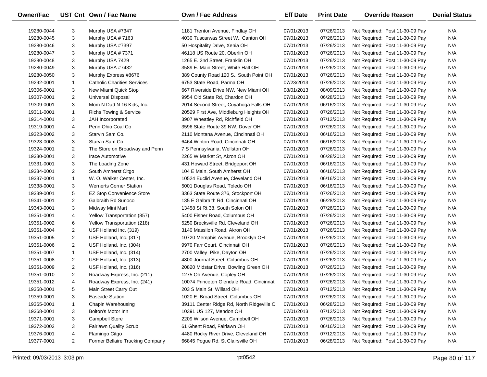| Owner/Fac  |                | UST Cnt Own / Fac Name             | <b>Own / Fac Address</b>                  | <b>Eff Date</b> | <b>Print Date</b> | <b>Override Reason</b>          | <b>Denial Status</b> |
|------------|----------------|------------------------------------|-------------------------------------------|-----------------|-------------------|---------------------------------|----------------------|
| 19280-0044 | 3              | Murphy USA #7347                   | 1181 Trenton Avenue, Findlay OH           | 07/01/2013      | 07/26/2013        | Not Required: Post 11-30-09 Pay | N/A                  |
| 19280-0045 | 3              | Murphy USA #7163                   | 4030 Tuscarwas Street W., Canton OH       | 07/01/2013      | 07/26/2013        | Not Required: Post 11-30-09 Pay | N/A                  |
| 19280-0046 | 3              | Murphy USA #7397                   | 50 Hospitality Drive, Xenia OH            | 07/01/2013      | 07/26/2013        | Not Required: Post 11-30-09 Pay | N/A                  |
| 19280-0047 | 3              | Murphy USA #7371                   | 46118 US Route 20, Oberlin OH             | 07/01/2013      | 07/26/2013        | Not Required: Post 11-30-09 Pay | N/A                  |
| 19280-0048 | 3              | Murphy USA 7429                    | 1265 E. 2nd Street, Franklin OH           | 07/01/2013      | 07/26/2013        | Not Required: Post 11-30-09 Pay | N/A                  |
| 19280-0049 | 3              | Murphy USA #7432                   | 3589 E. Main Street, White Hall OH        | 07/01/2013      | 07/26/2013        | Not Required: Post 11-30-09 Pay | N/A                  |
| 19280-0050 | 3              | Murphy Express #8676               | 389 County Road 120 S., South Point OH    | 07/01/2013      | 07/26/2013        | Not Required: Post 11-30-09 Pay | N/A                  |
| 19292-0001 | $\mathbf{1}$   | <b>Catholic Charities Services</b> | 6753 State Road, Parma OH                 | 07/23/2013      | 07/26/2013        | Not Required: Post 11-30-09 Pay | N/A                  |
| 19306-0001 | 3              | New Miami Quick Stop               | 667 Riverside Drive NW, New Miami OH      | 08/01/2013      | 08/09/2013        | Not Required: Post 11-30-09 Pay | N/A                  |
| 19307-0001 | $\overline{2}$ | Universal Disposal                 | 9954 Old State Rd, Chardon OH             | 07/01/2013      | 06/28/2013        | Not Required: Post 11-30-09 Pay | N/A                  |
| 19309-0001 | 3              | Mom N Dad N 16 Kids, Inc.          | 2014 Second Street, Cuyahoga Falls OH     | 07/01/2013      | 06/16/2013        | Not Required: Post 11-30-09 Pay | N/A                  |
| 19311-0001 | $\mathbf{1}$   | <b>Richs Towing &amp; Service</b>  | 20529 First Ave, Middleburg Heights OH    | 07/01/2013      | 07/26/2013        | Not Required: Post 11-30-09 Pay | N/A                  |
| 19314-0001 | 3              | JAH Incorporated                   | 3907 Wheatley Rd, Richfield OH            | 07/01/2013      | 07/12/2013        | Not Required: Post 11-30-09 Pay | N/A                  |
| 19319-0001 | 4              | Penn Ohio Coal Co                  | 3596 State Route 39 NW, Dover OH          | 07/01/2013      | 07/26/2013        | Not Required: Post 11-30-09 Pay | N/A                  |
| 19323-0002 | 3              | Starv'n Sam Co.                    | 2110 Montana Avenue, Cincinnati OH        | 07/01/2013      | 06/16/2013        | Not Required: Post 11-30-09 Pay | N/A                  |
| 19323-0003 | 3              | Starv'n Sam Co.                    | 6464 Winton Road, Cincinnati OH           | 07/01/2013      | 06/16/2013        | Not Required: Post 11-30-09 Pay | N/A                  |
| 19324-0001 | $\overline{2}$ | The Store on Broadway and Penn     | 7 S Pennsylvania, Wellston OH             | 07/01/2013      | 07/26/2013        | Not Required: Post 11-30-09 Pay | N/A                  |
| 19330-0001 | 3              | Irace Automotive                   | 2265 W Market St, Akron OH                | 07/01/2013      | 06/28/2013        | Not Required: Post 11-30-09 Pay | N/A                  |
| 19331-0001 | 3              | The Loading Zone                   | 431 Howard Street, Bridgeport OH          | 07/01/2013      | 06/16/2013        | Not Required: Post 11-30-09 Pay | N/A                  |
| 19334-0001 | $\overline{2}$ | South Amherst Citgo                | 104 E Main, South Amherst OH              | 07/01/2013      | 06/16/2013        | Not Required: Post 11-30-09 Pay | N/A                  |
| 19337-0001 | $\mathbf{1}$   | W. O. Walker Center, Inc.          | 10524 Euclid Avenue, Cleveland OH         | 07/01/2013      | 06/16/2013        | Not Required: Post 11-30-09 Pay | N/A                  |
| 19338-0001 | 3              | <b>Wernerts Corner Station</b>     | 5001 Douglas Road, Toledo OH              | 07/01/2013      | 06/16/2013        | Not Required: Post 11-30-09 Pay | N/A                  |
| 19339-0001 | 5              | <b>EZ Stop Convenience Store</b>   | 3363 State Route 376, Stockport OH        | 07/01/2013      | 07/26/2013        | Not Required: Post 11-30-09 Pay | N/A                  |
| 19341-0001 | 2              | Galbraith Rd Sunoco                | 135 E Galbraith Rd, Cincinnati OH         | 07/01/2013      | 06/28/2013        | Not Required: Post 11-30-09 Pay | N/A                  |
| 19343-0001 | 3              | Midway Mini Mart                   | 13458 St Rt 38, South Solon OH            | 07/01/2013      | 07/26/2013        | Not Required: Post 11-30-09 Pay | N/A                  |
| 19351-0001 | 4              | Yellow Transportation (857)        | 5400 Fisher Road, Columbus OH             | 07/01/2013      | 07/26/2013        | Not Required: Post 11-30-09 Pay | N/A                  |
| 19351-0002 | 6              | Yellow Transportation (218)        | 5250 Brecksville Rd, Cleveland OH         | 07/01/2013      | 07/26/2013        | Not Required: Post 11-30-09 Pay | N/A                  |
| 19351-0004 | $\overline{2}$ | USF Holland Inc. (319)             | 3140 Massilon Road, Akron OH              | 07/01/2013      | 07/26/2013        | Not Required: Post 11-30-09 Pay | N/A                  |
| 19351-0005 | $\overline{2}$ | USF Holland, Inc. (317)            | 10720 Memphis Avenue, Brooklyn OH         | 07/01/2013      | 07/26/2013        | Not Required: Post 11-30-09 Pay | N/A                  |
| 19351-0006 | $\overline{2}$ | USF Holland, Inc. (304)            | 9970 Farr Court, Cincinnati OH            | 07/01/2013      | 07/26/2013        | Not Required: Post 11-30-09 Pay | N/A                  |
| 19351-0007 | $\mathbf{1}$   | USF Holland, Inc. (314)            | 2700 Valley Pike, Dayton OH               | 07/01/2013      | 07/26/2013        | Not Required: Post 11-30-09 Pay | N/A                  |
| 19351-0008 | $\overline{2}$ | USF Holland, Inc. (313)            | 4800 Journal Street, Columbus OH          | 07/01/2013      | 07/26/2013        | Not Required: Post 11-30-09 Pay | N/A                  |
| 19351-0009 | $\overline{2}$ | USF Holland, Inc. (316)            | 20820 Midstar Drive, Bowling Green OH     | 07/01/2013      | 07/26/2013        | Not Required: Post 11-30-09 Pay | N/A                  |
| 19351-0010 | $\overline{2}$ | Roadway Express, Inc. (211)        | 1275 Oh Avenue, Copley OH                 | 07/01/2013      | 07/26/2013        | Not Required: Post 11-30-09 Pay | N/A                  |
| 19351-0012 | 4              | Roadway Express, Inc. (241)        | 10074 Princeton Glendale Road, Cincinnati | 07/01/2013      | 07/26/2013        | Not Required: Post 11-30-09 Pay | N/A                  |
| 19358-0001 | 5              | Main Street Carry Out              | 203 S Main St, Willard OH                 | 07/01/2013      | 07/12/2013        | Not Required: Post 11-30-09 Pay | N/A                  |
| 19359-0001 | 3              | <b>Eastside Station</b>            | 1020 E. Broad Street, Columbus OH         | 07/01/2013      | 07/26/2013        | Not Required: Post 11-30-09 Pay | N/A                  |
| 19365-0001 | 1              | Chapin Warehousing                 | 39111 Center Ridge Rd, North Ridgeville O | 07/01/2013      | 06/28/2013        | Not Required: Post 11-30-09 Pay | N/A                  |
| 19368-0001 | 3              | Bolton's Motor Inn                 | 10391 US 127, Mendon OH                   | 07/01/2013      | 07/12/2013        | Not Required: Post 11-30-09 Pay | N/A                  |
| 19371-0001 | 3              | Campbell Store                     | 2209 Wilson Avenue, Campbell OH           | 07/01/2013      | 07/26/2013        | Not Required: Post 11-30-09 Pay | N/A                  |
| 19372-0002 | 3              | Fairlawn Quality Scrub             | 61 Ghent Road, Fairlawn OH                | 07/01/2013      | 06/16/2013        | Not Required: Post 11-30-09 Pay | N/A                  |
| 19376-0001 | 4              | Flamingo Citgo                     | 4480 Rocky River Drive, Cleveland OH      | 07/01/2013      | 07/12/2013        | Not Required: Post 11-30-09 Pay | N/A                  |
| 19377-0001 | $\overline{2}$ | Former Bellaire Trucking Company   | 66845 Pogue Rd, St Clairsville OH         | 07/01/2013      | 06/28/2013        | Not Required: Post 11-30-09 Pay | N/A                  |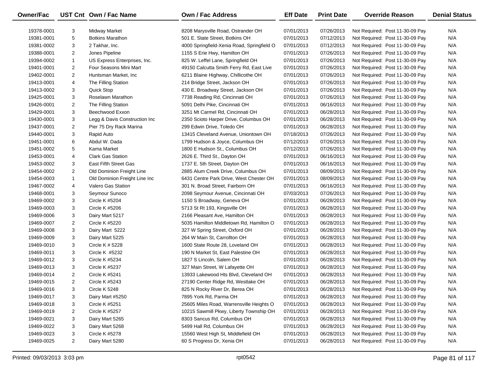| Owner/Fac  |                | UST Cnt Own / Fac Name        | Own / Fac Address                          | <b>Eff Date</b> | <b>Print Date</b> | <b>Override Reason</b>          | <b>Denial Status</b> |
|------------|----------------|-------------------------------|--------------------------------------------|-----------------|-------------------|---------------------------------|----------------------|
| 19378-0001 | 3              | Midway Market                 | 8208 Marysville Road, Ostrander OH         | 07/01/2013      | 07/26/2013        | Not Required: Post 11-30-09 Pay | N/A                  |
| 19381-0001 | 5              | <b>Botkins Marathon</b>       | 501 E. State Street, Botkins OH            | 07/01/2013      | 07/12/2013        | Not Required: Post 11-30-09 Pay | N/A                  |
| 19381-0002 | 3              | 2 Takhar, Inc.                | 4000 Springfield-Xenia Road, Springfield O | 07/01/2013      | 07/12/2013        | Not Required: Post 11-30-09 Pay | N/A                  |
| 19388-0001 | $\overline{2}$ | Jones Pipeline                | 1155 S Erie Hwy, Hamilton OH               | 07/01/2013      | 07/26/2013        | Not Required: Post 11-30-09 Pay | N/A                  |
| 19394-0002 | $\mathbf{1}$   | US Express Enterprises, Inc.  | 825 W. Leffel Lane, Springfield OH         | 07/01/2013      | 07/26/2013        | Not Required: Post 11-30-09 Pay | N/A                  |
| 19401-0001 | $\overline{2}$ | Four Seasons Mini Mart        | 49150 Calcutta Smith Ferry Rd, East Live   | 07/01/2013      | 07/26/2013        | Not Required: Post 11-30-09 Pay | N/A                  |
| 19402-0001 | $\overline{2}$ | Huntsman Market, Inc          | 6211 Blaine Highway, Chillicothe OH        | 07/01/2013      | 07/26/2013        | Not Required: Post 11-30-09 Pay | N/A                  |
| 19413-0001 | 4              | The Filling Station           | 214 Bridge Street, Jackson OH              | 07/01/2013      | 07/26/2013        | Not Required: Post 11-30-09 Pay | N/A                  |
| 19413-0002 | 3              | Quick Stop                    | 430 E. Broadway Street, Jackson OH         | 07/01/2013      | 07/26/2013        | Not Required: Post 11-30-09 Pay | N/A                  |
| 19425-0001 | 3              | Roselawn Marathon             | 7738 Reading Rd, Cincinnati OH             | 07/01/2013      | 07/26/2013        | Not Required: Post 11-30-09 Pay | N/A                  |
| 19426-0001 | $\overline{2}$ | The Filling Station           | 5091 Delhi Pike, Cincinnati OH             | 07/01/2013      | 06/16/2013        | Not Required: Post 11-30-09 Pay | N/A                  |
| 19429-0001 | 3              | Beechwood Exxon               | 3251 Mt Carmel Rd, Cincinnati OH           | 07/01/2013      | 06/28/2013        | Not Required: Post 11-30-09 Pay | N/A                  |
| 19430-0001 | 3              | Legg & Davis Construction Inc | 2350 Scioto Harper Drive, Columbus OH      | 07/01/2013      | 06/28/2013        | Not Required: Post 11-30-09 Pay | N/A                  |
| 19437-0001 | 2              | Pier 75 Dry Rack Marina       | 299 Edwin Drive, Toledo OH                 | 07/01/2013      | 06/28/2013        | Not Required: Post 11-30-09 Pay | N/A                  |
| 19440-0001 | 3              | Rapid Auto                    | 13415 Cleveland Avenue, Uniontown OH       | 07/18/2013      | 07/26/2013        | Not Required: Post 11-30-09 Pay | N/A                  |
| 19451-0001 | 6              | Abdul W. Dada                 | 1799 Hudson & Joyce, Columbus OH           | 07/12/2013      | 07/26/2013        | Not Required: Post 11-30-09 Pay | N/A                  |
| 19451-0002 | 5              | Kama Market                   | 1800 E Hudson St., Columbus OH             | 07/12/2013      | 07/26/2013        | Not Required: Post 11-30-09 Pay | N/A                  |
| 19453-0001 | 4              | <b>Clark Gas Station</b>      | 2626 E. Third St., Dayton OH               | 07/01/2013      | 06/16/2013        | Not Required: Post 11-30-09 Pay | N/A                  |
| 19453-0002 | 3              | East Fifth Street Gas         | 1737 E. 5th Street, Dayton OH              | 07/01/2013      | 06/16/2013        | Not Required: Post 11-30-09 Pay | N/A                  |
| 19454-0002 | $\overline{2}$ | Old Dominion Freight Line     | 2885 Alum Creek Drive, Columbus OH         | 07/01/2013      | 08/09/2013        | Not Required: Post 11-30-09 Pay | N/A                  |
| 19454-0003 | $\mathbf{1}$   | Old Dominion Freight Line Inc | 6431 Centre Park Drive, West Chester OH    | 07/01/2013      | 08/09/2013        | Not Required: Post 11-30-09 Pay | N/A                  |
| 19467-0002 | 4              | <b>Valero Gas Station</b>     | 301 N. Broad Street, Fairborn OH           | 07/01/2013      | 06/16/2013        | Not Required: Post 11-30-09 Pay | N/A                  |
| 19468-0001 | 3              | Seymour Sunoco                | 2098 Seymour Avenue, Cincinnati OH         | 07/03/2013      | 07/26/2013        | Not Required: Post 11-30-09 Pay | N/A                  |
| 19469-0002 | 3              | Circle K #5204                | 1150 S Broadway, Geneva OH                 | 07/01/2013      | 06/28/2013        | Not Required: Post 11-30-09 Pay | N/A                  |
| 19469-0003 | 3              | Circle K #5206                | 5713 St Rt 193, Kingsville OH              | 07/01/2013      | 06/28/2013        | Not Required: Post 11-30-09 Pay | N/A                  |
| 19469-0006 | 3              | Dairy Mart 5217               | 2166 Pleasant Ave, Hamilton OH             | 07/01/2013      | 06/28/2013        | Not Required: Post 11-30-09 Pay | N/A                  |
| 19469-0007 | $\overline{2}$ | Circle K #5220                | 5035 Hamilton Middletown Rd, Hamilton O    | 07/01/2013      | 06/28/2013        | Not Required: Post 11-30-09 Pay | N/A                  |
| 19469-0008 | 3              | Dairy Mart 5222               | 327 W Spring Street, Oxford OH             | 07/01/2013      | 06/28/2013        | Not Required: Post 11-30-09 Pay | N/A                  |
| 19469-0009 | 3              | Dairy Mart 5225               | 264 W Main St, Carrollton OH               | 07/01/2013      | 06/28/2013        | Not Required: Post 11-30-09 Pay | N/A                  |
| 19469-0010 | 3              | Circle K # 5228               | 1600 State Route 28, Loveland OH           | 07/01/2013      | 06/28/2013        | Not Required: Post 11-30-09 Pay | N/A                  |
| 19469-0011 | 3              | Circle K #5232                | 190 N Market St, East Palestine OH         | 07/01/2013      | 06/28/2013        | Not Required: Post 11-30-09 Pay | N/A                  |
| 19469-0012 | 3              | <b>Circle K #5234</b>         | 1827 S Lincoln, Salem OH                   | 07/01/2013      | 06/28/2013        | Not Required: Post 11-30-09 Pay | N/A                  |
| 19469-0013 | 3              | Circle K #5237                | 327 Main Street, W Lafayette OH            | 07/01/2013      | 06/28/2013        | Not Required: Post 11-30-09 Pay | N/A                  |
| 19469-0014 | $\overline{2}$ | Circle K #5241                | 13933 Lakewood Hts Blvd, Cleveland OH      | 07/01/2013      | 06/28/2013        | Not Required: Post 11-30-09 Pay | N/A                  |
| 19469-0015 | $\overline{2}$ | Circle K #5243                | 27190 Center Ridge Rd, Westlake OH         | 07/01/2013      | 06/28/2013        | Not Required: Post 11-30-09 Pay | N/A                  |
| 19469-0016 | 3              | Circle K 5248                 | 825 N Rocky River Dr, Berea OH             | 07/01/2013      | 06/28/2013        | Not Required: Post 11-30-09 Pay | N/A                  |
| 19469-0017 | 3              | Dairy Mart #5250              | 7895 York Rd, Parma OH                     | 07/01/2013      | 06/28/2013        | Not Required: Post 11-30-09 Pay | N/A                  |
| 19469-0018 | 3              | Circle K #5251                | 25605 Miles Road, Warrensville Heights O   | 07/01/2013      | 06/28/2013        | Not Required: Post 11-30-09 Pay | N/A                  |
| 19469-0019 | 2              | <b>Circle K #5257</b>         | 10215 Sawmill Pkwy, Liberty Township OH    | 07/01/2013      | 06/28/2013        | Not Required: Post 11-30-09 Pay | N/A                  |
| 19469-0021 | 3              | Dairy Mart 5265               | 8303 Sancus Rd, Columbus OH                | 07/01/2013      | 06/28/2013        | Not Required: Post 11-30-09 Pay | N/A                  |
| 19469-0022 | 3              | Dairy Mart 5268               | 5499 Hall Rd, Columbus OH                  | 07/01/2013      | 06/28/2013        | Not Required: Post 11-30-09 Pay | N/A                  |
| 19469-0023 | 3              | <b>Circle K #5278</b>         | 15560 West High St, Middlefield OH         | 07/01/2013      | 06/28/2013        | Not Required: Post 11-30-09 Pay | N/A                  |
| 19469-0025 | $\overline{2}$ | Dairy Mart 5280               | 60 S Progress Dr, Xenia OH                 | 07/01/2013      | 06/28/2013        | Not Required: Post 11-30-09 Pay | N/A                  |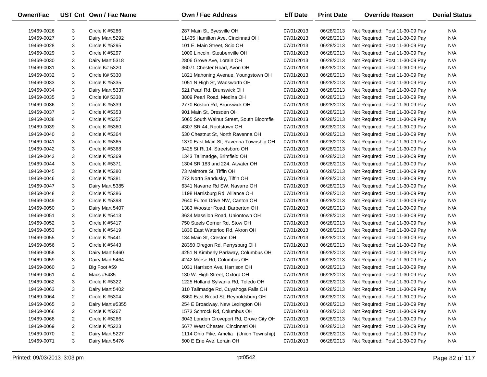| Owner/Fac  |   | UST Cnt Own / Fac Name | <b>Own / Fac Address</b>                 | <b>Eff Date</b> | <b>Print Date</b> | <b>Override Reason</b>          | <b>Denial Status</b> |
|------------|---|------------------------|------------------------------------------|-----------------|-------------------|---------------------------------|----------------------|
| 19469-0026 | 3 | <b>Circle K #5286</b>  | 287 Main St, Byesville OH                | 07/01/2013      | 06/28/2013        | Not Required: Post 11-30-09 Pay | N/A                  |
| 19469-0027 | 3 | Dairy Mart 5292        | 11435 Hamilton Ave, Cincinnati OH        | 07/01/2013      | 06/28/2013        | Not Required: Post 11-30-09 Pay | N/A                  |
| 19469-0028 | 3 | Circle K #5295         | 101 E. Main Street, Scio OH              | 07/01/2013      | 06/28/2013        | Not Required: Post 11-30-09 Pay | N/A                  |
| 19469-0029 | 3 | Circle K #5297         | 1000 Lincoln, Steubenville OH            | 07/01/2013      | 06/28/2013        | Not Required: Post 11-30-09 Pay | N/A                  |
| 19469-0030 | 3 | Dairy Mart 5318        | 2806 Grove Ave, Lorain OH                | 07/01/2013      | 06/28/2013        | Not Required: Post 11-30-09 Pay | N/A                  |
| 19469-0031 | 3 | Circle K# 5320         | 36071 Chester Road, Avon OH              | 07/01/2013      | 06/28/2013        | Not Required: Post 11-30-09 Pay | N/A                  |
| 19469-0032 | 3 | Circle K# 5330         | 1821 Mahoning Avenue, Youngstown OH      | 07/01/2013      | 06/28/2013        | Not Required: Post 11-30-09 Pay | N/A                  |
| 19469-0033 | 3 | Circle K #5335         | 1051 N High St, Wadsworth OH             | 07/01/2013      | 06/28/2013        | Not Required: Post 11-30-09 Pay | N/A                  |
| 19469-0034 | 3 | Dairy Mart 5337        | 521 Pearl Rd, Brunswick OH               | 07/01/2013      | 06/28/2013        | Not Required: Post 11-30-09 Pay | N/A                  |
| 19469-0035 | 3 | Circle K# 5338         | 3809 Pearl Road, Medina OH               | 07/01/2013      | 06/28/2013        | Not Required: Post 11-30-09 Pay | N/A                  |
| 19469-0036 | 2 | Circle K #5339         | 2770 Boston Rd, Brunswick OH             | 07/01/2013      | 06/28/2013        | Not Required: Post 11-30-09 Pay | N/A                  |
| 19469-0037 | 3 | Circle K #5353         | 901 Main St, Dresden OH                  | 07/01/2013      | 06/28/2013        | Not Required: Post 11-30-09 Pay | N/A                  |
| 19469-0038 | 4 | Circle K #5357         | 5065 South Walnut Street, South Bloomfie | 07/01/2013      | 06/28/2013        | Not Required: Post 11-30-09 Pay | N/A                  |
| 19469-0039 | 3 | Circle K #5360         | 4307 SR 44, Rootstown OH                 | 07/01/2013      | 06/28/2013        | Not Required: Post 11-30-09 Pay | N/A                  |
| 19469-0040 | 3 | Circle K #5364         | 530 Chestnut St, North Ravenna OH        | 07/01/2013      | 06/28/2013        | Not Required: Post 11-30-09 Pay | N/A                  |
| 19469-0041 | 3 | Circle K #5365         | 1370 East Main St, Ravenna Township OH   | 07/01/2013      | 06/28/2013        | Not Required: Post 11-30-09 Pay | N/A                  |
| 19469-0042 | 3 | Circle K #5368         | 9425 St Rt 14, Streetsboro OH            | 07/01/2013      | 06/28/2013        | Not Required: Post 11-30-09 Pay | N/A                  |
| 19469-0043 | 3 | Circle K #5369         | 1343 Tallmadge, Brimfield OH             | 07/01/2013      | 06/28/2013        | Not Required: Post 11-30-09 Pay | N/A                  |
| 19469-0044 | 3 | Circle K #5371         | 1304 SR 183 and 224, Atwater OH          | 07/01/2013      | 06/28/2013        | Not Required: Post 11-30-09 Pay | N/A                  |
| 19469-0045 | 3 | Circle K #5380         | 73 Melmore St, Tiffin OH                 | 07/01/2013      | 06/28/2013        | Not Required: Post 11-30-09 Pay | N/A                  |
| 19469-0046 | 3 | Circle K #5381         | 272 North Sandusky, Tiffin OH            | 07/01/2013      | 06/28/2013        | Not Required: Post 11-30-09 Pay | N/A                  |
| 19469-0047 | 3 | Dairy Mart 5385        | 6341 Navarre Rd SW, Navarre OH           | 07/01/2013      | 06/28/2013        | Not Required: Post 11-30-09 Pay | N/A                  |
| 19469-0048 | 3 | Circle K #5386         | 1198 Harrisburg Rd, Alliance OH          | 07/01/2013      | 06/28/2013        | Not Required: Post 11-30-09 Pay | N/A                  |
| 19469-0049 | 2 | Circle K #5398         | 2640 Fulton Drive NW, Canton OH          | 07/01/2013      | 06/28/2013        | Not Required: Post 11-30-09 Pay | N/A                  |
| 19469-0050 | 3 | Dairy Mart 5407        | 1383 Wooster Road, Barberton OH          | 07/01/2013      | 06/28/2013        | Not Required: Post 11-30-09 Pay | N/A                  |
| 19469-0051 | 3 | Circle K #5413         | 3634 Massilon Road, Uniontown OH         | 07/01/2013      | 06/28/2013        | Not Required: Post 11-30-09 Pay | N/A                  |
| 19469-0052 | 3 | Circle K #5417         | 750 Steels Corner Rd, Stow OH            | 07/01/2013      | 06/28/2013        | Not Required: Post 11-30-09 Pay | N/A                  |
| 19469-0053 | 3 | Circle K #5419         | 1830 East Waterloo Rd, Akron OH          | 07/01/2013      | 06/28/2013        | Not Required: Post 11-30-09 Pay | N/A                  |
| 19469-0055 | 2 | Circle K #5441         | 134 Main St, Creston OH                  | 07/01/2013      | 06/28/2013        | Not Required: Post 11-30-09 Pay | N/A                  |
| 19469-0056 | 3 | Circle K #5443         | 28350 Oregon Rd, Perrysburg OH           | 07/01/2013      | 06/28/2013        | Not Required: Post 11-30-09 Pay | N/A                  |
| 19469-0058 | 3 | Dairy Mart 5460        | 4251 N Kimberly Parkway, Columbus OH     | 07/01/2013      | 06/28/2013        | Not Required: Post 11-30-09 Pay | N/A                  |
| 19469-0059 | 3 | Dairy Mart 5464        | 4242 Morse Rd, Columbus OH               | 07/01/2013      | 06/28/2013        | Not Required: Post 11-30-09 Pay | N/A                  |
| 19469-0060 | 3 | Big Foot #59           | 1031 Harrison Ave, Harrison OH           | 07/01/2013      | 06/28/2013        | Not Required: Post 11-30-09 Pay | N/A                  |
| 19469-0061 | 4 | Macs #5485             | 130 W. High Street, Oxford OH            | 07/01/2013      | 06/28/2013        | Not Required: Post 11-30-09 Pay | N/A                  |
| 19469-0062 | 3 | Circle K #5322         | 1225 Holland Sylvania Rd, Toledo OH      | 07/01/2013      | 06/28/2013        | Not Required: Post 11-30-09 Pay | N/A                  |
| 19469-0063 | 3 | Dairy Mart 5402        | 310 Tallmadge Rd, Cuyahoga Falls OH      | 07/01/2013      | 06/28/2013        | Not Required: Post 11-30-09 Pay | N/A                  |
| 19469-0064 | 2 | Circle K #5304         | 8860 East Broad St, Reynoldsburg OH      | 07/01/2013      | 06/28/2013        | Not Required: Post 11-30-09 Pay | N/A                  |
| 19469-0065 | 3 | Dairy Mart #5355       | 254 E Broadway, New Lexington OH         | 07/01/2013      | 06/28/2013        | Not Required: Post 11-30-09 Pay | N/A                  |
| 19469-0066 | 2 | Circle K #5267         | 1573 Schrock Rd, Columbus OH             | 07/01/2013      | 06/28/2013        | Not Required: Post 11-30-09 Pay | N/A                  |
| 19469-0068 | 2 | Circle K #5266         | 3043 London Groveport Rd, Grove City OH  | 07/01/2013      | 06/28/2013        | Not Required: Post 11-30-09 Pay | N/A                  |
| 19469-0069 | 2 | Circle K #5223         | 5677 West Chester, Cincinnati OH         | 07/01/2013      | 06/28/2013        | Not Required: Post 11-30-09 Pay | N/A                  |
| 19469-0070 | 2 | Dairy Mart 5227        | 1114 Ohio Pike, Amelia (Union Township)  | 07/01/2013      | 06/28/2013        | Not Required: Post 11-30-09 Pay | N/A                  |
| 19469-0071 | 3 | Dairy Mart 5476        | 500 E Erie Ave, Lorain OH                | 07/01/2013      | 06/28/2013        | Not Required: Post 11-30-09 Pay | N/A                  |
|            |   |                        |                                          |                 |                   |                                 |                      |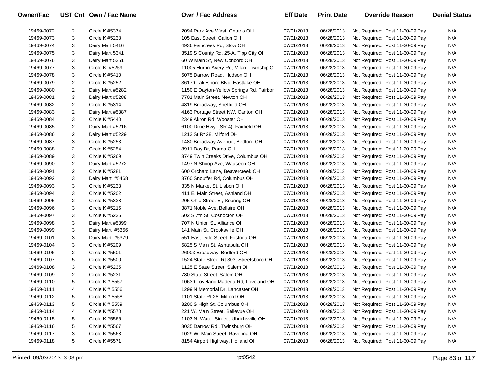| Owner/Fac  |                | UST Cnt Own / Fac Name | <b>Own / Fac Address</b>                 | <b>Eff Date</b> | <b>Print Date</b> | <b>Override Reason</b>          | <b>Denial Status</b> |
|------------|----------------|------------------------|------------------------------------------|-----------------|-------------------|---------------------------------|----------------------|
| 19469-0072 | 2              | Circle K #5374         | 2094 Park Ave West, Ontario OH           | 07/01/2013      | 06/28/2013        | Not Required: Post 11-30-09 Pay | N/A                  |
| 19469-0073 | 3              | <b>Circle K #5238</b>  | 105 East Street, Galion OH               | 07/01/2013      | 06/28/2013        | Not Required: Post 11-30-09 Pay | N/A                  |
| 19469-0074 | 3              | Dairy Mart 5416        | 4936 Fishcreek Rd, Stow OH               | 07/01/2013      | 06/28/2013        | Not Required: Post 11-30-09 Pay | N/A                  |
| 19469-0075 | 3              | Dairy Mart 5341        | 3519 S County Rd, 25-A, Tipp City OH     | 07/01/2013      | 06/28/2013        | Not Required: Post 11-30-09 Pay | N/A                  |
| 19469-0076 | 3              | Dairy Mart 5351        | 60 W Main St, New Concord OH             | 07/01/2013      | 06/28/2013        | Not Required: Post 11-30-09 Pay | N/A                  |
| 19469-0077 | 3              | Circle K #5259         | 11005 Huron-Avery Rd, Milan Township O   | 07/01/2013      | 06/28/2013        | Not Required: Post 11-30-09 Pay | N/A                  |
| 19469-0078 | 3              | Circle K #5410         | 5075 Darrow Road, Hudson OH              | 07/01/2013      | 06/28/2013        | Not Required: Post 11-30-09 Pay | N/A                  |
| 19469-0079 | 2              | <b>Circle K #5252</b>  | 36170 Lakeshore Blvd, Eastlake OH        | 07/01/2013      | 06/28/2013        | Not Required: Post 11-30-09 Pay | N/A                  |
| 19469-0080 | $\overline{2}$ | Dairy Mart #5282       | 1150 E Dayton-Yellow Springs Rd, Fairbor | 07/01/2013      | 06/28/2013        | Not Required: Post 11-30-09 Pay | N/A                  |
| 19469-0081 | 3              | Dairy Mart #5288       | 7701 Main Street, Newton OH              | 07/01/2013      | 06/28/2013        | Not Required: Post 11-30-09 Pay | N/A                  |
| 19469-0082 | $\overline{2}$ | Circle K #5314         | 4819 Broadway, Sheffield OH              | 07/01/2013      | 06/28/2013        | Not Required: Post 11-30-09 Pay | N/A                  |
| 19469-0083 | 2              | Dairy Mart #5387       | 4163 Portage Street NW, Canton OH        | 07/01/2013      | 06/28/2013        | Not Required: Post 11-30-09 Pay | N/A                  |
| 19469-0084 | 3              | Circle K #5440         | 2349 Akron Rd, Wooster OH                | 07/01/2013      | 06/28/2013        | Not Required: Post 11-30-09 Pay | N/A                  |
| 19469-0085 | 2              | Dairy Mart #5216       | 6100 Dixie Hwy (SR 4), Fairfield OH      | 07/01/2013      | 06/28/2013        | Not Required: Post 11-30-09 Pay | N/A                  |
| 19469-0086 | $\overline{2}$ | Dairy Mart #5229       | 1213 St Rt 28, Milford OH                | 07/01/2013      | 06/28/2013        | Not Required: Post 11-30-09 Pay | N/A                  |
| 19469-0087 | 3              | Circle K #5253         | 1480 Broadway Avenue, Bedford OH         | 07/01/2013      | 06/28/2013        | Not Required: Post 11-30-09 Pay | N/A                  |
| 19469-0088 | $\overline{c}$ | <b>Circle K #5254</b>  | 8911 Day Dr, Parma OH                    | 07/01/2013      | 06/28/2013        | Not Required: Post 11-30-09 Pay | N/A                  |
| 19469-0089 | 3              | Circle K #5269         | 3749 Twin Creeks Drive, Columbus OH      | 07/01/2013      | 06/28/2013        | Not Required: Post 11-30-09 Pay | N/A                  |
| 19469-0090 | $\overline{2}$ | Dairy Mart #5272       | 1497 N Shoop Ave, Wauseon OH             | 07/01/2013      | 06/28/2013        | Not Required: Post 11-30-09 Pay | N/A                  |
| 19469-0091 | 2              | Circle K #5281         | 600 Orchard Lane, Beavercreek OH         | 07/01/2013      | 06/28/2013        | Not Required: Post 11-30-09 Pay | N/A                  |
| 19469-0092 | 3              | Dairy Mart #5468       | 3760 Snouffer Rd, Columbus OH            | 07/01/2013      | 06/28/2013        | Not Required: Post 11-30-09 Pay | N/A                  |
| 19469-0093 | 3              | Circle K #5233         | 335 N Market St, Lisbon OH               | 07/01/2013      | 06/28/2013        | Not Required: Post 11-30-09 Pay | N/A                  |
| 19469-0094 | 3              | Circle K #5202         | 411 E. Main Street, Ashland OH           | 07/01/2013      | 06/28/2013        | Not Required: Post 11-30-09 Pay | N/A                  |
| 19469-0095 | 2              | Circle K #5328         | 205 Ohio Street E., Sebring OH           | 07/01/2013      | 06/28/2013        | Not Required: Post 11-30-09 Pay | N/A                  |
| 19469-0096 | 3              | Circle K #5215         | 3871 Noble Ave, Bellaire OH              | 07/01/2013      | 06/28/2013        | Not Required: Post 11-30-09 Pay | N/A                  |
| 19469-0097 | 3              | Circle K #5236         | 502 S 7th St, Coshocton OH               | 07/01/2013      | 06/28/2013        | Not Required: Post 11-30-09 Pay | N/A                  |
| 19469-0098 | 3              | Dairy Mart #5399       | 707 N Union St, Alliance OH              | 07/01/2013      | 06/28/2013        | Not Required: Post 11-30-09 Pay | N/A                  |
| 19469-0099 | 3              | Dairy Mart #5356       | 141 Main St, Crooksville OH              | 07/01/2013      | 06/28/2013        | Not Required: Post 11-30-09 Pay | N/A                  |
| 19469-0101 | 3              | Dairy Mart #5379       | 551 East Lytle Street, Fostoria OH       | 07/01/2013      | 06/28/2013        | Not Required: Post 11-30-09 Pay | N/A                  |
| 19469-0104 | 3              | Circle K #5209         | 5825 S Main St, Ashtabula OH             | 07/01/2013      | 06/28/2013        | Not Required: Post 11-30-09 Pay | N/A                  |
| 19469-0106 | 2              | Circle K #5501         | 26003 Broadway, Bedford OH               | 07/01/2013      | 06/28/2013        | Not Required: Post 11-30-09 Pay | N/A                  |
| 19469-0107 | 5              | Circle K #5500         | 1524 State Street Rt 303, Streetsboro OH | 07/01/2013      | 06/28/2013        | Not Required: Post 11-30-09 Pay | N/A                  |
| 19469-0108 | 3              | Circle K #5235         | 1125 E State Street, Salem OH            | 07/01/2013      | 06/28/2013        | Not Required: Post 11-30-09 Pay | N/A                  |
| 19469-0109 | $\overline{2}$ | Circle K #5231         | 780 State Street, Salem OH               | 07/01/2013      | 06/28/2013        | Not Required: Post 11-30-09 Pay | N/A                  |
| 19469-0110 | 5              | Circle K # 5557        | 10630 Loveland Maderia Rd, Loveland OH   | 07/01/2013      | 06/28/2013        | Not Required: Post 11-30-09 Pay | N/A                  |
| 19469-0111 | 4              | Circle K # 5556        | 1299 N Memorial Dr, Lancaster OH         | 07/01/2013      | 06/28/2013        | Not Required: Post 11-30-09 Pay | N/A                  |
| 19469-0112 | 5              | Circle K # 5558        | 1101 State Rt 28, Milford OH             | 07/01/2013      | 06/28/2013        | Not Required: Post 11-30-09 Pay | N/A                  |
| 19469-0113 | 5              | Circle K # 5559        | 3200 S High St, Columbus OH              | 07/01/2013      | 06/28/2013        | Not Required: Post 11-30-09 Pay | N/A                  |
| 19469-0114 | 4              | Circle K #5570         | 221 W. Main Street, Bellevue OH          | 07/01/2013      | 06/28/2013        | Not Required: Post 11-30-09 Pay | N/A                  |
| 19469-0115 | 5              | Circle K #5566         | 1103 N. Water Street., Uhrichsville OH   | 07/01/2013      | 06/28/2013        | Not Required: Post 11-30-09 Pay | N/A                  |
| 19469-0116 | 5              | Circle K #5567         | 8035 Darrow Rd., Twinsburg OH            | 07/01/2013      | 06/28/2013        | Not Required: Post 11-30-09 Pay | N/A                  |
| 19469-0117 | 3              | Circle K #5568         | 1029 W. Main Street, Ravenna OH          | 07/01/2013      | 06/28/2013        | Not Required: Post 11-30-09 Pay | N/A                  |
| 19469-0118 | 5              | Circle K #5571         | 8154 Airport Highway, Holland OH         | 07/01/2013      | 06/28/2013        | Not Required: Post 11-30-09 Pay | N/A                  |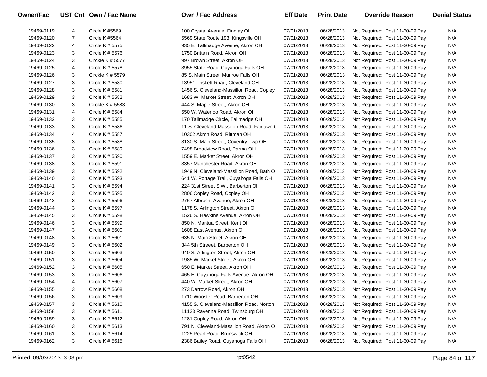| Owner/Fac  |                | UST Cnt Own / Fac Name | <b>Own / Fac Address</b>                   | <b>Eff Date</b> | <b>Print Date</b> | <b>Override Reason</b>          | <b>Denial Status</b> |
|------------|----------------|------------------------|--------------------------------------------|-----------------|-------------------|---------------------------------|----------------------|
| 19469-0119 | 4              | Circle K #5569         | 100 Crystal Avenue, Findlay OH             | 07/01/2013      | 06/28/2013        | Not Required: Post 11-30-09 Pay | N/A                  |
| 19469-0120 | $\overline{7}$ | <b>Circle K #5564</b>  | 5569 State Route 193, Kingsville OH        | 07/01/2013      | 06/28/2013        | Not Required: Post 11-30-09 Pay | N/A                  |
| 19469-0122 | 4              | Circle K # 5575        | 935 E. Tallmadge Avenue, Akron OH          | 07/01/2013      | 06/28/2013        | Not Required: Post 11-30-09 Pay | N/A                  |
| 19469-0123 | 3              | Circle K # 5576        | 1750 Brittain Road, Akron OH               | 07/01/2013      | 06/28/2013        | Not Required: Post 11-30-09 Pay | N/A                  |
| 19469-0124 | 3              | Circkle K $#$ 5577     | 997 Brown Street, Akron OH                 | 07/01/2013      | 06/28/2013        | Not Required: Post 11-30-09 Pay | N/A                  |
| 19469-0125 | 4              | Circle K # 5578        | 3955 State Road, Cuyahoga Falls OH         | 07/01/2013      | 06/28/2013        | Not Required: Post 11-30-09 Pay | N/A                  |
| 19469-0126 | 3              | Circkle K $# 5579$     | 85 S. Main Street, Munroe Falls OH         | 07/01/2013      | 06/28/2013        | Not Required: Post 11-30-09 Pay | N/A                  |
| 19469-0127 | 3              | Circle K # 5580        | 13951 Triskett Road, Cleveland OH          | 07/01/2013      | 06/28/2013        | Not Required: Post 11-30-09 Pay | N/A                  |
| 19469-0128 | 3              | Circle K # 5581        | 1456 S. Cleveland-Massillon Road, Copley   | 07/01/2013      | 06/28/2013        | Not Required: Post 11-30-09 Pay | N/A                  |
| 19469-0129 | 3              | Circle K # 5582        | 1683 W. Market Street, Akron OH            | 07/01/2013      | 06/28/2013        | Not Required: Post 11-30-09 Pay | N/A                  |
| 19469-0130 | 3              | Circkle K $# 5583$     | 444 S. Maple Street, Akron OH              | 07/01/2013      | 06/28/2013        | Not Required: Post 11-30-09 Pay | N/A                  |
| 19469-0131 | 4              | Circle K # 5584        | 550 W. Waterloo Road, Akron OH             | 07/01/2013      | 06/28/2013        | Not Required: Post 11-30-09 Pay | N/A                  |
| 19469-0132 | 3              | Circle K # 5585        | 170 Tallmadge Circle, Tallmadge OH         | 07/01/2013      | 06/28/2013        | Not Required: Post 11-30-09 Pay | N/A                  |
| 19469-0133 | 3              | Circle K # 5586        | 11 S. Cleveland-Massillon Road, Fairlawn ( | 07/01/2013      | 06/28/2013        | Not Required: Post 11-30-09 Pay | N/A                  |
| 19469-0134 | 4              | Circle K # 5587        | 10302 Akron Road, Rittman OH               | 07/01/2013      | 06/28/2013        | Not Required: Post 11-30-09 Pay | N/A                  |
| 19469-0135 | 3              | Circle K # 5588        | 3130 S. Main Street, Coventry Twp OH       | 07/01/2013      | 06/28/2013        | Not Required: Post 11-30-09 Pay | N/A                  |
| 19469-0136 | 3              | Circle K # 5589        | 7498 Broadview Road, Parma OH              | 07/01/2013      | 06/28/2013        | Not Required: Post 11-30-09 Pay | N/A                  |
| 19469-0137 | 3              | Circle K # 5590        | 1559 E. Market Street, Akron OH            | 07/01/2013      | 06/28/2013        | Not Required: Post 11-30-09 Pay | N/A                  |
| 19469-0138 | 3              | Circle K # 5591        | 3357 Manchester Road, Akron OH             | 07/01/2013      | 06/28/2013        | Not Required: Post 11-30-09 Pay | N/A                  |
| 19469-0139 | 3              | Circle K # 5592        | 1949 N. Cleveland-Massillon Road, Bath O   | 07/01/2013      | 06/28/2013        | Not Required: Post 11-30-09 Pay | N/A                  |
| 19469-0140 | 3              | Circle K # 5593        | 641 W. Portage Trail, Cuyahoga Falls OH    | 07/01/2013      | 06/28/2013        | Not Required: Post 11-30-09 Pay | N/A                  |
| 19469-0141 | 3              | Circle K # 5594        | 224 31st Street S.W., Barberton OH         | 07/01/2013      | 06/28/2013        | Not Required: Post 11-30-09 Pay | N/A                  |
| 19469-0142 | 3              | Circle K # 5595        | 2806 Copley Road, Copley OH                | 07/01/2013      | 06/28/2013        | Not Required: Post 11-30-09 Pay | N/A                  |
| 19469-0143 | 3              | Circle K # 5596        | 2767 Albrecht Avenue, Akron OH             | 07/01/2013      | 06/28/2013        | Not Required: Post 11-30-09 Pay | N/A                  |
| 19469-0144 | 3              | Circle K # 5597        | 1178 S. Arlington Street, Akron OH         | 07/01/2013      | 06/28/2013        | Not Required: Post 11-30-09 Pay | N/A                  |
| 19469-0145 | 3              | Circle K # 5598        | 1526 S. Hawkins Avenue, Akron OH           | 07/01/2013      | 06/28/2013        | Not Required: Post 11-30-09 Pay | N/A                  |
| 19469-0146 | 3              | Circle K # 5599        | 850 N. Mantua Street, Kent OH              | 07/01/2013      | 06/28/2013        | Not Required: Post 11-30-09 Pay | N/A                  |
| 19469-0147 | 3              | Circle K # 5600        | 1608 East Avenue, Akron OH                 | 07/01/2013      | 06/28/2013        | Not Required: Post 11-30-09 Pay | N/A                  |
| 19469-0148 | 3              | Circle K $#5601$       | 635 N. Main Street, Akron OH               | 07/01/2013      | 06/28/2013        | Not Required: Post 11-30-09 Pay | N/A                  |
| 19469-0149 | 3              | Circle K # 5602        | 344 5th Streeet, Barberton OH              | 07/01/2013      | 06/28/2013        | Not Required: Post 11-30-09 Pay | N/A                  |
| 19469-0150 | 3              | Circle K # 5603        | 940 S. Arlington Street, Akron OH          | 07/01/2013      | 06/28/2013        | Not Required: Post 11-30-09 Pay | N/A                  |
| 19469-0151 | 3              | Circle K # 5604        | 1985 W. Market Street, Akron OH            | 07/01/2013      | 06/28/2013        | Not Required: Post 11-30-09 Pay | N/A                  |
| 19469-0152 | 3              | Circle K # 5605        | 650 E. Market Street, Akron OH             | 07/01/2013      | 06/28/2013        | Not Required: Post 11-30-09 Pay | N/A                  |
| 19469-0153 | 3              | Circle K # 5606        | 465 E. Cuyahoga Falls Avenue, Akron OH     | 07/01/2013      | 06/28/2013        | Not Required: Post 11-30-09 Pay | N/A                  |
| 19469-0154 | 4              | Circle K # 5607        | 440 W. Market Street, Akron OH             | 07/01/2013      | 06/28/2013        | Not Required: Post 11-30-09 Pay | N/A                  |
| 19469-0155 | З              | Circle K # 5608        | 273 Darrow Road, Akron OH                  | 07/01/2013      | 06/28/2013        | Not Required: Post 11-30-09 Pay | N/A                  |
| 19469-0156 | 3              | Circle K # 5609        | 1710 Wooster Road, Barberton OH            | 07/01/2013      | 06/28/2013        | Not Required: Post 11-30-09 Pay | N/A                  |
| 19469-0157 | 3              | Circle K # 5610        | 4155 S. Cleveland-Massillon Road, Norton   | 07/01/2013      | 06/28/2013        | Not Required: Post 11-30-09 Pay | N/A                  |
| 19469-0158 | 3              | Circle K $#$ 5611      | 11133 Ravenna Road, Twinsburg OH           | 07/01/2013      | 06/28/2013        | Not Required: Post 11-30-09 Pay | N/A                  |
| 19469-0159 | 3              | Circle K # 5612        | 1281 Copley Road, Akron OH                 | 07/01/2013      | 06/28/2013        | Not Required: Post 11-30-09 Pay | N/A                  |
| 19469-0160 | 3              | Circle K $# 5613$      | 791 N. Cleveland-Massillon Road, Akron O   | 07/01/2013      | 06/28/2013        | Not Required: Post 11-30-09 Pay | N/A                  |
| 19469-0161 | 3              | Circle K # 5614        | 1225 Pearl Road, Brunswick OH              | 07/01/2013      | 06/28/2013        | Not Required: Post 11-30-09 Pay | N/A                  |
| 19469-0162 | 3              | Circle K # 5615        | 2386 Bailey Road, Cuyahoga Falls OH        | 07/01/2013      | 06/28/2013        | Not Required: Post 11-30-09 Pay | N/A                  |
|            |                |                        |                                            |                 |                   |                                 |                      |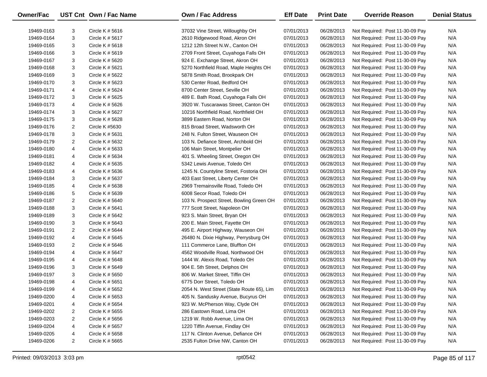| <b>Owner/Fac</b> |                | UST Cnt Own / Fac Name | <b>Own / Fac Address</b>                                          | <b>Eff Date</b> | <b>Print Date</b> | <b>Override Reason</b>          | <b>Denial Status</b> |
|------------------|----------------|------------------------|-------------------------------------------------------------------|-----------------|-------------------|---------------------------------|----------------------|
|                  |                |                        |                                                                   |                 |                   |                                 |                      |
| 19469-0163       | 3              | Circle K $#5616$       | 37032 Vine Street, Willoughby OH                                  | 07/01/2013      | 06/28/2013        | Not Required: Post 11-30-09 Pay | N/A                  |
| 19469-0164       | 3              | Circle K # 5617        | 2610 Ridgewood Road, Akron OH<br>1212 12th Street N.W., Canton OH | 07/01/2013      | 06/28/2013        | Not Required: Post 11-30-09 Pay | N/A                  |
| 19469-0165       | 3              | Circle K # 5618        |                                                                   | 07/01/2013      | 06/28/2013        | Not Required: Post 11-30-09 Pay | N/A                  |
| 19469-0166       | 3              | Circle K # 5619        | 2709 Front Street, Cuyahoga Falls OH                              | 07/01/2013      | 06/28/2013        | Not Required: Post 11-30-09 Pay | N/A                  |
| 19469-0167       | 3              | Circle K # 5620        | 924 E. Exchange Street, Akron OH                                  | 07/01/2013      | 06/28/2013        | Not Required: Post 11-30-09 Pay | N/A                  |
| 19469-0168       | 3              | Circle K # 5621        | 5270 Northfield Road, Maple Heights OH                            | 07/01/2013      | 06/28/2013        | Not Required: Post 11-30-09 Pay | N/A                  |
| 19469-0169       | 3              | Circle K # 5622        | 5878 Smith Road, Brookpark OH                                     | 07/01/2013      | 06/28/2013        | Not Required: Post 11-30-09 Pay | N/A                  |
| 19469-0170       | 3              | Circle K # 5623        | 530 Center Road, Bedford OH                                       | 07/01/2013      | 06/28/2013        | Not Required: Post 11-30-09 Pay | N/A                  |
| 19469-0171       | 4              | Circle K # 5624        | 8700 Center Street, Seville OH                                    | 07/01/2013      | 06/28/2013        | Not Required: Post 11-30-09 Pay | N/A                  |
| 19469-0172       | 3              | Circle K # 5625        | 489 E. Bath Road, Cuyahoga Falls OH                               | 07/01/2013      | 06/28/2013        | Not Required: Post 11-30-09 Pay | N/A                  |
| 19469-0173       | 4              | Circle K # 5626        | 3920 W. Tuscarawas Street, Canton OH                              | 07/01/2013      | 06/28/2013        | Not Required: Post 11-30-09 Pay | N/A                  |
| 19469-0174       | 3              | Circle K # 5627        | 10216 Northfield Road, Northfield OH                              | 07/01/2013      | 06/28/2013        | Not Required: Post 11-30-09 Pay | N/A                  |
| 19469-0175       | 3              | Circle K # 5628        | 3899 Eastern Road, Norton OH                                      | 07/01/2013      | 06/28/2013        | Not Required: Post 11-30-09 Pay | N/A                  |
| 19469-0176       | $\overline{2}$ | Circle K #5630         | 815 Broad Street, Wadsworth OH                                    | 07/01/2013      | 06/28/2013        | Not Required: Post 11-30-09 Pay | N/A                  |
| 19469-0178       | 3              | Circle K # 5631        | 248 N. Fulton Street, Wauseon OH                                  | 07/01/2013      | 06/28/2013        | Not Required: Post 11-30-09 Pay | N/A                  |
| 19469-0179       | $\overline{2}$ | Circle K # 5632        | 103 N. Defiance Street, Archbold OH                               | 07/01/2013      | 06/28/2013        | Not Required: Post 11-30-09 Pay | N/A                  |
| 19469-0180       | 4              | Circle K # 5633        | 106 Main Street, Montpelier OH                                    | 07/01/2013      | 06/28/2013        | Not Required: Post 11-30-09 Pay | N/A                  |
| 19469-0181       | 4              | Circle K # 5634        | 401 S. Wheeling Street, Oregon OH                                 | 07/01/2013      | 06/28/2013        | Not Required: Post 11-30-09 Pay | N/A                  |
| 19469-0182       | 4              | Circle K # 5635        | 5342 Lewis Avenue, Toledo OH                                      | 07/01/2013      | 06/28/2013        | Not Required: Post 11-30-09 Pay | N/A                  |
| 19469-0183       | 4              | Circle K # 5636        | 1245 N. Countyline Street, Fostoria OH                            | 07/01/2013      | 06/28/2013        | Not Required: Post 11-30-09 Pay | N/A                  |
| 19469-0184       | 3              | Circle K # 5637        | 403 East Street, Liberty Center OH                                | 07/01/2013      | 06/28/2013        | Not Required: Post 11-30-09 Pay | N/A                  |
| 19469-0185       | 4              | Circle K # 5638        | 2969 Tremainsville Road, Toledo OH                                | 07/01/2013      | 06/28/2013        | Not Required: Post 11-30-09 Pay | N/A                  |
| 19469-0186       | 5              | Circle K # 5639        | 6008 Secor Road, Toledo OH                                        | 07/01/2013      | 06/28/2013        | Not Required: Post 11-30-09 Pay | N/A                  |
| 19469-0187       | $\overline{2}$ | Circle K # 5640        | 103 N. Prospect Street, Bowling Green OH                          | 07/01/2013      | 06/28/2013        | Not Required: Post 11-30-09 Pay | N/A                  |
| 19469-0188       | 3              | Circle K # 5641        | 777 Scott Street, Napoleon OH                                     | 07/01/2013      | 06/28/2013        | Not Required: Post 11-30-09 Pay | N/A                  |
| 19469-0189       | 3              | Circle K # 5642        | 923 S. Main Street, Bryan OH                                      | 07/01/2013      | 06/28/2013        | Not Required: Post 11-30-09 Pay | N/A                  |
| 19469-0190       | 3              | Circle K # 5643        | 200 E. Main Street, Fayette OH                                    | 07/01/2013      | 06/28/2013        | Not Required: Post 11-30-09 Pay | N/A                  |
| 19469-0191       | $\overline{2}$ | Circle K # 5644        | 495 E. Airport Highway, Wauseon OH                                | 07/01/2013      | 06/28/2013        | Not Required: Post 11-30-09 Pay | N/A                  |
| 19469-0192       | 4              | Circle K # 5645        | 26480 N. Dixie Highway, Perrysburg OH                             | 07/01/2013      | 06/28/2013        | Not Required: Post 11-30-09 Pay | N/A                  |
| 19469-0193       | $\overline{2}$ | Circle K # 5646        | 111 Commerce Lane, Bluffton OH                                    | 07/01/2013      | 06/28/2013        | Not Required: Post 11-30-09 Pay | N/A                  |
| 19469-0194       | 4              | Circle K # 5647        | 4562 Woodville Road, Northwood OH                                 | 07/01/2013      | 06/28/2013        | Not Required: Post 11-30-09 Pay | N/A                  |
| 19469-0195       | 4              | Circle K # 5648        | 1444 W. Alexis Road, Toledo OH                                    | 07/01/2013      | 06/28/2013        | Not Required: Post 11-30-09 Pay | N/A                  |
| 19469-0196       | 3              | Circle K # 5649        | 904 E. 5th Street, Delphos OH                                     | 07/01/2013      | 06/28/2013        | Not Required: Post 11-30-09 Pay | N/A                  |
| 19469-0197       | 3              | Circle K # 5650        | 806 W. Market Street, Tiffin OH                                   | 07/01/2013      | 06/28/2013        | Not Required: Post 11-30-09 Pay | N/A                  |
| 19469-0198       | 4              | Circle K $# 5651$      | 6775 Dorr Street, Toledo OH                                       | 07/01/2013      | 06/28/2013        | Not Required: Post 11-30-09 Pay | N/A                  |
| 19469-0199       | 4              | Circle K # 5652        | 2054 N. West Street (State Route 65), Lim                         | 07/01/2013      | 06/28/2013        | Not Required: Post 11-30-09 Pay | N/A                  |
| 19469-0200       | 4              | Circle K # 5653        | 405 N. Sandusky Avenue, Bucyrus OH                                | 07/01/2013      | 06/28/2013        | Not Required: Post 11-30-09 Pay | N/A                  |
| 19469-0201       | 4              | Circle K # 5654        | 923 W. McPherson Way, Clyde OH                                    | 07/01/2013      | 06/28/2013        | Not Required: Post 11-30-09 Pay | N/A                  |
| 19469-0202       | $\overline{2}$ | Circle K # 5655        | 286 Eastown Road, Lima OH                                         | 07/01/2013      | 06/28/2013        | Not Required: Post 11-30-09 Pay | N/A                  |
| 19469-0203       | $\overline{2}$ | Circle K # 5656        | 1219 W. Robb Avenue, Lima OH                                      | 07/01/2013      | 06/28/2013        | Not Required: Post 11-30-09 Pay | N/A                  |
| 19469-0204       | 4              | Circle K # 5657        | 1220 Tiffin Avenue, Findlay OH                                    | 07/01/2013      | 06/28/2013        | Not Required: Post 11-30-09 Pay | N/A                  |
| 19469-0205       | 4              | Circle K # 5658        | 117 N. Clinton Avenue, Defiance OH                                | 07/01/2013      | 06/28/2013        | Not Required: Post 11-30-09 Pay | N/A                  |
| 19469-0206       | $\overline{2}$ | Circle K # 5665        | 2535 Fulton Drive NW, Canton OH                                   | 07/01/2013      | 06/28/2013        | Not Required: Post 11-30-09 Pay | N/A                  |
|                  |                |                        |                                                                   |                 |                   |                                 |                      |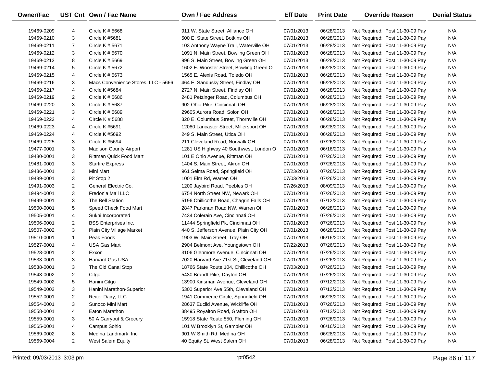| Owner/Fac  |                | UST Cnt Own / Fac Name              | <b>Own / Fac Address</b>                | <b>Eff Date</b> | <b>Print Date</b> | <b>Override Reason</b>          | <b>Denial Status</b> |
|------------|----------------|-------------------------------------|-----------------------------------------|-----------------|-------------------|---------------------------------|----------------------|
| 19469-0209 | 4              | Circle K # 5668                     | 911 W. State Street, Alliance OH        | 07/01/2013      | 06/28/2013        | Not Required: Post 11-30-09 Pay | N/A                  |
| 19469-0210 | 3              | Circle K #5681                      | 500 E. State Street, Botkins OH         | 07/01/2013      | 06/28/2013        | Not Required: Post 11-30-09 Pay | N/A                  |
| 19469-0211 | $\overline{7}$ | Circle K # 5671                     | 103 Anthony Wayne Trail, Waterville OH  | 07/01/2013      | 06/28/2013        | Not Required: Post 11-30-09 Pay | N/A                  |
| 19469-0212 | 3              | Circle K # 5670                     | 1091 N. Main Street, Bowling Green OH   | 07/01/2013      | 06/28/2013        | Not Required: Post 11-30-09 Pay | N/A                  |
| 19469-0213 | 8              | Circle K # 5669                     | 996 S. Main Street, Bowling Green OH    | 07/01/2013      | 06/28/2013        | Not Required: Post 11-30-09 Pay | N/A                  |
| 19469-0214 | 5              | Circle K # 5672                     | 1602 E. Wooster Street, Bowling Green O | 07/01/2013      | 06/28/2013        | Not Required: Post 11-30-09 Pay | N/A                  |
| 19469-0215 | 4              | Circle K # 5673                     | 1565 E. Alexis Road, Toledo OH          | 07/01/2013      | 06/28/2013        | Not Required: Post 11-30-09 Pay | N/A                  |
| 19469-0216 | 3              | Macs Convenience Stores, LLC - 5666 | 464 E. Sandusky Street, Findlay OH      | 07/01/2013      | 06/28/2013        | Not Required: Post 11-30-09 Pay | N/A                  |
| 19469-0217 | 4              | Circle K #5684                      | 2727 N. Main Street, Findlay OH         | 07/01/2013      | 06/28/2013        | Not Required: Post 11-30-09 Pay | N/A                  |
| 19469-0219 | 2              | Circle K # 5686                     | 2481 Petzinger Road, Columbus OH        | 07/01/2013      | 06/28/2013        | Not Required: Post 11-30-09 Pay | N/A                  |
| 19469-0220 | 3              | Circle K # 5687                     | 902 Ohio Pike, Cincinnati OH            | 07/01/2013      | 06/28/2013        | Not Required: Post 11-30-09 Pay | N/A                  |
| 19469-0221 | 3              | Circle K # 5689                     | 29605 Aurora Road, Solon OH             | 07/01/2013      | 06/28/2013        | Not Required: Post 11-30-09 Pay | N/A                  |
| 19469-0222 | 4              | CIrcle K # 5688                     | 320 E. Columbus Street, Thornville OH   | 07/01/2013      | 06/28/2013        | Not Required: Post 11-30-09 Pay | N/A                  |
| 19469-0223 | 4              | Circle K #5691                      | 12080 Lancaster Street, Millersport OH  | 07/01/2013      | 06/28/2013        | Not Required: Post 11-30-09 Pay | N/A                  |
| 19469-0224 | 4              | Circle K #5692                      | 249 S. Main Street, Utica OH            | 07/01/2013      | 06/28/2013        | Not Required: Post 11-30-09 Pay | N/A                  |
| 19469-0225 | 3              | Circle K #5694                      | 211 Cleveland Road, Norwalk OH          | 07/01/2013      | 07/26/2013        | Not Required: Post 11-30-09 Pay | N/A                  |
| 19477-0001 | 3              | <b>Madison County Airport</b>       | 1281 US Highway 40 Southwest, London O  | 07/01/2013      | 06/16/2013        | Not Required: Post 11-30-09 Pay | N/A                  |
| 19480-0001 | 3              | <b>Rittman Quick Food Mart</b>      | 101 E Ohio Avenue, Rittman OH           | 07/01/2013      | 07/26/2013        | Not Required: Post 11-30-09 Pay | N/A                  |
| 19481-0001 | 3              | <b>Starfire Express</b>             | 1404 S. Main Street, Akron OH           | 07/01/2013      | 07/26/2013        | Not Required: Post 11-30-09 Pay | N/A                  |
| 19486-0001 | 3              | Mini Mart                           | 961 Selma Road, Springfield OH          | 07/23/2013      | 07/26/2013        | Not Required: Post 11-30-09 Pay | N/A                  |
| 19489-0001 | 3              | Pit Stop 2                          | 1001 Elm Rd, Warren OH                  | 07/03/2013      | 07/26/2013        | Not Required: Post 11-30-09 Pay | N/A                  |
| 19491-0003 | $\overline{2}$ | General Electric Co.                | 1200 Jaybird Road, Peebles OH           | 07/26/2013      | 08/09/2013        | Not Required: Post 11-30-09 Pay | N/A                  |
| 19494-0001 | 3              | Fredonia Mall LLC                   | 6754 North Street NW, Newark OH         | 07/01/2013      | 07/26/2013        | Not Required: Post 11-30-09 Pay | N/A                  |
| 19499-0001 | 3              | The Bell Station                    | 5196 Chillicothe Road, Chagrin Falls OH | 07/01/2013      | 07/12/2013        | Not Required: Post 11-30-09 Pay | N/A                  |
| 19500-0001 | 5              | Speed Check Food Mart               | 2847 Parkman Road NW, Warren OH         | 07/01/2013      | 06/28/2013        | Not Required: Post 11-30-09 Pay | N/A                  |
| 19505-0001 | 4              | Sukhi Incorporated                  | 7434 Colerain Ave, Cincinnati OH        | 07/01/2013      | 07/26/2013        | Not Required: Post 11-30-09 Pay | N/A                  |
| 19506-0001 | $\overline{2}$ | <b>BSS</b> Enterprises Inc.         | 11444 Springfield Pk, Cincinnati OH     | 07/01/2013      | 07/26/2013        | Not Required: Post 11-30-09 Pay | N/A                  |
| 19507-0002 | 3              | Plain City Village Market           | 440 S. Jefferson Avenue, Plain City OH  | 07/01/2013      | 06/28/2013        | Not Required: Post 11-30-09 Pay | N/A                  |
| 19510-0001 | $\mathbf{1}$   | Peak Foods                          | 1903 W. Main Street, Troy OH            | 07/01/2013      | 06/16/2013        | Not Required: Post 11-30-09 Pay | N/A                  |
| 19527-0001 | 4              | <b>USA Gas Mart</b>                 | 2904 Belmont Ave, Youngstown OH         | 07/22/2013      | 07/26/2013        | Not Required: Post 11-30-09 Pay | N/A                  |
| 19528-0001 | 2              | Exxon                               | 3106 Glenmore Avenue, Cincinnati OH     | 07/01/2013      | 07/26/2013        | Not Required: Post 11-30-09 Pay | N/A                  |
| 19533-0001 | 3              | <b>Harvard Gas USA</b>              | 7020 Harvard Ave 71st St, Cleveland OH  | 07/01/2013      | 07/26/2013        | Not Required: Post 11-30-09 Pay | N/A                  |
| 19538-0001 | 3              | The Old Canal Stop                  | 18766 State Route 104, Chillicothe OH   | 07/03/2013      | 07/26/2013        | Not Required: Post 11-30-09 Pay | N/A                  |
| 19543-0002 | $\overline{2}$ | Citgo                               | 5430 Brandt Pike, Dayton OH             | 07/01/2013      | 07/26/2013        | Not Required: Post 11-30-09 Pay | N/A                  |
| 19549-0002 | 5              | Hanini Citgo                        | 13900 Kinsman Avenue, Cleveland OH      | 07/01/2013      | 07/12/2013        | Not Required: Post 11-30-09 Pay | N/A                  |
| 19549-0003 | 3              | Hanini Marathon-Superior            | 5300 Superior Ave 55th, Cleveland OH    | 07/01/2013      | 07/12/2013        | Not Required: Post 11-30-09 Pay | N/A                  |
| 19552-0001 | 2              | Reiter Dairy, LLC                   | 1941 Commerce Circle, Springfield OH    | 07/01/2013      | 06/28/2013        | Not Required: Post 11-30-09 Pay | N/A                  |
| 19554-0001 | 3              | Sunoco Mini Mart                    | 28637 Euclid Avenue, Wickliffe OH       | 07/01/2013      | 07/26/2013        | Not Required: Post 11-30-09 Pay | N/A                  |
| 19558-0001 | 4              | Eaton Marathon                      | 38495 Royalton Road, Grafton OH         | 07/01/2013      | 07/12/2013        | Not Required: Post 11-30-09 Pay | N/A                  |
| 19559-0001 | 3              | 50 A Carryout & Grocery             | 15918 State Route 550, Fleming OH       | 07/01/2013      | 07/26/2013        | Not Required: Post 11-30-09 Pay | N/A                  |
| 19565-0001 | 4              | Campus Sohio                        | 101 W Brooklyn St, Gambier OH           | 07/01/2013      | 06/16/2013        | Not Required: Post 11-30-09 Pay | N/A                  |
| 19569-0002 | 8              | Medina Landmark Inc                 | 901 W Smith Rd, Medina OH               | 07/01/2013      | 06/28/2013        | Not Required: Post 11-30-09 Pay | N/A                  |
| 19569-0004 | 2              | <b>West Salem Equity</b>            | 40 Equity St, West Salem OH             | 07/01/2013      | 06/28/2013        | Not Required: Post 11-30-09 Pay | N/A                  |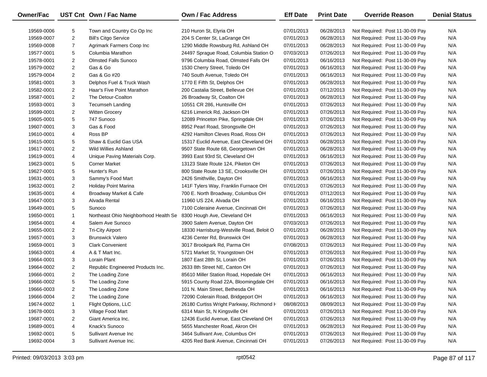| Owner/Fac  |                | UST Cnt Own / Fac Name                | <b>Own / Fac Address</b>                  | <b>Eff Date</b> | <b>Print Date</b> | <b>Override Reason</b>          | <b>Denial Status</b> |
|------------|----------------|---------------------------------------|-------------------------------------------|-----------------|-------------------|---------------------------------|----------------------|
| 19569-0006 | 5              | Town and Country Co Op Inc            | 210 Huron St, Elyria OH                   | 07/01/2013      | 06/28/2013        | Not Required: Post 11-30-09 Pay | N/A                  |
| 19569-0007 | $\overline{2}$ | <b>Bill's Citgo Service</b>           | 204 S Center St, LaGrange OH              | 07/01/2013      | 06/28/2013        | Not Required: Post 11-30-09 Pay | N/A                  |
| 19569-0008 | $\overline{7}$ | Agrimark Farmers Coop Inc             | 1290 Middle Rowsburg Rd, Ashland OH       | 07/01/2013      | 06/28/2013        | Not Required: Post 11-30-09 Pay | N/A                  |
| 19577-0001 | 5              | Columbia Marathon                     | 24497 Sprague Road, Columbia Station O    | 07/03/2013      | 07/26/2013        | Not Required: Post 11-30-09 Pay | N/A                  |
| 19578-0001 | 2              | <b>Olmsted Falls Sunoco</b>           | 9796 Columbia Road, Olmsted Falls OH      | 07/01/2013      | 06/16/2013        | Not Required: Post 11-30-09 Pay | N/A                  |
| 19579-0002 | $\overline{2}$ | Gas & Go                              | 1530 Cherry Street, Toledo OH             | 07/01/2013      | 06/16/2013        | Not Required: Post 11-30-09 Pay | N/A                  |
| 19579-0004 | $\overline{2}$ | Gas & Go #20                          | 740 South Avenue, Toledo OH               | 07/01/2013      | 06/16/2013        | Not Required: Post 11-30-09 Pay | N/A                  |
| 19581-0001 | 3              | Delphos Fuel & Truck Wash             | 1770 E Fifth St, Delphos OH               | 07/01/2013      | 06/28/2013        | Not Required: Post 11-30-09 Pay | N/A                  |
| 19582-0001 | $\overline{2}$ | Haar's Five Point Marathon            | 200 Castalia Street, Bellevue OH          | 07/01/2013      | 07/12/2013        | Not Required: Post 11-30-09 Pay | N/A                  |
| 19587-0001 | $\overline{2}$ | The Detour-Coalton                    | 26 Broadway St, Coalton OH                | 07/01/2013      | 06/28/2013        | Not Required: Post 11-30-09 Pay | N/A                  |
| 19593-0001 | 3              | Tecumseh Landing                      | 10551 CR 286, Huntsville OH               | 07/01/2013      | 07/26/2013        | Not Required: Post 11-30-09 Pay | N/A                  |
| 19599-0001 | $\overline{c}$ | <b>Witten Grocery</b>                 | 6216 Limerick Rd, Jackson OH              | 07/01/2013      | 07/26/2013        | Not Required: Post 11-30-09 Pay | N/A                  |
| 19605-0001 | 5              | 747 Sunoco                            | 12089 Princeton Pike, Springdale OH       | 07/01/2013      | 07/26/2013        | Not Required: Post 11-30-09 Pay | N/A                  |
| 19607-0001 | 3              | Gas & Food                            | 8952 Pearl Road, Strongsville OH          | 07/01/2013      | 07/26/2013        | Not Required: Post 11-30-09 Pay | N/A                  |
| 19610-0001 | 4              | Ross BP                               | 4292 Hamilton Cleves Road, Ross OH        | 07/01/2013      | 07/26/2013        | Not Required: Post 11-30-09 Pay | N/A                  |
| 19615-0001 | 5              | Shaw & Euclid Gas USA                 | 15317 Euclid Avenue, East Cleveland OH    | 07/01/2013      | 06/28/2013        | Not Required: Post 11-30-09 Pay | N/A                  |
| 19617-0001 | $\overline{c}$ | <b>Wild Willies Ashland</b>           | 9507 State Route 68, Georgetown OH        | 07/01/2013      | 06/28/2013        | Not Required: Post 11-30-09 Pay | N/A                  |
| 19619-0001 | 4              | Unique Paving Materials Corp.         | 3993 East 93rd St, Cleveland OH           | 07/01/2013      | 06/16/2013        | Not Required: Post 11-30-09 Pay | N/A                  |
| 19623-0001 | 5              | <b>Corner Market</b>                  | 13123 State Route 124, Piketon OH         | 07/01/2013      | 07/26/2013        | Not Required: Post 11-30-09 Pay | N/A                  |
| 19627-0001 | 5              | Hunter's Run                          | 800 State Route 13 SE, Crooksville OH     | 07/01/2013      | 07/26/2013        | Not Required: Post 11-30-09 Pay | N/A                  |
| 19631-0001 | 3              | Sammy's Food Mart                     | 2426 Smithville, Dayton OH                | 07/01/2013      | 06/16/2013        | Not Required: Post 11-30-09 Pay | N/A                  |
| 19632-0001 | $\overline{2}$ | Holiday Point Marina                  | 141F Tylers Way, Franklin Furnace OH      | 07/01/2013      | 07/26/2013        | Not Required: Post 11-30-09 Pay | N/A                  |
| 19635-0001 | 4              | Broadway Market & Cafe                | 700 E. North Broadway, Columbus OH        | 07/01/2013      | 07/12/2013        | Not Required: Post 11-30-09 Pay | N/A                  |
| 19647-0001 | 3              | Alvada Rental                         | 11960 US 224, Alvada OH                   | 07/01/2013      | 06/16/2013        | Not Required: Post 11-30-09 Pay | N/A                  |
| 19649-0001 | 5              | Sunoco                                | 7100 Coleraine Avenue, Cincinnati OH      | 07/01/2013      | 07/26/2013        | Not Required: Post 11-30-09 Pay | N/A                  |
| 19650-0001 | $\mathbf{1}$   | Northeast Ohio Neighborhood Health Se | 8300 Hough Ave, Cleveland OH              | 07/01/2013      | 06/16/2013        | Not Required: Post 11-30-09 Pay | N/A                  |
| 19654-0001 | 4              | Salem Ave Sunoco                      | 3900 Salem Avenue, Dayton OH              | 07/03/2013      | 07/26/2013        | Not Required: Post 11-30-09 Pay | N/A                  |
| 19655-0001 | $\overline{2}$ | <b>Tri-City Airport</b>               | 18330 Harrisburg-Westville Road, Beloit O | 07/01/2013      | 06/28/2013        | Not Required: Post 11-30-09 Pay | N/A                  |
| 19657-0001 | 3              | <b>Brunswick Valero</b>               | 4236 Center Rd, Brunswick OH              | 07/01/2013      | 06/28/2013        | Not Required: Post 11-30-09 Pay | N/A                  |
| 19659-0001 | 3              | <b>Clark Convenient</b>               | 3017 Brookpark Rd, Parma OH               | 07/08/2013      | 07/26/2013        | Not Required: Post 11-30-09 Pay | N/A                  |
| 19663-0001 | 4              | A & T Mart Inc.                       | 5721 Market St, Youngstown OH             | 07/01/2013      | 07/26/2013        | Not Required: Post 11-30-09 Pay | N/A                  |
| 19664-0001 | 3              | Lorain Plant                          | 1807 East 28th St, Lorain OH              | 07/01/2013      | 07/26/2013        | Not Required: Post 11-30-09 Pay | N/A                  |
| 19664-0002 | $\overline{2}$ | Republic Engineered Products Inc.     | 2633 8th Street NE, Canton OH             | 07/01/2013      | 07/26/2013        | Not Required: Post 11-30-09 Pay | N/A                  |
| 19666-0001 | $\overline{2}$ | The Loading Zone                      | 85610 Miller Station Road, Hopedale OH    | 07/01/2013      | 06/16/2013        | Not Required: Post 11-30-09 Pay | N/A                  |
| 19666-0002 | 5              | The Loading Zone                      | 5915 County Road 22A, Bloomingdale OH     | 07/01/2013      | 06/16/2013        | Not Required: Post 11-30-09 Pay | N/A                  |
| 19666-0003 | 2              | The Loading Zone                      | 101 N. Main Street, Bethesda OH           | 07/01/2013      | 06/16/2013        | Not Required: Post 11-30-09 Pay | N/A                  |
| 19666-0004 | 2              | The Loading Zone                      | 72090 Colerain Road, Bridgeport OH        | 07/01/2013      | 06/16/2013        | Not Required: Post 11-30-09 Pay | N/A                  |
| 19674-0002 | $\mathbf{1}$   | Flight Options, LLC                   | 26180 Curtiss Wright Parkway, Richmond H  | 08/08/2013      | 08/09/2013        | Not Required: Post 11-30-09 Pay | N/A                  |
| 19678-0001 | 3              | Village Food Mart                     | 6314 Main St, N Kingsville OH             | 07/01/2013      | 07/26/2013        | Not Required: Post 11-30-09 Pay | N/A                  |
| 19687-0001 | 2              | Giant America Inc.                    | 12436 Euclid Avenue, East Cleveland OH    | 07/01/2013      | 07/26/2013        | Not Required: Post 11-30-09 Pay | N/A                  |
| 19689-0001 | 4              | Knack's Sunoco                        | 5655 Manchester Road, Akron OH            | 07/01/2013      | 06/28/2013        | Not Required: Post 11-30-09 Pay | N/A                  |
| 19692-0001 | 5              | Sullivant Avenue Inc                  | 3464 Sullivant Ave, Columbus OH           | 07/01/2013      | 07/26/2013        | Not Required: Post 11-30-09 Pay | N/A                  |
| 19692-0004 | 3              | Sullivant Avenue Inc.                 | 4205 Red Bank Avenue, Cincinnati OH       | 07/01/2013      | 07/26/2013        | Not Required: Post 11-30-09 Pay | N/A                  |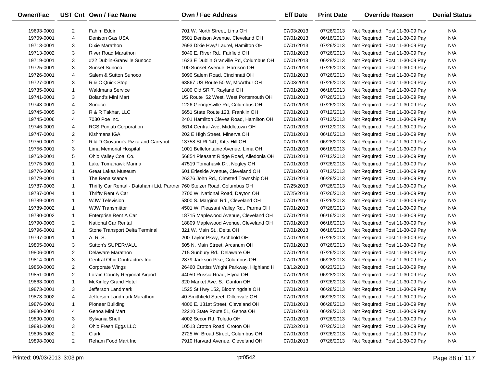| Owner/Fac  |                | UST Cnt Own / Fac Name                                                   | Own / Fac Address                        | <b>Eff Date</b> | <b>Print Date</b> | <b>Override Reason</b>          | <b>Denial Status</b> |
|------------|----------------|--------------------------------------------------------------------------|------------------------------------------|-----------------|-------------------|---------------------------------|----------------------|
| 19693-0001 | $\overline{2}$ | Fahim Eddir                                                              | 701 W. North Street, Lima OH             | 07/03/2013      | 07/26/2013        | Not Required: Post 11-30-09 Pay | N/A                  |
| 19709-0001 | 4              | Denison Gas USA                                                          | 6501 Denison Avenue, Cleveland OH        | 07/01/2013      | 06/16/2013        | Not Required: Post 11-30-09 Pay | N/A                  |
| 19713-0001 | 3              | Dixie Marathon                                                           | 2693 Dixie Hwy/ Laurel, Hamilton OH      | 07/01/2013      | 07/26/2013        | Not Required: Post 11-30-09 Pay | N/A                  |
| 19713-0002 | 3              | <b>River Road Marathon</b>                                               | 5040 E. River Rd., Fairfield OH          | 07/01/2013      | 07/26/2013        | Not Required: Post 11-30-09 Pay | N/A                  |
| 19719-0001 | 3              | #22 Dublin-Granville Sunoco                                              | 1623 E Dublin Granville Rd, Columbus OH  | 07/01/2013      | 06/28/2013        | Not Required: Post 11-30-09 Pay | N/A                  |
| 19725-0001 | 3              | <b>Sunset Sunoco</b>                                                     | 100 Sunset Avenue, Harrison OH           | 07/01/2013      | 07/26/2013        | Not Required: Post 11-30-09 Pay | N/A                  |
| 19726-0001 | 4              | Salem & Sutton Sunoco                                                    | 6090 Salem Road, Cincinnati OH           | 07/01/2013      | 07/26/2013        | Not Required: Post 11-30-09 Pay | N/A                  |
| 19727-0001 | 3              | R & C Quick Stop                                                         | 63867 US Route 50 W, McArthur OH         | 07/03/2013      | 07/26/2013        | Not Required: Post 11-30-09 Pay | N/A                  |
| 19735-0001 | $\mathbf{1}$   | <b>Waldmans Service</b>                                                  | 1800 Old SR 7, Rayland OH                | 07/01/2013      | 06/16/2013        | Not Required: Post 11-30-09 Pay | N/A                  |
| 19741-0001 | 3              | <b>Boland's Mini Mart</b>                                                | US Route 52 West, West Portsmouth OH     | 07/01/2013      | 07/26/2013        | Not Required: Post 11-30-09 Pay | N/A                  |
| 19743-0001 | 4              | Sunoco                                                                   | 1226 Georgesville Rd, Columbus OH        | 07/01/2013      | 07/26/2013        | Not Required: Post 11-30-09 Pay | N/A                  |
| 19745-0005 | 3              | R & R Takhar, LLC                                                        | 6651 State Route 123, Franklin OH        | 07/01/2013      | 07/12/2013        | Not Required: Post 11-30-09 Pay | N/A                  |
| 19745-0006 | 4              | 7030 Poe Inc.                                                            | 2401 Hamilton Cleves Road, Hamilton OH   | 07/01/2013      | 07/12/2013        | Not Required: Post 11-30-09 Pay | N/A                  |
| 19746-0001 | 4              | <b>RCS Punjab Corporation</b>                                            | 3614 Central Ave, Middletown OH          | 07/01/2013      | 07/12/2013        | Not Required: Post 11-30-09 Pay | N/A                  |
| 19747-0001 | $\overline{2}$ | Kishmans IGA                                                             | 202 E High Street, Minerva OH            | 07/01/2013      | 06/16/2013        | Not Required: Post 11-30-09 Pay | N/A                  |
| 19750-0001 | $\overline{2}$ | R & D Giovanni's Pizza and Carryout                                      | 13758 St Rt 141, Kitts Hill OH           | 07/01/2013      | 06/28/2013        | Not Required: Post 11-30-09 Pay | N/A                  |
| 19756-0001 | 3              | Lima Memorial Hospital                                                   | 1001 Bellefontaine Avenue, Lima OH       | 07/01/2013      | 06/16/2013        | Not Required: Post 11-30-09 Pay | N/A                  |
| 19763-0001 | 5              | Ohio Valley Coal Co.                                                     | 56854 Pleasant Ridge Road, Alledonia OH  | 07/01/2013      | 07/12/2013        | Not Required: Post 11-30-09 Pay | N/A                  |
| 19775-0001 | $\mathbf{1}$   | Lake Tomahawk Marina                                                     | 47519 Tomahawk Dr., Negley OH            | 07/01/2013      | 07/26/2013        | Not Required: Post 11-30-09 Pay | N/A                  |
| 19776-0001 | $\mathbf{1}$   | <b>Great Lakes Museum</b>                                                | 601 Erieside Avenue, Cleveland OH        | 07/01/2013      | 07/12/2013        | Not Required: Post 11-30-09 Pay | N/A                  |
| 19779-0001 | $\mathbf{1}$   | The Renaissance                                                          | 26376 John Rd., Olmsted Township OH      | 07/01/2013      | 06/28/2013        | Not Required: Post 11-30-09 Pay | N/A                  |
| 19787-0003 | $\mathbf{1}$   | Thrifty Car Rental - Datahami Ltd. Partnel 760 Stelzer Road, Columbus OH |                                          | 07/25/2013      | 07/26/2013        | Not Required: Post 11-30-09 Pay | N/A                  |
| 19787-0004 | $\mathbf{1}$   | Thrifty Rent A Car                                                       | 2700 W. National Road, Dayton OH         | 07/25/2013      | 07/26/2013        | Not Required: Post 11-30-09 Pay | N/A                  |
| 19789-0001 | $\mathbf{1}$   | <b>WJW Television</b>                                                    | 5800 S. Marginal Rd., Cleveland OH       | 07/01/2013      | 07/26/2013        | Not Required: Post 11-30-09 Pay | N/A                  |
| 19789-0002 | $\mathbf{1}$   | <b>WJW Transmittor</b>                                                   | 4501 W. Pleasant Valley Rd., Parma OH    | 07/01/2013      | 07/26/2013        | Not Required: Post 11-30-09 Pay | N/A                  |
| 19790-0002 | $\mathbf{1}$   | Enterprise Rent A Car                                                    | 18715 Maplewood Avenue, Cleveland OH     | 07/01/2013      | 06/16/2013        | Not Required: Post 11-30-09 Pay | N/A                  |
| 19790-0003 | $\overline{2}$ | <b>National Car Rental</b>                                               | 18809 Maplewood Avenue, Cleveland OH     | 07/01/2013      | 06/16/2013        | Not Required: Post 11-30-09 Pay | N/A                  |
| 19796-0001 | $\mathbf{1}$   | Stone Transport Delta Terminal                                           | 321 W. Main St., Delta OH                | 07/01/2013      | 06/16/2013        | Not Required: Post 11-30-09 Pay | N/A                  |
| 19797-0001 | $\mathbf{1}$   | A. R. S.                                                                 | 200 Taylor Pkwy, Archbold OH             | 07/01/2013      | 07/26/2013        | Not Required: Post 11-30-09 Pay | N/A                  |
| 19805-0001 | 3              | Sutton's SUPERVALU                                                       | 605 N. Main Street, Arcanum OH           | 07/01/2013      | 07/26/2013        | Not Required: Post 11-30-09 Pay | N/A                  |
| 19806-0001 | $\overline{2}$ | Delaware Marathon                                                        | 715 Sunbury Rd., Delaware OH             | 07/01/2013      | 07/26/2013        | Not Required: Post 11-30-09 Pay | N/A                  |
| 19814-0001 | 3              | Central Ohio Contractors Inc.                                            | 2879 Jackson Pike, Columbus OH           | 07/01/2013      | 06/28/2013        | Not Required: Post 11-30-09 Pay | N/A                  |
| 19850-0003 | $\overline{2}$ | <b>Corporate Wings</b>                                                   | 26460 Curtiss Wright Parkway, Highland H | 08/12/2013      | 08/23/2013        | Not Required: Post 11-30-09 Pay | N/A                  |
| 19851-0001 | $\overline{2}$ | Lorain County Regional Airport                                           | 44050 Russia Road, Elyria OH             | 07/01/2013      | 06/28/2013        | Not Required: Post 11-30-09 Pay | N/A                  |
| 19863-0001 | $\mathbf{1}$   | <b>McKinley Grand Hotel</b>                                              | 320 Market Ave. S., Canton OH            | 07/01/2013      | 07/26/2013        | Not Required: Post 11-30-09 Pay | N/A                  |
| 19873-0001 | 3              | Jefferson Landmark                                                       | 1525 St Hwy 152, Bloomingdale OH         | 07/01/2013      | 06/28/2013        | Not Required: Post 11-30-09 Pay | N/A                  |
| 19873-0002 | 4              | Jefferson Landmark Marathon                                              | 40 Smithfield Street, Dillonvale OH      | 07/01/2013      | 06/28/2013        | Not Required: Post 11-30-09 Pay | N/A                  |
| 19876-0001 | 1              | <b>Pioneer Building</b>                                                  | 4800 E. 131st Street, Cleveland OH       | 07/01/2013      | 06/28/2013        | Not Required: Post 11-30-09 Pay | N/A                  |
| 19880-0001 | 4              | Genoa Mini Mart                                                          | 22210 State Route 51, Genoa OH           | 07/01/2013      | 06/28/2013        | Not Required: Post 11-30-09 Pay | N/A                  |
| 19890-0001 | 3              | Sylvania Shell                                                           | 4002 Secor Rd, Toledo OH                 | 07/01/2013      | 07/26/2013        | Not Required: Post 11-30-09 Pay | N/A                  |
| 19891-0001 | 3              | Ohio Fresh Eggs LLC                                                      | 10513 Croton Road, Croton OH             | 07/02/2013      | 07/26/2013        | Not Required: Post 11-30-09 Pay | N/A                  |
| 19895-0002 | 2              | Clark                                                                    | 2725 W. Broad Street, Columbus OH        | 07/01/2013      | 07/26/2013        | Not Required: Post 11-30-09 Pay | N/A                  |
| 19898-0001 | $\overline{2}$ | Reham Food Mart Inc                                                      | 7910 Harvard Avenue, Cleveland OH        | 07/01/2013      | 07/26/2013        | Not Required: Post 11-30-09 Pay | N/A                  |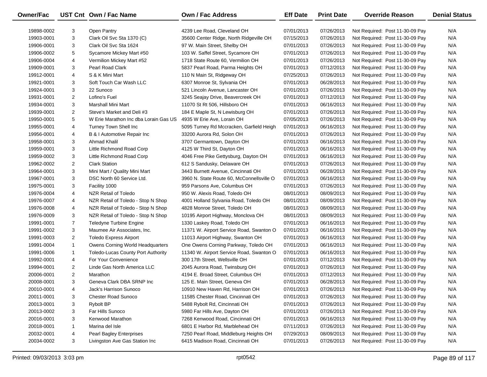| Owner/Fac  |                | UST Cnt Own / Fac Name                    | <b>Own / Fac Address</b>                  | <b>Eff Date</b>          | <b>Print Date</b>        | <b>Override Reason</b>          | <b>Denial Status</b> |
|------------|----------------|-------------------------------------------|-------------------------------------------|--------------------------|--------------------------|---------------------------------|----------------------|
| 19898-0002 | 3              | Open Pantry                               | 4239 Lee Road, Cleveland OH               | 07/01/2013               | 07/26/2013               | Not Required: Post 11-30-09 Pay | N/A                  |
| 19903-0001 | 3              | Clark Oil Svc Sta 1370 (C)                | 35600 Center Ridge, North Ridgeville OH   | 07/15/2013               | 07/26/2013               | Not Required: Post 11-30-09 Pay | N/A                  |
| 19906-0001 | 3              | Clark Oil Svc Sta 1624                    | 97 W. Main Street, Shelby OH              | 07/01/2013               | 07/26/2013               | Not Required: Post 11-30-09 Pay | N/A                  |
| 19906-0002 | 5              | Sycamore Mickey Mart #50                  | 103 W. Saffel Street, Sycamore OH         | 07/01/2013               | 07/26/2013               | Not Required: Post 11-30-09 Pay | N/A                  |
| 19906-0004 | 4              | Vermilion Mickey Mart #52                 | 1718 State Route 60, Vermilion OH         | 07/01/2013               | 07/26/2013               | Not Required: Post 11-30-09 Pay | N/A                  |
| 19909-0001 | 3              | Pearl Road Clark                          | 5837 Pearl Road, Parma Heights OH         | 07/01/2013               | 07/12/2013               | Not Required: Post 11-30-09 Pay | N/A                  |
| 19912-0001 | 4              | S & K Mini Mart                           | 110 N Main St, Ridgeway OH                | 07/25/2013               | 07/26/2013               | Not Required: Post 11-30-09 Pay | N/A                  |
| 19921-0001 | 3              | Soft Touch Car Wash LLC                   | 6307 Monroe St, Sylvania OH               | 07/01/2013               | 06/28/2013               | Not Required: Post 11-30-09 Pay | N/A                  |
| 19924-0001 | 3              | 22 Sunoco                                 | 521 Lincoln Avenue, Lancaster OH          | 07/01/2013               | 07/26/2013               | Not Required: Post 11-30-09 Pay | N/A                  |
| 19931-0001 | $\overline{2}$ | Lofino's Fuel                             | 3245 Seajay Drive, Beavercreek OH         | 07/01/2013               | 07/12/2013               | Not Required: Post 11-30-09 Pay | N/A                  |
|            | 3              | Marshall Mini Mart                        |                                           |                          | 06/16/2013               |                                 | N/A                  |
| 19934-0001 | $\overline{2}$ |                                           | 11070 St Rt 506, Hillsboro OH             | 07/01/2013               |                          | Not Required: Post 11-30-09 Pay | N/A                  |
| 19939-0001 | 5              | Steve's Market and Deli #3                | 184 E Maple St, N Lewisburg OH            | 07/01/2013<br>07/05/2013 | 07/26/2013<br>07/26/2013 | Not Required: Post 11-30-09 Pay | N/A                  |
| 19950-0001 |                | W Erie Marathon Inc dba Lorain Gas US     | 4935 W Erie Ave, Lorain OH                |                          |                          | Not Required: Post 11-30-09 Pay |                      |
| 19955-0001 | 4              | Turney Town Shell Inc                     | 5095 Turney Rd Mccracken, Garfield Heigh  | 07/01/2013               | 06/16/2013               | Not Required: Post 11-30-09 Pay | N/A                  |
| 19956-0001 | 4              | B & I Automotive Repair Inc               | 33200 Aurora Rd, Solon OH                 | 07/01/2013               | 07/26/2013               | Not Required: Post 11-30-09 Pay | N/A                  |
| 19958-0001 | 3              | Ahmad Khalil                              | 3707 Germantown, Dayton OH                | 07/01/2013               | 06/16/2013               | Not Required: Post 11-30-09 Pay | N/A                  |
| 19959-0001 | 3              | Little Richmond Road Corp                 | 4125 W Third St, Dayton OH                | 07/01/2013               | 06/16/2013               | Not Required: Post 11-30-09 Pay | N/A                  |
| 19959-0002 | 3              | Little Richmond Road Corp                 | 4046 Free Pike Gettysburg, Dayton OH      | 07/01/2013               | 06/16/2013               | Not Required: Post 11-30-09 Pay | N/A                  |
| 19962-0002 | $\overline{2}$ | <b>Clark Station</b>                      | 612 S Sandusky, Delaware OH               | 07/01/2013               | 07/26/2013               | Not Required: Post 11-30-09 Pay | N/A                  |
| 19964-0001 | 3              | Mini Mart / Quality Mini Mart             | 3443 Burnett Avenue, Cincinnati OH        | 07/01/2013               | 06/28/2013               | Not Required: Post 11-30-09 Pay | N/A                  |
| 19967-0001 | 3              | DSC North 60 Service Ltd.                 | 3960 N. State Route 60, McConnellsville O | 07/01/2013               | 06/16/2013               | Not Required: Post 11-30-09 Pay | N/A                  |
| 19975-0001 | 3              | Facility 1000                             | 959 Parsons Ave, Columbus OH              | 07/01/2013               | 07/26/2013               | Not Required: Post 11-30-09 Pay | N/A                  |
| 19976-0004 | 4              | NZR Retail of Toledo                      | 950 W. Alexis Road, Toledo OH             | 08/01/2013               | 08/09/2013               | Not Required: Post 11-30-09 Pay | N/A                  |
| 19976-0007 | 4              | NZR Retail of Toledo - Stop N Shop        | 4001 Holland Sylvania Road, Toledo OH     | 08/01/2013               | 08/09/2013               | Not Required: Post 11-30-09 Pay | N/A                  |
| 19976-0008 | 4              | NZR Retail of Toledo - Stop N Shop        | 4828 Monroe Street, Toledo OH             | 08/01/2013               | 08/09/2013               | Not Required: Post 11-30-09 Pay | N/A                  |
| 19976-0009 | 3              | NZR Retail of Toledo - Stop N Shop        | 10195 Airport Highway, Monclova OH        | 08/01/2013               | 08/09/2013               | Not Required: Post 11-30-09 Pay | N/A                  |
| 19991-0001 | $\overline{7}$ | Teledyne Turbine Engine                   | 1330 Laskey Road, Toledo OH               | 07/01/2013               | 06/16/2013               | Not Required: Post 11-30-09 Pay | N/A                  |
| 19991-0002 | 3              | Maumee Air Associates, Inc.               | 11371 W. Airport Service Road, Swanton O  | 07/01/2013               | 06/16/2013               | Not Required: Post 11-30-09 Pay | N/A                  |
| 19991-0003 | $\overline{2}$ | <b>Toledo Express Airport</b>             | 11013 Airport Highway, Swanton OH         | 07/01/2013               | 06/16/2013               | Not Required: Post 11-30-09 Pay | N/A                  |
| 19991-0004 | $\mathbf{1}$   | Owens Corning World Headquarters          | One Owens Corning Parkway, Toledo OH      | 07/01/2013               | 06/16/2013               | Not Required: Post 11-30-09 Pay | N/A                  |
| 19991-0006 | $\mathbf{1}$   | <b>Toledo-Lucas County Port Authority</b> | 11340 W. Airport Service Road, Swanton O  | 07/01/2013               | 06/16/2013               | Not Required: Post 11-30-09 Pay | N/A                  |
| 19992-0001 | 4              | For Your Convenience                      | 300 17th Street, Wellsville OH            | 07/01/2013               | 07/12/2013               | Not Required: Post 11-30-09 Pay | N/A                  |
| 19994-0001 | $\overline{2}$ | Linde Gas North America LLC               | 2045 Aurora Road, Twinsburg OH            | 07/01/2013               | 07/26/2013               | Not Required: Post 11-30-09 Pay | N/A                  |
| 20006-0001 | $\overline{2}$ | Marathon                                  | 4194 E. Broad Street, Columbus OH         | 07/01/2013               | 07/12/2013               | Not Required: Post 11-30-09 Pay | N/A                  |
| 20008-0001 | 3              | Geneva Clark DBA SRNP Inc                 | 125 E. Main Street, Geneva OH             | 07/01/2013               | 06/28/2013               | Not Required: Post 11-30-09 Pay | N/A                  |
| 20010-0001 | 4              | Jack's Harrison Sunoco                    | 10910 New Haven Rd, Harrison OH           | 07/01/2013               | 07/26/2013               | Not Required: Post 11-30-09 Pay | N/A                  |
| 20011-0001 | 3              | <b>Chester Road Sunoco</b>                | 11585 Chester Road, Cincinnati OH         | 07/01/2013               | 07/26/2013               | Not Required: Post 11-30-09 Pay | N/A                  |
| 20013-0001 | 3              | <b>Rybolt BP</b>                          | 5488 Rybolt Rd, Cincinnati OH             | 07/01/2013               | 07/26/2013               | Not Required: Post 11-30-09 Pay | N/A                  |
| 20013-0002 | 3              | Far Hills Sunoco                          | 5980 Far Hills Ave, Dayton OH             | 07/01/2013               | 07/26/2013               | Not Required: Post 11-30-09 Pay | N/A                  |
| 20016-0001 | 3              | Kenwood Marathon                          | 7268 Kenwood Road, Cincinnati OH          | 07/01/2013               | 06/16/2013               | Not Required: Post 11-30-09 Pay | N/A                  |
| 20018-0001 | 1              | Marina del Isle                           | 6801 E Harbor Rd, Marblehead OH           | 07/11/2013               | 07/26/2013               | Not Required: Post 11-30-09 Pay | N/A                  |
| 20032-0001 | 4              | <b>Pearl Bagley Enterprises</b>           | 7250 Pearl Road, Middleburg Heights OH    | 07/29/2013               | 08/09/2013               | Not Required: Post 11-30-09 Pay | N/A                  |
| 20034-0002 | 3              | Livingston Ave Gas Station Inc            | 6415 Madison Road, Cincinnati OH          | 07/01/2013               | 07/26/2013               | Not Required: Post 11-30-09 Pay | N/A                  |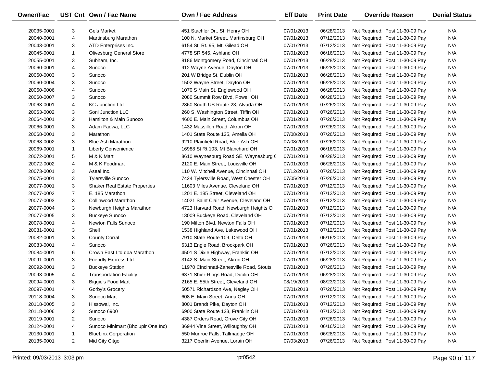| Owner/Fac  |                | UST Cnt Own / Fac Name               | <b>Own / Fac Address</b>                 | <b>Eff Date</b> | <b>Print Date</b> | <b>Override Reason</b>          | <b>Denial Status</b> |
|------------|----------------|--------------------------------------|------------------------------------------|-----------------|-------------------|---------------------------------|----------------------|
| 20035-0001 | 3              | <b>Gels Market</b>                   | 451 Stachler Dr., St. Henry OH           | 07/01/2013      | 06/28/2013        | Not Required: Post 11-30-09 Pay | N/A                  |
| 20040-0001 | 4              | Martinsburg Marathon                 | 100 N. Market Street, Martinsburg OH     | 07/01/2013      | 07/12/2013        | Not Required: Post 11-30-09 Pay | N/A                  |
| 20043-0001 | 3              | ATD Enterprises Inc.                 | 6154 St. Rt. 95, Mt. Gilead OH           | 07/01/2013      | 07/12/2013        | Not Required: Post 11-30-09 Pay | N/A                  |
| 20045-0001 | $\mathbf{1}$   | <b>Olivesburg General Store</b>      | 4778 SR 545, Ashland OH                  | 07/01/2013      | 06/16/2013        | Not Required: Post 11-30-09 Pay | N/A                  |
| 20055-0001 | 3              | Subham, Inc.                         | 8186 Montgomery Road, Cincinnati OH      | 07/01/2013      | 06/28/2013        | Not Required: Post 11-30-09 Pay | N/A                  |
| 20060-0001 | 4              | Sunoco                               | 912 Wayne Avenue, Dayton OH              | 07/01/2013      | 06/28/2013        | Not Required: Post 11-30-09 Pay | N/A                  |
| 20060-0003 | 3              | Sunoco                               | 201 W Bridge St, Dublin OH               | 07/01/2013      | 06/28/2013        | Not Required: Post 11-30-09 Pay | N/A                  |
| 20060-0004 | 3              | Sunoco                               | 1502 Wayne Street, Dayton OH             | 07/01/2013      | 06/28/2013        | Not Required: Post 11-30-09 Pay | N/A                  |
| 20060-0006 | 4              | Sunoco                               | 1070 S Main St, Englewood OH             | 07/01/2013      | 06/28/2013        | Not Required: Post 11-30-09 Pay | N/A                  |
| 20060-0007 | 3              | Sunoco                               | 2080 Summit Row Blvd, Powell OH          | 07/01/2013      | 06/28/2013        | Not Required: Post 11-30-09 Pay | N/A                  |
| 20063-0001 | 4              | <b>KC Junction Ltd</b>               | 2860 South US Route 23, Alvada OH        | 07/01/2013      | 07/26/2013        | Not Required: Post 11-30-09 Pay | N/A                  |
| 20063-0002 | 3              | Soni Junction LLC                    | 260 S. Washington Street, Tiffin OH      | 07/01/2013      | 07/26/2013        | Not Required: Post 11-30-09 Pay | N/A                  |
| 20064-0001 | 2              | Hamilton & Main Sunoco               | 4600 E. Main Street, Columbus OH         | 07/01/2013      | 07/26/2013        | Not Required: Post 11-30-09 Pay | N/A                  |
| 20066-0001 | 3              | Adam Fadwa, LLC                      | 1432 Massillon Road, Akron OH            | 07/01/2013      | 07/26/2013        | Not Required: Post 11-30-09 Pay | N/A                  |
| 20068-0001 | 3              | Marathon                             | 1401 State Route 125, Amelia OH          | 07/08/2013      | 07/26/2013        | Not Required: Post 11-30-09 Pay | N/A                  |
| 20068-0002 | 3              | <b>Blue Ash Marathon</b>             | 9210 Plainfield Road, Blue Ash OH        | 07/08/2013      | 07/26/2013        | Not Required: Post 11-30-09 Pay | N/A                  |
| 20069-0001 | $\mathbf{1}$   | <b>Liberty Convenience</b>           | 16988 St Rt 103, Mt Blanchard OH         | 07/01/2013      | 06/16/2013        | Not Required: Post 11-30-09 Pay | N/A                  |
| 20072-0001 | 5              | M & K Mart                           | 8610 Waynesburg Road SE, Waynesburg C    | 07/01/2013      | 06/28/2013        | Not Required: Post 11-30-09 Pay | N/A                  |
| 20072-0002 | 4              | M & K Foodmart                       | 2120 E. Main Street, Louisville OH       | 07/01/2013      | 06/28/2013        | Not Required: Post 11-30-09 Pay | N/A                  |
| 20073-0001 | 3              | Aseal Inc.                           | 110 W. Mitchell Avenue, Cincinnati OH    | 07/12/2013      | 07/26/2013        | Not Required: Post 11-30-09 Pay | N/A                  |
| 20075-0001 | 3              | <b>Tylersville Sunoco</b>            | 7424 Tylersville Road, West Chester OH   | 07/05/2013      | 07/26/2013        | Not Required: Post 11-30-09 Pay | N/A                  |
| 20077-0001 | 3              | <b>Shaker Real Estate Properties</b> | 11603 Miles Avenue, Cleveland OH         | 07/01/2013      | 07/12/2013        | Not Required: Post 11-30-09 Pay | N/A                  |
| 20077-0002 | $\overline{7}$ | E. 185 Marathon                      | 1201 E. 185 Street, Cleveland OH         | 07/01/2013      | 07/12/2013        | Not Required: Post 11-30-09 Pay | N/A                  |
| 20077-0003 | 3              | Collinwood Marathon                  | 14021 Saint Clair Avenue, Cleveland OH   | 07/01/2013      | 07/12/2013        | Not Required: Post 11-30-09 Pay | N/A                  |
| 20077-0004 | 3              | Newburgh Heights Marathon            | 4723 Harvard Road, Newburgh Heights O    | 07/01/2013      | 07/12/2013        | Not Required: Post 11-30-09 Pay | N/A                  |
| 20077-0005 | 3              | <b>Buckeye Sunoco</b>                | 13009 Buckeye Road, Cleveland OH         | 07/01/2013      | 07/12/2013        | Not Required: Post 11-30-09 Pay | N/A                  |
| 20078-0001 | 4              | <b>Newton Falls Sunoco</b>           | 190 Milton Blvd, Newton Falls OH         | 07/01/2013      | 07/12/2013        | Not Required: Post 11-30-09 Pay | N/A                  |
| 20081-0001 | 3              | Shell                                | 1538 Highland Ave, Lakewood OH           | 07/01/2013      | 07/12/2013        | Not Required: Post 11-30-09 Pay | N/A                  |
| 20082-0001 | 3              | <b>County Corral</b>                 | 7910 State Route 109, Delta OH           | 07/01/2013      | 06/16/2013        | Not Required: Post 11-30-09 Pay | N/A                  |
| 20083-0001 | 4              | Sunoco                               | 6313 Engle Road, Brookpark OH            | 07/01/2013      | 07/26/2013        | Not Required: Post 11-30-09 Pay | N/A                  |
| 20084-0001 | 6              | Crown East Ltd dba Marathon          | 4501 S Dixie Highway, Franklin OH        | 07/01/2013      | 07/12/2013        | Not Required: Post 11-30-09 Pay | N/A                  |
| 20091-0001 | 3              | Friendly Express Ltd.                | 3142 S. Main Street, Akron OH            | 07/01/2013      | 06/28/2013        | Not Required: Post 11-30-09 Pay | N/A                  |
| 20092-0001 | 3              | <b>Buckeye Station</b>               | 11970 Cincinnati-Zanesville Road, Stouts | 07/01/2013      | 07/26/2013        | Not Required: Post 11-30-09 Pay | N/A                  |
| 20093-0005 | 4              | <b>Transportation Facility</b>       | 6371 Shier-Rings Road, Dublin OH         | 07/01/2013      | 06/28/2013        | Not Required: Post 11-30-09 Pay | N/A                  |
| 20094-0001 | 3              | <b>Biggie's Food Mart</b>            | 2165 E. 55th Street, Cleveland OH        | 08/19/2013      | 08/23/2013        | Not Required: Post 11-30-09 Pay | N/A                  |
| 20097-0001 | 4              | Gorby's Grocery                      | 50571 Richardson Ave, Negley OH          | 07/01/2013      | 07/26/2013        | Not Required: Post 11-30-09 Pay | N/A                  |
| 20118-0004 | 3              | Sunoco Mart                          | 608 E. Main Street, Anna OH              | 07/01/2013      | 07/12/2013        | Not Required: Post 11-30-09 Pay | N/A                  |
| 20118-0005 | 3              | Hissowal, Inc.                       | 8001 Brandt Pike, Dayton OH              | 07/01/2013      | 07/12/2013        | Not Required: Post 11-30-09 Pay | N/A                  |
| 20118-0006 | 2              | Sunoco 6900                          | 6900 State Route 123, Franklin OH        | 07/01/2013      | 07/12/2013        | Not Required: Post 11-30-09 Pay | N/A                  |
| 20119-0001 | $\overline{2}$ | Sunoco                               | 4387 Orders Road, Grove City OH          | 07/01/2013      | 07/26/2013        | Not Required: Post 11-30-09 Pay | N/A                  |
| 20124-0001 | 4              | Sunoco Minimart (Bholupir One Inc)   | 36944 Vine Street, Willoughby OH         | 07/01/2013      | 06/16/2013        | Not Required: Post 11-30-09 Pay | N/A                  |
| 20130-0001 | 1              | <b>BlueLinx Corporation</b>          | 550 Munroe Falls, Tallmadge OH           | 07/01/2013      | 06/28/2013        | Not Required: Post 11-30-09 Pay | N/A                  |
| 20135-0001 | $\overline{c}$ | Mid City Citgo                       | 3217 Oberlin Avenue, Lorain OH           | 07/03/2013      | 07/26/2013        | Not Required: Post 11-30-09 Pay | N/A                  |
|            |                |                                      |                                          |                 |                   |                                 |                      |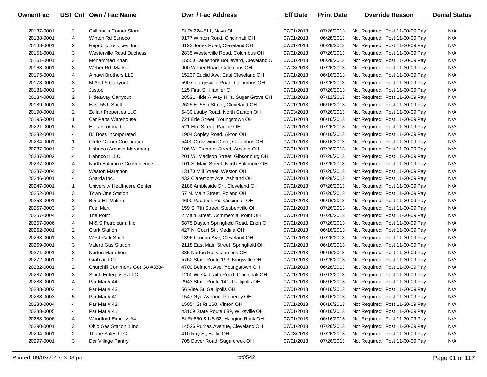| Owner/Fac  |                | UST Cnt Own / Fac Name           | <b>Own / Fac Address</b>               | <b>Eff Date</b> | <b>Print Date</b> | <b>Override Reason</b>          | <b>Denial Status</b> |
|------------|----------------|----------------------------------|----------------------------------------|-----------------|-------------------|---------------------------------|----------------------|
| 20137-0001 | 2              | Callihan's Corner Store          | St Rt 224-511, Nova OH                 | 07/01/2013      | 07/26/2013        | Not Required: Post 11-30-09 Pay | N/A                  |
| 20138-0001 | 4              | Winton Rd Sunoco                 | 9177 Winton Road, Cincinnati OH        | 07/01/2013      | 06/28/2013        | Not Required: Post 11-30-09 Pay | N/A                  |
| 20143-0001 | 2              | Republic Services, Inc.          | 8123 Jones Road, Cleveland OH          | 07/01/2013      | 06/28/2013        | Not Required: Post 11-30-09 Pay | N/A                  |
| 20151-0001 | 3              | <b>Westerville Road Duchess</b>  | 2835 Westerville Road, Columbus OH     | 07/01/2013      | 07/26/2013        | Not Required: Post 11-30-09 Pay | N/A                  |
| 20161-0001 | 3              | Mohammad Khan                    | 15550 Lakeshore Boulevard, Cleveland O | 07/01/2013      | 06/28/2013        | Not Required: Post 11-30-09 Pay | N/A                  |
| 20163-0001 | 3              | Weber Rd. Market                 | 900 Weber Road, Columbus OH            | 07/03/2013      | 07/26/2013        | Not Required: Post 11-30-09 Pay | N/A                  |
| 20175-0001 | 4              | Amawi Brothers LLC               | 15237 Euclid Ave, East Cleveland OH    | 07/01/2013      | 06/16/2013        | Not Required: Post 11-30-09 Pay | N/A                  |
| 20178-0001 | 3              | M And S Carryout                 | 590 Georgesville Road, Columbus OH     | 07/01/2013      | 07/26/2013        | Not Required: Post 11-30-09 Pay | N/A                  |
| 20181-0001 | 3              | Justop                           | 125 First St, Hamler OH                | 07/01/2013      | 07/26/2013        | Not Required: Post 11-30-09 Pay | N/A                  |
| 20184-0001 | $\overline{2}$ | <b>Hideaway Carryout</b>         | 28521 Hide A Way Hills, Sugar Grove OH | 07/01/2013      | 07/12/2013        | Not Required: Post 11-30-09 Pay | N/A                  |
| 20189-0001 | 3              | East 55th Shell                  | 2625 E. 55th Street, Cleveland OH      | 07/01/2013      | 06/16/2013        | Not Required: Post 11-30-09 Pay | N/A                  |
| 20190-0001 | $\overline{2}$ | <b>Zellair Properties LLC</b>    | 5430 Lauby Road, North Canton OH       | 07/03/2013      | 07/26/2013        | Not Required: Post 11-30-09 Pay | N/A                  |
| 20195-0001 | $\mathbf{1}$   | Car Parts Warehouse              | 721 Erie Street, Youngstown OH         | 07/01/2013      | 06/16/2013        | Not Required: Post 11-30-09 Pay | N/A                  |
| 20221-0001 | 5              | Hill's Foodmart                  | 521 Elm Street, Racine OH              | 07/01/2013      | 07/26/2013        | Not Required: Post 11-30-09 Pay | N/A                  |
| 20232-0001 | 4              | <b>BJ Boss Incorporated</b>      | 1904 Copley Road, Akron OH             | 07/01/2013      | 06/16/2013        | Not Required: Post 11-30-09 Pay | N/A                  |
| 20234-0001 | $\mathbf{1}$   | <b>Crete Carrier Corporation</b> | 5400 Crosswind Drive, Columbus OH      | 07/01/2013      | 06/16/2013        | Not Required: Post 11-30-09 Pay | N/A                  |
| 20237-0001 | 2              | Hahnco (Arcadia Marathon)        | 106 W. Fremont Street, Arcadia OH      | 07/01/2013      | 07/26/2013        | Not Required: Post 11-30-09 Pay | N/A                  |
| 20237-0002 | 4              | Hahnco II LLC                    | 201 W. Madison Street, Gibsonburg OH   | 07/01/2013      | 07/26/2013        | Not Required: Post 11-30-09 Pay | N/A                  |
| 20237-0003 | 4              | North Baltimore Convenience      | 101 S. Main Street, North Baltimore OH | 07/01/2013      | 07/26/2013        | Not Required: Post 11-30-09 Pay | N/A                  |
| 20237-0004 | 3              | <b>Weston Marathon</b>           | 13170 Mill Street, Weston OH           | 07/01/2013      | 07/26/2013        | Not Required: Post 11-30-09 Pay | N/A                  |
| 20246-0001 | 4              | Sharda Inc.                      | 432 Claremont Ave, Ashland OH          | 07/01/2013      | 06/28/2013        | Not Required: Post 11-30-09 Pay | N/A                  |
| 20247-0001 | $\mathbf{1}$   | University Healthcare Center     | 2186 Ambleside Dr., Cleveland OH       | 07/01/2013      | 07/26/2013        | Not Required: Post 11-30-09 Pay | N/A                  |
| 20252-0001 | 3              | <b>Town One Station</b>          | 57 N. Main Street, Poland OH           | 07/01/2013      | 07/26/2013        | Not Required: Post 11-30-09 Pay | N/A                  |
| 20253-0001 | 3              | <b>Bond Hill Valero</b>          | 4600 Paddock Rd, Cincinnati OH         | 07/01/2013      | 06/16/2013        | Not Required: Post 11-30-09 Pay | N/A                  |
| 20257-0003 | 3              | <b>Fuel Mart</b>                 | 159 S. 7th Street, Steubenville OH     | 07/01/2013      | 07/26/2013        | Not Required: Post 11-30-09 Pay | N/A                  |
| 20257-0004 | 3              | The Point                        | 2 Main Street, Commercial Point OH     | 07/01/2013      | 07/26/2013        | Not Required: Post 11-30-09 Pay | N/A                  |
| 20257-0006 | 4              | M & S Petroleum, Inc.            | 6875 Dayton Springfield Road, Enon OH  | 07/01/2013      | 07/26/2013        | Not Required: Post 11-30-09 Pay | N/A                  |
| 20262-0001 | $\overline{2}$ | <b>Clark Station</b>             | 427 N. Court St., Medina OH            | 07/01/2013      | 06/16/2013        | Not Required: Post 11-30-09 Pay | N/A                  |
| 20263-0001 | 3              | <b>West Park Shell</b>           | 13960 Lorain Ave, Cleveland OH         | 07/01/2013      | 07/26/2013        | Not Required: Post 11-30-09 Pay | N/A                  |
| 20269-0001 | 3              | <b>Valero Gas Station</b>        | 2118 East Main Street, Springfield OH  | 07/01/2013      | 06/16/2013        | Not Required: Post 11-30-09 Pay | N/A                  |
| 20271-0001 | 3              | Norton Marathon                  | 385 Norton Rd, Columbus OH             | 07/01/2013      | 06/16/2013        | Not Required: Post 11-30-09 Pay | N/A                  |
| 20272-0001 | $\overline{2}$ | Grab and Go                      | 5760 State Route 193, Kingsville OH    | 07/01/2013      | 07/26/2013        | Not Required: Post 11-30-09 Pay | N/A                  |
| 20282-0001 | $\overline{2}$ | Churchill Commons Get Go #3384   | 4700 Belmont Ave, Youngstown OH        | 07/01/2013      | 06/28/2013        | Not Required: Post 11-30-09 Pay | N/A                  |
| 20287-0001 | 3              | Singh Enterprises LLC            | 1200 W. Galbraith Road, Cincinnati OH  | 07/01/2013      | 07/12/2013        | Not Required: Post 11-30-09 Pay | N/A                  |
| 20288-0001 | $\overline{4}$ | Par Mar #44                      | 2943 State Route 141, Gallipolis OH    | 07/01/2013      | 06/16/2013        | Not Required: Post 11-30-09 Pay | N/A                  |
| 20288-0002 | 4              | Par Mar #43                      | 56 Vine St, Gallipolis OH              | 07/01/2013      | 06/16/2013        | Not Required: Post 11-30-09 Pay | N/A                  |
| 20288-0003 | 5              | Par Mar #40                      | 1547 Nye Avenue, Pomeroy OH            | 07/01/2013      | 06/16/2013        | Not Required: Post 11-30-09 Pay | N/A                  |
| 20288-0004 | 4              | Par Mar #42                      | 15054 St Rt 160, Vinton OH             | 07/01/2013      | 06/16/2013        | Not Required: Post 11-30-09 Pay | N/A                  |
| 20288-0005 | 4              | Par Mar #41                      | 43109 State Route 689, Wilksville OH   | 07/01/2013      | 06/16/2013        | Not Required: Post 11-30-09 Pay | N/A                  |
| 20288-0006 | 4              | Woodford Express #4              | St Rt 650 & US 52, Hanging Rock OH     | 07/01/2013      | 06/16/2013        | Not Required: Post 11-30-09 Pay | N/A                  |
| 20290-0001 | 3              | Ohio Gas Station 1 Inc.          | 14526 Puritas Avenue, Cleveland OH     | 07/01/2013      | 07/26/2013        | Not Required: Post 11-30-09 Pay | N/A                  |
| 20294-0001 | $\overline{c}$ | Tbone Sales LLC                  | 410 Ray St, Baltic OH                  | 07/08/2013      | 07/26/2013        | Not Required: Post 11-30-09 Pay | N/A                  |
| 20297-0001 | 3              | Der Village Pantry               | 705 Dover Road, Sugarcreek OH          | 07/01/2013      | 07/26/2013        | Not Required: Post 11-30-09 Pay | N/A                  |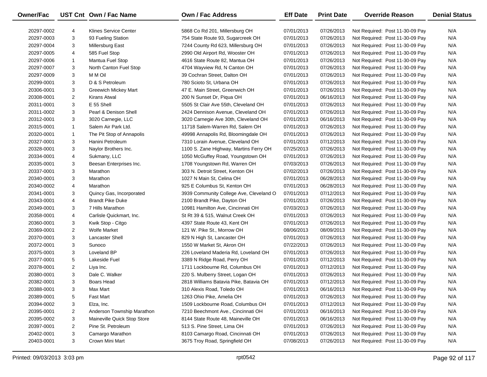| Owner/Fac  |                | UST Cnt Own / Fac Name      | <b>Own / Fac Address</b>                | <b>Eff Date</b> | <b>Print Date</b>        | <b>Override Reason</b>                                             | <b>Denial Status</b> |
|------------|----------------|-----------------------------|-----------------------------------------|-----------------|--------------------------|--------------------------------------------------------------------|----------------------|
| 20297-0002 | 4              | Klines Service Center       | 5868 Co Rd 201, Millersburg OH          | 07/01/2013      | 07/26/2013               | Not Required: Post 11-30-09 Pay                                    | N/A                  |
| 20297-0003 | 3              | 93 Fueling Station          | 754 State Route 93, Sugarcreek OH       | 07/01/2013      | 07/26/2013               | Not Required: Post 11-30-09 Pay                                    | N/A                  |
| 20297-0004 | 3              | Millersburg East            | 7244 County Rd 623, Millersburg OH      | 07/01/2013      | 07/26/2013               | Not Required: Post 11-30-09 Pay                                    | N/A                  |
| 20297-0005 | 4              | 585 Fuel Stop               | 2990 Old Airport Rd, Wooster OH         | 07/01/2013      | 07/26/2013               | Not Required: Post 11-30-09 Pay                                    | N/A                  |
|            | $\mathbf{1}$   | Mantua Fuel Stop            | 4616 State Route 82, Mantua OH          |                 | 07/26/2013               | Not Required: Post 11-30-09 Pay                                    | N/A                  |
| 20297-0006 |                | North Canton Fuel Stop      | 4704 Wayview Rd, N Canton OH            | 07/01/2013      |                          |                                                                    | N/A                  |
| 20297-0007 | 3              | M M Oil                     | 39 Cochran Street, Dalton OH            | 07/01/2013      | 07/26/2013               | Not Required: Post 11-30-09 Pay<br>Not Required: Post 11-30-09 Pay | N/A                  |
| 20297-0009 | 3              | D & S Petroleum             | 780 Scioto St, Urbana OH                | 07/01/2013      | 07/26/2013               | Not Required: Post 11-30-09 Pay                                    | N/A                  |
| 20299-0001 | 3              |                             | 47 E. Main Street, Greenwich OH         | 07/01/2013      | 07/26/2013<br>07/26/2013 |                                                                    | N/A                  |
| 20306-0001 | 3              | Greewich Mickey Mart        | 200 N Sunset Dr, Piqua OH               | 07/01/2013      |                          | Not Required: Post 11-30-09 Pay                                    |                      |
| 20308-0001 | $\overline{2}$ | Kirans Atwal                |                                         | 07/01/2013      | 06/16/2013               | Not Required: Post 11-30-09 Pay                                    | N/A                  |
| 20311-0001 | 3              | E 55 Shell                  | 5505 St Clair Ave 55th, Cleveland OH    | 07/01/2013      | 07/26/2013               | Not Required: Post 11-30-09 Pay                                    | N/A                  |
| 20311-0002 | 3              | Pearl & Denison Shell       | 2424 Dennison Avenue, Cleveland OH      | 07/01/2013      | 07/26/2013               | Not Required: Post 11-30-09 Pay                                    | N/A                  |
| 20312-0001 | 3              | 3020 Carnegie, LLC          | 3020 Carnegie Ave 30th, Cleveland OH    | 07/01/2013      | 06/16/2013               | Not Required: Post 11-30-09 Pay                                    | N/A                  |
| 20315-0001 | $\mathbf{1}$   | Salem Air Park Ltd.         | 11718 Salem-Warren Rd, Salem OH         | 07/01/2013      | 07/26/2013               | Not Required: Post 11-30-09 Pay                                    | N/A                  |
| 20320-0001 | $\mathbf{1}$   | The Pit Stop of Annapolis   | 49998 Annapolis Rd, Bloomingdale OH     | 07/01/2013      | 07/26/2013               | Not Required: Post 11-30-09 Pay                                    | N/A                  |
| 20327-0001 | 3              | Hanini Petroleum            | 7310 Lorain Avenue, Cleveland OH        | 07/01/2013      | 07/12/2013               | Not Required: Post 11-30-09 Pay                                    | N/A                  |
| 20328-0001 | 3              | Naylor Brothers Inc.        | 1100 S. Zane Highway, Martins Ferry OH  | 07/25/2013      | 07/26/2013               | Not Required: Post 11-30-09 Pay                                    | N/A                  |
| 20334-0001 | 4              | Sukmany, LLC                | 1050 McGuffey Road, Youngstown OH       | 07/01/2013      | 07/26/2013               | Not Required: Post 11-30-09 Pay                                    | N/A                  |
| 20335-0001 | 3              | Beesan Enterprises Inc.     | 1708 Youngstown Rd, Warren OH           | 07/03/2013      | 07/26/2013               | Not Required: Post 11-30-09 Pay                                    | N/A                  |
| 20337-0001 | 3              | Marathon                    | 303 N. Detroit Street, Kenton OH        | 07/02/2013      | 07/26/2013               | Not Required: Post 11-30-09 Pay                                    | N/A                  |
| 20340-0001 | 3              | Marathon                    | 1027 N Main St, Celina OH               | 07/01/2013      | 06/28/2013               | Not Required: Post 11-30-09 Pay                                    | N/A                  |
| 20340-0002 | 4              | Marathon                    | 925 E Columbus St, Kenton OH            | 07/01/2013      | 06/28/2013               | Not Required: Post 11-30-09 Pay                                    | N/A                  |
| 20341-0001 | 3              | Quincy Gas, Incorporated    | 3939 Community College Ave, Cleveland O | 07/01/2013      | 07/12/2013               | Not Required: Post 11-30-09 Pay                                    | N/A                  |
| 20343-0001 | 4              | <b>Brandt Pike Duke</b>     | 2100 Brandt Pike, Dayton OH             | 07/01/2013      | 07/26/2013               | Not Required: Post 11-30-09 Pay                                    | N/A                  |
| 20349-0001 | 3              | 7 Hills Marathon            | 10981 Hamilton Ave, Cincinnati OH       | 07/03/2013      | 07/26/2013               | Not Required: Post 11-30-09 Pay                                    | N/A                  |
| 20358-0001 | 4              | Carlisle Quickmart, Inc.    | St Rt 39 & 515, Walnut Creek OH         | 07/01/2013      | 07/26/2013               | Not Required: Post 11-30-09 Pay                                    | N/A                  |
| 20360-0001 | 3              | Kwik Stop - Citgo           | 4397 State Route 43, Kent OH            | 07/01/2013      | 07/26/2013               | Not Required: Post 11-30-09 Pay                                    | N/A                  |
| 20369-0001 | 2              | <b>Wolfe Market</b>         | 121 W. Pike St., Morrow OH              | 08/06/2013      | 08/09/2013               | Not Required: Post 11-30-09 Pay                                    | N/A                  |
| 20370-0001 | 3              | <b>Lancaster Shell</b>      | 829 N High St, Lancaster OH             | 07/01/2013      | 07/26/2013               | Not Required: Post 11-30-09 Pay                                    | N/A                  |
| 20372-0001 | 3              | Sunoco                      | 1550 W Market St, Akron OH              | 07/22/2013      | 07/26/2013               | Not Required: Post 11-30-09 Pay                                    | N/A                  |
| 20375-0001 | 3              | Loveland BP                 | 226 Loveland Maderia Rd, Loveland OH    | 07/01/2013      | 07/26/2013               | Not Required: Post 11-30-09 Pay                                    | N/A                  |
| 20377-0001 | 5              | Lakeside Fuel               | 3389 N Ridge Road, Perry OH             | 07/01/2013      | 07/12/2013               | Not Required: Post 11-30-09 Pay                                    | N/A                  |
| 20378-0001 | 2              | Liya Inc.                   | 1711 Lockbourne Rd, Columbus OH         | 07/01/2013      | 07/12/2013               | Not Required: Post 11-30-09 Pay                                    | N/A                  |
| 20380-0001 | 3              | Dale C. Walker              | 220 S. Mulberry Street, Logan OH        | 07/01/2013      | 07/26/2013               | Not Required: Post 11-30-09 Pay                                    | N/A                  |
| 20382-0001 | 3              | Boars Head                  | 2818 Williams Batavia Pike, Batavia OH  | 07/01/2013      | 07/12/2013               | Not Required: Post 11-30-09 Pay                                    | N/A                  |
| 20388-0001 | 3              | Max Mart                    | 310 Alexis Road, Toledo OH              | 07/01/2013      | 06/16/2013               | Not Required: Post 11-30-09 Pay                                    | N/A                  |
| 20389-0001 | 5              | Fast Mart                   | 1263 Ohio Pike, Amelia OH               | 07/01/2013      | 07/26/2013               | Not Required: Post 11-30-09 Pay                                    | N/A                  |
| 20394-0002 | 3              | Elza, Inc.                  | 1509 Lockbourne Road, Columbus OH       | 07/01/2013      | 07/12/2013               | Not Required: Post 11-30-09 Pay                                    | N/A                  |
| 20395-0001 | 2              | Anderson Township Marathon  | 7210 Beechmont Ave., Cincinnati OH      | 07/01/2013      | 06/16/2013               | Not Required: Post 11-30-09 Pay                                    | N/A                  |
| 20395-0002 | 3              | Maineville Quick Stop Store | 8144 State Route 48, Maineville OH      | 07/01/2013      | 06/16/2013               | Not Required: Post 11-30-09 Pay                                    | N/A                  |
| 20397-0001 | $\overline{2}$ | Pine St. Petroleum          | 513 S. Pine Street, Lima OH             | 07/01/2013      | 07/26/2013               | Not Required: Post 11-30-09 Pay                                    | N/A                  |
| 20402-0001 | 3              | Camargo Marathon            | 8103 Camargo Road, Cincinnati OH        | 07/01/2013      | 07/26/2013               | Not Required: Post 11-30-09 Pay                                    | N/A                  |
| 20403-0001 | 3              | Crown Mini Mart             | 3675 Troy Road, Springfield OH          | 07/08/2013      | 07/26/2013               | Not Required: Post 11-30-09 Pay                                    | N/A                  |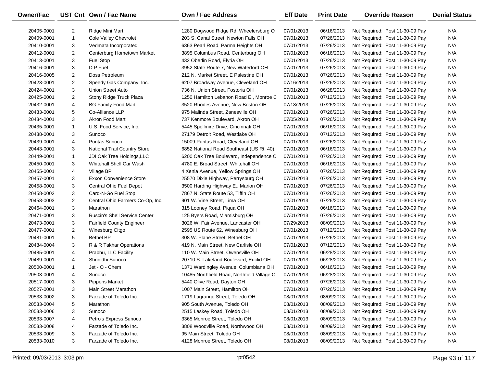| <b>Owner/Fac</b> |                         | UST Cnt Own / Fac Name               | <b>Own / Fac Address</b>                    | <b>Eff Date</b> | <b>Print Date</b> | <b>Override Reason</b>          | <b>Denial Status</b> |
|------------------|-------------------------|--------------------------------------|---------------------------------------------|-----------------|-------------------|---------------------------------|----------------------|
| 20405-0001       | $\overline{2}$          | Ridge Mini Mart                      | 1280 Dogwood Ridge Rd, Wheelersburg O       | 07/01/2013      | 06/16/2013        | Not Required: Post 11-30-09 Pay | N/A                  |
| 20409-0001       | $\mathbf{1}$            | Cole Valley Chevrolet                | 203 S. Canal Street, Newton Falls OH        | 07/01/2013      | 07/26/2013        | Not Required: Post 11-30-09 Pay | N/A                  |
| 20410-0001       | 3                       | Vedmata Incorporated                 | 6363 Pearl Road, Parma Heights OH           | 07/01/2013      | 07/26/2013        | Not Required: Post 11-30-09 Pay | N/A                  |
| 20412-0001       | $\overline{2}$          | Centerburg Hometown Market           | 3895 Columbus Road, Centerburg OH           | 07/01/2013      | 06/16/2013        | Not Required: Post 11-30-09 Pay | N/A                  |
| 20413-0001       | 3                       | Fuel Stop                            | 432 Oberlin Road, Elyria OH                 | 07/01/2013      | 07/26/2013        | Not Required: Post 11-30-09 Pay | N/A                  |
| 20416-0001       | 3                       | D P Fuel                             | 3952 State Route 7, New Waterford OH        | 07/01/2013      | 07/26/2013        | Not Required: Post 11-30-09 Pay | N/A                  |
| 20416-0005       | $\overline{2}$          | Doss Petroleum                       | 212 N. Market Street, E Palestine OH        | 07/01/2013      | 07/26/2013        | Not Required: Post 11-30-09 Pay | N/A                  |
| 20423-0001       | $\overline{2}$          | Speedy Gas Company, Inc.             | 6207 Broadway Avenue, Cleveland OH          | 07/16/2013      | 07/26/2013        | Not Required: Post 11-30-09 Pay | N/A                  |
| 20424-0001       | 3                       | Union Street Auto                    | 736 N. Union Street, Fostoria OH            | 07/01/2013      | 06/28/2013        | Not Required: Post 11-30-09 Pay | N/A                  |
| 20425-0001       | $\overline{2}$          | Stony Ridge Truck Plaza              | 1250 Hamilton Lebanon Road E., Monroe C     | 07/01/2013      | 07/12/2013        | Not Required: Post 11-30-09 Pay | N/A                  |
| 20432-0001       | 4                       | <b>BG Family Food Mart</b>           | 3520 Rhodes Avenue, New Boston OH           | 07/18/2013      | 07/26/2013        | Not Required: Post 11-30-09 Pay | N/A                  |
| 20433-0001       | 5                       | Co-Alliance LLP                      | 975 Malinda Street, Zanesville OH           | 07/01/2013      | 07/26/2013        | Not Required: Post 11-30-09 Pay | N/A                  |
| 20434-0001       | 3                       | Akron Food Mart                      | 737 Kenmore Boulevard, Akron OH             | 07/05/2013      | 07/26/2013        | Not Required: Post 11-30-09 Pay | N/A                  |
| 20435-0001       | $\mathbf{1}$            | U.S. Food Service, Inc.              | 5445 Spellmire Drive, Cincinnati OH         | 07/01/2013      | 06/16/2013        | Not Required: Post 11-30-09 Pay | N/A                  |
| 20438-0001       | 3                       | Sunoco                               | 27179 Detroit Road, Westlake OH             | 07/01/2013      | 07/12/2013        | Not Required: Post 11-30-09 Pay | N/A                  |
| 20439-0001       | 4                       | Puritas Sunoco                       | 15009 Puritas Road, Cleveland OH            | 07/01/2013      | 07/26/2013        | Not Required: Post 11-30-09 Pay | N/A                  |
| 20443-0001       | 3                       | <b>National Trail Country Store</b>  | 6852 National Road Southeast (US Rt. 40),   | 07/01/2013      | 06/16/2013        | Not Required: Post 11-30-09 Pay | N/A                  |
| 20449-0001       | $\mathbf{1}$            | JDI Oak Tree Holdings, LLC           | 6200 Oak Tree Boulevard, Independence C     | 07/01/2013      | 07/26/2013        | Not Required: Post 11-30-09 Pay | N/A                  |
| 20450-0001       | 3                       | Whitehall Shell Car Wash             | 4780 E. Broad Street, Whitehall OH          | 07/01/2013      | 06/16/2013        | Not Required: Post 11-30-09 Pay | N/A                  |
| 20455-0001       | 4                       | Village BP                           | 4 Xenia Avenue, Yellow Springs OH           | 07/01/2013      | 07/26/2013        | Not Required: Post 11-30-09 Pay | N/A                  |
| 20457-0001       | 3                       | <b>Exxon Convenience Store</b>       | 25570 Dixie Highway, Perrysburg OH          | 07/01/2013      | 07/26/2013        | Not Required: Post 11-30-09 Pay | N/A                  |
| 20458-0001       | 3                       | Central Ohio Fuel Depot              | 3500 Harding Highway E., Marion OH          | 07/01/2013      | 07/26/2013        | Not Required: Post 11-30-09 Pay | N/A                  |
| 20458-0002       | 3                       | Card-N-Go Fuel Stop                  | 7867 N. State Route 53, Tiffin OH           | 07/01/2013      | 07/26/2013        | Not Required: Post 11-30-09 Pay | N/A                  |
| 20458-0003       | $\overline{2}$          | Central Ohio Farmers Co-Op, Inc.     | 901 W. Vine Street, Lima OH                 | 07/01/2013      | 07/26/2013        | Not Required: Post 11-30-09 Pay | N/A                  |
| 20464-0001       | 3                       | Marathon                             | 315 Looney Road, Piqua OH                   | 07/01/2013      | 06/16/2013        | Not Required: Post 11-30-09 Pay | N/A                  |
| 20471-0001       | 3                       | <b>Ruscin's Shell Service Center</b> | 125 Byers Road, Miamisburg OH               | 07/01/2013      | 07/26/2013        | Not Required: Post 11-30-09 Pay | N/A                  |
| 20473-0001       | 3                       | <b>Fairfield County Engineer</b>     | 3026 W. Fair Avenue, Lancaster OH           | 07/29/2013      | 08/09/2013        | Not Required: Post 11-30-09 Pay | N/A                  |
| 20477-0001       | $\overline{\mathbf{c}}$ | Winesburg Citgo                      | 2595 US Route 62, Winesburg OH              | 07/01/2013      | 07/12/2013        | Not Required: Post 11-30-09 Pay | N/A                  |
| 20481-0001       | 5                       | <b>Bethel BP</b>                     | 308 W. Plane Street, Bethel OH              | 07/01/2013      | 07/26/2013        | Not Required: Post 11-30-09 Pay | N/A                  |
| 20484-0004       | 3                       | R & R Takhar Operations              | 419 N. Main Street, New Carlisle OH         | 07/01/2013      | 07/12/2013        | Not Required: Post 11-30-09 Pay | N/A                  |
| 20485-0001       | 4                       | Prabhu, LLC Facility                 | 110 W. Main Street, Owensville OH           | 07/01/2013      | 06/28/2013        | Not Required: Post 11-30-09 Pay | N/A                  |
| 20489-0001       | 4                       | Shrinidhi Sunoco                     | 20710 S. Lakeland Boulevard, Euclid OH      | 07/01/2013      | 06/28/2013        | Not Required: Post 11-30-09 Pay | N/A                  |
| 20500-0001       | $\mathbf{1}$            | Jet - O - Chem                       | 1371 Wardingley Avenue, Columbiana OH       | 07/01/2013      | 06/16/2013        | Not Required: Post 11-30-09 Pay | N/A                  |
| 20503-0001       | 4                       | Sunoco                               | 10485 Northfield Road, Northfield Village O | 07/01/2013      | 06/28/2013        | Not Required: Post 11-30-09 Pay | N/A                  |
| 20517-0001       | 3                       | <b>Pippens Market</b>                | 5440 Olive Road, Dayton OH                  | 07/01/2013      | 07/26/2013        | Not Required: Post 11-30-09 Pay | N/A                  |
| 20527-0001       | 3                       | Main Street Marathon                 | 1007 Main Street, Hamilton OH               | 07/01/2013      | 07/26/2013        | Not Required: Post 11-30-09 Pay | N/A                  |
| 20533-0002       | 3                       | Farzade of Toledo Inc.               | 1719 Lagrange Street, Toledo OH             | 08/01/2013      | 08/09/2013        | Not Required: Post 11-30-09 Pay | N/A                  |
| 20533-0004       | 5                       | Marathon                             | 905 South Avenue, Toledo OH                 | 08/01/2013      | 08/09/2013        | Not Required: Post 11-30-09 Pay | N/A                  |
| 20533-0006       | 3                       | Sunoco                               | 2515 Laskey Road, Toledo OH                 | 08/01/2013      | 08/09/2013        | Not Required: Post 11-30-09 Pay | N/A                  |
| 20533-0007       | 4                       | Petro's Express Sunoco               | 3365 Monroe Street, Toledo OH               | 08/01/2013      | 08/09/2013        | Not Required: Post 11-30-09 Pay | N/A                  |
| 20533-0008       | 4                       | Farzade of Toledo Inc.               | 3808 Woodville Road, Northwood OH           | 08/01/2013      | 08/09/2013        | Not Required: Post 11-30-09 Pay | N/A                  |
| 20533-0009       | 3                       | Farzade of Toledo Inc.               | 95 Main Street, Toledo OH                   | 08/01/2013      | 08/09/2013        | Not Required: Post 11-30-09 Pay | N/A                  |
| 20533-0010       | 3                       | Farzade of Toledo Inc.               | 4128 Monroe Street, Toledo OH               | 08/01/2013      | 08/09/2013        | Not Required: Post 11-30-09 Pay | N/A                  |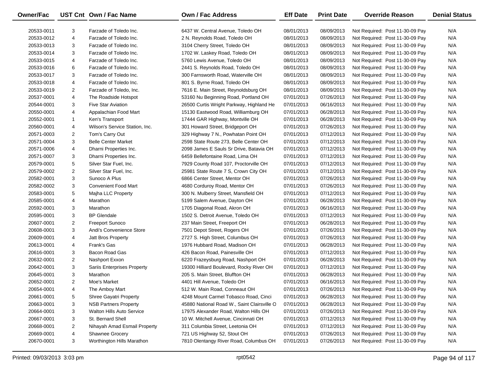| Owner/Fac  |                | UST Cnt Own / Fac Name             | <b>Own / Fac Address</b>                    | <b>Eff Date</b> | <b>Print Date</b> | <b>Override Reason</b>          | <b>Denial Status</b> |
|------------|----------------|------------------------------------|---------------------------------------------|-----------------|-------------------|---------------------------------|----------------------|
| 20533-0011 | 3              | Farzade of Toledo Inc.             | 6437 W. Central Avenue, Toledo OH           | 08/01/2013      | 08/09/2013        | Not Required: Post 11-30-09 Pay | N/A                  |
| 20533-0012 | 4              | Farzade of Toledo Inc.             | 2 N. Reynolds Road, Toledo OH               | 08/01/2013      | 08/09/2013        | Not Required: Post 11-30-09 Pay | N/A                  |
| 20533-0013 | 3              | Farzade of Toledo Inc.             | 3104 Cherry Street, Toledo OH               | 08/01/2013      | 08/09/2013        | Not Required: Post 11-30-09 Pay | N/A                  |
| 20533-0014 | 3              | Farzade of Toledo Inc.             | 1702 W. Laskey Road, Toledo OH              | 08/01/2013      | 08/09/2013        | Not Required: Post 11-30-09 Pay | N/A                  |
|            |                |                                    | 5760 Lewis Avenue, Toledo OH                |                 |                   |                                 | N/A                  |
| 20533-0015 | 4              | Farzade of Toledo Inc.             |                                             | 08/01/2013      | 08/09/2013        | Not Required: Post 11-30-09 Pay |                      |
| 20533-0016 | 6              | Farzade of Toledo Inc.             | 2441 S. Reynolds Road, Toledo OH            | 08/01/2013      | 08/09/2013        | Not Required: Post 11-30-09 Pay | N/A                  |
| 20533-0017 | 3              | Farzade of Toledo Inc.             | 300 Farnsworth Road, Waterville OH          | 08/01/2013      | 08/09/2013        | Not Required: Post 11-30-09 Pay | N/A                  |
| 20533-0018 | 4              | Farzade of Toledo Inc.             | 801 S. Byrne Road, Toledo OH                | 08/01/2013      | 08/09/2013        | Not Required: Post 11-30-09 Pay | N/A                  |
| 20533-0019 | $\overline{2}$ | Farzade of Toledo, Inc.            | 7616 E. Main Street, Reynoldsburg OH        | 08/01/2013      | 08/09/2013        | Not Required: Post 11-30-09 Pay | N/A                  |
| 20537-0001 | 4              | The Roadside Hotspot               | 53160 Nu Beginning Road, Portland OH        | 07/01/2013      | 07/26/2013        | Not Required: Post 11-30-09 Pay | N/A                  |
| 20544-0001 | 3              | <b>Five Star Aviation</b>          | 26500 Curtis Wright Parkway, Highland He    | 07/01/2013      | 06/16/2013        | Not Required: Post 11-30-09 Pay | N/A                  |
| 20550-0001 | 4              | Appalachian Food Mart              | 15130 Eastwood Road, Williamburg OH         | 07/01/2013      | 06/28/2013        | Not Required: Post 11-30-09 Pay | N/A                  |
| 20552-0001 | 1              | Ken's Transport                    | 17444 GAR Highway, Montville OH             | 07/01/2013      | 06/28/2013        | Not Required: Post 11-30-09 Pay | N/A                  |
| 20560-0001 | 4              | Wilson's Service Station, Inc.     | 301 Howard Street, Bridgeport OH            | 07/01/2013      | 07/26/2013        | Not Required: Post 11-30-09 Pay | N/A                  |
| 20571-0003 | $\overline{2}$ | Tom's Carry Out                    | 329 Highway 7 N., Powhatan Point OH         | 07/01/2013      | 07/12/2013        | Not Required: Post 11-30-09 Pay | N/A                  |
| 20571-0004 | 3              | <b>Belle Center Market</b>         | 2598 State Route 273, Belle Center OH       | 07/01/2013      | 07/12/2013        | Not Required: Post 11-30-09 Pay | N/A                  |
| 20571-0006 | 4              | Dharni Properties Inc.             | 2098 James E Sauls Sr Drive, Batavia OH     | 07/01/2013      | 07/12/2013        | Not Required: Post 11-30-09 Pay | N/A                  |
| 20571-0007 | 3              | Dharni Properties Inc.             | 6459 Bellefontaine Road, Lima OH            | 07/01/2013      | 07/12/2013        | Not Required: Post 11-30-09 Pay | N/A                  |
| 20579-0001 | 5              | Silver Star Fuel, Inc.             | 7929 County Road 107, Proctorville OH       | 07/01/2013      | 07/12/2013        | Not Required: Post 11-30-09 Pay | N/A                  |
| 20579-0002 | $\overline{2}$ | Silver Star Fuel, Inc.             | 25981 State Route 7 S, Crown City OH        | 07/01/2013      | 07/12/2013        | Not Required: Post 11-30-09 Pay | N/A                  |
| 20582-0001 | 3              | Sunoco A Plus                      | 6866 Center Street, Mentor OH               | 07/01/2013      | 07/26/2013        | Not Required: Post 11-30-09 Pay | N/A                  |
| 20582-0002 | 3              | <b>Convenient Food Mart</b>        | 4680 Corduroy Road, Mentor OH               | 07/01/2013      | 07/26/2013        | Not Required: Post 11-30-09 Pay | N/A                  |
| 20583-0001 | 5              | Majha LLC Property                 | 300 N. Mulberry Street, Mansfield OH        | 07/01/2013      | 07/12/2013        | Not Required: Post 11-30-09 Pay | N/A                  |
| 20585-0001 | 4              | Marathon                           | 5199 Salem Avenue, Dayton OH                | 07/01/2013      | 06/28/2013        | Not Required: Post 11-30-09 Pay | N/A                  |
| 20592-0001 | 3              | Marathon                           | 1705 Diagonal Road, Akron OH                | 07/01/2013      | 06/16/2013        | Not Required: Post 11-30-09 Pay | N/A                  |
| 20595-0001 | 3              | <b>BP</b> Glendale                 | 1502 S. Detroit Avenue, Toledo OH           | 07/01/2013      | 07/12/2013        | Not Required: Post 11-30-09 Pay | N/A                  |
| 20607-0001 | $\overline{2}$ | <b>Freeport Sunoco</b>             | 237 Main Street, Freeport OH                | 07/01/2013      | 06/28/2013        | Not Required: Post 11-30-09 Pay | N/A                  |
| 20608-0001 | 3              | Andi's Convenience Store           | 7501 Depot Street, Rogers OH                | 07/01/2013      | 07/26/2013        | Not Required: Post 11-30-09 Pay | N/A                  |
| 20609-0001 | 4              | Jatt Bros Property                 | 2727 S. High Street, Columbus OH            | 07/01/2013      | 07/26/2013        | Not Required: Post 11-30-09 Pay | N/A                  |
| 20613-0001 | 4              | Frank's Gas                        | 1976 Hubbard Road, Madison OH               | 07/01/2013      | 06/28/2013        | Not Required: Post 11-30-09 Pay | N/A                  |
| 20616-0001 | 3              | Bacon Road Gas                     | 426 Bacon Road, Painesville OH              | 07/01/2013      | 07/12/2013        | Not Required: Post 11-30-09 Pay | N/A                  |
| 20632-0001 | $\overline{2}$ | Nashport Exxon                     | 6220 Frazeysburg Road, Nashport OH          | 07/01/2013      | 06/28/2013        | Not Required: Post 11-30-09 Pay | N/A                  |
| 20642-0001 | 3              | <b>Sariis Enterprises Property</b> | 19300 Hilliard Boulevard, Rocky River OH    | 07/01/2013      | 07/12/2013        | Not Required: Post 11-30-09 Pay | N/A                  |
| 20645-0001 | 3              | Marathon                           | 205 S. Main Street, Bluffton OH             | 07/01/2013      | 06/28/2013        | Not Required: Post 11-30-09 Pay | N/A                  |
| 20652-0001 | $\overline{2}$ | Moe's Market                       | 4401 Hill Avenue, Toledo OH                 | 07/01/2013      | 06/16/2013        | Not Required: Post 11-30-09 Pay | N/A                  |
| 20654-0001 | 4              | The Amboy Mart                     | 512 W. Main Road, Conneaut OH               | 07/01/2013      | 07/26/2013        | Not Required: Post 11-30-09 Pay | N/A                  |
| 20661-0001 | 5              | Shree Gayatri Property             | 4248 Mount Carmel Tobasco Road, Cinci       | 07/01/2013      | 06/28/2013        | Not Required: Post 11-30-09 Pay | N/A                  |
| 20663-0001 | 3              | <b>NSB Partners Property</b>       | 45880 National Road W., Saint Clairsville O | 07/01/2013      | 06/28/2013        | Not Required: Post 11-30-09 Pay | N/A                  |
| 20664-0001 | 3              | <b>Walton Hills Auto Service</b>   | 17975 Alexander Road, Walton Hills OH       | 07/01/2013      | 07/26/2013        | Not Required: Post 11-30-09 Pay | N/A                  |
| 20667-0001 | 3              | St. Bernard Shell                  | 10 W. Mitchell Avenue, Cincinnati OH        | 07/01/2013      | 07/12/2013        | Not Required: Post 11-30-09 Pay | N/A                  |
| 20668-0001 | $\overline{2}$ | Nihayah Amad Esmail Property       | 311 Columbia Street, Leetonia OH            | 07/01/2013      | 07/12/2013        | Not Required: Post 11-30-09 Pay | N/A                  |
| 20669-0001 | 4              | <b>Shawnee Grocery</b>             | 721 US Highway 52, Stout OH                 | 07/01/2013      | 07/26/2013        | Not Required: Post 11-30-09 Pay | N/A                  |
| 20670-0001 | 3              | Worthington Hills Marathon         | 7810 Olentangy River Road, Columbus OH      | 07/01/2013      | 07/26/2013        | Not Required: Post 11-30-09 Pay | N/A                  |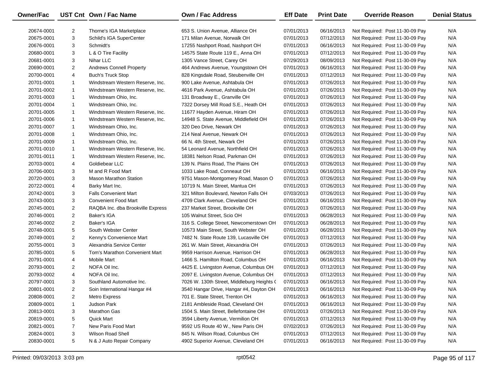| Owner/Fac  |                | UST Cnt Own / Fac Name            | Own / Fac Address                          | <b>Eff Date</b> | <b>Print Date</b> | <b>Override Reason</b>          | <b>Denial Status</b> |
|------------|----------------|-----------------------------------|--------------------------------------------|-----------------|-------------------|---------------------------------|----------------------|
| 20674-0001 | $\overline{2}$ | Thorne's IGA Marketplace          | 653 S. Union Avenue. Alliance OH           | 07/01/2013      | 06/16/2013        | Not Required: Post 11-30-09 Pay | N/A                  |
| 20675-0001 | 3              | Schild's IGA SuperCenter          | 171 Milan Avenue, Norwalk OH               | 07/01/2013      | 07/12/2013        | Not Required: Post 11-30-09 Pay | N/A                  |
| 20676-0001 | 3              | Schmidt's                         | 17255 Nashport Road, Nashport OH           | 07/01/2013      | 06/16/2013        | Not Required: Post 11-30-09 Pay | N/A                  |
| 20680-0001 | 3              | L & O Tire Facility               | 14575 State Route 119 E., Anna OH          | 07/01/2013      | 07/12/2013        | Not Required: Post 11-30-09 Pay | N/A                  |
| 20681-0001 | 3              | Nihar LLC                         | 1305 Vance Street, Carey OH                | 07/29/2013      | 08/09/2013        | Not Required: Post 11-30-09 Pay | N/A                  |
| 20690-0001 | $\overline{2}$ | <b>Andrews Connell Property</b>   | 464 Andrews Avenue, Youngstown OH          | 07/01/2013      | 06/16/2013        | Not Required: Post 11-30-09 Pay | N/A                  |
| 20700-0001 | 4              | <b>Buch's Truck Stop</b>          | 828 Kingsdale Road, Steubenville OH        | 07/01/2013      | 07/12/2013        | Not Required: Post 11-30-09 Pay | N/A                  |
| 20701-0001 | $\mathbf{1}$   | Windstream Western Reserve, Inc.  | 900 Lake Avenue, Ashtabula OH              | 07/01/2013      | 07/26/2013        | Not Required: Post 11-30-09 Pay | N/A                  |
| 20701-0002 | $\mathbf{1}$   | Windstream Western Reserve, Inc.  | 4616 Park Avenue, Ashtabula OH             | 07/01/2013      | 07/26/2013        | Not Required: Post 11-30-09 Pay | N/A                  |
| 20701-0003 | $\mathbf{1}$   | Windstream Ohio, Inc.             | 131 Broadway E., Granville OH              | 07/01/2013      | 07/26/2013        | Not Required: Post 11-30-09 Pay | N/A                  |
| 20701-0004 | $\mathbf{1}$   | Windstream Ohio, Inc.             | 7322 Dorsey Mill Road S.E., Heath OH       | 07/01/2013      | 07/26/2013        | Not Required: Post 11-30-09 Pay | N/A                  |
| 20701-0005 | $\mathbf{1}$   | Windstream Western Reserve, Inc.  | 11677 Hayden Avenue, Hiram OH              | 07/01/2013      | 07/26/2013        | Not Required: Post 11-30-09 Pay | N/A                  |
| 20701-0006 | $\mathbf{1}$   | Windstream Western Reserve, Inc.  | 14948 S. State Avenue, Middlefield OH      | 07/01/2013      | 07/26/2013        | Not Required: Post 11-30-09 Pay | N/A                  |
| 20701-0007 | $\mathbf{1}$   | Windstream Ohio, Inc.             | 320 Deo Drive, Newark OH                   | 07/01/2013      | 07/26/2013        | Not Required: Post 11-30-09 Pay | N/A                  |
| 20701-0008 | $\mathbf{1}$   | Windstream Ohio, Inc.             | 214 Neal Avenue, Newark OH                 | 07/01/2013      | 07/26/2013        | Not Required: Post 11-30-09 Pay | N/A                  |
| 20701-0009 | $\mathbf{1}$   | Windstream Ohio, Inc.             | 66 N. 4th Street, Newark OH                | 07/01/2013      | 07/26/2013        | Not Required: Post 11-30-09 Pay | N/A                  |
| 20701-0010 | $\mathbf{1}$   | Windstream Western Reserve, Inc.  | 54 Leonard Avenue, Northfield OH           | 07/01/2013      | 07/26/2013        | Not Required: Post 11-30-09 Pay | N/A                  |
| 20701-0011 | $\mathbf{1}$   | Windstream Western Reserve, Inc.  | 18381 Nelson Road, Parkman OH              | 07/01/2013      | 07/26/2013        | Not Required: Post 11-30-09 Pay | N/A                  |
| 20703-0001 | 4              | Goldiebear LLC                    | 139 N. Plains Road, The Plains OH          | 07/01/2013      | 07/26/2013        | Not Required: Post 11-30-09 Pay | N/A                  |
| 20706-0001 | 3              | M and R Food Mart                 | 1033 Lake Road, Conneaut OH                | 07/01/2013      | 06/16/2013        | Not Required: Post 11-30-09 Pay | N/A                  |
| 20720-0001 | 3              | <b>Mason Marathon Station</b>     | 9751 Mason-Montgomery Road, Mason O        | 07/01/2013      | 07/26/2013        | Not Required: Post 11-30-09 Pay | N/A                  |
| 20722-0001 | 4              | Barky Mart Inc.                   | 10719 N. Main Street, Mantua OH            | 07/01/2013      | 07/26/2013        | Not Required: Post 11-30-09 Pay | N/A                  |
| 20742-0001 | 3              | <b>Falls Convenient Mart</b>      | 321 Milton Boulevard, Newton Falls OH      | 07/03/2013      | 07/26/2013        | Not Required: Post 11-30-09 Pay | N/A                  |
| 20743-0001 | 3              | <b>Convenient Food Mart</b>       | 4709 Clark Avenue, Cleveland OH            | 07/01/2013      | 06/16/2013        | Not Required: Post 11-30-09 Pay | N/A                  |
| 20745-0001 | $\overline{2}$ | RAQBA Inc. dba Brookville Express | 237 Market Street, Brookville OH           | 07/01/2013      | 07/26/2013        | Not Required: Post 11-30-09 Pay | N/A                  |
| 20746-0001 | $\overline{2}$ | <b>Baker's IGA</b>                | 105 Walnut Street, Scio OH                 | 07/01/2013      | 06/28/2013        | Not Required: Post 11-30-09 Pay | N/A                  |
| 20746-0002 | $\overline{2}$ | Baker's IGA                       | 316 S. College Street, Newcomerstown OH    | 07/01/2013      | 06/28/2013        | Not Required: Post 11-30-09 Pay | N/A                  |
| 20748-0001 | 5              | South Webster Center              | 10573 Main Street, South Webster OH        | 07/01/2013      | 06/28/2013        | Not Required: Post 11-30-09 Pay | N/A                  |
| 20749-0001 | $\overline{2}$ | Kenny's Convenience Mart          | 7482 N. State Route 139, Lucasville OH     | 07/01/2013      | 07/12/2013        | Not Required: Post 11-30-09 Pay | N/A                  |
| 20755-0001 | 3              | Alexandria Service Center         | 261 W. Main Street, Alexandria OH          | 07/01/2013      | 07/26/2013        | Not Required: Post 11-30-09 Pay | N/A                  |
| 20785-0001 | 5              | Tom's Marathon Convenient Mart    | 9959 Harrison Avenue, Harrison OH          | 07/01/2013      | 06/28/2013        | Not Required: Post 11-30-09 Pay | N/A                  |
| 20791-0001 | 4              | <b>Mobile Mart</b>                | 1466 S. Hamilton Road, Columbus OH         | 07/01/2013      | 06/16/2013        | Not Required: Post 11-30-09 Pay | N/A                  |
| 20793-0001 | $\overline{2}$ | NOFA Oil Inc.                     | 4425 E. Livingston Avenue, Columbus OH     | 07/01/2013      | 07/12/2013        | Not Required: Post 11-30-09 Pay | N/A                  |
| 20793-0002 | $\overline{4}$ | NOFA Oil Inc.                     | 2097 E. Livingston Avenue, Columbus OH     | 07/01/2013      | 07/12/2013        | Not Required: Post 11-30-09 Pay | N/A                  |
| 20797-0001 | 3              | Southland Automotive Inc.         | 7026 W. 130th Street, Middleburg Heights ( | 07/01/2013      | 06/16/2013        | Not Required: Post 11-30-09 Pay | N/A                  |
| 20801-0001 | $\overline{2}$ | Soin International Hangar #4      | 3540 Hangar Drive, Hangar #4, Dayton OH    | 07/01/2013      | 06/16/2013        | Not Required: Post 11-30-09 Pay | N/A                  |
| 20808-0001 | $\overline{2}$ | <b>Metro Express</b>              | 701 E. State Street, Trenton OH            | 07/01/2013      | 06/16/2013        | Not Required: Post 11-30-09 Pay | N/A                  |
| 20809-0001 | $\mathbf{1}$   | Judson Park                       | 2181 Ambleside Road, Cleveland OH          | 07/01/2013      | 06/16/2013        | Not Required: Post 11-30-09 Pay | N/A                  |
| 20813-0001 | 3              | <b>Marathon Gas</b>               | 1504 S. Main Street, Bellefontaine OH      | 07/01/2013      | 07/26/2013        | Not Required: Post 11-30-09 Pay | N/A                  |
| 20819-0001 | 5              | <b>Quick Mart</b>                 | 3594 Liberty Avenue, Vermilion OH          | 07/01/2013      | 07/12/2013        | Not Required: Post 11-30-09 Pay | N/A                  |
| 20821-0001 | $\overline{7}$ | New Paris Food Mart               | 9592 US Route 40 W., New Paris OH          | 07/02/2013      | 07/26/2013        | Not Required: Post 11-30-09 Pay | N/A                  |
| 20824-0001 | 3              | Wilson Road Shell                 | 845 N. Wilson Road, Columbus OH            | 07/01/2013      | 07/12/2013        | Not Required: Post 11-30-09 Pay | N/A                  |
| 20830-0001 | 5              | N & J Auto Repair Company         | 4902 Superior Avenue, Cleveland OH         | 07/01/2013      | 06/16/2013        | Not Required: Post 11-30-09 Pay | N/A                  |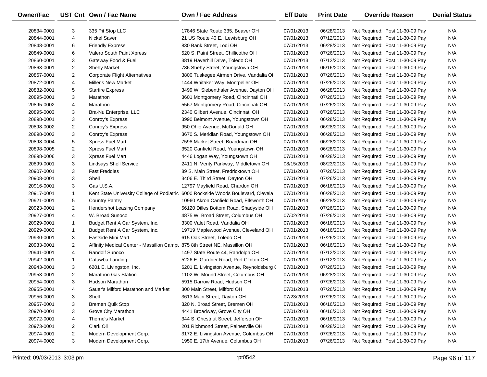| Owner/Fac  |                | UST Cnt Own / Fac Name                                                    | Own / Fac Address                                                                 | <b>Eff Date</b> | <b>Print Date</b> | <b>Override Reason</b>          | <b>Denial Status</b> |
|------------|----------------|---------------------------------------------------------------------------|-----------------------------------------------------------------------------------|-----------------|-------------------|---------------------------------|----------------------|
| 20834-0001 | 3              | 335 Pit Stop LLC                                                          | 17846 State Route 335, Beaver OH                                                  | 07/01/2013      | 06/28/2013        | Not Required: Post 11-30-09 Pay | N/A                  |
| 20844-0001 | 4              | <b>Nickel Saver</b>                                                       | 21 US Route 40 E., Lewisburg OH                                                   | 07/01/2013      | 07/12/2013        | Not Required: Post 11-30-09 Pay | N/A                  |
| 20848-0001 | 6              | <b>Friendly Express</b>                                                   | 830 Bank Street, Lodi OH                                                          | 07/01/2013      | 06/28/2013        | Not Required: Post 11-30-09 Pay | N/A                  |
| 20849-0001 | 6              | Valero South Paint Xpress                                                 | 520 S. Paint Street, Chillicothe OH                                               | 07/01/2013      | 07/26/2013        | Not Required: Post 11-30-09 Pay | N/A                  |
| 20860-0001 | 3              | Gateway Food & Fuel                                                       | 3819 Haverhill Drive, Toledo OH                                                   | 07/01/2013      | 07/12/2013        | Not Required: Post 11-30-09 Pay | N/A                  |
| 20863-0001 | $\overline{2}$ | <b>Shehy Market</b>                                                       | 786 Shehy Street, Youngstown OH                                                   | 07/01/2013      | 06/16/2013        | Not Required: Post 11-30-09 Pay | N/A                  |
| 20867-0001 | $\overline{2}$ | <b>Corporate Flight Alternatives</b>                                      | 3800 Tuskegee Airmen Drive, Vandalia OH                                           | 07/01/2013      | 07/26/2013        | Not Required: Post 11-30-09 Pay | N/A                  |
| 20872-0001 | 4              | <b>Miller's New Market</b>                                                | 1444 Whitaker Way, Montpelier OH                                                  | 07/01/2013      | 07/26/2013        | Not Required: Post 11-30-09 Pay | N/A                  |
| 20882-0001 | 5              | <b>Starfire Express</b>                                                   | 3499 W. Siebenthaler Avenue, Dayton OH                                            | 07/01/2013      | 06/28/2013        | Not Required: Post 11-30-09 Pay | N/A                  |
| 20895-0001 | 3              | Marathon                                                                  | 3601 Montgomery Road, Cincinnati OH                                               | 07/01/2013      | 07/26/2013        | Not Required: Post 11-30-09 Pay | N/A                  |
| 20895-0002 | 4              | Marathon                                                                  | 5567 Montgomery Road, Cincinnati OH                                               | 07/01/2013      | 07/26/2013        | Not Required: Post 11-30-09 Pay | N/A                  |
| 20895-0003 | 3              | Bra-Nu Enterprise, LLC                                                    | 2340 Gilbert Avenue, Cincinnati OH                                                | 07/01/2013      | 07/26/2013        | Not Required: Post 11-30-09 Pay | N/A                  |
| 20898-0001 | 3              | Conroy's Express                                                          | 3990 Belmont Avenue, Youngstown OH                                                | 07/01/2013      | 06/28/2013        | Not Required: Post 11-30-09 Pay | N/A                  |
| 20898-0002 | 2              | Conroy's Express                                                          | 950 Ohio Avenue, McDonald OH                                                      | 07/01/2013      | 06/28/2013        | Not Required: Post 11-30-09 Pay | N/A                  |
| 20898-0003 | 3              | Conroy's Express                                                          | 3670 S. Meridian Road, Youngstown OH                                              | 07/01/2013      | 06/28/2013        | Not Required: Post 11-30-09 Pay | N/A                  |
| 20898-0004 | 5              | Xpress Fuel Mart                                                          | 7598 Market Street, Boardman OH                                                   | 07/01/2013      | 06/28/2013        | Not Required: Post 11-30-09 Pay | N/A                  |
| 20898-0005 | $\overline{2}$ | Xpress Fuel Mart                                                          | 3520 Canfield Road, Youngstown OH                                                 | 07/01/2013      | 06/28/2013        | Not Required: Post 11-30-09 Pay | N/A                  |
| 20898-0006 | 3              | Xpress Fuel Mart                                                          | 4446 Logan Way, Youngstown OH                                                     | 07/01/2013      | 06/28/2013        | Not Required: Post 11-30-09 Pay | N/A                  |
| 20899-0001 | 3              | <b>Lindsays Shell Service</b>                                             | 2411 N. Verity Parkway, Middletown OH                                             | 08/15/2013      | 08/23/2013        | Not Required: Post 11-30-09 Pay | N/A                  |
| 20907-0001 | 3              | <b>Fast Freddies</b>                                                      | 89 S. Main Street, Fredricktown OH                                                | 07/01/2013      | 07/26/2013        | Not Required: Post 11-30-09 Pay | N/A                  |
| 20908-0001 | 3              | Shell                                                                     | 3406 E. Third Street, Dayton OH                                                   | 07/01/2013      | 07/26/2013        | Not Required: Post 11-30-09 Pay | N/A                  |
| 20916-0001 | 3              | Gas U.S.A.                                                                | 12797 Mayfield Road, Chardon OH                                                   | 07/01/2013      | 06/16/2013        | Not Required: Post 11-30-09 Pay | N/A                  |
| 20917-0001 | $\mathbf{1}$   |                                                                           | Kent State University College of Podiatric 6000 Rockside Woods Boulevard, Clevela | 07/01/2013      | 06/28/2013        | Not Required: Post 11-30-09 Pay | N/A                  |
| 20921-0001 | 5              | <b>Country Pantry</b>                                                     | 10960 Akron Canfield Road, Ellsworth OH                                           | 07/01/2013      | 06/28/2013        | Not Required: Post 11-30-09 Pay | N/A                  |
| 20923-0001 | $\overline{2}$ | Hendershot Leasing Company                                                | 56120 Dilles Bottom Road, Shadyside OH                                            | 07/01/2013      | 07/26/2013        | Not Required: Post 11-30-09 Pay | N/A                  |
| 20927-0001 | 4              | W. Broad Sunoco                                                           | 4875 W. Broad Street, Columbus OH                                                 | 07/02/2013      | 07/26/2013        | Not Required: Post 11-30-09 Pay | N/A                  |
| 20929-0001 | $\mathbf{1}$   | Budget Rent A Car System, Inc.                                            | 3300 Valet Road, Vandalia OH                                                      | 07/01/2013      | 06/16/2013        | Not Required: Post 11-30-09 Pay | N/A                  |
| 20929-0003 | $\mathbf{1}$   | Budget Rent A Car System, Inc.                                            | 19719 Maplewood Avenue, Cleveland OH                                              | 07/01/2013      | 06/16/2013        | Not Required: Post 11-30-09 Pay | N/A                  |
| 20930-0001 | 3              | Eastside Mini Mart                                                        | 615 Oak Street, Toledo OH                                                         | 07/01/2013      | 07/26/2013        | Not Required: Post 11-30-09 Pay | N/A                  |
| 20933-0001 | $\overline{2}$ | Affinity Medical Center - Massillon Campu 875 8th Street NE, Massillon OH |                                                                                   | 07/01/2013      | 06/16/2013        | Not Required: Post 11-30-09 Pay | N/A                  |
| 20941-0001 | 4              | Randolf Sunoco                                                            | 1497 State Route 44, Randolph OH                                                  | 07/01/2013      | 07/12/2013        | Not Required: Post 11-30-09 Pay | N/A                  |
| 20942-0001 | $\mathbf{1}$   | Catawba Landing                                                           | 5226 E. Gardner Road, Port Clinton OH                                             | 07/01/2013      | 07/12/2013        | Not Required: Post 11-30-09 Pay | N/A                  |
| 20943-0001 | 3              | 6201 E. Livingston, Inc.                                                  | 6201 E. Livingston Avenue, Reynoldsburg (                                         | 07/01/2013      | 07/26/2013        | Not Required: Post 11-30-09 Pay | N/A                  |
| 20953-0001 | $\overline{2}$ | <b>Marathon Gas Station</b>                                               | 1102 W. Mound Street, Columbus OH                                                 | 07/01/2013      | 06/28/2013        | Not Required: Post 11-30-09 Pay | N/A                  |
| 20954-0001 | 3              | Hudson Marathon                                                           | 5915 Darrow Road, Hudson OH                                                       | 07/01/2013      | 07/26/2013        | Not Required: Post 11-30-09 Pay | N/A                  |
| 20955-0001 | 4              | Sauer's Milford Marathon and Market                                       | 300 Main Street, Milford OH                                                       | 07/01/2013      | 07/26/2013        | Not Required: Post 11-30-09 Pay | N/A                  |
| 20956-0001 | 3              | Shell                                                                     | 3613 Main Street, Dayton OH                                                       | 07/23/2013      | 07/26/2013        | Not Required: Post 11-30-09 Pay | N/A                  |
| 20957-0001 | 3              | <b>Bremen Quik Stop</b>                                                   | 320 N. Broad Street, Bremen OH                                                    | 07/01/2013      | 06/16/2013        | Not Required: Post 11-30-09 Pay | N/A                  |
| 20970-0001 | 3              | Grove City Marathon                                                       | 4441 Broadway, Grove City OH                                                      | 07/01/2013      | 06/16/2013        | Not Required: Post 11-30-09 Pay | N/A                  |
| 20972-0001 | 4              | <b>Thorne's Market</b>                                                    | 344 S. Chestnut Street, Jefferson OH                                              | 07/01/2013      | 06/16/2013        | Not Required: Post 11-30-09 Pay | N/A                  |
| 20973-0001 | 2              | Clark Oil                                                                 | 201 Richmond Street, Painesville OH                                               | 07/01/2013      | 06/28/2013        | Not Required: Post 11-30-09 Pay | N/A                  |
| 20974-0001 | $\overline{a}$ | Modern Development Corp.                                                  | 3172 E. Livingston Avenue, Columbus OH                                            | 07/01/2013      | 07/26/2013        | Not Required: Post 11-30-09 Pay | N/A                  |
| 20974-0002 | 3              | Modern Development Corp.                                                  | 1950 E. 17th Avenue, Columbus OH                                                  | 07/01/2013      | 07/26/2013        | Not Required: Post 11-30-09 Pay | N/A                  |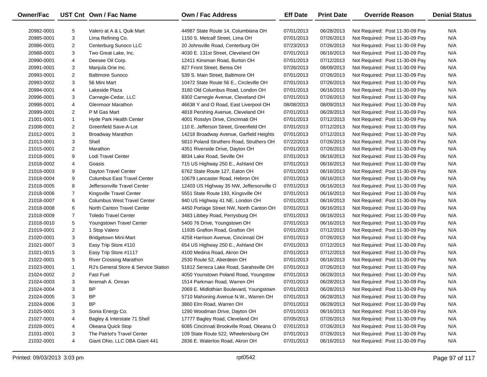| <b>Owner/Fac</b> |                | UST Cnt Own / Fac Name               | <b>Own / Fac Address</b>                  | <b>Eff Date</b> | <b>Print Date</b> | <b>Override Reason</b>          | <b>Denial Status</b> |
|------------------|----------------|--------------------------------------|-------------------------------------------|-----------------|-------------------|---------------------------------|----------------------|
| 20982-0001       | 5              | Valero at A & L Quik Mart            | 44987 State Route 14, Columbiana OH       | 07/01/2013      | 06/28/2013        | Not Required: Post 11-30-09 Pay | N/A                  |
| 20985-0001       | 3              | Lima Refining Co.                    | 1150 S. Metcalf Street, Lima OH           | 07/01/2013      | 07/26/2013        | Not Required: Post 11-30-09 Pay | N/A                  |
| 20986-0001       | 2              | Centerburg Sunoco LLC                | 20 Johnsville Road, Centerburg OH         | 07/23/2013      | 07/26/2013        | Not Required: Post 11-30-09 Pay | N/A                  |
| 20988-0001       | 3              | Two Great Lake, Inc.                 | 4030 E. 131st Street, Cleveland OH        | 07/01/2013      | 06/16/2013        | Not Required: Post 11-30-09 Pay | N/A                  |
| 20990-0001       | 4              | Deesee Oil Corp.                     | 12411 Kinsman Road, Burton OH             | 07/01/2013      | 07/12/2013        | Not Required: Post 11-30-09 Pay | N/A                  |
| 20991-0001       | 3              | Manjula One Inc.                     | 827 Front Street, Berea OH                | 07/26/2013      | 08/09/2013        | Not Required: Post 11-30-09 Pay | N/A                  |
| 20993-0001       | $\overline{2}$ | <b>Baltimore Sunoco</b>              | 539 S. Main Street, Baltimore OH          | 07/01/2013      | 07/26/2013        | Not Required: Post 11-30-09 Pay | N/A                  |
| 20993-0002       | 3              | 56 Mini Mart                         | 10472 State Route 56 E., Circleville OH   | 07/01/2013      | 07/26/2013        | Not Required: Post 11-30-09 Pay | N/A                  |
| 20994-0001       | 4              | Lakeside Plaza                       | 3180 Old Columbus Road, London OH         | 07/01/2013      | 06/16/2013        | Not Required: Post 11-30-09 Pay | N/A                  |
| 20996-0001       | 3              | Carnegie-Cedar, LLC                  | 8302 Carnegie Avenue, Cleveland OH        | 07/01/2013      | 07/26/2013        | Not Required: Post 11-30-09 Pay | N/A                  |
| 20998-0001       | 4              | <b>Glenmoor Marathon</b>             | 46638 Y and O Road, East Liverpool OH     | 08/08/2013      | 08/09/2013        | Not Required: Post 11-30-09 Pay | N/A                  |
| 20999-0001       | 2              | P M Gas Mart                         | 4818 Pershing Avenue, Cleveland OH        | 07/01/2013      | 06/28/2013        | Not Required: Post 11-30-09 Pay | N/A                  |
| 21001-0001       | $\mathbf{1}$   | Hyde Park Health Center              | 4001 Rosslyn Drive, Cincinnati OH         | 07/01/2013      | 07/12/2013        | Not Required: Post 11-30-09 Pay | N/A                  |
| 21008-0001       | $\overline{2}$ | Greenfield Save-A-Lot                | 110 E. Jefferson Street, Greenfield OH    | 07/01/2013      | 07/12/2013        | Not Required: Post 11-30-09 Pay | N/A                  |
| 21012-0001       | 3              | Broadway Marathon                    | 14218 Broadway Avenue, Garfield Heights   | 07/01/2013      | 07/12/2013        | Not Required: Post 11-30-09 Pay | N/A                  |
| 21013-0001       | 3              | Shell                                | 5810 Poland Struthers Road, Struthers OH  | 07/22/2013      | 07/26/2013        | Not Required: Post 11-30-09 Pay | N/A                  |
| 21015-0001       | $\overline{2}$ | Marathon                             | 4351 Riverside Drive, Dayton OH           | 07/01/2013      | 07/26/2013        | Not Required: Post 11-30-09 Pay | N/A                  |
| 21018-0001       | 9              | <b>Lodi Travel Center</b>            | 8834 Lake Road, Seville OH                | 07/01/2013      | 06/16/2013        | Not Required: Post 11-30-09 Pay | N/A                  |
| 21018-0002       | 4              | Goasis                               | 715 US Highway 250 E., Ashland OH         | 07/01/2013      | 06/16/2013        | Not Required: Post 11-30-09 Pay | N/A                  |
| 21018-0003       | 9              | Dayton Travel Center                 | 6762 State Route 127, Eaton OH            | 07/01/2013      | 06/16/2013        | Not Required: Post 11-30-09 Pay | N/A                  |
| 21018-0004       | 9              | <b>Columbus East Travel Center</b>   | 10679 Lancaster Road, Hebron OH           | 07/01/2013      | 06/16/2013        | Not Required: Post 11-30-09 Pay | N/A                  |
| 21018-0005       | 8              | Jeffersonville Travel Center         | 12403 US Highway 35 NW, Jeffersonville O  | 07/01/2013      | 06/16/2013        | Not Required: Post 11-30-09 Pay | N/A                  |
| 21018-0006       | $\overline{7}$ | Kingsville Travel Center             | 5551 State Route 193, Kingsville OH       | 07/01/2013      | 06/16/2013        | Not Required: Post 11-30-09 Pay | N/A                  |
| 21018-0007       | 6              | <b>Columbus West Travel Center</b>   | 940 US Highway 41 NE, London OH           | 07/01/2013      | 06/16/2013        | Not Required: Post 11-30-09 Pay | N/A                  |
| 21018-0008       | 6              | North Canton Travel Center           | 4450 Portage Street NW, North Canton OH   | 07/01/2013      | 06/16/2013        | Not Required: Post 11-30-09 Pay | N/A                  |
| 21018-0009       | $\overline{7}$ | <b>Toledo Travel Center</b>          | 3483 Libbey Road, Perrysburg OH           | 07/01/2013      | 06/16/2013        | Not Required: Post 11-30-09 Pay | N/A                  |
| 21018-0010       | 5              | Youngstown Travel Center             | 5400 76 Drive, Youngstown OH              | 07/01/2013      | 06/16/2013        | Not Required: Post 11-30-09 Pay | N/A                  |
| 21019-0001       | $\overline{2}$ | 1 Stop Valero                        | 11935 Grafton Road, Grafton OH            | 07/01/2013      | 07/12/2013        | Not Required: Post 11-30-09 Pay | N/A                  |
| 21020-0001       | 3              | <b>Bridgetown Mini-Mart</b>          | 4258 Harrison Avenue, Cincinnati OH       | 07/01/2013      | 07/26/2013        | Not Required: Post 11-30-09 Pay | N/A                  |
| 21021-0007       | 3              | Easy Trip Store #110                 | 654 US Highway 250 E., Ashland OH         | 07/01/2013      | 07/12/2013        | Not Required: Post 11-30-09 Pay | N/A                  |
| 21021-0015       | 3              | Easy Trip Store #1117                | 4100 Medina Road, Akron OH                | 07/01/2013      | 07/12/2013        | Not Required: Post 11-30-09 Pay | N/A                  |
| 21022-0001       | 5              | <b>River Crossing Marathon</b>       | 2530 Route 52, Aberdeen OH                | 07/01/2013      | 06/16/2013        | Not Required: Post 11-30-09 Pay | N/A                  |
| 21023-0001       | $\mathbf{1}$   | RJ's General Store & Service Station | 51812 Seneca Lake Road, Sarahsville OH    | 07/01/2013      | 07/26/2013        | Not Required: Post 11-30-09 Pay | N/A                  |
| 21024-0002       | $\overline{2}$ | <b>Fast Fuel</b>                     | 4050 Younstown Poland Road, Youngstow     | 07/01/2013      | 06/28/2013        | Not Required: Post 11-30-09 Pay | N/A                  |
| 21024-0003       | 3              | Ikremah A. Omran                     | 1514 Parkman Road, Warren OH              | 07/01/2013      | 06/28/2013        | Not Required: Post 11-30-09 Pay | N/A                  |
| 21024-0004       | 3              | ВP                                   | 2069 E. Midlothian Boulevard, Youngstown  | 07/01/2013      | 06/28/2013        | Not Required: Post 11-30-09 Pay | N/A                  |
| 21024-0005       | 3              | ΒP                                   | 5710 Mahoning Avenue N.W., Warren OH      | 07/01/2013      | 06/28/2013        | Not Required: Post 11-30-09 Pay | N/A                  |
| 21024-0006       | 3              | <b>BP</b>                            | 3860 Elm Road, Warren OH                  | 07/01/2013      | 06/28/2013        | Not Required: Post 11-30-09 Pay | N/A                  |
| 21025-0001       | 3              | Sonia Energy Co.                     | 1290 Woodman Drive, Dayton OH             | 07/01/2013      | 06/16/2013        | Not Required: Post 11-30-09 Pay | N/A                  |
| 21027-0001       | 4              | Bagley & Interstate 71 Shell         | 17777 Bagley Road, Cleveland OH           | 07/05/2013      | 07/26/2013        | Not Required: Post 11-30-09 Pay | N/A                  |
| 21028-0001       | 4              | Okeana Quick Stop                    | 6085 Cincinnati Brookville Road, Okeana O | 07/01/2013      | 07/26/2013        | Not Required: Post 11-30-09 Pay | N/A                  |
| 21031-0001       | 3              | The Patriot's Travel Center          | 109 State Route 522, Wheelersburg OH      | 07/01/2013      | 07/26/2013        | Not Required: Post 11-30-09 Pay | N/A                  |
| 21032-0001       | 4              | Giant Ohio, LLC DBA Giant 441        | 2836 E. Waterloo Road, Akron OH           | 07/01/2013      | 06/16/2013        | Not Required: Post 11-30-09 Pay | N/A                  |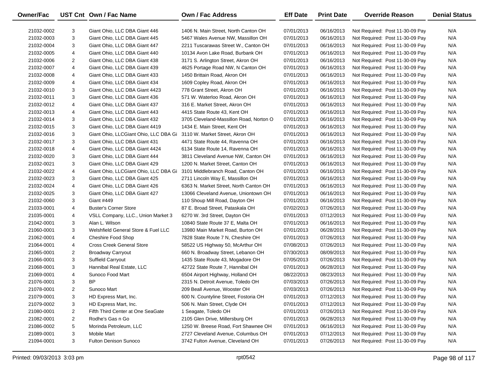| Owner/Fac  |                | UST Cnt Own / Fac Name                                         | <b>Own / Fac Address</b>                                                   | <b>Eff Date</b> | <b>Print Date</b>        | <b>Override Reason</b>                                             | <b>Denial Status</b> |
|------------|----------------|----------------------------------------------------------------|----------------------------------------------------------------------------|-----------------|--------------------------|--------------------------------------------------------------------|----------------------|
|            | 3              |                                                                |                                                                            | 07/01/2013      |                          |                                                                    | N/A                  |
| 21032-0002 | 3              | Giant Ohio, LLC DBA Giant 446<br>Giant Ohio, LLC DBA Giant 445 | 1406 N. Main Street, North Canton OH<br>5467 Wales Avenue NW, Massillon OH | 07/01/2013      | 06/16/2013<br>06/16/2013 | Not Required: Post 11-30-09 Pay                                    | N/A                  |
| 21032-0003 | 3              | Giant Ohio, LLC DBA Giant 447                                  |                                                                            |                 |                          | Not Required: Post 11-30-09 Pay<br>Not Required: Post 11-30-09 Pay | N/A                  |
| 21032-0004 |                | Giant Ohio, LLC DBA Giant 440                                  | 2211 Tuscarawas Street W., Canton OH                                       | 07/01/2013      | 06/16/2013               |                                                                    |                      |
| 21032-0005 | 4              |                                                                | 10134 Avon Lake Road, Burbank OH                                           | 07/01/2013      | 06/16/2013               | Not Required: Post 11-30-09 Pay                                    | N/A                  |
| 21032-0006 | $\overline{2}$ | Giant Ohio, LLC DBA Giant 438                                  | 3171 S. Arlington Street, Akron OH                                         | 07/01/2013      | 06/16/2013               | Not Required: Post 11-30-09 Pay                                    | N/A                  |
| 21032-0007 | 4              | Giant Ohio, LLC DBA Giant 439                                  | 4625 Portage Road NW, N Canton OH                                          | 07/01/2013      | 06/16/2013               | Not Required: Post 11-30-09 Pay                                    | N/A                  |
| 21032-0008 | 4              | Giant Ohio, LLC DBA Giant 433                                  | 1450 Brittain Road, Akron OH                                               | 07/01/2013      | 06/16/2013               | Not Required: Post 11-30-09 Pay                                    | N/A                  |
| 21032-0009 | 4              | Giant Ohio, LLC DBA Giant 434                                  | 1609 Copley Road, Akron OH                                                 | 07/01/2013      | 06/16/2013               | Not Required: Post 11-30-09 Pay                                    | N/A                  |
| 21032-0010 | 3              | Giant Ohio, LLC DBA Giant 4423                                 | 778 Grant Street, Akron OH                                                 | 07/01/2013      | 06/16/2013               | Not Required: Post 11-30-09 Pay                                    | N/A                  |
| 21032-0011 | 3              | Giant Ohio, LLC DBA Giant 436                                  | 571 W. Waterloo Road, Akron OH                                             | 07/01/2013      | 06/16/2013               | Not Required: Post 11-30-09 Pay                                    | N/A                  |
| 21032-0012 | 4              | Giant Ohio, LLC DBA Giant 437                                  | 316 E. Market Street, Akron OH                                             | 07/01/2013      | 06/16/2013               | Not Required: Post 11-30-09 Pay                                    | N/A                  |
| 21032-0013 | 4              | Giant Ohio, LLC DBA Giant 443                                  | 4415 State Route 43, Kent OH                                               | 07/01/2013      | 06/16/2013               | Not Required: Post 11-30-09 Pay                                    | N/A                  |
| 21032-0014 | 3              | Giant Ohio, LLC DBA Giant 432                                  | 3705 Cleveland-Massillon Road, Norton O                                    | 07/01/2013      | 06/16/2013               | Not Required: Post 11-30-09 Pay                                    | N/A                  |
| 21032-0015 | 3              | Giant Ohio, LLC DBA Giant 4419                                 | 1434 E. Main Street, Kent OH                                               | 07/01/2013      | 06/16/2013               | Not Required: Post 11-30-09 Pay                                    | N/A                  |
| 21032-0016 | 3              | Giant Ohio, LLCGiant Ohio, LLC DBA Gi                          | 3110 W. Market Street, Akron OH                                            | 07/01/2013      | 06/16/2013               | Not Required: Post 11-30-09 Pay                                    | N/A                  |
| 21032-0017 | 3              | Giant Ohio, LLC DBA Giant 431                                  | 4471 State Route 44, Ravenna OH                                            | 07/01/2013      | 06/16/2013               | Not Required: Post 11-30-09 Pay                                    | N/A                  |
| 21032-0018 | 4              | Giant Ohio, LLC DBA Giant 4424                                 | 6134 State Route 14, Ravenna OH                                            | 07/01/2013      | 06/16/2013               | Not Required: Post 11-30-09 Pay                                    | N/A                  |
| 21032-0020 | 3              | Giant Ohio, LLC DBA Giant 444                                  | 3811 Cleveland Avenue NW, Canton OH                                        | 07/01/2013      | 06/16/2013               | Not Required: Post 11-30-09 Pay                                    | N/A                  |
| 21032-0021 | 3              | Giant Ohio, LLC DBA Giant 429                                  | 1200 N. Market Street, Canton OH                                           | 07/01/2013      | 06/16/2013               | Not Required: Post 11-30-09 Pay                                    | N/A                  |
| 21032-0022 | 4              | Giant Ohio, LLCGiant Ohio, LLC DBA Gi                          | 3101 Middlebranch Road, Canton OH                                          | 07/01/2013      | 06/16/2013               | Not Required: Post 11-30-09 Pay                                    | N/A                  |
| 21032-0023 | 3              | Giant Ohio, LLC DBA Giant 425                                  | 2711 Lincoln Way E, Massillon OH                                           | 07/01/2013      | 06/16/2013               | Not Required: Post 11-30-09 Pay                                    | N/A                  |
| 21032-0024 | 4              | Giant Ohio, LLC DBA Giant 426                                  | 6363 N. Market Street, North Canton OH                                     | 07/01/2013      | 06/16/2013               | Not Required: Post 11-30-09 Pay                                    | N/A                  |
| 21032-0025 | 3              | Giant Ohio, LLC DBA Giant 427                                  | 13066 Cleveland Avenue, Uniontown OH                                       | 07/01/2013      | 06/16/2013               | Not Required: Post 11-30-09 Pay                                    | N/A                  |
| 21032-0060 | 3              | Giant #449                                                     | 110 Shoup Mill Road, Dayton OH                                             | 07/01/2013      | 06/16/2013               | Not Required: Post 11-30-09 Pay                                    | N/A                  |
| 21033-0001 | 4              | <b>Buster's Corner Store</b>                                   | 87 E. Broad Street, Pataskala OH                                           | 07/02/2013      | 07/26/2013               | Not Required: Post 11-30-09 Pay                                    | N/A                  |
| 21035-0001 | 4              | VSLL Company, LLC., Union Market 3                             | 6270 W. 3rd Street, Dayton OH                                              | 07/01/2013      | 07/12/2013               | Not Required: Post 11-30-09 Pay                                    | N/A                  |
| 21042-0001 | 3              | Alan L. Wilson                                                 | 10840 State Route 37 E, Malta OH                                           | 07/01/2013      | 06/16/2013               | Not Required: Post 11-30-09 Pay                                    | N/A                  |
| 21060-0001 | 3              | Welshfield General Store & Fuel LLC                            | 13980 Main Market Road, Burton OH                                          | 07/01/2013      | 06/28/2013               | Not Required: Post 11-30-09 Pay                                    | N/A                  |
| 21062-0001 | 4              | Cheshire Food Shop                                             | 7828 State Route 7 N, Cheshire OH                                          | 07/01/2013      | 07/26/2013               | Not Required: Post 11-30-09 Pay                                    | N/A                  |
| 21064-0001 | 4              | <b>Cross Creek General Store</b>                               | 58522 US Highway 50, McArthur OH                                           | 07/08/2013      | 07/26/2013               | Not Required: Post 11-30-09 Pay                                    | N/A                  |
| 21065-0001 | $\overline{2}$ | <b>Broadway Carryout</b>                                       | 660 N. Broadway Street, Lebanon OH                                         | 07/30/2013      | 08/09/2013               | Not Required: Post 11-30-09 Pay                                    | N/A                  |
| 21066-0001 | 3              | <b>Suffield Carryout</b>                                       | 1435 State Route 43, Mogadore OH                                           | 07/05/2013      | 07/26/2013               | Not Required: Post 11-30-09 Pay                                    | N/A                  |
| 21068-0001 | 3              | Hannibal Real Estate, LLC                                      | 42722 State Route 7, Hannibal OH                                           | 07/01/2013      | 06/28/2013               | Not Required: Post 11-30-09 Pay                                    | N/A                  |
| 21069-0001 | 4              | Sunoco Food Mart                                               | 6504 Airport Highway, Holland OH                                           | 08/22/2013      | 08/23/2013               | Not Required: Post 11-30-09 Pay                                    | N/A                  |
| 21076-0001 | 3              | <b>BP</b>                                                      | 2315 N. Detroit Avenue, Toledo OH                                          | 07/03/2013      | 07/26/2013               | Not Required: Post 11-30-09 Pay                                    | N/A                  |
| 21078-0001 | 2              | Sunoco Mart                                                    | 209 Beall Avenue, Wooster OH                                               | 07/03/2013      | 07/26/2013               | Not Required: Post 11-30-09 Pay                                    | N/A                  |
| 21079-0001 | 3              | HD Express Mart, Inc.                                          | 600 N. Countyline Street, Fostoria OH                                      | 07/01/2013      | 07/12/2013               | Not Required: Post 11-30-09 Pay                                    | N/A                  |
| 21079-0002 | 3              | HD Express Mart, Inc.                                          | 506 N. Main Street, Clyde OH                                               | 07/01/2013      | 07/12/2013               | Not Required: Post 11-30-09 Pay                                    | N/A                  |
| 21080-0001 | $\overline{2}$ | Fifth Third Center at One SeaGate                              | 1 Seagate, Toledo OH                                                       | 07/01/2013      | 07/26/2013               | Not Required: Post 11-30-09 Pay                                    | N/A                  |
| 21082-0001 | $\overline{a}$ | Rodhe's Gas n Go                                               | 2105 Glen Drive, Millersburg OH                                            | 07/01/2013      | 06/28/2013               | Not Required: Post 11-30-09 Pay                                    | N/A                  |
| 21086-0002 | 5              | Morinda Petroleum, LLC                                         | 1250 W. Breese Road, Fort Shawnee OH                                       | 07/01/2013      | 06/16/2013               | Not Required: Post 11-30-09 Pay                                    | N/A                  |
| 21089-0001 | 3              | <b>Mobile Mart</b>                                             | 2727 Cleveland Avenue, Columbus OH                                         | 07/01/2013      | 07/12/2013               | Not Required: Post 11-30-09 Pay                                    | N/A                  |
| 21094-0001 | 3              | Fulton Denison Sunoco                                          | 3742 Fulton Avenue, Cleveland OH                                           | 07/01/2013      | 07/26/2013               | Not Required: Post 11-30-09 Pay                                    | N/A                  |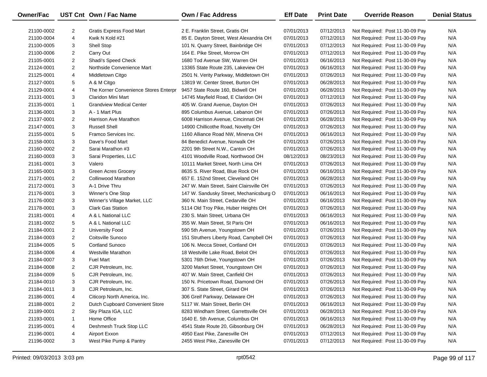| Owner/Fac  |                | UST Cnt Own / Fac Name                | <b>Own / Fac Address</b>                 | <b>Eff Date</b> | <b>Print Date</b> | <b>Override Reason</b>          | <b>Denial Status</b> |
|------------|----------------|---------------------------------------|------------------------------------------|-----------------|-------------------|---------------------------------|----------------------|
| 21100-0002 | 2              | Gratis Express Food Mart              | 2 E. Franklin Street, Gratis OH          | 07/01/2013      | 07/12/2013        | Not Required: Post 11-30-09 Pay | N/A                  |
| 21100-0004 | 4              | Kwik N Kold #21                       | 85 E. Dayton Street, West Alexandria OH  | 07/01/2013      | 07/12/2013        | Not Required: Post 11-30-09 Pay | N/A                  |
| 21100-0005 | 3              | Shell Stop                            | 101 N. Quarry Street, Bainbridge OH      | 07/01/2013      | 07/12/2013        | Not Required: Post 11-30-09 Pay | N/A                  |
| 21100-0006 | 2              | Carry Out                             | 164 E. Pike Street, Morrow OH            | 07/01/2013      | 07/12/2013        | Not Required: Post 11-30-09 Pay | N/A                  |
| 21105-0001 | $\overline{2}$ | Shadi's Speed Check                   | 1680 Tod Avenue SW, Warren OH            | 07/01/2013      | 06/16/2013        | Not Required: Post 11-30-09 Pay | N/A                  |
| 21124-0001 | $\overline{2}$ | Northside Convenience Mart            | 13365 State Route 235, Lakeview OH       | 07/01/2013      | 06/16/2013        | Not Required: Post 11-30-09 Pay | N/A                  |
| 21125-0001 | 4              | Middletown Citgo                      | 2501 N. Verity Parkway, Middletown OH    | 07/01/2013      | 07/26/2013        | Not Required: Post 11-30-09 Pay | N/A                  |
| 21127-0001 | 5              | A & M Citgo                           | 13819 W. Center Street, Burton OH        | 07/01/2013      | 06/28/2013        | Not Required: Post 11-30-09 Pay | N/A                  |
| 21129-0001 | 4              | The Korner Convenience Stores Enterpr | 9457 State Route 160, Bidwell OH         | 07/01/2013      | 06/28/2013        | Not Required: Post 11-30-09 Pay | N/A                  |
| 21131-0001 | 3              | Claridon Mini Mart                    | 14745 Mayfield Road, E Claridon OH       | 07/01/2013      | 07/12/2013        | Not Required: Post 11-30-09 Pay | N/A                  |
| 21135-0001 | $\mathbf{1}$   | <b>Grandview Medical Center</b>       | 405 W. Grand Avenue, Dayton OH           | 07/01/2013      | 07/26/2013        | Not Required: Post 11-30-09 Pay | N/A                  |
| 21136-0001 | 3              | A - 1 Mart Plus                       | 895 Columbus Avenue, Lebanon OH          | 07/01/2013      | 07/26/2013        | Not Required: Post 11-30-09 Pay | N/A                  |
| 21137-0001 | $\overline{2}$ | Harrison Ave Marathon                 | 6008 Harrison Avenue, Cincinnati OH      | 07/01/2013      | 06/28/2013        | Not Required: Post 11-30-09 Pay | N/A                  |
| 21147-0001 | 3              | <b>Russell Shell</b>                  | 14900 Chillicothe Road, Novelty OH       | 07/01/2013      | 07/26/2013        | Not Required: Post 11-30-09 Pay | N/A                  |
| 21155-0001 | 5              | Framco Services Inc.                  | 1160 Alliance Road NW, Minerva OH        | 07/01/2013      | 06/16/2013        | Not Required: Post 11-30-09 Pay | N/A                  |
| 21158-0001 | 3              | Dave's Food Mart                      | 84 Benedict Avenue, Norwalk OH           | 07/01/2013      | 07/26/2013        | Not Required: Post 11-30-09 Pay | N/A                  |
| 21160-0002 | $\overline{2}$ | Sarai Marathon #3                     | 2201 9th Street N.W., Canton OH          | 07/01/2013      | 07/26/2013        | Not Required: Post 11-30-09 Pay | N/A                  |
| 21160-0003 | 3              | Sarai Properties, LLC                 | 4101 Woodville Road, Northwood OH        | 08/12/2013      | 08/23/2013        | Not Required: Post 11-30-09 Pay | N/A                  |
| 21161-0001 | 3              | Valero                                | 10111 Market Street, North Lima OH       | 07/01/2013      | 07/26/2013        | Not Required: Post 11-30-09 Pay | N/A                  |
| 21165-0001 | 3              | <b>Green Acres Grocery</b>            | 8635 S. River Road, Blue Rock OH         | 07/01/2013      | 06/16/2013        | Not Required: Post 11-30-09 Pay | N/A                  |
| 21171-0001 | $\overline{2}$ | Collinwood Marathon                   | 657 E. 152nd Street, Cleveland OH        | 07/01/2013      | 06/28/2013        | Not Required: Post 11-30-09 Pay | N/A                  |
| 21172-0001 | 3              | A-1 Drive Thru                        | 247 W. Main Street, Saint Clairsville OH | 07/01/2013      | 07/26/2013        | Not Required: Post 11-30-09 Pay | N/A                  |
| 21176-0001 | 3              | Winner's One Stop                     | 147 W. Sandusky Street, Mechanicsburg O  | 07/01/2013      | 06/16/2013        | Not Required: Post 11-30-09 Pay | N/A                  |
| 21176-0002 | 3              | Winner's Village Market, LLC          | 360 N. Main Street, Cedarville OH        | 07/01/2013      | 06/16/2013        | Not Required: Post 11-30-09 Pay | N/A                  |
| 21178-0001 | 3              | <b>Clark Gas Station</b>              | 5114 Old Troy Pike, Huber Heights OH     | 07/01/2013      | 07/26/2013        | Not Required: Post 11-30-09 Pay | N/A                  |
| 21181-0001 | 4              | A & L National LLC                    | 230 S. Main Street, Urbana OH            | 07/01/2013      | 06/16/2013        | Not Required: Post 11-30-09 Pay | N/A                  |
| 21181-0002 | 5              | A & L National LLC                    | 355 W. Main Street, St Paris OH          | 07/01/2013      | 06/16/2013        | Not Required: Post 11-30-09 Pay | N/A                  |
| 21184-0001 | $\overline{2}$ | <b>University Food</b>                | 590 5th Avenue, Youngstown OH            | 07/01/2013      | 07/26/2013        | Not Required: Post 11-30-09 Pay | N/A                  |
| 21184-0003 | $\overline{2}$ | Coitsville Sunoco                     | 151 Struthers Liberty Road, Campbell OH  | 07/01/2013      | 07/26/2013        | Not Required: Post 11-30-09 Pay | N/A                  |
| 21184-0005 | 5              | <b>Cortland Sunoco</b>                | 106 N. Mecca Street, Cortland OH         | 07/01/2013      | 07/26/2013        | Not Required: Post 11-30-09 Pay | N/A                  |
| 21184-0006 | 4              | <b>Westville Marathon</b>             | 18 Westville Lake Road, Beloit OH        | 07/01/2013      | 07/26/2013        | Not Required: Post 11-30-09 Pay | N/A                  |
| 21184-0007 | 3              | <b>Fuel Mart</b>                      | 5301 76th Drive, Youngstown OH           | 07/01/2013      | 07/26/2013        | Not Required: Post 11-30-09 Pay | N/A                  |
| 21184-0008 | $\overline{2}$ | CJR Petroleum, Inc.                   | 3200 Market Street, Youngstown OH        | 07/01/2013      | 07/26/2013        | Not Required: Post 11-30-09 Pay | N/A                  |
| 21184-0009 | 5              | CJR Petroleum, Inc.                   | 407 W. Main Street, Canfield OH          | 07/01/2013      | 07/26/2013        | Not Required: Post 11-30-09 Pay | N/A                  |
| 21184-0010 | 3              | CJR Petroleum, Inc.                   | 150 N. Pricetown Road, Diamond OH        | 07/01/2013      | 07/26/2013        | Not Required: Post 11-30-09 Pay | N/A                  |
| 21184-0011 | 3              | CJR Petroleum, Inc.                   | 307 S. State Street, Girard OH           | 07/01/2013      | 07/26/2013        | Not Required: Post 11-30-09 Pay | N/A                  |
| 21186-0001 | 4              | Citicorp North America, Inc.          | 306 Greif Parkway, Delaware OH           | 07/01/2013      | 07/26/2013        | Not Required: Post 11-30-09 Pay | N/A                  |
| 21188-0001 | 2              | Dutch Cupboard Convenient Store       | 5117 W. Main Street, Berlin OH           | 07/01/2013      | 06/16/2013        | Not Required: Post 11-30-09 Pay | N/A                  |
| 21189-0001 | 2              | Sky Plaza IGA, LLC                    | 8283 Windham Street, Garrettsville OH    | 07/01/2013      | 06/28/2013        | Not Required: Post 11-30-09 Pay | N/A                  |
| 21193-0001 | $\mathbf{1}$   | Home Office                           | 1640 E. 5th Avenue, Columbus OH          | 07/01/2013      | 06/16/2013        | Not Required: Post 11-30-09 Pay | N/A                  |
| 21195-0001 | 4              | Deshmesh Truck Stop LLC               | 4541 State Route 20, Gibsonburg OH       | 07/01/2013      | 06/28/2013        | Not Required: Post 11-30-09 Pay | N/A                  |
| 21196-0001 | 4              | Airport Exxon                         | 4950 East Pike, Zanesville OH            | 07/01/2013      | 07/12/2013        | Not Required: Post 11-30-09 Pay | N/A                  |
| 21196-0002 | 3              | West Pike Pump & Pantry               | 2455 West Pike, Zanesville OH            | 07/01/2013      | 07/12/2013        | Not Required: Post 11-30-09 Pay | N/A                  |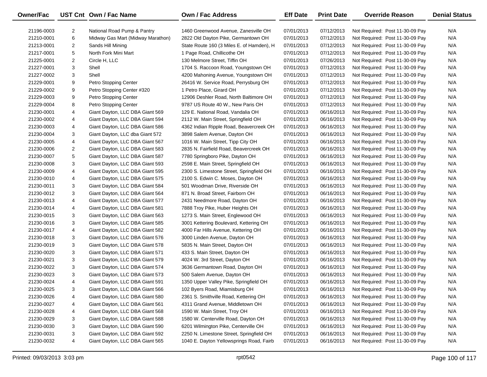| <b>Owner/Fac</b> |   | UST Cnt Own / Fac Name            | <b>Own / Fac Address</b>                  | <b>Eff Date</b> | <b>Print Date</b> | <b>Override Reason</b>          | <b>Denial Status</b> |
|------------------|---|-----------------------------------|-------------------------------------------|-----------------|-------------------|---------------------------------|----------------------|
| 21196-0003       | 2 | National Road Pump & Pantry       | 1460 Greenwood Avenue, Zanesville OH      | 07/01/2013      | 07/12/2013        | Not Required: Post 11-30-09 Pay | N/A                  |
| 21210-0001       | 6 | Midway Gas Mart (Midway Marathon) | 2822 Old Dayton Pike, Germantown OH       | 07/01/2013      | 07/12/2013        | Not Required: Post 11-30-09 Pay | N/A                  |
| 21213-0001       | 2 | Sands Hill Mining                 | State Route 160 (3 Miles E. of Hamden), H | 07/01/2013      | 07/12/2013        | Not Required: Post 11-30-09 Pay | N/A                  |
| 21217-0001       | 5 | North Fork Mini Mart              | 1 Page Road, Chillicothe OH               | 07/01/2013      | 07/12/2013        | Not Required: Post 11-30-09 Pay | N/A                  |
| 21225-0001       | 2 | Circle H, LLC                     | 130 Melmore Street, Tiffin OH             | 07/01/2013      | 07/26/2013        | Not Required: Post 11-30-09 Pay | N/A                  |
| 21227-0001       | 3 | Shell                             | 1704 S. Raccoon Road, Youngstown OH       | 07/01/2013      | 07/12/2013        | Not Required: Post 11-30-09 Pay | N/A                  |
| 21227-0002       | 3 | Shell                             | 4200 Mahoning Avenue, Youngstown OH       | 07/01/2013      | 07/12/2013        | Not Required: Post 11-30-09 Pay | N/A                  |
| 21229-0001       | 9 | Petro Stopping Center             | 26416 W. Service Road, Perrysburg OH      | 07/01/2013      | 07/12/2013        | Not Required: Post 11-30-09 Pay | N/A                  |
| 21229-0002       | 9 | Petro Stopping Center #320        | 1 Petro Place, Girard OH                  | 07/01/2013      | 07/12/2013        | Not Required: Post 11-30-09 Pay | N/A                  |
| 21229-0003       | 9 | Petro Stopping Center             | 12906 Deshler Road, North Baltimore OH    | 07/01/2013      | 07/12/2013        | Not Required: Post 11-30-09 Pay | N/A                  |
| 21229-0004       | 8 | Petro Stopping Center             | 9787 US Route 40 W., New Paris OH         | 07/01/2013      | 07/12/2013        | Not Required: Post 11-30-09 Pay | N/A                  |
| 21230-0001       | 4 | Giant Dayton, LLC DBA Giant 569   | 129 E. National Road, Vandalia OH         | 07/01/2013      | 06/16/2013        | Not Required: Post 11-30-09 Pay | N/A                  |
| 21230-0002       | 4 | Giant Dayton, LLC DBA Giant 594   | 2112 W. Main Street, Springfield OH       | 07/01/2013      | 06/16/2013        | Not Required: Post 11-30-09 Pay | N/A                  |
| 21230-0003       | 4 | Giant Dayton, LLC DBA Giant 586   | 4362 Indian Ripple Road, Beavercreek OH   | 07/01/2013      | 06/16/2013        | Not Required: Post 11-30-09 Pay | N/A                  |
| 21230-0004       | 3 | Giant Dayton, LLC dba Giant 572   | 3898 Salem Avenue, Dayton OH              | 07/01/2013      | 06/16/2013        | Not Required: Post 11-30-09 Pay | N/A                  |
| 21230-0005       | 4 | Giant Dayton, LLC DBA Giant 567   | 1016 W. Main Street, Tipp City OH         | 07/01/2013      | 06/16/2013        | Not Required: Post 11-30-09 Pay | N/A                  |
| 21230-0006       | 2 | Giant Dayton, LLC DBA Giant 583   | 2835 N. Fairfield Road, Beavercreek OH    | 07/01/2013      | 06/16/2013        | Not Required: Post 11-30-09 Pay | N/A                  |
| 21230-0007       | 5 | Giant Dayton, LLC DBA Giant 587   | 7780 Springboro Pike, Dayton OH           | 07/01/2013      | 06/16/2013        | Not Required: Post 11-30-09 Pay | N/A                  |
| 21230-0008       | 3 | Giant Dayton, LLC DBA Giant 593   | 2598 E. Main Street, Springfield OH       | 07/01/2013      | 06/16/2013        | Not Required: Post 11-30-09 Pay | N/A                  |
| 21230-0009       | 4 | Giant Dayton, LLC DBA Giant 595   | 2300 S. Limestone Street, Springfield OH  | 07/01/2013      | 06/16/2013        | Not Required: Post 11-30-09 Pay | N/A                  |
| 21230-0010       | 4 | Giant Dayton, LLC DBA Giant 575   | 2100 S. Edwin C. Moses, Dayton OH         | 07/01/2013      | 06/16/2013        | Not Required: Post 11-30-09 Pay | N/A                  |
| 21230-0011       | 3 | Giant Dayton, LLC DBA Giant 584   | 501 Woodman Drive, Riverside OH           | 07/01/2013      | 06/16/2013        | Not Required: Post 11-30-09 Pay | N/A                  |
| 21230-0012       | 3 | Giant Dayton, LLC DBA Giant 564   | 871 N. Broad Street, Fairborn OH          | 07/01/2013      | 06/16/2013        | Not Required: Post 11-30-09 Pay | N/A                  |
| 21230-0013       | 4 | Giant Dayton, LLC DBA Giant 577   | 2431 Needmore Road, Dayton OH             | 07/01/2013      | 06/16/2013        | Not Required: Post 11-30-09 Pay | N/A                  |
| 21230-0014       | 4 | Giant Dayton, LLC DBA Giant 581   | 7888 Troy Pike, Huber Heights OH          | 07/01/2013      | 06/16/2013        | Not Required: Post 11-30-09 Pay | N/A                  |
| 21230-0015       | 3 | Giant Dayton, LLC DBA Giant 563   | 1273 S. Main Street, Englewood OH         | 07/01/2013      | 06/16/2013        | Not Required: Post 11-30-09 Pay | N/A                  |
| 21230-0016       | 3 | Giant Dayton, LLC DBA Giant 585   | 3001 Kettering Boulevard, Kettering OH    | 07/01/2013      | 06/16/2013        | Not Required: Post 11-30-09 Pay | N/A                  |
| 21230-0017       | 4 | Giant Dayton, LLC DBA Giant 582   | 4000 Far Hills Avenue, Kettering OH       | 07/01/2013      | 06/16/2013        | Not Required: Post 11-30-09 Pay | N/A                  |
| 21230-0018       | 3 | Giant Dayton, LLC DBA Giant 576   | 3000 Linden Avenue, Dayton OH             | 07/01/2013      | 06/16/2013        | Not Required: Post 11-30-09 Pay | N/A                  |
| 21230-0019       | 3 | Giant Dayton, LLC DBA Giant 578   | 5835 N. Main Street, Dayton OH            | 07/01/2013      | 06/16/2013        | Not Required: Post 11-30-09 Pay | N/A                  |
| 21230-0020       | 3 | Giant Dayton, LLC DBA Giant 571   | 433 S. Main Street, Dayton OH             | 07/01/2013      | 06/16/2013        | Not Required: Post 11-30-09 Pay | N/A                  |
| 21230-0021       | 3 | Giant Dayton, LLC DBA Giant 579   | 4024 W. 3rd Street, Dayton OH             | 07/01/2013      | 06/16/2013        | Not Required: Post 11-30-09 Pay | N/A                  |
| 21230-0022       | 3 | Giant Dayton, LLC DBA Giant 574   | 3636 Germantown Road, Dayton OH           | 07/01/2013      | 06/16/2013        | Not Required: Post 11-30-09 Pay | N/A                  |
| 21230-0023       | 3 | Giant Dayton, LLC DBA Giant 573   | 500 Salem Avenue, Dayton OH               | 07/01/2013      | 06/16/2013        | Not Required: Post 11-30-09 Pay | N/A                  |
| 21230-0024       | 4 | Giant Dayton, LLC DBA Giant 591   | 1350 Upper Valley Pike, Springfield OH    | 07/01/2013      | 06/16/2013        | Not Required: Post 11-30-09 Pay | N/A                  |
| 21230-0025       | 3 | Giant Dayton, LLC DBA Giant 566   | 102 Byers Road, Miamisburg OH             | 07/01/2013      | 06/16/2013        | Not Required: Post 11-30-09 Pay | N/A                  |
| 21230-0026       | 4 | Giant Dayton, LLC DBA Giant 580   | 2361 S. Smithville Road, Kettering OH     | 07/01/2013      | 06/16/2013        | Not Required: Post 11-30-09 Pay | N/A                  |
| 21230-0027       | 4 | Giant Dayton, LLC DBA Giant 561   | 4311 Grand Avenue, Middletown OH          | 07/01/2013      | 06/16/2013        | Not Required: Post 11-30-09 Pay | N/A                  |
| 21230-0028       | 4 | Giant Dayton, LLC DBA Giant 568   | 1590 W. Main Street, Troy OH              | 07/01/2013      | 06/16/2013        | Not Required: Post 11-30-09 Pay | N/A                  |
| 21230-0029       | 3 | Giant Dayton, LLC DBA Giant 588   | 1580 W. Centerville Road, Dayton OH       | 07/01/2013      | 06/16/2013        | Not Required: Post 11-30-09 Pay | N/A                  |
| 21230-0030       | 3 | Giant Dayton, LLC DBA Giant 590   | 6201 Wilmington Pike, Centerville OH      | 07/01/2013      | 06/16/2013        | Not Required: Post 11-30-09 Pay | N/A                  |
| 21230-0031       | 3 | Giant Dayton, LLC DBA Giant 592   | 2250 N. Limestone Street, Springfield OH  | 07/01/2013      | 06/16/2013        | Not Required: Post 11-30-09 Pay | N/A                  |
| 21230-0032       | 4 | Giant Dayton, LLC DBA Giant 565   | 1040 E. Dayton Yellowsprings Road, Fairb  | 07/01/2013      | 06/16/2013        | Not Required: Post 11-30-09 Pay | N/A                  |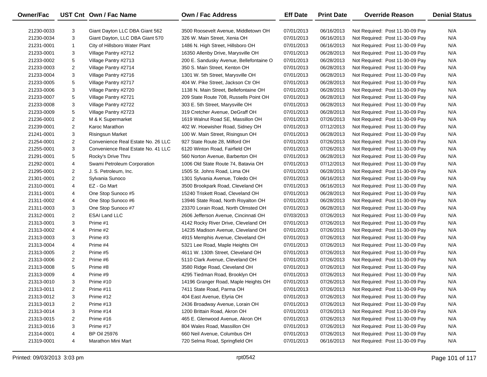| Owner/Fac  |                | UST Cnt Own / Fac Name             | <b>Own / Fac Address</b>                | <b>Eff Date</b> | <b>Print Date</b> | <b>Override Reason</b>          | <b>Denial Status</b> |
|------------|----------------|------------------------------------|-----------------------------------------|-----------------|-------------------|---------------------------------|----------------------|
| 21230-0033 | 3              | Giant Dayton LLC DBA Giant 562     | 3500 Roosevelt Avenue, Middletown OH    | 07/01/2013      | 06/16/2013        | Not Required: Post 11-30-09 Pay | N/A                  |
| 21230-0034 | 3              | Giant Dayton, LLC DBA Giant 570    | 326 W. Main Street, Xenia OH            | 07/01/2013      | 06/16/2013        | Not Required: Post 11-30-09 Pay | N/A                  |
| 21231-0001 | $\mathbf{1}$   | City of Hillsboro Water Plant      | 1486 N. High Street, Hillsboro OH       | 07/01/2013      | 06/16/2013        | Not Required: Post 11-30-09 Pay | N/A                  |
| 21233-0001 | 3              | Village Pantry #2712               | 16350 Allenby Drive, Marysville OH      | 07/01/2013      | 06/28/2013        | Not Required: Post 11-30-09 Pay | N/A                  |
| 21233-0002 | 5              | Village Pantry #2713               | 200 E. Sandusky Avenue, Bellefontaine O | 07/01/2013      | 06/28/2013        | Not Required: Post 11-30-09 Pay | N/A                  |
| 21233-0003 | $\overline{2}$ | Village Pantry #2714               | 350 S. Main Street, Kenton OH           | 07/01/2013      | 06/28/2013        | Not Required: Post 11-30-09 Pay | N/A                  |
| 21233-0004 | 3              | Village Pantry #2716               | 1301 W. 5th Street, Marysville OH       | 07/01/2013      | 06/28/2013        | Not Required: Post 11-30-09 Pay | N/A                  |
| 21233-0005 | 5              | Village Pantry #2717               | 404 W. Pike Street, Jackson Ctr OH      | 07/01/2013      | 06/28/2013        | Not Required: Post 11-30-09 Pay | N/A                  |
| 21233-0006 | 3              | Village Pantry #2720               | 1138 N. Main Street, Bellefontaine OH   | 07/01/2013      | 06/28/2013        | Not Required: Post 11-30-09 Pay | N/A                  |
| 21233-0007 | 5              | Village Pantry #2721               | 209 State Route 708, Russells Point OH  | 07/01/2013      | 06/28/2013        | Not Required: Post 11-30-09 Pay | N/A                  |
| 21233-0008 | 3              | Village Pantry #2722               | 303 E. 5th Street, Marysville OH        | 07/01/2013      | 06/28/2013        | Not Required: Post 11-30-09 Pay | N/A                  |
| 21233-0009 | 5              | Village Pantry #2723               | 319 Cretcher Avenue, DeGraff OH         | 07/01/2013      | 06/28/2013        | Not Required: Post 11-30-09 Pay | N/A                  |
| 21236-0001 | $\overline{2}$ | M & K Supermarket                  | 1619 Walnut Road SE, Massillon OH       | 07/01/2013      | 07/26/2013        | Not Required: Post 11-30-09 Pay | N/A                  |
| 21239-0001 | $\overline{2}$ | Karoc Marathon                     | 402 W. Hoewisher Road, Sidney OH        | 07/01/2013      | 07/12/2013        | Not Required: Post 11-30-09 Pay | N/A                  |
| 21241-0001 | 3              | <b>Risingsun Market</b>            | 100 W. Main Street, Risingsun OH        | 07/01/2013      | 06/28/2013        | Not Required: Post 11-30-09 Pay | N/A                  |
| 21254-0001 | $\overline{2}$ | Convenience Real Estate No. 26 LLC | 927 State Route 28, Milford OH          | 07/01/2013      | 07/26/2013        | Not Required: Post 11-30-09 Pay | N/A                  |
| 21255-0001 | 3              | Convenience Real Estate No. 41 LLC | 6120 Winton Road, Fairfield OH          | 07/01/2013      | 07/26/2013        | Not Required: Post 11-30-09 Pay | N/A                  |
| 21291-0001 | 5              | Rocky's Drive Thru                 | 560 Norton Avenue, Barberton OH         | 07/01/2013      | 06/28/2013        | Not Required: Post 11-30-09 Pay | N/A                  |
| 21292-0001 | 4              | Swami Petroleum Corporation        | 1006 Old State Route 74, Batavia OH     | 07/01/2013      | 07/12/2013        | Not Required: Post 11-30-09 Pay | N/A                  |
| 21295-0001 | $\overline{2}$ | J. S. Petroleum, Inc.              | 1505 St. Johns Road, Lima OH            | 07/01/2013      | 06/28/2013        | Not Required: Post 11-30-09 Pay | N/A                  |
| 21301-0001 | $\overline{2}$ | Sylvania Sunoco                    | 1301 Sylvania Avenue, Toledo OH         | 07/01/2013      | 06/16/2013        | Not Required: Post 11-30-09 Pay | N/A                  |
| 21310-0001 | 4              | EZ - Go Mart                       | 3500 Brookpark Road, Cleveland OH       | 07/01/2013      | 06/16/2013        | Not Required: Post 11-30-09 Pay | N/A                  |
| 21311-0001 | 4              | One Stop Sunoco #5                 | 15240 Triskett Road, Cleveland OH       | 07/01/2013      | 06/28/2013        | Not Required: Post 11-30-09 Pay | N/A                  |
| 21311-0002 | 4              | One Stop Sunoco #6                 | 13946 State Road, North Royalton OH     | 07/01/2013      | 06/28/2013        | Not Required: Post 11-30-09 Pay | N/A                  |
| 21311-0003 | 3              | One Stop Sunoco #7                 | 23370 Lorain Road, North Olmsted OH     | 07/01/2013      | 06/28/2013        | Not Required: Post 11-30-09 Pay | N/A                  |
| 21312-0001 | $\overline{2}$ | <b>ESAI Land LLC</b>               | 2606 Jefferson Avenue, Cincinnati OH    | 07/03/2013      | 07/26/2013        | Not Required: Post 11-30-09 Pay | N/A                  |
| 21313-0001 | 3              | Prime #1                           | 4142 Rocky River Drive, Cleveland OH    | 07/01/2013      | 07/26/2013        | Not Required: Post 11-30-09 Pay | N/A                  |
| 21313-0002 | 4              | Prime #2                           | 14235 Madison Avenue, Cleveland OH      | 07/01/2013      | 07/26/2013        | Not Required: Post 11-30-09 Pay | N/A                  |
| 21313-0003 | 3              | Prime #3                           | 4915 Memphis Avenue, Cleveland OH       | 07/01/2013      | 07/26/2013        | Not Required: Post 11-30-09 Pay | N/A                  |
| 21313-0004 | 4              | Prime #4                           | 5321 Lee Road, Maple Heights OH         | 07/01/2013      | 07/26/2013        | Not Required: Post 11-30-09 Pay | N/A                  |
| 21313-0005 | 2              | Prime #5                           | 4611 W. 130th Street, Cleveland OH      | 07/01/2013      | 07/26/2013        | Not Required: Post 11-30-09 Pay | N/A                  |
| 21313-0006 | $\overline{2}$ | Prime #6                           | 5110 Clark Avenue, Cleveland OH         | 07/01/2013      | 07/26/2013        | Not Required: Post 11-30-09 Pay | N/A                  |
| 21313-0008 | 5              | Prime #8                           | 3580 Ridge Road, Cleveland OH           | 07/01/2013      | 07/26/2013        | Not Required: Post 11-30-09 Pay | N/A                  |
| 21313-0009 | 4              | Prime #9                           | 4295 Tiedman Road, Brooklyn OH          | 07/01/2013      | 07/26/2013        | Not Required: Post 11-30-09 Pay | N/A                  |
| 21313-0010 | 3              | Prime #10                          | 14196 Granger Road, Maple Heights OH    | 07/01/2013      | 07/26/2013        | Not Required: Post 11-30-09 Pay | N/A                  |
| 21313-0011 | 2              | Prime #11                          | 7411 State Road, Parma OH               | 07/01/2013      | 07/26/2013        | Not Required: Post 11-30-09 Pay | N/A                  |
| 21313-0012 | 3              | Prime #12                          | 404 East Avenue, Elyria OH              | 07/01/2013      | 07/26/2013        | Not Required: Post 11-30-09 Pay | N/A                  |
| 21313-0013 | 2              | Prime #13                          | 2436 Broadway Avenue, Lorain OH         | 07/01/2013      | 07/26/2013        | Not Required: Post 11-30-09 Pay | N/A                  |
| 21313-0014 | 3              | Prime #14                          | 1200 Brittain Road, Akron OH            | 07/01/2013      | 07/26/2013        | Not Required: Post 11-30-09 Pay | N/A                  |
| 21313-0015 | 2              | Prime #16                          | 465 E. Glenwood Avenue, Akron OH        | 07/01/2013      | 07/26/2013        | Not Required: Post 11-30-09 Pay | N/A                  |
| 21313-0016 | 3              | Prime #17                          | 804 Wales Road, Massillon OH            | 07/01/2013      | 07/26/2013        | Not Required: Post 11-30-09 Pay | N/A                  |
| 21314-0001 | 4              | <b>BP Oil 25976</b>                | 660 Neil Avenue, Columbus OH            | 07/01/2013      | 07/26/2013        | Not Required: Post 11-30-09 Pay | N/A                  |
| 21319-0001 | 4              | Marathon Mini Mart                 | 720 Selma Road, Springfield OH          | 07/01/2013      | 06/16/2013        | Not Required: Post 11-30-09 Pay | N/A                  |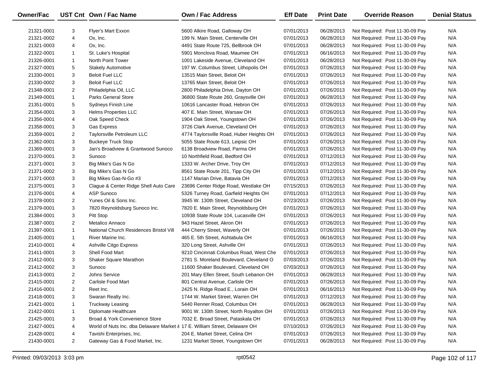| Owner/Fac  |                | UST Cnt Own / Fac Name                                                     | <b>Own / Fac Address</b>                 | <b>Eff Date</b> | <b>Print Date</b> | <b>Override Reason</b>          | <b>Denial Status</b> |
|------------|----------------|----------------------------------------------------------------------------|------------------------------------------|-----------------|-------------------|---------------------------------|----------------------|
| 21321-0001 | 3              | <b>Flyer's Mart Exxon</b>                                                  | 5600 Alkire Road, Galloway OH            | 07/01/2013      | 06/28/2013        | Not Required: Post 11-30-09 Pay | N/A                  |
| 21321-0002 | 4              | Ox, Inc.                                                                   | 199 N. Main Street, Centerville OH       | 07/01/2013      | 06/28/2013        | Not Required: Post 11-30-09 Pay | N/A                  |
| 21321-0003 | 4              | Ox, Inc.                                                                   | 4491 State Route 725, Bellbrook OH       | 07/01/2013      | 06/28/2013        | Not Required: Post 11-30-09 Pay | N/A                  |
| 21322-0001 | 1              | St. Luke's Hospital                                                        | 5901 Monclova Road, Maumee OH            | 07/01/2013      | 06/16/2013        | Not Required: Post 11-30-09 Pay | N/A                  |
| 21326-0001 | $\mathbf{1}$   | North Point Tower                                                          | 1001 Lakeside Avenue, Cleveland OH       | 07/01/2013      | 06/28/2013        | Not Required: Post 11-30-09 Pay | N/A                  |
| 21327-0001 | 5              | <b>Stakely Automotive</b>                                                  | 197 W. Columbus Street, Lithopolis OH    | 07/01/2013      | 07/26/2013        | Not Required: Post 11-30-09 Pay | N/A                  |
| 21330-0001 | 3              | <b>Beloit Fuel LLC</b>                                                     | 13515 Main Street, Beloit OH             | 07/01/2013      | 07/26/2013        | Not Required: Post 11-30-09 Pay | N/A                  |
| 21330-0002 | 3              | <b>Beloit Fuel LLC</b>                                                     | 13765 Main Street, Beloit OH             | 07/01/2013      | 07/26/2013        | Not Required: Post 11-30-09 Pay | N/A                  |
| 21348-0001 | $\overline{2}$ | Philadelphia Oil, LLC                                                      | 2800 Philadelphia Drive, Dayton OH       | 07/01/2013      | 07/26/2013        | Not Required: Post 11-30-09 Pay | N/A                  |
| 21349-0001 | $\mathbf{1}$   | <b>Parks General Store</b>                                                 | 36800 State Route 260, Graysville OH     | 07/01/2013      | 06/28/2013        | Not Required: Post 11-30-09 Pay | N/A                  |
| 21351-0001 | 5              | <b>Sydneys Finish Line</b>                                                 | 10616 Lancaster Road, Hebron OH          | 07/01/2013      | 07/26/2013        | Not Required: Post 11-30-09 Pay | N/A                  |
| 21354-0001 | 3              | <b>Helms Properties LLC</b>                                                | 407 E. Main Street, Warsaw OH            | 07/01/2013      | 07/26/2013        | Not Required: Post 11-30-09 Pay | N/A                  |
| 21356-0001 | 4              | Oak Speed Check                                                            | 1904 Oak Street, Youngstown OH           | 07/01/2013      | 07/26/2013        | Not Required: Post 11-30-09 Pay | N/A                  |
| 21358-0001 | 3              | <b>Gas Express</b>                                                         | 3726 Clark Avenue, Cleveland OH          | 07/01/2013      | 07/26/2013        | Not Required: Post 11-30-09 Pay | N/A                  |
| 21359-0001 | $\overline{2}$ | Taylorsville Petroleum LLC                                                 | 4774 Taylorsville Road, Huber Heights OH | 07/01/2013      | 07/26/2013        | Not Required: Post 11-30-09 Pay | N/A                  |
| 21362-0001 | 3              | <b>Buckeye Truck Stop</b>                                                  | 5055 State Route 613, Leipsic OH         | 07/01/2013      | 07/26/2013        | Not Required: Post 11-30-09 Pay | N/A                  |
| 21369-0001 | 3              | Jan's Broadview & Grantwood Sunoco                                         | 6138 Broadview Road, Parma OH            | 07/01/2013      | 07/26/2013        | Not Required: Post 11-30-09 Pay | N/A                  |
| 21370-0001 | 3              | Sunoco                                                                     | 10 Northfield Road, Bedford OH           | 07/01/2013      | 07/12/2013        | Not Required: Post 11-30-09 Pay | N/A                  |
| 21371-0001 | 3              | Big Mike's Gas N Go                                                        | 1333 W. Archer Drive, Troy OH            | 07/01/2013      | 07/12/2013        | Not Required: Post 11-30-09 Pay | N/A                  |
| 21371-0002 | 3              | Big Mike's Gas N Go                                                        | 8561 State Route 201, Tipp City OH       | 07/01/2013      | 07/12/2013        | Not Required: Post 11-30-09 Pay | N/A                  |
| 21371-0003 | 3              | Big Mikes Gas-N-Go #3                                                      | 1147 Marian Drive, Batavia OH            | 07/01/2013      | 07/12/2013        | Not Required: Post 11-30-09 Pay | N/A                  |
| 21375-0001 | 3              | Clague & Center Ridge Shell Auto Care                                      | 23696 Center Ridge Road, Westlake OH     | 07/15/2013      | 07/26/2013        | Not Required: Post 11-30-09 Pay | N/A                  |
| 21376-0001 | 4              | <b>ASP Sunoco</b>                                                          | 5326 Turney Road, Garfield Heights OH    | 07/01/2013      | 07/12/2013        | Not Required: Post 11-30-09 Pay | N/A                  |
| 21378-0001 | $\overline{2}$ | Yunes Oil & Sons Inc.                                                      | 3945 W. 130th Street, Cleveland OH       | 07/23/2013      | 07/26/2013        | Not Required: Post 11-30-09 Pay | N/A                  |
| 21379-0001 | 3              | 7820 Reynoldsburg Sunoco Inc.                                              | 7820 E. Main Street, Reynoldsburg OH     | 07/01/2013      | 07/26/2013        | Not Required: Post 11-30-09 Pay | N/A                  |
| 21384-0001 | 3              | Pitt Stop                                                                  | 10938 State Route 104, Lucasville OH     | 07/01/2013      | 07/26/2013        | Not Required: Post 11-30-09 Pay | N/A                  |
| 21387-0001 | $\overline{2}$ | Metalico Annaco                                                            | 943 Hazel Street, Akron OH               | 07/01/2013      | 07/26/2013        | Not Required: Post 11-30-09 Pay | N/A                  |
| 21397-0001 | $\mathbf{1}$   | National Church Residences Bristol Vill                                    | 444 Cherry Street, Waverly OH            | 07/01/2013      | 07/26/2013        | Not Required: Post 11-30-09 Pay | N/A                  |
| 21405-0001 | $\mathbf{1}$   | River Marine Inc.                                                          | 465 E. 5th Street, Ashtabula OH          | 07/01/2013      | 06/16/2013        | Not Required: Post 11-30-09 Pay | N/A                  |
| 21410-0001 | 4              | Ashville Citgo Express                                                     | 320 Long Street, Ashville OH             | 07/01/2013      | 07/26/2013        | Not Required: Post 11-30-09 Pay | N/A                  |
| 21411-0001 | 3              | Shell Food Mart                                                            | 9210 Cincinnati Columbus Road, West Che  | 07/01/2013      | 07/26/2013        | Not Required: Post 11-30-09 Pay | N/A                  |
| 21412-0001 | 3              | Shaker Square Marathon                                                     | 2781 S. Moreland Boulevard, Cleveland O  | 07/03/2013      | 07/26/2013        | Not Required: Post 11-30-09 Pay | N/A                  |
| 21412-0002 | 3              | Sunoco                                                                     | 11600 Shaker Boulevard, Cleveland OH     | 07/03/2013      | 07/26/2013        | Not Required: Post 11-30-09 Pay | N/A                  |
| 21413-0001 | $\overline{2}$ | Johns Service                                                              | 201 Mary Ellen Street, South Lebanon OH  | 07/01/2013      | 06/28/2013        | Not Required: Post 11-30-09 Pay | N/A                  |
| 21415-0001 | $\overline{2}$ | Carlisle Food Mart                                                         | 801 Central Avenue, Carlisle OH          | 07/01/2013      | 07/26/2013        | Not Required: Post 11-30-09 Pay | N/A                  |
| 21416-0001 | 2              | Reet Inc.                                                                  | 2425 N. Ridge Road E., Lorain OH         | 07/01/2013      | 06/16/2013        | Not Required: Post 11-30-09 Pay | N/A                  |
| 21418-0001 | 3              | Swaran Realty Inc.                                                         | 1744 W. Market Street, Warren OH         | 07/01/2013      | 07/12/2013        | Not Required: Post 11-30-09 Pay | N/A                  |
| 21421-0001 | 1              | <b>Truckway Leasing</b>                                                    | 5440 Renner Road, Columbus OH            | 07/01/2013      | 06/28/2013        | Not Required: Post 11-30-09 Pay | N/A                  |
| 21422-0001 | 1              | Diplomate Healthcare                                                       | 9001 W. 130th Street, North Royalton OH  | 07/01/2013      | 07/26/2013        | Not Required: Post 11-30-09 Pay | N/A                  |
| 21425-0001 | 3              | Broad & York Convenience Store                                             | 7032 E. Broad Street, Pataskala OH       | 07/01/2013      | 07/26/2013        | Not Required: Post 11-30-09 Pay | N/A                  |
| 21427-0001 | 4              | World of Nuts Inc. dba Delaware Market & 17 E. William Street, Delaware OH |                                          | 07/10/2013      | 07/26/2013        | Not Required: Post 11-30-09 Pay | N/A                  |
| 21428-0001 | 4              | Tavishi Enterprises, Inc.                                                  | 204 E. Market Street, Celina OH          | 07/01/2013      | 07/26/2013        | Not Required: Post 11-30-09 Pay | N/A                  |
| 21430-0001 | $\overline{2}$ | Gateway Gas & Food Market, Inc.                                            | 1231 Market Street, Youngstown OH        | 07/01/2013      | 06/28/2013        | Not Required: Post 11-30-09 Pay | N/A                  |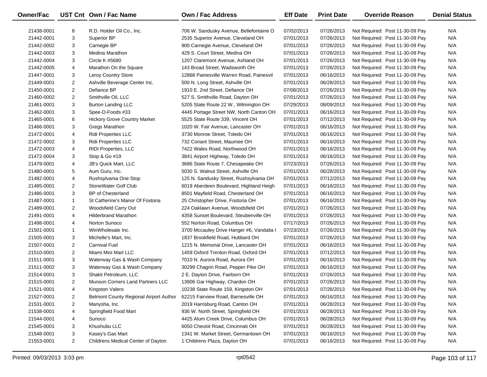| Owner/Fac  |                | UST Cnt Own / Fac Name                 | <b>Own / Fac Address</b>                  | <b>Eff Date</b> | <b>Print Date</b> | <b>Override Reason</b>          | <b>Denial Status</b> |
|------------|----------------|----------------------------------------|-------------------------------------------|-----------------|-------------------|---------------------------------|----------------------|
| 21438-0001 | 8              | R.D. Holder Oil Co., Inc.              | 706 W. Sandusky Avenue, Bellefontaine O   | 07/02/2013      | 07/26/2013        | Not Required: Post 11-30-09 Pay | N/A                  |
| 21442-0001 | 3              | Superior BP                            | 2535 Superior Avenue, Cleveland OH        | 07/01/2013      | 07/26/2013        | Not Required: Post 11-30-09 Pay | N/A                  |
| 21442-0002 | 3              | Carnegie BP                            | 900 Carnegie Avenue, Cleveland OH         | 07/01/2013      | 07/26/2013        | Not Required: Post 11-30-09 Pay | N/A                  |
| 21442-0003 | 3              | Medina Marathon                        | 429 S. Court Street, Medina OH            | 07/01/2013      | 07/26/2013        | Not Required: Post 11-30-09 Pay | N/A                  |
| 21442-0004 | 3              | Circle K #5680                         | 1207 Claremont Avenue, Ashland OH         | 07/01/2013      | 07/26/2013        | Not Required: Post 11-30-09 Pay | N/A                  |
| 21442-0005 | 4              | Marathon On the Square                 | 143 Broad Street, Wadsworth OH            | 07/01/2013      | 07/26/2013        | Not Required: Post 11-30-09 Pay | N/A                  |
| 21447-0001 | 3              | Leroy Country Store                    | 12868 Painesville Warren Road, Painesvil  | 07/01/2013      | 06/16/2013        | Not Required: Post 11-30-09 Pay | N/A                  |
| 21449-0001 | 2              | Ashville Beverage Center Inc.          | 500 N. Long Street, Ashville OH           | 07/01/2013      | 06/28/2013        | Not Required: Post 11-30-09 Pay | N/A                  |
| 21450-0001 | $\overline{2}$ | Defiance BP                            | 1910 E. 2nd Street, Defiance OH           | 07/08/2013      | 07/26/2013        | Not Required: Post 11-30-09 Pay | N/A                  |
| 21460-0002 | $\overline{2}$ | Smithville Oil, LLC                    | 527 S. Smithville Road, Dayton OH         | 07/01/2013      | 07/26/2013        | Not Required: Post 11-30-09 Pay | N/A                  |
| 21461-0001 | 3              | <b>Burton Landing LLC</b>              | 5205 State Route 22 W., Wilmington OH     | 07/29/2013      | 08/09/2013        | Not Required: Post 11-30-09 Pay | N/A                  |
| 21462-0001 | 3              | Spee-D-Foods #33                       | 4445 Portage Street NW, North Canton OH   | 07/01/2013      | 06/16/2013        | Not Required: Post 11-30-09 Pay | N/A                  |
| 21465-0001 | 6              | <b>Hickory Grove Country Market</b>    | 5525 State Route 339, Vincent OH          | 07/01/2013      | 07/12/2013        | Not Required: Post 11-30-09 Pay | N/A                  |
| 21466-0001 | 3              | Gregs Marathon                         | 1020 W. Fair Avenue, Lancaster OH         | 07/01/2013      | 06/16/2013        | Not Required: Post 11-30-09 Pay | N/A                  |
| 21472-0001 | 4              | <b>Ridi Properties LLC</b>             | 3730 Monroe Street, Toledo OH             | 07/01/2013      | 06/16/2013        | Not Required: Post 11-30-09 Pay | N/A                  |
| 21472-0002 | 3              | <b>Ridi Properties LLC</b>             | 732 Conant Street, Maumee OH              | 07/01/2013      | 06/16/2013        | Not Required: Post 11-30-09 Pay | N/A                  |
| 21472-0003 | 4              | <b>RIDI Properties, LLC</b>            | 7422 Wales Road, Northwood OH             | 07/01/2013      | 06/16/2013        | Not Required: Post 11-30-09 Pay | N/A                  |
| 21472-0004 | 3              | Stop & Go #19                          | 3841 Airport Highway, Toledo OH           | 07/01/2013      | 06/16/2013        | Not Required: Post 11-30-09 Pay | N/A                  |
| 21479-0001 | 4              | <b>JB's Quick Mart, LLC</b>            | 3686 State Route 7, Chesapeake OH         | 07/23/2013      | 07/26/2013        | Not Required: Post 11-30-09 Pay | N/A                  |
| 21480-0001 | 5              | Aum Guru, Inc.                         | 5030 S. Walnut Street, Ashville OH        | 07/01/2013      | 06/28/2013        | Not Required: Post 11-30-09 Pay | N/A                  |
| 21482-0001 | 4              | Rushsylvania One Stop                  | 125 N. Sandusky Street, Rushsylvania OH   | 07/01/2013      | 07/12/2013        | Not Required: Post 11-30-09 Pay | N/A                  |
| 21485-0001 | $\overline{2}$ | StoneWater Golf Club                   | 6019 Aberdeen Boulevard, Highland Heigh   | 07/01/2013      | 06/16/2013        | Not Required: Post 11-30-09 Pay | N/A                  |
| 21486-0001 | 3              | <b>BP</b> of Chesterland               | 8501 Mayfield Road, Chesterland OH        | 07/01/2013      | 06/16/2013        | Not Required: Post 11-30-09 Pay | N/A                  |
| 21487-0001 | $\mathbf{1}$   | St Catherine's Manor Of Fostoria       | 25 Christopher Drive, Fostoria OH         | 07/01/2013      | 06/16/2013        | Not Required: Post 11-30-09 Pay | N/A                  |
| 21489-0001 | $\overline{2}$ | Woodsfield Carry Out                   | 224 Oaklawn Avenue, Woodsfield OH         | 07/01/2013      | 07/26/2013        | Not Required: Post 11-30-09 Pay | N/A                  |
| 21491-0001 | 4              | <b>Hilderbrand Marathon</b>            | 4358 Sunset Boulevard, Steubenville OH    | 07/01/2013      | 07/26/2013        | Not Required: Post 11-30-09 Pay | N/A                  |
| 21498-0001 | 4              | Norton Sunoco                          | 552 Norton Road, Columbus OH              | 07/17/2013      | 07/26/2013        | Not Required: Post 11-30-09 Pay | N/A                  |
| 21501-0001 | $\mathbf{1}$   | WinWholesale Inc.                      | 3700 Mccauley Drive Hanger #6, Vandalia ( | 07/23/2013      | 07/26/2013        | Not Required: Post 11-30-09 Pay | N/A                  |
| 21505-0001 | 3              | Michelle's Mart, Inc.                  | 1837 Brookfield Road, Hubbard OH          | 07/01/2013      | 07/26/2013        | Not Required: Post 11-30-09 Pay | N/A                  |
| 21507-0001 | $\overline{2}$ | <b>Carnival Fuel</b>                   | 1215 N. Memorial Drive, Lancaster OH      | 07/01/2013      | 06/16/2013        | Not Required: Post 11-30-09 Pay | N/A                  |
| 21510-0001 | 2              | Miami Mini Mart LLC                    | 1459 Oxford Trenton Road, Oxford OH       | 07/01/2013      | 07/12/2013        | Not Required: Post 11-30-09 Pay | N/A                  |
| 21511-0001 | 3              | Waterway Gas & Wash Company            | 7010 N. Aurora Road, Aurora OH            | 07/01/2013      | 06/16/2013        | Not Required: Post 11-30-09 Pay | N/A                  |
| 21511-0002 | 3              | Waterway Gas & Wash Company            | 30299 Chagrin Road, Pepper Pike OH        | 07/01/2013      | 06/16/2013        | Not Required: Post 11-30-09 Pay | N/A                  |
| 21514-0001 | 3              | Shakti Petroleum, LLC                  | 2 E. Dayton Drive, Fairborn OH            | 07/01/2013      | 07/26/2013        | Not Required: Post 11-30-09 Pay | N/A                  |
| 21515-0001 | $\overline{2}$ | Munson Corners Land Partners LLC       | 13906 Gar Highway, Chardon OH             | 07/01/2013      | 07/26/2013        | Not Required: Post 11-30-09 Pay | N/A                  |
| 21521-0001 | 4              | Kingston Valero                        | 10238 State Route 159, Kingston OH        | 07/01/2013      | 07/26/2013        | Not Required: Post 11-30-09 Pay | N/A                  |
| 21527-0001 | 2              | Belmont County Regional Airport Author | 62215 Fairview Road, Barnesville OH       | 07/01/2013      | 06/16/2013        | Not Required: Post 11-30-09 Pay | N/A                  |
| 21531-0001 | $\overline{2}$ | Manysha, Inc.                          | 2019 Harrisburg Road, Canton OH           | 07/01/2013      | 06/28/2013        | Not Required: Post 11-30-09 Pay | N/A                  |
| 21538-0001 | 4              | Springfield Food Mart                  | 936 W. North Street, Springfield OH       | 07/01/2013      | 06/28/2013        | Not Required: Post 11-30-09 Pay | N/A                  |
| 21544-0001 | 4              | Sunoco                                 | 4425 Alum Creek Drive, Columbus OH        | 07/01/2013      | 06/28/2013        | Not Required: Post 11-30-09 Pay | N/A                  |
| 21545-0001 | 3              | Khushubu LLC                           | 6050 Cheviot Road, Cincinnati OH          | 07/01/2013      | 06/28/2013        | Not Required: Post 11-30-09 Pay | N/A                  |
| 21548-0001 | 3              | Kasey's Gas Mart                       | 1341 W. Market Street, Germantown OH      | 07/01/2013      | 06/16/2013        | Not Required: Post 11-30-09 Pay | N/A                  |
| 21553-0001 | $\overline{2}$ | Childrens Medical Center of Dayton     | 1 Childrens Plaza, Dayton OH              | 07/01/2013      | 06/16/2013        | Not Required: Post 11-30-09 Pay | N/A                  |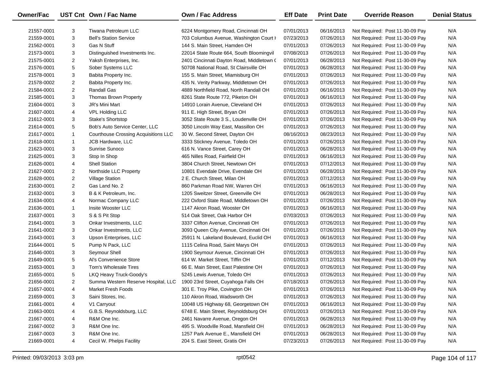| <b>Owner/Fac</b> |                | UST Cnt Own / Fac Name                      | Own / Fac Address                         | <b>Eff Date</b> | <b>Print Date</b> | <b>Override Reason</b>          | <b>Denial Status</b> |
|------------------|----------------|---------------------------------------------|-------------------------------------------|-----------------|-------------------|---------------------------------|----------------------|
| 21557-0001       | 3              | Tiwana Petroleum LLC                        | 6224 Montgomery Road, Cincinnati OH       | 07/01/2013      | 06/16/2013        | Not Required: Post 11-30-09 Pay | N/A                  |
| 21559-0001       | 3              | <b>Bell's Station Service</b>               | 703 Columbus Avenue, Washington Court I   | 07/23/2013      | 07/26/2013        | Not Required: Post 11-30-09 Pay | N/A                  |
| 21562-0001       | 3              | <b>Gas N Stuff</b>                          | 144 S. Main Street, Hamden OH             | 07/01/2013      | 07/26/2013        | Not Required: Post 11-30-09 Pay | N/A                  |
| 21573-0001       | 3              | Distinguished Investments Inc.              | 22014 State Route 664, South Bloomingvil  | 07/08/2013      | 07/26/2013        | Not Required: Post 11-30-09 Pay | N/A                  |
| 21575-0001       | $\overline{2}$ | Yaksh Enterprises, Inc.                     | 2401 Cincinnati Dayton Road, Middletown ( | 07/01/2013      | 06/28/2013        | Not Required: Post 11-30-09 Pay | N/A                  |
| 21576-0001       | 5              | Sober Systems LLC                           | 50708 National Road, St Clairsville OH    | 07/01/2013      | 06/28/2013        | Not Required: Post 11-30-09 Pay | N/A                  |
| 21578-0001       | 3              | Babita Property Inc.                        | 155 S. Main Street, Miamisburg OH         | 07/01/2013      | 07/26/2013        | Not Required: Post 11-30-09 Pay | N/A                  |
| 21578-0002       | $\overline{2}$ | Babita Property Inc.                        | 435 N. Verity Parkway, Middletown OH      | 07/01/2013      | 07/26/2013        | Not Required: Post 11-30-09 Pay | N/A                  |
| 21584-0001       | $\overline{c}$ | <b>Randall Gas</b>                          | 4889 Northfield Road, North Randall OH    | 07/01/2013      | 06/16/2013        | Not Required: Post 11-30-09 Pay | N/A                  |
| 21585-0001       | 3              | Thomas Brown Property                       | 8261 State Route 772, Piketon OH          | 07/01/2013      | 06/16/2013        | Not Required: Post 11-30-09 Pay | N/A                  |
| 21604-0001       | 3              | JR's Mini Mart                              | 14910 Lorain Avenue, Cleveland OH         | 07/01/2013      | 07/26/2013        | Not Required: Post 11-30-09 Pay | N/A                  |
| 21607-0001       | 4              | <b>VPL Holding LLC</b>                      | 911 E. High Street, Bryan OH              | 07/01/2013      | 07/26/2013        | Not Required: Post 11-30-09 Pay | N/A                  |
| 21612-0001       | 3              | Stake's Shortstop                           | 3052 State Route 3 S., Loudenville OH     | 07/01/2013      | 07/26/2013        | Not Required: Post 11-30-09 Pay | N/A                  |
| 21614-0001       | 5              | Bob's Auto Service Center, LLC              | 3050 Lincoln Way East, Massillon OH       | 07/01/2013      | 07/26/2013        | Not Required: Post 11-30-09 Pay | N/A                  |
| 21617-0001       | $\mathbf{1}$   | <b>Courthouse Crossing Acquisitions LLC</b> | 30 W. Second Street, Dayton OH            | 08/16/2013      | 08/23/2013        | Not Required: Post 11-30-09 Pay | N/A                  |
| 21618-0001       | $\mathbf{1}$   | <b>JCB Hardware, LLC</b>                    | 3333 Stickney Avenue, Toledo OH           | 07/01/2013      | 07/26/2013        | Not Required: Post 11-30-09 Pay | N/A                  |
| 21623-0001       | 3              | Sunrise Sunoco                              | 616 N. Vance Street, Carey OH             | 07/01/2013      | 06/28/2013        | Not Required: Post 11-30-09 Pay | N/A                  |
| 21625-0001       | 3              | Stop In Shop                                | 465 Nilles Road, Fairfield OH             | 07/01/2013      | 06/16/2013        | Not Required: Post 11-30-09 Pay | N/A                  |
| 21626-0001       | 4              | <b>Shell Station</b>                        | 3804 Church Street, Newtown OH            | 07/01/2013      | 07/12/2013        | Not Required: Post 11-30-09 Pay | N/A                  |
| 21627-0001       | $\overline{2}$ | Northside LLC Property                      | 10801 Evendale Drive, Evendale OH         | 07/01/2013      | 06/28/2013        | Not Required: Post 11-30-09 Pay | N/A                  |
| 21628-0001       | $\overline{2}$ | <b>Village Station</b>                      | 2 E. Church Street, Milan OH              | 07/01/2013      | 07/12/2013        | Not Required: Post 11-30-09 Pay | N/A                  |
| 21630-0001       | $\overline{2}$ | Gas Land No. 2                              | 860 Parkman Road NW, Warren OH            | 07/01/2013      | 06/16/2013        | Not Required: Post 11-30-09 Pay | N/A                  |
| 21632-0001       | 3              | B & K Petroleum, Inc.                       | 1205 Sweitzer Street, Greenville OH       | 07/01/2013      | 06/28/2013        | Not Required: Post 11-30-09 Pay | N/A                  |
| 21634-0001       | 4              | Normac Company LLC                          | 222 Oxford State Road, Middletown OH      | 07/01/2013      | 07/26/2013        | Not Required: Post 11-30-09 Pay | N/A                  |
| 21636-0001       | $\mathbf{1}$   | Insite Wooster LLC                          | 1147 Akron Road, Wooster OH               | 07/01/2013      | 06/16/2013        | Not Required: Post 11-30-09 Pay | N/A                  |
| 21637-0001       | 3              | S & S Pit Stop                              | 514 Oak Street, Oak Harbor OH             | 07/03/2013      | 07/26/2013        | Not Required: Post 11-30-09 Pay | N/A                  |
| 21641-0001       | 3              | Onkar Investments, LLC                      | 3337 Clifton Avenue, Cincinnati OH        | 07/01/2013      | 07/26/2013        | Not Required: Post 11-30-09 Pay | N/A                  |
| 21641-0002       | 3              | Onkar Investments, LLC                      | 3093 Queen City Avenue, Cincinnati OH     | 07/01/2013      | 07/26/2013        | Not Required: Post 11-30-09 Pay | N/A                  |
| 21643-0001       | 3              | Upson Enterprises, LLC                      | 25911 N. Lakeland Boulevard, Euclid OH    | 07/01/2013      | 06/16/2013        | Not Required: Post 11-30-09 Pay | N/A                  |
| 21644-0001       | 5              | Pump N Pack, LLC                            | 1115 Celina Road, Saint Marys OH          | 07/01/2013      | 07/26/2013        | Not Required: Post 11-30-09 Pay | N/A                  |
| 21646-0001       | 3              | Seymour Shell                               | 1900 Seymour Avenue, Cincinnati OH        | 07/01/2013      | 07/26/2013        | Not Required: Post 11-30-09 Pay | N/A                  |
| 21649-0001       | 5              | Al's Convenience Store                      | 614 W. Market Street, Tiffin OH           | 07/01/2013      | 07/12/2013        | Not Required: Post 11-30-09 Pay | N/A                  |
| 21653-0001       | 3              | Tom's Wholesale Tires                       | 66 E. Main Street, East Palestine OH      | 07/01/2013      | 07/26/2013        | Not Required: Post 11-30-09 Pay | N/A                  |
| 21655-0001       | 5              | LKQ Heavy Truck-Goody's                     | 5245 Lewis Avenue, Toledo OH              | 07/01/2013      | 07/26/2013        | Not Required: Post 11-30-09 Pay | N/A                  |
| 21656-0001       | $\overline{c}$ | Summa Western Reserve Hospital, LLC         | 1900 23rd Street, Cuyahoga Falls OH       | 07/18/2013      | 07/26/2013        | Not Required: Post 11-30-09 Pay | N/A                  |
| 21657-0001       | 4              | Market Fresh Foods                          | 301 E. Troy Pike, Covington OH            | 07/01/2013      | 07/26/2013        | Not Required: Post 11-30-09 Pay | N/A                  |
| 21659-0001       | 3              | Saini Stores, Inc.                          | 110 Akron Road, Wadsworth OH              | 07/01/2013      | 07/26/2013        | Not Required: Post 11-30-09 Pay | N/A                  |
| 21661-0001       | 4              | V1 Carryout                                 | 10048 US Highway 68, Georgetown OH        | 07/01/2013      | 06/16/2013        | Not Required: Post 11-30-09 Pay | N/A                  |
| 21663-0001       | 4              | G.B.S. Reynoldsburg, LLC                    | 6748 E. Main Street, Reynoldsburg OH      | 07/01/2013      | 07/26/2013        | Not Required: Post 11-30-09 Pay | N/A                  |
| 21667-0001       | 4              | R&M One Inc.                                | 2461 Navarre Avenue, Oregon OH            | 07/01/2013      | 06/28/2013        | Not Required: Post 11-30-09 Pay | N/A                  |
| 21667-0002       | 3              | R&M One Inc.                                | 495 S. Woodville Road, Mansfield OH       | 07/01/2013      | 06/28/2013        | Not Required: Post 11-30-09 Pay | N/A                  |
| 21667-0003       | 3              | R&M One Inc.                                | 1257 Park Avenue E., Mansfield OH         | 07/01/2013      | 06/28/2013        | Not Required: Post 11-30-09 Pay | N/A                  |
| 21669-0001       | 4              | Cecil W. Phelps Facility                    | 204 S. East Street, Gratis OH             | 07/23/2013      | 07/26/2013        | Not Required: Post 11-30-09 Pay | N/A                  |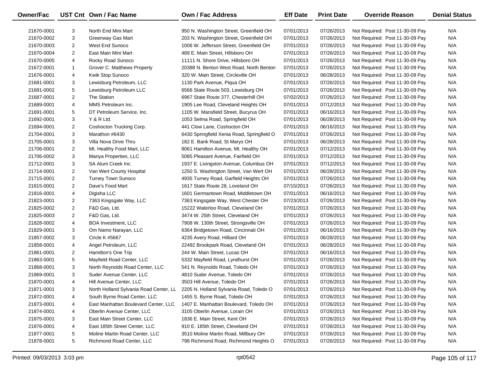| Owner/Fac  |                | UST Cnt Own / Fac Name                 | Own / Fac Address                          | <b>Eff Date</b> | <b>Print Date</b> | <b>Override Reason</b>          | <b>Denial Status</b> |
|------------|----------------|----------------------------------------|--------------------------------------------|-----------------|-------------------|---------------------------------|----------------------|
| 21670-0001 | 3              | North End Mini Mart                    | 950 N. Washington Street, Greenfield OH    | 07/01/2013      | 07/26/2013        | Not Required: Post 11-30-09 Pay | N/A                  |
| 21670-0002 | 3              | <b>Greenway Gas Mart</b>               | 203 N. Washington Street, Greenfield OH    | 07/01/2013      | 07/26/2013        | Not Required: Post 11-30-09 Pay | N/A                  |
| 21670-0003 | $\overline{2}$ | West End Sunoco                        | 1006 W. Jefferson Street, Greenfield OH    | 07/01/2013      | 07/26/2013        | Not Required: Post 11-30-09 Pay | N/A                  |
| 21670-0004 | $\overline{2}$ | East Main Mini Mart                    | 489 E. Main Street, Hillsboro OH           | 07/01/2013      | 07/26/2013        | Not Required: Post 11-30-09 Pay | N/A                  |
| 21670-0005 | 4              | Rocky Road Sunoco                      | 11111 N. Shore Drive, Hillsboro OH         | 07/01/2013      | 07/26/2013        | Not Required: Post 11-30-09 Pay | N/A                  |
| 21672-0001 | $\mathbf{1}$   | Grover C. Matthews Property            | 20388 N. Benton West Road, North Benton    | 07/01/2013      | 07/26/2013        | Not Required: Post 11-30-09 Pay | N/A                  |
| 21676-0001 | 4              | Kwik Stop Sunoco                       | 320 W. Main Street, Circleville OH         | 07/01/2013      | 06/28/2013        | Not Required: Post 11-30-09 Pay | N/A                  |
| 21681-0001 | 3              | Lewisburg Petroleum, LLC               | 1130 Park Avenue, Piqua OH                 | 07/01/2013      | 07/26/2013        | Not Required: Post 11-30-09 Pay | N/A                  |
| 21681-0002 | 5              | Lewisburg Petroleum LLC                | 6566 State Route 503, Lewisburg OH         | 07/01/2013      | 07/26/2013        | Not Required: Post 11-30-09 Pay | N/A                  |
| 21687-0001 | $\overline{2}$ | The Station                            | 6967 State Route 377, Chesterhill OH       | 07/02/2013      | 07/26/2013        | Not Required: Post 11-30-09 Pay | N/A                  |
| 21689-0001 | 4              | MMS Petroleum Inc.                     | 1905 Lee Road, Cleveland Heights OH        | 07/01/2013      | 07/12/2013        | Not Required: Post 11-30-09 Pay | N/A                  |
| 21691-0001 | 5              | DT Petroleum Service, Inc.             | 1105 W. Mansfield Street, Bucyrus OH       | 07/01/2013      | 06/16/2013        | Not Required: Post 11-30-09 Pay | N/A                  |
| 21692-0001 | 3              | Y & R Ltd.                             | 1053 Selma Road, Springfield OH            | 07/01/2013      | 06/28/2013        | Not Required: Post 11-30-09 Pay | N/A                  |
| 21694-0001 | 2              | Coshocton Trucking Corp.               | 441 Clow Lane, Coshocton OH                | 07/01/2013      | 06/16/2013        | Not Required: Post 11-30-09 Pay | N/A                  |
| 21704-0001 | 3              | Marathon #6430                         | 6430 Springfield Xenia Road, Springfield O | 07/01/2013      | 07/26/2013        | Not Required: Post 11-30-09 Pay | N/A                  |
| 21705-0001 | 3              | Villa Nova Drive Thru                  | 182 E. Bank Road, St Marys OH              | 07/01/2013      | 06/28/2013        | Not Required: Post 11-30-09 Pay | N/A                  |
| 21706-0001 | $\overline{2}$ | Mt. Healthy Food Mart, LLC             | 8061 Hamilton Avenue, Mt. Healthy OH       | 07/01/2013      | 07/12/2013        | Not Required: Post 11-30-09 Pay | N/A                  |
| 21706-0002 | 3              | Manya Properties, LLC                  | 5085 Pleasant Avenue, Fairfield OH         | 07/01/2013      | 07/12/2013        | Not Required: Post 11-30-09 Pay | N/A                  |
| 21712-0001 | 3              | SA Alum Creek Inc.                     | 1937 E. Livingston Avenue, Columbus OH     | 07/01/2013      | 07/12/2013        | Not Required: Post 11-30-09 Pay | N/A                  |
| 21714-0001 | $\overline{a}$ | Van Wert County Hospital               | 1250 S. Washington Street, Van Wert OH     | 07/01/2013      | 06/28/2013        | Not Required: Post 11-30-09 Pay | N/A                  |
| 21715-0001 | $\overline{2}$ | Turney Town Sunoco                     | 4935 Turney Road, Garfield Heights OH      | 07/01/2013      | 07/26/2013        | Not Required: Post 11-30-09 Pay | N/A                  |
| 21815-0001 | $\overline{2}$ | Dave's Food Mart                       | 1617 State Route 28, Loveland OH           | 07/15/2013      | 07/26/2013        | Not Required: Post 11-30-09 Pay | N/A                  |
| 21816-0001 | 4              | Digisha LLC                            | 1601 Germantown Road, Middletown OH        | 07/01/2013      | 06/16/2013        | Not Required: Post 11-30-09 Pay | N/A                  |
| 21823-0001 | $\overline{2}$ | 7363 Kingsgate Way, LLC                | 7363 Kingsgate Way, West Chester OH        | 07/23/2013      | 07/26/2013        | Not Required: Post 11-30-09 Pay | N/A                  |
| 21825-0002 | $\overline{2}$ | F&D Gas, Ltd.                          | 15222 Waterloo Road, Cleveland OH          | 07/01/2013      | 07/26/2013        | Not Required: Post 11-30-09 Pay | N/A                  |
| 21825-0003 | $\overline{2}$ | F&D Gas, Ltd.                          | 3474 W. 25th Street, Cleveland OH          | 07/01/2013      | 07/26/2013        | Not Required: Post 11-30-09 Pay | N/A                  |
| 21828-0002 | 4              | <b>BOA Investment, LLC</b>             | 7908 W. 130th Street, Strongsville OH      | 07/01/2013      | 07/26/2013        | Not Required: Post 11-30-09 Pay | N/A                  |
| 21829-0001 | 3              | Om Namo Narayan, LLC                   | 6364 Bridgetown Road, Cincinnati OH        | 07/01/2013      | 06/16/2013        | Not Required: Post 11-30-09 Pay | N/A                  |
| 21857-0002 | 3              | Circle K #5667                         | 4235 Avery Road, Hilliard OH               | 07/01/2013      | 06/28/2013        | Not Required: Post 11-30-09 Pay | N/A                  |
| 21858-0001 | 4              | Angel Petroleum, LLC                   | 22492 Brookpark Road, Cleveland OH         | 07/01/2013      | 06/28/2013        | Not Required: Post 11-30-09 Pay | N/A                  |
| 21861-0001 | $\overline{2}$ | Hamilton's One Trip                    | 244 W. Main Street, Lucas OH               | 07/01/2013      | 06/16/2013        | Not Required: Post 11-30-09 Pay | N/A                  |
| 21863-0001 | 5              | Mayfield Road Center, LLC              | 5332 Mayfield Road, Lyndhurst OH           | 07/01/2013      | 07/26/2013        | Not Required: Post 11-30-09 Pay | N/A                  |
| 21868-0001 | 3              | North Reynolds Road Center, LLC        | 541 N. Reynolds Road, Toledo OH            | 07/01/2013      | 07/26/2013        | Not Required: Post 11-30-09 Pay | N/A                  |
| 21869-0001 | 3              | Suder Avenue Center, LLC               | 4810 Suder Avenue, Toledo OH               | 07/01/2013      | 07/26/2013        | Not Required: Post 11-30-09 Pay | N/A                  |
| 21870-0001 | 4              | Hill Avenue Center, LLC                | 3503 Hill Avenue, Toledo OH                | 07/01/2013      | 07/26/2013        | Not Required: Post 11-30-09 Pay | N/A                  |
| 21871-0001 | 3              | North Holland Sylvania Road Center, LL | 2205 N. Holland Sylvania Road, Toledo O    | 07/01/2013      | 07/26/2013        | Not Required: Post 11-30-09 Pay | N/A                  |
| 21872-0001 | 4              | South Byrne Road Center, LLC           | 1455 S. Byrne Road, Toledo OH              | 07/01/2013      | 07/26/2013        | Not Required: Post 11-30-09 Pay | N/A                  |
| 21873-0001 | 4              | East Manhattan Boulevard Center, LLC   | 1407 E. Manhattan Boulevard, Toledo OH     | 07/01/2013      | 07/26/2013        | Not Required: Post 11-30-09 Pay | N/A                  |
| 21874-0001 | 4              | Oberlin Avenue Center, LLC             | 3105 Oberlin Avenue, Lorain OH             | 07/01/2013      | 07/26/2013        | Not Required: Post 11-30-09 Pay | N/A                  |
| 21875-0001 | 3              | East Main Street Center, LLC           | 1836 E. Main Street, Kent OH               | 07/01/2013      | 07/26/2013        | Not Required: Post 11-30-09 Pay | N/A                  |
| 21876-0001 | 4              | East 185th Street Center, LLC          | 910 E. 185th Street, Cleveland OH          | 07/01/2013      | 07/26/2013        | Not Required: Post 11-30-09 Pay | N/A                  |
| 21877-0001 | 5              | Moline Martin Road Center, LLC         | 3510 Moline Martin Road, Millbury OH       | 07/01/2013      | 07/26/2013        | Not Required: Post 11-30-09 Pay | N/A                  |
| 21878-0001 | 5              | Richmond Road Center, LLC              | 798 Richmond Road, Richmond Heights O      | 07/01/2013      | 07/26/2013        | Not Required: Post 11-30-09 Pay | N/A                  |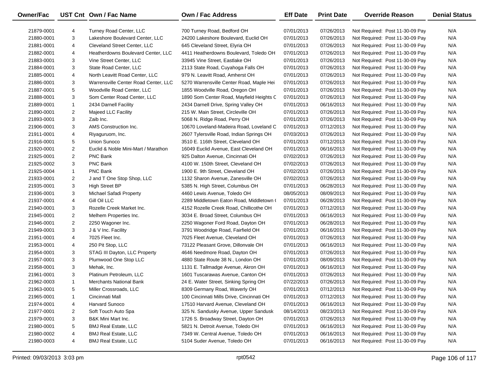| Owner/Fac  |                | UST Cnt Own / Fac Name               | <b>Own / Fac Address</b>                  | <b>Eff Date</b> | <b>Print Date</b> | <b>Override Reason</b>          | <b>Denial Status</b> |
|------------|----------------|--------------------------------------|-------------------------------------------|-----------------|-------------------|---------------------------------|----------------------|
| 21879-0001 | 4              | Turney Road Center, LLC              | 700 Turney Road, Bedford OH               | 07/01/2013      | 07/26/2013        | Not Required: Post 11-30-09 Pay | N/A                  |
| 21880-0001 | 3              | Lakeshore Boulevard Center, LLC      | 24200 Lakeshore Boulevard, Euclid OH      | 07/01/2013      | 07/26/2013        | Not Required: Post 11-30-09 Pay | N/A                  |
| 21881-0001 | 4              | <b>Cleveland Street Center, LLC</b>  | 645 Cleveland Street, Elyria OH           | 07/01/2013      | 07/26/2013        | Not Required: Post 11-30-09 Pay | N/A                  |
| 21882-0001 | 4              | Heatherdowns Boulevard Center, LLC   | 4411 Heatherdowns Boulevard, Toledo OH    | 07/01/2013      | 07/26/2013        | Not Required: Post 11-30-09 Pay | N/A                  |
| 21883-0001 | 3              | Vine Street Center, LLC              | 33945 Vine Street, Eastlake OH            | 07/01/2013      | 07/26/2013        | Not Required: Post 11-30-09 Pay | N/A                  |
| 21884-0001 | 3              | State Road Center, LLC               | 2113 State Road, Cuyahoga Falls OH        | 07/01/2013      | 07/26/2013        | Not Required: Post 11-30-09 Pay | N/A                  |
| 21885-0001 | 4              | North Leavitt Road Center, LLC       | 979 N. Leavitt Road, Amherst OH           | 07/01/2013      | 07/26/2013        | Not Required: Post 11-30-09 Pay | N/A                  |
| 21886-0001 | 3              | Warrensville Center Road Center, LLC | 5270 Warrensville Center Road, Maple Hei  | 07/01/2013      | 07/26/2013        | Not Required: Post 11-30-09 Pay | N/A                  |
| 21887-0001 | 5              | Woodville Road Center, LLC           | 1855 Woodville Road, Oregon OH            | 07/01/2013      | 07/26/2013        | Not Required: Post 11-30-09 Pay | N/A                  |
| 21888-0001 | 3              | Som Center Road Center, LLC          | 1890 Som Center Road, Mayfield Heights C  | 07/01/2013      | 07/26/2013        | Not Required: Post 11-30-09 Pay | N/A                  |
| 21889-0001 | $\mathbf{1}$   | 2434 Darnell Facility                | 2434 Darnell Drive, Spring Valley OH      | 07/01/2013      | 06/16/2013        | Not Required: Post 11-30-09 Pay | N/A                  |
| 21890-0001 | $\overline{2}$ | Majeed LLC Facility                  | 215 W. Main Street, Circleville OH        | 07/01/2013      | 07/26/2013        | Not Required: Post 11-30-09 Pay | N/A                  |
| 21893-0001 | 3              | Zaib Inc.                            | 5068 N. Ridge Road, Perry OH              | 07/01/2013      | 07/26/2013        | Not Required: Post 11-30-09 Pay | N/A                  |
| 21906-0001 | 3              | AMS Construction Inc.                | 10670 Loveland-Madeira Road, Loveland C   | 07/01/2013      | 07/12/2013        | Not Required: Post 11-30-09 Pay | N/A                  |
| 21911-0001 | 4              | Riyaguruom, Inc.                     | 2607 Tylersville Road, Indian Springs OH  | 07/03/2013      | 07/26/2013        | Not Required: Post 11-30-09 Pay | N/A                  |
| 21916-0001 | 5              | Union Sunoco                         | 3510 E. 116th Street, Cleveland OH        | 07/01/2013      | 07/12/2013        | Not Required: Post 11-30-09 Pay | N/A                  |
| 21920-0001 | $\overline{2}$ | Euclid & Noble Mini-Mart / Marathon  | 16049 Euclid Avenue, East Cleveland OH    | 07/01/2013      | 06/16/2013        | Not Required: Post 11-30-09 Pay | N/A                  |
| 21925-0001 | $\overline{2}$ | PNC Bank                             | 925 Dalton Avenue, Cincinnati OH          | 07/02/2013      | 07/26/2013        | Not Required: Post 11-30-09 Pay | N/A                  |
| 21925-0002 | 3              | <b>PNC Bank</b>                      | 4100 W. 150th Street, Cleveland OH        | 07/02/2013      | 07/26/2013        | Not Required: Post 11-30-09 Pay | N/A                  |
| 21925-0004 | $\mathbf{1}$   | PNC Bank                             | 1900 E. 9th Street, Cleveland OH          | 07/02/2013      | 07/26/2013        | Not Required: Post 11-30-09 Pay | N/A                  |
| 21933-0001 | $\overline{2}$ | J and T One Stop Shop, LLC           | 1132 Sharon Avenue, Zanesville OH         | 07/02/2013      | 07/26/2013        | Not Required: Post 11-30-09 Pay | N/A                  |
| 21935-0001 | 3              | <b>High Street BP</b>                | 5385 N. High Street, Columbus OH          | 07/01/2013      | 06/28/2013        | Not Required: Post 11-30-09 Pay | N/A                  |
| 21936-0001 | 3              | Michael Safadi Property              | 4460 Lewis Avenue, Toledo OH              | 08/05/2013      | 08/09/2013        | Not Required: Post 11-30-09 Pay | N/A                  |
| 21937-0001 | 4              | Gill Oil LLC                         | 2289 Middletown Eaton Road, Middletown (  | 07/01/2013      | 06/28/2013        | Not Required: Post 11-30-09 Pay | N/A                  |
| 21940-0001 | 3              | Rozelle Creek Market Inc.            | 4152 Rozelle Creek Road, Chillicothe OH   | 07/01/2013      | 07/12/2013        | Not Required: Post 11-30-09 Pay | N/A                  |
| 21945-0001 | $\overline{2}$ | Melhem Properties Inc.               | 3034 E. Broad Street, Columbus OH         | 07/01/2013      | 06/16/2013        | Not Required: Post 11-30-09 Pay | N/A                  |
| 21946-0001 | $\overline{2}$ | 2250 Wagoner Inc.                    | 2250 Wagoner Ford Road, Dayton OH         | 07/01/2013      | 06/28/2013        | Not Required: Post 11-30-09 Pay | N/A                  |
| 21949-0001 | 3              | J & V Inc. Facility                  | 3791 Woodridge Road, Fairfield OH         | 07/01/2013      | 06/16/2013        | Not Required: Post 11-30-09 Pay | N/A                  |
| 21951-0001 | 4              | 7025 Fleet Inc.                      | 7025 Fleet Avenue, Cleveland OH           | 07/01/2013      | 07/26/2013        | Not Required: Post 11-30-09 Pay | N/A                  |
| 21953-0001 | 4              | 250 Pit Stop, LLC                    | 73122 Pleasant Grove, Dillonvale OH       | 07/01/2013      | 06/16/2013        | Not Required: Post 11-30-09 Pay | N/A                  |
| 21954-0001 | 3              | STAG III Dayton, LLC Property        | 4646 Needmore Road, Dayton OH             | 07/01/2013      | 07/26/2013        | Not Required: Post 11-30-09 Pay | N/A                  |
| 21957-0001 | 3              | Plumwood One Stop LLC                | 4880 State Route 38 N., London OH         | 07/01/2013      | 08/09/2013        | Not Required: Post 11-30-09 Pay | N/A                  |
| 21958-0001 | 3              | Mehak, Inc.                          | 1131 E. Tallmadge Avenue, Akron OH        | 07/01/2013      | 06/16/2013        | Not Required: Post 11-30-09 Pay | N/A                  |
| 21961-0001 | 3              | Platinum Petroleum, LLC              | 1601 Tuscarawas Avenue, Canton OH         | 07/01/2013      | 07/26/2013        | Not Required: Post 11-30-09 Pay | N/A                  |
| 21962-0003 | $\mathbf{1}$   | <b>Merchants National Bank</b>       | 24 E. Water Street, Sinking Spring OH     | 07/22/2013      | 07/26/2013        | Not Required: Post 11-30-09 Pay | N/A                  |
| 21963-0001 | 5              | Miller Crossroads, LLC               | 8309 Germany Road, Waverly OH             | 07/01/2013      | 07/12/2013        | Not Required: Post 11-30-09 Pay | N/A                  |
| 21965-0001 | 1              | Cincinnati Mall                      | 100 Cincinnati Mills Drive, Cincinnati OH | 07/01/2013      | 07/12/2013        | Not Required: Post 11-30-09 Pay | N/A                  |
| 21974-0001 | 4              | Harvard Sunoco                       | 17510 Harvard Avenue, Cleveland OH        | 07/01/2013      | 06/16/2013        | Not Required: Post 11-30-09 Pay | N/A                  |
| 21977-0001 | 2              | Soft Touch Auto Spa                  | 325 N. Sandusky Avenue, Upper Sandusk     | 08/14/2013      | 08/23/2013        | Not Required: Post 11-30-09 Pay | N/A                  |
| 21979-0001 | 3              | B&K Mini Mart Inc.                   | 1726 S. Broadway Street, Dayton OH        | 07/01/2013      | 07/26/2013        | Not Required: Post 11-30-09 Pay | N/A                  |
| 21980-0001 | 5              | <b>BMJ Real Estate, LLC</b>          | 5821 N. Detroit Avenue, Toledo OH         | 07/01/2013      | 06/16/2013        | Not Required: Post 11-30-09 Pay | N/A                  |
| 21980-0002 | 4              | <b>BMJ Real Estate, LLC</b>          | 7349 W. Central Avenue, Toledo OH         | 07/01/2013      | 06/16/2013        | Not Required: Post 11-30-09 Pay | N/A                  |
| 21980-0003 | 4              | <b>BMJ Real Estate, LLC</b>          | 5104 Suder Avenue, Toledo OH              | 07/01/2013      | 06/16/2013        | Not Required: Post 11-30-09 Pay | N/A                  |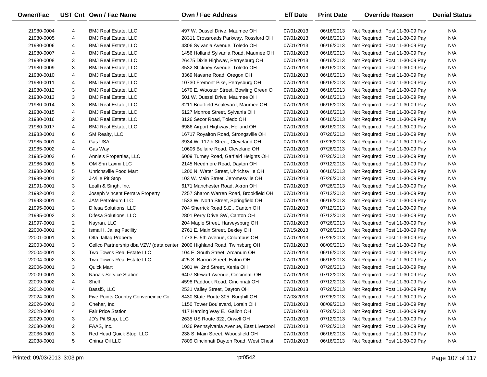| Owner/Fac  |                | UST Cnt Own / Fac Name                                                   | Own / Fac Address                        | <b>Eff Date</b> | <b>Print Date</b> | <b>Override Reason</b>          | <b>Denial Status</b> |
|------------|----------------|--------------------------------------------------------------------------|------------------------------------------|-----------------|-------------------|---------------------------------|----------------------|
|            |                |                                                                          |                                          |                 |                   |                                 |                      |
| 21980-0004 | 4              | <b>BMJ Real Estate, LLC</b>                                              | 497 W. Dussel Drive, Maumee OH           | 07/01/2013      | 06/16/2013        | Not Required: Post 11-30-09 Pay | N/A                  |
| 21980-0005 | 4              | <b>BMJ Real Estate, LLC</b>                                              | 28311 Crossroads Parkway, Rossford OH    | 07/01/2013      | 06/16/2013        | Not Required: Post 11-30-09 Pay | N/A                  |
| 21980-0006 | 4              | <b>BMJ Real Estate, LLC</b>                                              | 4306 Sylvania Avenue, Toledo OH          | 07/01/2013      | 06/16/2013        | Not Required: Post 11-30-09 Pay | N/A                  |
| 21980-0007 | 4              | <b>BMJ Real Estate, LLC</b>                                              | 1456 Holland Sylvania Road, Maumee OH    | 07/01/2013      | 06/16/2013        | Not Required: Post 11-30-09 Pay | N/A                  |
| 21980-0008 | 3              | <b>BMJ Real Estate, LLC</b>                                              | 26475 Dixie Highway, Perrysburg OH       | 07/01/2013      | 06/16/2013        | Not Required: Post 11-30-09 Pay | N/A                  |
| 21980-0009 | 3              | <b>BMJ Real Estate, LLC</b>                                              | 3532 Stickney Avenue, Toledo OH          | 07/01/2013      | 06/16/2013        | Not Required: Post 11-30-09 Pay | N/A                  |
| 21980-0010 | 4              | <b>BMJ Real Estate, LLC</b>                                              | 3369 Navarre Road, Oregon OH             | 07/01/2013      | 06/16/2013        | Not Required: Post 11-30-09 Pay | N/A                  |
| 21980-0011 | 4              | <b>BMJ Real Estate, LLC</b>                                              | 10730 Fremont Pike, Perrysburg OH        | 07/01/2013      | 06/16/2013        | Not Required: Post 11-30-09 Pay | N/A                  |
| 21980-0012 | 3              | <b>BMJ Real Estate, LLC</b>                                              | 1670 E. Wooster Street, Bowling Green O  | 07/01/2013      | 06/16/2013        | Not Required: Post 11-30-09 Pay | N/A                  |
| 21980-0013 | 3              | <b>BMJ Real Estate, LLC</b>                                              | 501 W. Dussel Drive, Maumee OH           | 07/01/2013      | 06/16/2013        | Not Required: Post 11-30-09 Pay | N/A                  |
| 21980-0014 | 3              | <b>BMJ Real Estate, LLC</b>                                              | 3211 Briarfield Boulevard, Maumee OH     | 07/01/2013      | 06/16/2013        | Not Required: Post 11-30-09 Pay | N/A                  |
| 21980-0015 | 4              | <b>BMJ Real Estate, LLC</b>                                              | 6127 Monroe Street, Sylvania OH          | 07/01/2013      | 06/16/2013        | Not Required: Post 11-30-09 Pay | N/A                  |
| 21980-0016 | $\overline{2}$ | <b>BMJ Real Estate, LLC</b>                                              | 3126 Secor Road, Toledo OH               | 07/01/2013      | 06/16/2013        | Not Required: Post 11-30-09 Pay | N/A                  |
| 21980-0017 | 4              | <b>BMJ Real Estate, LLC</b>                                              | 6986 Airport Highway, Holland OH         | 07/01/2013      | 06/16/2013        | Not Required: Post 11-30-09 Pay | N/A                  |
| 21983-0001 | 6              | SM Realty, LLC                                                           | 16717 Royalton Road, Strongsville OH     | 07/01/2013      | 07/26/2013        | Not Required: Post 11-30-09 Pay | N/A                  |
| 21985-0001 | 4              | Gas USA                                                                  | 3934 W. 117th Street, Cleveland OH       | 07/01/2013      | 07/26/2013        | Not Required: Post 11-30-09 Pay | N/A                  |
| 21985-0002 | 4              | Gas Way                                                                  | 10606 Bellaire Road, Cleveland OH        | 07/01/2013      | 07/26/2013        | Not Required: Post 11-30-09 Pay | N/A                  |
| 21985-0003 | 6              | Annie's Properties, LLC                                                  | 6009 Turney Road, Garfield Heights OH    | 07/01/2013      | 07/26/2013        | Not Required: Post 11-30-09 Pay | N/A                  |
| 21986-0001 | 5              | OM Shri Laxmi LLC                                                        | 2145 Needmore Road, Dayton OH            | 07/01/2013      | 07/12/2013        | Not Required: Post 11-30-09 Pay | N/A                  |
| 21988-0001 | 5              | Uhrichsville Food Mart                                                   | 1200 N. Water Street, Uhrichsville OH    | 07/01/2013      | 06/16/2013        | Not Required: Post 11-30-09 Pay | N/A                  |
| 21989-0001 | $\overline{2}$ | J-Ville Pit Stop                                                         | 103 W. Main Street, Jeromesville OH      | 07/01/2013      | 07/26/2013        | Not Required: Post 11-30-09 Pay | N/A                  |
| 21991-0001 | 3              | Lealh & Singh, Inc.                                                      | 6171 Manchester Road, Akron OH           | 07/01/2013      | 07/26/2013        | Not Required: Post 11-30-09 Pay | N/A                  |
| 21992-0001 | 3              | Joseph Vincent Ferrara Property                                          | 7257 Sharon Warren Road, Brookfield OH   | 07/01/2013      | 07/12/2013        | Not Required: Post 11-30-09 Pay | N/A                  |
| 21993-0001 | 4              | JAM Petroleum LLC                                                        | 1533 W. North Street, Springfield OH     | 07/01/2013      | 06/16/2013        | Not Required: Post 11-30-09 Pay | N/A                  |
| 21995-0001 | 3              | Difesa Solutions, LLC                                                    | 704 Sherrick Road S.E., Canton OH        | 07/01/2013      | 07/12/2013        | Not Required: Post 11-30-09 Pay | N/A                  |
| 21995-0002 | 3              | Difesa Solutions, LLC                                                    | 2801 Perry Drive SW, Canton OH           | 07/01/2013      | 07/12/2013        | Not Required: Post 11-30-09 Pay | N/A                  |
| 21997-0001 | $\overline{2}$ | Nayran, LLC                                                              | 204 Maple Street, Harveysburg OH         | 07/01/2013      | 07/26/2013        | Not Required: Post 11-30-09 Pay | N/A                  |
| 22000-0001 | $\overline{2}$ | Ismail I. Jallaq Facility                                                | 2761 E. Main Street, Bexley OH           | 07/15/2013      | 07/26/2013        | Not Required: Post 11-30-09 Pay | N/A                  |
| 22001-0001 | 3              | Otta Jallag Property                                                     | 1773 E. 5th Avenue, Columbus OH          | 07/01/2013      | 07/26/2013        | Not Required: Post 11-30-09 Pay | N/A                  |
| 22003-0001 | 3              | Cellco Partnership dba VZW (data center 2000 Highland Road, Twinsburg OH |                                          | 07/01/2013      | 08/09/2013        | Not Required: Post 11-30-09 Pay | N/A                  |
| 22004-0001 | 3              | Two Towns Real Estate LLC                                                | 104 E. South Street, Arcanum OH          | 07/01/2013      | 06/16/2013        | Not Required: Post 11-30-09 Pay | N/A                  |
| 22004-0002 | 3              | Two Towns Real Estate LLC                                                | 425 S. Barron Street, Eaton OH           | 07/01/2013      | 06/16/2013        | Not Required: Post 11-30-09 Pay | N/A                  |
| 22006-0001 | 3              | Quick Mart                                                               | 1901 W. 2nd Street, Xenia OH             | 07/01/2013      | 07/26/2013        | Not Required: Post 11-30-09 Pay | N/A                  |
| 22009-0001 | 3              | Nana's Service Station                                                   | 6407 Stewart Avenue, Cincinnati OH       | 07/01/2013      | 07/12/2013        | Not Required: Post 11-30-09 Pay | N/A                  |
| 22009-0002 | 4              | Shell                                                                    | 4598 Paddock Road, Cincinnati OH         | 07/01/2013      | 07/12/2013        | Not Required: Post 11-30-09 Pay | N/A                  |
| 22012-0001 | 4              | Bassi5, LLC                                                              | 2531 Valley Street, Dayton OH            | 07/01/2013      | 07/26/2013        | Not Required: Post 11-30-09 Pay | N/A                  |
| 22024-0001 | 3              | Five Points Country Conveneince Co.                                      | 8430 State Route 305, Burghill OH        | 07/03/2013      | 07/26/2013        | Not Required: Post 11-30-09 Pay | N/A                  |
| 22026-0001 | 3              | Chehar, Inc.                                                             | 1150 Tower Boulevard, Lorain OH          | 07/01/2013      | 08/09/2013        | Not Required: Post 11-30-09 Pay | N/A                  |
| 22028-0001 | 4              | <b>Fair Price Station</b>                                                | 417 Harding Way E., Galion OH            | 07/01/2013      | 07/26/2013        | Not Required: Post 11-30-09 Pay | N/A                  |
| 22029-0001 | 3              | JD's Pit Stop, LLC                                                       | 2635 US Route 322, Orwell OH             | 07/01/2013      | 07/12/2013        | Not Required: Post 11-30-09 Pay | N/A                  |
| 22030-0001 | 2              | FAAS, Inc.                                                               | 1036 Pennsylvania Avenue, East Liverpool | 07/01/2013      | 07/26/2013        | Not Required: Post 11-30-09 Pay | N/A                  |
| 22036-0001 | 3              | Red Head Quick Stop, LLC                                                 | 238 S. Main Street, Woodsfield OH        | 07/01/2013      | 06/16/2013        | Not Required: Post 11-30-09 Pay | N/A                  |
| 22038-0001 | 5              | Chinar Oil LLC                                                           | 7809 Cincinnati Dayton Road, West Chest  | 07/01/2013      | 06/16/2013        | Not Required: Post 11-30-09 Pay | N/A                  |
|            |                |                                                                          |                                          |                 |                   |                                 |                      |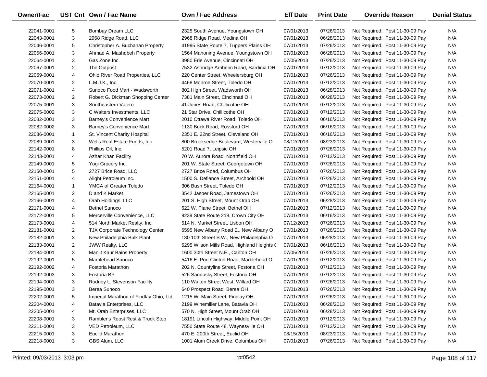| <b>Owner/Fac</b> |                | UST Cnt Own / Fac Name                  | <b>Own / Fac Address</b>                   | <b>Eff Date</b> | <b>Print Date</b> | <b>Override Reason</b>          | <b>Denial Status</b> |
|------------------|----------------|-----------------------------------------|--------------------------------------------|-----------------|-------------------|---------------------------------|----------------------|
| 22041-0001       | 5              | Bombay Dream LLC                        | 2325 South Avenue, Youngstown OH           | 07/01/2013      | 07/26/2013        | Not Required: Post 11-30-09 Pay | N/A                  |
| 22043-0001       | 3              | 2968 Ridge Road, LLC                    | 2968 Ridge Road, Medina OH                 | 07/01/2013      | 06/28/2013        | Not Required: Post 11-30-09 Pay | N/A                  |
| 22046-0001       | 5              | Christopher A. Buchanan Property        | 41995 State Route 7, Tuppers Plains OH     | 07/01/2013      | 07/26/2013        | Not Required: Post 11-30-09 Pay | N/A                  |
| 22056-0001       | 3              | Ahmad A. Mashqbeh Property              | 1564 Mahoning Avenue, Youngstown OH        | 07/01/2013      | 06/28/2013        | Not Required: Post 11-30-09 Pay | N/A                  |
| 22064-0001       | 3              | Gas Zone Inc.                           | 3980 Erie Avenue, Cincinnati OH            | 07/05/2013      | 07/26/2013        | Not Required: Post 11-30-09 Pay | N/A                  |
| 22067-0001       | $\overline{2}$ | The Outpost                             | 7532 Ashridge Arnheim Road, Sardinia OH    | 07/01/2013      | 07/12/2013        | Not Required: Post 11-30-09 Pay | N/A                  |
| 22069-0001       | 4              | Ohio River Road Properties, LLC         | 220 Center Street, Wheelersburg OH         | 07/01/2013      | 07/26/2013        | Not Required: Post 11-30-09 Pay | N/A                  |
| 22070-0001       | $\overline{2}$ | L.M.J.K., Inc.                          | 4468 Monroe Street, Toledo OH              | 07/01/2013      | 07/12/2013        | Not Required: Post 11-30-09 Pay | N/A                  |
| 22071-0001       | 4              | Sunoco Food Mart - Wadsworth            | 802 High Street, Wadsworth OH              | 07/01/2013      | 06/28/2013        | Not Required: Post 11-30-09 Pay | N/A                  |
| 22073-0001       | $\overline{2}$ | Robert G. Dickman Shopping Center       | 7381 Main Street, Cincinnati OH            | 07/01/2013      | 06/28/2013        | Not Required: Post 11-30-09 Pay | N/A                  |
| 22075-0001       | 3              | Southeastern Valero                     | 41 Jones Road, Chillicothe OH              | 07/01/2013      | 07/12/2013        | Not Required: Post 11-30-09 Pay | N/A                  |
| 22075-0002       | 3              | C Walters Investments, LLC              | 21 Star Drive, Chillicothe OH              | 07/01/2013      | 07/12/2013        | Not Required: Post 11-30-09 Pay | N/A                  |
| 22082-0001       | 3              | Barney's Convenience Mart               | 2010 Ottawa River Road, Toledo OH          | 07/01/2013      | 06/16/2013        | Not Required: Post 11-30-09 Pay | N/A                  |
| 22082-0002       | 3              | Barney's Convenience Mart               | 1130 Buck Road, Rossford OH                | 07/01/2013      | 06/16/2013        | Not Required: Post 11-30-09 Pay | N/A                  |
| 22086-0001       | $\mathbf{1}$   | St. Vincent Charity Hospital            | 2351 E. 22nd Street, Cleveland OH          | 07/01/2013      | 06/16/2013        | Not Required: Post 11-30-09 Pay | N/A                  |
| 22089-0001       | 3              | Wells Real Estate Funds, Inc.           | 800 Brooksedge Boulevard, Westerville O    | 08/12/2013      | 08/23/2013        | Not Required: Post 11-30-09 Pay | N/A                  |
| 22142-0001       | 8              | Phillips Oil, Inc.                      | 5201 Road 7, Leipsic OH                    | 07/01/2013      | 07/26/2013        | Not Required: Post 11-30-09 Pay | N/A                  |
| 22143-0001       | 4              | Azhar Khan Facility                     | 70 W. Aurora Road, Northfield OH           | 07/01/2013      | 07/12/2013        | Not Required: Post 11-30-09 Pay | N/A                  |
| 22149-0001       | 5              | Yogi Grocery Inc.                       | 201 W. State Street, Georgetown OH         | 07/01/2013      | 07/26/2013        | Not Required: Post 11-30-09 Pay | N/A                  |
| 22150-0001       | 5              | 2727 Brice Road, LLC                    | 2727 Brice Road, Columbus OH               | 07/01/2013      | 07/26/2013        | Not Required: Post 11-30-09 Pay | N/A                  |
| 22151-0001       | 4              | Alight Petroleum Inc.                   | 1500 S. Defiance Street, Archbold OH       | 07/01/2013      | 07/26/2013        | Not Required: Post 11-30-09 Pay | N/A                  |
| 22164-0001       | $\mathbf{1}$   | YMCA of Greater Toledo                  | 306 Bush Street, Toledo OH                 | 07/01/2013      | 07/12/2013        | Not Required: Post 11-30-09 Pay | N/A                  |
| 22165-0001       | $\overline{2}$ | D and K Market                          | 3542 Jasper Road, Jamestown OH             | 07/01/2013      | 07/26/2013        | Not Required: Post 11-30-09 Pay | N/A                  |
| 22166-0001       | 4              | Orab Holdings, LLC                      | 201 S. High Street, Mount Orab OH          | 07/01/2013      | 06/28/2013        | Not Required: Post 11-30-09 Pay | N/A                  |
| 22171-0001       | 4              | <b>Bethel Sunoco</b>                    | 622 W. Plane Street, Bethel OH             | 07/01/2013      | 07/12/2013        | Not Required: Post 11-30-09 Pay | N/A                  |
| 22172-0001       | 5              | Mercerville Convenience, LLC            | 9239 State Route 218, Crown City OH        | 07/01/2013      | 06/16/2013        | Not Required: Post 11-30-09 Pay | N/A                  |
| 22173-0001       | 4              | 514 North Market Realty, Inc.           | 514 N. Market Street, Lisbon OH            | 07/12/2013      | 07/26/2013        | Not Required: Post 11-30-09 Pay | N/A                  |
| 22181-0001       | $\overline{2}$ | TJX Corporate Technology Center         | 6595 New Albany Road E., New Albany O      | 07/01/2013      | 07/26/2013        | Not Required: Post 11-30-09 Pay | N/A                  |
| 22182-0001       | 3              | New Philadelphia Bulk Plant             | 130 10th Street S.W., New Philadelphia O   | 07/01/2013      | 06/28/2013        | Not Required: Post 11-30-09 Pay | N/A                  |
| 22183-0001       | $\overline{2}$ | JWW Realty, LLC                         | 6295 Wilson Mills Road, Highland Heights ( | 07/01/2013      | 06/16/2013        | Not Required: Post 11-30-09 Pay | N/A                  |
| 22184-0001       | 3              | Manjit Kaur Bains Property              | 1600 30th Street N.E., Canton OH           | 07/05/2013      | 07/26/2013        | Not Required: Post 11-30-09 Pay | N/A                  |
| 22192-0001       | 5              | Marblehead Sunoco                       | 5416 E. Port Clinton Road, Marblehead O    | 07/01/2013      | 07/12/2013        | Not Required: Post 11-30-09 Pay | N/A                  |
| 22192-0002       | 4              | <b>Fostoria Marathon</b>                | 202 N. Countyline Street, Fostoria OH      | 07/01/2013      | 07/12/2013        | Not Required: Post 11-30-09 Pay | N/A                  |
| 22192-0003       | 3              | Fostoria BP                             | 526 Sandusky Street, Fostoria OH           | 07/01/2013      | 07/12/2013        | Not Required: Post 11-30-09 Pay | N/A                  |
| 22194-0001       | 3              | Rodney L. Stevenson Facility            | 110 Walton Street West, Willard OH         | 07/01/2013      | 07/26/2013        | Not Required: Post 11-30-09 Pay | N/A                  |
| 22195-0001       | 3              | Berea Sunoco                            | 640 Prospect Road, Berea OH                | 07/01/2013      | 07/26/2013        | Not Required: Post 11-30-09 Pay | N/A                  |
| 22202-0001       | 5              | Imperial Marathon of Findlay Ohio, Ltd. | 1215 W. Main Street, Findlay OH            | 07/01/2013      | 07/26/2013        | Not Required: Post 11-30-09 Pay | N/A                  |
| 22204-0001       | 4              | Batavia Enterprises, LLC                | 2199 Winemiller Lane, Batavia OH           | 07/01/2013      | 06/28/2013        | Not Required: Post 11-30-09 Pay | N/A                  |
| 22205-0001       | 4              | Mt. Orab Enterprises, LLC               | 570 N. High Street, Mount Orab OH          | 07/01/2013      | 06/28/2013        | Not Required: Post 11-30-09 Pay | N/A                  |
| 22208-0001       | 3              | Rambler's Roost Rest & Truck Stop       | 18191 Lincoln Highway, Middle Point OH     | 07/01/2013      | 07/12/2013        | Not Required: Post 11-30-09 Pay | N/A                  |
| 22211-0001       | 3              | VED Petroleum, LLC                      | 7550 State Route 48, Waynesville OH        | 07/01/2013      | 07/12/2013        | Not Required: Post 11-30-09 Pay | N/A                  |
| 22215-0001       | 3              | <b>Euclid Marathon</b>                  | 470 E. 200th Street, Euclid OH             | 08/15/2013      | 08/23/2013        | Not Required: Post 11-30-09 Pay | N/A                  |
| 22218-0001       | 3              | GBS Alum, LLC                           | 1001 Alum Creek Drive, Columbus OH         | 07/01/2013      | 07/26/2013        | Not Required: Post 11-30-09 Pay | N/A                  |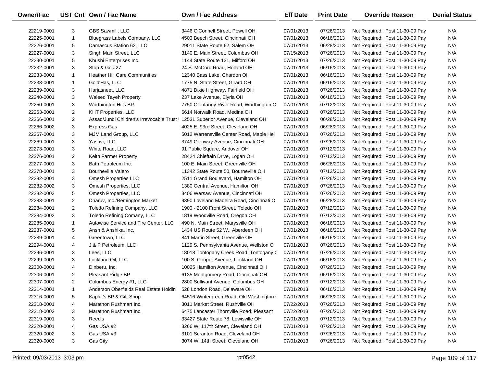| Owner/Fac  |                | UST Cnt Own / Fac Name                                                         | <b>Own / Fac Address</b>                 | <b>Eff Date</b> | <b>Print Date</b> | <b>Override Reason</b>          | <b>Denial Status</b> |
|------------|----------------|--------------------------------------------------------------------------------|------------------------------------------|-----------------|-------------------|---------------------------------|----------------------|
| 22219-0001 | 3              | GBS Sawmill, LLC                                                               | 3446 O'Connell Street, Powell OH         | 07/01/2013      | 07/26/2013        | Not Required: Post 11-30-09 Pay | N/A                  |
| 22225-0001 | $\mathbf{1}$   | Bluegrass Labels Company, LLC                                                  | 4500 Beech Street, Cincinnati OH         | 07/01/2013      | 06/16/2013        | Not Required: Post 11-30-09 Pay | N/A                  |
| 22226-0001 | 5              | Damascus Station 62, LLC                                                       | 29011 State Route 62, Salem OH           | 07/01/2013      | 06/28/2013        | Not Required: Post 11-30-09 Pay | N/A                  |
| 22227-0001 | 3              | Singh Main Street, LLC                                                         | 3140 E. Main Street, Columbus OH         | 07/15/2013      | 07/26/2013        | Not Required: Post 11-30-09 Pay | N/A                  |
| 22230-0001 | 5              | Khushi Enterprises Inc.                                                        | 1144 State Route 131, Milford OH         | 07/01/2013      | 07/26/2013        | Not Required: Post 11-30-09 Pay | N/A                  |
| 22232-0001 | 3              | Stop & Go #27                                                                  | 24 S. McCord Road, Holland OH            | 07/01/2013      | 06/16/2013        | Not Required: Post 11-30-09 Pay | N/A                  |
| 22233-0001 | $\mathbf{1}$   | <b>Heather Hill Care Communities</b>                                           | 12340 Bass Lake, Chardon OH              | 07/01/2013      | 06/16/2013        | Not Required: Post 11-30-09 Pay | N/A                  |
| 22238-0001 | $\mathbf{1}$   | Gold'Has, LLC                                                                  | 1775 N. State Street, Girard OH          | 07/01/2013      | 06/16/2013        | Not Required: Post 11-30-09 Pay | N/A                  |
| 22239-0001 | 3              | Harjasneet, LLC                                                                | 4871 Dixie Highway, Fairfield OH         | 07/01/2013      | 07/26/2013        | Not Required: Post 11-30-09 Pay | N/A                  |
| 22240-0001 | 3              | <b>Waleed Tayeh Property</b>                                                   | 237 Lake Avenue, Elyria OH               | 07/01/2013      | 06/16/2013        | Not Required: Post 11-30-09 Pay | N/A                  |
| 22250-0001 | 3              | Worthington Hills BP                                                           | 7750 Olentangy River Road, Worthington O | 07/01/2013      | 07/12/2013        | Not Required: Post 11-30-09 Pay | N/A                  |
| 22263-0001 | $\overline{c}$ | <b>KHT Properties, LLC</b>                                                     | 6614 Norwalk Road, Medina OH             | 07/01/2013      | 07/26/2013        | Not Required: Post 11-30-09 Pay | N/A                  |
| 22266-0001 | $\overline{2}$ | Assad/Jundi Children's Irrevocable Trust   12531 Superior Avenue, Cleveland OH |                                          | 07/01/2013      | 06/28/2013        | Not Required: Post 11-30-09 Pay | N/A                  |
| 22266-0002 | 3              | Express Gas                                                                    | 4025 E. 93rd Street, Cleveland OH        | 07/01/2013      | 06/28/2013        | Not Required: Post 11-30-09 Pay | N/A                  |
| 22267-0001 | 3              | MJM Land Group, LLC                                                            | 5012 Warrensville Center Road, Maple Hei | 07/01/2013      | 07/26/2013        | Not Required: Post 11-30-09 Pay | N/A                  |
| 22269-0001 | 3              | Yashvi, LLC                                                                    | 3749 Glenway Avenue, Cincinnati OH       | 07/01/2013      | 07/26/2013        | Not Required: Post 11-30-09 Pay | N/A                  |
| 22273-0001 | 3              | White Road, LLC                                                                | 91 Public Square, Andover OH             | 07/01/2013      | 07/12/2013        | Not Required: Post 11-30-09 Pay | N/A                  |
| 22276-0001 | $\overline{c}$ | Keith Farmer Property                                                          | 28424 Chieftain Drive, Logan OH          | 07/01/2013      | 07/12/2013        | Not Required: Post 11-30-09 Pay | N/A                  |
| 22277-0001 | 3              | Bath Petroleum Inc.                                                            | 100 E. Main Street, Greenville OH        | 07/01/2013      | 06/28/2013        | Not Required: Post 11-30-09 Pay | N/A                  |
| 22278-0001 | 3              | <b>Bourneville Valero</b>                                                      | 11342 State Route 50, Bourneville OH     | 07/01/2013      | 07/12/2013        | Not Required: Post 11-30-09 Pay | N/A                  |
| 22282-0001 | 3              | <b>Omesh Properties LLC</b>                                                    | 2511 Grand Boulevard, Hamilton OH        | 07/01/2013      | 07/26/2013        | Not Required: Post 11-30-09 Pay | N/A                  |
| 22282-0002 | 3              | Omesh Properties, LLC                                                          | 1380 Central Avenue, Hamilton OH         | 07/01/2013      | 07/26/2013        | Not Required: Post 11-30-09 Pay | N/A                  |
| 22282-0003 | 5              | Omesh Properties, LLC                                                          | 3406 Warsaw Avenue, Cincinnati OH        | 07/01/2013      | 07/26/2013        | Not Required: Post 11-30-09 Pay | N/A                  |
| 22283-0001 | $\overline{c}$ | Dharuv, Inc./Remington Market                                                  | 9390 Loveland Madeira Road, Cincinnati O | 07/01/2013      | 06/28/2013        | Not Required: Post 11-30-09 Pay | N/A                  |
| 22284-0001 | $\overline{c}$ | Toledo Refining Company, LLC                                                   | 1900 - 2100 Front Street, Toledo OH      | 07/01/2013      | 07/12/2013        | Not Required: Post 11-30-09 Pay | N/A                  |
| 22284-0002 | 3              | Toledo Refining Comany, LLC                                                    | 1819 Woodville Road, Oregon OH           | 07/01/2013      | 07/12/2013        | Not Required: Post 11-30-09 Pay | N/A                  |
| 22285-0001 | $\mathbf{1}$   | Autowise Service and Tire Center, LLC                                          | 490 N. Main Street, Marysville OH        | 07/01/2013      | 06/16/2013        | Not Required: Post 11-30-09 Pay | N/A                  |
| 22287-0001 | 5              | Ansh & Anshika, Inc.                                                           | 1434 US Route 52 W., Aberdeen OH         | 07/01/2013      | 06/16/2013        | Not Required: Post 11-30-09 Pay | N/A                  |
| 22289-0001 | 4              | Greentown, LLC                                                                 | 841 Martin Street, Greenville OH         | 07/01/2013      | 06/16/2013        | Not Required: Post 11-30-09 Pay | N/A                  |
| 22294-0001 | 4              | J & P Petroleum, LLC                                                           | 1129 S. Pennsylvania Avenue, Wellston O  | 07/01/2013      | 07/26/2013        | Not Required: Post 11-30-09 Pay | N/A                  |
| 22296-0001 | 3              | Lees, LLC                                                                      | 18018 Tontogany Creek Road, Tontogany (  | 07/01/2013      | 07/26/2013        | Not Required: Post 11-30-09 Pay | N/A                  |
| 22299-0001 | 3              | Lockland Oil, LLC                                                              | 100 S. Cooper Avenue, Lockland OH        | 07/01/2013      | 06/16/2013        | Not Required: Post 11-30-09 Pay | N/A                  |
| 22300-0001 | 4              | Dinberu, Inc.                                                                  | 10025 Hamilton Avenue, Cincinnati OH     | 07/01/2013      | 07/26/2013        | Not Required: Post 11-30-09 Pay | N/A                  |
| 22306-0001 | $\overline{2}$ | Pleasant Ridge BP                                                              | 6135 Montgomery Road, Cincinnati OH      | 07/01/2013      | 06/16/2013        | Not Required: Post 11-30-09 Pay | N/A                  |
| 22307-0001 | $\overline{2}$ | Columbus Energy #1, LLC                                                        | 2800 Sullivant Avenue, Columbus OH       | 07/01/2013      | 07/12/2013        | Not Required: Post 11-30-09 Pay | N/A                  |
| 22314-0001 | 1              | Anderson Oberfields Real Estate Holdin                                         | 528 London Road, Delaware OH             | 07/01/2013      | 06/16/2013        | Not Required: Post 11-30-09 Pay | N/A                  |
| 22316-0001 | 5              | Kaplet's BP & Gift Shop                                                        | 64516 Wintergreen Road, Old Washington   | 07/01/2013      | 06/28/2013        | Not Required: Post 11-30-09 Pay | N/A                  |
| 22318-0001 | 4              | Marathon Rushmart Inc.                                                         | 3011 Market Street, Rushville OH         | 07/22/2013      | 07/26/2013        | Not Required: Post 11-30-09 Pay | N/A                  |
| 22318-0002 | 3              | Marathon Rushmart Inc.                                                         | 6475 Lancaster Thornville Road, Pleasant | 07/22/2013      | 07/26/2013        | Not Required: Post 11-30-09 Pay | N/A                  |
| 22319-0001 | 3              | Reed's                                                                         | 33427 State Route 78, Lewisville OH      | 07/01/2013      | 07/12/2013        | Not Required: Post 11-30-09 Pay | N/A                  |
| 22320-0001 | 4              | Gas USA #2                                                                     | 3266 W. 117th Street, Cleveland OH       | 07/01/2013      | 07/26/2013        | Not Required: Post 11-30-09 Pay | N/A                  |
| 22320-0002 | 3              | Gas USA #3                                                                     | 3101 Scranton Road, Cleveland OH         | 07/01/2013      | 07/26/2013        | Not Required: Post 11-30-09 Pay | N/A                  |
| 22320-0003 | 3              | Gas City                                                                       | 3074 W. 14th Street, Cleveland OH        | 07/01/2013      | 07/26/2013        | Not Required: Post 11-30-09 Pay | N/A                  |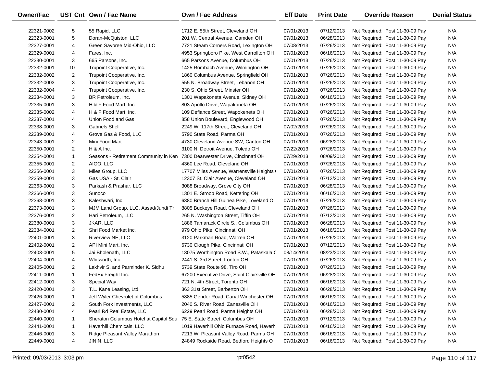| Owner/Fac  |                | UST Cnt Own / Fac Name                                                     | <b>Own / Fac Address</b>                    | <b>Eff Date</b> | <b>Print Date</b> | <b>Override Reason</b>          | <b>Denial Status</b> |
|------------|----------------|----------------------------------------------------------------------------|---------------------------------------------|-----------------|-------------------|---------------------------------|----------------------|
| 22321-0002 | 5              | 55 Rapid, LLC                                                              | 1712 E. 55th Street, Cleveland OH           | 07/01/2013      | 07/12/2013        | Not Required: Post 11-30-09 Pay | N/A                  |
| 22323-0001 | 5              | Doran-McQuiston, LLC                                                       | 201 W. Central Avenue, Camden OH            | 07/01/2013      | 06/28/2013        | Not Required: Post 11-30-09 Pay | N/A                  |
| 22327-0001 | 4              | Green Savoree Mid-Ohio, LLC                                                | 7721 Steam Corners Road, Lexington OH       | 07/08/2013      | 07/26/2013        | Not Required: Post 11-30-09 Pay | N/A                  |
| 22329-0001 | 4              | Fares, Inc.                                                                | 4953 Springboro Pike, West Carrollton OH    | 07/01/2013      | 06/16/2013        | Not Required: Post 11-30-09 Pay | N/A                  |
| 22330-0001 | 3              | 665 Parsons, Inc.                                                          | 665 Parsons Avenue, Columbus OH             | 07/01/2013      | 07/26/2013        | Not Required: Post 11-30-09 Pay | N/A                  |
| 22332-0001 | 10             | Trupoint Cooperative, Inc.                                                 | 1425 Rombach Avenue, Wilmington OH          | 07/01/2013      | 07/26/2013        | Not Required: Post 11-30-09 Pay | N/A                  |
| 22332-0002 | $\overline{2}$ | Trupoint Cooperative, Inc.                                                 | 1860 Columbus Avenue, Springfield OH        | 07/01/2013      | 07/26/2013        | Not Required: Post 11-30-09 Pay | N/A                  |
| 22332-0003 | 3              | Trupoint Cooperative, Inc.                                                 | 555 N. Broadway Street, Lebanon OH          | 07/01/2013      | 07/26/2013        | Not Required: Post 11-30-09 Pay | N/A                  |
| 22332-0004 | 4              | Trupoint Cooperative, Inc.                                                 | 230 S. Ohio Street, Minster OH              | 07/01/2013      | 07/26/2013        | Not Required: Post 11-30-09 Pay | N/A                  |
| 22334-0001 | 3              | BR Petroleum, Inc.                                                         | 1301 Wapakoneta Avenue, Sidney OH           | 07/01/2013      | 06/16/2013        | Not Required: Post 11-30-09 Pay | N/A                  |
| 22335-0001 | 3              | H & F Food Mart, Inc.                                                      | 803 Apollo Drive, Wapakoneta OH             | 07/01/2013      | 07/26/2013        | Not Required: Post 11-30-09 Pay | N/A                  |
| 22335-0002 | 4              | H & F Food Mart, Inc.                                                      | 109 Defiance Street, Wapokeneta OH          | 07/01/2013      | 07/26/2013        | Not Required: Post 11-30-09 Pay | N/A                  |
| 22337-0001 | 4              | Union Food and Gas                                                         | 858 Union Boulevard, Englewood OH           | 07/01/2013      | 07/26/2013        | Not Required: Post 11-30-09 Pay | N/A                  |
| 22338-0001 | 3              | <b>Gabriels Shell</b>                                                      | 2249 W. 117th Street, Cleveland OH          | 07/02/2013      | 07/26/2013        | Not Required: Post 11-30-09 Pay | N/A                  |
| 22339-0001 | 4              | Grove Gas & Food, LLC                                                      | 5790 State Road, Parma OH                   | 07/01/2013      | 07/26/2013        | Not Required: Post 11-30-09 Pay | N/A                  |
| 22343-0001 | $\overline{2}$ | Mini Food Mart                                                             | 4730 Cleveland Avenue SW, Canton OH         | 07/01/2013      | 06/28/2013        | Not Required: Post 11-30-09 Pay | N/A                  |
| 22350-0001 | $\overline{2}$ | $H$ & A Inc.                                                               | 3100 N. Detroit Avenue, Toledo OH           | 07/22/2013      | 07/26/2013        | Not Required: Post 11-30-09 Pay | N/A                  |
| 22354-0001 | $\mathbf{1}$   | Seasons - Retirement Community in Ken 7300 Dearwester Drive, Cincinnati OH |                                             | 07/29/2013      | 08/09/2013        | Not Required: Post 11-30-09 Pay | N/A                  |
| 22355-0001 | 2              | AIGO, LLC                                                                  | 4360 Lee Road, Cleveland OH                 | 07/01/2013      | 07/26/2013        | Not Required: Post 11-30-09 Pay | N/A                  |
| 22356-0001 | 3              | Miles Group, LLC                                                           | 17707 Miles Avenue, Warrensville Heights (  | 07/01/2013      | 07/26/2013        | Not Required: Post 11-30-09 Pay | N/A                  |
| 22359-0001 | 3              | Gas USA - St. Clair                                                        | 12307 St. Clair Avenue, Cleveland OH        | 07/01/2013      | 07/12/2013        | Not Required: Post 11-30-09 Pay | N/A                  |
| 22363-0001 | 3              | Parkash & Prashar, LLC                                                     | 3088 Broadway, Grove City OH                | 07/01/2013      | 06/28/2013        | Not Required: Post 11-30-09 Pay | N/A                  |
| 22366-0001 | 3              | Sunoco                                                                     | 1301 E. Stroop Road, Kettering OH           | 07/01/2013      | 06/16/2013        | Not Required: Post 11-30-09 Pay | N/A                  |
| 22368-0001 | 3              | Kaleshwari, Inc.                                                           | 6380 Branch Hill Guinea Pike, Loveland O    | 07/01/2013      | 07/26/2013        | Not Required: Post 11-30-09 Pay | N/A                  |
| 22373-0001 | 3              | MJM Land Group, LLC, Assad/Jundi Tr                                        | 8805 Buckeye Road, Cleveland OH             | 07/01/2013      | 07/26/2013        | Not Required: Post 11-30-09 Pay | N/A                  |
| 22376-0001 | 2              | Hari Petroleum, LLC                                                        | 265 N. Washington Street, Tiffin OH         | 07/01/2013      | 07/12/2013        | Not Required: Post 11-30-09 Pay | N/A                  |
| 22380-0001 | 3              | JKAR, LLC                                                                  | 1886 Tamarack Circle S., Columbus OH        | 07/01/2013      | 06/28/2013        | Not Required: Post 11-30-09 Pay | N/A                  |
| 22384-0001 | $\overline{2}$ | Shri Food Market Inc.                                                      | 979 Ohio Pike, Cincinnati OH                | 07/01/2013      | 06/16/2013        | Not Required: Post 11-30-09 Pay | N/A                  |
| 22401-0001 | 3              | Riverview NE, LLC                                                          | 3120 Parkman Road, Warren OH                | 07/01/2013      | 07/26/2013        | Not Required: Post 11-30-09 Pay | N/A                  |
| 22402-0001 | $\overline{2}$ | API Mini Mart, Inc.                                                        | 6730 Clough Pike, Cincinnati OH             | 07/01/2013      | 07/12/2013        | Not Required: Post 11-30-09 Pay | N/A                  |
| 22403-0001 | 5              | Jai Bholenath, LLC                                                         | 13075 Worthington Road S.W., Pataskala C    | 08/14/2013      | 08/23/2013        | Not Required: Post 11-30-09 Pay | N/A                  |
| 22404-0001 | 4              | Whitworth, Inc.                                                            | 2441 S. 3rd Street, Ironton OH              | 07/01/2013      | 07/26/2013        | Not Required: Post 11-30-09 Pay | N/A                  |
| 22405-0001 | $\overline{2}$ | Lakhvir S. and Parminder K. Sidhu                                          | 5739 State Route 98, Tiro OH                | 07/01/2013      | 07/26/2013        | Not Required: Post 11-30-09 Pay | N/A                  |
| 22411-0001 | $\mathbf{1}$   | FedEx Freight Inc.                                                         | 67200 Executive Drive, Saint Clairsville OH | 07/01/2013      | 06/28/2013        | Not Required: Post 11-30-09 Pay | N/A                  |
| 22412-0001 | 3              | Special Way                                                                | 721 N. 4th Street, Toronto OH               | 07/01/2013      | 06/16/2013        | Not Required: Post 11-30-09 Pay | N/A                  |
| 22420-0001 | 3              | T.L. Kane Leasing, Ltd.                                                    | 363 31st Street, Barberton OH               | 07/01/2013      | 06/28/2013        | Not Required: Post 11-30-09 Pay | N/A                  |
| 22426-0001 | $\mathbf{1}$   | Jeff Wyler Chevrolet of Columbus                                           | 5885 Gender Road, Canal Winchester OH       | 07/01/2013      | 06/16/2013        | Not Required: Post 11-30-09 Pay | N/A                  |
| 22427-0001 | 2              | South Fork Investments, LLC                                                | 2040 S. River Road, Zanesville OH           | 07/01/2013      | 06/16/2013        | Not Required: Post 11-30-09 Pay | N/A                  |
| 22430-0001 | 4              | Pearl Rd Real Estate, LLC                                                  | 6229 Pearl Road, Parma Heights OH           | 07/01/2013      | 06/28/2013        | Not Required: Post 11-30-09 Pay | N/A                  |
| 22440-0001 | $\mathbf{1}$   | Sheraton Columbus Hotel at Capitol Squ                                     | 75 E. State Street, Columbus OH             | 07/01/2013      | 07/12/2013        | Not Required: Post 11-30-09 Pay | N/A                  |
| 22441-0001 | $\mathbf{1}$   | Haverhill Chemicals, LLC                                                   | 1019 Haverhill Ohio Furnace Road, Haverh    | 07/01/2013      | 06/16/2013        | Not Required: Post 11-30-09 Pay | N/A                  |
| 22446-0001 | 3              | Ridge Pleasant Valley Marathon                                             | 7213 W. Pleasant Valley Road, Parma OH      | 07/01/2013      | 06/16/2013        | Not Required: Post 11-30-09 Pay | N/A                  |
| 22449-0001 | 4              | JININ, LLC                                                                 | 24849 Rockside Road, Bedford Heights O      | 07/01/2013      | 06/16/2013        | Not Required: Post 11-30-09 Pay | N/A                  |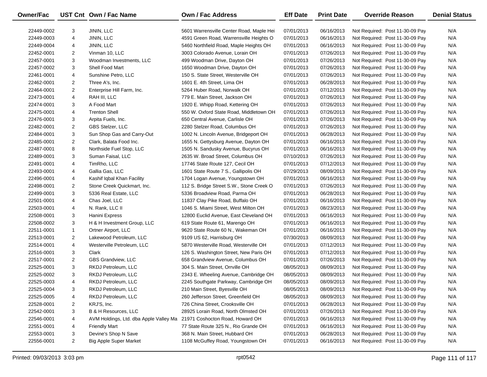| <b>Owner/Fac</b> |                | UST Cnt Own / Fac Name                 | <b>Own / Fac Address</b>                 | <b>Eff Date</b> | <b>Print Date</b> | <b>Override Reason</b>          | <b>Denial Status</b> |
|------------------|----------------|----------------------------------------|------------------------------------------|-----------------|-------------------|---------------------------------|----------------------|
| 22449-0002       | 3              | JININ, LLC                             | 5601 Warrensville Center Road, Maple Hei | 07/01/2013      | 06/16/2013        | Not Required: Post 11-30-09 Pay | N/A                  |
| 22449-0003       | 4              | JININ, LLC                             | 4591 Green Road, Warrensville Heights O  | 07/01/2013      | 06/16/2013        | Not Required: Post 11-30-09 Pay | N/A                  |
| 22449-0004       | 4              | JININ, LLC                             | 5460 Northfield Road, Maple Heights OH   | 07/01/2013      | 06/16/2013        | Not Required: Post 11-30-09 Pay | N/A                  |
| 22452-0001       | $\overline{2}$ | Vinman 10, LLC                         | 3003 Colorado Avenue, Lorain OH          | 07/01/2013      | 07/26/2013        | Not Required: Post 11-30-09 Pay | N/A                  |
| 22457-0001       | 3              | Woodman Investments, LLC               | 499 Woodman Drive, Dayton OH             | 07/01/2013      | 07/26/2013        | Not Required: Post 11-30-09 Pay | N/A                  |
| 22457-0002       | 3              | Shell Food Mart                        | 1650 Woodman Drive, Dayton OH            | 07/01/2013      | 07/26/2013        | Not Required: Post 11-30-09 Pay | N/A                  |
| 22461-0001       | 4              | Sunshine Petro, LLC                    | 150 S. State Street, Westerville OH      | 07/01/2013      | 07/26/2013        | Not Required: Post 11-30-09 Pay | N/A                  |
| 22462-0001       | $\overline{2}$ | Three A's, Inc.                        | 1601 E. 4th Street, Lima OH              | 07/01/2013      | 06/28/2013        | Not Required: Post 11-30-09 Pay | N/A                  |
| 22464-0001       | $\overline{2}$ | Enterprise Hill Farm, Inc.             | 5264 Huber Road, Norwalk OH              | 07/01/2013      | 07/12/2013        | Not Required: Post 11-30-09 Pay | N/A                  |
| 22473-0001       | 4              | RAH III, LLC                           | 779 E. Main Street, Jackson OH           | 07/01/2013      | 07/26/2013        | Not Required: Post 11-30-09 Pay | N/A                  |
| 22474-0001       | 3              | A Food Mart                            | 1920 E. Whipp Road, Kettering OH         | 07/01/2013      | 07/26/2013        | Not Required: Post 11-30-09 Pay | N/A                  |
| 22475-0001       | 4              | <b>Trenton Shell</b>                   | 550 W. Oxford State Road, Middletown OH  | 07/01/2013      | 07/26/2013        | Not Required: Post 11-30-09 Pay | N/A                  |
| 22476-0001       | 3              | Arpita Fuels, Inc.                     | 650 Central Avenue, Carlisle OH          | 07/01/2013      | 07/26/2013        | Not Required: Post 11-30-09 Pay | N/A                  |
| 22482-0001       | $\overline{2}$ | GBS Stelzer, LLC                       | 2280 Stelzer Road, Columbus OH           | 07/01/2013      | 07/26/2013        | Not Required: Post 11-30-09 Pay | N/A                  |
| 22484-0001       | 3              | Sun Shop Gas and Carry-Out             | 1002 N. Lincoln Avenue, Bridgeport OH    | 07/01/2013      | 06/28/2013        | Not Required: Post 11-30-09 Pay | N/A                  |
| 22485-0001       | $\overline{2}$ | Clark, Balata Food Inc.                | 1655 N. Gettysburg Avenue, Dayton OH     | 07/01/2013      | 06/16/2013        | Not Required: Post 11-30-09 Pay | N/A                  |
| 22487-0001       | 8              | Northside Fuel Stop, LLC               | 1505 N. Sandusky Avenue, Bucyrus OH      | 07/01/2013      | 06/16/2013        | Not Required: Post 11-30-09 Pay | N/A                  |
| 22489-0001       | 3              | Suman Faisal, LLC                      | 2635 W. Broad Street, Columbus OH        | 07/10/2013      | 07/26/2013        | Not Required: Post 11-30-09 Pay | N/A                  |
| 22491-0001       | 4              | TimRho, LLC                            | 17746 State Route 127, Cecil OH          | 07/01/2013      | 07/12/2013        | Not Required: Post 11-30-09 Pay | N/A                  |
| 22493-0001       | 4              | Gallia Gas, LLC                        | 1601 State Route 7 S., Gallipolis OH     | 07/29/2013      | 08/09/2013        | Not Required: Post 11-30-09 Pay | N/A                  |
| 22496-0001       | 4              | Kashif Iqbal Khan Facility             | 1704 Logan Avenue, Youngstown OH         | 07/01/2013      | 06/16/2013        | Not Required: Post 11-30-09 Pay | N/A                  |
| 22498-0001       | $\overline{2}$ | Stone Creek Quickmart, Inc.            | 112 S. Bridge Street S.W., Stone Creek O | 07/01/2013      | 07/26/2013        | Not Required: Post 11-30-09 Pay | N/A                  |
| 22499-0001       | 3              | 5336 Real Estate, LLC                  | 5336 Broadview Road, Parma OH            | 07/01/2013      | 06/28/2013        | Not Required: Post 11-30-09 Pay | N/A                  |
| 22501-0001       | 4              | Chas Joel, LLC                         | 11837 Clay Pike Road, Buffalo OH         | 07/01/2013      | 06/16/2013        | Not Required: Post 11-30-09 Pay | N/A                  |
| 22503-0001       | 4              | N. Rank, LLC II                        | 1046 S. Miami Street, West Milton OH     | 07/01/2013      | 08/23/2013        | Not Required: Post 11-30-09 Pay | N/A                  |
| 22508-0001       | 3              | Hanini Express                         | 12800 Euclid Avenue, East Cleveland OH   | 07/01/2013      | 06/16/2013        | Not Required: Post 11-30-09 Pay | N/A                  |
| 22508-0002       | 3              | H & H Investment Group, LLC            | 619 State Route 61, Marengo OH           | 07/01/2013      | 06/16/2013        | Not Required: Post 11-30-09 Pay | N/A                  |
| 22511-0001       | $\mathbf{1}$   | Ortner Airport, LLC                    | 9620 State Route 60 N., Wakeman OH       | 07/01/2013      | 06/16/2013        | Not Required: Post 11-30-09 Pay | N/A                  |
| 22513-0001       | $\overline{2}$ | Lakewood Petroleum, LLC                | 9109 US 62, Harrisburg OH                | 07/30/2013      | 08/09/2013        | Not Required: Post 11-30-09 Pay | N/A                  |
| 22514-0001       | 4              | Westerville Petroleum, LLC             | 5870 Westerville Road, Westerville OH    | 07/01/2013      | 07/12/2013        | Not Required: Post 11-30-09 Pay | N/A                  |
| 22516-0001       | 3              | Clark                                  | 126 S. Washington Street, New Paris OH   | 07/01/2013      | 07/12/2013        | Not Required: Post 11-30-09 Pay | N/A                  |
| 22517-0001       | $\overline{2}$ | GBS Grandview, LLC                     | 658 Grandview Avenue, Columbus OH        | 07/01/2013      | 07/26/2013        | Not Required: Post 11-30-09 Pay | N/A                  |
| 22525-0001       | 3              | RKDJ Petroleum, LLC                    | 304 S. Main Street, Orrville OH          | 08/05/2013      | 08/09/2013        | Not Required: Post 11-30-09 Pay | N/A                  |
| 22525-0002       | 3              | RKDJ Petroleum, LLC                    | 2343 E. Wheeling Avenue, Cambridge OH    | 08/05/2013      | 08/09/2013        | Not Required: Post 11-30-09 Pay | N/A                  |
| 22525-0003       | 4              | RKDJ Petroleum, LLC                    | 2245 Southgate Parkway, Cambridge OH     | 08/05/2013      | 08/09/2013        | Not Required: Post 11-30-09 Pay | N/A                  |
| 22525-0004       | 3              | RKDJ Petroleum, LLC                    | 210 Main Street, Byesville OH            | 08/05/2013      | 08/09/2013        | Not Required: Post 11-30-09 Pay | N/A                  |
| 22525-0005       | 4              | RKDJ Petroleum, LLC                    | 260 Jefferson Street, Greenfield OH      | 08/05/2013      | 08/09/2013        | Not Required: Post 11-30-09 Pay | N/A                  |
| 22528-0001       | 2              | KRJ'S, Inc.                            | 726 China Street, Crooksville OH         | 07/01/2013      | 06/28/2013        | Not Required: Post 11-30-09 Pay | N/A                  |
| 22542-0001       | 3              | B & H Resources, LLC                   | 28925 Lorain Road, North Olmsted OH      | 07/01/2013      | 07/26/2013        | Not Required: Post 11-30-09 Pay | N/A                  |
| 22546-0001       | 4              | AVM Holdings, Ltd. dba Apple Valley Ma | 21971 Coshocton Road, Howard OH          | 07/01/2013      | 06/16/2013        | Not Required: Post 11-30-09 Pay | N/A                  |
| 22551-0001       | 4              | <b>Friendly Mart</b>                   | 77 State Route 325 N., Rio Grande OH     | 07/01/2013      | 06/16/2013        | Not Required: Post 11-30-09 Pay | N/A                  |
| 22553-0001       | 3              | Devine's Shop N Save                   | 368 N. Main Street, Hubbard OH           | 07/01/2013      | 06/28/2013        | Not Required: Post 11-30-09 Pay | N/A                  |
| 22556-0001       | $\overline{2}$ | <b>Big Apple Super Market</b>          | 1108 McGuffey Road, Youngstown OH        | 07/01/2013      | 06/16/2013        | Not Required: Post 11-30-09 Pay | N/A                  |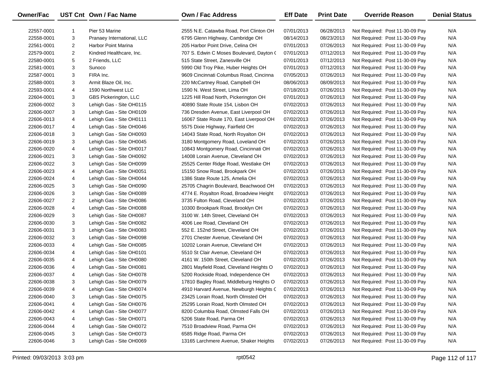| <b>Owner/Fac</b> |   | UST Cnt Own / Fac Name       | <b>Own / Fac Address</b>                 | <b>Eff Date</b> | <b>Print Date</b> | <b>Override Reason</b>          | <b>Denial Status</b> |
|------------------|---|------------------------------|------------------------------------------|-----------------|-------------------|---------------------------------|----------------------|
| 22557-0001       | 1 | Pier 53 Marine               | 2555 N.E. Catawba Road, Port Clinton OH  | 07/01/2013      | 06/28/2013        | Not Required: Post 11-30-09 Pay | N/A                  |
| 22558-0001       | 3 | Pranaey International, LLC   | 6795 Glenn Highway, Cambridge OH         | 08/14/2013      | 08/23/2013        | Not Required: Post 11-30-09 Pay | N/A                  |
| 22561-0001       | 2 | Harbor Point Marina          | 205 Harbor Point Drive, Celina OH        | 07/01/2013      | 07/26/2013        | Not Required: Post 11-30-09 Pay | N/A                  |
| 22579-0001       | 2 | Kindred Healthcare, Inc.     | 707 S. Edwin C Moses Boulevard, Dayton ( | 07/01/2013      | 07/12/2013        | Not Required: Post 11-30-09 Pay | N/A                  |
| 22580-0001       | 5 | 2 Friends, LLC               | 515 State Street, Zanesville OH          | 07/01/2013      | 07/12/2013        | Not Required: Post 11-30-09 Pay | N/A                  |
| 22581-0001       | 3 | Sunoco                       | 5990 Old Troy Pike, Huber Heights OH     | 07/01/2013      | 07/12/2013        | Not Required: Post 11-30-09 Pay | N/A                  |
| 22587-0001       | 3 | FIRA Inc.                    | 9609 Cincinnati Columbus Road, Cincinna  | 07/05/2013      | 07/26/2013        | Not Required: Post 11-30-09 Pay | N/A                  |
| 22588-0001       | 3 | Armit Blaze Oil, Inc.        | 220 McCartney Road, Campbell OH          | 08/06/2013      | 08/09/2013        | Not Required: Post 11-30-09 Pay | N/A                  |
| 22593-0001       | 4 | 1590 Northwest LLC           | 1590 N. West Street, Lima OH             | 07/18/2013      | 07/26/2013        | Not Required: Post 11-30-09 Pay | N/A                  |
| 22604-0001       | 3 | <b>GBS Pickerington, LLC</b> | 1225 Hill Road North, Pickerington OH    | 07/01/2013      | 07/26/2013        | Not Required: Post 11-30-09 Pay | N/A                  |
| 22606-0002       | 3 | Lehigh Gas - Site OH0115     | 40890 State Route 154, Lisbon OH         | 07/02/2013      | 07/26/2013        | Not Required: Post 11-30-09 Pay | N/A                  |
| 22606-0007       | 3 | Lehigh Gas - Site OH0109     | 736 Dresden Avenue, East Liverpool OH    | 07/02/2013      | 07/26/2013        | Not Required: Post 11-30-09 Pay | N/A                  |
| 22606-0013       | 4 | Lehigh Gas - Site OH0111     | 16067 State Route 170, East Liverpool OH | 07/02/2013      | 07/26/2013        | Not Required: Post 11-30-09 Pay | N/A                  |
| 22606-0017       | 4 | Lehigh Gas - Site OH0046     | 5575 Dixie Highway, Fairfield OH         | 07/02/2013      | 07/26/2013        | Not Required: Post 11-30-09 Pay | N/A                  |
| 22606-0018       | 3 | Lehigh Gas - Site OH0093     | 14043 State Road, North Royalton OH      | 07/02/2013      | 07/26/2013        | Not Required: Post 11-30-09 Pay | N/A                  |
| 22606-0019       | 3 | Lehigh Gas - Site OH0045     | 3180 Montgomery Road, Loveland OH        | 07/02/2013      | 07/26/2013        | Not Required: Post 11-30-09 Pay | N/A                  |
| 22606-0020       | 4 | Lehigh Gas - Site OH0017     | 10843 Montgomery Road, Cincinnati OH     | 07/02/2013      | 07/26/2013        | Not Required: Post 11-30-09 Pay | N/A                  |
| 22606-0021       | 3 | Lehigh Gas - Site OH0092     | 14008 Lorain Avenue, Cleveland OH        | 07/02/2013      | 07/26/2013        | Not Required: Post 11-30-09 Pay | N/A                  |
| 22606-0022       | 3 | Lehigh Gas - Site OH0099     | 25525 Center Ridge Road, Westlake OH     | 07/02/2013      | 07/26/2013        | Not Required: Post 11-30-09 Pay | N/A                  |
| 22606-0023       | 4 | Lehigh Gas - Site OH0051     | 15150 Snow Road, Brookpark OH            | 07/02/2013      | 07/26/2013        | Not Required: Post 11-30-09 Pay | N/A                  |
| 22606-0024       | 4 | Lehigh Gas - Site OH0044     | 1386 State Route 125, Amelia OH          | 07/02/2013      | 07/26/2013        | Not Required: Post 11-30-09 Pay | N/A                  |
| 22606-0025       | 3 | Lehigh Gas - Site OH0090     | 25705 Chagrin Boulevard, Beachwood OH    | 07/02/2013      | 07/26/2013        | Not Required: Post 11-30-09 Pay | N/A                  |
| 22606-0026       | 3 | Lehigh Gas - Site OH0089     | 4774 E. Royalton Road, Broadview Height  | 07/02/2013      | 07/26/2013        | Not Required: Post 11-30-09 Pay | N/A                  |
| 22606-0027       | 2 | Lehigh Gas - Site OH0086     | 3735 Fulton Road, Cleveland OH           | 07/02/2013      | 07/26/2013        | Not Required: Post 11-30-09 Pay | N/A                  |
| 22606-0028       | 4 | Lehigh Gas - Site OH0088     | 10300 Brookpark Road, Brooklyn OH        | 07/02/2013      | 07/26/2013        | Not Required: Post 11-30-09 Pay | N/A                  |
| 22606-0029       | 3 | Lehigh Gas - Site OH0087     | 3100 W. 14th Street, Cleveland OH        | 07/02/2013      | 07/26/2013        | Not Required: Post 11-30-09 Pay | N/A                  |
| 22606-0030       | 3 | Lehigh Gas - Site OH0082     | 4006 Lee Road, Cleveland OH              | 07/02/2013      | 07/26/2013        | Not Required: Post 11-30-09 Pay | N/A                  |
| 22606-0031       | 3 | Lehigh Gas - Site OH0083     | 552 E. 152nd Street, Cleveland OH        | 07/02/2013      | 07/26/2013        | Not Required: Post 11-30-09 Pay | N/A                  |
| 22606-0032       | 3 | Lehigh Gas - Site OH0098     | 2701 Chester Avenue, Cleveland OH        | 07/02/2013      | 07/26/2013        | Not Required: Post 11-30-09 Pay | N/A                  |
| 22606-0033       | 4 | Lehigh Gas - Site OH0085     | 10202 Lorain Avenue, Cleveland OH        | 07/02/2013      | 07/26/2013        | Not Required: Post 11-30-09 Pay | N/A                  |
| 22606-0034       | 4 | Lehigh Gas - Site OH0101     | 5510 St Clair Avenue, Cleveland OH       | 07/02/2013      | 07/26/2013        | Not Required: Post 11-30-09 Pay | N/A                  |
| 22606-0035       | 4 | Lehigh Gas - Site OH0080     | 4161 W. 150th Street, Cleveland OH       | 07/02/2013      | 07/26/2013        | Not Required: Post 11-30-09 Pay | N/A                  |
| 22606-0036       | 4 | Lehigh Gas - Site OH0081     | 2801 Mayfield Road, Cleveland Heights O  | 07/02/2013      | 07/26/2013        | Not Required: Post 11-30-09 Pay | N/A                  |
| 22606-0037       | 4 | Lehigh Gas - Site OH0078     | 5200 Rockside Road, Independence OH      | 07/02/2013      | 07/26/2013        | Not Required: Post 11-30-09 Pay | N/A                  |
| 22606-0038       | 3 | Lehigh Gas - Site OH0079     | 17810 Bagley Road, Middleburg Heights O  | 07/02/2013      | 07/26/2013        | Not Required: Post 11-30-09 Pay | N/A                  |
| 22606-0039       | 4 | Lehigh Gas - Site OH0074     | 4910 Harvard Avenue, Newburgh Heights C  | 07/02/2013      | 07/26/2013        | Not Required: Post 11-30-09 Pay | N/A                  |
| 22606-0040       | 3 | Lehigh Gas - Site OH0075     | 23425 Lorain Road, North Olmsted OH      | 07/02/2013      | 07/26/2013        | Not Required: Post 11-30-09 Pay | N/A                  |
| 22606-0041       | 4 | Lehigh Gas - Site OH0076     | 25295 Lorain Road, North Olmsted OH      | 07/02/2013      | 07/26/2013        | Not Required: Post 11-30-09 Pay | N/A                  |
| 22606-0042       | 4 | Lehigh Gas - Site OH0077     | 8200 Columbia Road, Olmsted Falls OH     | 07/02/2013      | 07/26/2013        | Not Required: Post 11-30-09 Pay | N/A                  |
| 22606-0043       | 4 | Lehigh Gas - Site OH0071     | 5206 State Road, Parma OH                | 07/02/2013      | 07/26/2013        | Not Required: Post 11-30-09 Pay | N/A                  |
| 22606-0044       | 4 | Lehigh Gas - Site OH0072     | 7510 Broadview Road, Parma OH            | 07/02/2013      | 07/26/2013        | Not Required: Post 11-30-09 Pay | N/A                  |
| 22606-0045       | 3 | Lehigh Gas - Site OH0073     | 6585 Ridge Road, Parma OH                | 07/02/2013      | 07/26/2013        | Not Required: Post 11-30-09 Pay | N/A                  |
| 22606-0046       | 3 | Lehigh Gas - Site OH0069     | 13165 Larchmere Avenue, Shaker Heights   | 07/02/2013      | 07/26/2013        | Not Required: Post 11-30-09 Pay | N/A                  |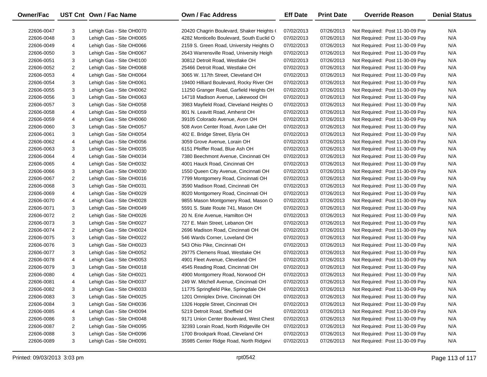| Owner/Fac  |                | UST Cnt Own / Fac Name   | Own / Fac Address                         | <b>Eff Date</b> | <b>Print Date</b> | <b>Override Reason</b>          | <b>Denial Status</b> |
|------------|----------------|--------------------------|-------------------------------------------|-----------------|-------------------|---------------------------------|----------------------|
| 22606-0047 | 3              | Lehigh Gas - Site OH0070 | 20420 Chagrin Boulevard, Shaker Heights ( | 07/02/2013      | 07/26/2013        | Not Required: Post 11-30-09 Pay | N/A                  |
| 22606-0048 | 3              | Lehigh Gas - Site OH0065 | 4282 Monticello Boulevard, South Euclid O | 07/02/2013      | 07/26/2013        | Not Required: Post 11-30-09 Pay | N/A                  |
| 22606-0049 | 4              | Lehigh Gas - Site OH0066 | 2159 S. Green Road, University Heights O  | 07/02/2013      | 07/26/2013        | Not Required: Post 11-30-09 Pay | N/A                  |
| 22606-0050 | 3              | Lehigh Gas - Site OH0067 | 2643 Warrensville Road, University Heigh  | 07/02/2013      | 07/26/2013        | Not Required: Post 11-30-09 Pay | N/A                  |
| 22606-0051 | 3              | Lehigh Gas - Site OH0100 | 30812 Detroit Road, Westlake OH           | 07/02/2013      | 07/26/2013        | Not Required: Post 11-30-09 Pay | N/A                  |
| 22606-0052 | $\overline{2}$ | Lehigh Gas - Site OH0068 | 25466 Detroit Road, Westlake OH           | 07/02/2013      | 07/26/2013        | Not Required: Post 11-30-09 Pay | N/A                  |
| 22606-0053 | 4              | Lehigh Gas - Site OH0064 | 3065 W. 117th Street, Cleveland OH        | 07/02/2013      | 07/26/2013        | Not Required: Post 11-30-09 Pay | N/A                  |
| 22606-0054 | 3              | Lehigh Gas - Site OH0061 | 19400 Hilliard Boulevard, Rocky River OH  | 07/02/2013      | 07/26/2013        | Not Required: Post 11-30-09 Pay | N/A                  |
| 22606-0055 | 3              | Lehigh Gas - Site OH0062 | 11250 Granger Road, Garfield Heights OH   | 07/02/2013      | 07/26/2013        | Not Required: Post 11-30-09 Pay | N/A                  |
| 22606-0056 | 3              | Lehigh Gas - Site OH0063 | 14718 Madison Avenue, Lakewood OH         | 07/02/2013      | 07/26/2013        | Not Required: Post 11-30-09 Pay | N/A                  |
| 22606-0057 | 3              | Lehigh Gas - Site OH0058 | 3983 Mayfield Road, Cleveland Heights O   | 07/02/2013      | 07/26/2013        | Not Required: Post 11-30-09 Pay | N/A                  |
| 22606-0058 | 4              | Lehigh Gas - Site OH0059 | 801 N. Leavitt Road, Amherst OH           | 07/02/2013      | 07/26/2013        | Not Required: Post 11-30-09 Pay | N/A                  |
| 22606-0059 | 4              | Lehigh Gas - Site OH0060 | 39105 Colorado Avenue, Avon OH            | 07/02/2013      | 07/26/2013        | Not Required: Post 11-30-09 Pay | N/A                  |
| 22606-0060 | 3              | Lehigh Gas - Site OH0057 | 508 Avon Center Road, Avon Lake OH        | 07/02/2013      | 07/26/2013        | Not Required: Post 11-30-09 Pay | N/A                  |
| 22606-0061 | 3              | Lehigh Gas - Site OH0054 | 402 E. Bridge Street, Elyria OH           | 07/02/2013      | 07/26/2013        | Not Required: Post 11-30-09 Pay | N/A                  |
| 22606-0062 | 4              | Lehigh Gas - Site OH0056 | 3059 Grove Avenue, Lorain OH              | 07/02/2013      | 07/26/2013        | Not Required: Post 11-30-09 Pay | N/A                  |
| 22606-0063 | 3              | Lehigh Gas - Site OH0035 | 6151 Pfeiffer Road, Blue Ash OH           | 07/02/2013      | 07/26/2013        | Not Required: Post 11-30-09 Pay | N/A                  |
| 22606-0064 | 4              | Lehigh Gas - Site OH0034 | 7380 Beechmont Avenue, Cincinnati OH      | 07/02/2013      | 07/26/2013        | Not Required: Post 11-30-09 Pay | N/A                  |
| 22606-0065 | 4              | Lehigh Gas - Site OH0032 | 4001 Hauck Road, Cincinnati OH            | 07/02/2013      | 07/26/2013        | Not Required: Post 11-30-09 Pay | N/A                  |
| 22606-0066 | 3              | Lehigh Gas - Site OH0030 | 1550 Queen City Avenue, Cincinnati OH     | 07/02/2013      | 07/26/2013        | Not Required: Post 11-30-09 Pay | N/A                  |
| 22606-0067 | $\overline{2}$ | Lehigh Gas - Site OH0016 | 7799 Montgomery Road, Cincinnati OH       | 07/02/2013      | 07/26/2013        | Not Required: Post 11-30-09 Pay | N/A                  |
| 22606-0068 | 3              | Lehigh Gas - Site OH0031 | 3590 Madison Road, Cincinnati OH          | 07/02/2013      | 07/26/2013        | Not Required: Post 11-30-09 Pay | N/A                  |
| 22606-0069 | 4              | Lehigh Gas - Site OH0029 | 8020 Montgomery Road, Cincinnati OH       | 07/02/2013      | 07/26/2013        | Not Required: Post 11-30-09 Pay | N/A                  |
| 22606-0070 | 4              | Lehigh Gas - Site OH0028 | 9855 Mason Montgomery Road, Mason O       | 07/02/2013      | 07/26/2013        | Not Required: Post 11-30-09 Pay | N/A                  |
| 22606-0071 | 3              | Lehigh Gas - Site OH0049 | 5591 S. State Route 741, Mason OH         | 07/02/2013      | 07/26/2013        | Not Required: Post 11-30-09 Pay | N/A                  |
| 22606-0072 | $\overline{2}$ | Lehigh Gas - Site OH0026 | 20 N. Erie Avenue, Hamilton OH            | 07/02/2013      | 07/26/2013        | Not Required: Post 11-30-09 Pay | N/A                  |
| 22606-0073 | 3              | Lehigh Gas - Site OH0027 | 727 E. Main Street, Lebanon OH            | 07/02/2013      | 07/26/2013        | Not Required: Post 11-30-09 Pay | N/A                  |
| 22606-0074 | $\overline{2}$ | Lehigh Gas - Site OH0024 | 2696 Madison Road, Cincinnati OH          | 07/02/2013      | 07/26/2013        | Not Required: Post 11-30-09 Pay | N/A                  |
| 22606-0075 | 3              | Lehigh Gas - Site OH0022 | 546 Wards Corner, Loveland OH             | 07/02/2013      | 07/26/2013        | Not Required: Post 11-30-09 Pay | N/A                  |
| 22606-0076 | 3              | Lehigh Gas - Site OH0023 | 543 Ohio Pike, Cincinnati OH              | 07/02/2013      | 07/26/2013        | Not Required: Post 11-30-09 Pay | N/A                  |
| 22606-0077 | 3              | Lehigh Gas - Site OH0052 | 29775 Clemens Road, Westlake OH           | 07/02/2013      | 07/26/2013        | Not Required: Post 11-30-09 Pay | N/A                  |
| 22606-0078 | 4              | Lehigh Gas - Site OH0053 | 4901 Fleet Avenue, Cleveland OH           | 07/02/2013      | 07/26/2013        | Not Required: Post 11-30-09 Pay | N/A                  |
| 22606-0079 | 3              | Lehigh Gas - Site OH0018 | 4545 Reading Road, Cincinnati OH          | 07/02/2013      | 07/26/2013        | Not Required: Post 11-30-09 Pay | N/A                  |
| 22606-0080 | 4              | Lehigh Gas - Site OH0021 | 4900 Montgomery Road, Norwood OH          | 07/02/2013      | 07/26/2013        | Not Required: Post 11-30-09 Pay | N/A                  |
| 22606-0081 | 4              | Lehigh Gas - Site OH0037 | 249 W. Mitchell Avenue, Cincinnati OH     | 07/02/2013      | 07/26/2013        | Not Required: Post 11-30-09 Pay | N/A                  |
| 22606-0082 | 3              | Lehigh Gas - Site OH0033 | 11775 Springfield Pike, Springdale OH     | 07/02/2013      | 07/26/2013        | Not Required: Post 11-30-09 Pay | N/A                  |
| 22606-0083 | 3              | Lehigh Gas - Site OH0025 | 1201 Omniplex Drive, Cincinnati OH        | 07/02/2013      | 07/26/2013        | Not Required: Post 11-30-09 Pay | N/A                  |
| 22606-0084 | 3              | Lehigh Gas - Site OH0036 | 1326 Hopple Street, Cincinnati OH         | 07/02/2013      | 07/26/2013        | Not Required: Post 11-30-09 Pay | N/A                  |
| 22606-0085 | 4              | Lehigh Gas - Site OH0094 | 5219 Detroit Road, Sheffield OH           | 07/02/2013      | 07/26/2013        | Not Required: Post 11-30-09 Pay | N/A                  |
| 22606-0086 | 3              | Lehigh Gas - Site OH0048 | 9171 Union Center Boulevard, West Chest   | 07/02/2013      | 07/26/2013        | Not Required: Post 11-30-09 Pay | N/A                  |
| 22606-0087 | 2              | Lehigh Gas - Site OH0095 | 32393 Lorain Road, North Ridgeville OH    | 07/02/2013      | 07/26/2013        | Not Required: Post 11-30-09 Pay | N/A                  |
| 22606-0088 | 3              | Lehigh Gas - Site OH0096 | 1700 Brookpark Road, Cleveland OH         | 07/02/2013      | 07/26/2013        | Not Required: Post 11-30-09 Pay | N/A                  |
| 22606-0089 | 3              | Lehigh Gas - Site OH0091 | 35985 Center Ridge Road, North Ridgevi    | 07/02/2013      | 07/26/2013        | Not Required: Post 11-30-09 Pay | N/A                  |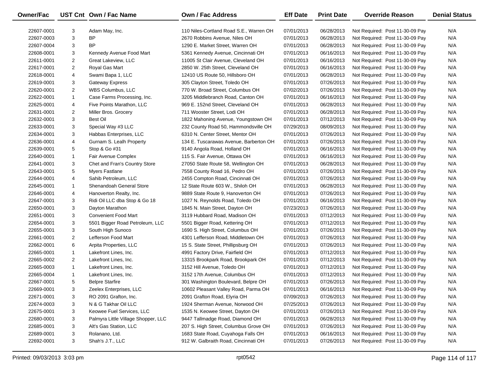| Owner/Fac  |                | UST Cnt Own / Fac Name              | Own / Fac Address                       | <b>Eff Date</b> | <b>Print Date</b> | <b>Override Reason</b>          | <b>Denial Status</b> |
|------------|----------------|-------------------------------------|-----------------------------------------|-----------------|-------------------|---------------------------------|----------------------|
| 22607-0001 | 3              | Adam May, Inc.                      | 110 Niles-Cortland Road S.E., Warren OH | 07/01/2013      | 06/28/2013        | Not Required: Post 11-30-09 Pay | N/A                  |
| 22607-0003 | 3              | ΒP                                  | 2670 Robbins Avenue, Niles OH           | 07/01/2013      | 06/28/2013        | Not Required: Post 11-30-09 Pay | N/A                  |
| 22607-0004 | 3              | <b>BP</b>                           | 1290 E. Market Street, Warren OH        | 07/01/2013      | 06/28/2013        | Not Required: Post 11-30-09 Pay | N/A                  |
| 22608-0001 | 3              | Kennedy Avenue Food Mart            | 5361 Kennedy Avenue, Cincinnati OH      | 07/01/2013      | 06/16/2013        | Not Required: Post 11-30-09 Pay | N/A                  |
| 22611-0001 | $\overline{2}$ | Great Lakeview, LLC                 | 11005 St Clair Avenue, Cleveland OH     | 07/01/2013      | 06/16/2013        | Not Required: Post 11-30-09 Pay | N/A                  |
| 22617-0001 | $\overline{2}$ | Royal Gas Mart                      | 2850 W. 25th Street, Cleveland OH       | 07/01/2013      | 06/16/2013        | Not Required: Post 11-30-09 Pay | N/A                  |
| 22618-0001 | 4              | Swami Bapa 1, LLC                   | 12410 US Route 50, Hillsboro OH         | 07/01/2013      | 06/28/2013        | Not Required: Post 11-30-09 Pay | N/A                  |
| 22619-0001 | 3              | <b>Gateway Express</b>              | 305 Clayton Street, Toledo OH           | 07/01/2013      | 07/26/2013        | Not Required: Post 11-30-09 Pay | N/A                  |
| 22620-0001 | $\overline{2}$ | WBS Columbus, LLC                   | 770 W. Broad Street, Columbus OH        | 07/02/2013      | 07/26/2013        | Not Required: Post 11-30-09 Pay | N/A                  |
| 22622-0001 | $\mathbf{1}$   | Case Farms Processing, Inc.         | 3205 Middlebranch Road, Canton OH       | 07/01/2013      | 06/16/2013        | Not Required: Post 11-30-09 Pay | N/A                  |
| 22625-0001 | 4              | Five Points Marathon, LLC           | 969 E. 152nd Street, Cleveland OH       | 07/01/2013      | 06/28/2013        | Not Required: Post 11-30-09 Pay | N/A                  |
| 22631-0001 | $\overline{2}$ | Miller Bros. Grocery                | 711 Wooster Street, Lodi OH             | 07/01/2013      | 06/28/2013        | Not Required: Post 11-30-09 Pay | N/A                  |
| 22632-0001 | 3              | Best Oil                            | 1822 Mahoning Avenue, Youngstown OH     | 07/01/2013      | 07/12/2013        | Not Required: Post 11-30-09 Pay | N/A                  |
| 22633-0001 | 3              | Special Way #3 LLC                  | 232 County Road 50, Hammondsville OH    | 07/29/2013      | 08/09/2013        | Not Required: Post 11-30-09 Pay | N/A                  |
| 22634-0001 | 3              | Habbas Enterprises, LLC             | 6310 N. Center Street, Mentor OH        | 07/01/2013      | 07/26/2013        | Not Required: Post 11-30-09 Pay | N/A                  |
| 22636-0001 | 4              | Gurnam S. Lealh Property            | 134 E. Tuscarawas Avenue, Barberton OH  | 07/01/2013      | 07/26/2013        | Not Required: Post 11-30-09 Pay | N/A                  |
| 22639-0001 | 5              | Stop & Go #31                       | 9140 Angola Road, Holland OH            | 07/01/2013      | 06/16/2013        | Not Required: Post 11-30-09 Pay | N/A                  |
| 22640-0001 | $\mathbf{1}$   | Fair Avenue Complex                 | 115 S. Fair Avenue, Ottawa OH           | 07/01/2013      | 06/16/2013        | Not Required: Post 11-30-09 Pay | N/A                  |
| 22641-0001 | 3              | Chet and Fran's Country Store       | 27050 State Route 58, Wellington OH     | 07/01/2013      | 06/28/2013        | Not Required: Post 11-30-09 Pay | N/A                  |
| 22643-0001 | 5              | Myers Fastlane                      | 7558 County Road 16, Pedro OH           | 07/01/2013      | 07/26/2013        | Not Required: Post 11-30-09 Pay | N/A                  |
| 22644-0001 | 4              | Sahib Petroleum, LLC                | 2455 Compton Road, Cincinnati OH        | 07/01/2013      | 07/26/2013        | Not Required: Post 11-30-09 Pay | N/A                  |
| 22645-0001 | $\mathbf{1}$   | Shenandoah General Store            | 12 State Route 603 W., Shiloh OH        | 07/01/2013      | 06/28/2013        | Not Required: Post 11-30-09 Pay | N/A                  |
| 22646-0001 | 4              | Hanoverton Realty, Inc.             | 9889 State Route 9, Hanoverton OH       | 07/01/2013      | 07/26/2013        | Not Required: Post 11-30-09 Pay | N/A                  |
| 22647-0001 | 3              | Ridi Oil LLC dba Stop & Go 18       | 1027 N. Reynolds Road, Toledo OH        | 07/01/2013      | 06/16/2013        | Not Required: Post 11-30-09 Pay | N/A                  |
| 22650-0001 | 3              | Dayton Marathon                     | 1845 N. Main Street, Dayton OH          | 07/23/2013      | 07/26/2013        | Not Required: Post 11-30-09 Pay | N/A                  |
| 22651-0001 | 3              | <b>Convenient Food Mart</b>         | 3119 Hubbard Road, Madison OH           | 07/01/2013      | 07/12/2013        | Not Required: Post 11-30-09 Pay | N/A                  |
| 22654-0001 | 3              | 5501 Bigger Road Petroleum, LLC     | 5501 Bigger Road, Kettering OH          | 07/01/2013      | 07/12/2013        | Not Required: Post 11-30-09 Pay | N/A                  |
| 22655-0001 | 3              | South High Sunoco                   | 1690 S. High Street, Columbus OH        | 07/01/2013      | 07/26/2013        | Not Required: Post 11-30-09 Pay | N/A                  |
| 22661-0001 | $\overline{2}$ | Lefferson Food Mart                 | 4301 Lefferson Road, Middletown OH      | 07/01/2013      | 07/26/2013        | Not Required: Post 11-30-09 Pay | N/A                  |
| 22662-0001 | 6              | Arpita Properties, LLC              | 15 S. State Street, Phillipsburg OH     | 07/01/2013      | 07/26/2013        | Not Required: Post 11-30-09 Pay | N/A                  |
| 22665-0001 | $\mathbf{1}$   | Lakefront Lines, Inc.               | 4991 Factory Drive, Fairfield OH        | 07/01/2013      | 07/12/2013        | Not Required: Post 11-30-09 Pay | N/A                  |
| 22665-0002 | $\overline{2}$ | Lakefront Lines, Inc.               | 13315 Brookpark Road, Brookpark OH      | 07/01/2013      | 07/12/2013        | Not Required: Post 11-30-09 Pay | N/A                  |
| 22665-0003 | $\mathbf{1}$   | Lakefront Lines, Inc.               | 3152 Hill Avenue, Toledo OH             | 07/01/2013      | 07/12/2013        | Not Required: Post 11-30-09 Pay | N/A                  |
| 22665-0004 | $\mathbf{1}$   | Lakefront Lines, Inc.               | 3152 17th Avenue, Columbus OH           | 07/01/2013      | 07/12/2013        | Not Required: Post 11-30-09 Pay | N/A                  |
| 22667-0001 | 5              | <b>Belpre Starfire</b>              | 301 Washington Boulevard, Belpre OH     | 07/01/2013      | 07/26/2013        | Not Required: Post 11-30-09 Pay | N/A                  |
| 22669-0001 | 3              | Zeelex Enterprises, LLC             | 10602 Pleasant Valley Road, Parma OH    | 07/01/2013      | 06/16/2013        | Not Required: Post 11-30-09 Pay | N/A                  |
| 22671-0001 | 3              | RO 2091 Grafton, Inc.               | 2091 Grafton Road, Elyria OH            | 07/09/2013      | 07/26/2013        | Not Required: Post 11-30-09 Pay | N/A                  |
| 22674-0003 | 3              | N & G Takhar Oil LLC                | 1924 Sherman Avenue, Norwood OH         | 07/25/2013      | 07/26/2013        | Not Required: Post 11-30-09 Pay | N/A                  |
| 22675-0001 | 3              | Keowee Fuel Services, LLC           | 1535 N. Keowee Street, Dayton OH        | 07/01/2013      | 07/26/2013        | Not Required: Post 11-30-09 Pay | N/A                  |
| 22680-0001 | 3              | Palmyra Little Village Shopper, LLC | 9447 Tallmadge Road, Diamond OH         | 07/01/2013      | 06/28/2013        | Not Required: Post 11-30-09 Pay | N/A                  |
| 22685-0001 | 3              | Alt's Gas Station, LLC              | 207 S. High Street, Columbus Grove OH   | 07/01/2013      | 07/26/2013        | Not Required: Post 11-30-09 Pay | N/A                  |
| 22689-0001 | 3              | Rolanano, Ltd.                      | 1683 State Road, Cuyahoga Falls OH      | 07/01/2013      | 06/16/2013        | Not Required: Post 11-30-09 Pay | N/A                  |
| 22692-0001 | 3              | Shah's J.T., LLC                    | 912 W. Galbraith Road, Cincinnati OH    | 07/01/2013      | 07/26/2013        | Not Required: Post 11-30-09 Pay | N/A                  |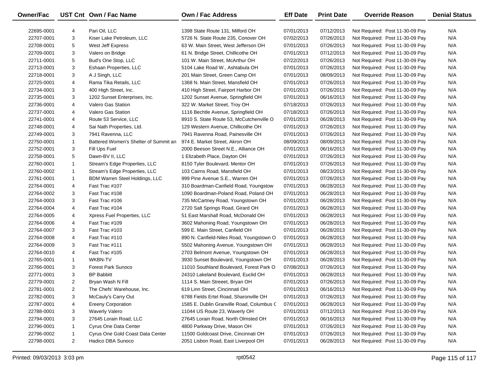| Owner/Fac  |                | UST Cnt Own / Fac Name                | <b>Own / Fac Address</b>                  | <b>Eff Date</b> | <b>Print Date</b> | <b>Override Reason</b>          | <b>Denial Status</b> |
|------------|----------------|---------------------------------------|-------------------------------------------|-----------------|-------------------|---------------------------------|----------------------|
|            |                |                                       |                                           |                 |                   |                                 |                      |
| 22695-0001 | 4              | Pari Oil, LLC                         | 1398 State Route 131, Milford OH          | 07/01/2013      | 07/12/2013        | Not Required: Post 11-30-09 Pay | N/A                  |
| 22707-0001 | 3              | Kiser Lake Petroleum, LLC             | 5726 N. State Route 235, Conover OH       | 07/02/2013      | 07/26/2013        | Not Required: Post 11-30-09 Pay | N/A                  |
| 22708-0001 | 5              | West Jeff Express                     | 63 W. Main Street, West Jefferson OH      | 07/01/2013      | 07/26/2013        | Not Required: Post 11-30-09 Pay | N/A                  |
| 22709-0001 | 3              | Valero on Bridge                      | 61 N. Bridge Street, Chillicothe OH       | 07/01/2013      | 07/12/2013        | Not Required: Post 11-30-09 Pay | N/A                  |
| 22711-0001 | 5              | Bud's One Stop, LLC                   | 101 W. Main Street, McArthur OH           | 07/22/2013      | 07/26/2013        | Not Required: Post 11-30-09 Pay | N/A                  |
| 22713-0001 | 3              | Eshaan Properties, LLC                | 5104 Lake Road W., Ashtabula OH           | 07/01/2013      | 07/26/2013        | Not Required: Post 11-30-09 Pay | N/A                  |
| 22718-0001 | 3              | A J Singh, LLC                        | 201 Main Street, Green Camp OH            | 07/01/2013      | 08/09/2013        | Not Required: Post 11-30-09 Pay | N/A                  |
| 22725-0001 | 4              | Rama Tika Retails, LLC                | 1368 N. Main Street, Mansfield OH         | 07/01/2013      | 07/26/2013        | Not Required: Post 11-30-09 Pay | N/A                  |
| 22734-0001 | 3              | 400 High Street, Inc.                 | 410 High Street, Fairport Harbor OH       | 07/01/2013      | 07/26/2013        | Not Required: Post 11-30-09 Pay | N/A                  |
| 22735-0001 | 3              | 1202 Sunset Enterprises, Inc.         | 1202 Sunset Avenue, Springfield OH        | 07/01/2013      | 06/16/2013        | Not Required: Post 11-30-09 Pay | N/A                  |
| 22736-0001 | 4              | Valero Gas Station                    | 322 W. Market Street, Troy OH             | 07/18/2013      | 07/26/2013        | Not Required: Post 11-30-09 Pay | N/A                  |
| 22737-0001 | 4              | Valero Gas Station                    | 1116 Bechtle Avenue, Springfield OH       | 07/18/2013      | 07/26/2013        | Not Required: Post 11-30-09 Pay | N/A                  |
| 22741-0001 | 4              | Route 53 Service, LLC                 | 8910 S. State Route 53, McCutchenville O  | 07/01/2013      | 06/28/2013        | Not Required: Post 11-30-09 Pay | N/A                  |
| 22748-0001 | 4              | Sai Nath Properties, Ltd.             | 129 Western Avenue, Chillicothe OH        | 07/01/2013      | 07/26/2013        | Not Required: Post 11-30-09 Pay | N/A                  |
| 22749-0001 | 3              | 7941 Ravenna, LLC                     | 7941 Ravenna Road, Painesville OH         | 07/01/2013      | 07/26/2013        | Not Required: Post 11-30-09 Pay | N/A                  |
| 22750-0001 | $\mathbf{1}$   | Battered Women's Shelter of Summit an | 974 E. Market Street, Akron OH            | 08/09/2013      | 08/09/2013        | Not Required: Post 11-30-09 Pay | N/A                  |
| 22752-0001 | 3              | Fill Ups Fuel                         | 2000 Beeson Street N.E., Alliance OH      | 07/01/2013      | 06/16/2013        | Not Required: Post 11-30-09 Pay | N/A                  |
| 22758-0001 | 5              | Dawn-BV II, LLC                       | 1 Elizabeth Place, Dayton OH              | 07/01/2013      | 07/26/2013        | Not Required: Post 11-30-09 Pay | N/A                  |
| 22760-0001 | $\mathbf{1}$   | Stream's Edge Properties, LLC         | 8150 Tyler Boulevard, Mentor OH           | 07/01/2013      | 07/26/2013        | Not Required: Post 11-30-09 Pay | N/A                  |
| 22760-0002 | $\mathbf{1}$   | Stream's Edge Properties, LLC         | 103 Cairns Road, Mansfield OH             | 07/01/2013      | 08/23/2013        | Not Required: Post 11-30-09 Pay | N/A                  |
| 22761-0001 | $\mathbf{1}$   | BDM Warren Steel Holdings, LLC        | 999 Pine Avenue S.E., Warren OH           | 07/01/2013      | 07/26/2013        | Not Required: Post 11-30-09 Pay | N/A                  |
| 22764-0001 | 4              | Fast Trac #107                        | 310 Boardman-Canfield Road, Youngstow     | 07/01/2013      | 06/28/2013        | Not Required: Post 11-30-09 Pay | N/A                  |
| 22764-0002 | 3              | Fast Trac #108                        | 1090 Boardman-Poland Road, Poland OH      | 07/01/2013      | 06/28/2013        | Not Required: Post 11-30-09 Pay | N/A                  |
| 22764-0003 | 3              | Fast Trac #106                        | 735 McCartney Road, Youngstown OH         | 07/01/2013      | 06/28/2013        | Not Required: Post 11-30-09 Pay | N/A                  |
| 22764-0004 | 4              | Fast Trac #104                        | 2720 Salt Springs Road, Girard OH         | 07/01/2013      | 06/28/2013        | Not Required: Post 11-30-09 Pay | N/A                  |
| 22764-0005 | 4              | Xpress Fuel Properties, LLC           | 51 East Marshall Road, McDonald OH        | 07/01/2013      | 06/28/2013        | Not Required: Post 11-30-09 Pay | N/A                  |
| 22764-0006 | 4              | Fast Trac #109                        | 3602 Mahoning Road, Youngstown OH         | 07/01/2013      | 06/28/2013        | Not Required: Post 11-30-09 Pay | N/A                  |
| 22764-0007 | 3              | Fast Trac #103                        | 599 E. Main Street, Canfield OH           | 07/01/2013      | 06/28/2013        | Not Required: Post 11-30-09 Pay | N/A                  |
| 22764-0008 | 4              | Fast Trac #110                        | 890 N. Canfield-Niles Road, Youngstown O  | 07/01/2013      | 06/28/2013        | Not Required: Post 11-30-09 Pay | N/A                  |
| 22764-0009 | 3              | Fast Trac #111                        | 5502 Mahoning Avenue, Youngstown OH       | 07/01/2013      | 06/28/2013        | Not Required: Post 11-30-09 Pay | N/A                  |
| 22764-0010 | 4              | Fast Trac #105                        | 2703 Belmont Avenue, Youngstown OH        | 07/01/2013      | 06/28/2013        | Not Required: Post 11-30-09 Pay | N/A                  |
| 22765-0001 | $\mathbf{1}$   | <b>WKBN-TV</b>                        | 3930 Sunset Boulevard, Youngstown OH      | 07/01/2013      | 06/28/2013        | Not Required: Post 11-30-09 Pay | N/A                  |
| 22766-0001 | 3              | <b>Forest Park Sunoco</b>             | 11010 Southland Boulevard, Forest Park O  | 07/08/2013      | 07/26/2013        | Not Required: Post 11-30-09 Pay | N/A                  |
| 22771-0001 | 3              | <b>BP Babbitt</b>                     | 24310 Lakeland Boulevard, Euclid OH       | 07/01/2013      | 06/28/2013        | Not Required: Post 11-30-09 Pay | N/A                  |
| 22779-0001 | 2              | Bryan Wash N Fill                     | 1114 S. Main Streeet, Bryan OH            | 07/01/2013      | 07/26/2013        | Not Required: Post 11-30-09 Pay | N/A                  |
| 22781-0001 | 2              | The Chefs' Warehouse, Inc.            | 619 Linn Street, Cincinnati OH            | 07/01/2013      | 06/16/2013        | Not Required: Post 11-30-09 Pay | N/A                  |
| 22782-0001 | 3              | McCauly's Carry Out                   | 6788 Fields Ertel Road, Sharonville OH    | 07/01/2013      | 07/26/2013        | Not Required: Post 11-30-09 Pay | N/A                  |
| 22787-0001 | 4              | <b>Ereeny Corporation</b>             | 1585 E. Dublin Granville Road, Columbus C | 07/01/2013      | 06/28/2013        | Not Required: Post 11-30-09 Pay | N/A                  |
| 22788-0001 | 3              | <b>Waverly Valero</b>                 | 11044 US Route 23, Waverly OH             | 07/01/2013      | 07/12/2013        | Not Required: Post 11-30-09 Pay | N/A                  |
| 22794-0001 | 3              | 27645 Lorain Road, LLC                | 27645 Lorain Road, North Olmsted OH       | 07/01/2013      | 06/16/2013        | Not Required: Post 11-30-09 Pay | N/A                  |
| 22796-0001 | $\mathbf{1}$   | Cyrus One Data Center                 | 4800 Parkway Drive, Mason OH              | 07/01/2013      | 07/26/2013        | Not Required: Post 11-30-09 Pay | N/A                  |
| 22796-0002 | $\mathbf{1}$   | Cyrus One Gold Coast Data Center      | 11500 Goldcoast Drive, Cincinnati OH      | 07/01/2013      | 07/26/2013        | Not Required: Post 11-30-09 Pay | N/A                  |
| 22798-0001 | $\overline{2}$ | Hadico DBA Sunoco                     | 2051 Lisbon Road, East Liverpool OH       | 07/01/2013      | 06/28/2013        | Not Required: Post 11-30-09 Pay | N/A                  |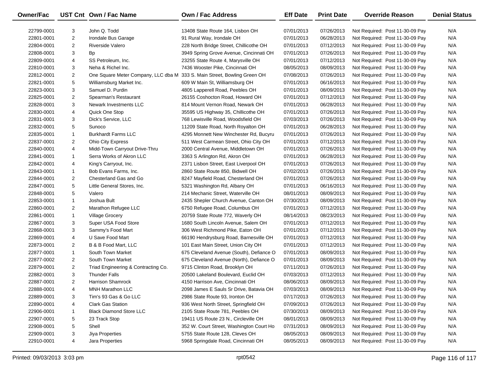| Owner/Fac  |                | UST Cnt Own / Fac Name                                                   | Own / Fac Address                        | <b>Eff Date</b> | <b>Print Date</b> | <b>Override Reason</b>          | <b>Denial Status</b> |
|------------|----------------|--------------------------------------------------------------------------|------------------------------------------|-----------------|-------------------|---------------------------------|----------------------|
| 22799-0001 | 3              | John Q. Todd                                                             | 13408 State Route 164, Lisbon OH         | 07/01/2013      | 07/26/2013        | Not Required: Post 11-30-09 Pay | N/A                  |
| 22801-0001 | $\overline{2}$ | Irondale Bus Garage                                                      | 91 Rural Way, Irondale OH                | 07/01/2013      | 06/28/2013        | Not Required: Post 11-30-09 Pay | N/A                  |
| 22804-0001 | $\overline{2}$ | <b>Riverside Valero</b>                                                  | 228 North Bridge Street, Chillicothe OH  | 07/01/2013      | 07/12/2013        | Not Required: Post 11-30-09 Pay | N/A                  |
| 22808-0001 | 3              | <b>Bp</b>                                                                | 3949 Spring Grove Avenue, Cincinnati OH  | 07/01/2013      | 07/26/2013        | Not Required: Post 11-30-09 Pay | N/A                  |
| 22809-0001 | 4              | SS Petroleum, Inc.                                                       | 23255 State Route 4, Marysville OH       | 07/01/2013      | 07/12/2013        | Not Required: Post 11-30-09 Pay | N/A                  |
| 22810-0001 | 3              | Neha & Richel Inc.                                                       | 7436 Wooster Pike, Cincinnati OH         | 08/05/2013      | 08/09/2013        | Not Required: Post 11-30-09 Pay | N/A                  |
| 22812-0001 | $\overline{2}$ | One Square Meter Company, LLC dba M 333 S. Main Street, Bowling Green OH |                                          | 07/08/2013      | 07/26/2013        | Not Required: Post 11-30-09 Pay | N/A                  |
| 22821-0001 | 5              | Williamsburg Market Inc.                                                 | 609 W Main St, Williamsburg OH           | 07/01/2013      | 06/16/2013        | Not Required: Post 11-30-09 Pay | N/A                  |
| 22823-0001 | 3              | Samuel D. Purdin                                                         | 4805 Lapperell Road, Peebles OH          | 07/01/2013      | 08/09/2013        | Not Required: Post 11-30-09 Pay | N/A                  |
| 22825-0001 | $\overline{2}$ | Spearman's Restaurant                                                    | 26155 Coshocton Road, Howard OH          | 07/01/2013      | 07/12/2013        | Not Required: Post 11-30-09 Pay | N/A                  |
| 22828-0001 | 3              | Newark Investments LLC                                                   | 814 Mount Vernon Road, Newark OH         | 07/01/2013      | 06/28/2013        | Not Required: Post 11-30-09 Pay | N/A                  |
| 22830-0001 | 4              | Quick One Stop                                                           | 35595 US Highway 35, Chillicothe OH      | 07/01/2013      | 07/26/2013        | Not Required: Post 11-30-09 Pay | N/A                  |
| 22831-0001 | 3              | Dick's Service, LLC                                                      | 768 Lewisville Road, Woodsfield OH       | 07/03/2013      | 07/26/2013        | Not Required: Post 11-30-09 Pay | N/A                  |
| 22832-0001 | 5              | Sunoco                                                                   | 11209 State Road, North Royalton OH      | 07/01/2013      | 06/28/2013        | Not Required: Post 11-30-09 Pay | N/A                  |
| 22835-0001 | $\mathbf{1}$   | <b>Burkhardt Farms LLC</b>                                               | 4295 Monnett New Winchester Rd, Bucyru   | 07/01/2013      | 07/26/2013        | Not Required: Post 11-30-09 Pay | N/A                  |
| 22837-0001 | $\overline{2}$ | Ohio City Express                                                        | 511 West Carmean Street, Ohio City OH    | 07/01/2013      | 07/12/2013        | Not Required: Post 11-30-09 Pay | N/A                  |
| 22840-0001 | 4              | Midd-Town Carryout Drive-Thru                                            | 2000 Central Avenue, Middletown OH       | 07/01/2013      | 07/26/2013        | Not Required: Post 11-30-09 Pay | N/A                  |
| 22841-0001 | $\mathbf{1}$   | Serra Works of Akron LLC                                                 | 3363 S Arlington Rd, Akron OH            | 07/01/2013      | 06/28/2013        | Not Required: Post 11-30-09 Pay | N/A                  |
| 22842-0001 | 4              | King's Carryout, Inc.                                                    | 2371 Lisbon Street, East Liverpool OH    | 07/01/2013      | 07/26/2013        | Not Required: Post 11-30-09 Pay | N/A                  |
| 22843-0001 | $\mathbf{1}$   | Bob Evans Farms, Inc.                                                    | 2860 State Route 850, Bidwell OH         | 07/02/2013      | 07/26/2013        | Not Required: Post 11-30-09 Pay | N/A                  |
| 22844-0001 | $\overline{2}$ | Chesterland Gas and Go                                                   | 8247 Mayfield Road, Chesterland OH       | 07/01/2013      | 07/26/2013        | Not Required: Post 11-30-09 Pay | N/A                  |
| 22847-0001 | 5              | Little General Stores, Inc.                                              | 5321 Washington Rd, Albany OH            | 07/01/2013      | 06/16/2013        | Not Required: Post 11-30-09 Pay | N/A                  |
| 22848-0001 | 5              | Valero                                                                   | 214 Mechanic Street, Waterville OH       | 08/01/2013      | 08/09/2013        | Not Required: Post 11-30-09 Pay | N/A                  |
| 22853-0001 | $\mathbf{1}$   | Joshua Bult                                                              | 2435 Shepler Church Avenue, Canton OH    | 07/30/2013      | 08/09/2013        | Not Required: Post 11-30-09 Pay | N/A                  |
| 22860-0001 | $\overline{2}$ | Marathon Refugee LLC                                                     | 6750 Refugee Road, Columbus OH           | 07/01/2013      | 07/12/2013        | Not Required: Post 11-30-09 Pay | N/A                  |
| 22861-0001 | $\mathbf{1}$   | Village Grocery                                                          | 20759 State Route 772, Waverly OH        | 08/14/2013      | 08/23/2013        | Not Required: Post 11-30-09 Pay | N/A                  |
| 22867-0001 | 3              | Super USA Food Store                                                     | 1680 South Lincoln Avenue, Salem OH      | 07/01/2013      | 07/12/2013        | Not Required: Post 11-30-09 Pay | N/A                  |
| 22868-0001 | 3              | Sammy's Food Mart                                                        | 306 West Richmond Pike, Eaton OH         | 07/01/2013      | 07/12/2013        | Not Required: Post 11-30-09 Pay | N/A                  |
| 22869-0001 | 4              | U Save Food Mart                                                         | 66190 Hendrysburg Road, Barnesville OH   | 07/01/2013      | 07/12/2013        | Not Required: Post 11-30-09 Pay | N/A                  |
| 22873-0001 | $\overline{2}$ | B & B Food Mart, LLC                                                     | 101 East Main Street, Union City OH      | 07/01/2013      | 07/12/2013        | Not Required: Post 11-30-09 Pay | N/A                  |
| 22877-0001 | $\mathbf{1}$   | South Town Market                                                        | 675 Cleveland Avenue (South), Defiance O | 07/01/2013      | 08/09/2013        | Not Required: Post 11-30-09 Pay | N/A                  |
| 22877-0002 | $\overline{2}$ | South Town Market                                                        | 675 Cleveland Avenue (North), Defiance O | 07/01/2013      | 08/09/2013        | Not Required: Post 11-30-09 Pay | N/A                  |
| 22879-0001 | $\overline{2}$ | Triad Engineering & Contracting Co.                                      | 9715 Clinton Road, Brooklyn OH           | 07/11/2013      | 07/26/2013        | Not Required: Post 11-30-09 Pay | N/A                  |
| 22882-0001 | 3              | <b>Thunder Falls</b>                                                     | 20500 Lakeland Boulevard, Euclid OH      | 07/03/2013      | 07/12/2013        | Not Required: Post 11-30-09 Pay | N/A                  |
| 22887-0001 | $\overline{2}$ | <b>Harrison Shamrock</b>                                                 | 4150 Harrison Ave, Cincinnati OH         | 08/06/2013      | 08/09/2013        | Not Required: Post 11-30-09 Pay | N/A                  |
| 22888-0001 | 4              | MNH Marathon LLC                                                         | 2098 James E Sauls Sr Drive, Batavia OH  | 07/03/2013      | 08/09/2013        | Not Required: Post 11-30-09 Pay | N/A                  |
| 22889-0001 | 3              | Tim's 93 Gas & Go LLC                                                    | 2986 State Route 93, Ironton OH          | 07/17/2013      | 07/26/2013        | Not Required: Post 11-30-09 Pay | N/A                  |
| 22890-0001 | 4              | <b>Clark Gas Station</b>                                                 | 936 West North Street, Springfield OH    | 07/09/2013      | 07/26/2013        | Not Required: Post 11-30-09 Pay | N/A                  |
| 22906-0001 | 1              | <b>Black Diamond Store LLC</b>                                           | 2105 State Route 781, Peebles OH         | 07/30/2013      | 08/09/2013        | Not Required: Post 11-30-09 Pay | N/A                  |
| 22907-0001 | 5              | 23 Track Stop                                                            | 19411 US Route 23 N., Circleville OH     | 08/01/2013      | 08/09/2013        | Not Required: Post 11-30-09 Pay | N/A                  |
| 22908-0001 | 5              | Shell                                                                    | 352 W. Court Street, Washington Court Ho | 07/31/2013      | 08/09/2013        | Not Required: Post 11-30-09 Pay | N/A                  |
| 22909-0001 | 3              | Jiya Properties                                                          | 5755 State Route 128, Cleves OH          | 08/05/2013      | 08/09/2013        | Not Required: Post 11-30-09 Pay | N/A                  |
| 22910-0001 | 4              | Jara Properties                                                          | 5968 Springdale Road, Cincinnati OH      | 08/05/2013      | 08/09/2013        | Not Required: Post 11-30-09 Pay | N/A                  |